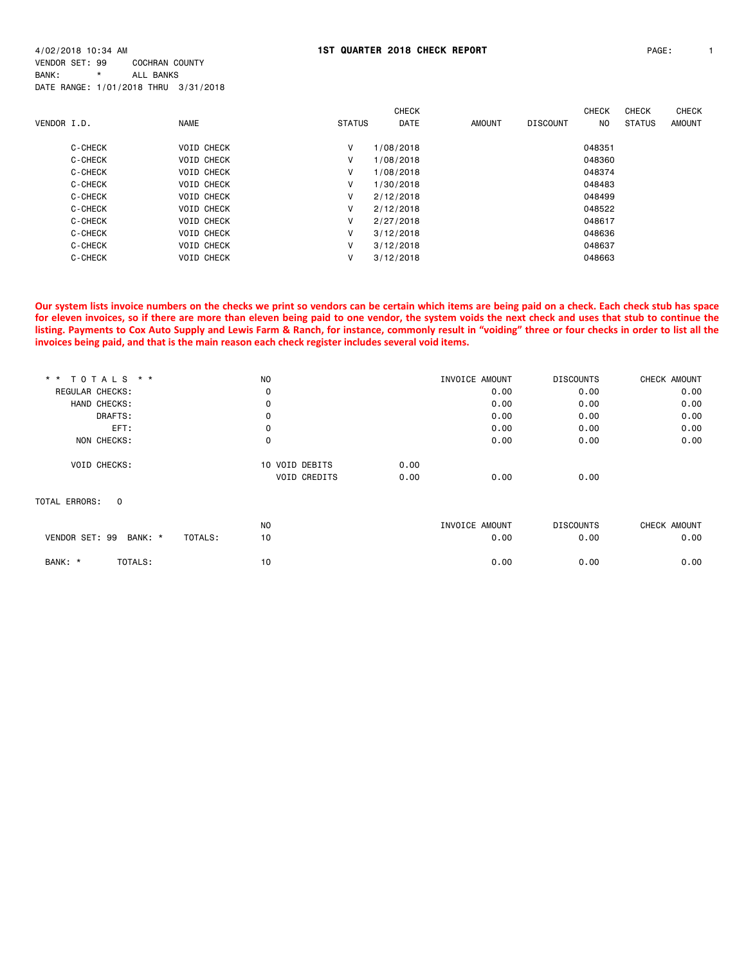4/02/2018 10:34 AM **1ST QUARTER 2018 CHECK REPORT** PAGE: 1 VENDOR SET: 99 COCHRAN COUNTY BANK: \* ALL BANKS DATE RANGE: 1/01/2018 THRU 3/31/2018

|             |         |             |                   |               | <b>CHECK</b> |               |                 | <b>CHECK</b>   | <b>CHECK</b>  | <b>CHECK</b> |
|-------------|---------|-------------|-------------------|---------------|--------------|---------------|-----------------|----------------|---------------|--------------|
| VENDOR I.D. |         | <b>NAME</b> |                   | <b>STATUS</b> | <b>DATE</b>  | <b>AMOUNT</b> | <b>DISCOUNT</b> | N <sub>O</sub> | <b>STATUS</b> | AMOUNT       |
|             | C-CHECK |             | <b>VOID CHECK</b> | v             | 1/08/2018    |               |                 | 048351         |               |              |
|             | C-CHECK |             | <b>VOID CHECK</b> | V             | 1/08/2018    |               |                 | 048360         |               |              |
|             | C-CHECK |             | <b>VOID CHECK</b> | v             | 1/08/2018    |               |                 | 048374         |               |              |
|             | C-CHECK |             | <b>VOID CHECK</b> | ٧             | 1/30/2018    |               |                 | 048483         |               |              |
|             | C-CHECK |             | <b>VOID CHECK</b> | V             | 2/12/2018    |               |                 | 048499         |               |              |
|             | C-CHECK |             | <b>VOID CHECK</b> | v             | 2/12/2018    |               |                 | 048522         |               |              |
|             | C-CHECK |             | <b>VOID CHECK</b> | v             | 2/27/2018    |               |                 | 048617         |               |              |
|             | C-CHECK |             | <b>VOID CHECK</b> | v             | 3/12/2018    |               |                 | 048636         |               |              |
|             | C-CHECK |             | <b>VOID CHECK</b> | v             | 3/12/2018    |               |                 | 048637         |               |              |
|             | C-CHECK |             | <b>VOID CHECK</b> | ۷             | 3/12/2018    |               |                 | 048663         |               |              |

**Our system lists invoice numbers on the checks we print so vendors can be certain which items are being paid on a check. Each check stub has space for eleven invoices, so if there are more than eleven being paid to one vendor, the system voids the next check and uses that stub to continue the listing. Payments to Cox Auto Supply and Lewis Farm & Ranch, for instance, commonly result in "voiding" three or four checks in order to list all the invoices being paid, and that is the main reason each check register includes several void items.**

| * * TOTALS * *            | <b>NO</b>           | INVOICE AMOUNT | <b>DISCOUNTS</b> | CHECK AMOUNT |
|---------------------------|---------------------|----------------|------------------|--------------|
| REGULAR CHECKS:           | 0                   | 0.00           | 0.00             | 0.00         |
| HAND CHECKS:              | 0                   | 0.00           | 0.00             | 0.00         |
| DRAFTS:                   | 0                   | 0.00           | 0.00             | 0.00         |
| EFT:                      | 0                   | 0.00           | 0.00             | 0.00         |
| NON CHECKS:               | 0                   | 0.00           | 0.00             | 0.00         |
| <b>VOID CHECKS:</b>       | 10 VOID DEBITS      | 0.00           |                  |              |
|                           | <b>VOID CREDITS</b> | 0.00<br>0.00   | 0.00             |              |
| TOTAL ERRORS:<br>0        |                     |                |                  |              |
|                           | N <sub>O</sub>      | INVOICE AMOUNT | <b>DISCOUNTS</b> | CHECK AMOUNT |
| VENDOR SET: 99<br>BANK: * | TOTALS:<br>10       | 0.00           | 0.00             | 0.00         |
| BANK: *<br>TOTALS:        | 10                  | 0.00           | 0.00             | 0.00         |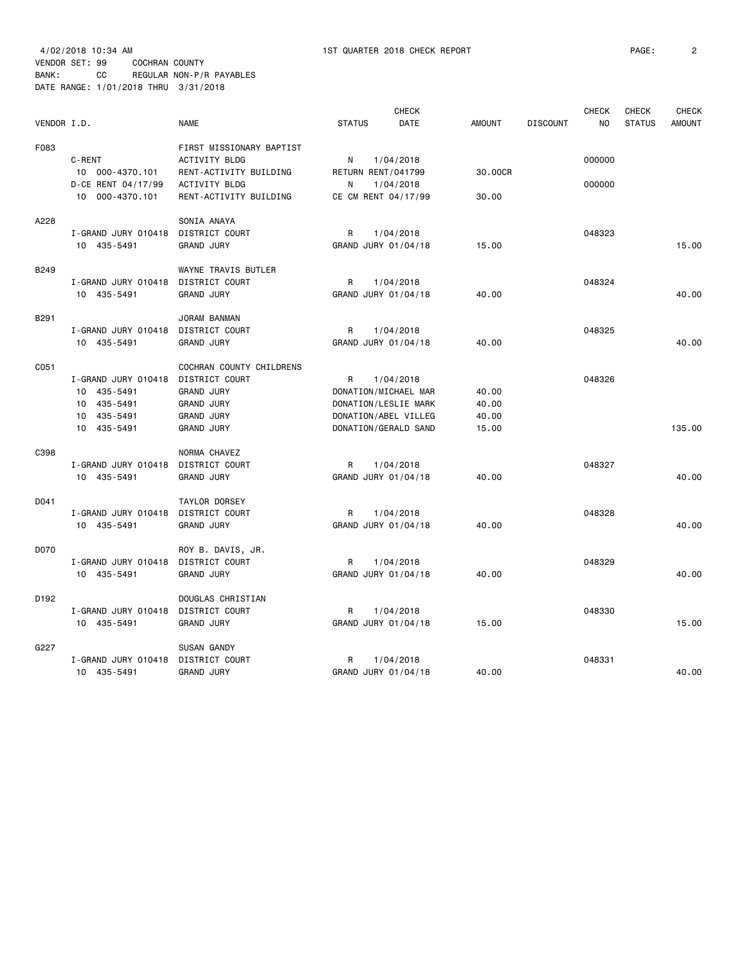4/02/2018 10:34 AM 1ST QUARTER 2018 CHECK REPORT PAGE: 2 VENDOR SET: 99 COCHRAN COUNTY BANK: CC REGULAR NON-P/R PAYABLES DATE RANGE: 1/01/2018 THRU 3/31/2018

|             |                     | <b>CHECK</b>               |                     |                      |               |                 | <b>CHECK</b>   | <b>CHECK</b>  | <b>CHECK</b>  |
|-------------|---------------------|----------------------------|---------------------|----------------------|---------------|-----------------|----------------|---------------|---------------|
| VENDOR I.D. |                     | <b>NAME</b>                | <b>STATUS</b>       | <b>DATE</b>          | <b>AMOUNT</b> | <b>DISCOUNT</b> | N <sub>O</sub> | <b>STATUS</b> | <b>AMOUNT</b> |
| F083        |                     | FIRST MISSIONARY BAPTIST   |                     |                      |               |                 |                |               |               |
|             | C-RENT              | <b>ACTIVITY BLDG</b>       | N                   | 1/04/2018            |               |                 | 000000         |               |               |
|             | 10 000-4370.101     | RENT-ACTIVITY BUILDING     | RETURN RENT/041799  |                      | 30.00CR       |                 |                |               |               |
|             | D-CE RENT 04/17/99  | <b>ACTIVITY BLDG</b>       | N                   | 1/04/2018            |               |                 | 000000         |               |               |
|             | 10 000-4370.101     | RENT-ACTIVITY BUILDING     | CE CM RENT 04/17/99 |                      | 30.00         |                 |                |               |               |
| A228        |                     | SONIA ANAYA                |                     |                      |               |                 |                |               |               |
|             | I-GRAND JURY 010418 | DISTRICT COURT             | R                   | 1/04/2018            |               |                 | 048323         |               |               |
|             | 10 435-5491         | <b>GRAND JURY</b>          | GRAND JURY 01/04/18 |                      | 15.00         |                 |                |               | 15.00         |
|             |                     |                            |                     |                      |               |                 |                |               |               |
| <b>B249</b> |                     | <b>WAYNE TRAVIS BUTLER</b> |                     |                      |               |                 |                |               |               |
|             | I-GRAND JURY 010418 | DISTRICT COURT             | R                   | 1/04/2018            |               |                 | 048324         |               |               |
|             | 10 435-5491         | <b>GRAND JURY</b>          | GRAND JURY 01/04/18 |                      | 40.00         |                 |                |               | 40.00         |
| B291        |                     | JORAM BANMAN               |                     |                      |               |                 |                |               |               |
|             | I-GRAND JURY 010418 | DISTRICT COURT             | R                   | 1/04/2018            |               |                 | 048325         |               |               |
|             | 10 435-5491         | <b>GRAND JURY</b>          | GRAND JURY 01/04/18 |                      | 40.00         |                 |                |               | 40.00         |
| C051        |                     | COCHRAN COUNTY CHILDRENS   |                     |                      |               |                 |                |               |               |
|             | I-GRAND JURY 010418 | DISTRICT COURT             | R                   | 1/04/2018            |               |                 | 048326         |               |               |
|             | 10 435-5491         | <b>GRAND JURY</b>          |                     | DONATION/MICHAEL MAR | 40.00         |                 |                |               |               |
|             | 10 435-5491         | <b>GRAND JURY</b>          |                     | DONATION/LESLIE MARK | 40.00         |                 |                |               |               |
|             | 10 435-5491         | <b>GRAND JURY</b>          |                     | DONATION/ABEL VILLEG | 40.00         |                 |                |               |               |
|             | 10 435-5491         | <b>GRAND JURY</b>          |                     | DONATION/GERALD SAND | 15.00         |                 |                |               | 135.00        |
| C398        |                     | NORMA CHAVEZ               |                     |                      |               |                 |                |               |               |
|             | I-GRAND JURY 010418 | DISTRICT COURT             | R                   | 1/04/2018            |               |                 | 048327         |               |               |
|             |                     |                            | GRAND JURY 01/04/18 |                      | 40.00         |                 |                |               | 40.00         |
|             | 10 435-5491         | <b>GRAND JURY</b>          |                     |                      |               |                 |                |               |               |
| D041        |                     | TAYLOR DORSEY              |                     |                      |               |                 |                |               |               |
|             | I-GRAND JURY 010418 | DISTRICT COURT             | R                   | 1/04/2018            |               |                 | 048328         |               |               |
|             | 10 435-5491         | <b>GRAND JURY</b>          | GRAND JURY 01/04/18 |                      | 40.00         |                 |                |               | 40.00         |
| D070        |                     | ROY B. DAVIS, JR.          |                     |                      |               |                 |                |               |               |
|             | I-GRAND JURY 010418 | DISTRICT COURT             | R                   | 1/04/2018            |               |                 | 048329         |               |               |
|             | 10 435-5491         | <b>GRAND JURY</b>          | GRAND JURY 01/04/18 |                      | 40.00         |                 |                |               | 40.00         |
| D192        |                     | DOUGLAS CHRISTIAN          |                     |                      |               |                 |                |               |               |
|             | I-GRAND JURY 010418 | DISTRICT COURT             | R                   | 1/04/2018            |               |                 | 048330         |               |               |
|             | 10 435-5491         | <b>GRAND JURY</b>          | GRAND JURY 01/04/18 |                      | 15.00         |                 |                |               | 15.00         |
| G227        |                     | SUSAN GANDY                |                     |                      |               |                 |                |               |               |
|             | I-GRAND JURY 010418 | DISTRICT COURT             | R                   | 1/04/2018            |               |                 | 048331         |               |               |
|             | 10 435-5491         | <b>GRAND JURY</b>          | GRAND JURY 01/04/18 |                      | 40.00         |                 |                |               | 40.00         |
|             |                     |                            |                     |                      |               |                 |                |               |               |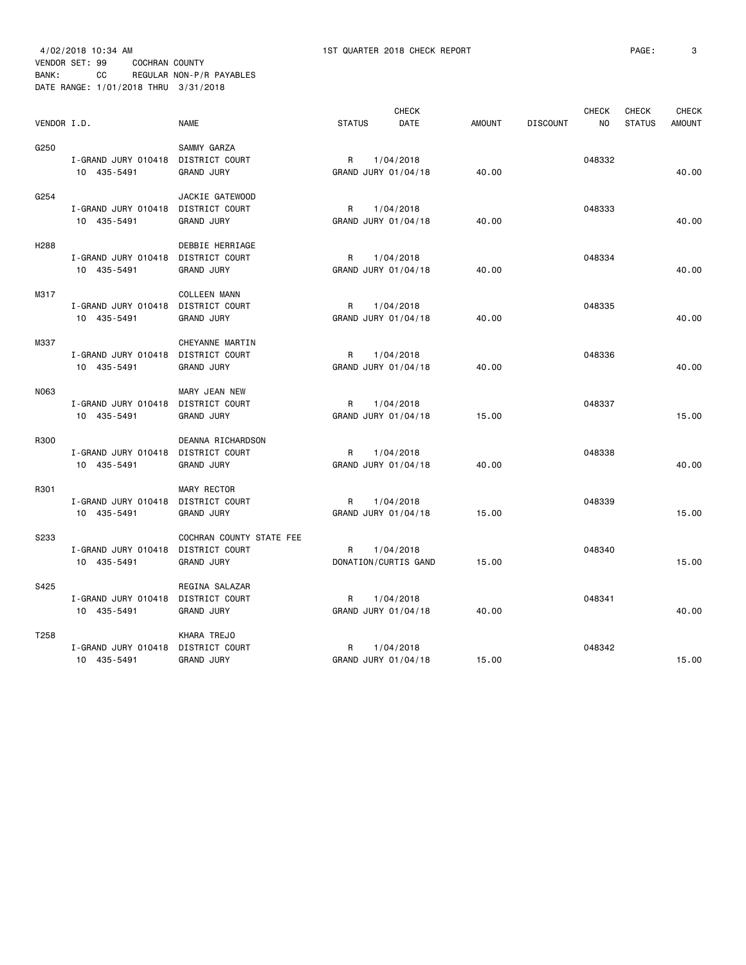4/02/2018 10:34 AM 1ST QUARTER 2018 CHECK REPORT PAGE: 3 VENDOR SET: 99 COCHRAN COUNTY BANK: CC REGULAR NON-P/R PAYABLES DATE RANGE: 1/01/2018 THRU 3/31/2018

|                  |                                    |                          |                     | <b>CHECK</b>         |               |                 | <b>CHECK</b>   | <b>CHECK</b>  | <b>CHECK</b>  |
|------------------|------------------------------------|--------------------------|---------------------|----------------------|---------------|-----------------|----------------|---------------|---------------|
| VENDOR I.D.      |                                    | <b>NAME</b>              | <b>STATUS</b>       | <b>DATE</b>          | <b>AMOUNT</b> | <b>DISCOUNT</b> | N <sub>O</sub> | <b>STATUS</b> | <b>AMOUNT</b> |
| G250             |                                    | SAMMY GARZA              |                     |                      |               |                 |                |               |               |
|                  | I-GRAND JURY 010418                | DISTRICT COURT           | R                   | 1/04/2018            |               |                 | 048332         |               |               |
|                  | 10 435-5491                        | <b>GRAND JURY</b>        | GRAND JURY 01/04/18 |                      | 40.00         |                 |                |               | 40.00         |
| G254             |                                    | JACKIE GATEWOOD          |                     |                      |               |                 |                |               |               |
|                  | I-GRAND JURY 010418 DISTRICT COURT |                          | R                   | 1/04/2018            |               |                 | 048333         |               |               |
|                  | 10 435-5491                        | <b>GRAND JURY</b>        | GRAND JURY 01/04/18 |                      | 40.00         |                 |                |               | 40.00         |
| H <sub>288</sub> |                                    | DEBBIE HERRIAGE          |                     |                      |               |                 |                |               |               |
|                  | I-GRAND JURY 010418                | DISTRICT COURT           | R                   | 1/04/2018            |               |                 | 048334         |               |               |
|                  | 10 435-5491                        | <b>GRAND JURY</b>        | GRAND JURY 01/04/18 |                      | 40.00         |                 |                |               | 40.00         |
| M317             |                                    | <b>COLLEEN MANN</b>      |                     |                      |               |                 |                |               |               |
|                  | I-GRAND JURY 010418                | DISTRICT COURT           | R                   | 1/04/2018            |               |                 | 048335         |               |               |
|                  | 10 435-5491                        | <b>GRAND JURY</b>        | GRAND JURY 01/04/18 |                      | 40.00         |                 |                |               | 40.00         |
| M337             |                                    | CHEYANNE MARTIN          |                     |                      |               |                 |                |               |               |
|                  | I-GRAND JURY 010418                | DISTRICT COURT           | R                   | 1/04/2018            |               |                 | 048336         |               |               |
|                  | 10 435-5491                        | <b>GRAND JURY</b>        | GRAND JURY 01/04/18 |                      | 40.00         |                 |                |               | 40.00         |
| N063             |                                    | MARY JEAN NEW            |                     |                      |               |                 |                |               |               |
|                  | I-GRAND JURY 010418                | DISTRICT COURT           | R                   | 1/04/2018            |               |                 | 048337         |               |               |
|                  | 10 435-5491                        | <b>GRAND JURY</b>        | GRAND JURY 01/04/18 |                      | 15.00         |                 |                |               | 15.00         |
| R300             |                                    | DEANNA RICHARDSON        |                     |                      |               |                 |                |               |               |
|                  | I-GRAND JURY 010418                | DISTRICT COURT           | R                   | 1/04/2018            |               |                 | 048338         |               |               |
|                  | 10 435-5491                        | <b>GRAND JURY</b>        | GRAND JURY 01/04/18 |                      | 40.00         |                 |                |               | 40.00         |
| R301             |                                    | MARY RECTOR              |                     |                      |               |                 |                |               |               |
|                  | I-GRAND JURY 010418                | DISTRICT COURT           | R                   | 1/04/2018            |               |                 | 048339         |               |               |
|                  | 10 435-5491                        | <b>GRAND JURY</b>        | GRAND JURY 01/04/18 |                      | 15.00         |                 |                |               | 15.00         |
| S233             |                                    | COCHRAN COUNTY STATE FEE |                     |                      |               |                 |                |               |               |
|                  | I-GRAND JURY 010418                | <b>DISTRICT COURT</b>    | R                   | 1/04/2018            |               |                 | 048340         |               |               |
|                  | 10 435-5491                        | <b>GRAND JURY</b>        |                     | DONATION/CURTIS GAND | 15.00         |                 |                |               | 15.00         |
| S425             |                                    | REGINA SALAZAR           |                     |                      |               |                 |                |               |               |
|                  | I-GRAND JURY 010418 DISTRICT COURT |                          | R                   | 1/04/2018            |               |                 | 048341         |               |               |
|                  | 10 435-5491                        | <b>GRAND JURY</b>        | GRAND JURY 01/04/18 |                      | 40.00         |                 |                |               | 40.00         |
| T <sub>258</sub> |                                    | KHARA TREJO              |                     |                      |               |                 |                |               |               |
|                  | I-GRAND JURY 010418                | DISTRICT COURT           | R                   | 1/04/2018            |               |                 | 048342         |               |               |
|                  | 10 435-5491                        | <b>GRAND JURY</b>        | GRAND JURY 01/04/18 |                      | 15.00         |                 |                |               | 15.00         |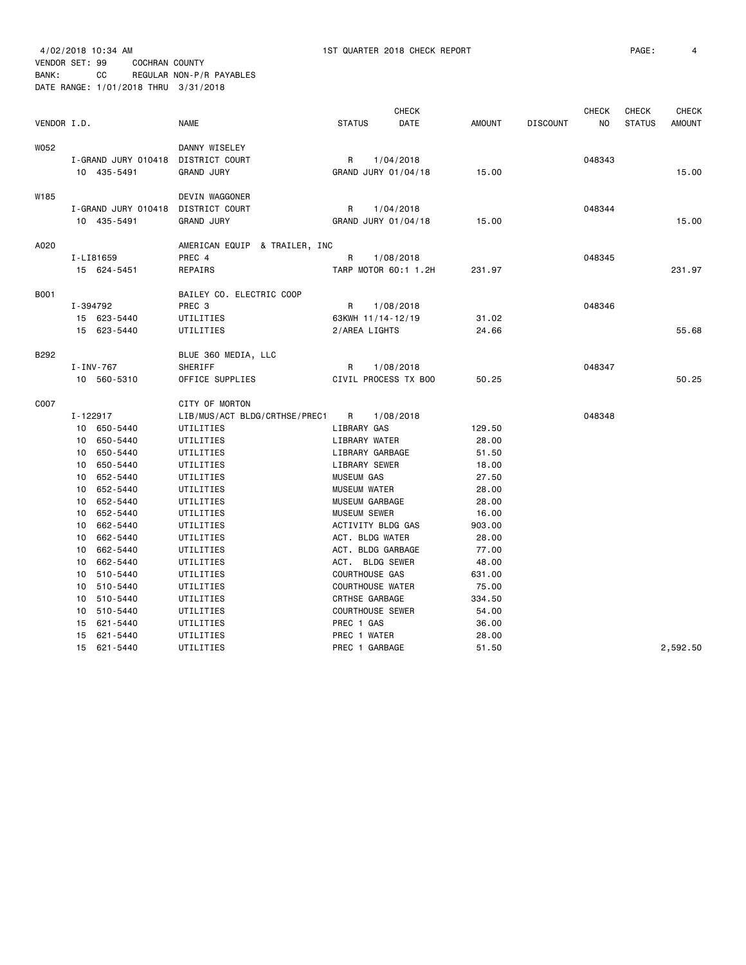VENDOR SET: 99 COCHRAN COUNTY BANK: CC REGULAR NON-P/R PAYABLES

DATE RANGE: 1/01/2018 THRU 3/31/2018

|             |                                    |                               |                         | <b>CHECK</b> |               |                 | <b>CHECK</b> | <b>CHECK</b>  | <b>CHECK</b>  |
|-------------|------------------------------------|-------------------------------|-------------------------|--------------|---------------|-----------------|--------------|---------------|---------------|
| VENDOR I.D. |                                    | NAME                          | <b>STATUS</b>           | DATE         | <b>AMOUNT</b> | <b>DISCOUNT</b> | ΝO           | <b>STATUS</b> | <b>AMOUNT</b> |
| W052        |                                    | DANNY WISELEY                 |                         |              |               |                 |              |               |               |
|             | I-GRAND JURY 010418 DISTRICT COURT |                               | R                       | 1/04/2018    |               |                 | 048343       |               |               |
|             | 10 435-5491                        | <b>GRAND JURY</b>             | GRAND JURY 01/04/18     |              | 15.00         |                 |              |               | 15.00         |
| W185        |                                    | DEVIN WAGGONER                |                         |              |               |                 |              |               |               |
|             | I-GRAND JURY 010418                | DISTRICT COURT                | R                       | 1/04/2018    |               |                 | 048344       |               |               |
|             | 10 435-5491                        | <b>GRAND JURY</b>             | GRAND JURY 01/04/18     |              | 15.00         |                 |              |               | 15.00         |
| A020        |                                    | AMERICAN EQUIP & TRAILER, INC |                         |              |               |                 |              |               |               |
|             | I-LI81659                          | PREC 4                        | R                       | 1/08/2018    |               |                 | 048345       |               |               |
|             | 15 624-5451                        | <b>REPAIRS</b>                | TARP MOTOR 60:1 1.2H    |              | 231.97        |                 |              |               | 231.97        |
| <b>B001</b> |                                    | BAILEY CO. ELECTRIC COOP      |                         |              |               |                 |              |               |               |
|             | I-394792                           | PREC <sub>3</sub>             | R                       | 1/08/2018    |               |                 | 048346       |               |               |
|             | 15 623-5440                        | UTILITIES                     | 63KWH 11/14-12/19       |              | 31.02         |                 |              |               |               |
|             | 15 623-5440                        | UTILITIES                     | 2/AREA LIGHTS           |              | 24.66         |                 |              |               | 55.68         |
| B292        |                                    | BLUE 360 MEDIA, LLC           |                         |              |               |                 |              |               |               |
|             | I-INV-767                          | SHERIFF                       | R                       | 1/08/2018    |               |                 | 048347       |               |               |
|             | 10 560-5310                        | OFFICE SUPPLIES               | CIVIL PROCESS TX BOO    |              | 50.25         |                 |              |               | 50.25         |
| C007        |                                    | CITY OF MORTON                |                         |              |               |                 |              |               |               |
|             | $I - 122917$                       | LIB/MUS/ACT BLDG/CRTHSE/PREC1 | $\mathsf{R}$            | 1/08/2018    |               |                 | 048348       |               |               |
|             | 10 650-5440                        | UTILITIES                     | LIBRARY GAS             |              | 129.50        |                 |              |               |               |
|             | 10 650-5440                        | UTILITIES                     | LIBRARY WATER           |              | 28,00         |                 |              |               |               |
|             | 650-5440<br>10 <sup>1</sup>        | UTILITIES                     | LIBRARY GARBAGE         |              | 51.50         |                 |              |               |               |
|             | 650-5440<br>10                     | UTILITIES                     | LIBRARY SEWER           |              | 18.00         |                 |              |               |               |
|             | 10 652-5440                        | UTILITIES                     | <b>MUSEUM GAS</b>       |              | 27.50         |                 |              |               |               |
|             | 652-5440<br>10                     | UTILITIES                     | <b>MUSEUM WATER</b>     |              | 28.00         |                 |              |               |               |
|             | 652-5440<br>10                     | UTILITIES                     | MUSEUM GARBAGE          |              | 28.00         |                 |              |               |               |
|             | 652-5440<br>10                     | UTILITIES                     | MUSEUM SEWER            |              | 16.00         |                 |              |               |               |
|             | 662-5440<br>10                     | UTILITIES                     | ACTIVITY BLDG GAS       |              | 903.00        |                 |              |               |               |
|             | 662-5440<br>10                     | UTILITIES                     | ACT. BLDG WATER         |              | 28.00         |                 |              |               |               |
|             | 10 662-5440                        | UTILITIES                     | ACT. BLDG GARBAGE       |              | 77.00         |                 |              |               |               |
|             | 662-5440<br>10                     | UTILITIES                     | ACT. BLDG SEWER         |              | 48.00         |                 |              |               |               |
|             | 510-5440<br>10                     | UTILITIES                     | COURTHOUSE GAS          |              | 631.00        |                 |              |               |               |
|             | 10<br>510-5440                     | UTILITIES                     | <b>COURTHOUSE WATER</b> |              | 75.00         |                 |              |               |               |
|             | 510-5440<br>10                     | UTILITIES                     | CRTHSE GARBAGE          |              | 334.50        |                 |              |               |               |
|             | 510-5440<br>10                     | UTILITIES                     | <b>COURTHOUSE SEWER</b> |              | 54.00         |                 |              |               |               |
|             | 621-5440<br>15                     | UTILITIES                     | PREC 1 GAS              |              | 36.00         |                 |              |               |               |
|             | 621-5440<br>15                     | UTILITIES                     | PREC 1 WATER            |              | 28.00         |                 |              |               |               |
|             | 15 621-5440                        | UTILITIES                     | PREC 1 GARBAGE          |              | 51.50         |                 |              |               | 2.592.50      |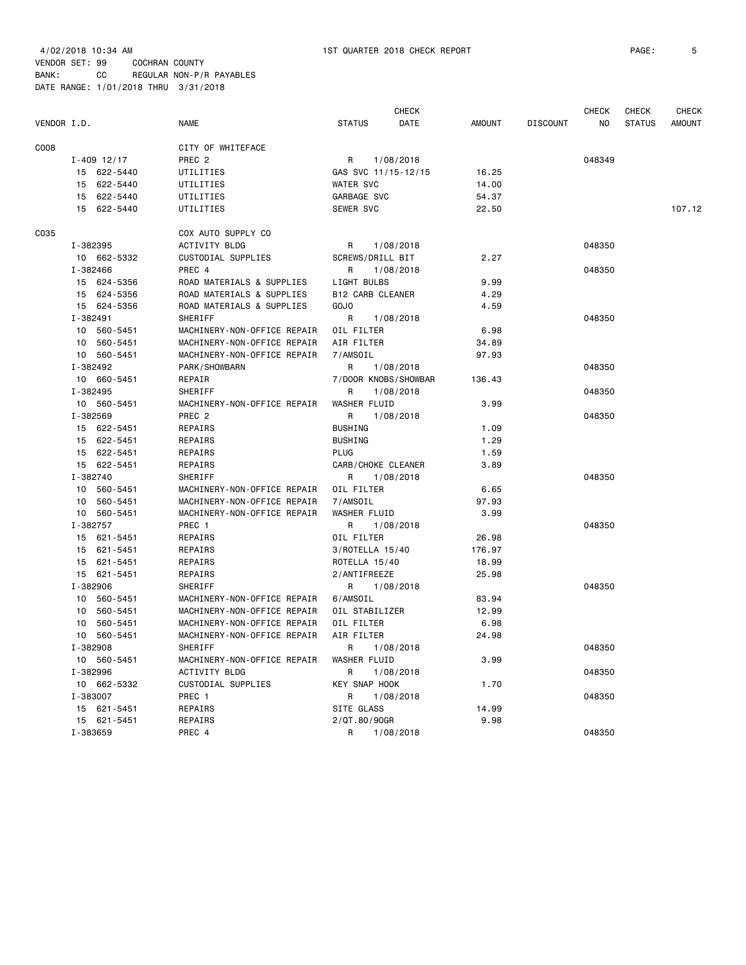|             |                 |                             | CHECK                        |               |                 | CHECK  | CHECK         | CHECK         |
|-------------|-----------------|-----------------------------|------------------------------|---------------|-----------------|--------|---------------|---------------|
| VENDOR I.D. |                 | <b>NAME</b>                 | <b>STATUS</b><br><b>DATE</b> | <b>AMOUNT</b> | <b>DISCOUNT</b> | NO     | <b>STATUS</b> | <b>AMOUNT</b> |
| C008        |                 | CITY OF WHITEFACE           |                              |               |                 |        |               |               |
|             | $I - 409$ 12/17 | PREC <sub>2</sub>           | R<br>1/08/2018               |               |                 | 048349 |               |               |
|             | 15 622-5440     | UTILITIES                   | GAS SVC 11/15-12/15          | 16.25         |                 |        |               |               |
|             | 15 622-5440     | UTILITIES                   | <b>WATER SVC</b>             | 14.00         |                 |        |               |               |
|             | 15 622-5440     | UTILITIES                   | GARBAGE SVC                  | 54.37         |                 |        |               |               |
|             | 15 622-5440     | UTILITIES                   | SEWER SVC                    | 22.50         |                 |        |               | 107.12        |
| C035        |                 | COX AUTO SUPPLY CO          |                              |               |                 |        |               |               |
|             | I-382395        | ACTIVITY BLDG               | R<br>1/08/2018               |               |                 | 048350 |               |               |
|             | 10 662-5332     | CUSTODIAL SUPPLIES          | SCREWS/DRILL BIT             | 2.27          |                 |        |               |               |
|             | I-382466        | PREC 4                      | R<br>1/08/2018               |               |                 | 048350 |               |               |
|             | 15 624-5356     | ROAD MATERIALS & SUPPLIES   | LIGHT BULBS                  | 9.99          |                 |        |               |               |
|             | 15 624-5356     | ROAD MATERIALS & SUPPLIES   | <b>B12 CARB CLEANER</b>      | 4.29          |                 |        |               |               |
|             | 15 624-5356     | ROAD MATERIALS & SUPPLIES   | GOJ0                         | 4.59          |                 |        |               |               |
|             | I-382491        | SHERIFF                     | R<br>1/08/2018               |               |                 | 048350 |               |               |
|             | 10 560-5451     | MACHINERY-NON-OFFICE REPAIR | OIL FILTER                   | 6.98          |                 |        |               |               |
|             | 10 560-5451     | MACHINERY-NON-OFFICE REPAIR | AIR FILTER                   | 34.89         |                 |        |               |               |
|             | 10 560-5451     | MACHINERY-NON-OFFICE REPAIR | 7/AMSOIL                     | 97.93         |                 |        |               |               |
|             | I-382492        | PARK/SHOWBARN               | R<br>1/08/2018               |               |                 | 048350 |               |               |
|             | 10 660-5451     | REPAIR                      | 7/DOOR KNOBS/SHOWBAR         | 136.43        |                 |        |               |               |
|             | I-382495        | SHERIFF                     | R<br>1/08/2018               |               |                 | 048350 |               |               |
|             | 10 560-5451     | MACHINERY-NON-OFFICE REPAIR | WASHER FLUID                 | 3.99          |                 |        |               |               |
|             | I-382569        | PREC <sub>2</sub>           | R<br>1/08/2018               |               |                 | 048350 |               |               |
|             | 15 622-5451     | REPAIRS                     | <b>BUSHING</b>               | 1.09          |                 |        |               |               |
|             | 15 622-5451     | REPAIRS                     | <b>BUSHING</b>               | 1.29          |                 |        |               |               |
|             | 15 622-5451     | REPAIRS                     | PLUG                         | 1.59          |                 |        |               |               |
|             | 15 622-5451     | REPAIRS                     | CARB/CHOKE CLEANER           | 3.89          |                 |        |               |               |
|             | I-382740        | SHERIFF                     | R<br>1/08/2018               |               |                 | 048350 |               |               |
|             | 10 560-5451     | MACHINERY-NON-OFFICE REPAIR | OIL FILTER                   | 6.65          |                 |        |               |               |
|             | 10 560-5451     | MACHINERY-NON-OFFICE REPAIR | 7/AMSOIL                     | 97.93         |                 |        |               |               |
|             | 10 560-5451     | MACHINERY-NON-OFFICE REPAIR | WASHER FLUID                 | 3.99          |                 |        |               |               |
|             | I-382757        | PREC 1                      | 1/08/2018<br>R               |               |                 | 048350 |               |               |
|             | 15 621-5451     | REPAIRS                     | OIL FILTER                   | 26.98         |                 |        |               |               |
|             | 15 621-5451     | REPAIRS                     | 3/ROTELLA 15/40              | 176.97        |                 |        |               |               |
|             | 15 621-5451     | REPAIRS                     | ROTELLA 15/40                | 18.99         |                 |        |               |               |
|             | 15 621-5451     | REPAIRS                     | 2/ANTIFREEZE                 | 25.98         |                 |        |               |               |
|             | I-382906        | SHERIFF                     | R<br>1/08/2018               |               |                 | 048350 |               |               |
|             | 10 560-5451     | MACHINERY-NON-OFFICE REPAIR | 6/AMSOIL                     | 83.94         |                 |        |               |               |
|             | 10 560-5451     | MACHINERY-NON-OFFICE REPAIR | OIL STABILIZER               | 12.99         |                 |        |               |               |
|             | 10 560-5451     | MACHINERY-NON-OFFICE REPAIR | OIL FILTER                   | 6.98          |                 |        |               |               |
|             | 10 560-5451     | MACHINERY-NON-OFFICE REPAIR | AIR FILTER                   | 24.98         |                 |        |               |               |
|             | I-382908        | SHERIFF                     | R<br>1/08/2018               |               |                 | 048350 |               |               |
|             | 10 560-5451     | MACHINERY-NON-OFFICE REPAIR | <b>WASHER FLUID</b>          | 3.99          |                 |        |               |               |
|             | I-382996        | <b>ACTIVITY BLDG</b>        | R<br>1/08/2018               |               |                 | 048350 |               |               |
|             | 10 662-5332     | CUSTODIAL SUPPLIES          | KEY SNAP HOOK                | 1.70          |                 |        |               |               |
|             | I-383007        | PREC 1                      | R<br>1/08/2018               |               |                 | 048350 |               |               |
|             | 15 621-5451     | REPAIRS                     | SITE GLASS                   | 14.99         |                 |        |               |               |
|             | 15 621-5451     | REPAIRS                     | 2/QT.80/90GR                 | 9.98          |                 |        |               |               |
|             | I-383659        | PREC 4                      | R<br>1/08/2018               |               |                 | 048350 |               |               |
|             |                 |                             |                              |               |                 |        |               |               |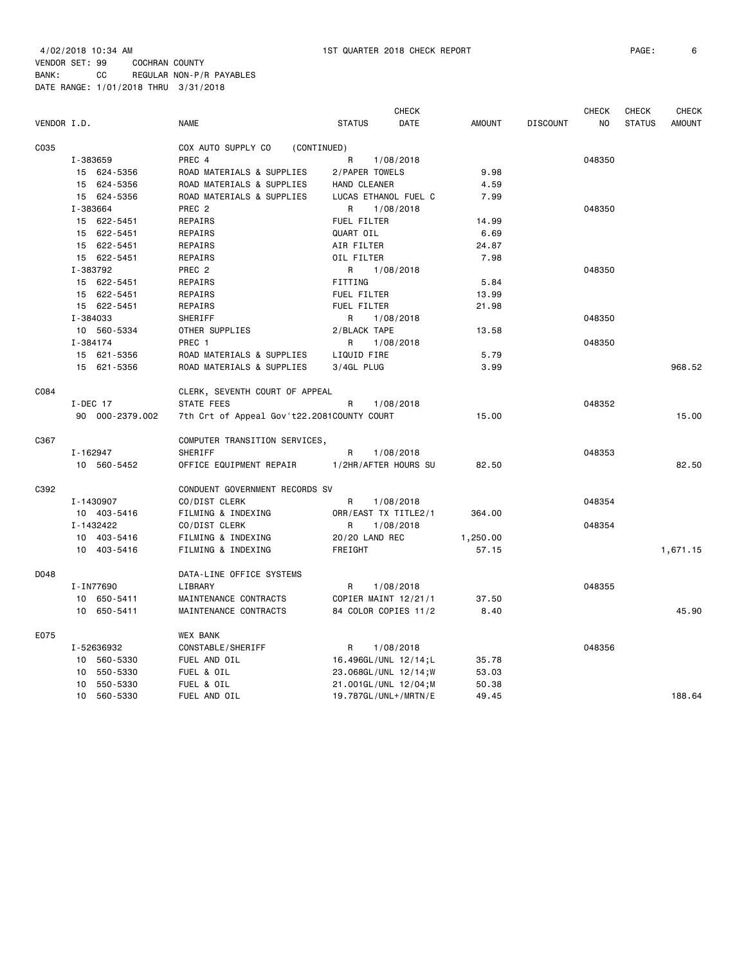| VENDOR I.D. |                 | <b>NAME</b>                                | <b>STATUS</b>        | <b>CHECK</b><br>DATE | <b>AMOUNT</b> | <b>DISCOUNT</b> | <b>CHECK</b><br>NO | CHECK<br><b>STATUS</b> | <b>CHECK</b><br><b>AMOUNT</b> |
|-------------|-----------------|--------------------------------------------|----------------------|----------------------|---------------|-----------------|--------------------|------------------------|-------------------------------|
| C035        |                 | COX AUTO SUPPLY CO<br>(CONTINUED)          |                      |                      |               |                 |                    |                        |                               |
|             | I-383659        | PREC 4                                     | R                    | 1/08/2018            |               |                 | 048350             |                        |                               |
|             | 15 624-5356     | ROAD MATERIALS & SUPPLIES                  | 2/PAPER TOWELS       |                      | 9.98          |                 |                    |                        |                               |
|             | 15 624-5356     | ROAD MATERIALS & SUPPLIES                  | HAND CLEANER         |                      | 4.59          |                 |                    |                        |                               |
|             | 15 624-5356     | ROAD MATERIALS & SUPPLIES                  | LUCAS ETHANOL FUEL C |                      | 7.99          |                 |                    |                        |                               |
|             | I-383664        | PREC <sub>2</sub>                          | R                    | 1/08/2018            |               |                 | 048350             |                        |                               |
|             | 15 622-5451     | REPAIRS                                    | FUEL FILTER          |                      | 14.99         |                 |                    |                        |                               |
|             | 15 622-5451     | REPAIRS                                    | QUART OIL            |                      | 6.69          |                 |                    |                        |                               |
|             | 15 622-5451     | REPAIRS                                    | AIR FILTER           |                      | 24.87         |                 |                    |                        |                               |
|             | 15 622-5451     | REPAIRS                                    | OIL FILTER           |                      | 7.98          |                 |                    |                        |                               |
|             | I-383792        | PREC <sub>2</sub>                          | R                    | 1/08/2018            |               |                 | 048350             |                        |                               |
|             | 15 622-5451     | REPAIRS                                    | FITTING              |                      | 5.84          |                 |                    |                        |                               |
|             | 15 622-5451     | REPAIRS                                    | FUEL FILTER          |                      | 13.99         |                 |                    |                        |                               |
|             | 15 622-5451     | REPAIRS                                    | FUEL FILTER          |                      | 21.98         |                 |                    |                        |                               |
|             | I-384033        | SHERIFF                                    | R                    | 1/08/2018            |               |                 | 048350             |                        |                               |
|             | 10 560-5334     | OTHER SUPPLIES                             | 2/BLACK TAPE         |                      | 13.58         |                 |                    |                        |                               |
|             | I-384174        | PREC 1                                     | R                    | 1/08/2018            |               |                 | 048350             |                        |                               |
|             | 15 621-5356     | ROAD MATERIALS & SUPPLIES                  | LIQUID FIRE          |                      | 5.79          |                 |                    |                        |                               |
|             | 15 621-5356     | ROAD MATERIALS & SUPPLIES                  | 3/4GL PLUG           |                      | 3.99          |                 |                    |                        | 968.52                        |
|             |                 |                                            |                      |                      |               |                 |                    |                        |                               |
| C084        |                 | CLERK, SEVENTH COURT OF APPEAL             |                      |                      |               |                 |                    |                        |                               |
|             | $I-DEC 17$      | STATE FEES                                 | R                    | 1/08/2018            |               |                 | 048352             |                        |                               |
|             | 90 000-2379.002 | 7th Crt of Appeal Gov't22.2081COUNTY COURT |                      |                      | 15.00         |                 |                    |                        | 15.00                         |
|             |                 |                                            |                      |                      |               |                 |                    |                        |                               |
| C367        |                 | COMPUTER TRANSITION SERVICES,              |                      |                      |               |                 |                    |                        |                               |
|             | I-162947        | SHERIFF                                    | R                    | 1/08/2018            |               |                 | 048353             |                        |                               |
|             | 10 560-5452     | OFFICE EQUIPMENT REPAIR                    | 1/2HR/AFTER HOURS SU |                      | 82.50         |                 |                    |                        | 82.50                         |
|             |                 |                                            |                      |                      |               |                 |                    |                        |                               |
| C392        |                 | CONDUENT GOVERNMENT RECORDS SV             |                      |                      |               |                 |                    |                        |                               |
|             | I-1430907       | CO/DIST CLERK                              | R                    | 1/08/2018            |               |                 | 048354             |                        |                               |
|             | 10 403-5416     | FILMING & INDEXING                         | ORR/EAST TX TITLE2/1 |                      | 364.00        |                 |                    |                        |                               |
|             | I-1432422       | CO/DIST CLERK                              | R                    | 1/08/2018            |               |                 | 048354             |                        |                               |
|             | 10 403-5416     | FILMING & INDEXING                         | 20/20 LAND REC       |                      | 1,250.00      |                 |                    |                        |                               |
|             | 10 403-5416     | FILMING & INDEXING                         | FREIGHT              |                      | 57.15         |                 |                    |                        | 1,671.15                      |
|             |                 |                                            |                      |                      |               |                 |                    |                        |                               |
| D048        |                 | DATA-LINE OFFICE SYSTEMS                   |                      |                      |               |                 |                    |                        |                               |
|             | I-IN77690       | LIBRARY                                    | R                    | 1/08/2018            |               |                 | 048355             |                        |                               |
|             | 650-5411<br>10  | MAINTENANCE CONTRACTS                      | COPIER MAINT 12/21/1 |                      | 37.50         |                 |                    |                        |                               |
|             | 650-5411<br>10  | MAINTENANCE CONTRACTS                      | 84 COLOR COPIES 11/2 |                      | 8.40          |                 |                    |                        | 45.90                         |
|             |                 |                                            |                      |                      |               |                 |                    |                        |                               |
| E075        |                 | WEX BANK                                   |                      |                      |               |                 |                    |                        |                               |
|             | I-52636932      | CONSTABLE/SHERIFF                          | R                    | 1/08/2018            |               |                 | 048356             |                        |                               |
|             | 10 560-5330     | FUEL AND OIL                               | 16.496GL/UNL 12/14;L |                      | 35.78         |                 |                    |                        |                               |
|             | 550-5330<br>10  | FUEL & OIL                                 | 23.068GL/UNL 12/14;W |                      | 53.03         |                 |                    |                        |                               |
|             | 550-5330<br>10  | FUEL & OIL                                 | 21.001GL/UNL 12/04;M |                      | 50.38         |                 |                    |                        |                               |
|             | 10 560-5330     | FUEL AND OIL                               | 19.787GL/UNL+/MRTN/E |                      | 49.45         |                 |                    |                        | 188.64                        |
|             |                 |                                            |                      |                      |               |                 |                    |                        |                               |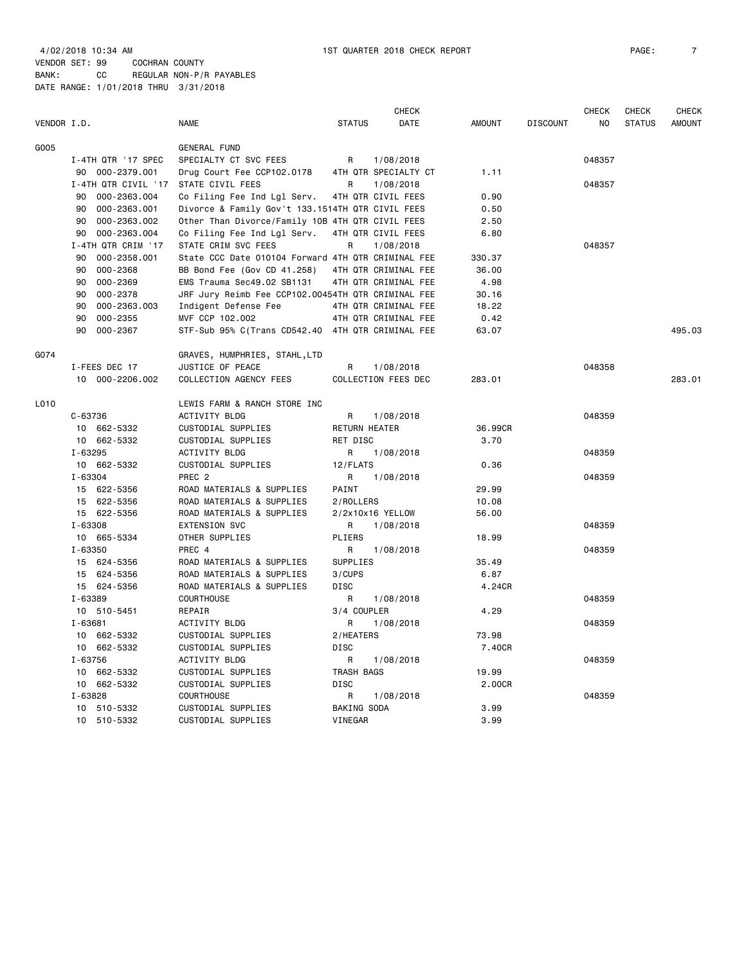|             |                     |                                                    |                      | <b>CHECK</b>         |               |                 | <b>CHECK</b> | <b>CHECK</b>  | <b>CHECK</b>  |
|-------------|---------------------|----------------------------------------------------|----------------------|----------------------|---------------|-----------------|--------------|---------------|---------------|
| VENDOR I.D. |                     | <b>NAME</b>                                        | <b>STATUS</b>        | DATE                 | <b>AMOUNT</b> | <b>DISCOUNT</b> | NO           | <b>STATUS</b> | <b>AMOUNT</b> |
| G005        |                     | <b>GENERAL FUND</b>                                |                      |                      |               |                 |              |               |               |
|             | I-4TH QTR '17 SPEC  | SPECIALTY CT SVC FEES                              | R                    | 1/08/2018            |               |                 | 048357       |               |               |
|             | 90 000-2379.001     | Drug Court Fee CCP102.0178                         |                      | 4TH QTR SPECIALTY CT | 1.11          |                 |              |               |               |
|             | I-4TH QTR CIVIL '17 | STATE CIVIL FEES                                   | R                    | 1/08/2018            |               |                 | 048357       |               |               |
|             | 000-2363.004<br>90  | Co Filing Fee Ind Lgl Serv.                        |                      | 4TH QTR CIVIL FEES   | 0.90          |                 |              |               |               |
|             | 90<br>000-2363.001  | Divorce & Family Gov't 133.1514TH QTR CIVIL FEES   |                      |                      | 0.50          |                 |              |               |               |
|             | 000-2363.002<br>90  | Other Than Divorce/Family 10B 4TH QTR CIVIL FEES   |                      |                      | 2.50          |                 |              |               |               |
|             | 000-2363.004<br>90  | Co Filing Fee Ind Lgl Serv.                        |                      | 4TH QTR CIVIL FEES   | 6.80          |                 |              |               |               |
|             | I-4TH QTR CRIM '17  | STATE CRIM SVC FEES                                | R                    | 1/08/2018            |               |                 | 048357       |               |               |
|             | 000-2358.001<br>90  | State CCC Date 010104 Forward 4TH QTR CRIMINAL FEE |                      |                      | 330.37        |                 |              |               |               |
|             | 000-2368<br>90      | BB Bond Fee (Gov CD 41.258)                        |                      | 4TH QTR CRIMINAL FEE | 36.00         |                 |              |               |               |
|             | 000-2369<br>90      | EMS Trauma Sec49.02 SB1131                         |                      | 4TH QTR CRIMINAL FEE | 4.98          |                 |              |               |               |
|             | 90<br>000-2378      | JRF Jury Reimb Fee CCP102.00454TH QTR CRIMINAL FEE |                      |                      | 30.16         |                 |              |               |               |
|             | 000-2363.003<br>90  | Indigent Defense Fee                               |                      | 4TH QTR CRIMINAL FEE | 18.22         |                 |              |               |               |
|             | 90<br>000-2355      | MVF CCP 102.002                                    |                      | 4TH QTR CRIMINAL FEE | 0.42          |                 |              |               |               |
|             | 000-2367<br>90      | STF-Sub 95% C(Trans CD542.40 4TH QTR CRIMINAL FEE  |                      |                      | 63.07         |                 |              |               | 495.03        |
| G074        |                     | GRAVES, HUMPHRIES, STAHL, LTD                      |                      |                      |               |                 |              |               |               |
|             | I-FEES DEC 17       | JUSTICE OF PEACE                                   | R                    | 1/08/2018            |               |                 | 048358       |               |               |
|             | 10 000-2206.002     | COLLECTION AGENCY FEES                             |                      | COLLECTION FEES DEC  | 283.01        |                 |              |               | 283.01        |
| L010        |                     | LEWIS FARM & RANCH STORE INC                       |                      |                      |               |                 |              |               |               |
|             | C-63736             | ACTIVITY BLDG                                      | R                    | 1/08/2018            |               |                 | 048359       |               |               |
|             | 10 662-5332         | CUSTODIAL SUPPLIES                                 | <b>RETURN HEATER</b> |                      | 36.99CR       |                 |              |               |               |
|             | 10 662-5332         | CUSTODIAL SUPPLIES                                 | RET DISC             |                      | 3.70          |                 |              |               |               |
|             | $I - 63295$         | ACTIVITY BLDG                                      | R                    | 1/08/2018            |               |                 | 048359       |               |               |
|             | 10 662-5332         | CUSTODIAL SUPPLIES                                 | 12/FLATS             |                      | 0.36          |                 |              |               |               |
|             | I-63304             | PREC <sub>2</sub>                                  | R                    | 1/08/2018            |               |                 | 048359       |               |               |
|             | 15 622-5356         | ROAD MATERIALS & SUPPLIES                          | PAINT                |                      | 29.99         |                 |              |               |               |
|             | 15 622-5356         | ROAD MATERIALS & SUPPLIES                          | 2/ROLLERS            |                      | 10.08         |                 |              |               |               |
|             | 15 622-5356         | ROAD MATERIALS & SUPPLIES                          |                      | 2/2x10x16 YELLOW     | 56.00         |                 |              |               |               |
|             | I-63308             | <b>EXTENSION SVC</b>                               | R                    | 1/08/2018            |               |                 | 048359       |               |               |
|             | 10 665-5334         | OTHER SUPPLIES                                     | PLIERS               |                      | 18.99         |                 |              |               |               |
|             | $I - 63350$         | PREC 4                                             | R                    | 1/08/2018            |               |                 | 048359       |               |               |
|             | 624-5356<br>15      | ROAD MATERIALS & SUPPLIES                          | SUPPLIES             |                      | 35.49         |                 |              |               |               |
|             | 15 624-5356         | ROAD MATERIALS & SUPPLIES                          | 3/CUPS               |                      | 6.87          |                 |              |               |               |
|             | 15 624-5356         | ROAD MATERIALS & SUPPLIES                          | <b>DISC</b>          |                      | 4.24CR        |                 |              |               |               |
|             | I-63389             | <b>COURTHOUSE</b>                                  | R                    | 1/08/2018            |               |                 | 048359       |               |               |
|             | 10 510-5451         | REPAIR                                             | 3/4 COUPLER          |                      | 4.29          |                 |              |               |               |
|             | $I - 63681$         | ACTIVITY BLDG                                      | R                    | 1/08/2018            |               |                 | 048359       |               |               |
|             | 10 662-5332         | CUSTODIAL SUPPLIES                                 | 2/HEATERS            |                      | 73.98         |                 |              |               |               |
|             | 10 662-5332         | CUSTODIAL SUPPLIES                                 | <b>DISC</b>          |                      | 7.40CR        |                 |              |               |               |
|             | $I - 63756$         | <b>ACTIVITY BLDG</b>                               | R                    | 1/08/2018            |               |                 | 048359       |               |               |
|             | 662-5332<br>10      | CUSTODIAL SUPPLIES                                 | TRASH BAGS           |                      | 19.99         |                 |              |               |               |
|             | 10 662-5332         | CUSTODIAL SUPPLIES                                 | <b>DISC</b>          |                      | 2.00CR        |                 |              |               |               |
|             | I-63828             | <b>COURTHOUSE</b>                                  | R                    | 1/08/2018            |               |                 | 048359       |               |               |
|             | 10 510-5332         | CUSTODIAL SUPPLIES                                 | BAKING SODA          |                      | 3.99          |                 |              |               |               |
|             | 10 510-5332         | CUSTODIAL SUPPLIES                                 | VINEGAR              |                      | 3.99          |                 |              |               |               |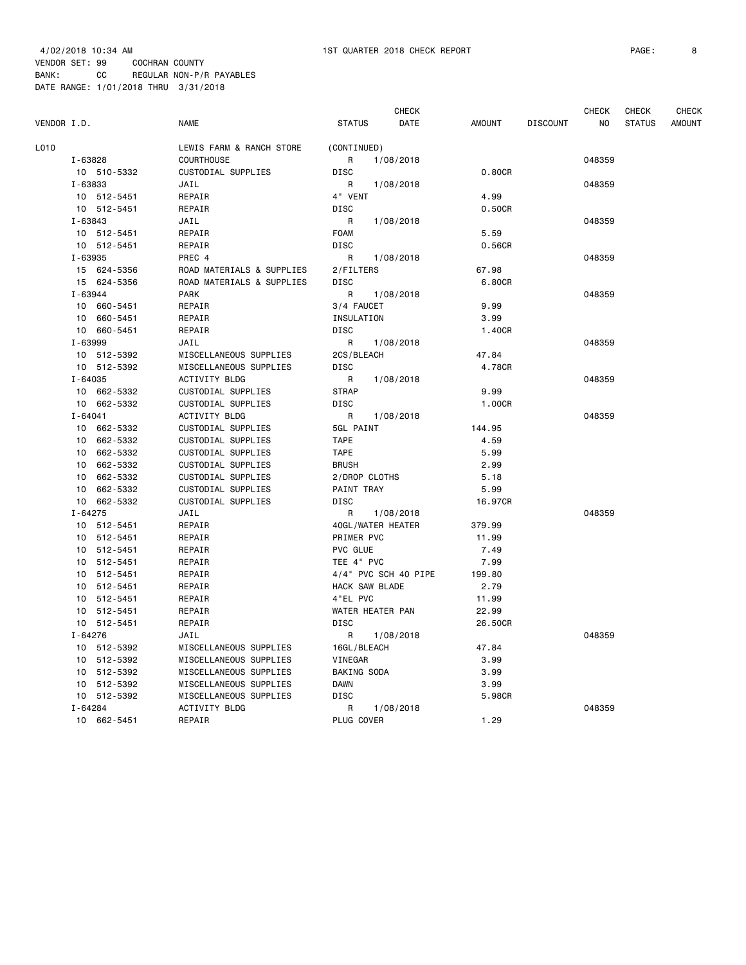|             |                |                           |                       | <b>CHECK</b>          |                 | <b>CHECK</b> | <b>CHECK</b>  | <b>CHECK</b>  |
|-------------|----------------|---------------------------|-----------------------|-----------------------|-----------------|--------------|---------------|---------------|
| VENDOR I.D. |                | <b>NAME</b>               | <b>STATUS</b>         | DATE<br><b>AMOUNT</b> | <b>DISCOUNT</b> | NO           | <b>STATUS</b> | <b>AMOUNT</b> |
| L010        |                | LEWIS FARM & RANCH STORE  | (CONTINUED)           |                       |                 |              |               |               |
|             | I-63828        | <b>COURTHOUSE</b>         | R<br>1/08/2018        |                       |                 | 048359       |               |               |
|             | 10 510-5332    | CUSTODIAL SUPPLIES        | <b>DISC</b>           | 0.80CR                |                 |              |               |               |
|             | I-63833        | JAIL                      | R<br>1/08/2018        |                       |                 | 048359       |               |               |
|             | 10 512-5451    | REPAIR                    | 4" VENT               | 4.99                  |                 |              |               |               |
|             | 10 512-5451    | REPAIR                    | DISC                  | 0.50CR                |                 |              |               |               |
|             | I-63843        | JAIL                      | 1/08/2018<br>R        |                       |                 | 048359       |               |               |
|             | 10 512-5451    | REPAIR                    | <b>FOAM</b>           | 5.59                  |                 |              |               |               |
|             | 10 512-5451    | REPAIR                    | DISC                  | 0.56CR                |                 |              |               |               |
|             | I-63935        | PREC 4                    | R<br>1/08/2018        |                       |                 | 048359       |               |               |
|             | 15 624-5356    | ROAD MATERIALS & SUPPLIES | 2/FILTERS             | 67.98                 |                 |              |               |               |
|             | 15 624-5356    | ROAD MATERIALS & SUPPLIES | <b>DISC</b>           | 6.80CR                |                 |              |               |               |
|             | I-63944        | <b>PARK</b>               | R.<br>1/08/2018       |                       |                 | 048359       |               |               |
|             | 10 660-5451    | REPAIR                    | 3/4 FAUCET            | 9.99                  |                 |              |               |               |
|             | 10 660-5451    | REPAIR                    | INSULATION            | 3.99                  |                 |              |               |               |
|             | 10 660-5451    | REPAIR                    | DISC                  | 1.40CR                |                 |              |               |               |
|             | I-63999        | JAIL                      | R<br>1/08/2018        |                       |                 | 048359       |               |               |
|             | 10 512-5392    | MISCELLANEOUS SUPPLIES    | 2CS/BLEACH            | 47.84                 |                 |              |               |               |
|             | 10 512-5392    | MISCELLANEOUS SUPPLIES    | DISC                  | 4.78CR                |                 |              |               |               |
|             | $I - 64035$    | <b>ACTIVITY BLDG</b>      | R<br>1/08/2018        |                       |                 | 048359       |               |               |
|             | 10 662-5332    | CUSTODIAL SUPPLIES        | <b>STRAP</b>          | 9.99                  |                 |              |               |               |
|             | 10 662-5332    | CUSTODIAL SUPPLIES        | DISC                  | 1.00CR                |                 |              |               |               |
|             | $I - 64041$    | ACTIVITY BLDG             | R<br>1/08/2018        |                       |                 | 048359       |               |               |
|             | 10 662-5332    | CUSTODIAL SUPPLIES        | 5GL PAINT             | 144.95                |                 |              |               |               |
|             | 10 662-5332    | CUSTODIAL SUPPLIES        | <b>TAPE</b>           | 4.59                  |                 |              |               |               |
|             | 10 662-5332    | CUSTODIAL SUPPLIES        | <b>TAPE</b>           | 5.99                  |                 |              |               |               |
|             | 10 662-5332    | CUSTODIAL SUPPLIES        | <b>BRUSH</b>          | 2.99                  |                 |              |               |               |
|             | 10 662-5332    | CUSTODIAL SUPPLIES        | 2/DROP CLOTHS         | 5.18                  |                 |              |               |               |
|             | 10<br>662-5332 | CUSTODIAL SUPPLIES        | PAINT TRAY            | 5.99                  |                 |              |               |               |
|             | 10 662-5332    | CUSTODIAL SUPPLIES        | DISC                  | 16.97CR               |                 |              |               |               |
|             | $I - 64275$    | JAIL                      | R<br>1/08/2018        |                       |                 | 048359       |               |               |
|             | 10 512-5451    | REPAIR                    | 40GL/WATER HEATER     | 379.99                |                 |              |               |               |
|             | 10 512-5451    | REPAIR                    | PRIMER PVC            | 11.99                 |                 |              |               |               |
|             | 10 512-5451    | REPAIR                    | <b>PVC GLUE</b>       | 7.49                  |                 |              |               |               |
|             | 10 512-5451    | REPAIR                    | TEE 4" PVC            | 7.99                  |                 |              |               |               |
|             | 10 512-5451    | REPAIR                    | 4/4" PVC SCH 40 PIPE  | 199.80                |                 |              |               |               |
|             | 10 512-5451    | REPAIR                    | <b>HACK SAW BLADE</b> | 2.79                  |                 |              |               |               |
|             | 10 512-5451    | REPAIR                    | 4"EL PVC              | 11.99                 |                 |              |               |               |
|             | 10 512-5451    | REPAIR                    | WATER HEATER PAN      | 22.99                 |                 |              |               |               |
|             | 10 512-5451    | REPAIR                    | <b>DISC</b>           | 26.50CR               |                 |              |               |               |
|             | $I - 64276$    | JAIL                      | 1/08/2018<br>R        |                       |                 | 048359       |               |               |
|             | 10 512-5392    | MISCELLANEOUS SUPPLIES    | 16GL/BLEACH           | 47.84                 |                 |              |               |               |
|             | 10 512-5392    | MISCELLANEOUS SUPPLIES    | VINEGAR               | 3.99                  |                 |              |               |               |
|             | 10 512-5392    | MISCELLANEOUS SUPPLIES    | BAKING SODA           | 3.99                  |                 |              |               |               |
|             | 10 512-5392    | MISCELLANEOUS SUPPLIES    | <b>DAWN</b>           | 3.99                  |                 |              |               |               |
|             | 10 512-5392    | MISCELLANEOUS SUPPLIES    | DISC                  | 5.98CR                |                 |              |               |               |
|             | $I - 64284$    | ACTIVITY BLDG             | R<br>1/08/2018        |                       |                 | 048359       |               |               |
|             | 10 662-5451    | REPAIR                    | PLUG COVER            | 1.29                  |                 |              |               |               |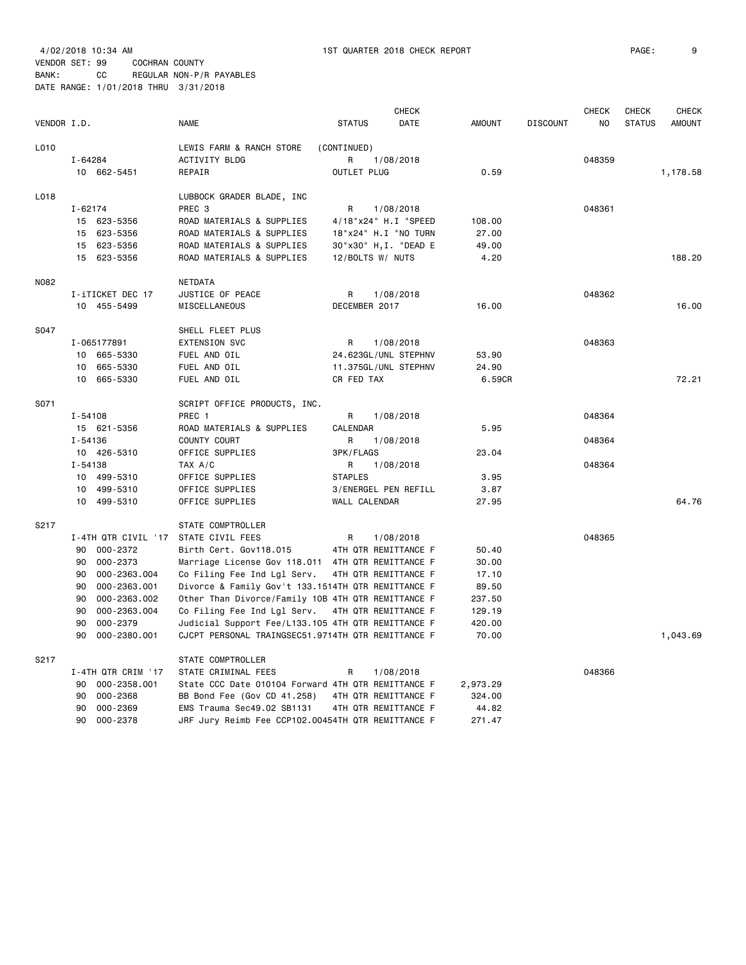|             |                                  |                                                    |                       | <b>CHECK</b> |               |                 | <b>CHECK</b> | <b>CHECK</b>  | <b>CHECK</b>  |
|-------------|----------------------------------|----------------------------------------------------|-----------------------|--------------|---------------|-----------------|--------------|---------------|---------------|
| VENDOR I.D. |                                  | <b>NAME</b>                                        | <b>STATUS</b>         | DATE         | <b>AMOUNT</b> | <b>DISCOUNT</b> | NO.          | <b>STATUS</b> | <b>AMOUNT</b> |
| L010        |                                  | LEWIS FARM & RANCH STORE                           | (CONTINUED)           |              |               |                 |              |               |               |
|             | I-64284                          | ACTIVITY BLDG                                      | R                     | 1/08/2018    |               |                 | 048359       |               |               |
|             | 10 662-5451                      | REPAIR                                             | OUTLET PLUG           |              | 0.59          |                 |              |               | 1,178.58      |
| L018        |                                  | LUBBOCK GRADER BLADE, INC                          |                       |              |               |                 |              |               |               |
|             | $I - 62174$                      | PREC <sub>3</sub>                                  | R                     | 1/08/2018    |               |                 | 048361       |               |               |
|             | 15 623-5356                      | ROAD MATERIALS & SUPPLIES                          | 4/18"x24" H.I "SPEED  |              | 108.00        |                 |              |               |               |
|             | 15 623-5356                      | ROAD MATERIALS & SUPPLIES                          | 18"x24" H.I "NO TURN  |              | 27.00         |                 |              |               |               |
|             | 15 623-5356                      | ROAD MATERIALS & SUPPLIES                          | 30"x30" H, I. "DEAD E |              | 49.00         |                 |              |               |               |
|             | 15 623-5356                      | ROAD MATERIALS & SUPPLIES                          | 12/BOLTS W/ NUTS      |              | 4.20          |                 |              |               | 188,20        |
| N082        |                                  | NETDATA                                            |                       |              |               |                 |              |               |               |
|             | I-iTICKET DEC 17                 | JUSTICE OF PEACE                                   | R                     | 1/08/2018    |               |                 | 048362       |               |               |
|             | 10 455-5499                      | MISCELLANEOUS                                      | DECEMBER 2017         |              | 16.00         |                 |              |               | 16.00         |
| S047        |                                  | SHELL FLEET PLUS                                   |                       |              |               |                 |              |               |               |
|             | I-065177891                      | <b>EXTENSION SVC</b>                               | R                     | 1/08/2018    |               |                 | 048363       |               |               |
|             | 10 665-5330                      | FUEL AND OIL                                       | 24.623GL/UNL STEPHNV  |              | 53.90         |                 |              |               |               |
|             | 10 665-5330                      | FUEL AND OIL                                       | 11.375GL/UNL STEPHNV  |              | 24.90         |                 |              |               |               |
|             | 10 665-5330                      | FUEL AND OIL                                       | CR FED TAX            |              | 6.59CR        |                 |              |               | 72.21         |
| S071        |                                  | SCRIPT OFFICE PRODUCTS, INC.                       |                       |              |               |                 |              |               |               |
|             | $I - 54108$                      | PREC 1                                             | R                     | 1/08/2018    |               |                 | 048364       |               |               |
|             | 15 621-5356                      | ROAD MATERIALS & SUPPLIES                          | CALENDAR              |              | 5.95          |                 |              |               |               |
|             | I-54136                          | COUNTY COURT                                       | R                     | 1/08/2018    |               |                 | 048364       |               |               |
|             | 10 426-5310                      | OFFICE SUPPLIES                                    | 3PK/FLAGS             |              | 23.04         |                 |              |               |               |
|             | $I - 54138$                      | TAX A/C                                            | R                     | 1/08/2018    |               |                 | 048364       |               |               |
|             | 10 499-5310                      | OFFICE SUPPLIES                                    | <b>STAPLES</b>        |              | 3.95          |                 |              |               |               |
|             | 10 499-5310                      | OFFICE SUPPLIES                                    | 3/ENERGEL PEN REFILL  |              | 3.87          |                 |              |               |               |
|             | 10 499-5310                      | OFFICE SUPPLIES                                    | WALL CALENDAR         |              | 27.95         |                 |              |               | 64.76         |
| S217        |                                  | STATE COMPTROLLER                                  |                       |              |               |                 |              |               |               |
|             | I-4TH QTR CIVIL '17              | STATE CIVIL FEES                                   | R                     | 1/08/2018    |               |                 | 048365       |               |               |
|             | 000-2372<br>90                   | Birth Cert. Gov118.015                             | 4TH QTR REMITTANCE F  |              | 50.40         |                 |              |               |               |
|             | 000-2373<br>90                   | Marriage License Gov 118.011 4TH QTR REMITTANCE F  |                       |              | 30.00         |                 |              |               |               |
|             | 90<br>000-2363.004               | Co Filing Fee Ind Lgl Serv.                        | 4TH QTR REMITTANCE F  |              | 17.10         |                 |              |               |               |
|             | 000-2363.001<br>90               | Divorce & Family Gov't 133.1514TH QTR REMITTANCE F |                       |              | 89.50         |                 |              |               |               |
|             | 90<br>000-2363.002               | Other Than Divorce/Family 10B 4TH QTR REMITTANCE F |                       |              | 237.50        |                 |              |               |               |
|             | 000-2363.004<br>90               | Co Filing Fee Ind Lgl Serv.                        | 4TH QTR REMITTANCE F  |              | 129.19        |                 |              |               |               |
|             | 90<br>000-2379                   | Judicial Support Fee/L133.105 4TH QTR REMITTANCE F |                       |              | 420.00        |                 |              |               |               |
|             | 90<br>000-2380.001               | CJCPT PERSONAL TRAINGSEC51.9714TH QTR REMITTANCE F |                       |              | 70.00         |                 |              |               | 1,043.69      |
| S217        |                                  | STATE COMPTROLLER                                  |                       |              |               |                 |              |               |               |
|             | I-4TH QTR CRIM '17               | STATE CRIMINAL FEES                                | R                     | 1/08/2018    |               |                 | 048366       |               |               |
|             | 000-2358.001<br>90               | State CCC Date 010104 Forward 4TH QTR REMITTANCE F |                       |              | 2,973.29      |                 |              |               |               |
|             | 000-2368<br>90                   | BB Bond Fee (Gov CD 41.258)                        | 4TH QTR REMITTANCE F  |              | 324.00        |                 |              |               |               |
|             | 90<br>000-2369<br>90<br>000-2378 | EMS Trauma Sec49.02 SB1131                         | 4TH QTR REMITTANCE F  |              | 44.82         |                 |              |               |               |
|             |                                  | JRF Jury Reimb Fee CCP102.00454TH QTR REMITTANCE F |                       |              | 271.47        |                 |              |               |               |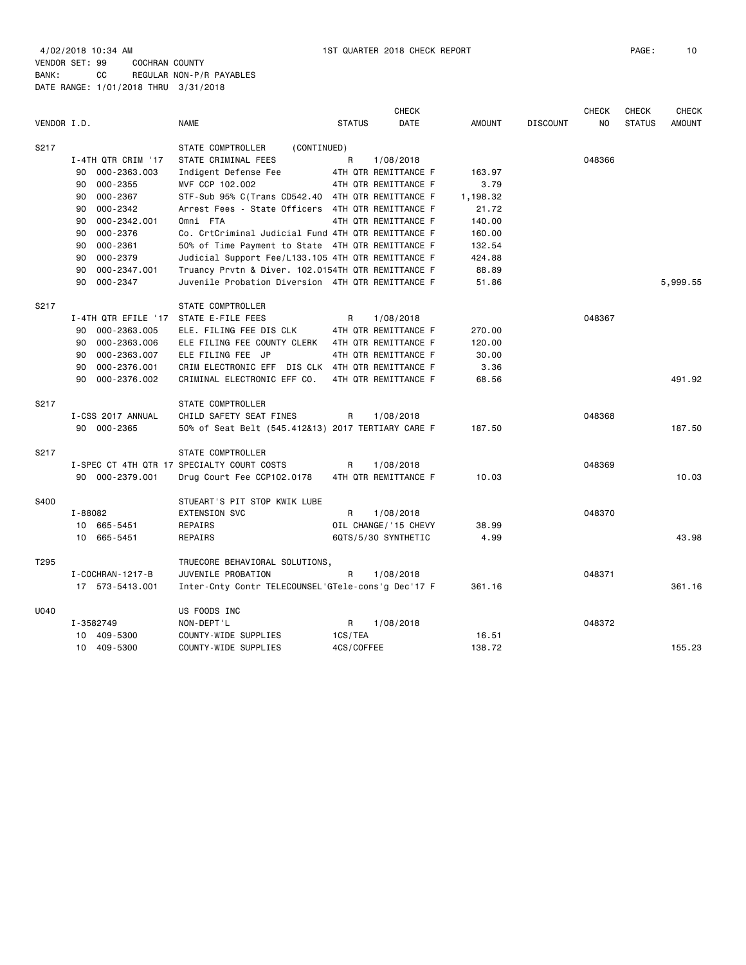4/02/2018 10:34 AM 1ST QUARTER 2018 CHECK REPORT PAGE: 10 VENDOR SET: 99 COCHRAN COUNTY BANK: CC REGULAR NON-P/R PAYABLES DATE RANGE: 1/01/2018 THRU 3/31/2018

| VENDOR I.D. |                        | <b>NAME</b>                                        | <b>STATUS</b> | <b>CHECK</b><br><b>DATE</b> | <b>AMOUNT</b> | <b>DISCOUNT</b> | <b>CHECK</b><br>NO. | <b>CHECK</b><br><b>STATUS</b> | <b>CHECK</b><br><b>AMOUNT</b> |
|-------------|------------------------|----------------------------------------------------|---------------|-----------------------------|---------------|-----------------|---------------------|-------------------------------|-------------------------------|
| S217        |                        | STATE COMPTROLLER<br>(CONTINUED)                   |               |                             |               |                 |                     |                               |                               |
|             | I-4TH QTR CRIM '17     | STATE CRIMINAL FEES                                | R             | 1/08/2018                   |               |                 | 048366              |                               |                               |
|             | 000-2363.003<br>90     | Indigent Defense Fee                               |               | 4TH QTR REMITTANCE F        | 163.97        |                 |                     |                               |                               |
|             | 000-2355<br>90         | MVF CCP 102.002                                    |               | 4TH QTR REMITTANCE F        | 3.79          |                 |                     |                               |                               |
|             | 000-2367<br>90         | STF-Sub 95% C(Trans CD542.40 4TH QTR REMITTANCE F  |               |                             | 1,198.32      |                 |                     |                               |                               |
|             | 000-2342<br>90         | Arrest Fees - State Officers 4TH QTR REMITTANCE F  |               |                             | 21.72         |                 |                     |                               |                               |
|             | 000-2342.001<br>90     | Omni FTA                                           |               | 4TH QTR REMITTANCE F        | 140.00        |                 |                     |                               |                               |
|             | 000-2376<br>90         | Co. CrtCriminal Judicial Fund 4TH QTR REMITTANCE F |               |                             | 160.00        |                 |                     |                               |                               |
|             | 000-2361<br>90         | 50% of Time Payment to State 4TH QTR REMITTANCE F  |               |                             | 132.54        |                 |                     |                               |                               |
|             | 000-2379<br>90         | Judicial Support Fee/L133.105 4TH QTR REMITTANCE F |               |                             | 424.88        |                 |                     |                               |                               |
|             | 000-2347.001<br>90     | Truancy Prvtn & Diver. 102.0154TH QTR REMITTANCE F |               |                             | 88.89         |                 |                     |                               |                               |
|             | 000-2347<br>90         | Juvenile Probation Diversion 4TH QTR REMITTANCE F  |               |                             | 51.86         |                 |                     |                               | 5,999.55                      |
|             |                        |                                                    |               |                             |               |                 |                     |                               |                               |
| S217        |                        | STATE COMPTROLLER                                  |               |                             |               |                 |                     |                               |                               |
|             | I-4TH QTR EFILE '17    | STATE E-FILE FEES                                  | R             | 1/08/2018                   |               |                 | 048367              |                               |                               |
|             | 000-2363.005<br>90     | ELE. FILING FEE DIS CLK                            |               | 4TH QTR REMITTANCE F        | 270.00        |                 |                     |                               |                               |
|             | 000-2363.006<br>90     | ELE FILING FEE COUNTY CLERK                        |               | 4TH QTR REMITTANCE F        | 120.00        |                 |                     |                               |                               |
|             | 000-2363.007<br>90     | ELE FILING FEE JP                                  |               | 4TH QTR REMITTANCE F        | 30.00         |                 |                     |                               |                               |
|             | 90<br>000-2376.001     | CRIM ELECTRONIC EFF DIS CLK 4TH QTR REMITTANCE F   |               |                             | 3.36          |                 |                     |                               |                               |
|             | 000-2376.002<br>90     | CRIMINAL ELECTRONIC EFF CO.                        |               | 4TH QTR REMITTANCE F        | 68.56         |                 |                     |                               | 491.92                        |
|             |                        |                                                    |               |                             |               |                 |                     |                               |                               |
| S217        |                        | STATE COMPTROLLER                                  |               |                             |               |                 |                     |                               |                               |
|             | I-CSS 2017 ANNUAL      | CHILD SAFETY SEAT FINES                            | R             | 1/08/2018                   |               |                 | 048368              |                               |                               |
|             | 90 000-2365            | 50% of Seat Belt (545.412&13) 2017 TERTIARY CARE F |               |                             | 187.50        |                 |                     |                               | 187.50                        |
|             |                        |                                                    |               |                             |               |                 |                     |                               |                               |
| S217        |                        | STATE COMPTROLLER                                  |               |                             |               |                 |                     |                               |                               |
|             |                        | I-SPEC CT 4TH QTR 17 SPECIALTY COURT COSTS         | R             | 1/08/2018                   |               |                 | 048369              |                               |                               |
|             | 90 000-2379.001        | Drug Court Fee CCP102.0178                         |               | 4TH QTR REMITTANCE F        | 10.03         |                 |                     |                               | 10.03                         |
|             |                        |                                                    |               |                             |               |                 |                     |                               |                               |
| S400        |                        | STUEART'S PIT STOP KWIK LUBE                       |               |                             |               |                 |                     |                               |                               |
|             | I-88082                | <b>EXTENSION SVC</b>                               | R             | 1/08/2018                   |               |                 | 048370              |                               |                               |
|             | 10 665-5451            | REPAIRS                                            |               | OIL CHANGE/ '15 CHEVY       | 38.99         |                 |                     |                               |                               |
|             | 10 665-5451            | <b>REPAIRS</b>                                     |               | 6QTS/5/30 SYNTHETIC         | 4.99          |                 |                     |                               | 43.98                         |
|             |                        |                                                    |               |                             |               |                 |                     |                               |                               |
| T295        |                        | TRUECORE BEHAVIORAL SOLUTIONS,                     |               |                             |               |                 |                     |                               |                               |
|             | I - COCHRAN - 1217 - B | JUVENILE PROBATION                                 | R             | 1/08/2018                   |               |                 | 048371              |                               |                               |
|             | 17 573-5413.001        | Inter-Cnty Contr TELECOUNSEL'GTele-cons'g Dec'17 F |               |                             | 361.16        |                 |                     |                               | 361.16                        |
|             |                        |                                                    |               |                             |               |                 |                     |                               |                               |
| U040        |                        | US FOODS INC                                       |               |                             |               |                 |                     |                               |                               |
|             | I-3582749              | NON-DEPT'L                                         | R             | 1/08/2018                   |               |                 | 048372              |                               |                               |
|             | 10 409-5300            | COUNTY-WIDE SUPPLIES                               | 1CS/TEA       |                             | 16.51         |                 |                     |                               |                               |
|             | 10 409-5300            | COUNTY-WIDE SUPPLIES                               | 4CS/COFFEE    |                             | 138.72        |                 |                     |                               | 155.23                        |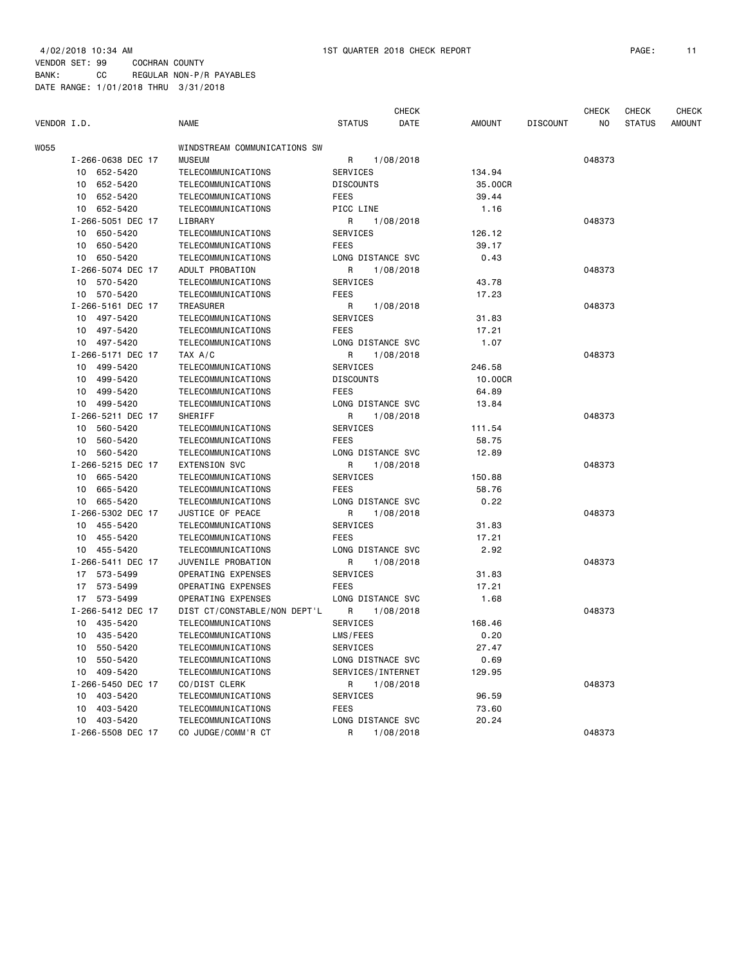|             |                   |                              |                   | <b>CHECK</b> |               |                 | <b>CHECK</b> | <b>CHECK</b>  | <b>CHECK</b> |
|-------------|-------------------|------------------------------|-------------------|--------------|---------------|-----------------|--------------|---------------|--------------|
| VENDOR I.D. |                   | <b>NAME</b>                  | <b>STATUS</b>     | DATE         | <b>AMOUNT</b> | <b>DISCOUNT</b> | ΝO           | <b>STATUS</b> | AMOUNT       |
| W055        |                   | WINDSTREAM COMMUNICATIONS SW |                   |              |               |                 |              |               |              |
|             | I-266-0638 DEC 17 | <b>MUSEUM</b>                | R                 | 1/08/2018    |               |                 | 048373       |               |              |
|             | 10 652-5420       | TELECOMMUNICATIONS           | <b>SERVICES</b>   |              | 134.94        |                 |              |               |              |
|             | 10 652-5420       | TELECOMMUNICATIONS           | <b>DISCOUNTS</b>  |              | 35.00CR       |                 |              |               |              |
|             | 10 652-5420       | TELECOMMUNICATIONS           | FEES              |              | 39.44         |                 |              |               |              |
|             | 10 652-5420       | TELECOMMUNICATIONS           | PICC LINE         |              | 1.16          |                 |              |               |              |
|             | I-266-5051 DEC 17 | LIBRARY                      | R                 | 1/08/2018    |               |                 | 048373       |               |              |
|             | 10<br>650-5420    | TELECOMMUNICATIONS           | SERVICES          |              | 126.12        |                 |              |               |              |
|             | 10 650-5420       | TELECOMMUNICATIONS           | <b>FEES</b>       |              | 39.17         |                 |              |               |              |
|             | 10 650-5420       | TELECOMMUNICATIONS           | LONG DISTANCE SVC |              | 0.43          |                 |              |               |              |
|             | I-266-5074 DEC 17 | ADULT PROBATION              | R                 | 1/08/2018    |               |                 | 048373       |               |              |
|             | 10 570-5420       | TELECOMMUNICATIONS           | SERVICES          |              | 43.78         |                 |              |               |              |
|             | 10 570-5420       | TELECOMMUNICATIONS           | <b>FEES</b>       |              | 17.23         |                 |              |               |              |
|             | I-266-5161 DEC 17 | TREASURER                    | R                 | 1/08/2018    |               |                 | 048373       |               |              |
|             | 10 497-5420       | TELECOMMUNICATIONS           | SERVICES          |              | 31.83         |                 |              |               |              |
|             | 10 497-5420       | TELECOMMUNICATIONS           | <b>FEES</b>       |              | 17.21         |                 |              |               |              |
|             | 10 497-5420       | <b>TELECOMMUNICATIONS</b>    | LONG DISTANCE SVC |              | 1.07          |                 |              |               |              |
|             | I-266-5171 DEC 17 | TAX A/C                      | R                 | 1/08/2018    |               |                 | 048373       |               |              |
|             | 10 499-5420       | TELECOMMUNICATIONS           | <b>SERVICES</b>   |              | 246.58        |                 |              |               |              |
|             | 499-5420<br>10    | TELECOMMUNICATIONS           | <b>DISCOUNTS</b>  |              | 10,00CR       |                 |              |               |              |
|             | 499-5420<br>10    | TELECOMMUNICATIONS           | <b>FEES</b>       |              | 64.89         |                 |              |               |              |
|             | 10 499-5420       | TELECOMMUNICATIONS           | LONG DISTANCE SVC |              | 13.84         |                 |              |               |              |
|             | I-266-5211 DEC 17 | SHERIFF                      | R                 | 1/08/2018    |               |                 | 048373       |               |              |
|             | 10 560-5420       | TELECOMMUNICATIONS           | SERVICES          |              | 111.54        |                 |              |               |              |
|             | 10 560-5420       | TELECOMMUNICATIONS           | <b>FEES</b>       |              | 58.75         |                 |              |               |              |
|             | 560-5420<br>10    | TELECOMMUNICATIONS           | LONG DISTANCE SVC |              | 12.89         |                 |              |               |              |
|             | I-266-5215 DEC 17 | <b>EXTENSION SVC</b>         | R                 | 1/08/2018    |               |                 | 048373       |               |              |
|             | 10 665-5420       | TELECOMMUNICATIONS           | SERVICES          |              | 150.88        |                 |              |               |              |
|             | 10<br>665-5420    | TELECOMMUNICATIONS           | <b>FEES</b>       |              | 58.76         |                 |              |               |              |
|             | 10 665-5420       | TELECOMMUNICATIONS           | LONG DISTANCE SVC |              | 0.22          |                 |              |               |              |
|             | I-266-5302 DEC 17 | JUSTICE OF PEACE             | R                 | 1/08/2018    |               |                 | 048373       |               |              |
|             | 10 455-5420       | TELECOMMUNICATIONS           | SERVICES          |              | 31.83         |                 |              |               |              |
|             | 10 455-5420       | TELECOMMUNICATIONS           | <b>FEES</b>       |              | 17.21         |                 |              |               |              |
|             | 10 455-5420       | TELECOMMUNICATIONS           | LONG DISTANCE SVC |              | 2.92          |                 |              |               |              |
|             | I-266-5411 DEC 17 | JUVENILE PROBATION           | R                 | 1/08/2018    |               |                 | 048373       |               |              |
|             | 17 573-5499       | OPERATING EXPENSES           | SERVICES          |              | 31.83         |                 |              |               |              |
|             | 17 573-5499       | OPERATING EXPENSES           | FEES              |              | 17.21         |                 |              |               |              |
|             | 17 573-5499       | OPERATING EXPENSES           | LONG DISTANCE SVC |              | 1.68          |                 |              |               |              |
|             | I-266-5412 DEC 17 | DIST CT/CONSTABLE/NON DEPT'L | R                 | 1/08/2018    |               |                 | 048373       |               |              |
|             | 10 435-5420       | TELECOMMUNICATIONS           | SERVICES          |              | 168.46        |                 |              |               |              |
|             | 10<br>435-5420    | TELECOMMUNICATIONS           | LMS/FEES          |              | 0.20          |                 |              |               |              |
|             | 10 550-5420       | TELECOMMUNICATIONS           | SERVICES          |              | 27.47         |                 |              |               |              |
|             | 10 550-5420       | TELECOMMUNICATIONS           | LONG DISTNACE SVC |              | 0.69          |                 |              |               |              |
|             | 10 409-5420       | TELECOMMUNICATIONS           | SERVICES/INTERNET |              | 129.95        |                 |              |               |              |
|             | I-266-5450 DEC 17 | CO/DIST CLERK                | R                 | 1/08/2018    |               |                 | 048373       |               |              |
|             | 10 403-5420       | TELECOMMUNICATIONS           | SERVICES          |              | 96.59         |                 |              |               |              |
|             | 10 403-5420       | TELECOMMUNICATIONS           | <b>FEES</b>       |              | 73.60         |                 |              |               |              |
|             | 10 403-5420       | TELECOMMUNICATIONS           | LONG DISTANCE SVC |              | 20.24         |                 |              |               |              |
|             | I-266-5508 DEC 17 | CO JUDGE/COMM'R CT           | R                 | 1/08/2018    |               |                 | 048373       |               |              |
|             |                   |                              |                   |              |               |                 |              |               |              |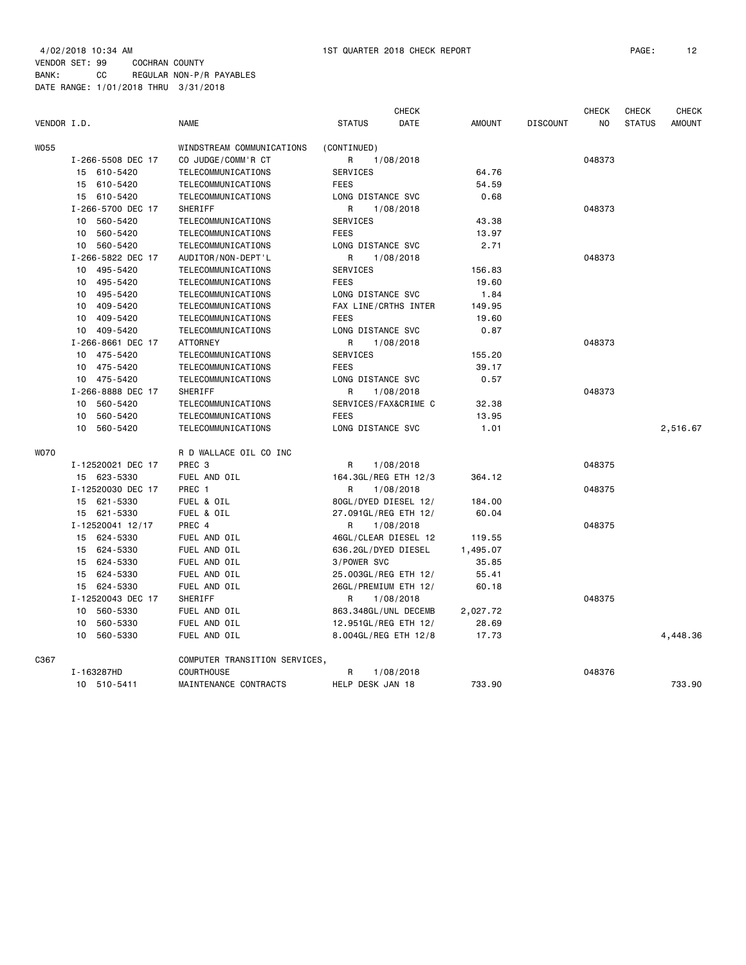|             |                                                 | <b>CHECK</b><br><b>CHECK</b><br><b>CHECK</b> |                               |               |                 |        |               |               |
|-------------|-------------------------------------------------|----------------------------------------------|-------------------------------|---------------|-----------------|--------|---------------|---------------|
| VENDOR I.D. |                                                 | <b>NAME</b>                                  | <b>STATUS</b><br>DATE         | <b>AMOUNT</b> | <b>DISCOUNT</b> | NO     | <b>STATUS</b> | <b>AMOUNT</b> |
| <b>WO55</b> |                                                 | WINDSTREAM COMMUNICATIONS                    | (CONTINUED)                   |               |                 |        |               |               |
|             | I-266-5508 DEC 17                               | CO JUDGE/COMM'R CT                           | 1/08/2018<br>R                |               |                 | 048373 |               |               |
|             | 15 610-5420                                     | TELECOMMUNICATIONS                           | <b>SERVICES</b>               | 64.76         |                 |        |               |               |
|             | 15 610-5420                                     | TELECOMMUNICATIONS                           | <b>FEES</b>                   | 54.59         |                 |        |               |               |
|             | 15 610-5420                                     | TELECOMMUNICATIONS                           | LONG DISTANCE SVC             | 0.68          |                 |        |               |               |
|             | I-266-5700 DEC 17                               | SHERIFF                                      | R<br>1/08/2018                |               |                 | 048373 |               |               |
|             | 10<br>560-5420                                  | TELECOMMUNICATIONS                           | SERVICES                      | 43.38         |                 |        |               |               |
|             | 10 560-5420                                     | TELECOMMUNICATIONS                           | <b>FEES</b>                   | 13.97         |                 |        |               |               |
|             | 10 560-5420                                     | TELECOMMUNICATIONS                           | LONG DISTANCE SVC             | 2.71          |                 |        |               |               |
|             | I-266-5822 DEC 17                               | AUDITOR/NON-DEPT'L                           | R<br>1/08/2018                |               |                 | 048373 |               |               |
|             | 10 495-5420                                     | TELECOMMUNICATIONS                           | SERVICES                      | 156.83        |                 |        |               |               |
|             | 10 495-5420                                     | TELECOMMUNICATIONS                           | <b>FEES</b>                   | 19.60         |                 |        |               |               |
|             | 10 495-5420                                     | TELECOMMUNICATIONS                           | LONG DISTANCE SVC             | 1.84          |                 |        |               |               |
|             | 10 409-5420                                     | TELECOMMUNICATIONS                           | FAX LINE/CRTHS INTER          | 149.95        |                 |        |               |               |
|             | 10 409-5420                                     | TELECOMMUNICATIONS                           | <b>FEES</b>                   | 19.60         |                 |        |               |               |
|             | 10 409-5420                                     | TELECOMMUNICATIONS                           | LONG DISTANCE SVC             | 0.87          |                 |        |               |               |
|             | I-266-8661 DEC 17                               | ATTORNEY                                     | R<br>1/08/2018                |               |                 | 048373 |               |               |
|             | 10 475-5420                                     | TELECOMMUNICATIONS                           | SERVICES                      | 155.20        |                 |        |               |               |
|             | 10 475-5420                                     | TELECOMMUNICATIONS                           | <b>FEES</b>                   | 39.17         |                 |        |               |               |
|             | 10 475-5420<br>I-266-8888 DEC 17<br>10 560-5420 | TELECOMMUNICATIONS                           | LONG DISTANCE SVC             | 0.57          |                 |        |               |               |
|             |                                                 | SHERIFF                                      | R<br>1/08/2018                |               |                 | 048373 |               |               |
|             |                                                 | TELECOMMUNICATIONS                           | SERVICES/FAX&CRIME C<br>32.38 |               |                 |        |               |               |
|             | 560-5420<br>10                                  | TELECOMMUNICATIONS                           | <b>FEES</b>                   | 13.95         |                 |        |               |               |
|             | 560-5420<br>10                                  | TELECOMMUNICATIONS                           | LONG DISTANCE SVC             | 1.01          |                 |        |               | 2,516.67      |
| <b>WO70</b> |                                                 | R D WALLACE OIL CO INC                       |                               |               |                 |        |               |               |
|             | I-12520021 DEC 17                               | PREC <sub>3</sub>                            | 1/08/2018<br>R                |               |                 | 048375 |               |               |
|             | 15 623-5330                                     | FUEL AND OIL                                 | 164.3GL/REG ETH 12/3          | 364.12        |                 |        |               |               |
|             | I-12520030 DEC 17                               | PREC 1                                       | R<br>1/08/2018                |               |                 | 048375 |               |               |
|             | 15 621-5330                                     | FUEL & OIL                                   | 80GL/DYED DIESEL 12/          | 184.00        |                 |        |               |               |
|             | 15 621-5330                                     | FUEL & OIL                                   | 27.091GL/REG ETH 12/          | 60.04         |                 |        |               |               |
|             | I-12520041 12/17                                | PREC 4                                       | R<br>1/08/2018                |               |                 | 048375 |               |               |
|             | 15 624-5330                                     | FUEL AND OIL                                 | 46GL/CLEAR DIESEL 12          | 119.55        |                 |        |               |               |
|             | 15 624-5330                                     | FUEL AND OIL                                 | 636.2GL/DYED DIESEL           | 1,495.07      |                 |        |               |               |
|             | 15 624-5330                                     | FUEL AND OIL                                 | 3/POWER SVC                   | 35.85         |                 |        |               |               |
|             | 624-5330<br>15                                  | FUEL AND OIL                                 | 25.003GL/REG ETH 12/          | 55.41         |                 |        |               |               |
|             | 15 624-5330                                     | FUEL AND OIL                                 | 26GL/PREMIUM ETH 12/          | 60.18         |                 |        |               |               |
|             | I-12520043 DEC 17                               | SHERIFF                                      | R<br>1/08/2018                |               |                 | 048375 |               |               |
|             | 560-5330<br>10                                  | FUEL AND OIL                                 | 863.348GL/UNL DECEMB          | 2,027.72      |                 |        |               |               |
|             | 560-5330<br>10                                  | FUEL AND OIL                                 | 12.951GL/REG ETH 12/          | 28.69         |                 |        |               |               |
|             | 560-5330<br>10                                  | FUEL AND OIL                                 | 8.004GL/REG ETH 12/8          | 17.73         |                 |        |               | 4,448.36      |
| C367        |                                                 | COMPUTER TRANSITION SERVICES,                |                               |               |                 |        |               |               |
|             | I-163287HD                                      | COURTHOUSE                                   | R<br>1/08/2018                |               |                 | 048376 |               |               |
|             | 10 510-5411                                     | MAINTENANCE CONTRACTS                        | HELP DESK JAN 18              | 733.90        |                 |        |               | 733.90        |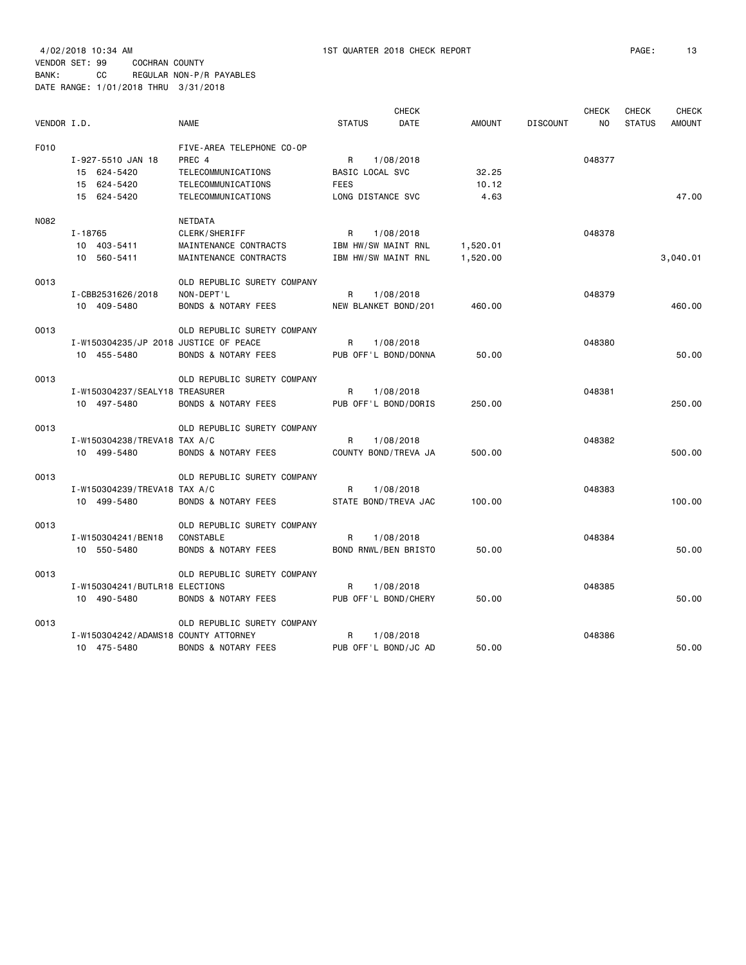| VENDOR I.D. |                                                                | <b>NAME</b>                                                                                           | <b>STATUS</b>                                            | <b>CHECK</b><br><b>DATE</b> | <b>AMOUNT</b>          | <b>DISCOUNT</b> | <b>CHECK</b><br>N <sub>O</sub> | CHECK<br><b>STATUS</b> | <b>CHECK</b><br><b>AMOUNT</b> |
|-------------|----------------------------------------------------------------|-------------------------------------------------------------------------------------------------------|----------------------------------------------------------|-----------------------------|------------------------|-----------------|--------------------------------|------------------------|-------------------------------|
| F010        | I-927-5510 JAN 18<br>15 624-5420<br>15 624-5420<br>15 624-5420 | FIVE-AREA TELEPHONE CO-OP<br>PREC 4<br>TELECOMMUNICATIONS<br>TELECOMMUNICATIONS<br>TELECOMMUNICATIONS | R<br>BASIC LOCAL SVC<br><b>FEES</b><br>LONG DISTANCE SVC | 1/08/2018                   | 32.25<br>10.12<br>4.63 |                 | 048377                         |                        | 47.00                         |
| N082        | $I - 18765$<br>10 403-5411<br>10 560-5411                      | NETDATA<br>CLERK/SHERIFF<br>MAINTENANCE CONTRACTS<br>MAINTENANCE CONTRACTS                            | R<br>IBM HW/SW MAINT RNL<br>IBM HW/SW MAINT RNL          | 1/08/2018                   | 1,520.01<br>1,520.00   |                 | 048378                         |                        | 3,040.01                      |
| 0013        | I-CBB2531626/2018<br>10 409-5480                               | OLD REPUBLIC SURETY COMPANY<br>NON-DEPT'L<br><b>BONDS &amp; NOTARY FEES</b>                           | R<br>NEW BLANKET BOND/201                                | 1/08/2018                   | 460.00                 |                 | 048379                         |                        | 460.00                        |
| 0013        | I-W150304235/JP 2018 JUSTICE OF PEACE<br>10 455-5480           | OLD REPUBLIC SURETY COMPANY<br><b>BONDS &amp; NOTARY FEES</b>                                         | R<br>PUB OFF'L BOND/DONNA                                | 1/08/2018                   | 50.00                  |                 | 048380                         |                        | 50.00                         |
| 0013        | I-W150304237/SEALY18 TREASURER<br>10 497-5480                  | OLD REPUBLIC SURETY COMPANY<br>BONDS & NOTARY FEES                                                    | R<br>PUB OFF'L BOND/DORIS                                | 1/08/2018                   | 250.00                 |                 | 048381                         |                        | 250.00                        |
| 0013        | I-W150304238/TREVA18 TAX A/C<br>10 499-5480                    | OLD REPUBLIC SURETY COMPANY<br><b>BONDS &amp; NOTARY FEES</b>                                         | R<br>COUNTY BOND/TREVA JA                                | 1/08/2018                   | 500.00                 |                 | 048382                         |                        | 500.00                        |
| 0013        | I-W150304239/TREVA18 TAX A/C<br>10 499-5480                    | OLD REPUBLIC SURETY COMPANY<br><b>BONDS &amp; NOTARY FEES</b>                                         | R<br>STATE BOND/TREVA JAC                                | 1/08/2018                   | 100.00                 |                 | 048383                         |                        | 100.00                        |
| 0013        | I-W150304241/BEN18<br>10 550-5480                              | OLD REPUBLIC SURETY COMPANY<br><b>CONSTABLE</b><br>BONDS & NOTARY FEES                                | R<br>BOND RNWL/BEN BRISTO                                | 1/08/2018                   | 50.00                  |                 | 048384                         |                        | 50.00                         |
| 0013        | I-W150304241/BUTLR18 ELECTIONS<br>10 490-5480                  | OLD REPUBLIC SURETY COMPANY<br><b>BONDS &amp; NOTARY FEES</b>                                         | R<br>PUB OFF'L BOND/CHERY                                | 1/08/2018                   | 50.00                  |                 | 048385                         |                        | 50.00                         |
| 0013        | I-W150304242/ADAMS18 COUNTY ATTORNEY<br>10 475-5480            | OLD REPUBLIC SURETY COMPANY<br><b>BONDS &amp; NOTARY FEES</b>                                         | R<br>PUB OFF'L BOND/JC AD                                | 1/08/2018                   | 50.00                  |                 | 048386                         |                        | 50.00                         |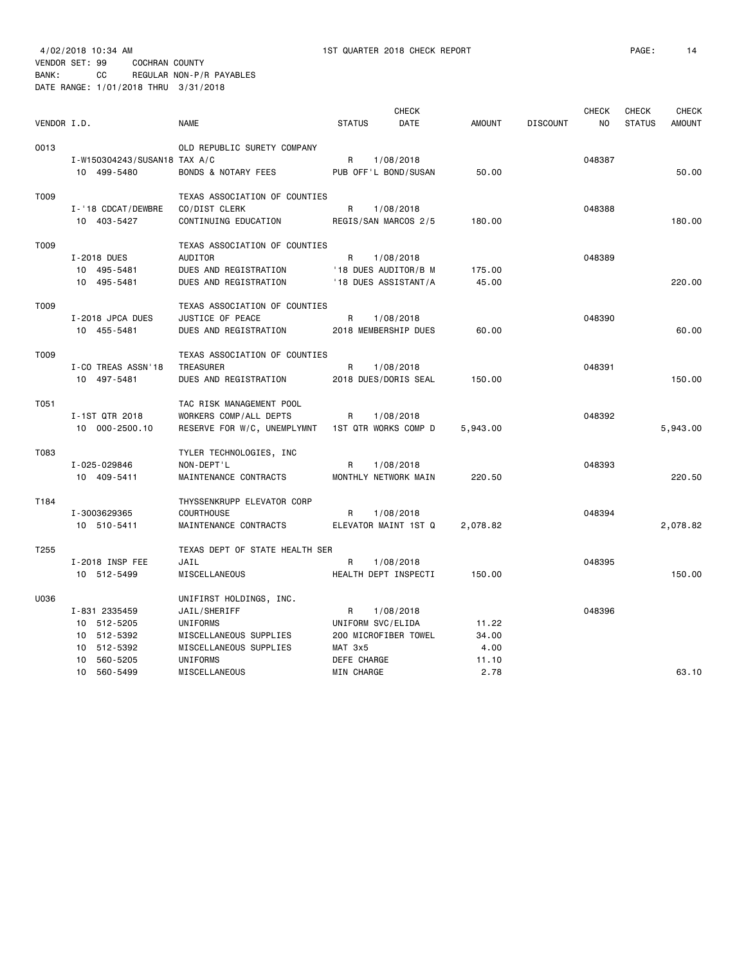## VENDOR SET: 99 COCHRAN COUNTY BANK: CC REGULAR NON-P/R PAYABLES

DATE RANGE: 1/01/2018 THRU 3/31/2018

|             |                                   |                                    |                   | <b>CHECK</b>                      |               |                 | <b>CHECK</b> | <b>CHECK</b>  | <b>CHECK</b>  |
|-------------|-----------------------------------|------------------------------------|-------------------|-----------------------------------|---------------|-----------------|--------------|---------------|---------------|
| VENDOR I.D. |                                   | <b>NAME</b>                        | <b>STATUS</b>     | DATE                              | <b>AMOUNT</b> | <b>DISCOUNT</b> | NO           | <b>STATUS</b> | <b>AMOUNT</b> |
|             |                                   |                                    |                   |                                   |               |                 |              |               |               |
| 0013        | I-W150304243/SUSAN18 TAX A/C      | OLD REPUBLIC SURETY COMPANY        | R                 |                                   |               |                 | 048387       |               |               |
|             | 10 499-5480                       | BONDS & NOTARY FEES                |                   | 1/08/2018<br>PUB OFF'L BOND/SUSAN | 50.00         |                 |              |               | 50.00         |
|             |                                   |                                    |                   |                                   |               |                 |              |               |               |
| T009        |                                   | TEXAS ASSOCIATION OF COUNTIES      |                   |                                   |               |                 |              |               |               |
|             | I-'18 CDCAT/DEWBRE                | CO/DIST CLERK                      | R                 | 1/08/2018                         |               |                 | 048388       |               |               |
|             | 10 403-5427                       | CONTINUING EDUCATION               |                   | REGIS/SAN MARCOS 2/5              | 180.00        |                 |              |               | 180.00        |
|             |                                   |                                    |                   |                                   |               |                 |              |               |               |
| T009        |                                   | TEXAS ASSOCIATION OF COUNTIES      |                   |                                   |               |                 |              |               |               |
|             | I-2018 DUES<br>10 495-5481        | AUDITOR<br>DUES AND REGISTRATION   | R                 | 1/08/2018<br>'18 DUES AUDITOR/B M | 175.00        |                 | 048389       |               |               |
|             | 10 495-5481                       | DUES AND REGISTRATION              |                   | '18 DUES ASSISTANT/A              | 45.00         |                 |              |               | 220,00        |
|             |                                   |                                    |                   |                                   |               |                 |              |               |               |
| T009        |                                   | TEXAS ASSOCIATION OF COUNTIES      |                   |                                   |               |                 |              |               |               |
|             | I-2018 JPCA DUES                  | JUSTICE OF PEACE                   | R                 | 1/08/2018                         |               |                 | 048390       |               |               |
|             | 10 455-5481                       | DUES AND REGISTRATION              |                   | 2018 MEMBERSHIP DUES              | 60.00         |                 |              |               | 60.00         |
|             |                                   |                                    |                   |                                   |               |                 |              |               |               |
| T009        |                                   | TEXAS ASSOCIATION OF COUNTIES      |                   |                                   |               |                 |              |               |               |
|             | I-CO TREAS ASSN'18<br>10 497-5481 | TREASURER<br>DUES AND REGISTRATION | R                 | 1/08/2018<br>2018 DUES/DORIS SEAL | 150.00        |                 | 048391       |               | 150.00        |
|             |                                   |                                    |                   |                                   |               |                 |              |               |               |
| T051        |                                   | TAC RISK MANAGEMENT POOL           |                   |                                   |               |                 |              |               |               |
|             | I-1ST QTR 2018                    | WORKERS COMP/ALL DEPTS             | R                 | 1/08/2018                         |               |                 | 048392       |               |               |
|             | 10 000-2500.10                    | RESERVE FOR W/C, UNEMPLYMNT        |                   | 1ST QTR WORKS COMP D              | 5,943.00      |                 |              |               | 5,943.00      |
|             |                                   |                                    |                   |                                   |               |                 |              |               |               |
| T083        |                                   | TYLER TECHNOLOGIES, INC            |                   |                                   |               |                 |              |               |               |
|             | I-025-029846                      | NON-DEPT'L                         | R                 | 1/08/2018                         |               |                 | 048393       |               |               |
|             | 10 409-5411                       | MAINTENANCE CONTRACTS              |                   | MONTHLY NETWORK MAIN              | 220.50        |                 |              |               | 220.50        |
| T184        |                                   | THYSSENKRUPP ELEVATOR CORP         |                   |                                   |               |                 |              |               |               |
|             | I-3003629365                      | <b>COURTHOUSE</b>                  | R                 | 1/08/2018                         |               |                 | 048394       |               |               |
|             | 10 510-5411                       | MAINTENANCE CONTRACTS              |                   | ELEVATOR MAINT 1ST Q              | 2,078.82      |                 |              |               | 2,078.82      |
|             |                                   |                                    |                   |                                   |               |                 |              |               |               |
| T255        |                                   | TEXAS DEPT OF STATE HEALTH SER     |                   |                                   |               |                 |              |               |               |
|             | I-2018 INSP FEE                   | JAIL                               | R                 | 1/08/2018                         |               |                 | 048395       |               |               |
|             | 10 512-5499                       | MISCELLANEOUS                      |                   | HEALTH DEPT INSPECTI              | 150.00        |                 |              |               | 150.00        |
| U036        |                                   | UNIFIRST HOLDINGS, INC.            |                   |                                   |               |                 |              |               |               |
|             | I-831 2335459                     | JAIL/SHERIFF                       | R                 | 1/08/2018                         |               |                 | 048396       |               |               |
|             | 10 512-5205                       | UNIFORMS                           | UNIFORM SVC/ELIDA |                                   | 11.22         |                 |              |               |               |
|             | 10 512-5392                       | MISCELLANEOUS SUPPLIES             |                   | 200 MICROFIBER TOWEL              | 34.00         |                 |              |               |               |
|             | 10 512-5392                       | MISCELLANEOUS SUPPLIES             | MAT 3x5           |                                   | 4.00          |                 |              |               |               |
|             | 10 560-5205                       | UNIFORMS                           | DEFE CHARGE       |                                   | 11.10         |                 |              |               |               |
|             | 10 560-5499                       | MISCELLANEOUS                      | MIN CHARGE        |                                   | 2.78          |                 |              |               | 63.10         |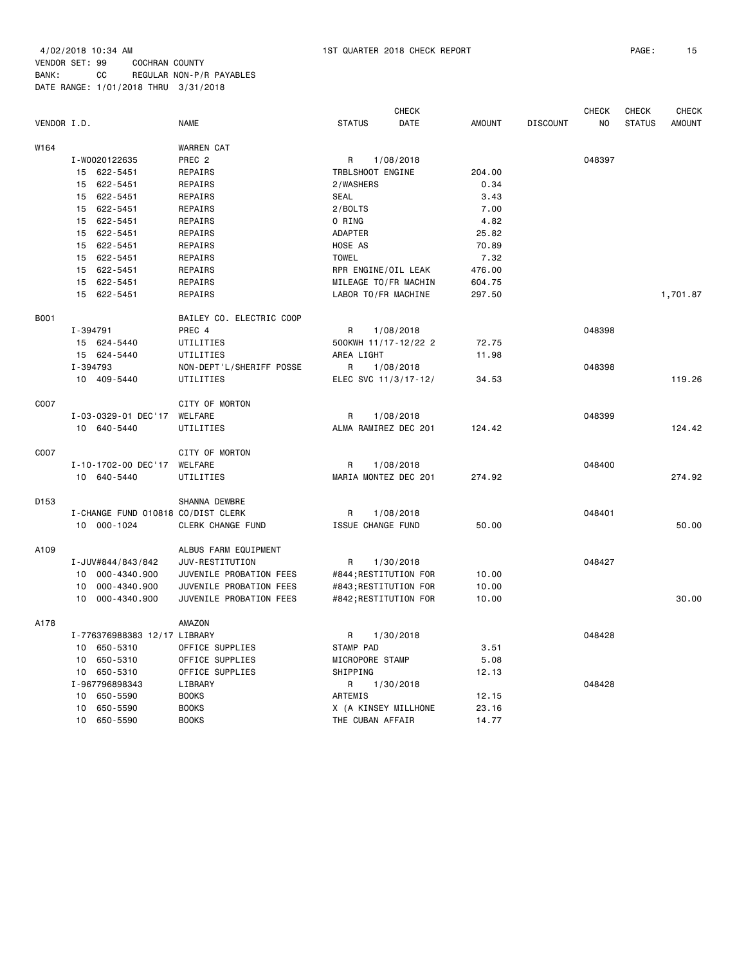4/02/2018 10:34 AM 1ST QUARTER 2018 CHECK REPORT PAGE: 15 VENDOR SET: 99 COCHRAN COUNTY BANK: CC REGULAR NON-P/R PAYABLES

DATE RANGE: 1/01/2018 THRU 3/31/2018

|             |          |                                    |                          |                       | <b>CHECK</b> |               |                 | <b>CHECK</b>   | CHECK         | <b>CHECK</b>  |
|-------------|----------|------------------------------------|--------------------------|-----------------------|--------------|---------------|-----------------|----------------|---------------|---------------|
| VENDOR I.D. |          |                                    | <b>NAME</b>              | <b>STATUS</b>         | <b>DATE</b>  | <b>AMOUNT</b> | <b>DISCOUNT</b> | N <sub>O</sub> | <b>STATUS</b> | <b>AMOUNT</b> |
| W164        |          |                                    | <b>WARREN CAT</b>        |                       |              |               |                 |                |               |               |
|             |          | I-W0020122635                      | PREC <sub>2</sub>        | R                     | 1/08/2018    |               |                 | 048397         |               |               |
|             |          | 15 622-5451                        | REPAIRS                  | TRBLSHOOT ENGINE      |              | 204.00        |                 |                |               |               |
|             |          | 15 622-5451                        | REPAIRS                  | 2/WASHERS             |              | 0.34          |                 |                |               |               |
|             |          | 15 622-5451                        | REPAIRS                  | <b>SEAL</b>           |              | 3.43          |                 |                |               |               |
|             |          | 15 622-5451                        | REPAIRS                  | 2/BOLTS               |              | 7.00          |                 |                |               |               |
|             | 15       | 622-5451                           | REPAIRS                  | O RING                |              | 4.82          |                 |                |               |               |
|             |          | 15 622-5451                        | REPAIRS                  | <b>ADAPTER</b>        |              | 25.82         |                 |                |               |               |
|             | 15       | 622-5451                           | REPAIRS                  | HOSE AS               |              | 70.89         |                 |                |               |               |
|             |          | 15 622-5451                        | REPAIRS                  | <b>TOWEL</b>          |              | 7.32          |                 |                |               |               |
|             |          | 15 622-5451                        | REPAIRS                  | RPR ENGINE/OIL LEAK   |              | 476.00        |                 |                |               |               |
|             |          | 15 622-5451                        | REPAIRS                  | MILEAGE TO/FR MACHIN  |              | 604.75        |                 |                |               |               |
|             |          | 15 622-5451                        | REPAIRS                  | LABOR TO/FR MACHINE   |              | 297.50        |                 |                |               | 1,701.87      |
| <b>B001</b> |          |                                    | BAILEY CO. ELECTRIC COOP |                       |              |               |                 |                |               |               |
|             | I-394791 |                                    | PREC 4                   | R                     | 1/08/2018    |               |                 | 048398         |               |               |
|             |          | 15 624-5440                        | UTILITIES                | 500KWH 11/17-12/22 2  |              | 72.75         |                 |                |               |               |
|             |          | 15 624-5440                        | UTILITIES                | AREA LIGHT            |              | 11.98         |                 |                |               |               |
|             |          | I-394793                           | NON-DEPT'L/SHERIFF POSSE | R                     | 1/08/2018    |               |                 | 048398         |               |               |
|             |          | 10 409-5440                        | UTILITIES                | ELEC SVC 11/3/17-12/  |              | 34.53         |                 |                |               | 119.26        |
| C007        |          |                                    | CITY OF MORTON           |                       |              |               |                 |                |               |               |
|             |          | I-03-0329-01 DEC'17                | WELFARE                  | R                     | 1/08/2018    |               |                 | 048399         |               |               |
|             |          | 10 640-5440                        | UTILITIES                | ALMA RAMIREZ DEC 201  |              | 124.42        |                 |                |               | 124.42        |
| C007        |          |                                    | CITY OF MORTON           |                       |              |               |                 |                |               |               |
|             |          | I-10-1702-00 DEC'17                | WELFARE                  | R                     | 1/08/2018    |               |                 | 048400         |               |               |
|             |          | 10 640-5440                        | UTILITIES                | MARIA MONTEZ DEC 201  |              | 274.92        |                 |                |               | 274.92        |
| D153        |          |                                    | SHANNA DEWBRE            |                       |              |               |                 |                |               |               |
|             |          | I-CHANGE FUND 010818 CO/DIST CLERK |                          | R                     | 1/08/2018    |               |                 | 048401         |               |               |
|             |          | 10 000-1024                        | CLERK CHANGE FUND        | ISSUE CHANGE FUND     |              | 50.00         |                 |                |               | 50.00         |
| A109        |          |                                    | ALBUS FARM EQUIPMENT     |                       |              |               |                 |                |               |               |
|             |          | I-JUV#844/843/842                  | JUV-RESTITUTION          | R                     | 1/30/2018    |               |                 | 048427         |               |               |
|             |          | 10 000-4340.900                    | JUVENILE PROBATION FEES  | #844; RESTITUTION FOR |              | 10.00         |                 |                |               |               |
|             | 10       | 000-4340.900                       | JUVENILE PROBATION FEES  | #843; RESTITUTION FOR |              | 10.00         |                 |                |               |               |
|             | 10       | 000-4340.900                       | JUVENILE PROBATION FEES  | #842; RESTITUTION FOR |              | 10.00         |                 |                |               | 30.00         |
| A178        |          |                                    | AMAZON                   |                       |              |               |                 |                |               |               |
|             |          | I-776376988383 12/17 LIBRARY       |                          | R                     | 1/30/2018    |               |                 | 048428         |               |               |
|             | 10       | 650-5310                           | OFFICE SUPPLIES          | STAMP PAD             |              | 3.51          |                 |                |               |               |
|             | 10       | 650-5310                           | OFFICE SUPPLIES          | MICROPORE STAMP       |              | 5.08          |                 |                |               |               |
|             | 10       | 650-5310                           | OFFICE SUPPLIES          | SHIPPING              |              | 12.13         |                 |                |               |               |
|             |          | I-967796898343                     | LIBRARY                  | R                     | 1/30/2018    |               |                 | 048428         |               |               |
|             | 10       | 650-5590                           | <b>BOOKS</b>             | ARTEMIS               |              | 12.15         |                 |                |               |               |
|             | 10       | 650-5590                           | <b>BOOKS</b>             | X (A KINSEY MILLHONE  |              | 23.16         |                 |                |               |               |
|             |          | 10 650-5590                        | <b>BOOKS</b>             | THE CUBAN AFFAIR      |              | 14.77         |                 |                |               |               |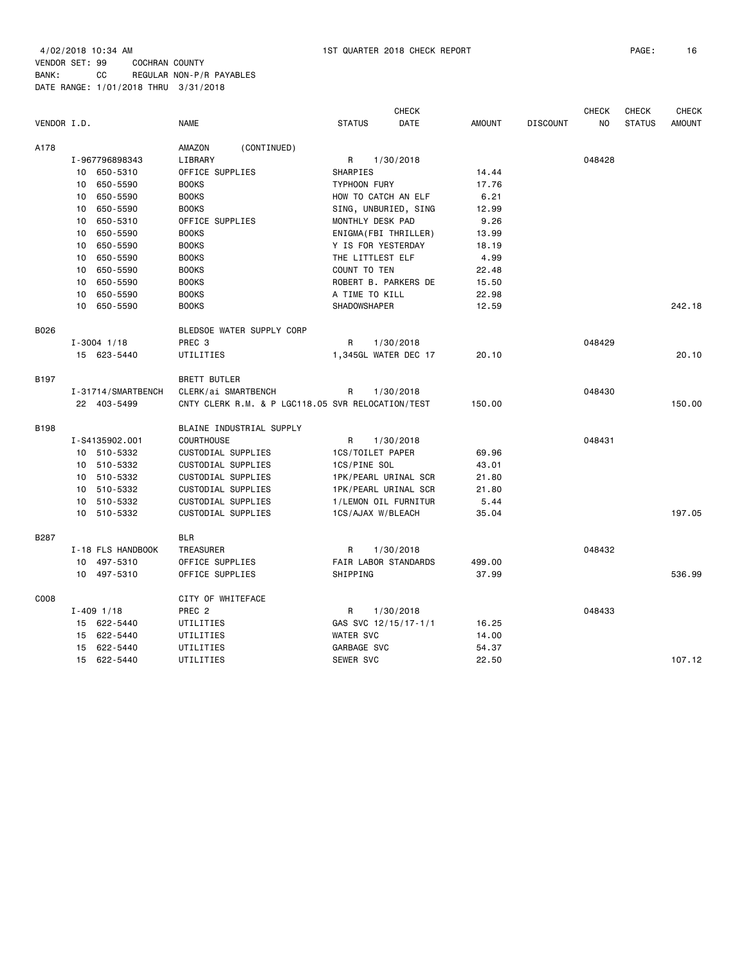|             |                    |                                                   |                       | <b>CHECK</b> |               |                 | <b>CHECK</b> | <b>CHECK</b>  | <b>CHECK</b>  |
|-------------|--------------------|---------------------------------------------------|-----------------------|--------------|---------------|-----------------|--------------|---------------|---------------|
| VENDOR I.D. |                    | <b>NAME</b>                                       | <b>STATUS</b>         | <b>DATE</b>  | <b>AMOUNT</b> | <b>DISCOUNT</b> | NO.          | <b>STATUS</b> | <b>AMOUNT</b> |
| A178        |                    | AMAZON<br>(CONTINUED)                             |                       |              |               |                 |              |               |               |
|             | I-967796898343     | LIBRARY                                           | R                     | 1/30/2018    |               |                 | 048428       |               |               |
|             | 10 650-5310        | OFFICE SUPPLIES                                   | SHARPIES              |              | 14.44         |                 |              |               |               |
|             | 10 650-5590        | <b>BOOKS</b>                                      | <b>TYPHOON FURY</b>   |              | 17.76         |                 |              |               |               |
|             | 10 650-5590        | <b>BOOKS</b>                                      | HOW TO CATCH AN ELF   |              | 6.21          |                 |              |               |               |
|             | 650-5590<br>10     | <b>BOOKS</b>                                      | SING, UNBURIED, SING  |              | 12.99         |                 |              |               |               |
|             | 650-5310<br>10     | OFFICE SUPPLIES                                   | MONTHLY DESK PAD      |              | 9.26          |                 |              |               |               |
|             | 650-5590<br>10     | <b>BOOKS</b>                                      | ENIGMA (FBI THRILLER) |              | 13.99         |                 |              |               |               |
|             | 10 650-5590        | <b>BOOKS</b>                                      | Y IS FOR YESTERDAY    |              | 18.19         |                 |              |               |               |
|             | 10 650-5590        | <b>BOOKS</b>                                      | THE LITTLEST ELF      |              | 4.99          |                 |              |               |               |
|             | 10 650-5590        | <b>BOOKS</b>                                      | COUNT TO TEN          |              | 22.48         |                 |              |               |               |
|             | 650-5590<br>10     | <b>BOOKS</b>                                      | ROBERT B. PARKERS DE  |              | 15.50         |                 |              |               |               |
|             | 650-5590<br>10     | <b>BOOKS</b>                                      | A TIME TO KILL        |              | 22.98         |                 |              |               |               |
|             | 10 650-5590        | <b>BOOKS</b>                                      | SHADOWSHAPER          |              | 12.59         |                 |              |               | 242.18        |
| B026        |                    | BLEDSOE WATER SUPPLY CORP                         |                       |              |               |                 |              |               |               |
|             | $I - 3004$ 1/18    | PREC 3                                            | R                     | 1/30/2018    |               |                 | 048429       |               |               |
|             | 15 623-5440        | UTILITIES                                         | 1,345GL WATER DEC 17  |              | 20.10         |                 |              |               | 20.10         |
| B197        |                    | BRETT BUTLER                                      |                       |              |               |                 |              |               |               |
|             | I-31714/SMARTBENCH | CLERK/ai SMARTBENCH                               | R                     | 1/30/2018    |               |                 | 048430       |               |               |
|             | 22 403-5499        | CNTY CLERK R.M. & P LGC118.05 SVR RELOCATION/TEST |                       |              | 150.00        |                 |              |               | 150.00        |
| B198        |                    | BLAINE INDUSTRIAL SUPPLY                          |                       |              |               |                 |              |               |               |
|             | I-S4135902.001     | COURTHOUSE                                        | R                     | 1/30/2018    |               |                 | 048431       |               |               |
|             | 10 510-5332        | CUSTODIAL SUPPLIES                                | 1CS/TOILET PAPER      |              | 69.96         |                 |              |               |               |
|             | 10 510-5332        | CUSTODIAL SUPPLIES                                | 1CS/PINE SOL          |              | 43.01         |                 |              |               |               |
|             | 10 510-5332        | CUSTODIAL SUPPLIES                                | 1PK/PEARL URINAL SCR  |              | 21.80         |                 |              |               |               |
|             | 10 510-5332        | CUSTODIAL SUPPLIES                                | 1PK/PEARL URINAL SCR  |              | 21.80         |                 |              |               |               |
|             | 10 510-5332        | CUSTODIAL SUPPLIES                                | 1/LEMON OIL FURNITUR  |              | 5.44          |                 |              |               |               |
|             | 10 510-5332        | CUSTODIAL SUPPLIES                                | 1CS/AJAX W/BLEACH     |              | 35.04         |                 |              |               | 197.05        |
| <b>B287</b> |                    | <b>BLR</b>                                        |                       |              |               |                 |              |               |               |
|             | I-18 FLS HANDBOOK  | TREASURER                                         | R                     | 1/30/2018    |               |                 | 048432       |               |               |
|             | 10 497-5310        | OFFICE SUPPLIES                                   | FAIR LABOR STANDARDS  |              | 499.00        |                 |              |               |               |
|             | 10 497-5310        | OFFICE SUPPLIES                                   | SHIPPING              |              | 37.99         |                 |              |               | 536.99        |
| C008        |                    | CITY OF WHITEFACE                                 |                       |              |               |                 |              |               |               |
|             | $I - 409$ 1/18     | PREC <sub>2</sub>                                 | R                     | 1/30/2018    |               |                 | 048433       |               |               |
|             | 15 622-5440        | UTILITIES                                         | GAS SVC 12/15/17-1/1  |              | 16.25         |                 |              |               |               |
|             | 15 622-5440        | UTILITIES                                         | <b>WATER SVC</b>      |              | 14.00         |                 |              |               |               |
|             | 15 622-5440        | UTILITIES                                         | GARBAGE SVC           |              | 54.37         |                 |              |               |               |
|             | 15 622-5440        | UTILITIES                                         | SEWER SVC             |              | 22.50         |                 |              |               | 107.12        |
|             |                    |                                                   |                       |              |               |                 |              |               |               |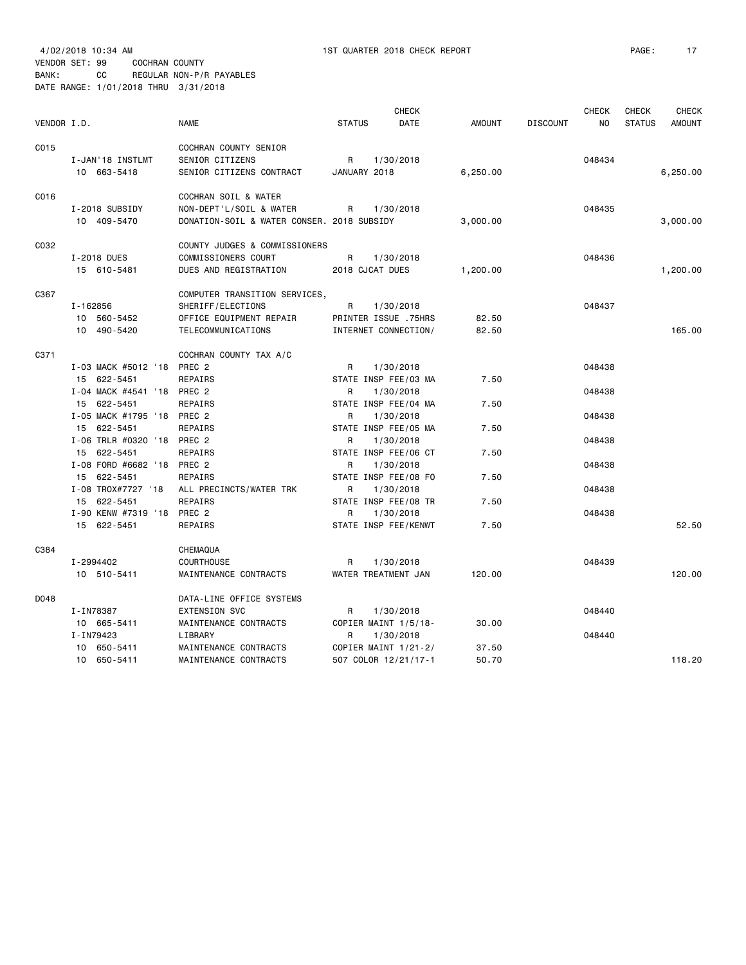VENDOR SET: 99 COCHRAN COUNTY

BANK: CC REGULAR NON-P/R PAYABLES

|             | DATE RANGE: 1/01/2018 THRU 3/31/2018 |                                            |                 |                                   |               |                 |              |               |               |
|-------------|--------------------------------------|--------------------------------------------|-----------------|-----------------------------------|---------------|-----------------|--------------|---------------|---------------|
|             |                                      |                                            |                 | <b>CHECK</b>                      |               |                 | <b>CHECK</b> | <b>CHECK</b>  | CHECK         |
| VENDOR I.D. |                                      | <b>NAME</b>                                | <b>STATUS</b>   | <b>DATE</b>                       | <b>AMOUNT</b> | <b>DISCOUNT</b> | NO.          | <b>STATUS</b> | <b>AMOUNT</b> |
| C015        |                                      | COCHRAN COUNTY SENIOR                      |                 |                                   |               |                 |              |               |               |
|             | I-JAN'18 INSTLMT                     | SENIOR CITIZENS                            | R               | 1/30/2018                         |               |                 | 048434       |               |               |
|             | 10 663-5418                          | SENIOR CITIZENS CONTRACT                   | JANUARY 2018    |                                   | 6,250.00      |                 |              |               | 6,250.00      |
| C016        |                                      | COCHRAN SOIL & WATER                       |                 |                                   |               |                 |              |               |               |
|             | I-2018 SUBSIDY                       | NON-DEPT'L/SOIL & WATER                    | R               | 1/30/2018                         |               |                 | 048435       |               |               |
|             | 10 409-5470                          | DONATION-SOIL & WATER CONSER. 2018 SUBSIDY |                 |                                   | 3,000.00      |                 |              |               | 3,000.00      |
| C032        |                                      | COUNTY JUDGES & COMMISSIONERS              |                 |                                   |               |                 |              |               |               |
|             | I-2018 DUES                          | COMMISSIONERS COURT                        | R               | 1/30/2018                         |               |                 | 048436       |               |               |
|             | 15 610-5481                          | DUES AND REGISTRATION                      | 2018 CJCAT DUES |                                   | 1,200.00      |                 |              |               | 1,200.00      |
|             |                                      |                                            |                 |                                   |               |                 |              |               |               |
| C367        |                                      | COMPUTER TRANSITION SERVICES,              |                 |                                   |               |                 |              |               |               |
|             | I-162856                             | SHERIFF/ELECTIONS                          | R               | 1/30/2018                         |               |                 | 048437       |               |               |
|             | 10 560-5452                          | OFFICE EQUIPMENT REPAIR                    |                 | PRINTER ISSUE .75HRS              | 82.50         |                 |              |               |               |
|             | 10 490-5420                          | TELECOMMUNICATIONS                         |                 | INTERNET CONNECTION/              | 82.50         |                 |              |               | 165,00        |
| C371        |                                      | COCHRAN COUNTY TAX A/C                     |                 |                                   |               |                 |              |               |               |
|             | I-03 MACK #5012 '18 PREC 2           |                                            | R               | 1/30/2018                         |               |                 | 048438       |               |               |
|             | 15 622-5451                          | REPAIRS                                    |                 | STATE INSP FEE/03 MA              | 7.50          |                 |              |               |               |
|             | I-04 MACK #4541 '18 PREC 2           |                                            | R               | 1/30/2018                         |               |                 | 048438       |               |               |
|             | 15 622-5451                          | REPAIRS                                    |                 | STATE INSP FEE/04 MA              | 7.50          |                 |              |               |               |
|             | I-05 MACK #1795 '18 PREC 2           |                                            | R               | 1/30/2018                         |               |                 | 048438       |               |               |
|             | 15 622-5451                          | REPAIRS                                    |                 | STATE INSP FEE/05 MA              | 7.50          |                 |              |               |               |
|             | I-06 TRLR #0320 '18 PREC 2           |                                            | R               | 1/30/2018                         |               |                 | 048438       |               |               |
|             | 15 622-5451                          | REPAIRS                                    |                 | STATE INSP FEE/06 CT              | 7.50          |                 |              |               |               |
|             | I-08 FORD #6682 '18                  | PREC <sub>2</sub>                          | R               | 1/30/2018                         |               |                 | 048438       |               |               |
|             | 15 622-5451                          | REPAIRS                                    |                 | STATE INSP FEE/08 FO              | 7.50          |                 |              |               |               |
|             | I-08 TROX#7727 '18                   | ALL PRECINCTS/WATER TRK                    | R               | 1/30/2018                         |               |                 | 048438       |               |               |
|             | 15 622-5451<br>I-90 KENW #7319 '18   | REPAIRS<br>PREC 2                          | R               | STATE INSP FEE/08 TR<br>1/30/2018 | 7.50          |                 | 048438       |               |               |
|             | 15 622-5451                          | REPAIRS                                    |                 | STATE INSP FEE/KENWT              | 7.50          |                 |              |               | 52.50         |
|             |                                      |                                            |                 |                                   |               |                 |              |               |               |
| C384        |                                      | CHEMAQUA                                   |                 |                                   |               |                 |              |               |               |
|             | I-2994402                            | <b>COURTHOUSE</b>                          | R               | 1/30/2018                         |               |                 | 048439       |               |               |
|             | 10 510-5411                          | MAINTENANCE CONTRACTS                      |                 | WATER TREATMENT JAN               | 120.00        |                 |              |               | 120.00        |
| D048        |                                      | DATA-LINE OFFICE SYSTEMS                   |                 |                                   |               |                 |              |               |               |
|             | I-IN78387                            | EXTENSION SVC                              | R               | 1/30/2018                         |               |                 | 048440       |               |               |
|             | 10 665-5411                          | MAINTENANCE CONTRACTS                      |                 | COPIER MAINT 1/5/18-              | 30.00         |                 |              |               |               |
|             | I-IN79423                            | LIBRARY                                    | R               | 1/30/2018                         |               |                 | 048440       |               |               |
|             | 10 650-5411                          | MAINTENANCE CONTRACTS                      |                 | COPIER MAINT 1/21-2/              | 37.50         |                 |              |               |               |
|             | 10 650-5411                          | MAINTENANCE CONTRACTS                      |                 | 507 COLOR 12/21/17-1              | 50.70         |                 |              |               | 118.20        |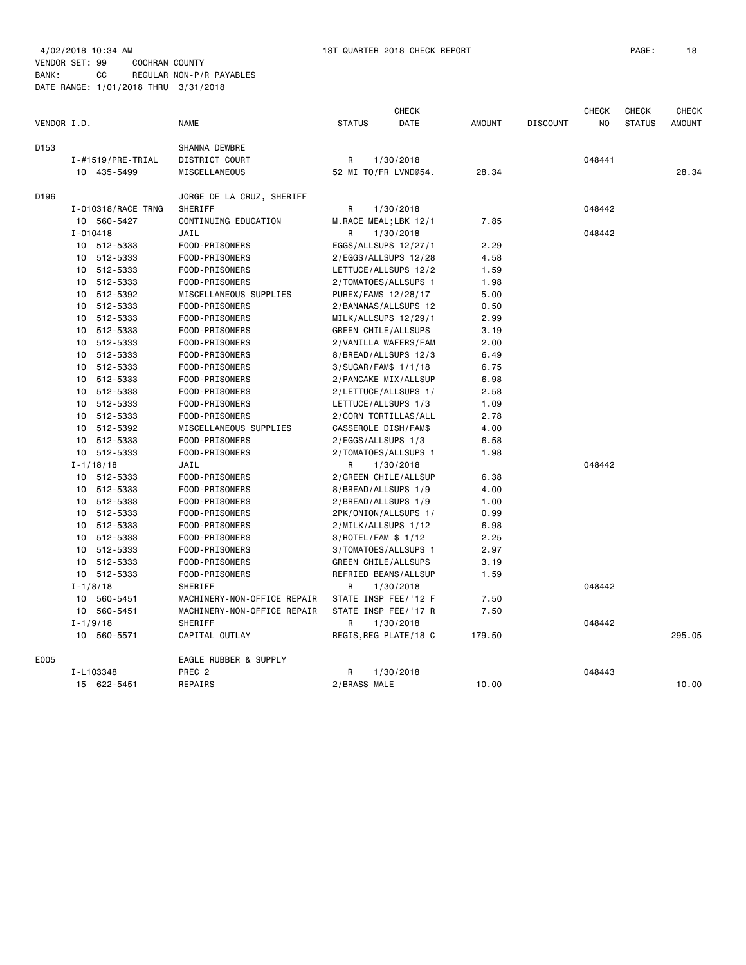| VENDOR I.D. |                           | <b>NAME</b>                 | <b>STATUS</b>         | <b>CHECK</b><br><b>DATE</b> | <b>AMOUNT</b> | <b>DISCOUNT</b> | <b>CHECK</b><br>N <sub>O</sub> | <b>CHECK</b><br><b>STATUS</b> | <b>CHECK</b><br><b>AMOUNT</b> |
|-------------|---------------------------|-----------------------------|-----------------------|-----------------------------|---------------|-----------------|--------------------------------|-------------------------------|-------------------------------|
| D153        |                           | SHANNA DEWBRE               |                       |                             |               |                 |                                |                               |                               |
|             | $I - #1519$ / PRE - TRIAL | DISTRICT COURT              | R                     | 1/30/2018                   |               |                 | 048441                         |                               |                               |
|             | 10 435-5499               | MISCELLANEOUS               | 52 MI TO/FR LVND@54.  |                             | 28.34         |                 |                                |                               | 28.34                         |
| D196        |                           | JORGE DE LA CRUZ, SHERIFF   |                       |                             |               |                 |                                |                               |                               |
|             | I-010318/RACE TRNG        | SHERIFF                     | R                     | 1/30/2018                   |               |                 | 048442                         |                               |                               |
|             | 10 560-5427               | CONTINUING EDUCATION        | M.RACE MEAL;LBK 12/1  |                             | 7.85          |                 |                                |                               |                               |
|             | $I - 010418$              | JAIL                        | R                     | 1/30/2018                   |               |                 | 048442                         |                               |                               |
|             | 10 512-5333               | FOOD-PRISONERS              | EGGS/ALLSUPS 12/27/1  |                             | 2.29          |                 |                                |                               |                               |
|             | 10 512-5333               | FOOD-PRISONERS              | 2/EGGS/ALLSUPS 12/28  |                             | 4.58          |                 |                                |                               |                               |
|             | 10 512-5333               | FOOD-PRISONERS              | LETTUCE/ALLSUPS 12/2  |                             | 1.59          |                 |                                |                               |                               |
|             | 10 512-5333               | FOOD-PRISONERS              | 2/TOMATOES/ALLSUPS 1  |                             | 1.98          |                 |                                |                               |                               |
|             | 10 512-5392               | MISCELLANEOUS SUPPLIES      | PUREX/FAM\$ 12/28/17  |                             | 5.00          |                 |                                |                               |                               |
|             | 10 512-5333               | FOOD-PRISONERS              | 2/BANANAS/ALLSUPS 12  |                             | 0.50          |                 |                                |                               |                               |
|             | 512-5333<br>10            | FOOD-PRISONERS              | MILK/ALLSUPS 12/29/1  |                             | 2.99          |                 |                                |                               |                               |
|             | 10 512-5333               | FOOD-PRISONERS              | GREEN CHILE/ALLSUPS   |                             | 3.19          |                 |                                |                               |                               |
|             | 10 512-5333               | FOOD-PRISONERS              | 2/VANILLA WAFERS/FAM  |                             | 2.00          |                 |                                |                               |                               |
|             | 10 512-5333               | FOOD-PRISONERS              | 8/BREAD/ALLSUPS 12/3  |                             | 6.49          |                 |                                |                               |                               |
|             | 10 512-5333               | FOOD-PRISONERS              | 3/SUGAR/FAM\$ 1/1/18  |                             | 6.75          |                 |                                |                               |                               |
|             | 10 512-5333               | FOOD-PRISONERS              | 2/PANCAKE MIX/ALLSUP  |                             | 6.98          |                 |                                |                               |                               |
|             | 10 512-5333               | FOOD-PRISONERS              | 2/LETTUCE/ALLSUPS 1/  |                             | 2.58          |                 |                                |                               |                               |
|             | 10 512-5333               | FOOD-PRISONERS              | LETTUCE/ALLSUPS 1/3   |                             | 1.09          |                 |                                |                               |                               |
|             | 512-5333<br>10            | FOOD-PRISONERS              | 2/CORN TORTILLAS/ALL  |                             | 2.78          |                 |                                |                               |                               |
|             | 10<br>512-5392            | MISCELLANEOUS SUPPLIES      | CASSEROLE DISH/FAM\$  |                             | 4.00          |                 |                                |                               |                               |
|             | 10 512-5333               | FOOD-PRISONERS              | 2/EGGS/ALLSUPS 1/3    |                             | 6.58          |                 |                                |                               |                               |
|             | 10 512-5333               | FOOD-PRISONERS              | 2/TOMATOES/ALLSUPS 1  |                             | 1.98          |                 |                                |                               |                               |
|             | $I - 1/18/18$             | JAIL                        | R                     | 1/30/2018                   |               |                 | 048442                         |                               |                               |
|             | 10 512-5333               | FOOD-PRISONERS              | 2/GREEN CHILE/ALLSUP  |                             | 6.38          |                 |                                |                               |                               |
|             | 10 512-5333               | FOOD-PRISONERS              | 8/BREAD/ALLSUPS 1/9   |                             | 4.00          |                 |                                |                               |                               |
|             | 10 512-5333               | FOOD-PRISONERS              | 2/BREAD/ALLSUPS 1/9   |                             | 1.00          |                 |                                |                               |                               |
|             | 10 512-5333               | FOOD-PRISONERS              | 2PK/ONION/ALLSUPS 1/  |                             | 0.99          |                 |                                |                               |                               |
|             | 512-5333<br>10            | FOOD-PRISONERS              | 2/MILK/ALLSUPS 1/12   |                             | 6.98          |                 |                                |                               |                               |
|             | 10 512-5333               | FOOD-PRISONERS              | 3/ROTEL/FAM \$ 1/12   |                             | 2.25          |                 |                                |                               |                               |
|             | 10 512-5333               | FOOD-PRISONERS              | 3/TOMATOES/ALLSUPS 1  |                             | 2.97          |                 |                                |                               |                               |
|             | 10 512-5333               | FOOD-PRISONERS              | GREEN CHILE/ALLSUPS   |                             | 3.19          |                 |                                |                               |                               |
|             | 10 512-5333               | FOOD-PRISONERS              | REFRIED BEANS/ALLSUP  |                             | 1.59          |                 |                                |                               |                               |
|             | $I - 1/8/18$              | SHERIFF                     | R                     | 1/30/2018                   |               |                 | 048442                         |                               |                               |
|             | 10 560-5451               | MACHINERY-NON-OFFICE REPAIR | STATE INSP FEE/'12 F  |                             | 7.50          |                 |                                |                               |                               |
|             | 10<br>560-5451            | MACHINERY-NON-OFFICE REPAIR | STATE INSP FEE/'17 R  |                             | 7.50          |                 |                                |                               |                               |
|             | $I - 1/9/18$              | <b>SHERIFF</b>              | R                     | 1/30/2018                   |               |                 | 048442                         |                               |                               |
|             | 10 560-5571               | CAPITAL OUTLAY              | REGIS, REG PLATE/18 C |                             | 179.50        |                 |                                |                               | 295.05                        |
| E005        |                           | EAGLE RUBBER & SUPPLY       |                       |                             |               |                 |                                |                               |                               |
|             | I-L103348                 | PREC <sub>2</sub>           | R                     | 1/30/2018                   |               |                 | 048443                         |                               |                               |
|             | 15 622-5451               | REPAIRS                     | 2/BRASS MALE          |                             | 10.00         |                 |                                |                               | 10.00                         |
|             |                           |                             |                       |                             |               |                 |                                |                               |                               |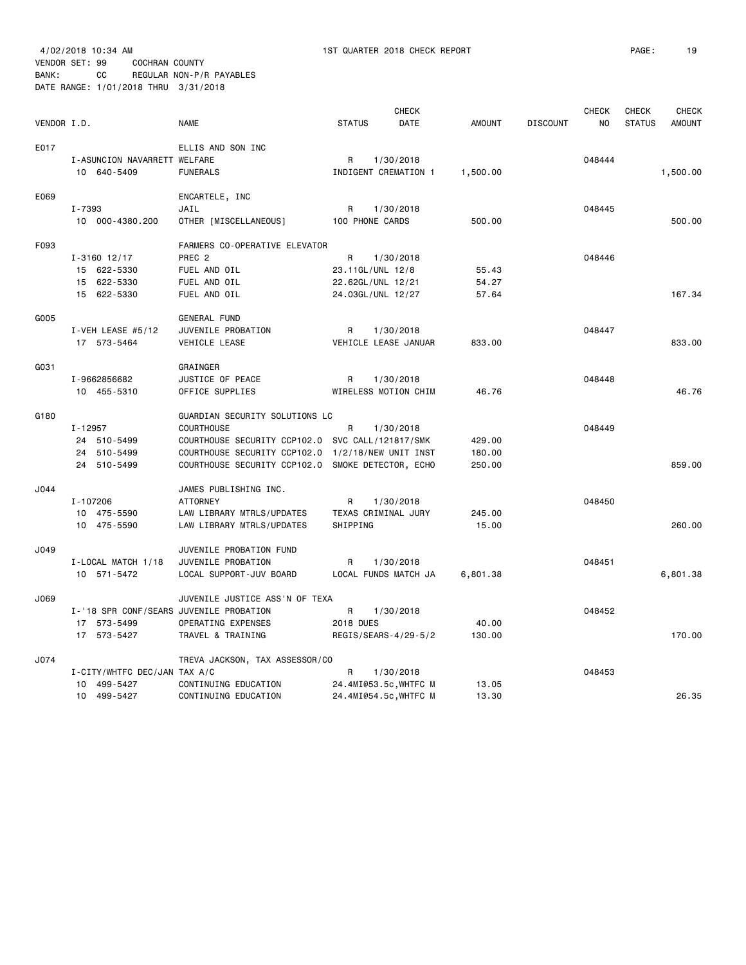VENDOR SET: 99 COCHRAN COUNTY BANK: CC REGULAR NON-P/R PAYABLES

DATE RANGE: 1/01/2018 THRU 3/31/2018

|             |                                         |                                                   |                       | <b>CHECK</b> |               |                 | <b>CHECK</b> | <b>CHECK</b>  | <b>CHECK</b>  |
|-------------|-----------------------------------------|---------------------------------------------------|-----------------------|--------------|---------------|-----------------|--------------|---------------|---------------|
| VENDOR I.D. |                                         | <b>NAME</b>                                       | <b>STATUS</b>         | <b>DATE</b>  | <b>AMOUNT</b> | <b>DISCOUNT</b> | NO.          | <b>STATUS</b> | <b>AMOUNT</b> |
| E017        |                                         | ELLIS AND SON INC                                 |                       |              |               |                 |              |               |               |
|             | I-ASUNCION NAVARRETT WELFARE            |                                                   | R                     | 1/30/2018    |               |                 | 048444       |               |               |
|             | 10 640-5409                             | <b>FUNERALS</b>                                   | INDIGENT CREMATION 1  |              | 1,500.00      |                 |              |               | 1,500.00      |
|             |                                         |                                                   |                       |              |               |                 |              |               |               |
| E069        |                                         | ENCARTELE, INC                                    |                       |              |               |                 |              |               |               |
|             | I-7393                                  | JAIL                                              | R                     | 1/30/2018    |               |                 | 048445       |               |               |
|             | 10 000-4380.200                         | OTHER [MISCELLANEOUS]                             | 100 PHONE CARDS       |              | 500.00        |                 |              |               | 500.00        |
| F093        |                                         | FARMERS CO-OPERATIVE ELEVATOR                     |                       |              |               |                 |              |               |               |
|             | $I - 3160$ 12/17                        | PREC <sub>2</sub>                                 | R                     | 1/30/2018    |               |                 | 048446       |               |               |
|             | 15 622-5330                             | FUEL AND OIL                                      | 23.11GL/UNL 12/8      |              | 55.43         |                 |              |               |               |
|             | 15 622-5330                             | FUEL AND OIL                                      | 22.62GL/UNL 12/21     |              | 54.27         |                 |              |               |               |
|             | 15 622-5330                             |                                                   |                       |              |               |                 |              |               | 167.34        |
|             |                                         | FUEL AND OIL                                      | 24.03GL/UNL 12/27     |              | 57.64         |                 |              |               |               |
| G005        |                                         | <b>GENERAL FUND</b>                               |                       |              |               |                 |              |               |               |
|             | I-VEH LEASE #5/12                       | JUVENILE PROBATION                                | R                     | 1/30/2018    |               |                 | 048447       |               |               |
|             | 17 573-5464                             | VEHICLE LEASE                                     | VEHICLE LEASE JANUAR  |              | 833.00        |                 |              |               | 833.00        |
| G031        |                                         | GRAINGER                                          |                       |              |               |                 |              |               |               |
|             | I-9662856682                            | JUSTICE OF PEACE                                  | R                     | 1/30/2018    |               |                 | 048448       |               |               |
|             |                                         | OFFICE SUPPLIES                                   | WIRELESS MOTION CHIM  |              | 46.76         |                 |              |               | 46.76         |
|             | 10 455-5310                             |                                                   |                       |              |               |                 |              |               |               |
| G180        |                                         | GUARDIAN SECURITY SOLUTIONS LC                    |                       |              |               |                 |              |               |               |
|             | I-12957                                 | <b>COURTHOUSE</b>                                 | R                     | 1/30/2018    |               |                 | 048449       |               |               |
|             | 24 510-5499                             | COURTHOUSE SECURITY CCP102.0                      | SVC CALL/121817/SMK   |              | 429.00        |                 |              |               |               |
|             | 24 510-5499                             | COURTHOUSE SECURITY CCP102.0                      | 1/2/18/NEW UNIT INST  |              | 180.00        |                 |              |               |               |
|             | 24 510-5499                             | COURTHOUSE SECURITY CCP102.0 SMOKE DETECTOR, ECHO |                       |              | 250.00        |                 |              |               | 859.00        |
| J044        |                                         | JAMES PUBLISHING INC.                             |                       |              |               |                 |              |               |               |
|             |                                         | <b>ATTORNEY</b>                                   | R                     |              |               |                 |              |               |               |
|             | I-107206                                |                                                   |                       | 1/30/2018    |               |                 | 048450       |               |               |
|             | 10 475-5590                             | LAW LIBRARY MTRLS/UPDATES                         | TEXAS CRIMINAL JURY   |              | 245.00        |                 |              |               |               |
|             | 10 475-5590                             | LAW LIBRARY MTRLS/UPDATES                         | SHIPPING              |              | 15.00         |                 |              |               | 260.00        |
| J049        |                                         | JUVENILE PROBATION FUND                           |                       |              |               |                 |              |               |               |
|             | I-LOCAL MATCH 1/18                      | JUVENILE PROBATION                                | R                     | 1/30/2018    |               |                 | 048451       |               |               |
|             | 10 571-5472                             | LOCAL SUPPORT-JUV BOARD                           | LOCAL FUNDS MATCH JA  |              | 6,801.38      |                 |              |               | 6,801.38      |
| J069        |                                         | JUVENILE JUSTICE ASS'N OF TEXA                    |                       |              |               |                 |              |               |               |
|             | I-'18 SPR CONF/SEARS JUVENILE PROBATION |                                                   | R                     |              |               |                 | 048452       |               |               |
|             | 17 573-5499                             | OPERATING EXPENSES                                | 2018 DUES             | 1/30/2018    | 40.00         |                 |              |               |               |
|             |                                         |                                                   |                       |              |               |                 |              |               |               |
|             | 17 573-5427                             | TRAVEL & TRAINING                                 | REGIS/SEARS-4/29-5/2  |              | 130.00        |                 |              |               | 170.00        |
| J074        |                                         | TREVA JACKSON, TAX ASSESSOR/CO                    |                       |              |               |                 |              |               |               |
|             | I-CITY/WHTFC DEC/JAN TAX A/C            |                                                   | R                     | 1/30/2018    |               |                 | 048453       |               |               |
|             | 499-5427<br>10                          | CONTINUING EDUCATION                              | 24.4MI@53.5c, WHTFC M |              | 13.05         |                 |              |               |               |
|             | 10 499-5427                             | CONTINUING EDUCATION                              | 24.4MI@54.5c, WHTFC M |              | 13.30         |                 |              |               | 26.35         |
|             |                                         |                                                   |                       |              |               |                 |              |               |               |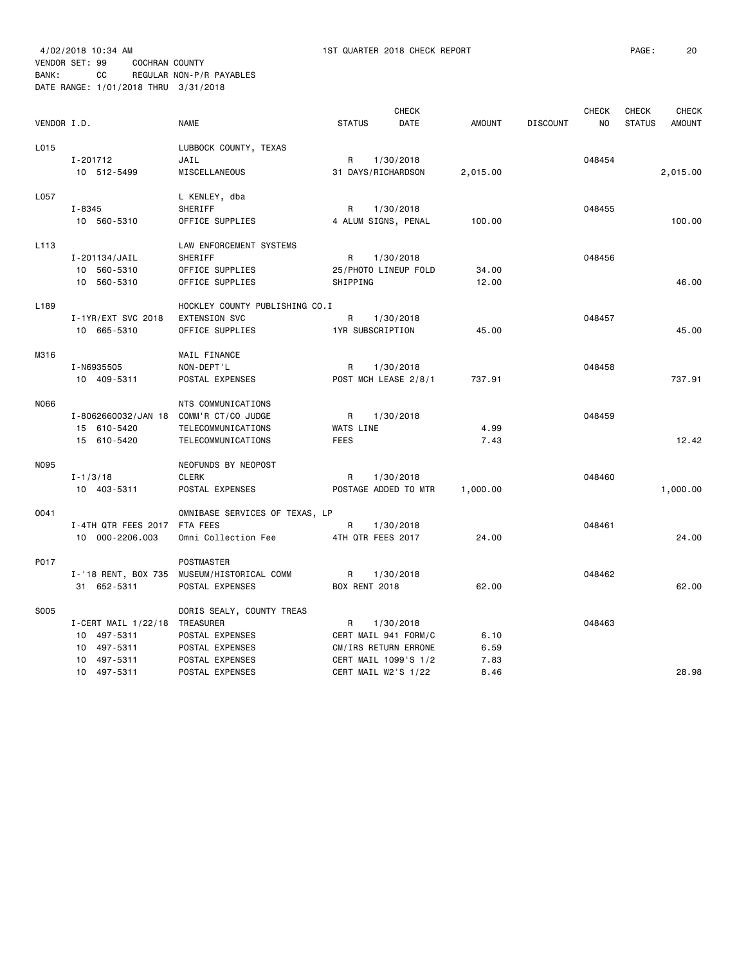VENDOR SET: 99 COCHRAN COUNTY

BANK: CC REGULAR NON-P/R PAYABLES DATE RANGE: 1/01/2018 THRU 3/31/2018

| VENDOR I.D.      |                                                                                           | <b>NAME</b>                                                                                           | <b>STATUS</b>                                                                                                 | <b>CHECK</b><br>DATE | <b>AMOUNT</b>                | <b>DISCOUNT</b> | <b>CHECK</b><br>NO | <b>CHECK</b><br><b>STATUS</b> | <b>CHECK</b><br><b>AMOUNT</b> |
|------------------|-------------------------------------------------------------------------------------------|-------------------------------------------------------------------------------------------------------|---------------------------------------------------------------------------------------------------------------|----------------------|------------------------------|-----------------|--------------------|-------------------------------|-------------------------------|
| L015             | I-201712<br>10 512-5499                                                                   | LUBBOCK COUNTY, TEXAS<br>JAIL<br>MISCELLANEOUS                                                        | R.<br>1/30/2018<br>31 DAYS/RICHARDSON                                                                         |                      | 2,015.00                     |                 | 048454             |                               | 2,015.00                      |
| L057             | $I - 8345$<br>10 560-5310                                                                 | L KENLEY, dba<br>SHERIFF<br>OFFICE SUPPLIES                                                           | R<br>1/30/2018<br>4 ALUM SIGNS, PENAL                                                                         |                      | 100.00                       |                 | 048455             |                               | 100.00                        |
| L <sub>113</sub> | I-201134/JAIL<br>10 560-5310<br>10 560-5310                                               | LAW ENFORCEMENT SYSTEMS<br>SHERIFF<br>OFFICE SUPPLIES<br>OFFICE SUPPLIES                              | R<br>1/30/2018<br>25/PHOTO LINEUP FOLD<br>SHIPPING                                                            |                      | 34.00<br>12.00               |                 | 048456             |                               | 46.00                         |
| L <sub>189</sub> | I-1YR/EXT SVC 2018<br>10 665-5310                                                         | HOCKLEY COUNTY PUBLISHING CO.I<br><b>EXTENSION SVC</b><br>OFFICE SUPPLIES                             | R<br>1/30/2018<br>1YR SUBSCRIPTION                                                                            |                      | 45.00                        |                 | 048457             |                               | 45.00                         |
| M316             | I-N6935505<br>10 409-5311                                                                 | MAIL FINANCE<br>NON-DEPT'L<br>POSTAL EXPENSES                                                         | R<br>1/30/2018<br>POST MCH LEASE 2/8/1                                                                        |                      | 737.91                       |                 | 048458             |                               | 737.91                        |
| N066             | I-8062660032/JAN 18<br>15 610-5420<br>15 610-5420                                         | NTS COMMUNICATIONS<br>COMM'R CT/CO JUDGE<br>TELECOMMUNICATIONS<br>TELECOMMUNICATIONS                  | R<br>1/30/2018<br>WATS LINE<br><b>FEES</b>                                                                    |                      | 4.99<br>7.43                 |                 | 048459             |                               | 12.42                         |
| N095             | $I - 1/3/18$<br>10 403-5311                                                               | NEOFUNDS BY NEOPOST<br><b>CLERK</b><br>POSTAL EXPENSES                                                | 1/30/2018<br>R<br>POSTAGE ADDED TO MTR                                                                        |                      | 1,000.00                     |                 | 048460             |                               | 1,000.00                      |
| 0041             | I-4TH QTR FEES 2017 FTA FEES<br>10 000-2206.003                                           | OMNIBASE SERVICES OF TEXAS, LP<br>Omni Collection Fee                                                 | R<br>1/30/2018<br>4TH QTR FEES 2017                                                                           |                      | 24.00                        |                 | 048461             |                               | 24.00                         |
| P017             | 31 652-5311                                                                               | POSTMASTER<br>I-'18 RENT, BOX 735 MUSEUM/HISTORICAL COMM<br>POSTAL EXPENSES                           | R<br>1/30/2018<br><b>BOX RENT 2018</b>                                                                        |                      | 62.00                        |                 | 048462             |                               | 62.00                         |
| S005             | I-CERT MAIL 1/22/18 TREASURER<br>10 497-5311<br>10 497-5311<br>10 497-5311<br>10 497-5311 | DORIS SEALY, COUNTY TREAS<br>POSTAL EXPENSES<br>POSTAL EXPENSES<br>POSTAL EXPENSES<br>POSTAL EXPENSES | R<br>1/30/2018<br>CERT MAIL 941 FORM/C<br>CM/IRS RETURN ERRONE<br>CERT MAIL 1099'S 1/2<br>CERT MAIL W2'S 1/22 |                      | 6.10<br>6.59<br>7.83<br>8.46 |                 | 048463             |                               | 28.98                         |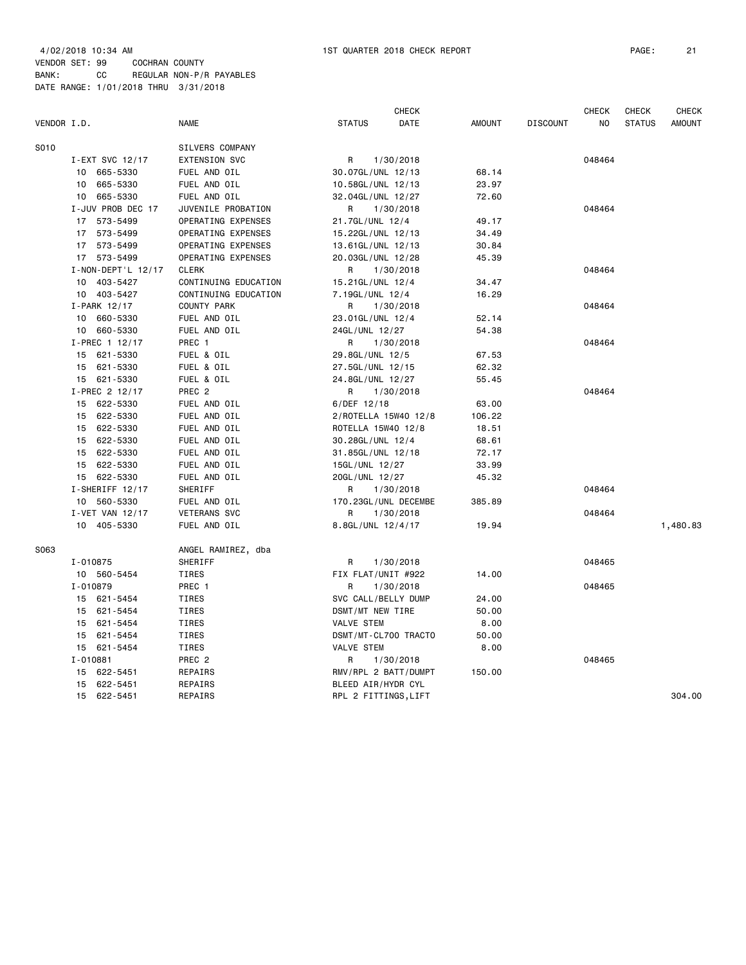|             |                    |                      | <b>CHECK</b>          |               |                 | <b>CHECK</b>   | <b>CHECK</b>  | CHECK         |
|-------------|--------------------|----------------------|-----------------------|---------------|-----------------|----------------|---------------|---------------|
| VENDOR I.D. |                    | <b>NAME</b>          | <b>STATUS</b><br>DATE | <b>AMOUNT</b> | <b>DISCOUNT</b> | N <sub>O</sub> | <b>STATUS</b> | <b>AMOUNT</b> |
| S010        |                    | SILVERS COMPANY      |                       |               |                 |                |               |               |
|             | I-EXT SVC 12/17    | <b>EXTENSION SVC</b> | R<br>1/30/2018        |               |                 | 048464         |               |               |
|             | 10 665-5330        | FUEL AND OIL         | 30.07GL/UNL 12/13     | 68.14         |                 |                |               |               |
|             | 10 665-5330        | FUEL AND OIL         | 10.58GL/UNL 12/13     | 23.97         |                 |                |               |               |
|             | 10 665-5330        | FUEL AND OIL         | 32.04GL/UNL 12/27     | 72.60         |                 |                |               |               |
|             | I-JUV PROB DEC 17  | JUVENILE PROBATION   | 1/30/2018<br>R.       |               |                 | 048464         |               |               |
|             | 17 573-5499        | OPERATING EXPENSES   | 21.7GL/UNL 12/4       | 49.17         |                 |                |               |               |
|             | 17 573-5499        | OPERATING EXPENSES   | 15.22GL/UNL 12/13     | 34.49         |                 |                |               |               |
|             | 17 573-5499        | OPERATING EXPENSES   | 13.61GL/UNL 12/13     | 30.84         |                 |                |               |               |
|             | 17 573-5499        | OPERATING EXPENSES   | 20.03GL/UNL 12/28     | 45.39         |                 |                |               |               |
|             | I-NON-DEPT'L 12/17 | <b>CLERK</b>         | 1/30/2018<br>R        |               |                 | 048464         |               |               |
|             | 10 403-5427        | CONTINUING EDUCATION | 15.21GL/UNL 12/4      | 34.47         |                 |                |               |               |
|             | 10 403-5427        | CONTINUING EDUCATION | 7.19GL/UNL 12/4       | 16.29         |                 |                |               |               |
|             | I-PARK 12/17       | COUNTY PARK          | R<br>1/30/2018        |               |                 | 048464         |               |               |
|             | 10 660-5330        | FUEL AND OIL         | 23.01GL/UNL 12/4      | 52.14         |                 |                |               |               |
|             | 10 660-5330        | FUEL AND OIL         | 24GL/UNL 12/27        | 54.38         |                 |                |               |               |
|             | I-PREC 1 12/17     | PREC 1               | 1/30/2018<br>R        |               |                 | 048464         |               |               |
|             | 15 621-5330        | FUEL & OIL           | 29.8GL/UNL 12/5       | 67.53         |                 |                |               |               |
|             | 15 621-5330        | FUEL & OIL           | 27.5GL/UNL 12/15      | 62.32         |                 |                |               |               |
|             | 15 621-5330        | FUEL & OIL           | 24.8GL/UNL 12/27      | 55.45         |                 |                |               |               |
|             | I-PREC 2 12/17     | PREC <sub>2</sub>    | R<br>1/30/2018        |               |                 | 048464         |               |               |
|             | 15 622-5330        | FUEL AND OIL         | $6/DEF$ 12/18         | 63.00         |                 |                |               |               |
|             | 15 622-5330        | FUEL AND OIL         | 2/ROTELLA 15W40 12/8  | 106.22        |                 |                |               |               |
|             | 15 622-5330        | FUEL AND OIL         | ROTELLA 15W40 12/8    | 18.51         |                 |                |               |               |
|             | 15 622-5330        | FUEL AND OIL         | 30.28GL/UNL 12/4      | 68.61         |                 |                |               |               |
|             | 15 622-5330        | FUEL AND OIL         | 31.85GL/UNL 12/18     | 72.17         |                 |                |               |               |
|             | 15 622-5330        | FUEL AND OIL         | 15GL/UNL 12/27        | 33.99         |                 |                |               |               |
|             | 15 622-5330        | FUEL AND OIL         | 20GL/UNL 12/27        | 45.32         |                 |                |               |               |
|             | I-SHERIFF 12/17    | SHERIFF              | 1/30/2018<br>R.       |               |                 | 048464         |               |               |
|             | 10 560-5330        | FUEL AND OIL         | 170.23GL/UNL DECEMBE  | 385.89        |                 |                |               |               |
|             | I-VET VAN 12/17    | <b>VETERANS SVC</b>  | R<br>1/30/2018        |               |                 | 048464         |               |               |
|             | 10 405-5330        | FUEL AND OIL         | 8.8GL/UNL 12/4/17     | 19.94         |                 |                |               | 1,480.83      |
| S063        |                    | ANGEL RAMIREZ, dba   |                       |               |                 |                |               |               |
|             | I-010875           | SHERIFF              | 1/30/2018<br>R        |               |                 | 048465         |               |               |
|             | 10 560-5454        | TIRES                | FIX FLAT/UNIT #922    | 14.00         |                 |                |               |               |
|             | I-010879           | PREC 1               | 1/30/2018<br>R.       |               |                 | 048465         |               |               |
|             | 15 621-5454        | TIRES                | SVC CALL/BELLY DUMP   | 24.00         |                 |                |               |               |
|             | 15 621-5454        | TIRES                | DSMT/MT NEW TIRE      | 50.00         |                 |                |               |               |
|             | 15 621-5454        | TIRES                | <b>VALVE STEM</b>     | 8.00          |                 |                |               |               |
|             | 15 621-5454        | TIRES                | DSMT/MT-CL700 TRACTO  | 50.00         |                 |                |               |               |
|             | 15 621-5454        | TIRES                | VALVE STEM            | 8.00          |                 |                |               |               |
|             | I-010881           | PREC <sub>2</sub>    | R<br>1/30/2018        |               |                 | 048465         |               |               |
|             | 15 622-5451        | REPAIRS              | RMV/RPL 2 BATT/DUMPT  | 150.00        |                 |                |               |               |
|             | 15 622-5451        | REPAIRS              | BLEED AIR/HYDR CYL    |               |                 |                |               |               |
|             | 15 622-5451        | REPAIRS              | RPL 2 FITTINGS,LIFT   |               |                 |                |               | 304.00        |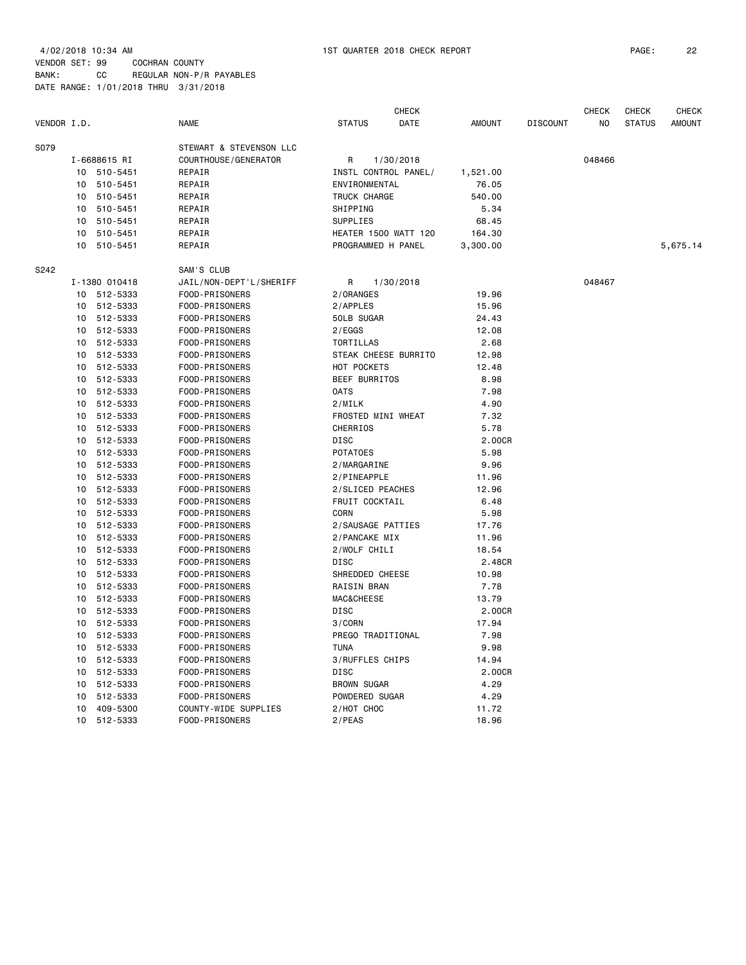|             |    |               |                         |                       | <b>CHECK</b>                |               |                 | <b>CHECK</b>   | <b>CHECK</b>  | <b>CHECK</b>  |
|-------------|----|---------------|-------------------------|-----------------------|-----------------------------|---------------|-----------------|----------------|---------------|---------------|
| VENDOR I.D. |    |               | <b>NAME</b>             | <b>STATUS</b>         | DATE                        | <b>AMOUNT</b> | <b>DISCOUNT</b> | N <sub>O</sub> | <b>STATUS</b> | <b>AMOUNT</b> |
| S079        |    |               | STEWART & STEVENSON LLC |                       |                             |               |                 |                |               |               |
|             |    | I-6688615 RI  | COURTHOUSE / GENERATOR  | R                     | 1/30/2018                   |               |                 | 048466         |               |               |
|             | 10 | 510-5451      | REPAIR                  | INSTL CONTROL PANEL/  |                             | 1,521.00      |                 |                |               |               |
|             | 10 | 510-5451      | REPAIR                  | ENVIRONMENTAL         |                             | 76.05         |                 |                |               |               |
|             | 10 | 510-5451      | REPAIR                  | TRUCK CHARGE          |                             | 540.00        |                 |                |               |               |
|             | 10 | 510-5451      | REPAIR                  | SHIPPING              |                             | 5.34          |                 |                |               |               |
|             | 10 | 510-5451      | REPAIR                  | SUPPLIES              |                             | 68.45         |                 |                |               |               |
|             | 10 | 510-5451      | REPAIR                  |                       | <b>HEATER 1500 WATT 120</b> | 164.30        |                 |                |               |               |
|             | 10 | 510-5451      | REPAIR                  | PROGRAMMED H PANEL    |                             | 3,300.00      |                 |                |               | 5,675.14      |
| S242        |    |               | SAM'S CLUB              |                       |                             |               |                 |                |               |               |
|             |    | I-1380 010418 | JAIL/NON-DEPT'L/SHERIFF | R                     | 1/30/2018                   |               |                 | 048467         |               |               |
|             |    | 10 512-5333   | FOOD-PRISONERS          | 2/ORANGES             |                             | 19.96         |                 |                |               |               |
|             | 10 | 512-5333      | FOOD-PRISONERS          | 2/APPLES              |                             | 15.96         |                 |                |               |               |
|             | 10 | 512-5333      | FOOD-PRISONERS          | 50LB SUGAR            |                             | 24.43         |                 |                |               |               |
|             | 10 | 512-5333      | FOOD-PRISONERS          | 2/EGGS                |                             | 12.08         |                 |                |               |               |
|             |    | 10 512-5333   | FOOD-PRISONERS          | TORTILLAS             |                             | 2.68          |                 |                |               |               |
|             | 10 | 512-5333      | FOOD-PRISONERS          |                       | STEAK CHEESE BURRITO        | 12.98         |                 |                |               |               |
|             | 10 | 512-5333      | FOOD-PRISONERS          | HOT POCKETS           |                             | 12.48         |                 |                |               |               |
|             | 10 | 512-5333      | FOOD-PRISONERS          | <b>BEEF BURRITOS</b>  |                             | 8.98          |                 |                |               |               |
|             | 10 | 512-5333      | FOOD-PRISONERS          | <b>OATS</b>           |                             | 7.98          |                 |                |               |               |
|             | 10 | 512-5333      | FOOD-PRISONERS          | 2/MILK                |                             | 4.90          |                 |                |               |               |
|             | 10 | 512-5333      | FOOD-PRISONERS          | FROSTED MINI WHEAT    |                             | 7.32          |                 |                |               |               |
|             | 10 | 512-5333      | FOOD-PRISONERS          | <b>CHERRIOS</b>       |                             | 5.78          |                 |                |               |               |
|             | 10 | 512-5333      | FOOD-PRISONERS          | <b>DISC</b>           |                             | 2.00CR        |                 |                |               |               |
|             | 10 | 512-5333      | FOOD-PRISONERS          | <b>POTATOES</b>       |                             | 5.98          |                 |                |               |               |
|             | 10 | 512-5333      | FOOD-PRISONERS          | 2/MARGARINE           |                             | 9.96          |                 |                |               |               |
|             |    | 10 512-5333   | FOOD-PRISONERS          | 2/PINEAPPLE           |                             | 11.96         |                 |                |               |               |
|             | 10 | 512-5333      | FOOD-PRISONERS          | 2/SLICED PEACHES      |                             | 12.96         |                 |                |               |               |
|             | 10 | 512-5333      | FOOD-PRISONERS          | <b>FRUIT COCKTAIL</b> |                             | 6.48          |                 |                |               |               |
|             | 10 | 512-5333      | FOOD-PRISONERS          | CORN                  |                             | 5.98          |                 |                |               |               |
|             | 10 | 512-5333      | FOOD-PRISONERS          | 2/SAUSAGE PATTIES     |                             | 17.76         |                 |                |               |               |
|             | 10 | 512-5333      | FOOD-PRISONERS          | 2/PANCAKE MIX         |                             | 11.96         |                 |                |               |               |
|             | 10 | 512-5333      | FOOD-PRISONERS          | 2/WOLF CHILI          |                             | 18.54         |                 |                |               |               |
|             | 10 | 512-5333      | FOOD-PRISONERS          | <b>DISC</b>           |                             | 2.48CR        |                 |                |               |               |
|             | 10 | 512-5333      | FOOD-PRISONERS          | SHREDDED CHEESE       |                             | 10.98         |                 |                |               |               |
|             | 10 | 512-5333      | FOOD-PRISONERS          | <b>RAISIN BRAN</b>    |                             | 7.78          |                 |                |               |               |
|             |    | 10 512-5333   | FOOD-PRISONERS          | MAC&CHEESE            |                             | 13.79         |                 |                |               |               |
|             |    | 10 512-5333   | FOOD-PRISONERS          | <b>DISC</b>           |                             | 2,00CR        |                 |                |               |               |
|             | 10 | 512-5333      | FOOD-PRISONERS          | 3/CORN                |                             | 17.94         |                 |                |               |               |
|             | 10 | 512-5333      | FOOD-PRISONERS          | PREGO TRADITIONAL     |                             | 7.98          |                 |                |               |               |
|             | 10 | 512-5333      | FOOD-PRISONERS          | <b>TUNA</b>           |                             | 9.98          |                 |                |               |               |
|             | 10 | 512-5333      | FOOD-PRISONERS          | 3/RUFFLES CHIPS       |                             | 14.94         |                 |                |               |               |
|             | 10 | 512-5333      | FOOD-PRISONERS          | DISC                  |                             | 2.00CR        |                 |                |               |               |
|             | 10 | 512-5333      | FOOD-PRISONERS          | <b>BROWN SUGAR</b>    |                             | 4.29          |                 |                |               |               |
|             | 10 | 512-5333      | <b>FOOD-PRISONERS</b>   | POWDERED SUGAR        |                             | 4.29          |                 |                |               |               |
|             | 10 | 409-5300      | COUNTY-WIDE SUPPLIES    | 2/HOT CHOC            |                             | 11.72         |                 |                |               |               |
|             |    | 10 512-5333   | FOOD-PRISONERS          | $2$ /PEAS             |                             | 18.96         |                 |                |               |               |
|             |    |               |                         |                       |                             |               |                 |                |               |               |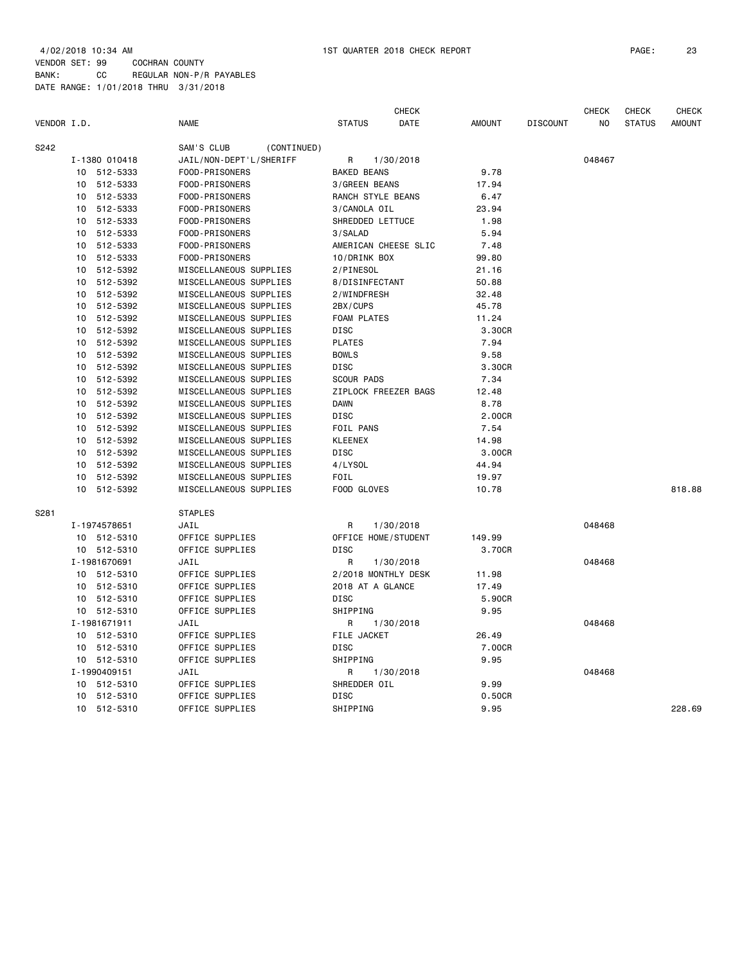|             |    |               |                           |                     | <b>CHECK</b>         |               |                 | <b>CHECK</b> | <b>CHECK</b>  | <b>CHECK</b>  |
|-------------|----|---------------|---------------------------|---------------------|----------------------|---------------|-----------------|--------------|---------------|---------------|
| VENDOR I.D. |    |               | <b>NAME</b>               | <b>STATUS</b>       | DATE                 | <b>AMOUNT</b> | <b>DISCOUNT</b> | NO           | <b>STATUS</b> | <b>AMOUNT</b> |
| S242        |    |               | SAM'S CLUB<br>(CONTINUED) |                     |                      |               |                 |              |               |               |
|             |    | I-1380 010418 | JAIL/NON-DEPT'L/SHERIFF   | R                   | 1/30/2018            |               |                 | 048467       |               |               |
|             |    | 10 512-5333   | FOOD-PRISONERS            | <b>BAKED BEANS</b>  |                      | 9.78          |                 |              |               |               |
|             | 10 | 512-5333      | FOOD-PRISONERS            | 3/GREEN BEANS       |                      | 17.94         |                 |              |               |               |
|             | 10 | 512-5333      | FOOD-PRISONERS            | RANCH STYLE BEANS   |                      | 6.47          |                 |              |               |               |
|             | 10 | 512-5333      | FOOD-PRISONERS            | 3/CANOLA OIL        |                      | 23.94         |                 |              |               |               |
|             | 10 | 512-5333      | FOOD-PRISONERS            | SHREDDED LETTUCE    |                      | 1.98          |                 |              |               |               |
|             | 10 | 512-5333      | FOOD-PRISONERS            | 3/SALAD             |                      | 5.94          |                 |              |               |               |
|             | 10 | 512-5333      | FOOD-PRISONERS            |                     | AMERICAN CHEESE SLIC | 7.48          |                 |              |               |               |
|             | 10 | 512-5333      | FOOD-PRISONERS            | 10/DRINK BOX        |                      | 99.80         |                 |              |               |               |
|             | 10 | 512-5392      | MISCELLANEOUS SUPPLIES    | 2/PINESOL           |                      | 21.16         |                 |              |               |               |
|             | 10 | 512-5392      | MISCELLANEOUS SUPPLIES    | 8/DISINFECTANT      |                      | 50.88         |                 |              |               |               |
|             | 10 | 512-5392      | MISCELLANEOUS SUPPLIES    | 2/WINDFRESH         |                      | 32.48         |                 |              |               |               |
|             | 10 | 512-5392      | MISCELLANEOUS SUPPLIES    | 2BX/CUPS            |                      | 45.78         |                 |              |               |               |
|             | 10 | 512-5392      | MISCELLANEOUS SUPPLIES    | <b>FOAM PLATES</b>  |                      | 11.24         |                 |              |               |               |
|             | 10 | 512-5392      | MISCELLANEOUS SUPPLIES    | DISC                |                      | 3.30CR        |                 |              |               |               |
|             | 10 | 512-5392      | MISCELLANEOUS SUPPLIES    | <b>PLATES</b>       |                      | 7.94          |                 |              |               |               |
|             | 10 | 512-5392      | MISCELLANEOUS SUPPLIES    | <b>BOWLS</b>        |                      | 9.58          |                 |              |               |               |
|             | 10 | 512-5392      | MISCELLANEOUS SUPPLIES    | DISC                |                      | 3.30CR        |                 |              |               |               |
|             | 10 | 512-5392      | MISCELLANEOUS SUPPLIES    | <b>SCOUR PADS</b>   |                      | 7.34          |                 |              |               |               |
|             | 10 | 512-5392      | MISCELLANEOUS SUPPLIES    |                     | ZIPLOCK FREEZER BAGS | 12.48         |                 |              |               |               |
|             | 10 | 512-5392      | MISCELLANEOUS SUPPLIES    | <b>DAWN</b>         |                      | 8.78          |                 |              |               |               |
|             | 10 | 512-5392      | MISCELLANEOUS SUPPLIES    | DISC                |                      | 2.00CR        |                 |              |               |               |
|             | 10 | 512-5392      | MISCELLANEOUS SUPPLIES    | FOIL PANS           |                      | 7.54          |                 |              |               |               |
|             | 10 | 512-5392      | MISCELLANEOUS SUPPLIES    | <b>KLEENEX</b>      |                      | 14.98         |                 |              |               |               |
|             | 10 | 512-5392      | MISCELLANEOUS SUPPLIES    | DISC                |                      | 3.00CR        |                 |              |               |               |
|             | 10 | 512-5392      | MISCELLANEOUS SUPPLIES    | 4/LYSOL             |                      | 44.94         |                 |              |               |               |
|             | 10 | 512-5392      | MISCELLANEOUS SUPPLIES    | FOIL                |                      | 19.97         |                 |              |               |               |
|             | 10 | 512-5392      | MISCELLANEOUS SUPPLIES    | FOOD GLOVES         |                      | 10.78         |                 |              |               | 818.88        |
| S281        |    |               | <b>STAPLES</b>            |                     |                      |               |                 |              |               |               |
|             |    | I-1974578651  | JAIL                      | R                   | 1/30/2018            |               |                 | 048468       |               |               |
|             |    | 10 512-5310   | OFFICE SUPPLIES           | OFFICE HOME/STUDENT |                      | 149.99        |                 |              |               |               |
|             |    | 10 512-5310   | OFFICE SUPPLIES           | <b>DISC</b>         |                      | 3.70CR        |                 |              |               |               |
|             |    | I-1981670691  | JAIL                      | R                   | 1/30/2018            |               |                 | 048468       |               |               |
|             |    | 10 512-5310   | OFFICE SUPPLIES           | 2/2018 MONTHLY DESK |                      | 11.98         |                 |              |               |               |
|             | 10 | 512-5310      | OFFICE SUPPLIES           | 2018 AT A GLANCE    |                      | 17.49         |                 |              |               |               |
|             |    | 10 512-5310   | OFFICE SUPPLIES           | DISC                |                      | 5.90CR        |                 |              |               |               |
|             |    | 10 512-5310   | OFFICE SUPPLIES           | SHIPPING            |                      | 9.95          |                 |              |               |               |
|             |    | I-1981671911  | JAIL                      | R                   | 1/30/2018            |               |                 | 048468       |               |               |
|             | 10 | 512-5310      | OFFICE SUPPLIES           | FILE JACKET         |                      | 26.49         |                 |              |               |               |
|             | 10 | 512-5310      | OFFICE SUPPLIES           | <b>DISC</b>         |                      | 7.00CR        |                 |              |               |               |
|             | 10 | 512-5310      | OFFICE SUPPLIES           | SHIPPING            |                      | 9.95          |                 |              |               |               |
|             |    | I-1990409151  | JAIL                      | R                   | 1/30/2018            |               |                 | 048468       |               |               |
|             | 10 | 512-5310      | OFFICE SUPPLIES           | SHREDDER OIL        |                      | 9.99          |                 |              |               |               |
|             | 10 | 512-5310      | OFFICE SUPPLIES           | DISC                |                      | 0.50CR        |                 |              |               |               |
|             |    | 10 512-5310   | OFFICE SUPPLIES           | SHIPPING            |                      | 9.95          |                 |              |               | 228.69        |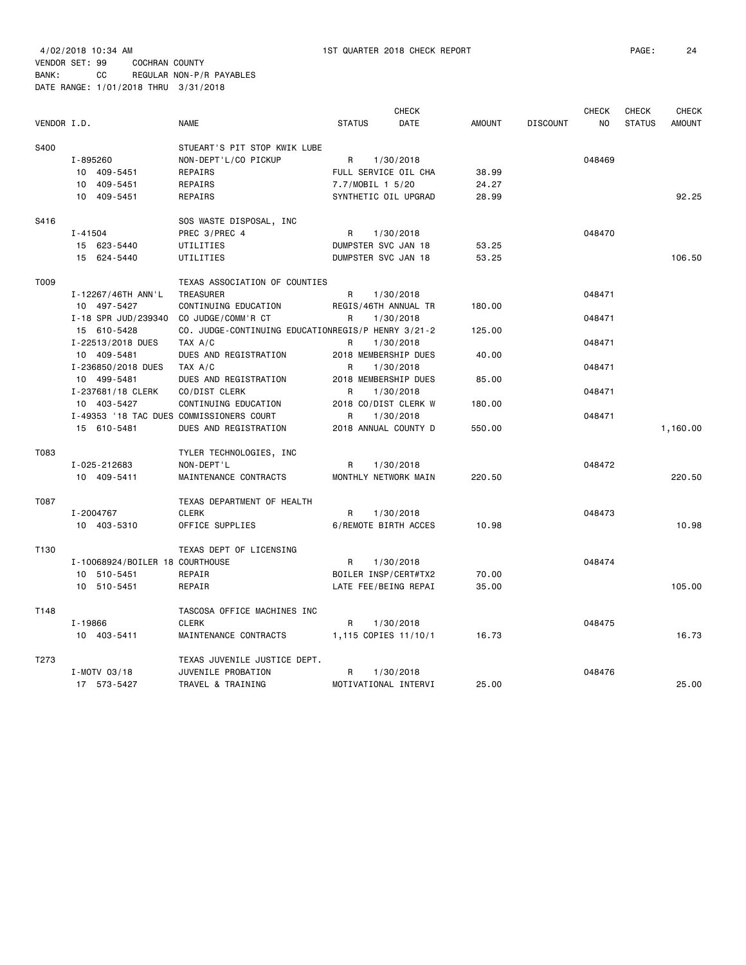|             |                                          |                                                    |                     | <b>CHECK</b>         |               |                 | <b>CHECK</b> | <b>CHECK</b>  | <b>CHECK</b>  |
|-------------|------------------------------------------|----------------------------------------------------|---------------------|----------------------|---------------|-----------------|--------------|---------------|---------------|
| VENDOR I.D. |                                          | <b>NAME</b>                                        | <b>STATUS</b>       | DATE                 | <b>AMOUNT</b> | <b>DISCOUNT</b> | NO.          | <b>STATUS</b> | <b>AMOUNT</b> |
| S400        |                                          | STUEART'S PIT STOP KWIK LUBE                       |                     |                      |               |                 |              |               |               |
|             | I-895260                                 | NON-DEPT'L/CO PICKUP                               | R                   | 1/30/2018            |               |                 | 048469       |               |               |
|             | 10 409-5451                              | REPAIRS                                            |                     | FULL SERVICE OIL CHA | 38.99         |                 |              |               |               |
|             | 10 409-5451                              | <b>REPAIRS</b>                                     | 7.7/MOBIL 1 5/20    |                      | 24.27         |                 |              |               |               |
|             | 10 409-5451                              | REPAIRS                                            |                     | SYNTHETIC OIL UPGRAD | 28.99         |                 |              |               | 92.25         |
| S416        |                                          | SOS WASTE DISPOSAL, INC                            |                     |                      |               |                 |              |               |               |
|             | $I - 41504$                              | PREC 3/PREC 4                                      | R                   | 1/30/2018            |               |                 | 048470       |               |               |
|             | 15 623-5440                              | UTILITIES                                          | DUMPSTER SVC JAN 18 |                      | 53.25         |                 |              |               |               |
|             | 15 624-5440                              | UTILITIES                                          | DUMPSTER SVC JAN 18 |                      | 53.25         |                 |              |               | 106.50        |
| T009        |                                          | TEXAS ASSOCIATION OF COUNTIES                      |                     |                      |               |                 |              |               |               |
|             | I-12267/46TH ANN'L                       | TREASURER                                          | R                   | 1/30/2018            |               |                 | 048471       |               |               |
|             | 10 497-5427                              | CONTINUING EDUCATION                               |                     | REGIS/46TH ANNUAL TR | 180.00        |                 |              |               |               |
|             | I-18 SPR JUD/239340                      | CO JUDGE/COMM'R CT                                 | R                   | 1/30/2018            |               |                 | 048471       |               |               |
|             | 15 610-5428                              | CO. JUDGE-CONTINUING EDUCATIONREGIS/P HENRY 3/21-2 |                     |                      | 125.00        |                 |              |               |               |
|             | I-22513/2018 DUES                        | TAX A/C                                            | R                   | 1/30/2018            |               |                 | 048471       |               |               |
|             | 10 409-5481                              | DUES AND REGISTRATION                              |                     | 2018 MEMBERSHIP DUES | 40.00         |                 |              |               |               |
|             | I-236850/2018 DUES                       | TAX A/C                                            | R                   | 1/30/2018            |               |                 | 048471       |               |               |
|             | 10 499-5481                              | DUES AND REGISTRATION                              |                     | 2018 MEMBERSHIP DUES | 85,00         |                 |              |               |               |
|             | I-237681/18 CLERK                        | CO/DIST CLERK                                      | R                   | 1/30/2018            |               |                 | 048471       |               |               |
|             | 10 403-5427                              | CONTINUING EDUCATION                               |                     | 2018 CO/DIST CLERK W | 180.00        |                 |              |               |               |
|             | I-49353 '18 TAC DUES COMMISSIONERS COURT |                                                    | R                   | 1/30/2018            |               |                 | 048471       |               |               |
|             | 15 610-5481                              | DUES AND REGISTRATION                              |                     | 2018 ANNUAL COUNTY D | 550.00        |                 |              |               | 1,160.00      |
| T083        |                                          | TYLER TECHNOLOGIES, INC                            |                     |                      |               |                 |              |               |               |
|             | I-025-212683                             | NON-DEPT'L                                         | R                   | 1/30/2018            |               |                 | 048472       |               |               |
|             | 10 409-5411                              | MAINTENANCE CONTRACTS                              |                     | MONTHLY NETWORK MAIN | 220.50        |                 |              |               | 220.50        |
| T087        |                                          | TEXAS DEPARTMENT OF HEALTH                         |                     |                      |               |                 |              |               |               |
|             | I-2004767                                | <b>CLERK</b>                                       | R                   | 1/30/2018            |               |                 | 048473       |               |               |
|             | 10 403-5310                              | OFFICE SUPPLIES                                    |                     | 6/REMOTE BIRTH ACCES | 10.98         |                 |              |               | 10.98         |
| T130        |                                          | TEXAS DEPT OF LICENSING                            |                     |                      |               |                 |              |               |               |
|             | I-10068924/BOILER 18 COURTHOUSE          |                                                    | R                   | 1/30/2018            |               |                 | 048474       |               |               |
|             | 10 510-5451                              | REPAIR                                             |                     | BOILER INSP/CERT#TX2 | 70.00         |                 |              |               |               |
|             | 10 510-5451                              | REPAIR                                             |                     | LATE FEE/BEING REPAI | 35.00         |                 |              |               | 105.00        |
| T148        |                                          | TASCOSA OFFICE MACHINES INC                        |                     |                      |               |                 |              |               |               |
|             | I-19866                                  | <b>CLERK</b>                                       | R                   | 1/30/2018            |               |                 | 048475       |               |               |
|             | 10 403-5411                              | MAINTENANCE CONTRACTS                              |                     | 1,115 COPIES 11/10/1 | 16.73         |                 |              |               | 16.73         |
| T273        |                                          | TEXAS JUVENILE JUSTICE DEPT.                       |                     |                      |               |                 |              |               |               |
|             | I-MOTV 03/18                             | JUVENILE PROBATION                                 | R                   | 1/30/2018            |               |                 | 048476       |               |               |
|             | 17 573-5427                              | TRAVEL & TRAINING                                  |                     | MOTIVATIONAL INTERVI | 25.00         |                 |              |               | 25.00         |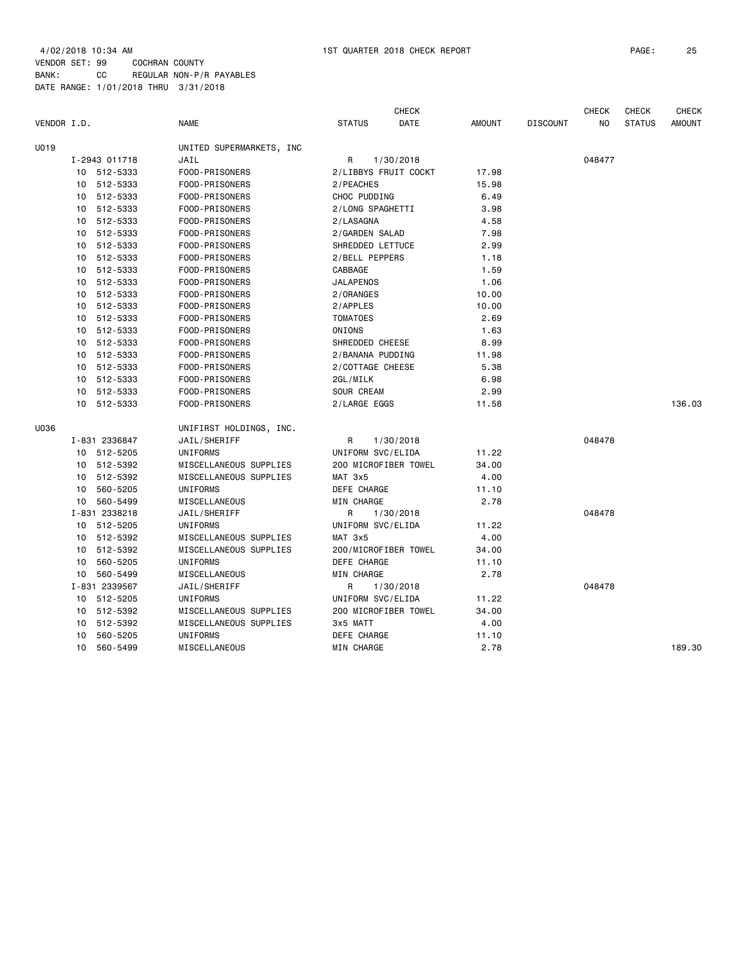|             |    |               |                          |                   | <b>CHECK</b>         |               |                 | <b>CHECK</b> | <b>CHECK</b>  | <b>CHECK</b>  |
|-------------|----|---------------|--------------------------|-------------------|----------------------|---------------|-----------------|--------------|---------------|---------------|
| VENDOR I.D. |    |               | NAME                     | <b>STATUS</b>     | DATE                 | <b>AMOUNT</b> | <b>DISCOUNT</b> | NO           | <b>STATUS</b> | <b>AMOUNT</b> |
| U019        |    |               | UNITED SUPERMARKETS, INC |                   |                      |               |                 |              |               |               |
|             |    | I-2943 011718 | JAIL                     | R                 | 1/30/2018            |               |                 | 048477       |               |               |
|             |    | 10 512-5333   | FOOD-PRISONERS           |                   | 2/LIBBYS FRUIT COCKT | 17.98         |                 |              |               |               |
|             | 10 | 512-5333      | FOOD-PRISONERS           | 2/PEACHES         |                      | 15.98         |                 |              |               |               |
|             |    | 10 512-5333   | FOOD-PRISONERS           | CHOC PUDDING      |                      | 6.49          |                 |              |               |               |
|             | 10 | 512-5333      | FOOD-PRISONERS           | 2/LONG SPAGHETTI  |                      | 3.98          |                 |              |               |               |
|             | 10 | 512-5333      | FOOD-PRISONERS           | 2/LASAGNA         |                      | 4.58          |                 |              |               |               |
|             |    | 10 512-5333   | FOOD-PRISONERS           | 2/GARDEN SALAD    |                      | 7.98          |                 |              |               |               |
|             | 10 | 512-5333      | FOOD-PRISONERS           | SHREDDED LETTUCE  |                      | 2.99          |                 |              |               |               |
|             | 10 | 512-5333      | FOOD-PRISONERS           | 2/BELL PEPPERS    |                      | 1.18          |                 |              |               |               |
|             |    | 10 512-5333   | FOOD-PRISONERS           | CABBAGE           |                      | 1.59          |                 |              |               |               |
|             | 10 | 512-5333      | FOOD-PRISONERS           | <b>JALAPENOS</b>  |                      | 1.06          |                 |              |               |               |
|             | 10 | 512-5333      | FOOD-PRISONERS           | 2/ORANGES         |                      | 10.00         |                 |              |               |               |
|             |    | 10 512-5333   | FOOD-PRISONERS           | 2/APPLES          |                      | 10.00         |                 |              |               |               |
|             | 10 | 512-5333      | FOOD-PRISONERS           | <b>TOMATOES</b>   |                      | 2.69          |                 |              |               |               |
|             | 10 | 512-5333      | FOOD-PRISONERS           | ONIONS            |                      | 1.63          |                 |              |               |               |
|             | 10 | 512-5333      | FOOD-PRISONERS           | SHREDDED CHEESE   |                      | 8.99          |                 |              |               |               |
|             |    | 10 512-5333   | FOOD-PRISONERS           | 2/BANANA PUDDING  |                      | 11.98         |                 |              |               |               |
|             |    | 10 512-5333   | FOOD-PRISONERS           | 2/COTTAGE CHEESE  |                      | 5.38          |                 |              |               |               |
|             |    | 10 512-5333   | FOOD-PRISONERS           | 2GL/MILK          |                      | 6.98          |                 |              |               |               |
|             |    | 10 512-5333   | FOOD-PRISONERS           | SOUR CREAM        |                      | 2.99          |                 |              |               |               |
|             |    | 10 512-5333   | FOOD-PRISONERS           | 2/LARGE EGGS      |                      | 11.58         |                 |              |               | 136.03        |
| U036        |    |               | UNIFIRST HOLDINGS, INC.  |                   |                      |               |                 |              |               |               |
|             |    | I-831 2336847 | JAIL/SHERIFF             | R                 | 1/30/2018            |               |                 | 048478       |               |               |
|             |    | 10 512-5205   | UNIFORMS                 | UNIFORM SVC/ELIDA |                      | 11.22         |                 |              |               |               |
|             |    | 10 512-5392   | MISCELLANEOUS SUPPLIES   |                   | 200 MICROFIBER TOWEL | 34.00         |                 |              |               |               |
|             | 10 | 512-5392      | MISCELLANEOUS SUPPLIES   | MAT 3x5           |                      | 4.00          |                 |              |               |               |
|             | 10 | 560-5205      | UNIFORMS                 | DEFE CHARGE       |                      | 11.10         |                 |              |               |               |
|             | 10 | 560-5499      | MISCELLANEOUS            | MIN CHARGE        |                      | 2.78          |                 |              |               |               |
|             |    | I-831 2338218 | JAIL/SHERIFF             | R                 | 1/30/2018            |               |                 | 048478       |               |               |
|             |    | 10 512-5205   | UNIFORMS                 | UNIFORM SVC/ELIDA |                      | 11.22         |                 |              |               |               |
|             |    | 10 512-5392   | MISCELLANEOUS SUPPLIES   | MAT 3x5           |                      | 4.00          |                 |              |               |               |
|             |    | 10 512-5392   | MISCELLANEOUS SUPPLIES   |                   | 200/MICROFIBER TOWEL | 34.00         |                 |              |               |               |
|             | 10 | 560-5205      | UNIFORMS                 | DEFE CHARGE       |                      | 11.10         |                 |              |               |               |
|             |    | 10 560-5499   | MISCELLANEOUS            | <b>MIN CHARGE</b> |                      | 2.78          |                 |              |               |               |
|             |    | I-831 2339567 | JAIL/SHERIFF             | R                 | 1/30/2018            |               |                 | 048478       |               |               |
|             |    | 10 512-5205   | UNIFORMS                 | UNIFORM SVC/ELIDA |                      | 11.22         |                 |              |               |               |
|             | 10 | 512-5392      | MISCELLANEOUS SUPPLIES   |                   | 200 MICROFIBER TOWEL | 34.00         |                 |              |               |               |
|             |    | 10 512-5392   | MISCELLANEOUS SUPPLIES   | 3x5 MATT          |                      | 4.00          |                 |              |               |               |
|             | 10 | 560-5205      | UNIFORMS                 | DEFE CHARGE       |                      | 11.10         |                 |              |               |               |
|             | 10 | 560-5499      | MISCELLANEOUS            | MIN CHARGE        |                      | 2.78          |                 |              |               | 189.30        |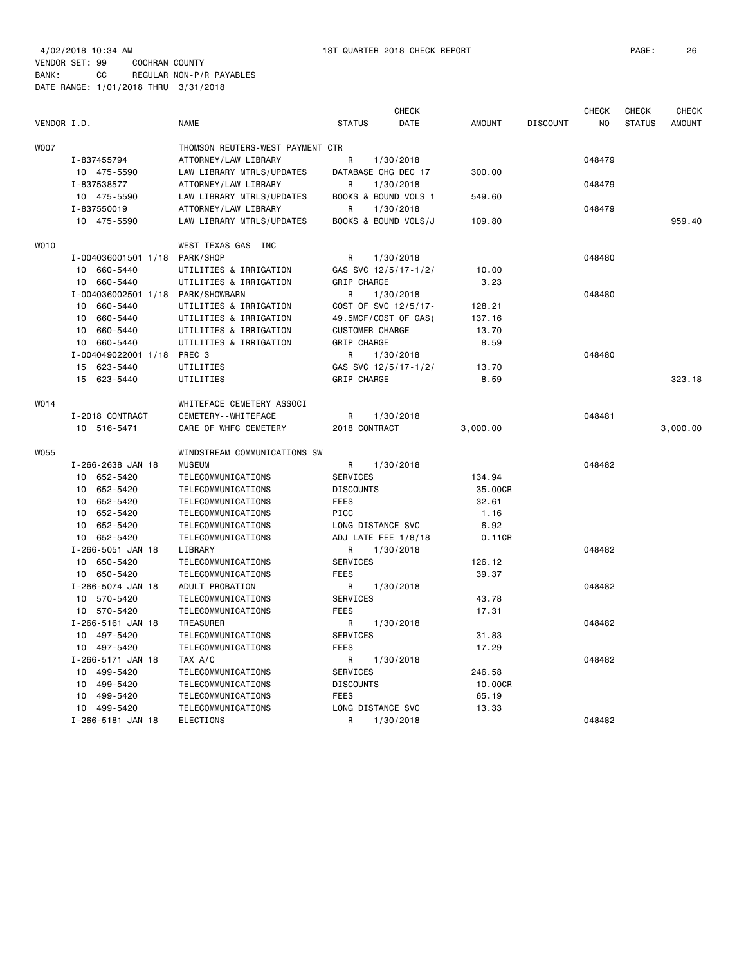4/02/2018 10:34 AM 1ST QUARTER 2018 CHECK REPORT PAGE: 26 VENDOR SET: 99 COCHRAN COUNTY BANK: CC REGULAR NON-P/R PAYABLES DATE RANGE: 1/01/2018 THRU 3/31/2018

| VENDOR I.D. |                     | <b>NAME</b>                      | <b>STATUS</b>          | <b>CHECK</b><br>DATE | <b>AMOUNT</b> | <b>DISCOUNT</b> | <b>CHECK</b><br>NO | <b>CHECK</b><br><b>STATUS</b> | CHECK<br><b>AMOUNT</b> |
|-------------|---------------------|----------------------------------|------------------------|----------------------|---------------|-----------------|--------------------|-------------------------------|------------------------|
| <b>WOO7</b> |                     | THOMSON REUTERS-WEST PAYMENT CTR |                        |                      |               |                 |                    |                               |                        |
|             | I-837455794         | ATTORNEY/LAW LIBRARY             | R                      | 1/30/2018            |               |                 | 048479             |                               |                        |
|             | 10 475-5590         | LAW LIBRARY MTRLS/UPDATES        |                        | DATABASE CHG DEC 17  | 300.00        |                 |                    |                               |                        |
|             | I-837538577         | ATTORNEY/LAW LIBRARY             | R                      | 1/30/2018            |               |                 | 048479             |                               |                        |
|             | 10 475-5590         | LAW LIBRARY MTRLS/UPDATES        |                        | BOOKS & BOUND VOLS 1 | 549.60        |                 |                    |                               |                        |
|             | I-837550019         | ATTORNEY/LAW LIBRARY             | R                      | 1/30/2018            |               |                 | 048479             |                               |                        |
|             | 10 475-5590         | LAW LIBRARY MTRLS/UPDATES        |                        | BOOKS & BOUND VOLS/J | 109.80        |                 |                    |                               | 959.40                 |
| <b>WO10</b> |                     | WEST TEXAS GAS INC               |                        |                      |               |                 |                    |                               |                        |
|             | I-004036001501 1/18 | PARK/SHOP                        | R                      | 1/30/2018            |               |                 | 048480             |                               |                        |
|             | 10 660-5440         | UTILITIES & IRRIGATION           |                        | GAS SVC 12/5/17-1/2/ | 10.00         |                 |                    |                               |                        |
|             | 10<br>660-5440      | UTILITIES & IRRIGATION           | GRIP CHARGE            |                      | 3.23          |                 |                    |                               |                        |
|             | I-004036002501 1/18 | PARK/SHOWBARN                    | R                      | 1/30/2018            |               |                 | 048480             |                               |                        |
|             | 660-5440<br>10      | UTILITIES & IRRIGATION           |                        | COST OF SVC 12/5/17- | 128.21        |                 |                    |                               |                        |
|             | 660-5440<br>10      | UTILITIES & IRRIGATION           |                        | 49.5MCF/COST OF GAS( | 137.16        |                 |                    |                               |                        |
|             | 10<br>660-5440      | UTILITIES & IRRIGATION           | <b>CUSTOMER CHARGE</b> |                      | 13.70         |                 |                    |                               |                        |
|             | 10 660-5440         | UTILITIES & IRRIGATION           | GRIP CHARGE            |                      | 8.59          |                 |                    |                               |                        |
|             | I-004049022001 1/18 | PREC <sub>3</sub>                | R                      | 1/30/2018            |               |                 | 048480             |                               |                        |
|             | 15 623-5440         | UTILITIES                        |                        | GAS SVC 12/5/17-1/2/ | 13.70         |                 |                    |                               |                        |
|             | 15 623-5440         | UTILITIES                        | GRIP CHARGE            |                      | 8.59          |                 |                    |                               | 323.18                 |
| W014        |                     | WHITEFACE CEMETERY ASSOCI        |                        |                      |               |                 |                    |                               |                        |
|             | I-2018 CONTRACT     | CEMETERY - - WHITEFACE           | R                      | 1/30/2018            |               |                 | 048481             |                               |                        |
|             | 10 516-5471         | CARE OF WHFC CEMETERY            | 2018 CONTRACT          |                      | 3,000.00      |                 |                    |                               | 3,000.00               |
| <b>W055</b> |                     | WINDSTREAM COMMUNICATIONS SW     |                        |                      |               |                 |                    |                               |                        |
|             | I-266-2638 JAN 18   | <b>MUSEUM</b>                    | R                      | 1/30/2018            |               |                 | 048482             |                               |                        |
|             | 10 652-5420         | TELECOMMUNICATIONS               | <b>SERVICES</b>        |                      | 134.94        |                 |                    |                               |                        |
|             | 10 652-5420         | <b>TELECOMMUNICATIONS</b>        | <b>DISCOUNTS</b>       |                      | 35.00CR       |                 |                    |                               |                        |
|             | 10 652-5420         | TELECOMMUNICATIONS               | <b>FEES</b>            |                      | 32.61         |                 |                    |                               |                        |
|             | 652-5420<br>10      | TELECOMMUNICATIONS               | PICC                   |                      | 1.16          |                 |                    |                               |                        |
|             | 10<br>652-5420      | TELECOMMUNICATIONS               | LONG DISTANCE SVC      |                      | 6.92          |                 |                    |                               |                        |
|             | 10 652-5420         | TELECOMMUNICATIONS               |                        | ADJ LATE FEE 1/8/18  | 0.11CR        |                 |                    |                               |                        |
|             | I-266-5051 JAN 18   | LIBRARY                          | R                      | 1/30/2018            |               |                 | 048482             |                               |                        |
|             | 10 650-5420         | TELECOMMUNICATIONS               | SERVICES               |                      | 126.12        |                 |                    |                               |                        |
|             | 10 650-5420         | TELECOMMUNICATIONS               | <b>FEES</b>            |                      | 39.37         |                 |                    |                               |                        |
|             | I-266-5074 JAN 18   | ADULT PROBATION                  | R                      | 1/30/2018            |               |                 | 048482             |                               |                        |
|             | 10 570-5420         | TELECOMMUNICATIONS               | <b>SERVICES</b>        |                      | 43.78         |                 |                    |                               |                        |
|             | 10 570-5420         | TELECOMMUNICATIONS               | <b>FEES</b>            |                      | 17.31         |                 |                    |                               |                        |
|             | I-266-5161 JAN 18   | <b>TREASURER</b>                 | R                      | 1/30/2018            |               |                 | 048482             |                               |                        |
|             | 10 497-5420         | TELECOMMUNICATIONS               | SERVICES               |                      | 31.83         |                 |                    |                               |                        |
|             | 10 497-5420         | TELECOMMUNICATIONS               | <b>FEES</b>            |                      | 17.29         |                 |                    |                               |                        |
|             | I-266-5171 JAN 18   | TAX A/C                          | R                      | 1/30/2018            |               |                 | 048482             |                               |                        |
|             | 10 499-5420         | TELECOMMUNICATIONS               | <b>SERVICES</b>        |                      | 246.58        |                 |                    |                               |                        |
|             | 499-5420<br>10      | TELECOMMUNICATIONS               | <b>DISCOUNTS</b>       |                      | 10.00CR       |                 |                    |                               |                        |
|             | 499-5420<br>10      | TELECOMMUNICATIONS               | <b>FEES</b>            |                      | 65.19         |                 |                    |                               |                        |
|             | 10 499-5420         | TELECOMMUNICATIONS               | LONG DISTANCE SVC<br>R |                      | 13.33         |                 |                    |                               |                        |
|             | I-266-5181 JAN 18   | <b>ELECTIONS</b>                 |                        | 1/30/2018            |               |                 | 048482             |                               |                        |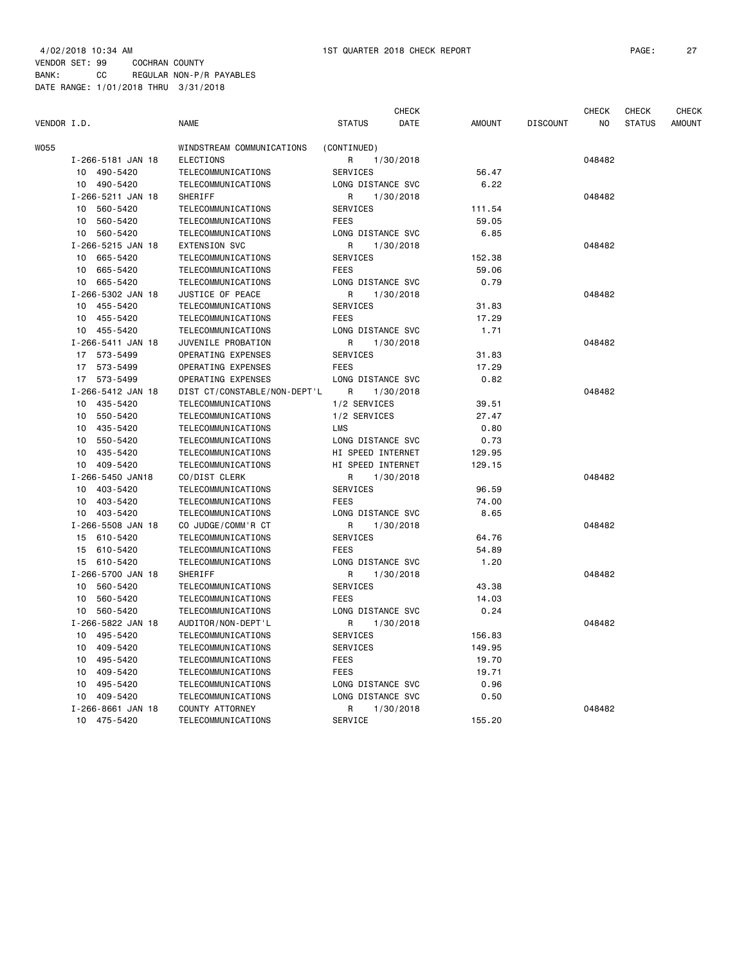| VENDOR I.D. |                                 | <b>NAME</b>                  | <b>CHECK</b><br><b>STATUS</b><br><b>DATE</b> | <b>AMOUNT</b> | <b>DISCOUNT</b> | <b>CHECK</b><br>N <sub>O</sub> | <b>CHECK</b><br><b>STATUS</b> | <b>CHECK</b><br><b>AMOUNT</b> |
|-------------|---------------------------------|------------------------------|----------------------------------------------|---------------|-----------------|--------------------------------|-------------------------------|-------------------------------|
| W055        |                                 | WINDSTREAM COMMUNICATIONS    | (CONTINUED)                                  |               |                 |                                |                               |                               |
|             | I-266-5181 JAN 18               | <b>ELECTIONS</b>             | R<br>1/30/2018                               |               |                 | 048482                         |                               |                               |
|             | 10 490-5420                     | TELECOMMUNICATIONS           | <b>SERVICES</b>                              | 56.47         |                 |                                |                               |                               |
|             | 10 490-5420                     | TELECOMMUNICATIONS           | LONG DISTANCE SVC                            | 6.22          |                 |                                |                               |                               |
|             | I-266-5211 JAN 18               | SHERIFF                      | 1/30/2018<br>R                               |               |                 | 048482                         |                               |                               |
|             | 10<br>560-5420                  | TELECOMMUNICATIONS           | <b>SERVICES</b>                              | 111.54        |                 |                                |                               |                               |
|             | 10<br>560-5420                  | TELECOMMUNICATIONS           | <b>FEES</b>                                  | 59.05         |                 |                                |                               |                               |
|             | 10 560-5420                     | TELECOMMUNICATIONS           | LONG DISTANCE SVC                            | 6.85          |                 |                                |                               |                               |
|             | I-266-5215 JAN 18               | <b>EXTENSION SVC</b>         | R<br>1/30/2018                               |               |                 | 048482                         |                               |                               |
|             | 10 665-5420                     | TELECOMMUNICATIONS           | <b>SERVICES</b>                              | 152.38        |                 |                                |                               |                               |
|             | 10 665-5420                     | TELECOMMUNICATIONS           | <b>FEES</b>                                  | 59.06         |                 |                                |                               |                               |
|             | 10 665-5420                     | TELECOMMUNICATIONS           | LONG DISTANCE SVC                            | 0.79          |                 |                                |                               |                               |
|             | I-266-5302 JAN 18               | JUSTICE OF PEACE             | R<br>1/30/2018                               |               |                 | 048482                         |                               |                               |
|             | 10 455-5420                     | TELECOMMUNICATIONS           | <b>SERVICES</b>                              | 31.83         |                 |                                |                               |                               |
|             | 10 455-5420                     | TELECOMMUNICATIONS           | <b>FEES</b>                                  | 17.29         |                 |                                |                               |                               |
|             | 10 455-5420                     | TELECOMMUNICATIONS           | LONG DISTANCE SVC                            | 1.71          |                 |                                |                               |                               |
|             | I-266-5411 JAN 18               | JUVENILE PROBATION           | R<br>1/30/2018                               |               |                 | 048482                         |                               |                               |
|             | 17 573-5499                     | OPERATING EXPENSES           | SERVICES                                     | 31.83         |                 |                                |                               |                               |
|             | 17 573-5499                     | OPERATING EXPENSES           | <b>FEES</b>                                  | 17.29         |                 |                                |                               |                               |
|             | 17 573-5499                     | OPERATING EXPENSES           | LONG DISTANCE SVC                            | 0.82          |                 |                                |                               |                               |
|             | I-266-5412 JAN 18               | DIST CT/CONSTABLE/NON-DEPT'L | R<br>1/30/2018                               |               |                 | 048482                         |                               |                               |
|             | 10 435-5420                     | TELECOMMUNICATIONS           | 1/2 SERVICES                                 | 39.51         |                 |                                |                               |                               |
|             | 10 550-5420                     | TELECOMMUNICATIONS           | 1/2 SERVICES                                 | 27.47         |                 |                                |                               |                               |
|             | 10 435-5420                     | TELECOMMUNICATIONS           | <b>LMS</b>                                   | 0.80          |                 |                                |                               |                               |
|             | 10 550-5420                     | TELECOMMUNICATIONS           | LONG DISTANCE SVC                            | 0.73          |                 |                                |                               |                               |
|             |                                 |                              |                                              |               |                 |                                |                               |                               |
|             | 10 435-5420                     | TELECOMMUNICATIONS           | HI SPEED INTERNET                            | 129.95        |                 |                                |                               |                               |
|             | 10 409-5420<br>I-266-5450 JAN18 | TELECOMMUNICATIONS           | HI SPEED INTERNET                            | 129.15        |                 | 048482                         |                               |                               |
|             |                                 | CO/DIST CLERK                | R<br>1/30/2018                               |               |                 |                                |                               |                               |
|             | 403-5420<br>10                  | TELECOMMUNICATIONS           | <b>SERVICES</b>                              | 96.59         |                 |                                |                               |                               |
|             | 403-5420<br>10                  | TELECOMMUNICATIONS           | <b>FEES</b>                                  | 74.00         |                 |                                |                               |                               |
|             | 403-5420<br>10                  | TELECOMMUNICATIONS           | LONG DISTANCE SVC                            | 8.65          |                 |                                |                               |                               |
|             | I-266-5508 JAN 18               | CO JUDGE/COMM'R CT           | R<br>1/30/2018                               |               |                 | 048482                         |                               |                               |
|             | 610-5420<br>15                  | TELECOMMUNICATIONS           | <b>SERVICES</b>                              | 64.76         |                 |                                |                               |                               |
|             | 15<br>610-5420                  | TELECOMMUNICATIONS           | <b>FEES</b>                                  | 54.89         |                 |                                |                               |                               |
|             | 15 610-5420                     | TELECOMMUNICATIONS           | LONG DISTANCE SVC                            | 1.20          |                 |                                |                               |                               |
|             | I-266-5700 JAN 18               | SHERIFF                      | R<br>1/30/2018                               |               |                 | 048482                         |                               |                               |
|             | 10 560-5420                     | TELECOMMUNICATIONS           | SERVICES                                     | 43.38         |                 |                                |                               |                               |
|             | 10 560-5420                     | TELECOMMUNICATIONS           | <b>FEES</b>                                  | 14.03         |                 |                                |                               |                               |
|             | 10 560-5420                     | TELECOMMUNICATIONS           | LONG DISTANCE SVC                            | 0.24          |                 |                                |                               |                               |
|             | I-266-5822 JAN 18               | AUDITOR/NON-DEPT'L           | R<br>1/30/2018                               |               |                 | 048482                         |                               |                               |
|             | 10 495-5420                     | TELECOMMUNICATIONS           | SERVICES                                     | 156.83        |                 |                                |                               |                               |
|             | 10 409-5420                     | TELECOMMUNICATIONS           | <b>SERVICES</b>                              | 149.95        |                 |                                |                               |                               |
|             | 495-5420<br>10                  | TELECOMMUNICATIONS           | FEES                                         | 19.70         |                 |                                |                               |                               |
|             | 10<br>409-5420                  | TELECOMMUNICATIONS           | <b>FEES</b>                                  | 19.71         |                 |                                |                               |                               |
|             | 10<br>495-5420                  | TELECOMMUNICATIONS           | LONG DISTANCE SVC                            | 0.96          |                 |                                |                               |                               |
|             | 409-5420<br>10                  | TELECOMMUNICATIONS           | LONG DISTANCE SVC                            | 0.50          |                 |                                |                               |                               |
|             | I-266-8661 JAN 18               | COUNTY ATTORNEY              | R<br>1/30/2018                               |               |                 | 048482                         |                               |                               |

10 475-5420 TELECOMMUNICATIONS SERVICE 155.20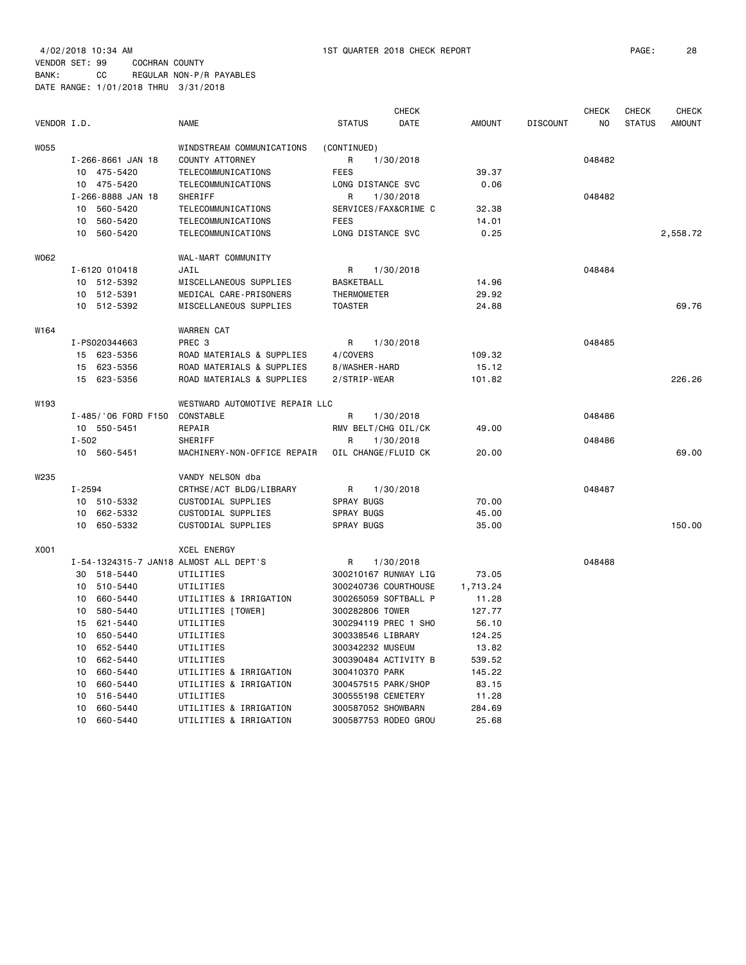|             |            |                     |                                        |                   | <b>CHECK</b>         |               |                 | <b>CHECK</b>   | <b>CHECK</b>  | <b>CHECK</b>  |
|-------------|------------|---------------------|----------------------------------------|-------------------|----------------------|---------------|-----------------|----------------|---------------|---------------|
| VENDOR I.D. |            |                     | <b>NAME</b>                            | <b>STATUS</b>     | DATE                 | <b>AMOUNT</b> | <b>DISCOUNT</b> | N <sub>O</sub> | <b>STATUS</b> | <b>AMOUNT</b> |
| <b>W055</b> |            |                     | WINDSTREAM COMMUNICATIONS              | (CONTINUED)       |                      |               |                 |                |               |               |
|             |            | I-266-8661 JAN 18   | COUNTY ATTORNEY                        | R                 | 1/30/2018            |               |                 | 048482         |               |               |
|             |            | 10 475-5420         | TELECOMMUNICATIONS                     | <b>FEES</b>       |                      | 39.37         |                 |                |               |               |
|             |            | 10 475-5420         | TELECOMMUNICATIONS                     |                   | LONG DISTANCE SVC    | 0.06          |                 |                |               |               |
|             |            | I-266-8888 JAN 18   | SHERIFF                                | R                 | 1/30/2018            |               |                 | 048482         |               |               |
|             | 10         | 560-5420            | TELECOMMUNICATIONS                     |                   | SERVICES/FAX&CRIME C | 32.38         |                 |                |               |               |
|             | 10         | 560-5420            | TELECOMMUNICATIONS                     | <b>FEES</b>       |                      | 14.01         |                 |                |               |               |
|             | 10         | 560-5420            | TELECOMMUNICATIONS                     |                   | LONG DISTANCE SVC    | 0.25          |                 |                |               | 2,558.72      |
| W062        |            |                     | WAL-MART COMMUNITY                     |                   |                      |               |                 |                |               |               |
|             |            | I-6120 010418       | JAIL                                   | R                 | 1/30/2018            |               |                 | 048484         |               |               |
|             |            | 10 512-5392         | MISCELLANEOUS SUPPLIES                 | BASKETBALL        |                      | 14.96         |                 |                |               |               |
|             | 10         | 512-5391            | MEDICAL CARE-PRISONERS                 | THERMOMETER       |                      | 29.92         |                 |                |               |               |
|             |            | 10 512-5392         | MISCELLANEOUS SUPPLIES                 | <b>TOASTER</b>    |                      | 24.88         |                 |                |               | 69.76         |
| W164        |            |                     | <b>WARREN CAT</b>                      |                   |                      |               |                 |                |               |               |
|             |            | I-PS020344663       | PREC <sub>3</sub>                      | R                 | 1/30/2018            |               |                 | 048485         |               |               |
|             |            | 15 623-5356         | ROAD MATERIALS & SUPPLIES              | 4/COVERS          |                      | 109.32        |                 |                |               |               |
|             |            | 15 623-5356         | ROAD MATERIALS & SUPPLIES              | 8/WASHER-HARD     |                      | 15.12         |                 |                |               |               |
|             |            | 15 623-5356         | ROAD MATERIALS & SUPPLIES              | 2/STRIP-WEAR      |                      | 101.82        |                 |                |               | 226.26        |
| W193        |            |                     | WESTWARD AUTOMOTIVE REPAIR LLC         |                   |                      |               |                 |                |               |               |
|             |            | I-485/'06 FORD F150 | CONSTABLE                              | R                 | 1/30/2018            |               |                 | 048486         |               |               |
|             |            | 10 550-5451         | REPAIR                                 |                   | RMV BELT/CHG OIL/CK  | 49.00         |                 |                |               |               |
|             | $I - 502$  |                     | SHERIFF                                | R                 | 1/30/2018            |               |                 | 048486         |               |               |
|             |            | 10 560-5451         | MACHINERY-NON-OFFICE REPAIR            |                   | OIL CHANGE/FLUID CK  | 20.00         |                 |                |               | 69.00         |
| W235        |            |                     | VANDY NELSON dba                       |                   |                      |               |                 |                |               |               |
|             | $I - 2594$ |                     | CRTHSE/ACT BLDG/LIBRARY                | R                 | 1/30/2018            |               |                 | 048487         |               |               |
|             |            | 10 510-5332         | CUSTODIAL SUPPLIES                     | <b>SPRAY BUGS</b> |                      | 70.00         |                 |                |               |               |
|             | 10         | 662-5332            | CUSTODIAL SUPPLIES                     | SPRAY BUGS        |                      | 45.00         |                 |                |               |               |
|             | 10         | 650-5332            | CUSTODIAL SUPPLIES                     | <b>SPRAY BUGS</b> |                      | 35.00         |                 |                |               | 150.00        |
| X001        |            |                     | <b>XCEL ENERGY</b>                     |                   |                      |               |                 |                |               |               |
|             |            |                     | I-54-1324315-7 JAN18 ALMOST ALL DEPT'S | R                 | 1/30/2018            |               |                 | 048488         |               |               |
|             | 30         | 518-5440            | UTILITIES                              |                   | 300210167 RUNWAY LIG | 73.05         |                 |                |               |               |
|             |            | 10 510-5440         | UTILITIES                              |                   | 300240736 COURTHOUSE | 1,713.24      |                 |                |               |               |
|             | 10         | 660-5440            | UTILITIES & IRRIGATION                 |                   | 300265059 SOFTBALL P | 11.28         |                 |                |               |               |
|             | 10         | 580-5440            | UTILITIES [TOWER]                      |                   | 300282806 TOWER      | 127.77        |                 |                |               |               |
|             | 15         | 621-5440            | UTILITIES                              |                   | 300294119 PREC 1 SHO | 56.10         |                 |                |               |               |
|             | 10         | 650-5440            | UTILITIES                              |                   | 300338546 LIBRARY    | 124.25        |                 |                |               |               |
|             | 10         | 652-5440            | UTILITIES                              |                   | 300342232 MUSEUM     | 13.82         |                 |                |               |               |
|             | 10         | 662-5440            | UTILITIES                              |                   | 300390484 ACTIVITY B | 539.52        |                 |                |               |               |
|             | 10         | 660-5440            | UTILITIES & IRRIGATION                 | 300410370 PARK    |                      | 145.22        |                 |                |               |               |
|             | 10         | 660-5440            | UTILITIES & IRRIGATION                 |                   | 300457515 PARK/SHOP  | 83.15         |                 |                |               |               |
|             | 10         | 516-5440            | UTILITIES                              |                   | 300555198 CEMETERY   | 11.28         |                 |                |               |               |
|             | 10         | 660-5440            | UTILITIES & IRRIGATION                 |                   | 300587052 SHOWBARN   | 284.69        |                 |                |               |               |

10 660-5440 UTILITIES & IRRIGATION 300587753 RODEO GROU 25.68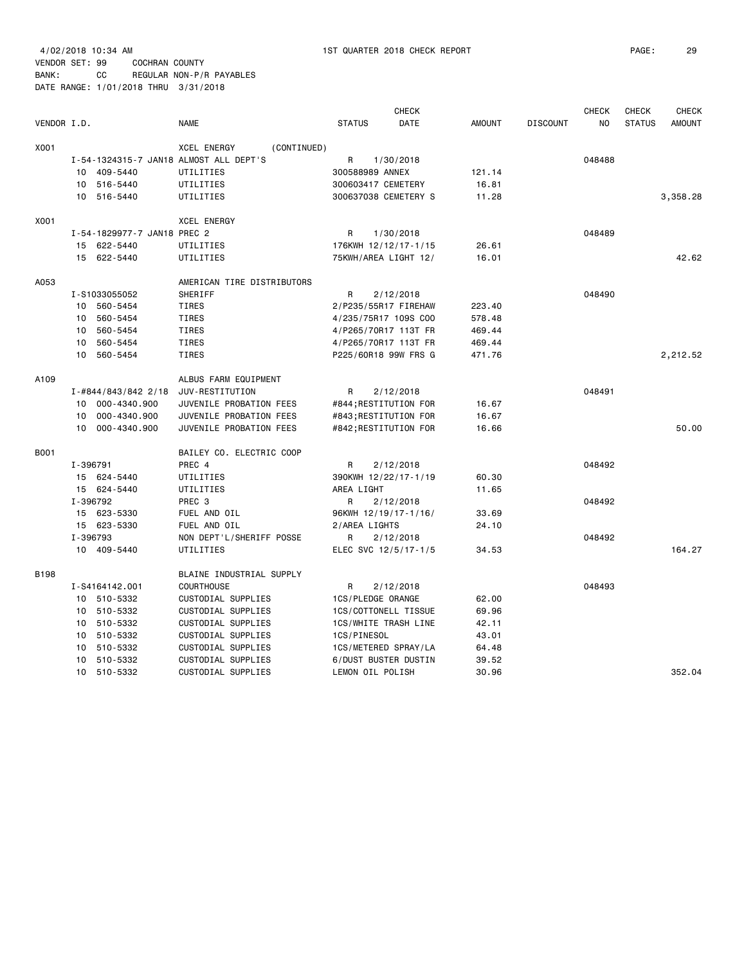| VENDOR I.D. |          |                             | <b>NAME</b>                            | <b>STATUS</b>        | <b>CHECK</b><br>DATE  | <b>AMOUNT</b> | <b>DISCOUNT</b> | <b>CHECK</b><br>NO | <b>CHECK</b><br><b>STATUS</b> | <b>CHECK</b><br><b>AMOUNT</b> |
|-------------|----------|-----------------------------|----------------------------------------|----------------------|-----------------------|---------------|-----------------|--------------------|-------------------------------|-------------------------------|
|             |          |                             |                                        |                      |                       |               |                 |                    |                               |                               |
| X001        |          |                             | <b>XCEL ENERGY</b><br>(CONTINUED)      |                      |                       |               |                 |                    |                               |                               |
|             |          |                             | I-54-1324315-7 JAN18 ALMOST ALL DEPT'S | R                    | 1/30/2018             |               |                 | 048488             |                               |                               |
|             |          | 10 409-5440                 | UTILITIES                              | 300588989 ANNEX      |                       | 121.14        |                 |                    |                               |                               |
|             |          | 10 516-5440                 | UTILITIES                              | 300603417 CEMETERY   |                       | 16.81         |                 |                    |                               |                               |
|             |          | 10 516-5440                 | UTILITIES                              |                      | 300637038 CEMETERY S  | 11.28         |                 |                    |                               | 3,358.28                      |
| X001        |          |                             | <b>XCEL ENERGY</b>                     |                      |                       |               |                 |                    |                               |                               |
|             |          | I-54-1829977-7 JAN18 PREC 2 |                                        | R                    | 1/30/2018             |               |                 | 048489             |                               |                               |
|             | 15       | 622-5440                    | UTILITIES                              |                      | 176KWH 12/12/17-1/15  | 26.61         |                 |                    |                               |                               |
|             |          | 15 622-5440                 | UTILITIES                              |                      | 75KWH/AREA LIGHT 12/  | 16.01         |                 |                    |                               | 42.62                         |
| A053        |          |                             | AMERICAN TIRE DISTRIBUTORS             |                      |                       |               |                 |                    |                               |                               |
|             |          | I-S1033055052               | SHERIFF                                | R                    | 2/12/2018             |               |                 | 048490             |                               |                               |
|             | 10       | 560-5454                    | TIRES                                  |                      | 2/P235/55R17 FIREHAW  | 223.40        |                 |                    |                               |                               |
|             | 10       | 560-5454                    | TIRES                                  |                      | 4/235/75R17 109S COO  | 578.48        |                 |                    |                               |                               |
|             | 10       | 560-5454                    | TIRES                                  |                      | 4/P265/70R17 113T FR  | 469.44        |                 |                    |                               |                               |
|             | 10       | 560-5454                    | TIRES                                  |                      | 4/P265/70R17 113T FR  | 469.44        |                 |                    |                               |                               |
|             | 10       | 560-5454                    | <b>TIRES</b>                           |                      | P225/60R18 99W FRS G  | 471.76        |                 |                    |                               | 2,212.52                      |
| A109        |          |                             |                                        |                      |                       |               |                 |                    |                               |                               |
|             |          |                             | ALBUS FARM EQUIPMENT                   | R                    |                       |               |                 | 048491             |                               |                               |
|             |          | I-#844/843/842 2/18         | JUV-RESTITUTION                        |                      | 2/12/2018             |               |                 |                    |                               |                               |
|             | 10       | 000-4340.900                | JUVENILE PROBATION FEES                |                      | #844;RESTITUTION FOR  | 16.67         |                 |                    |                               |                               |
|             | 10       | 000-4340.900                | JUVENILE PROBATION FEES                |                      | #843; RESTITUTION FOR | 16.67         |                 |                    |                               |                               |
|             | 10       | 000-4340.900                | JUVENILE PROBATION FEES                |                      | #842; RESTITUTION FOR | 16.66         |                 |                    |                               | 50.00                         |
| <b>B001</b> |          |                             | BAILEY CO. ELECTRIC COOP               |                      |                       |               |                 |                    |                               |                               |
|             | I-396791 |                             | PREC 4                                 | R                    | 2/12/2018             |               |                 | 048492             |                               |                               |
|             | 15       | 624-5440                    | UTILITIES                              | 390KWH 12/22/17-1/19 |                       | 60.30         |                 |                    |                               |                               |
|             |          | 15 624-5440                 | UTILITIES                              | AREA LIGHT           |                       | 11.65         |                 |                    |                               |                               |
|             | I-396792 |                             | PREC 3                                 | R                    | 2/12/2018             |               |                 | 048492             |                               |                               |
|             | 15       | 623-5330                    | FUEL AND OIL                           | 96KWH 12/19/17-1/16/ |                       | 33.69         |                 |                    |                               |                               |
|             |          | 15 623-5330                 | FUEL AND OIL                           | 2/AREA LIGHTS        |                       | 24.10         |                 |                    |                               |                               |
|             | I-396793 |                             | NON DEPT'L/SHERIFF POSSE               | R                    | 2/12/2018             |               |                 | 048492             |                               |                               |
|             |          | 10 409-5440                 | UTILITIES                              |                      | ELEC SVC 12/5/17-1/5  | 34.53         |                 |                    |                               | 164.27                        |
| <b>B198</b> |          |                             | BLAINE INDUSTRIAL SUPPLY               |                      |                       |               |                 |                    |                               |                               |
|             |          | I-S4164142.001              | <b>COURTHOUSE</b>                      | R                    | 2/12/2018             |               |                 | 048493             |                               |                               |
|             |          | 10 510-5332                 | CUSTODIAL SUPPLIES                     | 1CS/PLEDGE ORANGE    |                       | 62.00         |                 |                    |                               |                               |
|             | 10       | 510-5332                    | CUSTODIAL SUPPLIES                     |                      | 1CS/COTTONELL TISSUE  | 69.96         |                 |                    |                               |                               |
|             | 10       | 510-5332                    | CUSTODIAL SUPPLIES                     |                      | 1CS/WHITE TRASH LINE  | 42.11         |                 |                    |                               |                               |
|             | 10       | 510-5332                    | CUSTODIAL SUPPLIES                     | 1CS/PINESOL          |                       | 43.01         |                 |                    |                               |                               |
|             | 10       | 510-5332                    | CUSTODIAL SUPPLIES                     | 1CS/METERED SPRAY/LA |                       | 64.48         |                 |                    |                               |                               |
|             | 10       | 510-5332                    | CUSTODIAL SUPPLIES                     |                      | 6/DUST BUSTER DUSTIN  | 39.52         |                 |                    |                               |                               |
|             | 10       | 510-5332                    | CUSTODIAL SUPPLIES                     | LEMON OIL POLISH     |                       | 30.96         |                 |                    |                               | 352.04                        |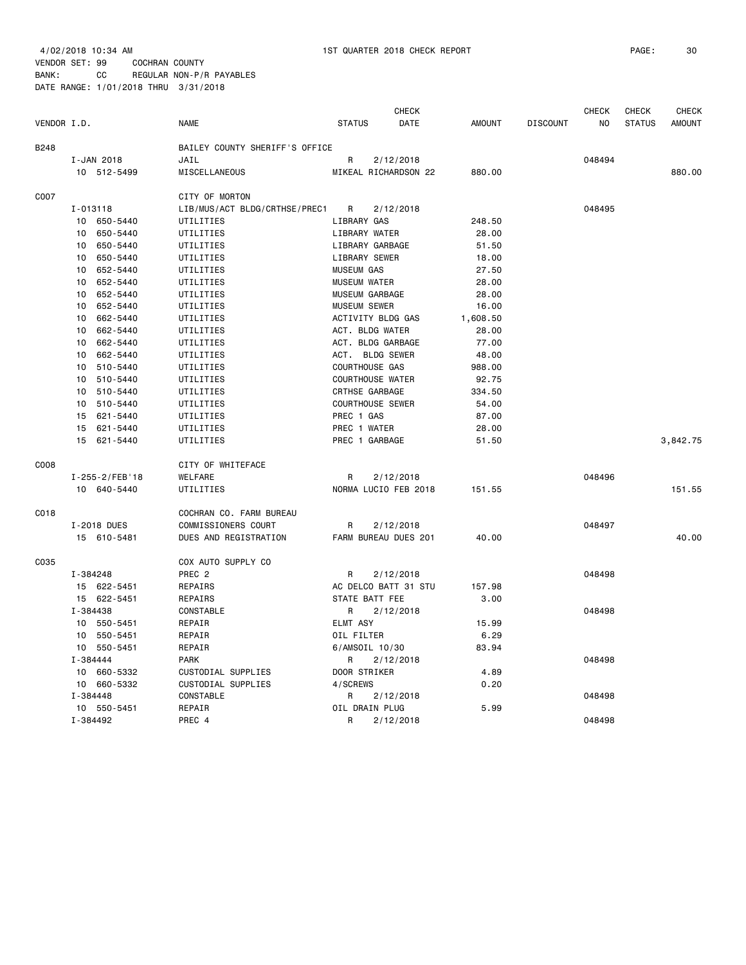|             |                             |                                |                         | <b>CHECK</b> |               |                 | <b>CHECK</b>   | CHECK         | <b>CHECK</b>  |
|-------------|-----------------------------|--------------------------------|-------------------------|--------------|---------------|-----------------|----------------|---------------|---------------|
| VENDOR I.D. |                             | <b>NAME</b>                    | <b>STATUS</b>           | <b>DATE</b>  | <b>AMOUNT</b> | <b>DISCOUNT</b> | N <sub>O</sub> | <b>STATUS</b> | <b>AMOUNT</b> |
| B248        |                             | BAILEY COUNTY SHERIFF'S OFFICE |                         |              |               |                 |                |               |               |
|             | I-JAN 2018                  | JAIL                           | R                       | 2/12/2018    |               |                 | 048494         |               |               |
|             | 10 512-5499                 | <b>MISCELLANEOUS</b>           | MIKEAL RICHARDSON 22    |              | 880.00        |                 |                |               | 880.00        |
| C007        |                             | CITY OF MORTON                 |                         |              |               |                 |                |               |               |
|             | I-013118                    | LIB/MUS/ACT BLDG/CRTHSE/PREC1  | R                       | 2/12/2018    |               |                 | 048495         |               |               |
|             | 10<br>650-5440              | UTILITIES                      | LIBRARY GAS             |              | 248.50        |                 |                |               |               |
|             | 650-5440<br>10              | UTILITIES                      | LIBRARY WATER           |              | 28.00         |                 |                |               |               |
|             | 10<br>650-5440              | UTILITIES                      | LIBRARY GARBAGE         |              | 51.50         |                 |                |               |               |
|             | 650-5440<br>10              | UTILITIES                      | LIBRARY SEWER           |              | 18.00         |                 |                |               |               |
|             | 10<br>652-5440              | UTILITIES                      | <b>MUSEUM GAS</b>       |              | 27.50         |                 |                |               |               |
|             | 652-5440<br>10              | UTILITIES                      | <b>MUSEUM WATER</b>     |              | 28,00         |                 |                |               |               |
|             | 652-5440<br>10              | UTILITIES                      | MUSEUM GARBAGE          |              | 28.00         |                 |                |               |               |
|             | 652-5440<br>10              | UTILITIES                      | <b>MUSEUM SEWER</b>     |              | 16.00         |                 |                |               |               |
|             | 662-5440<br>10              | UTILITIES                      | ACTIVITY BLDG GAS       |              | 1,608.50      |                 |                |               |               |
|             | 662-5440<br>10              | UTILITIES                      | ACT. BLDG WATER         |              | 28.00         |                 |                |               |               |
|             | 662-5440<br>10              | UTILITIES                      | ACT. BLDG GARBAGE       |              | 77.00         |                 |                |               |               |
|             | 10<br>662-5440              | UTILITIES                      | ACT. BLDG SEWER         |              | 48.00         |                 |                |               |               |
|             | 10<br>510-5440              | UTILITIES                      | COURTHOUSE GAS          |              | 988.00        |                 |                |               |               |
|             | 10<br>510-5440              | UTILITIES                      | <b>COURTHOUSE WATER</b> |              | 92.75         |                 |                |               |               |
|             | 10<br>510-5440              | UTILITIES                      | CRTHSE GARBAGE          |              | 334.50        |                 |                |               |               |
|             | 10<br>510-5440              | UTILITIES                      | <b>COURTHOUSE SEWER</b> |              | 54.00         |                 |                |               |               |
|             | 621-5440<br>15              | UTILITIES                      | PREC 1 GAS              |              | 87.00         |                 |                |               |               |
|             | 621-5440<br>15              | UTILITIES                      | PREC 1 WATER            |              | 28.00         |                 |                |               |               |
|             | 621-5440<br>15              | UTILITIES                      | PREC 1 GARBAGE          |              | 51.50         |                 |                |               | 3,842.75      |
| C008        |                             | CITY OF WHITEFACE              |                         |              |               |                 |                |               |               |
|             | I-255-2/FEB'18              | WELFARE                        | R                       | 2/12/2018    |               |                 | 048496         |               |               |
|             | 10 640-5440                 | UTILITIES                      | NORMA LUCIO FEB 2018    |              | 151.55        |                 |                |               | 151.55        |
| C018        |                             | COCHRAN CO. FARM BUREAU        |                         |              |               |                 |                |               |               |
|             | I-2018 DUES                 | COMMISSIONERS COURT            | R                       | 2/12/2018    |               |                 | 048497         |               |               |
|             | 15 610-5481                 | DUES AND REGISTRATION          | FARM BUREAU DUES 201    |              | 40.00         |                 |                |               | 40.00         |
| C035        |                             | COX AUTO SUPPLY CO             |                         |              |               |                 |                |               |               |
|             | I-384248                    | PREC <sub>2</sub>              | R                       | 2/12/2018    |               |                 | 048498         |               |               |
|             | 15 622-5451                 | REPAIRS                        | AC DELCO BATT 31 STU    |              | 157.98        |                 |                |               |               |
|             | 15 622-5451                 | REPAIRS                        | STATE BATT FEE          |              | 3.00          |                 |                |               |               |
|             | I-384438                    | CONSTABLE                      | R                       | 2/12/2018    |               |                 | 048498         |               |               |
|             | 10 <sub>1</sub><br>550-5451 | REPAIR                         | ELMT ASY                |              | 15.99         |                 |                |               |               |
|             | 550-5451<br>10              | REPAIR                         | OIL FILTER              |              | 6.29          |                 |                |               |               |
|             | 550-5451<br>10 <sup>1</sup> | REPAIR                         | 6/AMSOIL 10/30          |              | 83.94         |                 |                |               |               |
|             | I-384444                    | PARK                           | R                       | 2/12/2018    |               |                 | 048498         |               |               |
|             | 660-5332<br>10              | CUSTODIAL SUPPLIES             | DOOR STRIKER            |              | 4.89          |                 |                |               |               |
|             | 660-5332<br>10              | CUSTODIAL SUPPLIES             | 4/SCREWS                |              | 0.20          |                 |                |               |               |
|             | I-384448                    | CONSTABLE                      | R                       | 2/12/2018    |               |                 | 048498         |               |               |
|             | 10 550-5451                 | REPAIR                         | OIL DRAIN PLUG          |              | 5.99          |                 |                |               |               |
|             | I-384492                    | PREC 4                         | R                       | 2/12/2018    |               |                 | 048498         |               |               |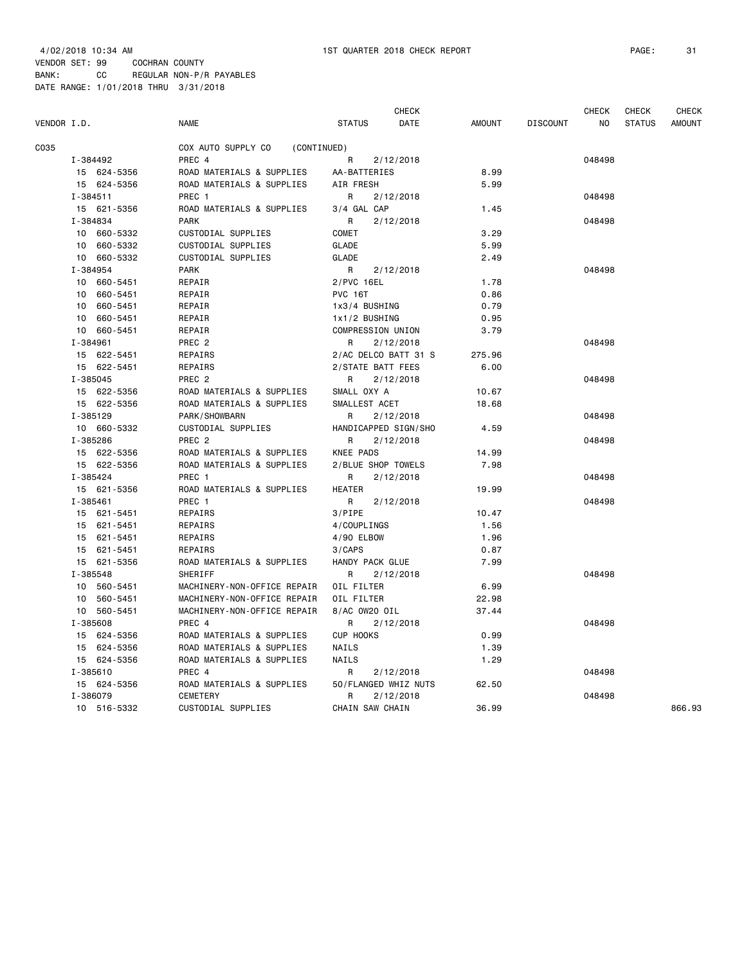|             |                         |             |                                              |                    | <b>CHECK</b>                      |               |                 | <b>CHECK</b>   | <b>CHECK</b>  | <b>CHECK</b>  |
|-------------|-------------------------|-------------|----------------------------------------------|--------------------|-----------------------------------|---------------|-----------------|----------------|---------------|---------------|
| VENDOR I.D. |                         |             | <b>NAME</b>                                  | <b>STATUS</b>      | DATE                              | <b>AMOUNT</b> | <b>DISCOUNT</b> | N <sub>O</sub> | <b>STATUS</b> | <b>AMOUNT</b> |
| C035        |                         |             | COX AUTO SUPPLY CO<br>(CONTINUED)            |                    |                                   |               |                 |                |               |               |
|             | I-384492                |             | PREC 4                                       | R                  | 2/12/2018                         |               |                 | 048498         |               |               |
|             | 15 624-5356             |             | ROAD MATERIALS & SUPPLIES                    | AA-BATTERIES       |                                   | 8.99          |                 |                |               |               |
|             | 15 624-5356             |             | ROAD MATERIALS & SUPPLIES                    | AIR FRESH          |                                   | 5.99          |                 |                |               |               |
|             | $I - 384511$            |             | PREC 1                                       | R                  | 2/12/2018                         |               |                 | 048498         |               |               |
|             | 15 621-5356             |             | ROAD MATERIALS & SUPPLIES                    | 3/4 GAL CAP        |                                   | 1.45          |                 |                |               |               |
|             | I-384834                |             | <b>PARK</b>                                  | R                  | 2/12/2018                         |               |                 | 048498         |               |               |
|             | 10 660-5332             |             | CUSTODIAL SUPPLIES                           | COMET              |                                   | 3.29          |                 |                |               |               |
|             |                         | 10 660-5332 | <b>CUSTODIAL SUPPLIES</b>                    | <b>GLADE</b>       |                                   | 5.99          |                 |                |               |               |
|             | 10 660-5332             |             | <b>CUSTODIAL SUPPLIES</b>                    | <b>GLADE</b>       |                                   | 2.49          |                 |                |               |               |
|             | I-384954                |             | PARK                                         | R                  | 2/12/2018                         |               |                 | 048498         |               |               |
|             | 10 660-5451             |             | REPAIR                                       | 2/PVC 16EL         |                                   | 1.78          |                 |                |               |               |
|             | 10 660-5451             |             | REPAIR                                       | <b>PVC 16T</b>     |                                   | 0.86          |                 |                |               |               |
|             | 10 660-5451             |             | REPAIR                                       | 1x3/4 BUSHING      |                                   | 0.79          |                 |                |               |               |
|             | 10 660-5451             |             | REPAIR                                       | 1x1/2 BUSHING      |                                   | 0.95          |                 |                |               |               |
|             | 10 660-5451             |             | REPAIR                                       | COMPRESSION UNION  |                                   | 3.79          |                 |                |               |               |
|             | I-384961                |             | PREC <sub>2</sub>                            | R                  | 2/12/2018                         |               |                 | 048498         |               |               |
|             | 15 622-5451             |             | REPAIRS                                      |                    | 2/AC DELCO BATT 31 S              | 275.96        |                 |                |               |               |
|             | 15 622-5451             |             | REPAIRS                                      | 2/STATE BATT FEES  |                                   | 6.00          |                 |                |               |               |
|             | I-385045                |             | PREC <sub>2</sub>                            | R                  | 2/12/2018                         |               |                 | 048498         |               |               |
|             | 15 622-5356             |             | ROAD MATERIALS & SUPPLIES                    | SMALL OXY A        |                                   | 10.67         |                 |                |               |               |
|             | 15 622-5356             |             | ROAD MATERIALS & SUPPLIES                    | SMALLEST ACET      |                                   | 18.68         |                 |                |               |               |
|             | I-385129                |             | PARK/SHOWBARN                                | R                  | 2/12/2018                         |               |                 | 048498         |               |               |
|             | 10 660-5332             |             | CUSTODIAL SUPPLIES                           |                    | HANDICAPPED SIGN/SHO              | 4.59          |                 |                |               |               |
|             | I-385286                |             | PREC <sub>2</sub>                            | R                  | 2/12/2018                         |               |                 | 048498         |               |               |
|             | 15 622-5356             |             | ROAD MATERIALS & SUPPLIES                    | <b>KNEE PADS</b>   |                                   | 14.99         |                 |                |               |               |
|             | 15 622-5356             |             | ROAD MATERIALS & SUPPLIES                    | 2/BLUE SHOP TOWELS |                                   | 7.98          |                 |                |               |               |
|             | I-385424                |             | PREC 1                                       | R                  | 2/12/2018                         |               |                 | 048498         |               |               |
|             | 15 621-5356             |             | ROAD MATERIALS & SUPPLIES                    | <b>HEATER</b>      |                                   | 19.99         |                 |                |               |               |
|             | I-385461                |             | PREC 1                                       | R                  | 2/12/2018                         |               |                 | 048498         |               |               |
|             | 15 621-5451             |             | REPAIRS                                      | 3/PIPE             |                                   | 10.47         |                 |                |               |               |
|             | 15 621-5451             |             | REPAIRS                                      | 4/COUPLINGS        |                                   | 1.56          |                 |                |               |               |
|             | 15 621-5451             |             | REPAIRS                                      | 4/90 ELBOW         |                                   | 1.96          |                 |                |               |               |
|             | 15 621-5451             |             | REPAIRS                                      | 3/CAPS             |                                   | 0.87          |                 |                |               |               |
|             | 15 621-5356             |             | ROAD MATERIALS & SUPPLIES                    | HANDY PACK GLUE    |                                   | 7.99          |                 |                |               |               |
|             | I-385548                |             | <b>SHERIFF</b>                               | R                  | 2/12/2018                         |               |                 | 048498         |               |               |
|             | 10 560-5451             |             | MACHINERY-NON-OFFICE REPAIR                  | OIL FILTER         |                                   | 6.99          |                 |                |               |               |
|             | 10 560-5451             |             | MACHINERY-NON-OFFICE REPAIR                  | OIL FILTER         |                                   | 22.98         |                 |                |               |               |
|             | 10 560-5451             |             | MACHINERY-NON-OFFICE REPAIR                  | 8/AC 0W20 OIL      |                                   | 37.44         |                 |                |               |               |
|             | I-385608                |             | PREC 4                                       | R                  | 2/12/2018                         |               |                 | 048498         |               |               |
|             | 15 624-5356             |             | ROAD MATERIALS & SUPPLIES                    | CUP HOOKS          |                                   | 0.99          |                 |                |               |               |
|             | 15 624-5356             |             | ROAD MATERIALS & SUPPLIES                    | <b>NAILS</b>       |                                   | 1.39          |                 |                |               |               |
|             | 15 624-5356             |             | ROAD MATERIALS & SUPPLIES                    | NAILS              |                                   | 1.29          |                 |                |               |               |
|             | I-385610                |             | PREC 4                                       | R                  | 2/12/2018                         |               |                 | 048498         |               |               |
|             | 15 624-5356<br>I-386079 |             | ROAD MATERIALS & SUPPLIES<br><b>CEMETERY</b> | R                  | 50/FLANGED WHIZ NUTS<br>2/12/2018 | 62.50         |                 | 048498         |               |               |
|             | 10 516-5332             |             | CUSTODIAL SUPPLIES                           | CHAIN SAW CHAIN    |                                   | 36.99         |                 |                |               | 866.93        |
|             |                         |             |                                              |                    |                                   |               |                 |                |               |               |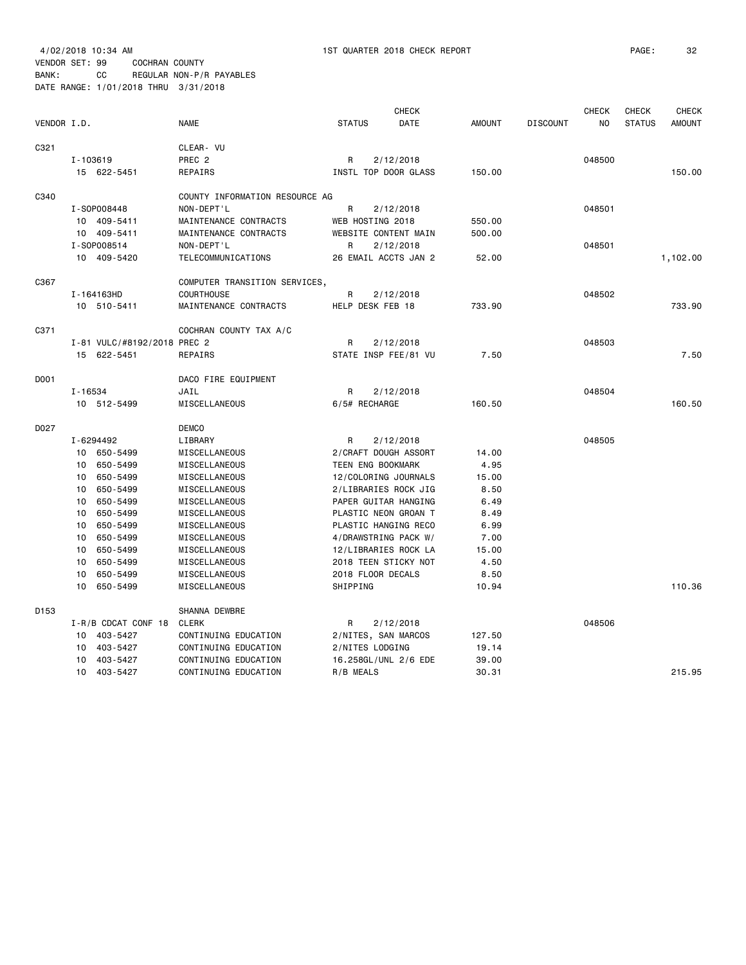| VENDOR I.D.      |                                                                                                                                                                                                                                | <b>NAME</b>                                                                                                                                                                                                                         | <b>CHECK</b><br>DATE<br><b>STATUS</b>                                                                                                                                                                                                                                                        | <b>AMOUNT</b><br><b>DISCOUNT</b>                                                                 | <b>CHECK</b><br>NO | <b>CHECK</b><br><b>CHECK</b><br><b>STATUS</b><br><b>AMOUNT</b> |
|------------------|--------------------------------------------------------------------------------------------------------------------------------------------------------------------------------------------------------------------------------|-------------------------------------------------------------------------------------------------------------------------------------------------------------------------------------------------------------------------------------|----------------------------------------------------------------------------------------------------------------------------------------------------------------------------------------------------------------------------------------------------------------------------------------------|--------------------------------------------------------------------------------------------------|--------------------|----------------------------------------------------------------|
| C321             | I-103619<br>15 622-5451                                                                                                                                                                                                        | CLEAR- VU<br>PREC <sub>2</sub><br>REPAIRS                                                                                                                                                                                           | R<br>2/12/2018<br>INSTL TOP DOOR GLASS                                                                                                                                                                                                                                                       | 150.00                                                                                           | 048500             | 150.00                                                         |
| C340             | I-S0P008448<br>10 409-5411                                                                                                                                                                                                     | COUNTY INFORMATION RESOURCE AG<br>NON-DEPT'L<br>MAINTENANCE CONTRACTS                                                                                                                                                               | R<br>2/12/2018<br>WEB HOSTING 2018                                                                                                                                                                                                                                                           | 550.00                                                                                           | 048501             |                                                                |
|                  | 10 409-5411<br>I-S0P008514<br>10 409-5420                                                                                                                                                                                      | MAINTENANCE CONTRACTS<br>NON-DEPT'L<br>TELECOMMUNICATIONS                                                                                                                                                                           | WEBSITE CONTENT MAIN<br>2/12/2018<br>R<br>26 EMAIL ACCTS JAN 2                                                                                                                                                                                                                               | 500.00<br>52.00                                                                                  | 048501             | 1,102.00                                                       |
| C367             | I-164163HD<br>10 510-5411                                                                                                                                                                                                      | COMPUTER TRANSITION SERVICES,<br><b>COURTHOUSE</b><br>MAINTENANCE CONTRACTS                                                                                                                                                         | R<br>2/12/2018<br>HELP DESK FEB 18                                                                                                                                                                                                                                                           | 733.90                                                                                           | 048502             | 733.90                                                         |
| C371             | I-81 VULC/#8192/2018 PREC 2<br>15 622-5451                                                                                                                                                                                     | COCHRAN COUNTY TAX A/C<br>REPAIRS                                                                                                                                                                                                   | R<br>2/12/2018<br>STATE INSP FEE/81 VU                                                                                                                                                                                                                                                       | 7.50                                                                                             | 048503             | 7.50                                                           |
| D001             | I-16534<br>10 512-5499                                                                                                                                                                                                         | DACO FIRE EQUIPMENT<br>JAIL<br>MISCELLANEOUS                                                                                                                                                                                        | R<br>2/12/2018<br>6/5# RECHARGE                                                                                                                                                                                                                                                              | 160.50                                                                                           | 048504             | 160.50                                                         |
| D027             | I-6294492<br>10 650-5499<br>650-5499<br>10<br>650-5499<br>10<br>650-5499<br>10<br>650-5499<br>10<br>650-5499<br>10<br>650-5499<br>10<br>650-5499<br>10<br>650-5499<br>10<br>650-5499<br>10<br>650-5499<br>10<br>650-5499<br>10 | <b>DEMCO</b><br>LIBRARY<br>MISCELLANEOUS<br>MISCELLANEOUS<br>MISCELLANEOUS<br>MISCELLANEOUS<br>MISCELLANEOUS<br>MISCELLANEOUS<br>MISCELLANEOUS<br>MISCELLANEOUS<br>MISCELLANEOUS<br>MISCELLANEOUS<br>MISCELLANEOUS<br>MISCELLANEOUS | R<br>2/12/2018<br>2/CRAFT DOUGH ASSORT<br>TEEN ENG BOOKMARK<br>12/COLORING JOURNALS<br>2/LIBRARIES ROCK JIG<br>PAPER GUITAR HANGING<br>PLASTIC NEON GROAN T<br>PLASTIC HANGING RECO<br>4/DRAWSTRING PACK W/<br>12/LIBRARIES ROCK LA<br>2018 TEEN STICKY NOT<br>2018 FLOOR DECALS<br>SHIPPING | 14.00<br>4.95<br>15.00<br>8.50<br>6.49<br>8.49<br>6.99<br>7.00<br>15.00<br>4.50<br>8.50<br>10.94 | 048505             | 110.36                                                         |
| D <sub>153</sub> | I-R/B CDCAT CONF 18<br>10 403-5427<br>403-5427<br>10<br>403-5427<br>10<br>403-5427<br>10                                                                                                                                       | SHANNA DEWBRE<br><b>CLERK</b><br>CONTINUING EDUCATION<br>CONTINUING EDUCATION<br>CONTINUING EDUCATION<br>CONTINUING EDUCATION                                                                                                       | R<br>2/12/2018<br>2/NITES, SAN MARCOS<br>2/NITES LODGING<br>16.258GL/UNL 2/6 EDE<br>R/B MEALS                                                                                                                                                                                                | 127.50<br>19.14<br>39.00<br>30.31                                                                | 048506             | 215.95                                                         |
|                  |                                                                                                                                                                                                                                |                                                                                                                                                                                                                                     |                                                                                                                                                                                                                                                                                              |                                                                                                  |                    |                                                                |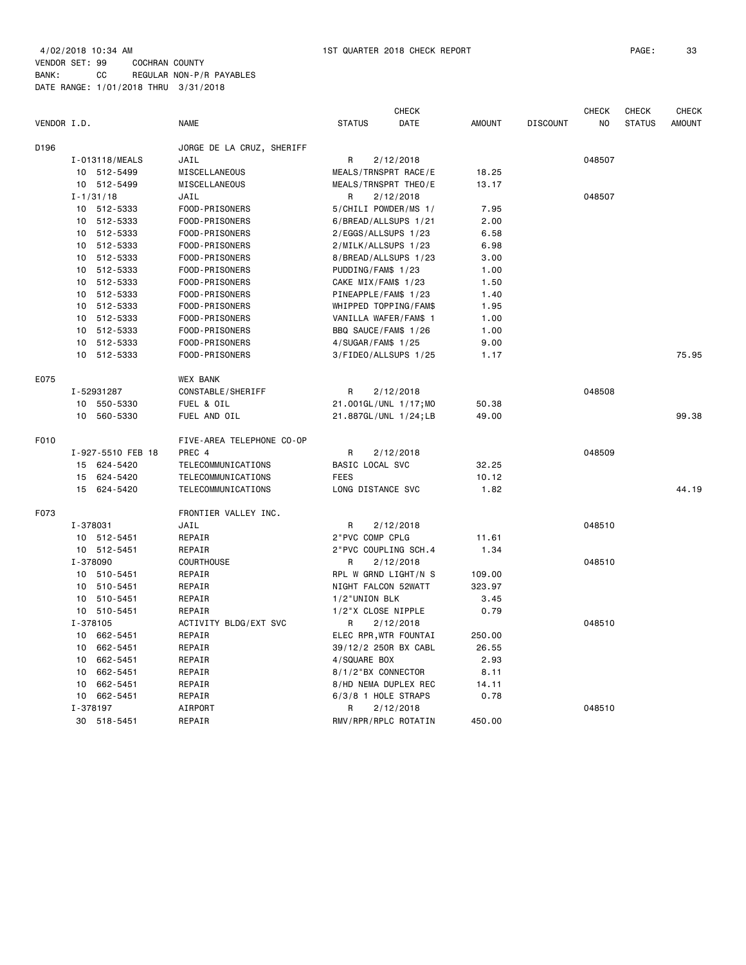|             |                   | <b>CHECK</b>              |                      |                       |               |                 | <b>CHECK</b> | <b>CHECK</b>  | <b>CHECK</b>  |
|-------------|-------------------|---------------------------|----------------------|-----------------------|---------------|-----------------|--------------|---------------|---------------|
| VENDOR I.D. |                   | <b>NAME</b>               | <b>STATUS</b>        | DATE                  | <b>AMOUNT</b> | <b>DISCOUNT</b> | NO           | <b>STATUS</b> | <b>AMOUNT</b> |
| D196        |                   | JORGE DE LA CRUZ, SHERIFF |                      |                       |               |                 |              |               |               |
|             | I-013118/MEALS    | JAIL                      | R                    | 2/12/2018             |               |                 | 048507       |               |               |
|             | 10 512-5499       | MISCELLANEOUS             |                      | MEALS/TRNSPRT RACE/E  | 18.25         |                 |              |               |               |
|             | 10 512-5499       | MISCELLANEOUS             |                      | MEALS/TRNSPRT THEO/E  | 13.17         |                 |              |               |               |
|             | $I - 1/31/18$     | JAIL                      | R                    | 2/12/2018             |               |                 | 048507       |               |               |
|             | 10 512-5333       | FOOD-PRISONERS            |                      | 5/CHILI POWDER/MS 1/  | 7.95          |                 |              |               |               |
|             | 10 512-5333       | FOOD-PRISONERS            |                      | 6/BREAD/ALLSUPS 1/21  | 2.00          |                 |              |               |               |
|             | 10 512-5333       | FOOD-PRISONERS            | 2/EGGS/ALLSUPS 1/23  |                       | 6.58          |                 |              |               |               |
|             | 10 512-5333       | FOOD-PRISONERS            | 2/MILK/ALLSUPS 1/23  |                       | 6.98          |                 |              |               |               |
|             | 10 512-5333       | FOOD-PRISONERS            |                      | 8/BREAD/ALLSUPS 1/23  | 3.00          |                 |              |               |               |
|             | 10 512-5333       | FOOD-PRISONERS            | PUDDING/FAM\$ 1/23   |                       | 1.00          |                 |              |               |               |
|             | 10 512-5333       | FOOD-PRISONERS            | CAKE MIX/FAM\$ 1/23  |                       | 1.50          |                 |              |               |               |
|             | 10 512-5333       | FOOD-PRISONERS            | PINEAPPLE/FAM\$ 1/23 |                       | 1.40          |                 |              |               |               |
|             | 10 512-5333       | FOOD-PRISONERS            |                      | WHIPPED TOPPING/FAM\$ | 1.95          |                 |              |               |               |
|             | 10 512-5333       | FOOD-PRISONERS            |                      | VANILLA WAFER/FAM\$ 1 | 1.00          |                 |              |               |               |
|             | 10 512-5333       | FOOD-PRISONERS            | BBQ SAUCE/FAM\$ 1/26 |                       | 1.00          |                 |              |               |               |
|             | 10 512-5333       | FOOD-PRISONERS            | 4/SUGAR/FAM\$ 1/25   |                       | 9.00          |                 |              |               |               |
|             | 10 512-5333       | FOOD-PRISONERS            |                      | 3/FIDEO/ALLSUPS 1/25  | 1.17          |                 |              |               | 75.95         |
| E075        |                   | <b>WEX BANK</b>           |                      |                       |               |                 |              |               |               |
|             | I-52931287        | CONSTABLE/SHERIFF         | R                    | 2/12/2018             |               |                 | 048508       |               |               |
|             | 10 550-5330       | FUEL & OIL                |                      | 21.001GL/UNL 1/17;MO  | 50.38         |                 |              |               |               |
|             | 10 560-5330       | FUEL AND OIL              |                      | 21.887GL/UNL 1/24;LB  | 49.00         |                 |              |               | 99.38         |
| F010        |                   | FIVE-AREA TELEPHONE CO-OP |                      |                       |               |                 |              |               |               |
|             | I-927-5510 FEB 18 | PREC 4                    | R                    | 2/12/2018             |               |                 | 048509       |               |               |
|             | 15 624-5420       | TELECOMMUNICATIONS        | BASIC LOCAL SVC      |                       | 32.25         |                 |              |               |               |
|             | 15 624-5420       | <b>TELECOMMUNICATIONS</b> | <b>FEES</b>          |                       | 10.12         |                 |              |               |               |
|             | 15 624-5420       | TELECOMMUNICATIONS        | LONG DISTANCE SVC    |                       | 1.82          |                 |              |               | 44.19         |
| F073        |                   | FRONTIER VALLEY INC.      |                      |                       |               |                 |              |               |               |
|             | I-378031          | JAIL                      | R                    | 2/12/2018             |               |                 | 048510       |               |               |
|             | 10 512-5451       | REPAIR                    | 2"PVC COMP CPLG      |                       | 11.61         |                 |              |               |               |
|             | 10 512-5451       | REPAIR                    |                      | 2"PVC COUPLING SCH.4  | 1.34          |                 |              |               |               |
|             | I-378090          | COURTHOUSE                | R                    | 2/12/2018             |               |                 | 048510       |               |               |
|             | 10 510-5451       | REPAIR                    |                      | RPL W GRND LIGHT/N S  | 109.00        |                 |              |               |               |
|             | 10 510-5451       | REPAIR                    | NIGHT FALCON 52WATT  |                       | 323.97        |                 |              |               |               |
|             | 10 510-5451       | REPAIR                    | 1/2"UNION BLK        |                       | 3.45          |                 |              |               |               |
|             | 10 510-5451       | REPAIR                    | 1/2"X CLOSE NIPPLE   |                       | 0.79          |                 |              |               |               |
|             | I-378105          | ACTIVITY BLDG/EXT SVC     | R                    | 2/12/2018             |               |                 | 048510       |               |               |
|             | 10 662-5451       | REPAIR                    |                      | ELEC RPR, WTR FOUNTAI | 250.00        |                 |              |               |               |
|             | 10 662-5451       | REPAIR                    |                      | 39/12/2 250R BX CABL  | 26.55         |                 |              |               |               |
|             | 10 662-5451       | REPAIR                    | 4/SQUARE BOX         |                       | 2.93          |                 |              |               |               |
|             | 10<br>662-5451    | REPAIR                    | 8/1/2"BX CONNECTOR   |                       | 8.11          |                 |              |               |               |
|             | 10<br>662-5451    | REPAIR                    |                      | 8/HD NEMA DUPLEX REC  | 14.11         |                 |              |               |               |
|             | 10 662-5451       | REPAIR                    | 6/3/8 1 HOLE STRAPS  |                       | 0.78          |                 |              |               |               |
|             | I-378197          | AIRPORT                   | R                    | 2/12/2018             |               |                 | 048510       |               |               |
|             | 30 518-5451       | REPAIR                    |                      | RMV/RPR/RPLC ROTATIN  | 450.00        |                 |              |               |               |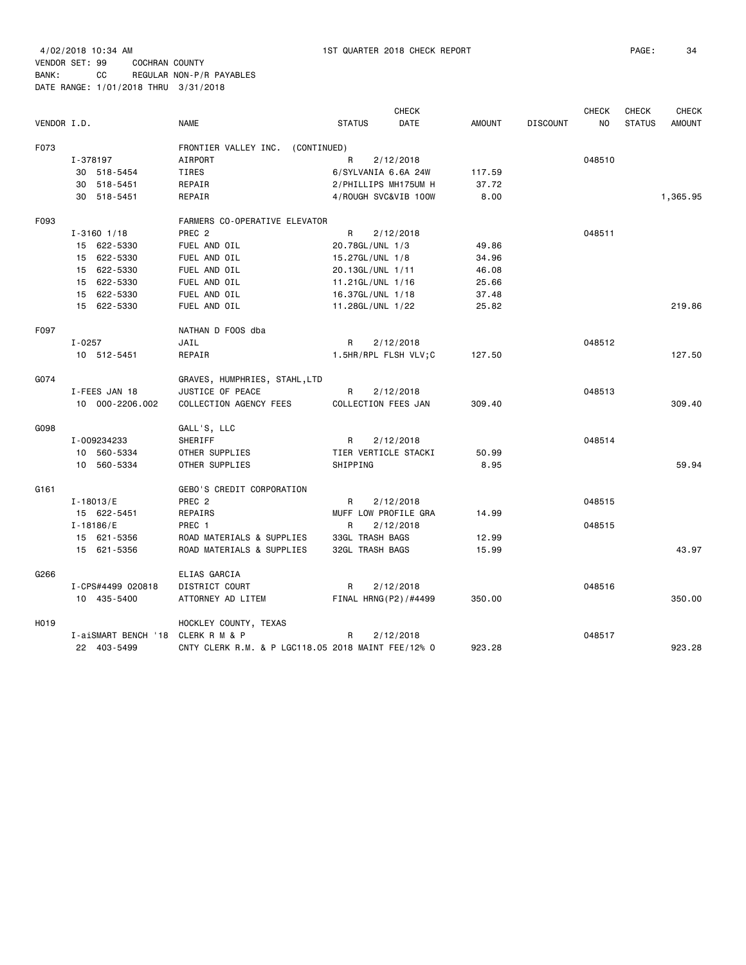| VENDOR I.D.       |            |                            | <b>NAME</b>                                        | <b>STATUS</b>                               | <b>CHECK</b><br>DATE | <b>AMOUNT</b>   | <b>DISCOUNT</b> | <b>CHECK</b><br>NO | <b>CHECK</b><br><b>STATUS</b> | <b>CHECK</b><br><b>AMOUNT</b> |
|-------------------|------------|----------------------------|----------------------------------------------------|---------------------------------------------|----------------------|-----------------|-----------------|--------------------|-------------------------------|-------------------------------|
|                   |            |                            |                                                    |                                             |                      |                 |                 |                    |                               |                               |
| F073              | I-378197   |                            | FRONTIER VALLEY INC.<br>(CONTINUED)<br>AIRPORT     | R                                           |                      |                 |                 | 048510             |                               |                               |
|                   |            |                            | TIRES                                              |                                             | 2/12/2018            |                 |                 |                    |                               |                               |
|                   |            | 30 518-5454<br>30 518-5451 | REPAIR                                             | 6/SYLVANIA 6.6A 24W<br>2/PHILLIPS MH175UM H |                      | 117.59<br>37.72 |                 |                    |                               |                               |
|                   |            | 30 518-5451                | REPAIR                                             | 4/ROUGH SVC&VIB 100W                        |                      | 8.00            |                 |                    |                               | 1,365.95                      |
|                   |            |                            |                                                    |                                             |                      |                 |                 |                    |                               |                               |
| F093              |            |                            | FARMERS CO-OPERATIVE ELEVATOR                      |                                             |                      |                 |                 |                    |                               |                               |
|                   |            | $I - 3160$ $1/18$          | PREC <sub>2</sub>                                  | R                                           | 2/12/2018            |                 |                 | 048511             |                               |                               |
|                   |            | 15 622-5330                | FUEL AND OIL                                       | 20.78GL/UNL 1/3                             |                      | 49.86           |                 |                    |                               |                               |
|                   |            | 15 622-5330                | FUEL AND OIL                                       | 15.27GL/UNL 1/8                             |                      | 34.96           |                 |                    |                               |                               |
|                   |            | 15 622-5330                | FUEL AND OIL                                       | 20.13GL/UNL 1/11                            |                      | 46.08           |                 |                    |                               |                               |
|                   |            | 15 622-5330                | FUEL AND OIL                                       | 11.21GL/UNL 1/16                            |                      | 25.66           |                 |                    |                               |                               |
|                   |            | 15 622-5330                | FUEL AND OIL                                       | 16.37GL/UNL 1/18                            |                      | 37.48           |                 |                    |                               |                               |
|                   |            | 15 622-5330                | FUEL AND OIL                                       | 11.28GL/UNL 1/22                            |                      | 25.82           |                 |                    |                               | 219.86                        |
| F097              |            |                            | NATHAN D FOOS dba                                  |                                             |                      |                 |                 |                    |                               |                               |
|                   | $I - 0257$ |                            | JAIL                                               | R                                           | 2/12/2018            |                 |                 | 048512             |                               |                               |
|                   |            | 10 512-5451                | REPAIR                                             | 1.5HR/RPL FLSH VLV;C                        |                      | 127.50          |                 |                    |                               | 127.50                        |
| G074              |            |                            | GRAVES, HUMPHRIES, STAHL,LTD                       |                                             |                      |                 |                 |                    |                               |                               |
|                   |            | I-FEES JAN 18              | JUSTICE OF PEACE                                   | R                                           | 2/12/2018            |                 |                 | 048513             |                               |                               |
|                   |            | 10 000-2206.002            | COLLECTION AGENCY FEES                             | COLLECTION FEES JAN                         |                      | 309.40          |                 |                    |                               | 309.40                        |
| G098              |            |                            | GALL'S, LLC                                        |                                             |                      |                 |                 |                    |                               |                               |
|                   |            | I-009234233                | SHERIFF                                            | R                                           | 2/12/2018            |                 |                 | 048514             |                               |                               |
|                   |            | 10 560-5334                | OTHER SUPPLIES                                     | TIER VERTICLE STACKI                        |                      | 50.99           |                 |                    |                               |                               |
|                   |            | 10 560-5334                | OTHER SUPPLIES                                     | SHIPPING                                    |                      | 8.95            |                 |                    |                               | 59.94                         |
|                   |            |                            |                                                    |                                             |                      |                 |                 |                    |                               |                               |
| G161              |            |                            | GEBO'S CREDIT CORPORATION                          |                                             |                      |                 |                 |                    |                               |                               |
|                   |            | $I - 18013 / E$            | PREC <sub>2</sub>                                  | R                                           | 2/12/2018            |                 |                 | 048515             |                               |                               |
|                   |            | 15 622-5451                | REPAIRS                                            | MUFF LOW PROFILE GRA                        |                      | 14.99           |                 |                    |                               |                               |
|                   |            | $I - 18186 / E$            | PREC 1                                             | R                                           | 2/12/2018            |                 |                 | 048515             |                               |                               |
|                   |            | 15 621-5356                | ROAD MATERIALS & SUPPLIES                          | 33GL TRASH BAGS                             |                      | 12.99           |                 |                    |                               |                               |
|                   |            | 15 621-5356                | ROAD MATERIALS & SUPPLIES                          | 32GL TRASH BAGS                             |                      | 15.99           |                 |                    |                               | 43.97                         |
| G266              |            |                            | ELIAS GARCIA                                       |                                             |                      |                 |                 |                    |                               |                               |
|                   |            | I-CPS#4499 020818          | DISTRICT COURT                                     | R                                           | 2/12/2018            |                 |                 | 048516             |                               |                               |
|                   |            | 10 435-5400                | ATTORNEY AD LITEM                                  | FINAL HRNG(P2)/#4499                        |                      | 350.00          |                 |                    |                               | 350.00                        |
| H <sub>0</sub> 19 |            |                            | HOCKLEY COUNTY, TEXAS                              |                                             |                      |                 |                 |                    |                               |                               |
|                   |            | I-aiSMART BENCH '18        | CLERK R M & P                                      | R                                           | 2/12/2018            |                 |                 | 048517             |                               |                               |
|                   |            | 22 403-5499                | CNTY CLERK R.M. & P LGC118.05 2018 MAINT FEE/12% 0 |                                             |                      | 923.28          |                 |                    |                               | 923.28                        |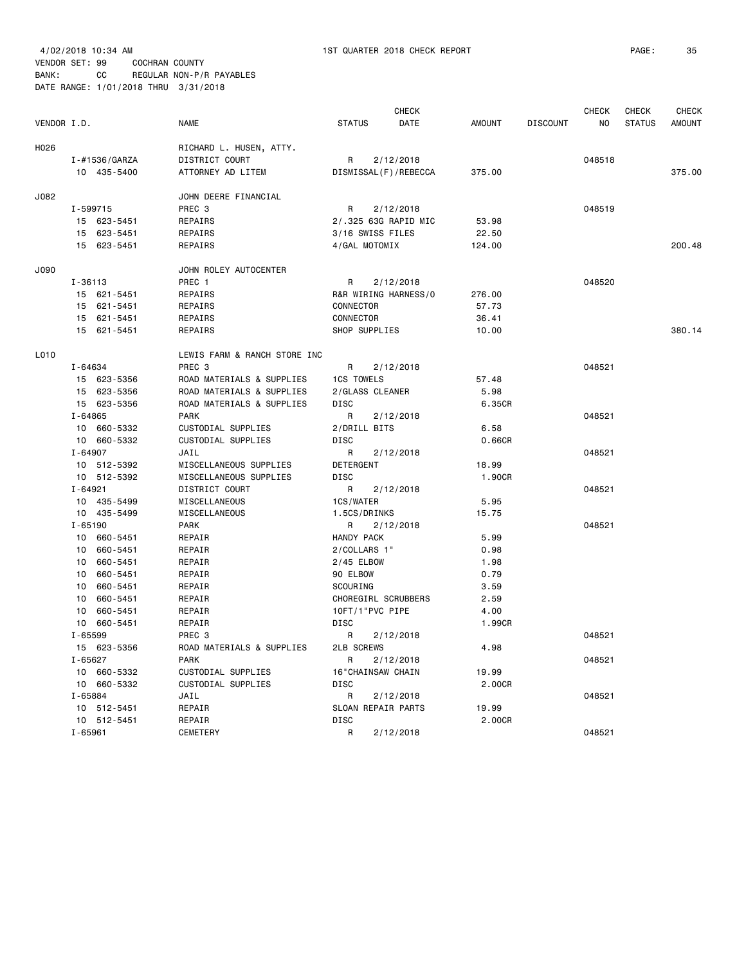|             |                             | <b>NAME</b>                  |                     | <b>CHECK</b>         |               |                 | CHECK  | <b>CHECK</b>  | <b>CHECK</b> |
|-------------|-----------------------------|------------------------------|---------------------|----------------------|---------------|-----------------|--------|---------------|--------------|
| VENDOR I.D. |                             |                              | <b>STATUS</b>       | DATE                 | <b>AMOUNT</b> | <b>DISCOUNT</b> | NO.    | <b>STATUS</b> | AMOUNT       |
| H026        |                             | RICHARD L. HUSEN, ATTY.      |                     |                      |               |                 |        |               |              |
|             | I-#1536/GARZA               | DISTRICT COURT               | R                   | 2/12/2018            |               |                 | 048518 |               |              |
|             | 10 435-5400                 | ATTORNEY AD LITEM            |                     | DISMISSAL(F)/REBECCA | 375.00        |                 |        |               | 375.00       |
| J082        |                             | JOHN DEERE FINANCIAL         |                     |                      |               |                 |        |               |              |
|             | I-599715                    | PREC <sub>3</sub>            | R                   | 2/12/2018            |               |                 | 048519 |               |              |
|             | 15 623-5451                 | REPAIRS                      |                     | 2/.325 63G RAPID MIC | 53.98         |                 |        |               |              |
|             | 15 623-5451                 | REPAIRS                      | 3/16 SWISS FILES    |                      | 22.50         |                 |        |               |              |
|             | 15 623-5451                 | REPAIRS                      | 4/GAL MOTOMIX       |                      | 124.00        |                 |        |               | 200.48       |
| J090        |                             | JOHN ROLEY AUTOCENTER        |                     |                      |               |                 |        |               |              |
|             | I-36113                     | PREC 1                       | R                   | 2/12/2018            |               |                 | 048520 |               |              |
|             | 15 621-5451                 | REPAIRS                      |                     | R&R WIRING HARNESS/0 | 276.00        |                 |        |               |              |
|             | 15 621-5451                 | REPAIRS                      | CONNECTOR           |                      | 57.73         |                 |        |               |              |
|             | 15 621-5451                 | REPAIRS                      | CONNECTOR           |                      | 36.41         |                 |        |               |              |
|             | 15 621-5451                 | REPAIRS                      | SHOP SUPPLIES       |                      | 10.00         |                 |        |               | 380.14       |
| L010        |                             | LEWIS FARM & RANCH STORE INC |                     |                      |               |                 |        |               |              |
|             | I-64634                     | PREC 3                       | R                   | 2/12/2018            |               |                 | 048521 |               |              |
|             | 15 623-5356                 | ROAD MATERIALS & SUPPLIES    | 1CS TOWELS          |                      | 57.48         |                 |        |               |              |
|             | 15 623-5356                 | ROAD MATERIALS & SUPPLIES    | 2/GLASS CLEANER     |                      | 5.98          |                 |        |               |              |
|             | 15 623-5356                 | ROAD MATERIALS & SUPPLIES    | DISC                |                      | 6.35CR        |                 |        |               |              |
|             | $I - 64865$                 | <b>PARK</b>                  | R                   | 2/12/2018            |               |                 | 048521 |               |              |
|             | 10 660-5332                 | CUSTODIAL SUPPLIES           | 2/DRILL BITS        |                      | 6.58          |                 |        |               |              |
|             | 10 660-5332                 | CUSTODIAL SUPPLIES           | <b>DISC</b>         |                      | 0.66CR        |                 |        |               |              |
|             | $I - 64907$                 | JAIL                         | R                   | 2/12/2018            |               |                 | 048521 |               |              |
|             | 10 512-5392                 | MISCELLANEOUS SUPPLIES       | DETERGENT           |                      | 18.99         |                 |        |               |              |
|             | 10 512-5392                 | MISCELLANEOUS SUPPLIES       | <b>DISC</b>         |                      | 1.90CR        |                 |        |               |              |
|             | $I - 64921$                 | DISTRICT COURT               | R                   | 2/12/2018            |               |                 | 048521 |               |              |
|             | 10 435-5499                 | MISCELLANEOUS                | 1CS/WATER           |                      | 5.95          |                 |        |               |              |
|             | 10 435-5499                 | MISCELLANEOUS                | 1.5CS/DRINKS        |                      | 15.75         |                 |        |               |              |
|             | $I - 65190$                 | <b>PARK</b>                  | R.                  | 2/12/2018            |               |                 | 048521 |               |              |
|             | 10 660-5451                 | REPAIR                       | HANDY PACK          |                      | 5.99          |                 |        |               |              |
|             | 10 660-5451                 | REPAIR                       | 2/COLLARS 1"        |                      | 0.98          |                 |        |               |              |
|             | 10 <sub>1</sub><br>660-5451 | REPAIR                       | 2/45 ELBOW          |                      | 1.98          |                 |        |               |              |
|             | 10 660-5451                 | REPAIR                       | 90 ELBOW            |                      | 0.79          |                 |        |               |              |
|             | 10 660-5451                 | REPAIR                       | SCOURING            |                      | 3.59          |                 |        |               |              |
|             | 10 660-5451                 | REPAIR                       | CHOREGIRL SCRUBBERS |                      | 2.59          |                 |        |               |              |
|             | 660-5451<br>10              | REPAIR                       | 10FT/1"PVC PIPE     |                      | 4.00          |                 |        |               |              |
|             | 10 660-5451                 | REPAIR                       | <b>DISC</b>         |                      | 1.99CR        |                 |        |               |              |
|             | $I - 65599$                 | PREC <sub>3</sub>            | R                   | 2/12/2018            |               |                 | 048521 |               |              |
|             | 15 623-5356                 | ROAD MATERIALS & SUPPLIES    | <b>2LB SCREWS</b>   |                      | 4.98          |                 |        |               |              |
|             | I-65627                     | <b>PARK</b>                  | R                   | 2/12/2018            |               |                 | 048521 |               |              |
|             | 10 660-5332                 | CUSTODIAL SUPPLIES           | 16"CHAINSAW CHAIN   |                      | 19.99         |                 |        |               |              |
|             | 10 660-5332                 | CUSTODIAL SUPPLIES           | <b>DISC</b>         |                      | 2.00CR        |                 |        |               |              |
|             | I-65884                     | JAIL                         | R                   | 2/12/2018            |               |                 | 048521 |               |              |
|             | 10 512-5451                 | REPAIR                       | SLOAN REPAIR PARTS  |                      | 19.99         |                 |        |               |              |
|             | 10 512-5451                 | REPAIR                       | <b>DISC</b>         |                      | 2.00CR        |                 |        |               |              |
|             | $I - 65961$                 | CEMETERY                     | R                   | 2/12/2018            |               |                 | 048521 |               |              |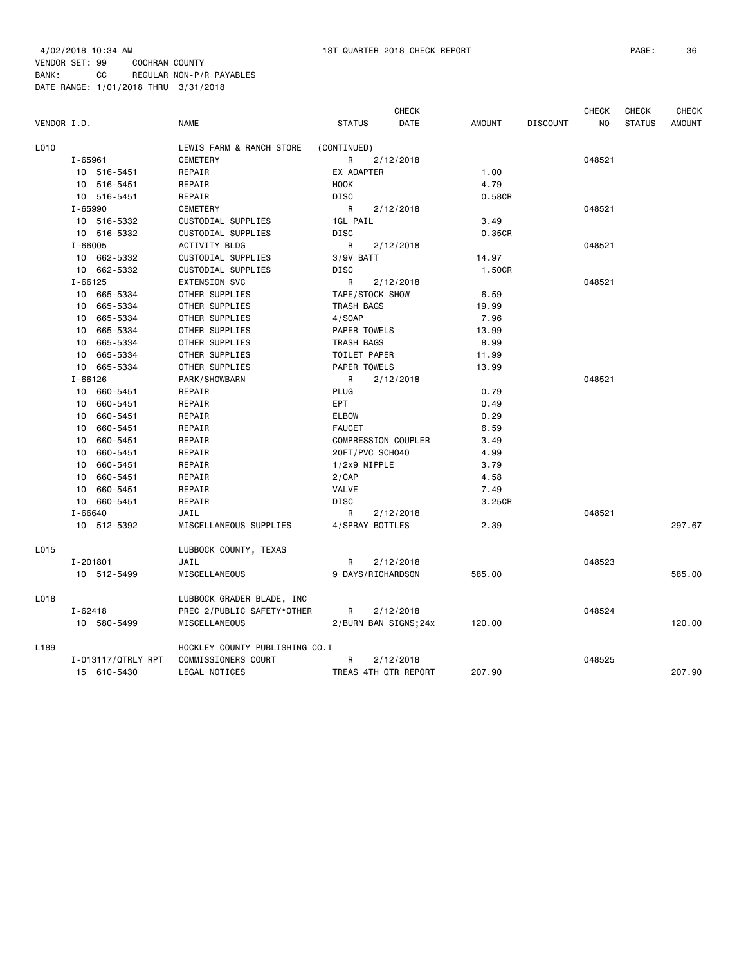| VENDOR I.D.      |                             | <b>NAME</b>                    | <b>STATUS</b>     | <b>CHECK</b><br>DATE | <b>AMOUNT</b> | <b>DISCOUNT</b> | <b>CHECK</b><br>NO. | <b>CHECK</b><br><b>STATUS</b> | <b>CHECK</b><br><b>AMOUNT</b> |
|------------------|-----------------------------|--------------------------------|-------------------|----------------------|---------------|-----------------|---------------------|-------------------------------|-------------------------------|
| L010             |                             | LEWIS FARM & RANCH STORE       | (CONTINUED)       |                      |               |                 |                     |                               |                               |
|                  | $I - 65961$                 | CEMETERY                       | R                 | 2/12/2018            |               |                 | 048521              |                               |                               |
|                  | 10 516-5451                 | REPAIR                         | EX ADAPTER        |                      | 1.00          |                 |                     |                               |                               |
|                  | 10 516-5451                 | REPAIR                         | <b>HOOK</b>       |                      | 4.79          |                 |                     |                               |                               |
|                  | 10 516-5451                 | REPAIR                         | DISC              |                      | 0.58CR        |                 |                     |                               |                               |
|                  | $I - 65990$                 | CEMETERY                       | R                 | 2/12/2018            |               |                 | 048521              |                               |                               |
|                  | 10 516-5332                 | CUSTODIAL SUPPLIES             | 1GL PAIL          |                      | 3.49          |                 |                     |                               |                               |
|                  | 10 516-5332                 | CUSTODIAL SUPPLIES             | <b>DISC</b>       |                      | 0.35CR        |                 |                     |                               |                               |
|                  | $I - 66005$                 | ACTIVITY BLDG                  | R                 | 2/12/2018            |               |                 | 048521              |                               |                               |
|                  | 10 662-5332                 | CUSTODIAL SUPPLIES             | 3/9V BATT         |                      | 14.97         |                 |                     |                               |                               |
|                  | 10 662-5332                 | CUSTODIAL SUPPLIES             | DISC              |                      | 1.50CR        |                 |                     |                               |                               |
|                  | $I - 66125$                 | <b>EXTENSION SVC</b>           | R                 | 2/12/2018            |               |                 | 048521              |                               |                               |
|                  | 10 665-5334                 | OTHER SUPPLIES                 | TAPE/STOCK SHOW   |                      | 6.59          |                 |                     |                               |                               |
|                  | 10 665-5334                 | OTHER SUPPLIES                 | TRASH BAGS        |                      | 19.99         |                 |                     |                               |                               |
|                  | 10 665-5334                 | OTHER SUPPLIES                 | 4/SOAP            |                      | 7.96          |                 |                     |                               |                               |
|                  | 10 665-5334                 | OTHER SUPPLIES                 | PAPER TOWELS      |                      | 13.99         |                 |                     |                               |                               |
|                  | 10 665-5334                 | OTHER SUPPLIES                 | TRASH BAGS        |                      | 8.99          |                 |                     |                               |                               |
|                  | 665-5334<br>10              | OTHER SUPPLIES                 | TOILET PAPER      |                      | 11.99         |                 |                     |                               |                               |
|                  | 10<br>665-5334              | OTHER SUPPLIES                 | PAPER TOWELS      |                      | 13.99         |                 |                     |                               |                               |
|                  | $I - 66126$                 | PARK/SHOWBARN                  | R                 | 2/12/2018            |               |                 | 048521              |                               |                               |
|                  | 10 <sup>1</sup><br>660-5451 | REPAIR                         | <b>PLUG</b>       |                      | 0.79          |                 |                     |                               |                               |
|                  | 10<br>660-5451              | REPAIR                         | <b>EPT</b>        |                      | 0.49          |                 |                     |                               |                               |
|                  | 10 660-5451                 | REPAIR                         | <b>ELBOW</b>      |                      | 0.29          |                 |                     |                               |                               |
|                  | 660-5451<br>10              | REPAIR                         | <b>FAUCET</b>     |                      | 6.59          |                 |                     |                               |                               |
|                  | 10<br>660-5451              | REPAIR                         |                   | COMPRESSION COUPLER  | 3.49          |                 |                     |                               |                               |
|                  | 10 660-5451                 | REPAIR                         | 20FT/PVC SCH040   |                      | 4.99          |                 |                     |                               |                               |
|                  | 10 660-5451                 | REPAIR                         | 1/2x9 NIPPLE      |                      | 3.79          |                 |                     |                               |                               |
|                  | 660-5451<br>10              | REPAIR                         | 2/CAP             |                      | 4.58          |                 |                     |                               |                               |
|                  | 10<br>660-5451              | REPAIR                         | <b>VALVE</b>      |                      | 7.49          |                 |                     |                               |                               |
|                  | 10<br>660-5451              | REPAIR                         | DISC              |                      | 3.25CR        |                 |                     |                               |                               |
|                  | $I - 66640$                 | JAIL                           | R                 | 2/12/2018            |               |                 | 048521              |                               |                               |
|                  | 10 512-5392                 | MISCELLANEOUS SUPPLIES         | 4/SPRAY BOTTLES   |                      | 2.39          |                 |                     |                               | 297.67                        |
| L015             |                             | LUBBOCK COUNTY, TEXAS          |                   |                      |               |                 |                     |                               |                               |
|                  | I-201801                    | JAIL                           | R                 | 2/12/2018            |               |                 | 048523              |                               |                               |
|                  | 10 512-5499                 | <b>MISCELLANEOUS</b>           | 9 DAYS/RICHARDSON |                      | 585.00        |                 |                     |                               | 585.00                        |
| L018             |                             | LUBBOCK GRADER BLADE, INC      |                   |                      |               |                 |                     |                               |                               |
|                  | $I - 62418$                 | PREC 2/PUBLIC SAFETY*OTHER     | R                 | 2/12/2018            |               |                 | 048524              |                               |                               |
|                  | 10 580-5499                 | MISCELLANEOUS                  |                   | 2/BURN BAN SIGNS;24x | 120.00        |                 |                     |                               | 120,00                        |
| L <sub>189</sub> |                             | HOCKLEY COUNTY PUBLISHING CO.I |                   |                      |               |                 |                     |                               |                               |
|                  | I-013117/QTRLY RPT          | COMMISSIONERS COURT            | R                 | 2/12/2018            |               |                 | 048525              |                               |                               |
|                  | 15 610-5430                 | LEGAL NOTICES                  |                   | TREAS 4TH QTR REPORT | 207.90        |                 |                     |                               | 207.90                        |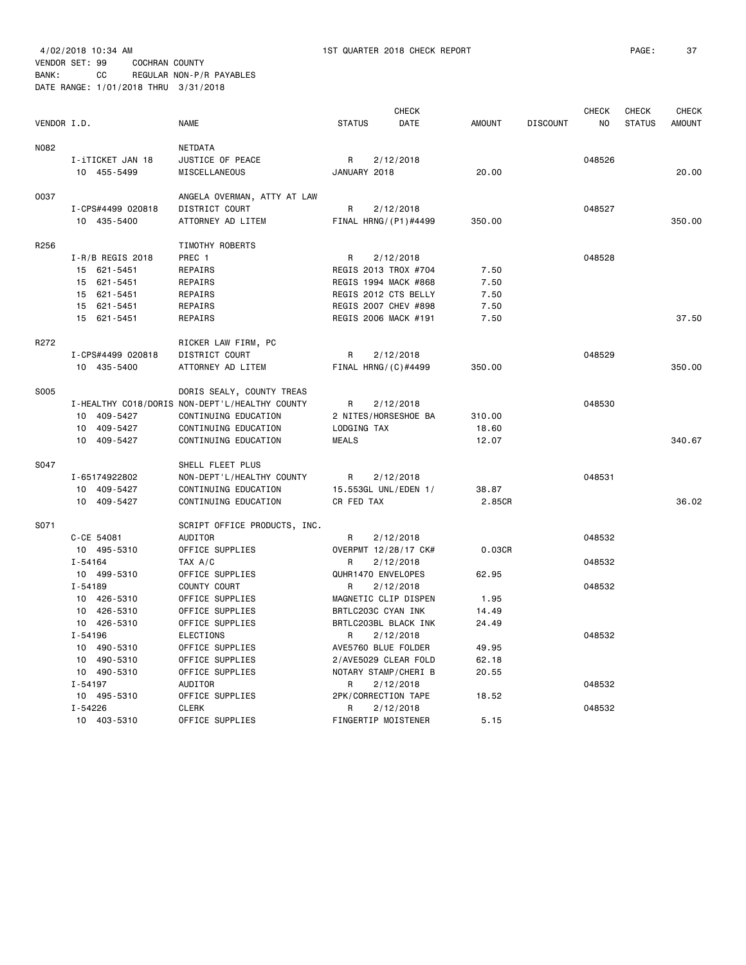|             |                    |                                                |                    | <b>CHECK</b>         |               |                 | <b>CHECK</b> | <b>CHECK</b>  | <b>CHECK</b>  |
|-------------|--------------------|------------------------------------------------|--------------------|----------------------|---------------|-----------------|--------------|---------------|---------------|
| VENDOR I.D. |                    | <b>NAME</b>                                    | <b>STATUS</b>      | DATE                 | <b>AMOUNT</b> | <b>DISCOUNT</b> | NO           | <b>STATUS</b> | <b>AMOUNT</b> |
| N082        |                    | NETDATA                                        |                    |                      |               |                 |              |               |               |
|             | I-iTICKET JAN 18   | JUSTICE OF PEACE                               | R                  | 2/12/2018            |               |                 | 048526       |               |               |
|             | 10 455-5499        | MISCELLANEOUS                                  | JANUARY 2018       |                      | 20.00         |                 |              |               | 20.00         |
| 0037        |                    | ANGELA OVERMAN, ATTY AT LAW                    |                    |                      |               |                 |              |               |               |
|             | I-CPS#4499 020818  | DISTRICT COURT                                 | R                  | 2/12/2018            |               |                 | 048527       |               |               |
|             | 10 435-5400        | ATTORNEY AD LITEM                              |                    | FINAL HRNG/(P1)#4499 | 350.00        |                 |              |               | 350.00        |
| R256        |                    | TIMOTHY ROBERTS                                |                    |                      |               |                 |              |               |               |
|             | $I-R/B$ REGIS 2018 | PREC 1                                         | R                  | 2/12/2018            |               |                 | 048528       |               |               |
|             | 15 621-5451        | REPAIRS                                        |                    | REGIS 2013 TROX #704 | 7.50          |                 |              |               |               |
|             | 15 621-5451        | REPAIRS                                        |                    | REGIS 1994 MACK #868 | 7.50          |                 |              |               |               |
|             | 15 621-5451        | REPAIRS                                        |                    | REGIS 2012 CTS BELLY | 7.50          |                 |              |               |               |
|             | 15 621-5451        | REPAIRS                                        |                    | REGIS 2007 CHEV #898 | 7.50          |                 |              |               |               |
|             | 15 621-5451        | REPAIRS                                        |                    | REGIS 2006 MACK #191 | 7.50          |                 |              |               | 37.50         |
| R272        |                    | RICKER LAW FIRM, PC                            |                    |                      |               |                 |              |               |               |
|             | I-CPS#4499 020818  | DISTRICT COURT                                 | R                  | 2/12/2018            |               |                 | 048529       |               |               |
|             | 10 435-5400        | ATTORNEY AD LITEM                              |                    | FINAL HRNG/(C)#4499  | 350.00        |                 |              |               | 350.00        |
| S005        |                    | DORIS SEALY, COUNTY TREAS                      |                    |                      |               |                 |              |               |               |
|             |                    | I-HEALTHY CO18/DORIS NON-DEPT'L/HEALTHY COUNTY | R                  | 2/12/2018            |               |                 | 048530       |               |               |
|             | 10 409-5427        | CONTINUING EDUCATION                           |                    | 2 NITES/HORSESHOE BA | 310.00        |                 |              |               |               |
|             | 10 409-5427        | CONTINUING EDUCATION                           | LODGING TAX        |                      | 18.60         |                 |              |               |               |
|             | 10 409-5427        | CONTINUING EDUCATION                           | <b>MEALS</b>       |                      | 12.07         |                 |              |               | 340.67        |
| S047        |                    | SHELL FLEET PLUS                               |                    |                      |               |                 |              |               |               |
|             | I-65174922802      | NON-DEPT'L/HEALTHY COUNTY                      | R                  | 2/12/2018            |               |                 | 048531       |               |               |
|             | 10 409-5427        | CONTINUING EDUCATION                           |                    | 15.553GL UNL/EDEN 1/ | 38.87         |                 |              |               |               |
|             | 10 409-5427        | CONTINUING EDUCATION                           | CR FED TAX         |                      | 2.85CR        |                 |              |               | 36.02         |
| S071        |                    | SCRIPT OFFICE PRODUCTS, INC.                   |                    |                      |               |                 |              |               |               |
|             | C-CE 54081         | AUDITOR                                        | R                  | 2/12/2018            |               |                 | 048532       |               |               |
|             | 10 495-5310        | OFFICE SUPPLIES                                |                    | OVERPMT 12/28/17 CK# | 0.03CR        |                 |              |               |               |
|             | $I - 54164$        | TAX A/C                                        | R                  | 2/12/2018            |               |                 | 048532       |               |               |
|             | 10 499-5310        | OFFICE SUPPLIES                                | QUHR1470 ENVELOPES |                      | 62.95         |                 |              |               |               |
|             | $I - 54189$        | COUNTY COURT                                   | R                  | 2/12/2018            |               |                 | 048532       |               |               |
|             | 10 426-5310        | OFFICE SUPPLIES                                |                    | MAGNETIC CLIP DISPEN | 1.95          |                 |              |               |               |
|             | 10 426-5310        | OFFICE SUPPLIES                                | BRTLC203C CYAN INK |                      | 14.49         |                 |              |               |               |
|             | 10 426-5310        | OFFICE SUPPLIES                                |                    | BRTLC203BL BLACK INK | 24.49         |                 |              |               |               |
|             | $I - 54196$        | <b>ELECTIONS</b>                               | R                  | 2/12/2018            |               |                 | 048532       |               |               |
|             | 10 490-5310        | OFFICE SUPPLIES                                |                    | AVE5760 BLUE FOLDER  | 49.95         |                 |              |               |               |
|             | 10 490-5310        | OFFICE SUPPLIES                                |                    | 2/AVE5029 CLEAR FOLD | 62.18         |                 |              |               |               |
|             | 10 490-5310        | OFFICE SUPPLIES                                |                    | NOTARY STAMP/CHERI B | 20.55         |                 |              |               |               |
|             | $I - 54197$        | AUDITOR                                        | R                  | 2/12/2018            |               |                 | 048532       |               |               |
|             | 10 495-5310        | OFFICE SUPPLIES                                |                    | 2PK/CORRECTION TAPE  | 18.52         |                 |              |               |               |
|             | I-54226            | <b>CLERK</b>                                   | R                  | 2/12/2018            |               |                 | 048532       |               |               |
|             | 10 403-5310        | OFFICE SUPPLIES                                |                    | FINGERTIP MOISTENER  | 5.15          |                 |              |               |               |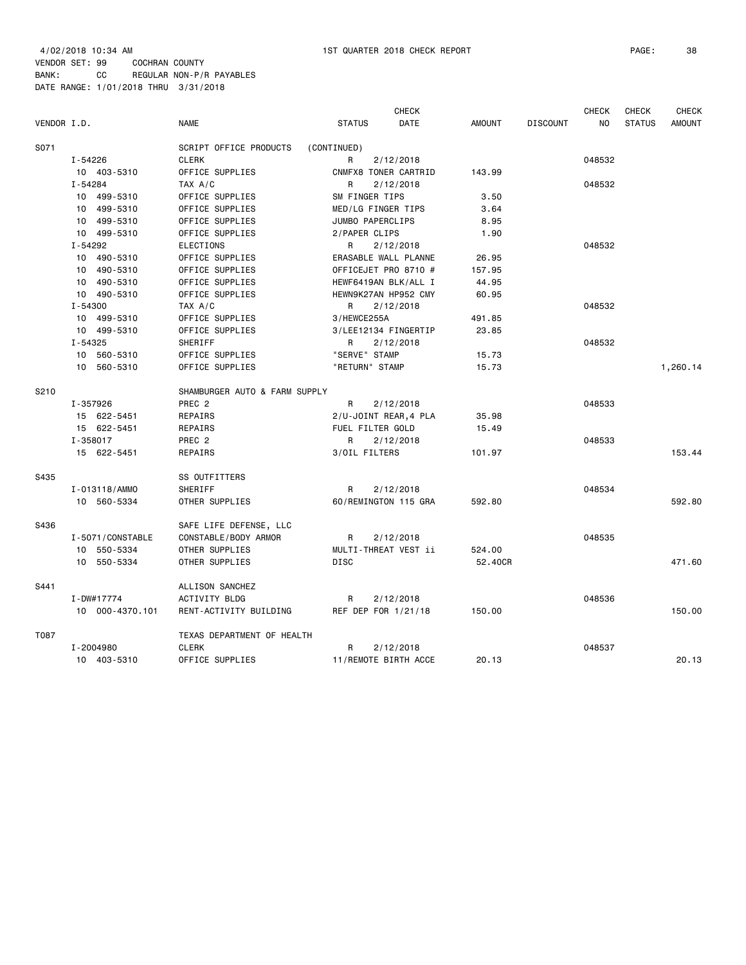| VENDOR I.D. |                            | <b>NAME</b>                        | <b>STATUS</b>                     | <b>CHECK</b><br>DATE  | <b>AMOUNT</b> | <b>DISCOUNT</b> | <b>CHECK</b><br>N <sub>0</sub> | <b>CHECK</b><br><b>STATUS</b> | <b>CHECK</b><br><b>AMOUNT</b> |
|-------------|----------------------------|------------------------------------|-----------------------------------|-----------------------|---------------|-----------------|--------------------------------|-------------------------------|-------------------------------|
|             |                            |                                    |                                   |                       |               |                 |                                |                               |                               |
| S071        |                            | SCRIPT OFFICE PRODUCTS             | (CONTINUED)                       |                       |               |                 |                                |                               |                               |
|             | I-54226                    | <b>CLERK</b>                       | R                                 | 2/12/2018             |               |                 | 048532                         |                               |                               |
|             | 10 403-5310                | OFFICE SUPPLIES                    | CNMFX8 TONER CARTRID              |                       | 143.99        |                 |                                |                               |                               |
|             | I-54284                    | TAX A/C                            | R                                 | 2/12/2018             |               |                 | 048532                         |                               |                               |
|             | 10 499-5310                | OFFICE SUPPLIES                    | SM FINGER TIPS                    |                       | 3.50          |                 |                                |                               |                               |
|             | 10 499-5310                | OFFICE SUPPLIES                    | MED/LG FINGER TIPS                |                       | 3.64          |                 |                                |                               |                               |
|             | 10 499-5310<br>10 499-5310 | OFFICE SUPPLIES<br>OFFICE SUPPLIES | JUMBO PAPERCLIPS<br>2/PAPER CLIPS |                       | 8.95<br>1.90  |                 |                                |                               |                               |
|             | $I - 54292$                | <b>ELECTIONS</b>                   | R                                 | 2/12/2018             |               |                 | 048532                         |                               |                               |
|             | 10 490-5310                | OFFICE SUPPLIES                    | ERASABLE WALL PLANNE              |                       | 26.95         |                 |                                |                               |                               |
|             | 10 490-5310                | OFFICE SUPPLIES                    | OFFICEJET PRO 8710 #              |                       | 157.95        |                 |                                |                               |                               |
|             | 10 490-5310                | OFFICE SUPPLIES                    | HEWF6419AN BLK/ALL I              |                       | 44.95         |                 |                                |                               |                               |
|             | 10 490-5310                | OFFICE SUPPLIES                    | HEWN9K27AN HP952 CMY              |                       | 60.95         |                 |                                |                               |                               |
|             | $I - 54300$                | TAX A/C                            | R                                 | 2/12/2018             |               |                 | 048532                         |                               |                               |
|             | 10 499-5310                | OFFICE SUPPLIES                    | 3/HEWCE255A                       |                       | 491.85        |                 |                                |                               |                               |
|             | 10 499-5310                | OFFICE SUPPLIES                    | 3/LEE12134 FINGERTIP              |                       | 23.85         |                 |                                |                               |                               |
|             | $I - 54325$                | <b>SHERIFF</b>                     | R                                 | 2/12/2018             |               |                 | 048532                         |                               |                               |
|             | 10 560-5310                | OFFICE SUPPLIES                    | "SERVE" STAMP                     |                       | 15.73         |                 |                                |                               |                               |
|             | 10 560-5310                | OFFICE SUPPLIES                    | "RETURN" STAMP                    |                       | 15.73         |                 |                                |                               | 1,260.14                      |
| S210        |                            | SHAMBURGER AUTO & FARM SUPPLY      |                                   |                       |               |                 |                                |                               |                               |
|             | I-357926                   | PREC <sub>2</sub>                  | R                                 | 2/12/2018             |               |                 | 048533                         |                               |                               |
|             | 15 622-5451                | REPAIRS                            |                                   | 2/U-JOINT REAR, 4 PLA | 35.98         |                 |                                |                               |                               |
|             | 15 622-5451                | REPAIRS                            | FUEL FILTER GOLD                  |                       | 15.49         |                 |                                |                               |                               |
|             | $I - 358017$               | PREC <sub>2</sub>                  | R                                 | 2/12/2018             |               |                 | 048533                         |                               |                               |
|             | 15 622-5451                | REPAIRS                            | 3/OIL FILTERS                     |                       | 101.97        |                 |                                |                               | 153.44                        |
| S435        |                            | SS OUTFITTERS                      |                                   |                       |               |                 |                                |                               |                               |
|             | I-013118/AMMO              | SHERIFF                            | R                                 | 2/12/2018             |               |                 | 048534                         |                               |                               |
|             | 10 560-5334                | OTHER SUPPLIES                     | 60/REMINGTON 115 GRA              |                       | 592.80        |                 |                                |                               | 592.80                        |
| S436        |                            | SAFE LIFE DEFENSE, LLC             |                                   |                       |               |                 |                                |                               |                               |
|             | I-5071/CONSTABLE           | CONSTABLE/BODY ARMOR               | R                                 | 2/12/2018             |               |                 | 048535                         |                               |                               |
|             | 10 550-5334                | OTHER SUPPLIES                     | MULTI-THREAT VEST ii              |                       | 524.00        |                 |                                |                               |                               |
|             | 10 550-5334                | OTHER SUPPLIES                     | <b>DISC</b>                       |                       | 52,40CR       |                 |                                |                               | 471.60                        |
| S441        |                            | ALLISON SANCHEZ                    |                                   |                       |               |                 |                                |                               |                               |
|             | I-DW#17774                 | <b>ACTIVITY BLDG</b>               | R                                 | 2/12/2018             |               |                 | 048536                         |                               |                               |
|             | 10 000-4370.101            | RENT-ACTIVITY BUILDING             | REF DEP FOR 1/21/18               |                       | 150.00        |                 |                                |                               | 150.00                        |
| T087        |                            | TEXAS DEPARTMENT OF HEALTH         |                                   |                       |               |                 |                                |                               |                               |
|             | I-2004980                  | <b>CLERK</b>                       | R                                 | 2/12/2018             |               |                 | 048537                         |                               |                               |
|             | 10 403-5310                | OFFICE SUPPLIES                    | 11/REMOTE BIRTH ACCE              |                       | 20.13         |                 |                                |                               | 20.13                         |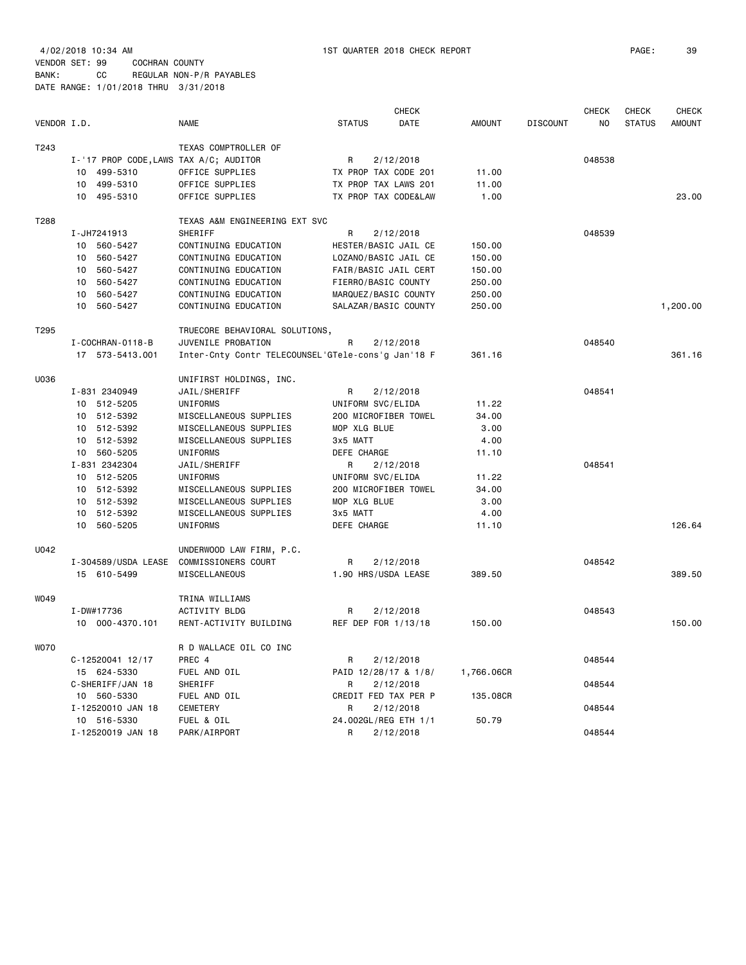| T243<br>TEXAS COMPTROLLER OF<br>048538<br>I-'17 PROP CODE, LAWS TAX A/C; AUDITOR<br>R<br>2/12/2018<br>TX PROP TAX CODE 201<br>10 499-5310<br>OFFICE SUPPLIES<br>11.00<br>10 499-5310<br>TX PROP TAX LAWS 201<br>OFFICE SUPPLIES<br>11.00<br>10 495-5310<br>OFFICE SUPPLIES<br>TX PROP TAX CODE&LAW<br>1.00<br>23.00<br>T288<br>TEXAS A&M ENGINEERING EXT SVC<br>I-JH7241913<br>SHERIFF<br>R<br>2/12/2018<br>048539<br>10 560-5427<br>CONTINUING EDUCATION<br>HESTER/BASIC JAIL CE<br>150.00<br>560-5427<br>CONTINUING EDUCATION<br>LOZANO/BASIC JAIL CE<br>150.00<br>10<br>10 560-5427<br>CONTINUING EDUCATION<br>FAIR/BASIC JAIL CERT<br>150.00<br>10 560-5427<br>CONTINUING EDUCATION<br>FIERRO/BASIC COUNTY<br>250.00<br>10 560-5427<br>MARQUEZ/BASIC COUNTY<br>CONTINUING EDUCATION<br>250.00<br>10 560-5427<br>CONTINUING EDUCATION<br>SALAZAR/BASIC COUNTY<br>250.00<br>1,200.00<br>T295<br>TRUECORE BEHAVIORAL SOLUTIONS,<br>I - COCHRAN - 0118 - B<br>JUVENILE PROBATION<br>R<br>2/12/2018<br>048540<br>Inter-Cnty Contr TELECOUNSEL'GTele-cons'g Jan'18 F<br>361.16<br>17 573-5413.001<br>361.16<br>U036<br>UNIFIRST HOLDINGS, INC.<br>048541<br>I-831 2340949<br>JAIL/SHERIFF<br>2/12/2018<br>R<br>10 512-5205<br>UNIFORMS<br>UNIFORM SVC/ELIDA<br>11.22<br>10 512-5392<br>MISCELLANEOUS SUPPLIES<br>200 MICROFIBER TOWEL<br>34.00<br>MOP XLG BLUE<br>3.00<br>10 512-5392<br>MISCELLANEOUS SUPPLIES<br>10 512-5392<br>MISCELLANEOUS SUPPLIES<br>3x5 MATT<br>4.00<br>10 560-5205<br>UNIFORMS<br>DEFE CHARGE<br>11.10<br>I-831 2342304<br>R<br>048541<br>JAIL/SHERIFF<br>2/12/2018<br>10 512-5205<br>UNIFORMS<br>UNIFORM SVC/ELIDA<br>11.22<br>10 512-5392<br>MISCELLANEOUS SUPPLIES<br>200 MICROFIBER TOWEL<br>34.00<br>MOP XLG BLUE<br>3.00<br>10 512-5392<br>MISCELLANEOUS SUPPLIES<br>10 512-5392<br>MISCELLANEOUS SUPPLIES<br>3x5 MATT<br>4.00<br>DEFE CHARGE<br>126.64<br>10 560-5205<br>UNIFORMS<br>11.10<br>U042<br>UNDERWOOD LAW FIRM, P.C.<br>048542<br>I-304589/USDA LEASE<br>COMMISSIONERS COURT<br>R<br>2/12/2018<br>MISCELLANEOUS<br>1.90 HRS/USDA LEASE<br>389.50<br>15 610-5499<br>389.50<br>W049<br>TRINA WILLIAMS<br>048543<br>I-DW#17736<br>ACTIVITY BLDG<br>R<br>2/12/2018<br>10 000-4370.101<br>RENT-ACTIVITY BUILDING<br>REF DEP FOR 1/13/18<br>150.00<br>150.00<br><b>WO70</b><br>R D WALLACE OIL CO INC<br>048544<br>C-12520041 12/17<br>PREC 4<br>2/12/2018<br>R<br>15 624-5330<br>FUEL AND OIL<br>PAID 12/28/17 & 1/8/<br>1,766.06CR<br>SHERIFF<br>C-SHERIFF/JAN 18<br>R<br>2/12/2018<br>048544<br>CREDIT FED TAX PER P<br>10 560-5330<br>FUEL AND OIL<br>135.08CR<br>048544<br>I-12520010 JAN 18<br>CEMETERY<br>R<br>2/12/2018<br>24.002GL/REG ETH 1/1<br>10 516-5330<br>FUEL & OIL<br>50.79<br>I-12520019 JAN 18<br>PARK/AIRPORT<br>048544<br>R<br>2/12/2018 | VENDOR I.D. | <b>NAME</b> | <b>STATUS</b> | <b>CHECK</b><br>DATE | <b>AMOUNT</b> | <b>DISCOUNT</b> | <b>CHECK</b><br>NO | <b>CHECK</b><br><b>STATUS</b> | <b>CHECK</b><br>AMOUNT |
|--------------------------------------------------------------------------------------------------------------------------------------------------------------------------------------------------------------------------------------------------------------------------------------------------------------------------------------------------------------------------------------------------------------------------------------------------------------------------------------------------------------------------------------------------------------------------------------------------------------------------------------------------------------------------------------------------------------------------------------------------------------------------------------------------------------------------------------------------------------------------------------------------------------------------------------------------------------------------------------------------------------------------------------------------------------------------------------------------------------------------------------------------------------------------------------------------------------------------------------------------------------------------------------------------------------------------------------------------------------------------------------------------------------------------------------------------------------------------------------------------------------------------------------------------------------------------------------------------------------------------------------------------------------------------------------------------------------------------------------------------------------------------------------------------------------------------------------------------------------------------------------------------------------------------------------------------------------------------------------------------------------------------------------------------------------------------------------------------------------------------------------------------------------------------------------------------------------------------------------------------------------------------------------------------------------------------------------------------------------------------------------------------------------------------------------------------------------------------------------------------------------------------------------------------------------------------------------------------------------------------------------------------------------------------------------------------------------------------------------------------------------------------------------------------|-------------|-------------|---------------|----------------------|---------------|-----------------|--------------------|-------------------------------|------------------------|
|                                                                                                                                                                                                                                                                                                                                                                                                                                                                                                                                                                                                                                                                                                                                                                                                                                                                                                                                                                                                                                                                                                                                                                                                                                                                                                                                                                                                                                                                                                                                                                                                                                                                                                                                                                                                                                                                                                                                                                                                                                                                                                                                                                                                                                                                                                                                                                                                                                                                                                                                                                                                                                                                                                                                                                                                  |             |             |               |                      |               |                 |                    |                               |                        |
|                                                                                                                                                                                                                                                                                                                                                                                                                                                                                                                                                                                                                                                                                                                                                                                                                                                                                                                                                                                                                                                                                                                                                                                                                                                                                                                                                                                                                                                                                                                                                                                                                                                                                                                                                                                                                                                                                                                                                                                                                                                                                                                                                                                                                                                                                                                                                                                                                                                                                                                                                                                                                                                                                                                                                                                                  |             |             |               |                      |               |                 |                    |                               |                        |
|                                                                                                                                                                                                                                                                                                                                                                                                                                                                                                                                                                                                                                                                                                                                                                                                                                                                                                                                                                                                                                                                                                                                                                                                                                                                                                                                                                                                                                                                                                                                                                                                                                                                                                                                                                                                                                                                                                                                                                                                                                                                                                                                                                                                                                                                                                                                                                                                                                                                                                                                                                                                                                                                                                                                                                                                  |             |             |               |                      |               |                 |                    |                               |                        |
|                                                                                                                                                                                                                                                                                                                                                                                                                                                                                                                                                                                                                                                                                                                                                                                                                                                                                                                                                                                                                                                                                                                                                                                                                                                                                                                                                                                                                                                                                                                                                                                                                                                                                                                                                                                                                                                                                                                                                                                                                                                                                                                                                                                                                                                                                                                                                                                                                                                                                                                                                                                                                                                                                                                                                                                                  |             |             |               |                      |               |                 |                    |                               |                        |
|                                                                                                                                                                                                                                                                                                                                                                                                                                                                                                                                                                                                                                                                                                                                                                                                                                                                                                                                                                                                                                                                                                                                                                                                                                                                                                                                                                                                                                                                                                                                                                                                                                                                                                                                                                                                                                                                                                                                                                                                                                                                                                                                                                                                                                                                                                                                                                                                                                                                                                                                                                                                                                                                                                                                                                                                  |             |             |               |                      |               |                 |                    |                               |                        |
|                                                                                                                                                                                                                                                                                                                                                                                                                                                                                                                                                                                                                                                                                                                                                                                                                                                                                                                                                                                                                                                                                                                                                                                                                                                                                                                                                                                                                                                                                                                                                                                                                                                                                                                                                                                                                                                                                                                                                                                                                                                                                                                                                                                                                                                                                                                                                                                                                                                                                                                                                                                                                                                                                                                                                                                                  |             |             |               |                      |               |                 |                    |                               |                        |
|                                                                                                                                                                                                                                                                                                                                                                                                                                                                                                                                                                                                                                                                                                                                                                                                                                                                                                                                                                                                                                                                                                                                                                                                                                                                                                                                                                                                                                                                                                                                                                                                                                                                                                                                                                                                                                                                                                                                                                                                                                                                                                                                                                                                                                                                                                                                                                                                                                                                                                                                                                                                                                                                                                                                                                                                  |             |             |               |                      |               |                 |                    |                               |                        |
|                                                                                                                                                                                                                                                                                                                                                                                                                                                                                                                                                                                                                                                                                                                                                                                                                                                                                                                                                                                                                                                                                                                                                                                                                                                                                                                                                                                                                                                                                                                                                                                                                                                                                                                                                                                                                                                                                                                                                                                                                                                                                                                                                                                                                                                                                                                                                                                                                                                                                                                                                                                                                                                                                                                                                                                                  |             |             |               |                      |               |                 |                    |                               |                        |
|                                                                                                                                                                                                                                                                                                                                                                                                                                                                                                                                                                                                                                                                                                                                                                                                                                                                                                                                                                                                                                                                                                                                                                                                                                                                                                                                                                                                                                                                                                                                                                                                                                                                                                                                                                                                                                                                                                                                                                                                                                                                                                                                                                                                                                                                                                                                                                                                                                                                                                                                                                                                                                                                                                                                                                                                  |             |             |               |                      |               |                 |                    |                               |                        |
|                                                                                                                                                                                                                                                                                                                                                                                                                                                                                                                                                                                                                                                                                                                                                                                                                                                                                                                                                                                                                                                                                                                                                                                                                                                                                                                                                                                                                                                                                                                                                                                                                                                                                                                                                                                                                                                                                                                                                                                                                                                                                                                                                                                                                                                                                                                                                                                                                                                                                                                                                                                                                                                                                                                                                                                                  |             |             |               |                      |               |                 |                    |                               |                        |
|                                                                                                                                                                                                                                                                                                                                                                                                                                                                                                                                                                                                                                                                                                                                                                                                                                                                                                                                                                                                                                                                                                                                                                                                                                                                                                                                                                                                                                                                                                                                                                                                                                                                                                                                                                                                                                                                                                                                                                                                                                                                                                                                                                                                                                                                                                                                                                                                                                                                                                                                                                                                                                                                                                                                                                                                  |             |             |               |                      |               |                 |                    |                               |                        |
|                                                                                                                                                                                                                                                                                                                                                                                                                                                                                                                                                                                                                                                                                                                                                                                                                                                                                                                                                                                                                                                                                                                                                                                                                                                                                                                                                                                                                                                                                                                                                                                                                                                                                                                                                                                                                                                                                                                                                                                                                                                                                                                                                                                                                                                                                                                                                                                                                                                                                                                                                                                                                                                                                                                                                                                                  |             |             |               |                      |               |                 |                    |                               |                        |
|                                                                                                                                                                                                                                                                                                                                                                                                                                                                                                                                                                                                                                                                                                                                                                                                                                                                                                                                                                                                                                                                                                                                                                                                                                                                                                                                                                                                                                                                                                                                                                                                                                                                                                                                                                                                                                                                                                                                                                                                                                                                                                                                                                                                                                                                                                                                                                                                                                                                                                                                                                                                                                                                                                                                                                                                  |             |             |               |                      |               |                 |                    |                               |                        |
|                                                                                                                                                                                                                                                                                                                                                                                                                                                                                                                                                                                                                                                                                                                                                                                                                                                                                                                                                                                                                                                                                                                                                                                                                                                                                                                                                                                                                                                                                                                                                                                                                                                                                                                                                                                                                                                                                                                                                                                                                                                                                                                                                                                                                                                                                                                                                                                                                                                                                                                                                                                                                                                                                                                                                                                                  |             |             |               |                      |               |                 |                    |                               |                        |
|                                                                                                                                                                                                                                                                                                                                                                                                                                                                                                                                                                                                                                                                                                                                                                                                                                                                                                                                                                                                                                                                                                                                                                                                                                                                                                                                                                                                                                                                                                                                                                                                                                                                                                                                                                                                                                                                                                                                                                                                                                                                                                                                                                                                                                                                                                                                                                                                                                                                                                                                                                                                                                                                                                                                                                                                  |             |             |               |                      |               |                 |                    |                               |                        |
|                                                                                                                                                                                                                                                                                                                                                                                                                                                                                                                                                                                                                                                                                                                                                                                                                                                                                                                                                                                                                                                                                                                                                                                                                                                                                                                                                                                                                                                                                                                                                                                                                                                                                                                                                                                                                                                                                                                                                                                                                                                                                                                                                                                                                                                                                                                                                                                                                                                                                                                                                                                                                                                                                                                                                                                                  |             |             |               |                      |               |                 |                    |                               |                        |
|                                                                                                                                                                                                                                                                                                                                                                                                                                                                                                                                                                                                                                                                                                                                                                                                                                                                                                                                                                                                                                                                                                                                                                                                                                                                                                                                                                                                                                                                                                                                                                                                                                                                                                                                                                                                                                                                                                                                                                                                                                                                                                                                                                                                                                                                                                                                                                                                                                                                                                                                                                                                                                                                                                                                                                                                  |             |             |               |                      |               |                 |                    |                               |                        |
|                                                                                                                                                                                                                                                                                                                                                                                                                                                                                                                                                                                                                                                                                                                                                                                                                                                                                                                                                                                                                                                                                                                                                                                                                                                                                                                                                                                                                                                                                                                                                                                                                                                                                                                                                                                                                                                                                                                                                                                                                                                                                                                                                                                                                                                                                                                                                                                                                                                                                                                                                                                                                                                                                                                                                                                                  |             |             |               |                      |               |                 |                    |                               |                        |
|                                                                                                                                                                                                                                                                                                                                                                                                                                                                                                                                                                                                                                                                                                                                                                                                                                                                                                                                                                                                                                                                                                                                                                                                                                                                                                                                                                                                                                                                                                                                                                                                                                                                                                                                                                                                                                                                                                                                                                                                                                                                                                                                                                                                                                                                                                                                                                                                                                                                                                                                                                                                                                                                                                                                                                                                  |             |             |               |                      |               |                 |                    |                               |                        |
|                                                                                                                                                                                                                                                                                                                                                                                                                                                                                                                                                                                                                                                                                                                                                                                                                                                                                                                                                                                                                                                                                                                                                                                                                                                                                                                                                                                                                                                                                                                                                                                                                                                                                                                                                                                                                                                                                                                                                                                                                                                                                                                                                                                                                                                                                                                                                                                                                                                                                                                                                                                                                                                                                                                                                                                                  |             |             |               |                      |               |                 |                    |                               |                        |
|                                                                                                                                                                                                                                                                                                                                                                                                                                                                                                                                                                                                                                                                                                                                                                                                                                                                                                                                                                                                                                                                                                                                                                                                                                                                                                                                                                                                                                                                                                                                                                                                                                                                                                                                                                                                                                                                                                                                                                                                                                                                                                                                                                                                                                                                                                                                                                                                                                                                                                                                                                                                                                                                                                                                                                                                  |             |             |               |                      |               |                 |                    |                               |                        |
|                                                                                                                                                                                                                                                                                                                                                                                                                                                                                                                                                                                                                                                                                                                                                                                                                                                                                                                                                                                                                                                                                                                                                                                                                                                                                                                                                                                                                                                                                                                                                                                                                                                                                                                                                                                                                                                                                                                                                                                                                                                                                                                                                                                                                                                                                                                                                                                                                                                                                                                                                                                                                                                                                                                                                                                                  |             |             |               |                      |               |                 |                    |                               |                        |
|                                                                                                                                                                                                                                                                                                                                                                                                                                                                                                                                                                                                                                                                                                                                                                                                                                                                                                                                                                                                                                                                                                                                                                                                                                                                                                                                                                                                                                                                                                                                                                                                                                                                                                                                                                                                                                                                                                                                                                                                                                                                                                                                                                                                                                                                                                                                                                                                                                                                                                                                                                                                                                                                                                                                                                                                  |             |             |               |                      |               |                 |                    |                               |                        |
|                                                                                                                                                                                                                                                                                                                                                                                                                                                                                                                                                                                                                                                                                                                                                                                                                                                                                                                                                                                                                                                                                                                                                                                                                                                                                                                                                                                                                                                                                                                                                                                                                                                                                                                                                                                                                                                                                                                                                                                                                                                                                                                                                                                                                                                                                                                                                                                                                                                                                                                                                                                                                                                                                                                                                                                                  |             |             |               |                      |               |                 |                    |                               |                        |
|                                                                                                                                                                                                                                                                                                                                                                                                                                                                                                                                                                                                                                                                                                                                                                                                                                                                                                                                                                                                                                                                                                                                                                                                                                                                                                                                                                                                                                                                                                                                                                                                                                                                                                                                                                                                                                                                                                                                                                                                                                                                                                                                                                                                                                                                                                                                                                                                                                                                                                                                                                                                                                                                                                                                                                                                  |             |             |               |                      |               |                 |                    |                               |                        |
|                                                                                                                                                                                                                                                                                                                                                                                                                                                                                                                                                                                                                                                                                                                                                                                                                                                                                                                                                                                                                                                                                                                                                                                                                                                                                                                                                                                                                                                                                                                                                                                                                                                                                                                                                                                                                                                                                                                                                                                                                                                                                                                                                                                                                                                                                                                                                                                                                                                                                                                                                                                                                                                                                                                                                                                                  |             |             |               |                      |               |                 |                    |                               |                        |
|                                                                                                                                                                                                                                                                                                                                                                                                                                                                                                                                                                                                                                                                                                                                                                                                                                                                                                                                                                                                                                                                                                                                                                                                                                                                                                                                                                                                                                                                                                                                                                                                                                                                                                                                                                                                                                                                                                                                                                                                                                                                                                                                                                                                                                                                                                                                                                                                                                                                                                                                                                                                                                                                                                                                                                                                  |             |             |               |                      |               |                 |                    |                               |                        |
|                                                                                                                                                                                                                                                                                                                                                                                                                                                                                                                                                                                                                                                                                                                                                                                                                                                                                                                                                                                                                                                                                                                                                                                                                                                                                                                                                                                                                                                                                                                                                                                                                                                                                                                                                                                                                                                                                                                                                                                                                                                                                                                                                                                                                                                                                                                                                                                                                                                                                                                                                                                                                                                                                                                                                                                                  |             |             |               |                      |               |                 |                    |                               |                        |
|                                                                                                                                                                                                                                                                                                                                                                                                                                                                                                                                                                                                                                                                                                                                                                                                                                                                                                                                                                                                                                                                                                                                                                                                                                                                                                                                                                                                                                                                                                                                                                                                                                                                                                                                                                                                                                                                                                                                                                                                                                                                                                                                                                                                                                                                                                                                                                                                                                                                                                                                                                                                                                                                                                                                                                                                  |             |             |               |                      |               |                 |                    |                               |                        |
|                                                                                                                                                                                                                                                                                                                                                                                                                                                                                                                                                                                                                                                                                                                                                                                                                                                                                                                                                                                                                                                                                                                                                                                                                                                                                                                                                                                                                                                                                                                                                                                                                                                                                                                                                                                                                                                                                                                                                                                                                                                                                                                                                                                                                                                                                                                                                                                                                                                                                                                                                                                                                                                                                                                                                                                                  |             |             |               |                      |               |                 |                    |                               |                        |
|                                                                                                                                                                                                                                                                                                                                                                                                                                                                                                                                                                                                                                                                                                                                                                                                                                                                                                                                                                                                                                                                                                                                                                                                                                                                                                                                                                                                                                                                                                                                                                                                                                                                                                                                                                                                                                                                                                                                                                                                                                                                                                                                                                                                                                                                                                                                                                                                                                                                                                                                                                                                                                                                                                                                                                                                  |             |             |               |                      |               |                 |                    |                               |                        |
|                                                                                                                                                                                                                                                                                                                                                                                                                                                                                                                                                                                                                                                                                                                                                                                                                                                                                                                                                                                                                                                                                                                                                                                                                                                                                                                                                                                                                                                                                                                                                                                                                                                                                                                                                                                                                                                                                                                                                                                                                                                                                                                                                                                                                                                                                                                                                                                                                                                                                                                                                                                                                                                                                                                                                                                                  |             |             |               |                      |               |                 |                    |                               |                        |
|                                                                                                                                                                                                                                                                                                                                                                                                                                                                                                                                                                                                                                                                                                                                                                                                                                                                                                                                                                                                                                                                                                                                                                                                                                                                                                                                                                                                                                                                                                                                                                                                                                                                                                                                                                                                                                                                                                                                                                                                                                                                                                                                                                                                                                                                                                                                                                                                                                                                                                                                                                                                                                                                                                                                                                                                  |             |             |               |                      |               |                 |                    |                               |                        |
|                                                                                                                                                                                                                                                                                                                                                                                                                                                                                                                                                                                                                                                                                                                                                                                                                                                                                                                                                                                                                                                                                                                                                                                                                                                                                                                                                                                                                                                                                                                                                                                                                                                                                                                                                                                                                                                                                                                                                                                                                                                                                                                                                                                                                                                                                                                                                                                                                                                                                                                                                                                                                                                                                                                                                                                                  |             |             |               |                      |               |                 |                    |                               |                        |
|                                                                                                                                                                                                                                                                                                                                                                                                                                                                                                                                                                                                                                                                                                                                                                                                                                                                                                                                                                                                                                                                                                                                                                                                                                                                                                                                                                                                                                                                                                                                                                                                                                                                                                                                                                                                                                                                                                                                                                                                                                                                                                                                                                                                                                                                                                                                                                                                                                                                                                                                                                                                                                                                                                                                                                                                  |             |             |               |                      |               |                 |                    |                               |                        |
|                                                                                                                                                                                                                                                                                                                                                                                                                                                                                                                                                                                                                                                                                                                                                                                                                                                                                                                                                                                                                                                                                                                                                                                                                                                                                                                                                                                                                                                                                                                                                                                                                                                                                                                                                                                                                                                                                                                                                                                                                                                                                                                                                                                                                                                                                                                                                                                                                                                                                                                                                                                                                                                                                                                                                                                                  |             |             |               |                      |               |                 |                    |                               |                        |
|                                                                                                                                                                                                                                                                                                                                                                                                                                                                                                                                                                                                                                                                                                                                                                                                                                                                                                                                                                                                                                                                                                                                                                                                                                                                                                                                                                                                                                                                                                                                                                                                                                                                                                                                                                                                                                                                                                                                                                                                                                                                                                                                                                                                                                                                                                                                                                                                                                                                                                                                                                                                                                                                                                                                                                                                  |             |             |               |                      |               |                 |                    |                               |                        |
|                                                                                                                                                                                                                                                                                                                                                                                                                                                                                                                                                                                                                                                                                                                                                                                                                                                                                                                                                                                                                                                                                                                                                                                                                                                                                                                                                                                                                                                                                                                                                                                                                                                                                                                                                                                                                                                                                                                                                                                                                                                                                                                                                                                                                                                                                                                                                                                                                                                                                                                                                                                                                                                                                                                                                                                                  |             |             |               |                      |               |                 |                    |                               |                        |
|                                                                                                                                                                                                                                                                                                                                                                                                                                                                                                                                                                                                                                                                                                                                                                                                                                                                                                                                                                                                                                                                                                                                                                                                                                                                                                                                                                                                                                                                                                                                                                                                                                                                                                                                                                                                                                                                                                                                                                                                                                                                                                                                                                                                                                                                                                                                                                                                                                                                                                                                                                                                                                                                                                                                                                                                  |             |             |               |                      |               |                 |                    |                               |                        |
|                                                                                                                                                                                                                                                                                                                                                                                                                                                                                                                                                                                                                                                                                                                                                                                                                                                                                                                                                                                                                                                                                                                                                                                                                                                                                                                                                                                                                                                                                                                                                                                                                                                                                                                                                                                                                                                                                                                                                                                                                                                                                                                                                                                                                                                                                                                                                                                                                                                                                                                                                                                                                                                                                                                                                                                                  |             |             |               |                      |               |                 |                    |                               |                        |
|                                                                                                                                                                                                                                                                                                                                                                                                                                                                                                                                                                                                                                                                                                                                                                                                                                                                                                                                                                                                                                                                                                                                                                                                                                                                                                                                                                                                                                                                                                                                                                                                                                                                                                                                                                                                                                                                                                                                                                                                                                                                                                                                                                                                                                                                                                                                                                                                                                                                                                                                                                                                                                                                                                                                                                                                  |             |             |               |                      |               |                 |                    |                               |                        |
|                                                                                                                                                                                                                                                                                                                                                                                                                                                                                                                                                                                                                                                                                                                                                                                                                                                                                                                                                                                                                                                                                                                                                                                                                                                                                                                                                                                                                                                                                                                                                                                                                                                                                                                                                                                                                                                                                                                                                                                                                                                                                                                                                                                                                                                                                                                                                                                                                                                                                                                                                                                                                                                                                                                                                                                                  |             |             |               |                      |               |                 |                    |                               |                        |
|                                                                                                                                                                                                                                                                                                                                                                                                                                                                                                                                                                                                                                                                                                                                                                                                                                                                                                                                                                                                                                                                                                                                                                                                                                                                                                                                                                                                                                                                                                                                                                                                                                                                                                                                                                                                                                                                                                                                                                                                                                                                                                                                                                                                                                                                                                                                                                                                                                                                                                                                                                                                                                                                                                                                                                                                  |             |             |               |                      |               |                 |                    |                               |                        |
|                                                                                                                                                                                                                                                                                                                                                                                                                                                                                                                                                                                                                                                                                                                                                                                                                                                                                                                                                                                                                                                                                                                                                                                                                                                                                                                                                                                                                                                                                                                                                                                                                                                                                                                                                                                                                                                                                                                                                                                                                                                                                                                                                                                                                                                                                                                                                                                                                                                                                                                                                                                                                                                                                                                                                                                                  |             |             |               |                      |               |                 |                    |                               |                        |
|                                                                                                                                                                                                                                                                                                                                                                                                                                                                                                                                                                                                                                                                                                                                                                                                                                                                                                                                                                                                                                                                                                                                                                                                                                                                                                                                                                                                                                                                                                                                                                                                                                                                                                                                                                                                                                                                                                                                                                                                                                                                                                                                                                                                                                                                                                                                                                                                                                                                                                                                                                                                                                                                                                                                                                                                  |             |             |               |                      |               |                 |                    |                               |                        |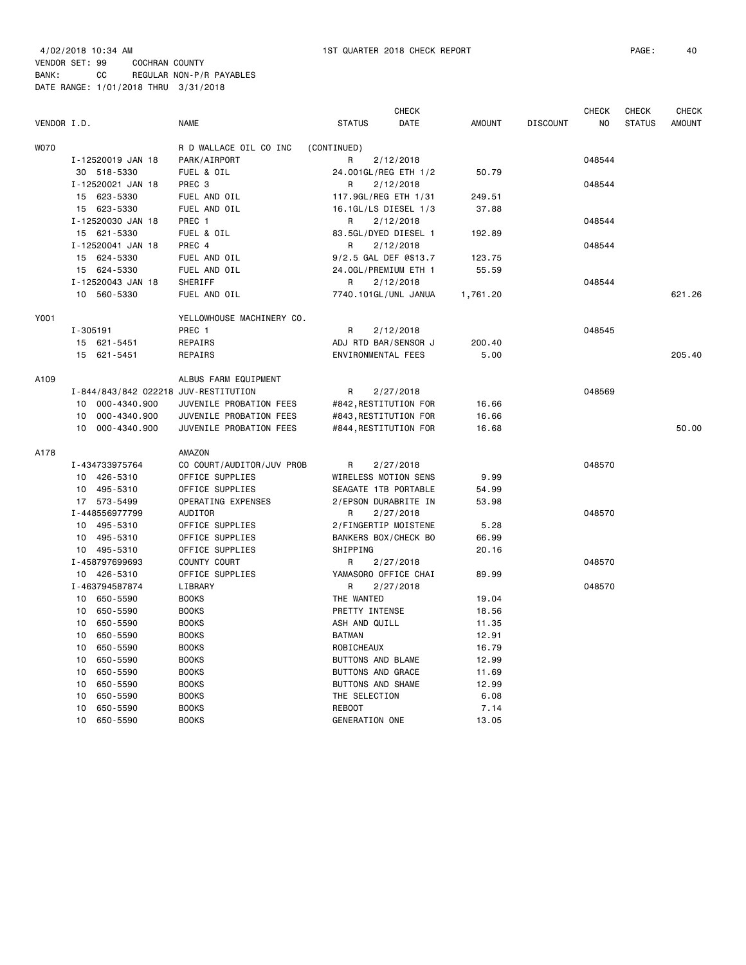| VENDOR I.D. |                                      | <b>NAME</b>               | <b>STATUS</b>            | <b>CHECK</b><br>DATE  | <b>AMOUNT</b> | <b>DISCOUNT</b> | <b>CHECK</b><br>N <sub>O</sub> | <b>CHECK</b><br><b>STATUS</b> | <b>CHECK</b><br><b>AMOUNT</b> |
|-------------|--------------------------------------|---------------------------|--------------------------|-----------------------|---------------|-----------------|--------------------------------|-------------------------------|-------------------------------|
| <b>WO70</b> |                                      | R D WALLACE OIL CO INC    | (CONTINUED)              |                       |               |                 |                                |                               |                               |
|             | I-12520019 JAN 18                    | PARK/AIRPORT              | R                        | 2/12/2018             |               |                 | 048544                         |                               |                               |
|             | 30 518-5330                          | FUEL & OIL                |                          | 24.001GL/REG ETH 1/2  | 50.79         |                 |                                |                               |                               |
|             | I-12520021 JAN 18                    | PREC 3                    | R                        | 2/12/2018             |               |                 | 048544                         |                               |                               |
|             | 15 623-5330                          | FUEL AND OIL              | 117.9GL/REG ETH 1/31     |                       | 249.51        |                 |                                |                               |                               |
|             | 15 623-5330                          | FUEL AND OIL              | 16.1GL/LS DIESEL 1/3     |                       | 37.88         |                 |                                |                               |                               |
|             | I-12520030 JAN 18                    | PREC 1                    | R                        | 2/12/2018             |               |                 | 048544                         |                               |                               |
|             | 15 621-5330                          | FUEL & OIL                | 83.5GL/DYED DIESEL 1     |                       | 192.89        |                 |                                |                               |                               |
|             | I-12520041 JAN 18                    | PREC 4                    | R                        | 2/12/2018             |               |                 | 048544                         |                               |                               |
|             | 15 624-5330                          | FUEL AND OIL              | 9/2.5 GAL DEF @\$13.7    |                       | 123.75        |                 |                                |                               |                               |
|             | 15 624-5330                          | FUEL AND OIL              | 24.0GL/PREMIUM ETH 1     |                       | 55.59         |                 |                                |                               |                               |
|             | I-12520043 JAN 18                    | SHERIFF                   | R                        | 2/12/2018             |               |                 | 048544                         |                               |                               |
|             | 10 <sup>1</sup><br>560-5330          | FUEL AND OIL              | 7740.101GL/UNL JANUA     |                       | 1,761.20      |                 |                                |                               | 621.26                        |
| Y001        |                                      | YELLOWHOUSE MACHINERY CO. |                          |                       |               |                 |                                |                               |                               |
|             | I-305191                             | PREC 1                    | R                        | 2/12/2018             |               |                 | 048545                         |                               |                               |
|             | 15 621-5451                          | REPAIRS                   | ADJ RTD BAR/SENSOR J     |                       | 200.40        |                 |                                |                               |                               |
|             | 15 621-5451                          | REPAIRS                   | ENVIRONMENTAL FEES       |                       | 5.00          |                 |                                |                               | 205.40                        |
|             |                                      |                           |                          |                       |               |                 |                                |                               |                               |
| A109        |                                      | ALBUS FARM EQUIPMENT      |                          |                       |               |                 |                                |                               |                               |
|             | I-844/843/842 022218 JUV-RESTITUTION |                           | R                        | 2/27/2018             |               |                 | 048569                         |                               |                               |
|             | 10 000-4340.900                      | JUVENILE PROBATION FEES   |                          | #842, RESTITUTION FOR | 16.66         |                 |                                |                               |                               |
|             | 000-4340.900<br>10                   | JUVENILE PROBATION FEES   | #843, RESTITUTION FOR    |                       | 16.66         |                 |                                |                               |                               |
|             | 000-4340.900<br>10                   | JUVENILE PROBATION FEES   | #844, RESTITUTION FOR    |                       | 16.68         |                 |                                |                               | 50.00                         |
| A178        |                                      | AMAZON                    |                          |                       |               |                 |                                |                               |                               |
|             | I-434733975764                       | CO COURT/AUDITOR/JUV PROB | R                        | 2/27/2018             |               |                 | 048570                         |                               |                               |
|             | 10 426-5310                          | OFFICE SUPPLIES           | WIRELESS MOTION SENS     |                       | 9.99          |                 |                                |                               |                               |
|             | 10 495-5310                          | OFFICE SUPPLIES           | SEAGATE 1TB PORTABLE     |                       | 54.99         |                 |                                |                               |                               |
|             | 17 573-5499                          | OPERATING EXPENSES        | 2/EPSON DURABRITE IN     |                       | 53.98         |                 |                                |                               |                               |
|             | I-448556977799                       | AUDITOR                   | R                        | 2/27/2018             |               |                 | 048570                         |                               |                               |
|             | 10<br>495-5310                       | OFFICE SUPPLIES           | 2/FINGERTIP MOISTENE     |                       | 5.28          |                 |                                |                               |                               |
|             | 495-5310<br>10                       | OFFICE SUPPLIES           | BANKERS BOX/CHECK BO     |                       | 66.99         |                 |                                |                               |                               |
|             | 10 495-5310                          | OFFICE SUPPLIES           | SHIPPING                 |                       | 20.16         |                 |                                |                               |                               |
|             | I-458797699693                       | COUNTY COURT              | R                        | 2/27/2018             |               |                 | 048570                         |                               |                               |
|             | 10 426-5310                          | OFFICE SUPPLIES           | YAMASORO OFFICE CHAI     |                       | 89.99         |                 |                                |                               |                               |
|             | I-463794587874                       | LIBRARY                   | R                        | 2/27/2018             |               |                 | 048570                         |                               |                               |
|             | 10<br>650-5590                       | <b>BOOKS</b>              | THE WANTED               |                       | 19.04         |                 |                                |                               |                               |
|             | 650-5590<br>10                       | <b>BOOKS</b>              | PRETTY INTENSE           |                       | 18.56         |                 |                                |                               |                               |
|             | 650-5590<br>10                       | <b>BOOKS</b>              | ASH AND QUILL            |                       | 11.35         |                 |                                |                               |                               |
|             | 10<br>650-5590                       | <b>BOOKS</b>              | <b>BATMAN</b>            |                       | 12.91         |                 |                                |                               |                               |
|             | 650-5590<br>10                       | <b>BOOKS</b>              | ROBICHEAUX               |                       | 16.79         |                 |                                |                               |                               |
|             | 10<br>650-5590                       | <b>BOOKS</b>              | <b>BUTTONS AND BLAME</b> |                       | 12.99         |                 |                                |                               |                               |
|             | 10<br>650-5590                       | <b>BOOKS</b>              | <b>BUTTONS AND GRACE</b> |                       | 11.69         |                 |                                |                               |                               |
|             | 650-5590<br>10                       | <b>BOOKS</b>              | <b>BUTTONS AND SHAME</b> |                       | 12.99         |                 |                                |                               |                               |
|             | 10<br>650-5590                       | <b>BOOKS</b>              | THE SELECTION            |                       | 6.08          |                 |                                |                               |                               |
|             | 650-5590<br>10                       | <b>BOOKS</b>              | <b>REBOOT</b>            |                       | 7.14          |                 |                                |                               |                               |
|             | 10<br>650-5590                       | <b>BOOKS</b>              | GENERATION ONE           |                       | 13.05         |                 |                                |                               |                               |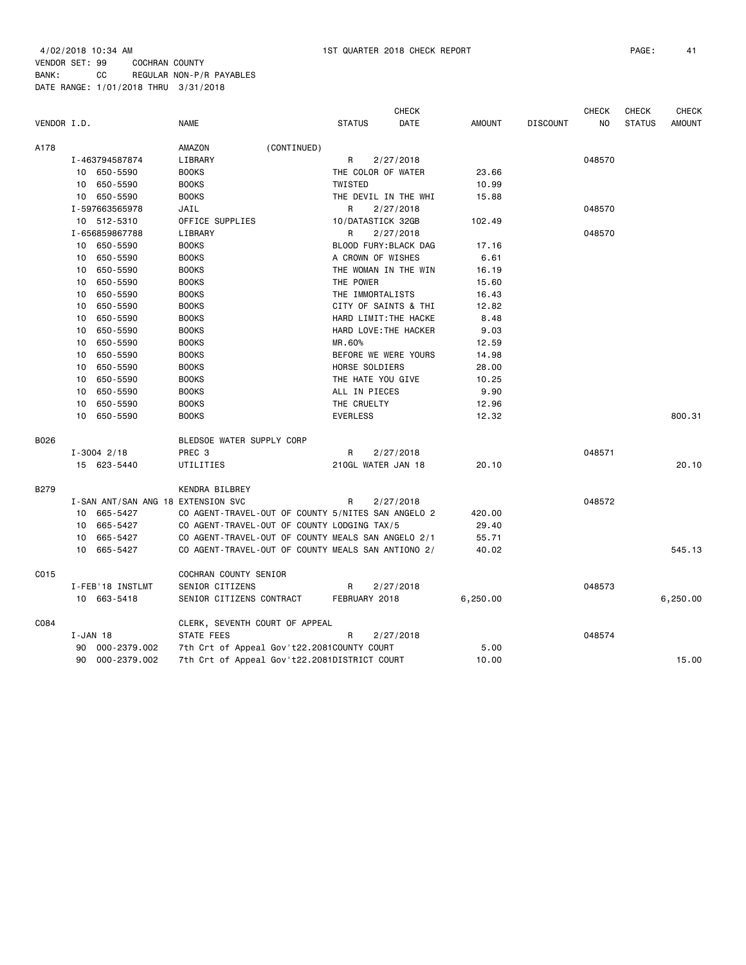|             |          |                                    |                                                    |             |                       |           | <b>CHECK</b> |          |                 | <b>CHECK</b> | <b>CHECK</b>  | <b>CHECK</b>  |
|-------------|----------|------------------------------------|----------------------------------------------------|-------------|-----------------------|-----------|--------------|----------|-----------------|--------------|---------------|---------------|
| VENDOR I.D. |          |                                    | <b>NAME</b>                                        |             | <b>STATUS</b>         |           | DATE         | AMOUNT   | <b>DISCOUNT</b> | NO           | <b>STATUS</b> | <b>AMOUNT</b> |
| A178        |          |                                    | AMAZON                                             | (CONTINUED) |                       |           |              |          |                 |              |               |               |
|             |          | I-463794587874                     | LIBRARY                                            |             | R                     | 2/27/2018 |              |          |                 | 048570       |               |               |
|             |          | 10 650-5590                        | <b>BOOKS</b>                                       |             | THE COLOR OF WATER    |           |              | 23.66    |                 |              |               |               |
|             |          | 10 650-5590                        | <b>BOOKS</b>                                       |             | TWISTED               |           |              | 10.99    |                 |              |               |               |
|             |          | 10 650-5590                        | <b>BOOKS</b>                                       |             | THE DEVIL IN THE WHI  |           |              | 15.88    |                 |              |               |               |
|             |          | I-597663565978                     | JAIL                                               |             | R                     | 2/27/2018 |              |          |                 | 048570       |               |               |
|             |          | 10 512-5310                        | OFFICE SUPPLIES                                    |             | 10/DATASTICK 32GB     |           |              | 102.49   |                 |              |               |               |
|             |          | I-656859867788                     | LIBRARY                                            |             | R                     | 2/27/2018 |              |          |                 | 048570       |               |               |
|             |          | 10 650-5590                        | <b>BOOKS</b>                                       |             | BLOOD FURY: BLACK DAG |           |              | 17.16    |                 |              |               |               |
|             |          | 10 650-5590                        | <b>BOOKS</b>                                       |             | A CROWN OF WISHES     |           |              | 6.61     |                 |              |               |               |
|             |          | 10 650-5590                        | <b>BOOKS</b>                                       |             | THE WOMAN IN THE WIN  |           |              | 16.19    |                 |              |               |               |
|             |          | 10 650-5590                        | <b>BOOKS</b>                                       |             | THE POWER             |           |              | 15.60    |                 |              |               |               |
|             | 10       | 650-5590                           | <b>BOOKS</b>                                       |             | THE IMMORTALISTS      |           |              | 16.43    |                 |              |               |               |
|             | 10       | 650-5590                           | <b>BOOKS</b>                                       |             | CITY OF SAINTS & THI  |           |              | 12.82    |                 |              |               |               |
|             |          | 10 650-5590                        | <b>BOOKS</b>                                       |             | HARD LIMIT: THE HACKE |           |              | 8.48     |                 |              |               |               |
|             | 10       | 650-5590                           | <b>BOOKS</b>                                       |             | HARD LOVE: THE HACKER |           |              | 9.03     |                 |              |               |               |
|             | 10       | 650-5590                           | <b>BOOKS</b>                                       |             | MR.60%                |           |              | 12.59    |                 |              |               |               |
|             | 10       | 650-5590                           | <b>BOOKS</b>                                       |             | BEFORE WE WERE YOURS  |           |              | 14.98    |                 |              |               |               |
|             | 10       | 650-5590                           | <b>BOOKS</b>                                       |             | HORSE SOLDIERS        |           |              | 28.00    |                 |              |               |               |
|             |          | 10 650-5590                        | <b>BOOKS</b>                                       |             | THE HATE YOU GIVE     |           |              | 10.25    |                 |              |               |               |
|             | 10       | 650-5590                           | <b>BOOKS</b>                                       |             | ALL IN PIECES         |           |              | 9.90     |                 |              |               |               |
|             | 10       | 650-5590                           | <b>BOOKS</b>                                       |             | THE CRUELTY           |           |              | 12.96    |                 |              |               |               |
|             |          | 10 650-5590                        | <b>BOOKS</b>                                       |             | <b>EVERLESS</b>       |           |              | 12.32    |                 |              |               | 800.31        |
| B026        |          |                                    | BLEDSOE WATER SUPPLY CORP                          |             |                       |           |              |          |                 |              |               |               |
|             |          | $I - 3004$ 2/18                    | PREC <sub>3</sub>                                  |             | R                     | 2/27/2018 |              |          |                 | 048571       |               |               |
|             |          | 15 623-5440                        | UTILITIES                                          |             | 210GL WATER JAN 18    |           |              | 20.10    |                 |              |               | 20,10         |
| <b>B279</b> |          |                                    | KENDRA BILBREY                                     |             |                       |           |              |          |                 |              |               |               |
|             |          | I-SAN ANT/SAN ANG 18 EXTENSION SVC |                                                    |             | R                     | 2/27/2018 |              |          |                 | 048572       |               |               |
|             |          | 10 665-5427                        | CO AGENT-TRAVEL-OUT OF COUNTY 5/NITES SAN ANGELO 2 |             |                       |           |              | 420.00   |                 |              |               |               |
|             |          | 10 665-5427                        | CO AGENT-TRAVEL-OUT OF COUNTY LODGING TAX/5        |             |                       |           |              | 29.40    |                 |              |               |               |
|             |          | 10 665-5427                        | CO AGENT-TRAVEL-OUT OF COUNTY MEALS SAN ANGELO 2/1 |             |                       |           |              | 55.71    |                 |              |               |               |
|             |          | 10 665-5427                        | CO AGENT-TRAVEL-OUT OF COUNTY MEALS SAN ANTIONO 2/ |             |                       |           |              | 40.02    |                 |              |               | 545.13        |
| C015        |          |                                    | COCHRAN COUNTY SENIOR                              |             |                       |           |              |          |                 |              |               |               |
|             |          | I-FEB'18 INSTLMT                   | SENIOR CITIZENS                                    |             | R                     | 2/27/2018 |              |          |                 | 048573       |               |               |
|             |          | 10 663-5418                        | SENIOR CITIZENS CONTRACT                           |             | FEBRUARY 2018         |           |              | 6,250.00 |                 |              |               | 6,250.00      |
| C084        |          |                                    | CLERK, SEVENTH COURT OF APPEAL                     |             |                       |           |              |          |                 |              |               |               |
|             | I-JAN 18 |                                    | STATE FEES                                         |             | R                     | 2/27/2018 |              |          |                 | 048574       |               |               |
|             | 90       | 000-2379.002                       | 7th Crt of Appeal Gov't22.2081COUNTY COURT         |             |                       |           |              | 5.00     |                 |              |               |               |
|             |          | 90 000-2379.002                    | 7th Crt of Appeal Gov't22.2081DISTRICT COURT       |             |                       |           |              | 10.00    |                 |              |               | 15.00         |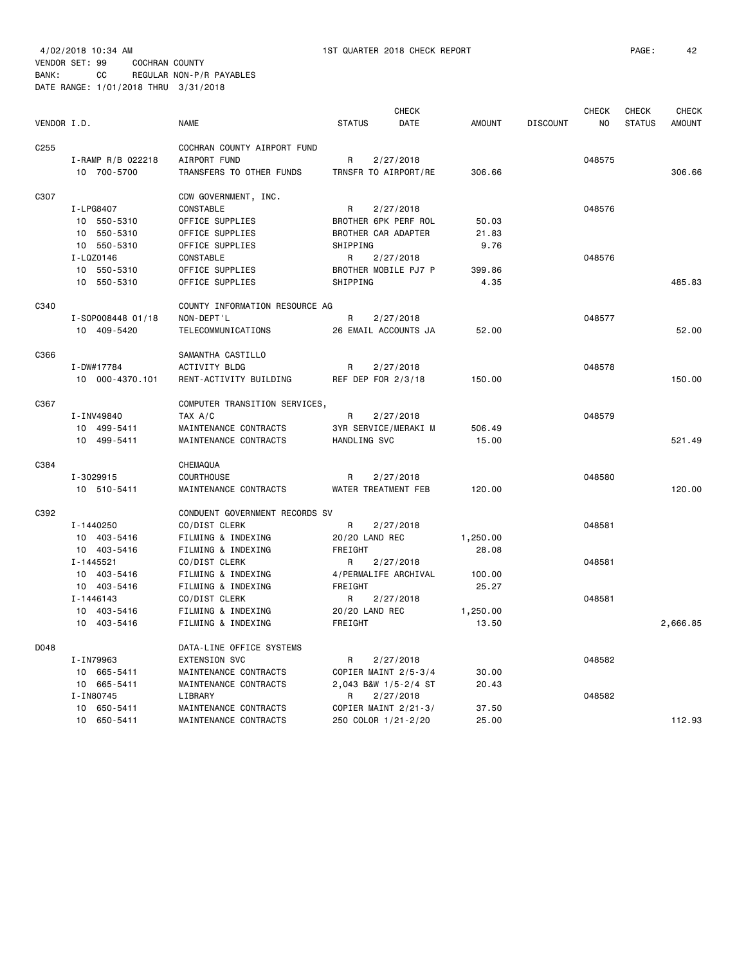|                  |                   |                                |                      | CHECK                |               |                 | <b>CHECK</b> | CHECK         | <b>CHECK</b>  |
|------------------|-------------------|--------------------------------|----------------------|----------------------|---------------|-----------------|--------------|---------------|---------------|
| VENDOR I.D.      |                   | <b>NAME</b>                    | <b>STATUS</b>        | <b>DATE</b>          | <b>AMOUNT</b> | <b>DISCOUNT</b> | NO           | <b>STATUS</b> | <b>AMOUNT</b> |
| C <sub>255</sub> |                   | COCHRAN COUNTY AIRPORT FUND    |                      |                      |               |                 |              |               |               |
|                  | I-RAMP R/B 022218 | AIRPORT FUND                   | R                    | 2/27/2018            |               |                 | 048575       |               |               |
|                  | 10 700-5700       | TRANSFERS TO OTHER FUNDS       | TRNSFR TO AIRPORT/RE |                      | 306.66        |                 |              |               | 306.66        |
|                  |                   |                                |                      |                      |               |                 |              |               |               |
| C307             |                   | CDW GOVERNMENT, INC.           |                      |                      |               |                 |              |               |               |
|                  | I-LPG8407         | CONSTABLE                      | R                    | 2/27/2018            |               |                 | 048576       |               |               |
|                  | 10 550-5310       | OFFICE SUPPLIES                | BROTHER 6PK PERF ROL |                      | 50.03         |                 |              |               |               |
|                  | 10 550-5310       | OFFICE SUPPLIES                | BROTHER CAR ADAPTER  |                      | 21.83         |                 |              |               |               |
|                  | 10 550-5310       | OFFICE SUPPLIES                | SHIPPING             |                      | 9.76          |                 |              |               |               |
|                  | I-LQZ0146         | CONSTABLE                      | R                    | 2/27/2018            |               |                 | 048576       |               |               |
|                  | 10 550-5310       | OFFICE SUPPLIES                | BROTHER MOBILE PJ7 P |                      | 399.86        |                 |              |               |               |
|                  | 10 550-5310       | OFFICE SUPPLIES                | SHIPPING             |                      | 4.35          |                 |              |               | 485.83        |
| C340             |                   | COUNTY INFORMATION RESOURCE AG |                      |                      |               |                 |              |               |               |
|                  | I-S0P008448 01/18 | NON-DEPT'L                     | R                    | 2/27/2018            |               |                 | 048577       |               |               |
|                  | 10 409-5420       | TELECOMMUNICATIONS             |                      | 26 EMAIL ACCOUNTS JA | 52.00         |                 |              |               | 52.00         |
|                  |                   |                                |                      |                      |               |                 |              |               |               |
| C366             |                   | SAMANTHA CASTILLO              |                      |                      |               |                 |              |               |               |
|                  | I-DW#17784        | ACTIVITY BLDG                  | R                    | 2/27/2018            |               |                 | 048578       |               |               |
|                  | 10 000-4370.101   | RENT-ACTIVITY BUILDING         | REF DEP FOR 2/3/18   |                      | 150.00        |                 |              |               | 150.00        |
| C367             |                   | COMPUTER TRANSITION SERVICES,  |                      |                      |               |                 |              |               |               |
|                  |                   |                                | R                    |                      |               |                 | 048579       |               |               |
|                  | I-INV49840        | TAX A/C                        |                      | 2/27/2018            |               |                 |              |               |               |
|                  | 10 499-5411       | MAINTENANCE CONTRACTS          | 3YR SERVICE/MERAKI M |                      | 506.49        |                 |              |               |               |
|                  | 10 499-5411       | MAINTENANCE CONTRACTS          | HANDLING SVC         |                      | 15.00         |                 |              |               | 521.49        |
| C384             |                   | CHEMAQUA                       |                      |                      |               |                 |              |               |               |
|                  | I-3029915         | COURTHOUSE                     | R                    | 2/27/2018            |               |                 | 048580       |               |               |
|                  | 10 510-5411       | MAINTENANCE CONTRACTS          | WATER TREATMENT FEB  |                      | 120.00        |                 |              |               | 120.00        |
| C392             |                   | CONDUENT GOVERNMENT RECORDS SV |                      |                      |               |                 |              |               |               |
|                  | I-1440250         | CO/DIST CLERK                  | R                    | 2/27/2018            |               |                 | 048581       |               |               |
|                  | 10 403-5416       | FILMING & INDEXING             | 20/20 LAND REC       |                      | 1,250.00      |                 |              |               |               |
|                  | 10 403-5416       | FILMING & INDEXING             | FREIGHT              |                      | 28.08         |                 |              |               |               |
|                  | I-1445521         | CO/DIST CLERK                  | R                    | 2/27/2018            |               |                 | 048581       |               |               |
|                  | 10 403-5416       | FILMING & INDEXING             | 4/PERMALIFE ARCHIVAL |                      | 100.00        |                 |              |               |               |
|                  | 10 403-5416       | FILMING & INDEXING             | FREIGHT              |                      | 25.27         |                 |              |               |               |
|                  | I-1446143         | CO/DIST CLERK                  | R                    | 2/27/2018            |               |                 | 048581       |               |               |
|                  | 10 403-5416       | FILMING & INDEXING             | 20/20 LAND REC       |                      | 1,250.00      |                 |              |               |               |
|                  | 10 403-5416       | FILMING & INDEXING             | FREIGHT              |                      | 13.50         |                 |              |               | 2,666.85      |
|                  |                   |                                |                      |                      |               |                 |              |               |               |
| D048             |                   | DATA-LINE OFFICE SYSTEMS       |                      |                      |               |                 |              |               |               |
|                  | I-IN79963         | <b>EXTENSION SVC</b>           | R                    | 2/27/2018            |               |                 | 048582       |               |               |
|                  | 10 665-5411       | MAINTENANCE CONTRACTS          | COPIER MAINT 2/5-3/4 |                      | 30.00         |                 |              |               |               |
|                  | 10 665-5411       | MAINTENANCE CONTRACTS          |                      | 2,043 B&W 1/5-2/4 ST | 20.43         |                 |              |               |               |
|                  | I-IN80745         | LIBRARY                        | R                    | 2/27/2018            |               |                 | 048582       |               |               |
|                  | 10 650-5411       | MAINTENANCE CONTRACTS          | COPIER MAINT 2/21-3/ |                      | 37.50         |                 |              |               |               |
|                  | 10 650-5411       | MAINTENANCE CONTRACTS          | 250 COLOR 1/21-2/20  |                      | 25,00         |                 |              |               | 112.93        |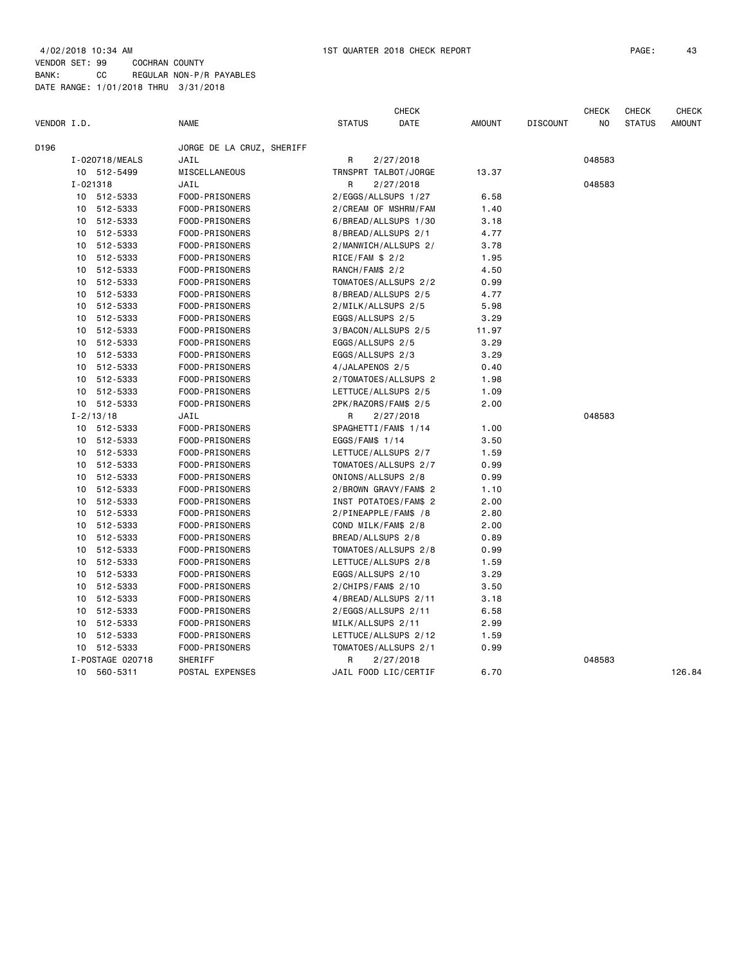| VENDOR I.D. |          |                  | <b>NAME</b>               | <b>STATUS</b>         |           | <b>CHECK</b><br>DATE | <b>AMOUNT</b> | <b>DISCOUNT</b> | <b>CHECK</b><br>NO | <b>CHECK</b><br><b>STATUS</b> | <b>CHECK</b><br><b>AMOUNT</b> |
|-------------|----------|------------------|---------------------------|-----------------------|-----------|----------------------|---------------|-----------------|--------------------|-------------------------------|-------------------------------|
| D196        |          |                  | JORGE DE LA CRUZ, SHERIFF |                       |           |                      |               |                 |                    |                               |                               |
|             |          | I-020718/MEALS   | JAIL                      | R                     | 2/27/2018 |                      |               |                 | 048583             |                               |                               |
|             |          | 10 512-5499      | MISCELLANEOUS             | TRNSPRT TALBOT/JORGE  |           |                      | 13.37         |                 |                    |                               |                               |
|             | I-021318 |                  | JAIL                      | R                     | 2/27/2018 |                      |               |                 | 048583             |                               |                               |
|             |          | 10 512-5333      | FOOD-PRISONERS            | 2/EGGS/ALLSUPS 1/27   |           |                      | 6.58          |                 |                    |                               |                               |
|             |          | 10 512-5333      | FOOD-PRISONERS            | 2/CREAM OF MSHRM/FAM  |           |                      | 1.40          |                 |                    |                               |                               |
|             |          | 10 512-5333      | FOOD-PRISONERS            | 6/BREAD/ALLSUPS 1/30  |           |                      | 3.18          |                 |                    |                               |                               |
|             |          | 10 512-5333      | FOOD-PRISONERS            | 8/BREAD/ALLSUPS 2/1   |           |                      | 4.77          |                 |                    |                               |                               |
|             |          | 10 512-5333      | FOOD-PRISONERS            | 2/MANWICH/ALLSUPS 2/  |           |                      | 3.78          |                 |                    |                               |                               |
|             |          | 10 512-5333      | FOOD-PRISONERS            | $RICE/FAM$ \$ 2/2     |           |                      | 1.95          |                 |                    |                               |                               |
|             |          | 10 512-5333      | FOOD-PRISONERS            | RANCH/FAM\$ 2/2       |           |                      | 4.50          |                 |                    |                               |                               |
|             |          | 10 512-5333      | FOOD-PRISONERS            | TOMATOES/ALLSUPS 2/2  |           |                      | 0.99          |                 |                    |                               |                               |
|             |          | 10 512-5333      | FOOD-PRISONERS            | 8/BREAD/ALLSUPS 2/5   |           |                      | 4.77          |                 |                    |                               |                               |
|             |          | 10 512-5333      | FOOD-PRISONERS            | 2/MILK/ALLSUPS 2/5    |           |                      | 5.98          |                 |                    |                               |                               |
|             |          | 10 512-5333      | FOOD-PRISONERS            | EGGS/ALLSUPS 2/5      |           |                      | 3.29          |                 |                    |                               |                               |
|             |          | 10 512-5333      | FOOD-PRISONERS            | 3/BACON/ALLSUPS 2/5   |           |                      | 11.97         |                 |                    |                               |                               |
|             |          | 10 512-5333      | FOOD-PRISONERS            | EGGS/ALLSUPS 2/5      |           |                      | 3.29          |                 |                    |                               |                               |
|             |          | 10 512-5333      | FOOD-PRISONERS            | EGGS/ALLSUPS 2/3      |           |                      | 3.29          |                 |                    |                               |                               |
|             |          | 10 512-5333      | FOOD-PRISONERS            | 4/JALAPENOS 2/5       |           |                      | 0.40          |                 |                    |                               |                               |
|             |          | 10 512-5333      | FOOD-PRISONERS            | 2/TOMATOES/ALLSUPS 2  |           |                      | 1.98          |                 |                    |                               |                               |
|             |          | 10 512-5333      | FOOD-PRISONERS            | LETTUCE/ALLSUPS 2/5   |           |                      | 1.09          |                 |                    |                               |                               |
|             |          | 10 512-5333      | FOOD-PRISONERS            | 2PK/RAZORS/FAM\$ 2/5  |           |                      | 2.00          |                 |                    |                               |                               |
|             |          | $I - 2/13/18$    | JAIL                      | R                     | 2/27/2018 |                      |               |                 | 048583             |                               |                               |
|             |          | 10 512-5333      | FOOD-PRISONERS            | SPAGHETTI/FAM\$ 1/14  |           |                      | 1.00          |                 |                    |                               |                               |
|             |          | 10 512-5333      | FOOD-PRISONERS            | EGGS/FAM\$ 1/14       |           |                      | 3.50          |                 |                    |                               |                               |
|             |          | 10 512-5333      | FOOD-PRISONERS            | LETTUCE/ALLSUPS 2/7   |           |                      | 1.59          |                 |                    |                               |                               |
|             |          | 10 512-5333      | FOOD-PRISONERS            | TOMATOES/ALLSUPS 2/7  |           |                      | 0.99          |                 |                    |                               |                               |
|             |          | 10 512-5333      | FOOD-PRISONERS            | ONIONS/ALLSUPS 2/8    |           |                      | 0.99          |                 |                    |                               |                               |
|             |          | 10 512-5333      | FOOD-PRISONERS            | 2/BROWN GRAVY/FAM\$ 2 |           |                      | 1.10          |                 |                    |                               |                               |
|             |          | 10 512-5333      | FOOD-PRISONERS            | INST POTATOES/FAM\$ 2 |           |                      | 2.00          |                 |                    |                               |                               |
|             |          | 10 512-5333      | FOOD-PRISONERS            | 2/PINEAPPLE/FAM\$ /8  |           |                      | 2.80          |                 |                    |                               |                               |
|             |          | 10 512-5333      | FOOD-PRISONERS            | COND MILK/FAM\$ 2/8   |           |                      | 2.00          |                 |                    |                               |                               |
|             |          | 10 512-5333      | FOOD-PRISONERS            | BREAD/ALLSUPS 2/8     |           |                      | 0.89          |                 |                    |                               |                               |
|             |          | 10 512-5333      | FOOD-PRISONERS            | TOMATOES/ALLSUPS 2/8  |           |                      | 0.99          |                 |                    |                               |                               |
|             |          | 10 512-5333      | FOOD-PRISONERS            | LETTUCE/ALLSUPS 2/8   |           |                      | 1.59          |                 |                    |                               |                               |
|             |          | 10 512-5333      | FOOD-PRISONERS            | EGGS/ALLSUPS 2/10     |           |                      | 3.29          |                 |                    |                               |                               |
|             |          | 10 512-5333      | FOOD-PRISONERS            | $2/CHIPS/FAMS$ 2/10   |           |                      | 3.50          |                 |                    |                               |                               |
|             |          | 10 512-5333      | FOOD-PRISONERS            | 4/BREAD/ALLSUPS 2/11  |           |                      | 3.18          |                 |                    |                               |                               |
|             |          | 10 512-5333      | FOOD-PRISONERS            | 2/EGGS/ALLSUPS 2/11   |           |                      | 6.58          |                 |                    |                               |                               |
|             |          | 10 512-5333      | FOOD-PRISONERS            | MILK/ALLSUPS 2/11     |           |                      | 2.99          |                 |                    |                               |                               |
|             |          | 10 512-5333      | FOOD-PRISONERS            | LETTUCE/ALLSUPS 2/12  |           |                      | 1.59          |                 |                    |                               |                               |
|             |          | 10 512-5333      | FOOD-PRISONERS            | TOMATOES/ALLSUPS 2/1  |           |                      | 0.99          |                 |                    |                               |                               |
|             |          | I-POSTAGE 020718 | SHERIFF                   | R                     | 2/27/2018 |                      |               |                 | 048583             |                               |                               |
|             |          | 10 560-5311      | POSTAL EXPENSES           | JAIL FOOD LIC/CERTIF  |           |                      | 6.70          |                 |                    |                               | 126.84                        |
|             |          |                  |                           |                       |           |                      |               |                 |                    |                               |                               |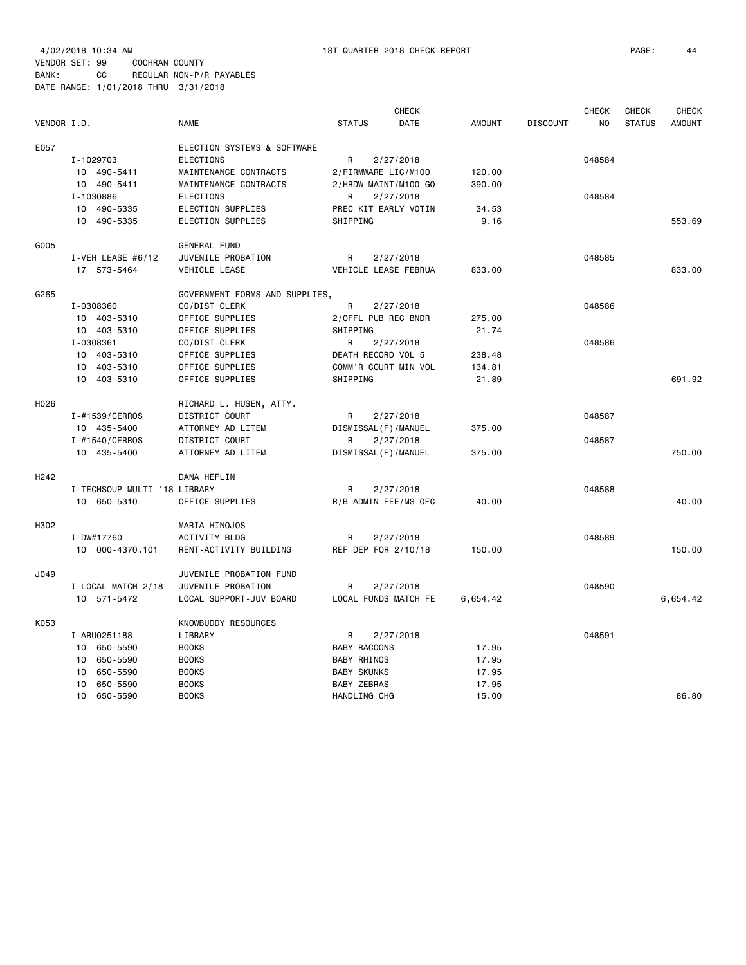4/02/2018 10:34 AM 1ST QUARTER 2018 CHECK REPORT PAGE: 44 VENDOR SET: 99 COCHRAN COUNTY BANK: CC REGULAR NON-P/R PAYABLES

DATE RANGE: 1/01/2018 THRU 3/31/2018

| VENDOR I.D.      |                              | <b>NAME</b>                    | <b>STATUS</b>          | <b>CHECK</b><br>DATE | <b>AMOUNT</b> | <b>DISCOUNT</b> | <b>CHECK</b><br>N <sub>O</sub> | <b>CHECK</b><br><b>STATUS</b> | <b>CHECK</b><br><b>AMOUNT</b> |
|------------------|------------------------------|--------------------------------|------------------------|----------------------|---------------|-----------------|--------------------------------|-------------------------------|-------------------------------|
| E057             |                              | ELECTION SYSTEMS & SOFTWARE    |                        |                      |               |                 |                                |                               |                               |
|                  | I-1029703                    | <b>ELECTIONS</b>               | R                      | 2/27/2018            |               |                 | 048584                         |                               |                               |
|                  | 10 490-5411                  | MAINTENANCE CONTRACTS          | 2/FIRMWARE LIC/M100    |                      | 120.00        |                 |                                |                               |                               |
|                  | 10 490-5411                  | MAINTENANCE CONTRACTS          | 2/HRDW MAINT/M100 GO   |                      | 390.00        |                 |                                |                               |                               |
|                  | I-1030886                    | <b>ELECTIONS</b>               | R                      | 2/27/2018            |               |                 | 048584                         |                               |                               |
|                  | 10 490-5335                  | ELECTION SUPPLIES              | PREC KIT EARLY VOTIN   |                      | 34.53         |                 |                                |                               |                               |
|                  | 10 490-5335                  | ELECTION SUPPLIES              | SHIPPING               |                      | 9.16          |                 |                                |                               | 553.69                        |
| G005             |                              | <b>GENERAL FUND</b>            |                        |                      |               |                 |                                |                               |                               |
|                  | I-VEH LEASE $#6/12$          | JUVENILE PROBATION             | R                      | 2/27/2018            |               |                 | 048585                         |                               |                               |
|                  | 17 573-5464                  | VEHICLE LEASE                  | VEHICLE LEASE FEBRUA   |                      | 833.00        |                 |                                |                               | 833.00                        |
| G265             |                              | GOVERNMENT FORMS AND SUPPLIES, |                        |                      |               |                 |                                |                               |                               |
|                  | I-0308360                    | CO/DIST CLERK                  | R                      | 2/27/2018            |               |                 | 048586                         |                               |                               |
|                  | 10 403-5310                  | OFFICE SUPPLIES                | 2/OFFL PUB REC BNDR    |                      | 275.00        |                 |                                |                               |                               |
|                  | 10 403-5310                  | OFFICE SUPPLIES                | SHIPPING               |                      | 21.74         |                 |                                |                               |                               |
|                  | I-0308361                    | CO/DIST CLERK                  | R                      | 2/27/2018            |               |                 | 048586                         |                               |                               |
|                  | 10 403-5310                  | OFFICE SUPPLIES                | DEATH RECORD VOL 5     |                      | 238.48        |                 |                                |                               |                               |
|                  | 10 <sup>1</sup><br>403-5310  | OFFICE SUPPLIES                | COMM'R COURT MIN VOL   |                      | 134.81        |                 |                                |                               |                               |
|                  | 10 403-5310                  | OFFICE SUPPLIES                | SHIPPING               |                      | 21.89         |                 |                                |                               | 691.92                        |
| H026             |                              | RICHARD L. HUSEN, ATTY.        |                        |                      |               |                 |                                |                               |                               |
|                  | I-#1539/CERROS               | DISTRICT COURT                 | R                      | 2/27/2018            |               |                 | 048587                         |                               |                               |
|                  | 10 435-5400                  | ATTORNEY AD LITEM              | DISMISSAL (F) / MANUEL |                      | 375.00        |                 |                                |                               |                               |
|                  | I-#1540/CERROS               | DISTRICT COURT                 | R                      | 2/27/2018            |               |                 | 048587                         |                               |                               |
|                  | 10 435-5400                  | ATTORNEY AD LITEM              | DISMISSAL (F) / MANUEL |                      | 375.00        |                 |                                |                               | 750.00                        |
| H <sub>242</sub> |                              | DANA HEFLIN                    |                        |                      |               |                 |                                |                               |                               |
|                  | I-TECHSOUP MULTI '18 LIBRARY |                                | R                      | 2/27/2018            |               |                 | 048588                         |                               |                               |
|                  | 10 650-5310                  | OFFICE SUPPLIES                | R/B ADMIN FEE/MS OFC   |                      | 40.00         |                 |                                |                               | 40.00                         |
| H302             |                              | MARIA HINOJOS                  |                        |                      |               |                 |                                |                               |                               |
|                  | I-DW#17760                   | <b>ACTIVITY BLDG</b>           | R                      | 2/27/2018            |               |                 | 048589                         |                               |                               |
|                  | 10 000-4370.101              | RENT-ACTIVITY BUILDING         | REF DEP FOR 2/10/18    |                      | 150.00        |                 |                                |                               | 150.00                        |
| J049             |                              | JUVENILE PROBATION FUND        |                        |                      |               |                 |                                |                               |                               |
|                  | I-LOCAL MATCH 2/18           | JUVENILE PROBATION             | R                      | 2/27/2018            |               |                 | 048590                         |                               |                               |
|                  | 10 571-5472                  | LOCAL SUPPORT-JUV BOARD        | LOCAL FUNDS MATCH FE   |                      | 6,654.42      |                 |                                |                               | 6,654.42                      |
| K053             |                              | KNOWBUDDY RESOURCES            |                        |                      |               |                 |                                |                               |                               |
|                  | I-ARU0251188                 | LIBRARY                        | R                      | 2/27/2018            |               |                 | 048591                         |                               |                               |
|                  | 10 650-5590                  | <b>BOOKS</b>                   | <b>BABY RACOONS</b>    |                      | 17.95         |                 |                                |                               |                               |
|                  | 10 650-5590                  | <b>BOOKS</b>                   | <b>BABY RHINOS</b>     |                      | 17.95         |                 |                                |                               |                               |
|                  | 10<br>650-5590               | <b>BOOKS</b>                   | <b>BABY SKUNKS</b>     |                      | 17.95         |                 |                                |                               |                               |
|                  | 10<br>650-5590               | <b>BOOKS</b>                   | <b>BABY ZEBRAS</b>     |                      | 17.95         |                 |                                |                               |                               |
|                  | 10 <sup>1</sup><br>650-5590  | <b>BOOKS</b>                   | HANDLING CHG           |                      | 15.00         |                 |                                |                               | 86.80                         |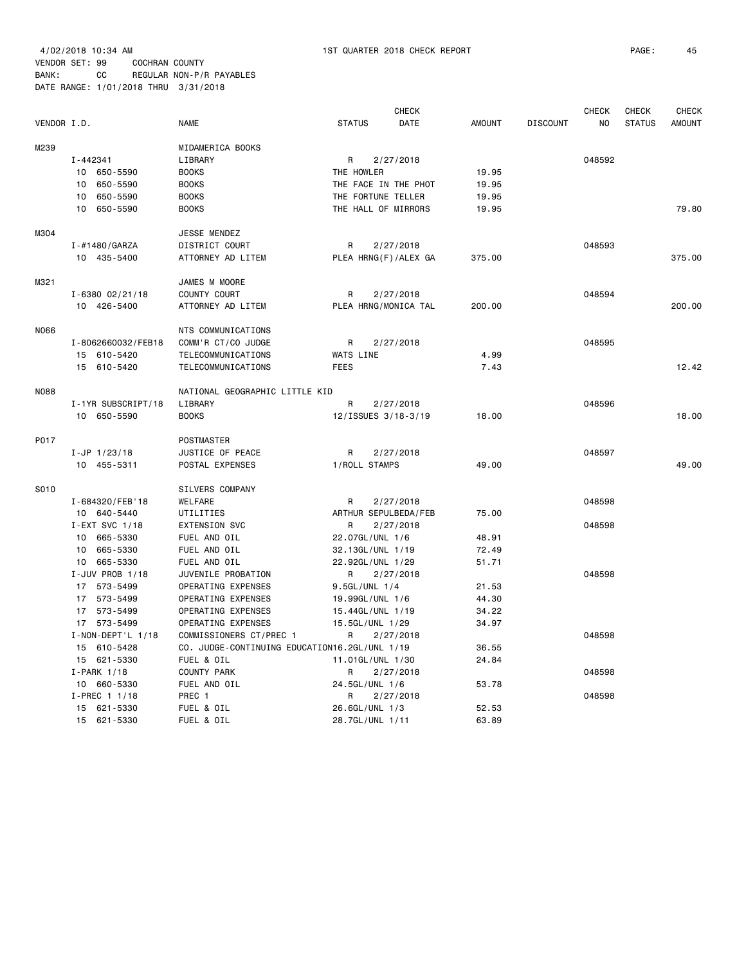|             |                         |                                               | <b>CHECK</b>          |               |                 | <b>CHECK</b> | CHECK         | <b>CHECK</b>  |
|-------------|-------------------------|-----------------------------------------------|-----------------------|---------------|-----------------|--------------|---------------|---------------|
| VENDOR I.D. |                         | <b>NAME</b>                                   | <b>STATUS</b><br>DATE | <b>AMOUNT</b> | <b>DISCOUNT</b> | NO.          | <b>STATUS</b> | <b>AMOUNT</b> |
| M239        |                         | MIDAMERICA BOOKS                              |                       |               |                 |              |               |               |
|             | I-442341                | LIBRARY                                       | R<br>2/27/2018        |               |                 | 048592       |               |               |
|             | 10 650-5590             | <b>BOOKS</b>                                  | THE HOWLER            | 19.95         |                 |              |               |               |
|             | 650-5590<br>10          | <b>BOOKS</b>                                  | THE FACE IN THE PHOT  | 19.95         |                 |              |               |               |
|             | 10 650-5590             | <b>BOOKS</b>                                  | THE FORTUNE TELLER    | 19.95         |                 |              |               |               |
|             | 10 650-5590             | <b>BOOKS</b>                                  | THE HALL OF MIRRORS   | 19.95         |                 |              |               | 79.80         |
| M304        |                         | JESSE MENDEZ                                  |                       |               |                 |              |               |               |
|             | I-#1480/GARZA           | DISTRICT COURT                                | R<br>2/27/2018        |               |                 | 048593       |               |               |
|             | 10 435-5400             | ATTORNEY AD LITEM                             | PLEA HRNG(F)/ALEX GA  | 375.00        |                 |              |               | 375.00        |
| M321        |                         | JAMES M MOORE                                 |                       |               |                 |              |               |               |
|             | $I - 6380 02/21/18$     | COUNTY COURT                                  | R<br>2/27/2018        |               |                 | 048594       |               |               |
|             | 10 426-5400             | ATTORNEY AD LITEM                             | PLEA HRNG/MONICA TAL  | 200.00        |                 |              |               | 200.00        |
| N066        |                         | NTS COMMUNICATIONS                            |                       |               |                 |              |               |               |
|             | I-8062660032/FEB18      | COMM'R CT/CO JUDGE                            | R<br>2/27/2018        |               |                 | 048595       |               |               |
|             | 15 610-5420             | TELECOMMUNICATIONS                            | WATS LINE             | 4.99          |                 |              |               |               |
|             | 15 610-5420             | TELECOMMUNICATIONS                            | <b>FEES</b>           | 7.43          |                 |              |               | 12.42         |
| N088        |                         | NATIONAL GEOGRAPHIC LITTLE KID                |                       |               |                 |              |               |               |
|             | I-1YR SUBSCRIPT/18      | LIBRARY                                       | R<br>2/27/2018        |               |                 | 048596       |               |               |
|             | 10 650-5590             | <b>BOOKS</b>                                  | 12/ISSUES 3/18-3/19   | 18.00         |                 |              |               | 18,00         |
| P017        |                         | POSTMASTER                                    |                       |               |                 |              |               |               |
|             | $I-JP$ 1/23/18          | JUSTICE OF PEACE                              | R<br>2/27/2018        |               |                 | 048597       |               |               |
|             | 10 455-5311             | POSTAL EXPENSES                               | 1/ROLL STAMPS         | 49.00         |                 |              |               | 49.00         |
| S010        |                         | SILVERS COMPANY                               |                       |               |                 |              |               |               |
|             | I-684320/FEB'18         | WELFARE                                       | R<br>2/27/2018        |               |                 | 048598       |               |               |
|             | 10 640-5440             | UTILITIES                                     | ARTHUR SEPULBEDA/FEB  | 75.00         |                 |              |               |               |
|             | I-EXT SVC 1/18          | <b>EXTENSION SVC</b>                          | R<br>2/27/2018        |               |                 | 048598       |               |               |
|             | 10 665-5330             | FUEL AND OIL                                  | 22.07GL/UNL 1/6       | 48.91         |                 |              |               |               |
|             | 10 665-5330             | FUEL AND OIL                                  | 32.13GL/UNL 1/19      | 72.49         |                 |              |               |               |
|             | 10 665-5330             | FUEL AND OIL                                  | 22.92GL/UNL 1/29      | 51.71         |                 |              |               |               |
|             | I-JUV PROB 1/18         | JUVENILE PROBATION                            | R<br>2/27/2018        |               |                 | 048598       |               |               |
|             | 17 573-5499             | OPERATING EXPENSES                            | 9.5GL/UNL 1/4         | 21.53         |                 |              |               |               |
|             | 17 573-5499             | OPERATING EXPENSES                            | 19.99GL/UNL 1/6       | 44.30         |                 |              |               |               |
|             | 17 573-5499             | OPERATING EXPENSES                            | 15.44GL/UNL 1/19      | 34.22         |                 |              |               |               |
|             | 17 573-5499             | OPERATING EXPENSES                            | 15.5GL/UNL 1/29       | 34.97         |                 |              |               |               |
|             | $I - NON - DEPT'L 1/18$ | COMMISSIONERS CT/PREC 1                       | R<br>2/27/2018        |               |                 | 048598       |               |               |
|             | 15 610-5428             | CO. JUDGE-CONTINUING EDUCATION16.2GL/UNL 1/19 |                       | 36.55         |                 |              |               |               |
|             | 15 621-5330             | FUEL & OIL                                    | 11.01GL/UNL 1/30      | 24.84         |                 |              |               |               |
|             | $I-PARK$ 1/18           | COUNTY PARK                                   | 2/27/2018<br>R        |               |                 | 048598       |               |               |
|             | 10 660-5330             | FUEL AND OIL                                  | 24.5GL/UNL 1/6        | 53.78         |                 |              |               |               |
|             | $I-PREC$ 1 1/18         | PREC 1                                        | 2/27/2018<br>R        |               |                 | 048598       |               |               |
|             | 15 621-5330             | FUEL & OIL                                    | 26.6GL/UNL 1/3        | 52.53         |                 |              |               |               |
|             | 15 621-5330             | FUEL & OIL                                    | 28.7GL/UNL 1/11       | 63.89         |                 |              |               |               |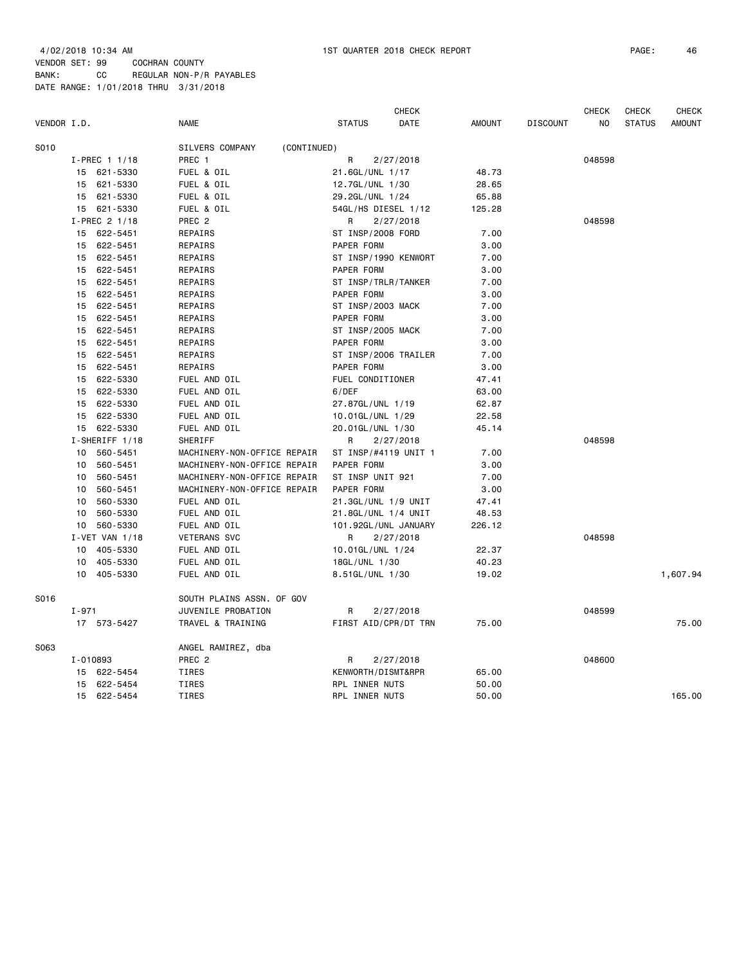| VENDOR I.D. |                             | <b>NAME</b>                    | <b>STATUS</b>        | <b>CHECK</b><br><b>DATE</b> | <b>AMOUNT</b> | <b>DISCOUNT</b> | <b>CHECK</b><br>NO | <b>CHECK</b><br><b>STATUS</b> | <b>CHECK</b><br><b>AMOUNT</b> |
|-------------|-----------------------------|--------------------------------|----------------------|-----------------------------|---------------|-----------------|--------------------|-------------------------------|-------------------------------|
| S010        |                             | SILVERS COMPANY<br>(CONTINUED) |                      |                             |               |                 |                    |                               |                               |
|             | $I-PREC$ 1 1/18             | PREC 1                         | R                    | 2/27/2018                   |               |                 | 048598             |                               |                               |
|             | 621-5330<br>15              | FUEL & OIL                     | 21.6GL/UNL 1/17      |                             | 48.73         |                 |                    |                               |                               |
|             | 15<br>621-5330              | FUEL & OIL                     | 12.7GL/UNL 1/30      |                             | 28.65         |                 |                    |                               |                               |
|             | 621-5330<br>15              | FUEL & OIL                     | 29.2GL/UNL 1/24      |                             | 65.88         |                 |                    |                               |                               |
|             | 621-5330<br>15              | FUEL & OIL                     | 54GL/HS DIESEL 1/12  |                             | 125.28        |                 |                    |                               |                               |
|             | I-PREC 2 1/18               | PREC <sub>2</sub>              | R                    | 2/27/2018                   |               |                 | 048598             |                               |                               |
|             | 15 622-5451                 | REPAIRS                        | ST INSP/2008 FORD    |                             | 7.00          |                 |                    |                               |                               |
|             | 622-5451<br>15              | REPAIRS                        | PAPER FORM           |                             | 3.00          |                 |                    |                               |                               |
|             | 622-5451<br>15              | REPAIRS                        | ST INSP/1990 KENWORT |                             | 7.00          |                 |                    |                               |                               |
|             | 622-5451<br>15              | REPAIRS                        | PAPER FORM           |                             | 3.00          |                 |                    |                               |                               |
|             | 622-5451<br>15              | REPAIRS                        | ST INSP/TRLR/TANKER  |                             | 7.00          |                 |                    |                               |                               |
|             | 622-5451<br>15              | REPAIRS                        | PAPER FORM           |                             | 3.00          |                 |                    |                               |                               |
|             | 15<br>622-5451              | REPAIRS                        | ST INSP/2003 MACK    |                             | 7.00          |                 |                    |                               |                               |
|             | 622-5451<br>15              | REPAIRS                        | PAPER FORM           |                             | 3.00          |                 |                    |                               |                               |
|             | 622-5451<br>15              | REPAIRS                        | ST INSP/2005 MACK    |                             | 7.00          |                 |                    |                               |                               |
|             | 622-5451<br>15              | REPAIRS                        | PAPER FORM           |                             | 3.00          |                 |                    |                               |                               |
|             | 15<br>622-5451              | REPAIRS                        | ST INSP/2006 TRAILER |                             | 7.00          |                 |                    |                               |                               |
|             | 622-5451<br>15              | REPAIRS                        | PAPER FORM           |                             | 3.00          |                 |                    |                               |                               |
|             | 622-5330<br>15              | FUEL AND OIL                   | FUEL CONDITIONER     |                             | 47.41         |                 |                    |                               |                               |
|             | 622-5330<br>15              | FUEL AND OIL                   | 6/DEF                |                             | 63.00         |                 |                    |                               |                               |
|             | 622-5330<br>15              | FUEL AND OIL                   | 27.87GL/UNL 1/19     |                             | 62.87         |                 |                    |                               |                               |
|             | 622-5330<br>15              | FUEL AND OIL                   | 10.01GL/UNL 1/29     |                             | 22.58         |                 |                    |                               |                               |
|             | 622-5330<br>15              | FUEL AND OIL                   | 20.01GL/UNL 1/30     |                             | 45.14         |                 |                    |                               |                               |
|             | I-SHERIFF 1/18              | SHERIFF                        | R                    | 2/27/2018                   |               |                 | 048598             |                               |                               |
|             | 560-5451<br>10              | MACHINERY-NON-OFFICE REPAIR    | ST INSP/#4119 UNIT 1 |                             | 7.00          |                 |                    |                               |                               |
|             | 560-5451<br>10              | MACHINERY-NON-OFFICE REPAIR    | PAPER FORM           |                             | 3.00          |                 |                    |                               |                               |
|             | 560-5451<br>10              | MACHINERY-NON-OFFICE REPAIR    | ST INSP UNIT 921     |                             | 7.00          |                 |                    |                               |                               |
|             | 560-5451<br>10              | MACHINERY-NON-OFFICE REPAIR    | PAPER FORM           |                             | 3.00          |                 |                    |                               |                               |
|             | 560-5330<br>10              | FUEL AND OIL                   | 21.3GL/UNL 1/9 UNIT  |                             | 47.41         |                 |                    |                               |                               |
|             | 560-5330<br>10              | FUEL AND OIL                   | 21.8GL/UNL 1/4 UNIT  |                             | 48.53         |                 |                    |                               |                               |
|             | 10 <sub>1</sub><br>560-5330 | FUEL AND OIL                   | 101.92GL/UNL JANUARY |                             | 226.12        |                 |                    |                               |                               |
|             | I-VET VAN 1/18              | <b>VETERANS SVC</b>            | R                    | 2/27/2018                   |               |                 | 048598             |                               |                               |
|             | 405-5330<br>10              | FUEL AND OIL                   | 10.01GL/UNL 1/24     |                             | 22.37         |                 |                    |                               |                               |
|             |                             | FUEL AND OIL                   |                      |                             |               |                 |                    |                               |                               |
|             | 405-5330<br>10              |                                | 18GL/UNL 1/30        |                             | 40.23         |                 |                    |                               |                               |
|             | 10 405-5330                 | FUEL AND OIL                   | 8.51GL/UNL 1/30      |                             | 19.02         |                 |                    |                               | 1,607.94                      |
| S016        |                             | SOUTH PLAINS ASSN. OF GOV      |                      |                             |               |                 |                    |                               |                               |
|             | $I - 971$                   | JUVENILE PROBATION             | R                    | 2/27/2018                   |               |                 | 048599             |                               |                               |
|             | 17 573-5427                 | TRAVEL & TRAINING              | FIRST AID/CPR/DT TRN |                             | 75.00         |                 |                    |                               | 75.00                         |
| S063        |                             | ANGEL RAMIREZ, dba             |                      |                             |               |                 |                    |                               |                               |
|             | I-010893                    | PREC <sub>2</sub>              | R                    | 2/27/2018                   |               |                 | 048600             |                               |                               |
|             | 622-5454<br>15              | TIRES                          | KENWORTH/DISMT&RPR   |                             | 65.00         |                 |                    |                               |                               |
|             | 622-5454<br>15              | <b>TIRES</b>                   | RPL INNER NUTS       |                             | 50.00         |                 |                    |                               |                               |
|             | 15<br>622-5454              | <b>TIRES</b>                   | RPL INNER NUTS       |                             | 50.00         |                 |                    |                               | 165.00                        |
|             |                             |                                |                      |                             |               |                 |                    |                               |                               |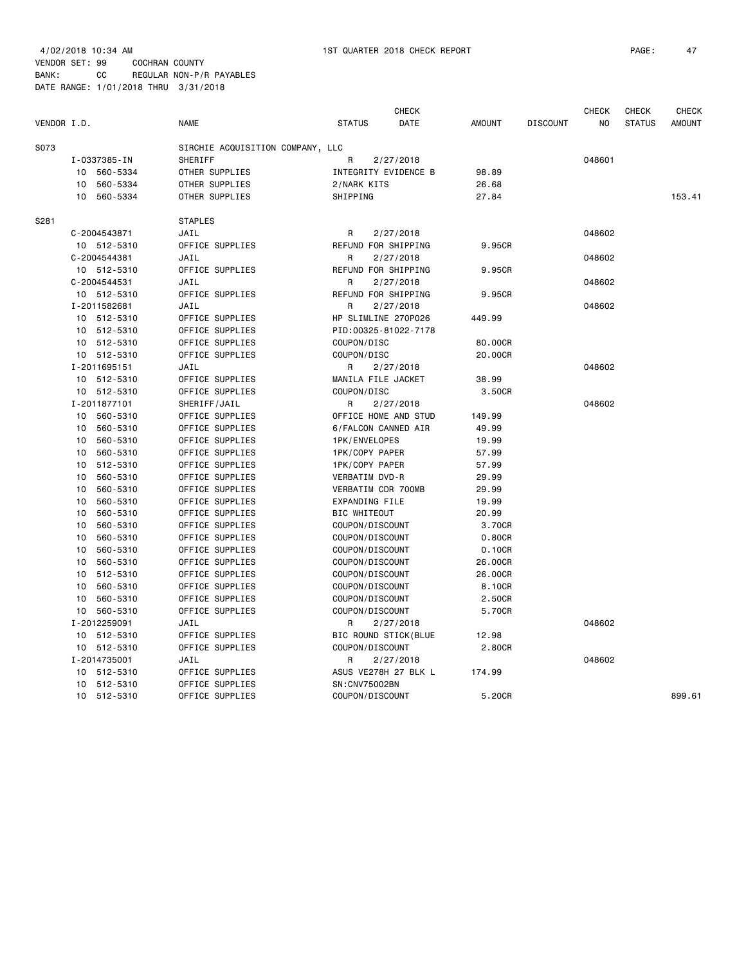| VENDOR I.D. |    |                      | <b>NAME</b>               |                                  | <b>STATUS</b>       | <b>CHECK</b><br>DATE              | <b>AMOUNT</b>  | <b>DISCOUNT</b> | <b>CHECK</b><br>N <sub>O</sub> | <b>CHECK</b><br><b>STATUS</b> | <b>CHECK</b><br><b>AMOUNT</b> |
|-------------|----|----------------------|---------------------------|----------------------------------|---------------------|-----------------------------------|----------------|-----------------|--------------------------------|-------------------------------|-------------------------------|
|             |    |                      |                           |                                  |                     |                                   |                |                 |                                |                               |                               |
| S073        |    |                      |                           | SIRCHIE ACQUISITION COMPANY, LLC |                     |                                   |                |                 |                                |                               |                               |
|             | 10 | I-0337385-IN         | SHERIFF<br>OTHER SUPPLIES |                                  | R                   | 2/27/2018<br>INTEGRITY EVIDENCE B |                |                 | 048601                         |                               |                               |
|             | 10 | 560-5334<br>560-5334 | OTHER SUPPLIES            |                                  | 2/NARK KITS         |                                   | 98.89          |                 |                                |                               |                               |
|             | 10 | 560-5334             | OTHER SUPPLIES            |                                  | SHIPPING            |                                   | 26.68<br>27.84 |                 |                                |                               | 153.41                        |
|             |    |                      |                           |                                  |                     |                                   |                |                 |                                |                               |                               |
| S281        |    |                      | <b>STAPLES</b>            |                                  |                     |                                   |                |                 |                                |                               |                               |
|             |    | C-2004543871         | JAIL                      |                                  | R                   | 2/27/2018                         |                |                 | 048602                         |                               |                               |
|             |    | 10 512-5310          | OFFICE SUPPLIES           |                                  |                     | REFUND FOR SHIPPING               | 9.95CR         |                 |                                |                               |                               |
|             |    | C-2004544381         | JAIL                      |                                  | R                   | 2/27/2018                         |                |                 | 048602                         |                               |                               |
|             |    | 10 512-5310          | OFFICE SUPPLIES           |                                  |                     | REFUND FOR SHIPPING               | 9.95CR         |                 |                                |                               |                               |
|             |    | C-2004544531         | JAIL                      |                                  | R                   | 2/27/2018                         |                |                 | 048602                         |                               |                               |
|             |    | 10 512-5310          | OFFICE SUPPLIES           |                                  |                     | REFUND FOR SHIPPING               | 9.95CR         |                 |                                |                               |                               |
|             |    | I-2011582681         | JAIL                      |                                  | R                   | 2/27/2018                         |                |                 | 048602                         |                               |                               |
|             |    | 10 512-5310          | OFFICE SUPPLIES           |                                  |                     | HP SLIMLINE 270P026               | 449.99         |                 |                                |                               |                               |
|             |    | 10 512-5310          | OFFICE SUPPLIES           |                                  |                     | PID: 00325-81022-7178             |                |                 |                                |                               |                               |
|             | 10 | 512-5310             | OFFICE SUPPLIES           |                                  | COUPON/DISC         |                                   | 80.00CR        |                 |                                |                               |                               |
|             |    | 10 512-5310          | OFFICE SUPPLIES           |                                  | COUPON/DISC         |                                   | 20.00CR        |                 |                                |                               |                               |
|             |    | I-2011695151         | JAIL                      |                                  | R                   | 2/27/2018                         |                |                 | 048602                         |                               |                               |
|             |    | 10 512-5310          | OFFICE SUPPLIES           |                                  |                     | MANILA FILE JACKET                | 38.99          |                 |                                |                               |                               |
|             |    | 10 512-5310          | OFFICE SUPPLIES           |                                  | COUPON/DISC         |                                   | 3.50CR         |                 |                                |                               |                               |
|             |    | I-2011877101         | SHERIFF/JAIL              |                                  | R                   | 2/27/2018                         |                |                 | 048602                         |                               |                               |
|             |    | 10 560-5310          | OFFICE SUPPLIES           |                                  |                     | OFFICE HOME AND STUD              | 149.99         |                 |                                |                               |                               |
|             | 10 | 560-5310             | OFFICE SUPPLIES           |                                  |                     | 6/FALCON CANNED AIR               | 49.99          |                 |                                |                               |                               |
|             | 10 | 560-5310             | OFFICE SUPPLIES           |                                  |                     | 1PK/ENVELOPES                     | 19.99          |                 |                                |                               |                               |
|             | 10 | 560-5310             | OFFICE SUPPLIES           |                                  |                     | 1PK/COPY PAPER                    | 57.99          |                 |                                |                               |                               |
|             | 10 | 512-5310             | OFFICE SUPPLIES           |                                  |                     | 1PK/COPY PAPER                    | 57.99          |                 |                                |                               |                               |
|             | 10 | 560-5310             | OFFICE SUPPLIES           |                                  |                     | VERBATIM DVD-R                    | 29.99          |                 |                                |                               |                               |
|             | 10 | 560-5310             | OFFICE SUPPLIES           |                                  |                     | VERBATIM CDR 700MB                | 29.99          |                 |                                |                               |                               |
|             | 10 | 560-5310             | OFFICE SUPPLIES           |                                  |                     | EXPANDING FILE                    | 19.99          |                 |                                |                               |                               |
|             | 10 | 560-5310             | OFFICE SUPPLIES           |                                  | <b>BIC WHITEOUT</b> |                                   | 20.99          |                 |                                |                               |                               |
|             | 10 | 560-5310             | OFFICE SUPPLIES           |                                  |                     | COUPON/DISCOUNT                   | 3.70CR         |                 |                                |                               |                               |
|             | 10 | 560-5310             | OFFICE SUPPLIES           |                                  |                     | COUPON/DISCOUNT                   | 0.80CR         |                 |                                |                               |                               |
|             | 10 | 560-5310             | OFFICE SUPPLIES           |                                  |                     | COUPON/DISCOUNT                   | 0.10CR         |                 |                                |                               |                               |
|             | 10 | 560-5310             | OFFICE SUPPLIES           |                                  |                     | COUPON/DISCOUNT                   | 26.00CR        |                 |                                |                               |                               |
|             | 10 | 512-5310             | OFFICE SUPPLIES           |                                  |                     | COUPON/DISCOUNT                   | 26.00CR        |                 |                                |                               |                               |
|             | 10 | 560-5310             | OFFICE SUPPLIES           |                                  |                     | COUPON/DISCOUNT                   | 8.10CR         |                 |                                |                               |                               |
|             | 10 | 560-5310             | OFFICE SUPPLIES           |                                  |                     | COUPON/DISCOUNT                   | 2.50CR         |                 |                                |                               |                               |
|             | 10 | 560-5310             | OFFICE SUPPLIES           |                                  |                     | COUPON/DISCOUNT                   | 5.70CR         |                 |                                |                               |                               |
|             |    | I-2012259091         | JAIL                      |                                  | R                   | 2/27/2018                         |                |                 | 048602                         |                               |                               |
|             |    | 10 512-5310          | OFFICE SUPPLIES           |                                  |                     | BIC ROUND STICK(BLUE              | 12.98          |                 |                                |                               |                               |
|             |    | 10 512-5310          | OFFICE SUPPLIES           |                                  |                     | COUPON/DISCOUNT                   | 2.80CR         |                 |                                |                               |                               |
|             |    | I-2014735001         | JAIL                      |                                  | R                   | 2/27/2018                         |                |                 | 048602                         |                               |                               |
|             |    | 10 512-5310          | OFFICE SUPPLIES           |                                  |                     | ASUS VE278H 27 BLK L              | 174.99         |                 |                                |                               |                               |
|             | 10 | 512-5310             | OFFICE SUPPLIES           |                                  |                     | SN: CNV75002BN                    |                |                 |                                |                               |                               |
|             |    | 10 512-5310          | OFFICE SUPPLIES           |                                  |                     | COUPON/DISCOUNT                   | 5.20CR         |                 |                                |                               | 899.61                        |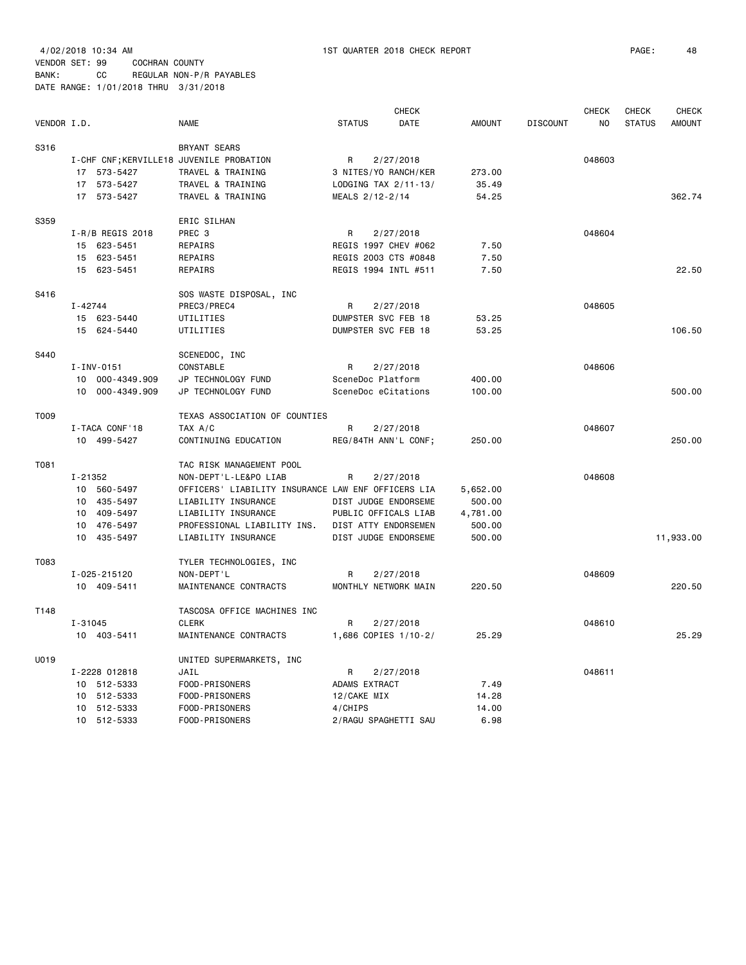| VENDOR I.D. |                                                                                             | <b>NAME</b>                                                                                                                                                                                                 | <b>STATUS</b>                                                        | <b>CHECK</b><br>DATE                                                                                      | <b>AMOUNT</b>                                      | <b>DISCOUNT</b> | <b>CHECK</b><br>NO | CHECK<br><b>STATUS</b> | <b>CHECK</b><br><b>AMOUNT</b> |
|-------------|---------------------------------------------------------------------------------------------|-------------------------------------------------------------------------------------------------------------------------------------------------------------------------------------------------------------|----------------------------------------------------------------------|-----------------------------------------------------------------------------------------------------------|----------------------------------------------------|-----------------|--------------------|------------------------|-------------------------------|
| S316        | I-CHF CNF; KERVILLE18 JUVENILE PROBATION<br>17 573-5427<br>573-5427<br>17<br>17 573-5427    | BRYANT SEARS<br>TRAVEL & TRAINING<br>TRAVEL & TRAINING<br>TRAVEL & TRAINING                                                                                                                                 | R<br>3 NITES/YO RANCH/KER<br>LODGING TAX 2/11-13/<br>MEALS 2/12-2/14 | 2/27/2018                                                                                                 | 273.00<br>35.49<br>54.25                           |                 | 048603             |                        | 362.74                        |
| S359        | $I-R/B$ REGIS 2018<br>15 623-5451<br>15<br>623-5451<br>15<br>623-5451                       | ERIC SILHAN<br>PREC 3<br>REPAIRS<br>REPAIRS<br>REPAIRS                                                                                                                                                      | R<br>REGIS 1994 INTL #511                                            | 2/27/2018<br>REGIS 1997 CHEV #062<br>REGIS 2003 CTS #0848                                                 | 7.50<br>7.50<br>7.50                               |                 | 048604             |                        | 22.50                         |
| S416        | $I - 42744$<br>15<br>623-5440<br>15 624-5440                                                | SOS WASTE DISPOSAL, INC<br>PREC3/PREC4<br>UTILITIES<br>UTILITIES                                                                                                                                            | R<br>DUMPSTER SVC FEB 18<br>DUMPSTER SVC FEB 18                      | 2/27/2018                                                                                                 | 53.25<br>53.25                                     |                 | 048605             |                        | 106.50                        |
| S440        | $I - INV - 0151$<br>000-4349.909<br>10 <sup>1</sup><br>10<br>000-4349.909                   | SCENEDOC, INC<br>CONSTABLE<br>JP TECHNOLOGY FUND<br>JP TECHNOLOGY FUND                                                                                                                                      | R<br>SceneDoc Platform<br>SceneDoc eCitations                        | 2/27/2018                                                                                                 | 400.00<br>100.00                                   |                 | 048606             |                        | 500.00                        |
| T009        | I-TACA CONF'18<br>10 499-5427                                                               | TEXAS ASSOCIATION OF COUNTIES<br>TAX A/C<br>CONTINUING EDUCATION                                                                                                                                            | R                                                                    | 2/27/2018<br>REG/84TH ANN'L CONF;                                                                         | 250.00                                             |                 | 048607             |                        | 250.00                        |
| T081        | I-21352<br>10 560-5497<br>10 435-5497<br>409-5497<br>10<br>10<br>476-5497<br>10<br>435-5497 | TAC RISK MANAGEMENT POOL<br>NON-DEPT'L-LE&PO LIAB<br>OFFICERS' LIABILITY INSURANCE LAW ENF OFFICERS LIA<br>LIABILITY INSURANCE<br>LIABILITY INSURANCE<br>PROFESSIONAL LIABILITY INS.<br>LIABILITY INSURANCE | R                                                                    | 2/27/2018<br>DIST JUDGE ENDORSEME<br>PUBLIC OFFICALS LIAB<br>DIST ATTY ENDORSEMEN<br>DIST JUDGE ENDORSEME | 5,652.00<br>500.00<br>4,781.00<br>500.00<br>500.00 |                 | 048608             |                        | 11,933.00                     |
| T083        | I-025-215120<br>10 409-5411                                                                 | TYLER TECHNOLOGIES, INC<br>NON-DEPT'L<br>MAINTENANCE CONTRACTS                                                                                                                                              | R<br>MONTHLY NETWORK MAIN                                            | 2/27/2018                                                                                                 | 220.50                                             |                 | 048609             |                        | 220.50                        |
| T148        | $I - 31045$<br>10 403-5411                                                                  | TASCOSA OFFICE MACHINES INC<br><b>CLERK</b><br>MAINTENANCE CONTRACTS                                                                                                                                        | R                                                                    | 2/27/2018<br>1,686 COPIES 1/10-2/                                                                         | 25.29                                              |                 | 048610             |                        | 25.29                         |
| U019        | I-2228 012818<br>10 512-5333<br>512-5333<br>10<br>10<br>512-5333<br>10 512-5333             | UNITED SUPERMARKETS, INC<br>JAIL<br>FOOD-PRISONERS<br>FOOD-PRISONERS<br>FOOD-PRISONERS<br>FOOD-PRISONERS                                                                                                    | R<br>ADAMS EXTRACT<br>12/CAKE MIX<br>4/CHIPS                         | 2/27/2018<br>2/RAGU SPAGHETTI SAU                                                                         | 7.49<br>14.28<br>14.00<br>6.98                     |                 | 048611             |                        |                               |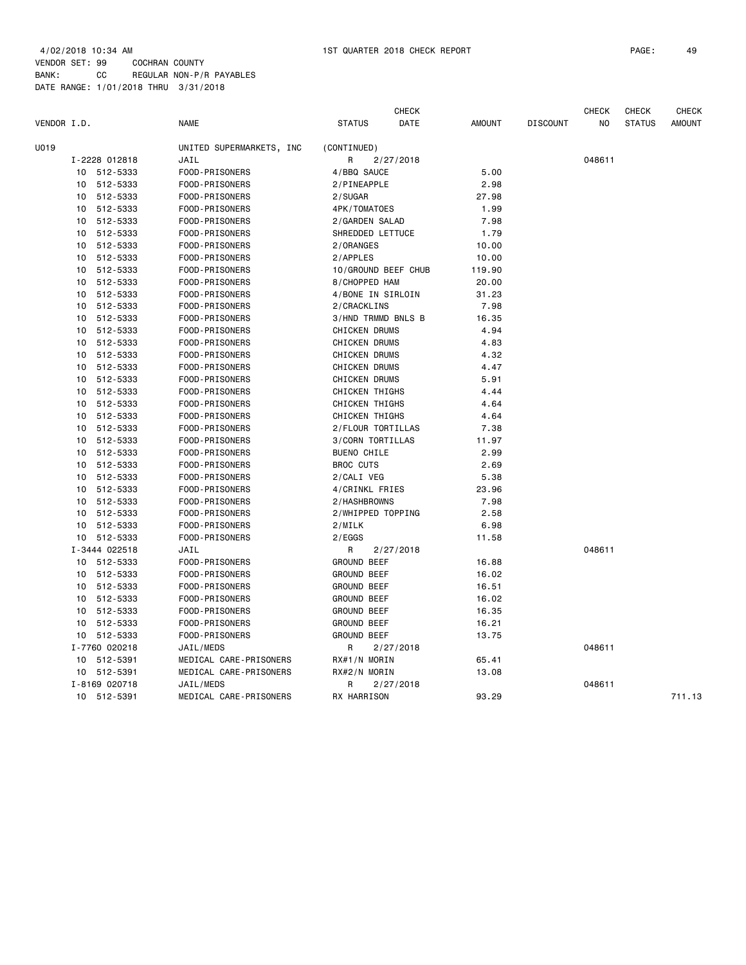| VENDOR I.D. |    |               | <b>NAME</b>              | <b>STATUS</b>         | <b>CHECK</b><br><b>DATE</b> | <b>AMOUNT</b> | <b>DISCOUNT</b> | <b>CHECK</b><br>NO | <b>CHECK</b><br><b>STATUS</b> | <b>CHECK</b><br><b>AMOUNT</b> |
|-------------|----|---------------|--------------------------|-----------------------|-----------------------------|---------------|-----------------|--------------------|-------------------------------|-------------------------------|
|             |    |               |                          |                       |                             |               |                 |                    |                               |                               |
| U019        |    |               | UNITED SUPERMARKETS, INC | (CONTINUED)           |                             |               |                 |                    |                               |                               |
|             |    | I-2228 012818 | JAIL                     | R                     | 2/27/2018                   |               |                 | 048611             |                               |                               |
|             | 10 | 512-5333      | FOOD-PRISONERS           | 4/BBQ SAUCE           |                             | 5.00          |                 |                    |                               |                               |
|             | 10 | 512-5333      | FOOD-PRISONERS           | 2/PINEAPPLE           |                             | 2.98          |                 |                    |                               |                               |
|             | 10 | 512-5333      | FOOD-PRISONERS           | 2/SUGAR               |                             | 27.98         |                 |                    |                               |                               |
|             | 10 | 512-5333      | FOOD-PRISONERS           | 4PK/TOMATOES          |                             | 1.99          |                 |                    |                               |                               |
|             | 10 | 512-5333      | FOOD-PRISONERS           | 2/GARDEN SALAD        |                             | 7.98          |                 |                    |                               |                               |
|             | 10 | 512-5333      | FOOD-PRISONERS           | SHREDDED LETTUCE      |                             | 1.79          |                 |                    |                               |                               |
|             | 10 | 512-5333      | FOOD-PRISONERS           | 2/ORANGES             |                             | 10.00         |                 |                    |                               |                               |
|             | 10 | 512-5333      | FOOD-PRISONERS           | 2/APPLES              |                             | 10.00         |                 |                    |                               |                               |
|             | 10 | 512-5333      | FOOD-PRISONERS           | 10/GROUND BEEF CHUB   |                             | 119.90        |                 |                    |                               |                               |
|             | 10 | 512-5333      | FOOD-PRISONERS           | 8/CHOPPED HAM         |                             | 20.00         |                 |                    |                               |                               |
|             | 10 | 512-5333      | FOOD-PRISONERS           | 4/BONE IN SIRLOIN     |                             | 31.23         |                 |                    |                               |                               |
|             | 10 | 512-5333      | FOOD-PRISONERS           | 2/CRACKLINS           |                             | 7.98          |                 |                    |                               |                               |
|             | 10 | 512-5333      | FOOD-PRISONERS           | 3/HND TRMMD BNLS B    |                             | 16.35         |                 |                    |                               |                               |
|             | 10 | 512-5333      | FOOD-PRISONERS           | CHICKEN DRUMS         |                             | 4.94          |                 |                    |                               |                               |
|             | 10 | 512-5333      | FOOD-PRISONERS           | CHICKEN DRUMS         |                             | 4.83          |                 |                    |                               |                               |
|             | 10 | 512-5333      | FOOD-PRISONERS           | <b>CHICKEN DRUMS</b>  |                             | 4.32          |                 |                    |                               |                               |
|             | 10 | 512-5333      | FOOD-PRISONERS           | CHICKEN DRUMS         |                             | 4.47          |                 |                    |                               |                               |
|             | 10 | 512-5333      | FOOD-PRISONERS           | <b>CHICKEN DRUMS</b>  |                             | 5.91          |                 |                    |                               |                               |
|             | 10 | 512-5333      | FOOD-PRISONERS           | CHICKEN THIGHS        |                             | 4.44          |                 |                    |                               |                               |
|             | 10 | 512-5333      | FOOD-PRISONERS           | <b>CHICKEN THIGHS</b> |                             | 4.64          |                 |                    |                               |                               |
|             | 10 | 512-5333      | FOOD-PRISONERS           | CHICKEN THIGHS        |                             | 4.64          |                 |                    |                               |                               |
|             | 10 | 512-5333      | FOOD-PRISONERS           | 2/FLOUR TORTILLAS     |                             | 7.38          |                 |                    |                               |                               |
|             | 10 | 512-5333      | FOOD-PRISONERS           | 3/CORN TORTILLAS      |                             | 11.97         |                 |                    |                               |                               |
|             | 10 | 512-5333      | FOOD-PRISONERS           | <b>BUENO CHILE</b>    |                             | 2.99          |                 |                    |                               |                               |
|             | 10 | 512-5333      | FOOD-PRISONERS           | <b>BROC CUTS</b>      |                             | 2.69          |                 |                    |                               |                               |
|             | 10 | 512-5333      | FOOD-PRISONERS           | 2/CALI VEG            |                             | 5.38          |                 |                    |                               |                               |
|             | 10 | 512-5333      | FOOD-PRISONERS           | 4/CRINKL FRIES        |                             | 23.96         |                 |                    |                               |                               |
|             | 10 | 512-5333      | FOOD-PRISONERS           | 2/HASHBROWNS          |                             | 7.98          |                 |                    |                               |                               |
|             | 10 | 512-5333      | FOOD-PRISONERS           | 2/WHIPPED TOPPING     |                             | 2.58          |                 |                    |                               |                               |
|             | 10 | 512-5333      | FOOD-PRISONERS           | 2/MILK                |                             | 6.98          |                 |                    |                               |                               |
|             |    | 10 512-5333   | FOOD-PRISONERS           | 2/EGGS                |                             | 11.58         |                 |                    |                               |                               |
|             |    | I-3444 022518 | JAIL                     | R                     | 2/27/2018                   |               |                 | 048611             |                               |                               |
|             |    | 10 512-5333   | FOOD-PRISONERS           | <b>GROUND BEEF</b>    |                             | 16.88         |                 |                    |                               |                               |
|             |    | 10 512-5333   | FOOD-PRISONERS           | <b>GROUND BEEF</b>    |                             | 16.02         |                 |                    |                               |                               |
|             | 10 | 512-5333      | FOOD-PRISONERS           | <b>GROUND BEEF</b>    |                             | 16.51         |                 |                    |                               |                               |
|             |    | 10 512-5333   | FOOD-PRISONERS           | <b>GROUND BEEF</b>    |                             | 16.02         |                 |                    |                               |                               |
|             |    |               |                          |                       |                             |               |                 |                    |                               |                               |
|             | 10 | 512-5333      | FOOD-PRISONERS           | <b>GROUND BEEF</b>    |                             | 16.35         |                 |                    |                               |                               |
|             | 10 | 512-5333      | FOOD-PRISONERS           | <b>GROUND BEEF</b>    |                             | 16.21         |                 |                    |                               |                               |
|             |    | 10 512-5333   | FOOD-PRISONERS           | <b>GROUND BEEF</b>    |                             | 13.75         |                 |                    |                               |                               |
|             |    | I-7760 020218 | JAIL/MEDS                | R                     | 2/27/2018                   |               |                 | 048611             |                               |                               |
|             |    | 10 512-5391   | MEDICAL CARE-PRISONERS   | RX#1/N MORIN          |                             | 65.41         |                 |                    |                               |                               |
|             |    | 10 512-5391   | MEDICAL CARE-PRISONERS   | RX#2/N MORIN          |                             | 13.08         |                 |                    |                               |                               |
|             |    | I-8169 020718 | JAIL/MEDS                | R                     | 2/27/2018                   |               |                 | 048611             |                               |                               |
|             |    | 10 512-5391   | MEDICAL CARE-PRISONERS   | RX HARRISON           |                             | 93.29         |                 |                    |                               | 711.13                        |
|             |    |               |                          |                       |                             |               |                 |                    |                               |                               |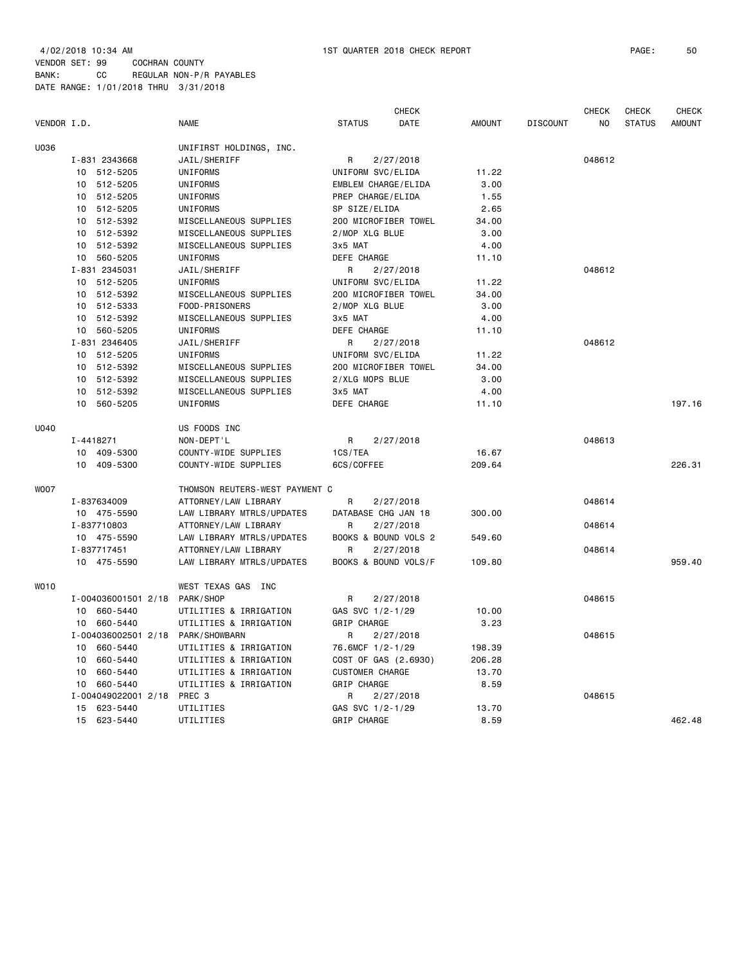|             |                            |                                              |                        | <b>CHECK</b> |               |                 | <b>CHECK</b> | <b>CHECK</b>  | <b>CHECK</b>  |
|-------------|----------------------------|----------------------------------------------|------------------------|--------------|---------------|-----------------|--------------|---------------|---------------|
| VENDOR I.D. |                            | <b>NAME</b>                                  | <b>STATUS</b>          | DATE         | <b>AMOUNT</b> | <b>DISCOUNT</b> | NO.          | <b>STATUS</b> | <b>AMOUNT</b> |
| U036        |                            | UNIFIRST HOLDINGS, INC.                      |                        |              |               |                 |              |               |               |
|             | I-831 2343668              | JAIL/SHERIFF                                 | R                      | 2/27/2018    |               |                 | 048612       |               |               |
|             | 10 512-5205                | UNIFORMS                                     | UNIFORM SVC/ELIDA      |              | 11.22         |                 |              |               |               |
|             | 10 512-5205                | <b>UNIFORMS</b>                              | EMBLEM CHARGE/ELIDA    |              | 3.00          |                 |              |               |               |
|             | 10 512-5205                | UNIFORMS                                     | PREP CHARGE/ELIDA      |              | 1.55          |                 |              |               |               |
|             | 10 512-5205                | UNIFORMS                                     | SP SIZE/ELIDA          |              | 2.65          |                 |              |               |               |
|             | 512-5392<br>10             | MISCELLANEOUS SUPPLIES                       | 200 MICROFIBER TOWEL   |              | 34.00         |                 |              |               |               |
|             | 10 512-5392                | MISCELLANEOUS SUPPLIES                       | 2/MOP XLG BLUE         |              | 3.00          |                 |              |               |               |
|             | 10 512-5392                | MISCELLANEOUS SUPPLIES                       | 3x5 MAT                |              | 4.00          |                 |              |               |               |
|             | 10 560-5205                | UNIFORMS                                     | DEFE CHARGE            |              | 11.10         |                 |              |               |               |
|             | I-831 2345031              | JAIL/SHERIFF                                 | R                      | 2/27/2018    |               |                 | 048612       |               |               |
|             | 10 512-5205                | UNIFORMS                                     | UNIFORM SVC/ELIDA      |              | 11.22         |                 |              |               |               |
|             | 10 512-5392                | MISCELLANEOUS SUPPLIES                       | 200 MICROFIBER TOWEL   |              | 34.00         |                 |              |               |               |
|             | 512-5333<br>10             | FOOD-PRISONERS                               | 2/MOP XLG BLUE         |              | 3.00          |                 |              |               |               |
|             | 10<br>512-5392             | MISCELLANEOUS SUPPLIES                       | 3x5 MAT                |              | 4.00          |                 |              |               |               |
|             | 10 560-5205                | UNIFORMS                                     | DEFE CHARGE            |              | 11.10         |                 |              |               |               |
|             | I-831 2346405              | JAIL/SHERIFF                                 | R                      | 2/27/2018    |               |                 | 048612       |               |               |
|             | 10 512-5205                | UNIFORMS                                     | UNIFORM SVC/ELIDA      |              | 11.22         |                 |              |               |               |
|             | 10 512-5392                | MISCELLANEOUS SUPPLIES                       | 200 MICROFIBER TOWEL   |              | 34.00         |                 |              |               |               |
|             | 10 512-5392                | MISCELLANEOUS SUPPLIES                       | 2/XLG MOPS BLUE        |              | 3.00          |                 |              |               |               |
|             | 10 512-5392                | MISCELLANEOUS SUPPLIES                       | 3x5 MAT                |              | 4.00          |                 |              |               |               |
|             | 560-5205<br>10             | UNIFORMS                                     | DEFE CHARGE            |              | 11.10         |                 |              |               | 197.16        |
| U040        |                            | US FOODS INC                                 |                        |              |               |                 |              |               |               |
|             | I-4418271                  | NON-DEPT'L                                   | R                      | 2/27/2018    |               |                 | 048613       |               |               |
|             |                            |                                              | 1CS/TEA                |              | 16.67         |                 |              |               |               |
|             | 10 409-5300<br>10 409-5300 | COUNTY-WIDE SUPPLIES<br>COUNTY-WIDE SUPPLIES | 6CS/COFFEE             |              | 209.64        |                 |              |               | 226.31        |
|             |                            |                                              |                        |              |               |                 |              |               |               |
| <b>WO07</b> |                            | THOMSON REUTERS-WEST PAYMENT C               |                        |              |               |                 |              |               |               |
|             | I-837634009                | ATTORNEY/LAW LIBRARY                         | R                      | 2/27/2018    |               |                 | 048614       |               |               |
|             | 10 475-5590                | LAW LIBRARY MTRLS/UPDATES                    | DATABASE CHG JAN 18    |              | 300.00        |                 |              |               |               |
|             | I-837710803                | ATTORNEY/LAW LIBRARY                         | R                      | 2/27/2018    |               |                 | 048614       |               |               |
|             | 10 475-5590                | LAW LIBRARY MTRLS/UPDATES                    | BOOKS & BOUND VOLS 2   |              | 549.60        |                 |              |               |               |
|             | I-837717451                | ATTORNEY/LAW LIBRARY                         | R                      | 2/27/2018    |               |                 | 048614       |               |               |
|             | 10 475-5590                | LAW LIBRARY MTRLS/UPDATES                    | BOOKS & BOUND VOLS/F   |              | 109.80        |                 |              |               | 959.40        |
| WO10        |                            | WEST TEXAS GAS INC                           |                        |              |               |                 |              |               |               |
|             | I-004036001501 2/18        | PARK/SHOP                                    | R                      | 2/27/2018    |               |                 | 048615       |               |               |
|             | 10 660-5440                | UTILITIES & IRRIGATION                       | GAS SVC 1/2-1/29       |              | 10.00         |                 |              |               |               |
|             | 10 660-5440                | UTILITIES & IRRIGATION                       | GRIP CHARGE            |              | 3.23          |                 |              |               |               |
|             |                            | I-004036002501 2/18 PARK/SHOWBARN            | R                      | 2/27/2018    |               |                 | 048615       |               |               |
|             | 10 660-5440                | UTILITIES & IRRIGATION                       | 76.6MCF 1/2-1/29       |              | 198.39        |                 |              |               |               |
|             | 660-5440<br>10             | UTILITIES & IRRIGATION                       | COST OF GAS (2.6930)   |              | 206.28        |                 |              |               |               |
|             | 660-5440<br>10             | UTILITIES & IRRIGATION                       | <b>CUSTOMER CHARGE</b> |              | 13.70         |                 |              |               |               |
|             | 660-5440<br>10             | UTILITIES & IRRIGATION                       | GRIP CHARGE            |              | 8.59          |                 |              |               |               |
|             | I-004049022001 2/18        | PREC <sub>3</sub>                            | R                      | 2/27/2018    |               |                 | 048615       |               |               |
|             | 623-5440<br>15             | UTILITIES                                    | GAS SVC 1/2-1/29       |              | 13.70         |                 |              |               |               |
|             | 15<br>623-5440             | UTILITIES                                    | GRIP CHARGE            |              | 8.59          |                 |              |               | 462.48        |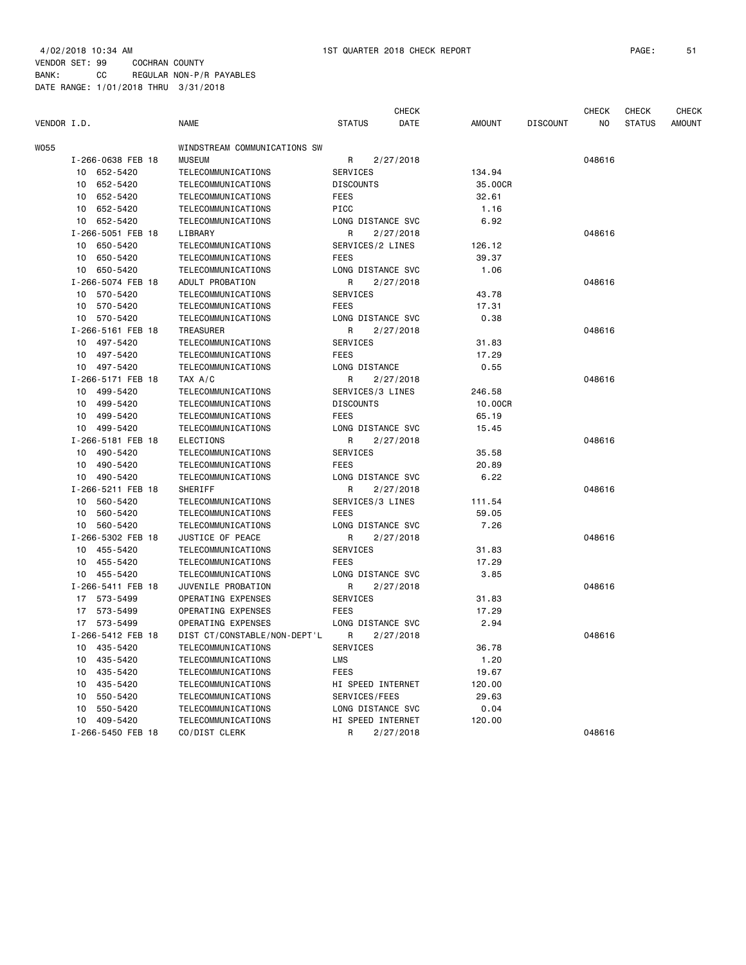|             |                   |                              |                   | <b>CHECK</b> |         |                 | CHECK  | <b>CHECK</b>  | <b>CHECK</b> |
|-------------|-------------------|------------------------------|-------------------|--------------|---------|-----------------|--------|---------------|--------------|
| VENDOR I.D. |                   | <b>NAME</b>                  | <b>STATUS</b>     | DATE         | AMOUNT  | <b>DISCOUNT</b> | ΝO     | <b>STATUS</b> | AMOUNT       |
| W055        |                   | WINDSTREAM COMMUNICATIONS SW |                   |              |         |                 |        |               |              |
|             | I-266-0638 FEB 18 | <b>MUSEUM</b>                | R                 | 2/27/2018    |         |                 | 048616 |               |              |
|             | 10 652-5420       | TELECOMMUNICATIONS           | SERVICES          |              | 134.94  |                 |        |               |              |
|             | 10 652-5420       | TELECOMMUNICATIONS           | <b>DISCOUNTS</b>  |              | 35.00CR |                 |        |               |              |
|             | 10 652-5420       | TELECOMMUNICATIONS           | <b>FEES</b>       |              | 32.61   |                 |        |               |              |
|             | 652-5420<br>10    | TELECOMMUNICATIONS           | <b>PICC</b>       |              | 1.16    |                 |        |               |              |
|             | 10 652-5420       | TELECOMMUNICATIONS           | LONG DISTANCE SVC |              | 6.92    |                 |        |               |              |
|             | I-266-5051 FEB 18 | LIBRARY                      | R                 | 2/27/2018    |         |                 | 048616 |               |              |
|             | 10 650-5420       | TELECOMMUNICATIONS           | SERVICES/2 LINES  |              | 126.12  |                 |        |               |              |
|             | 10 650-5420       | TELECOMMUNICATIONS           | <b>FEES</b>       |              | 39.37   |                 |        |               |              |
|             | 10 650-5420       | TELECOMMUNICATIONS           | LONG DISTANCE SVC |              | 1.06    |                 |        |               |              |
|             | I-266-5074 FEB 18 | ADULT PROBATION              | R                 | 2/27/2018    |         |                 | 048616 |               |              |
|             | 10 570-5420       | TELECOMMUNICATIONS           | SERVICES          |              | 43.78   |                 |        |               |              |
|             | 10<br>570-5420    | TELECOMMUNICATIONS           | <b>FEES</b>       |              | 17.31   |                 |        |               |              |
|             | 10 570-5420       | TELECOMMUNICATIONS           | LONG DISTANCE SVC |              | 0.38    |                 |        |               |              |
|             | I-266-5161 FEB 18 | TREASURER                    | R                 | 2/27/2018    |         |                 | 048616 |               |              |
|             | 10 497-5420       | TELECOMMUNICATIONS           | SERVICES          |              | 31.83   |                 |        |               |              |
|             | 10 497-5420       | TELECOMMUNICATIONS           | <b>FEES</b>       |              | 17.29   |                 |        |               |              |
|             | 10 497-5420       | TELECOMMUNICATIONS           | LONG DISTANCE     |              | 0.55    |                 |        |               |              |
|             | I-266-5171 FEB 18 | TAX A/C                      | R                 | 2/27/2018    |         |                 | 048616 |               |              |
|             | 10 499-5420       | TELECOMMUNICATIONS           | SERVICES/3 LINES  |              | 246.58  |                 |        |               |              |
|             | 10 499-5420       | TELECOMMUNICATIONS           | <b>DISCOUNTS</b>  |              | 10.00CR |                 |        |               |              |
|             | 10 499-5420       | TELECOMMUNICATIONS           | <b>FEES</b>       |              | 65.19   |                 |        |               |              |
|             | 10 499-5420       | TELECOMMUNICATIONS           | LONG DISTANCE SVC |              | 15.45   |                 |        |               |              |
|             | I-266-5181 FEB 18 | <b>ELECTIONS</b>             | R                 | 2/27/2018    |         |                 | 048616 |               |              |
|             | 10 490-5420       | TELECOMMUNICATIONS           | SERVICES          |              | 35.58   |                 |        |               |              |
|             | 10 490-5420       | TELECOMMUNICATIONS           | <b>FEES</b>       |              | 20.89   |                 |        |               |              |
|             | 10 490-5420       | TELECOMMUNICATIONS           | LONG DISTANCE SVC |              | 6.22    |                 |        |               |              |
|             | I-266-5211 FEB 18 | SHERIFF                      | R                 | 2/27/2018    |         |                 | 048616 |               |              |
|             | 10 560-5420       | TELECOMMUNICATIONS           | SERVICES/3 LINES  |              | 111.54  |                 |        |               |              |
|             | 10 560-5420       | TELECOMMUNICATIONS           | FEES              |              | 59.05   |                 |        |               |              |
|             | 560-5420<br>10    | TELECOMMUNICATIONS           | LONG DISTANCE SVC |              | 7.26    |                 |        |               |              |
|             | I-266-5302 FEB 18 | JUSTICE OF PEACE             | R                 | 2/27/2018    |         |                 | 048616 |               |              |
|             | 10 455-5420       | TELECOMMUNICATIONS           | SERVICES          |              | 31.83   |                 |        |               |              |
|             | 10 455-5420       | TELECOMMUNICATIONS           | <b>FEES</b>       |              | 17.29   |                 |        |               |              |
|             | 10 455-5420       | TELECOMMUNICATIONS           | LONG DISTANCE SVC |              | 3.85    |                 |        |               |              |
|             | I-266-5411 FEB 18 | JUVENILE PROBATION           | R                 | 2/27/2018    |         |                 | 048616 |               |              |
|             | 17 573-5499       | OPERATING EXPENSES           | SERVICES          |              | 31.83   |                 |        |               |              |
|             | 17 573-5499       | OPERATING EXPENSES           | <b>FEES</b>       |              | 17.29   |                 |        |               |              |
|             | 17 573-5499       | OPERATING EXPENSES           | LONG DISTANCE SVC |              | 2.94    |                 |        |               |              |
|             | I-266-5412 FEB 18 | DIST CT/CONSTABLE/NON-DEPT'L | R                 | 2/27/2018    |         |                 | 048616 |               |              |
|             | 10 435-5420       | TELECOMMUNICATIONS           | SERVICES          |              | 36.78   |                 |        |               |              |
|             | 10 435-5420       | TELECOMMUNICATIONS           | LMS               |              | 1.20    |                 |        |               |              |
|             | 435-5420          | TELECOMMUNICATIONS           | <b>FEES</b>       |              |         |                 |        |               |              |
|             | 10                |                              |                   |              | 19.67   |                 |        |               |              |
|             | 435-5420<br>10    | TELECOMMUNICATIONS           | HI SPEED INTERNET |              | 120.00  |                 |        |               |              |
|             | 550-5420<br>10    | TELECOMMUNICATIONS           | SERVICES/FEES     |              | 29.63   |                 |        |               |              |
|             | 550-5420<br>10    | TELECOMMUNICATIONS           | LONG DISTANCE SVC |              | 0.04    |                 |        |               |              |
|             | 10 409-5420       | TELECOMMUNICATIONS           | HI SPEED INTERNET |              | 120.00  |                 |        |               |              |
|             | I-266-5450 FEB 18 | CO/DIST CLERK                | R                 | 2/27/2018    |         |                 | 048616 |               |              |
|             |                   |                              |                   |              |         |                 |        |               |              |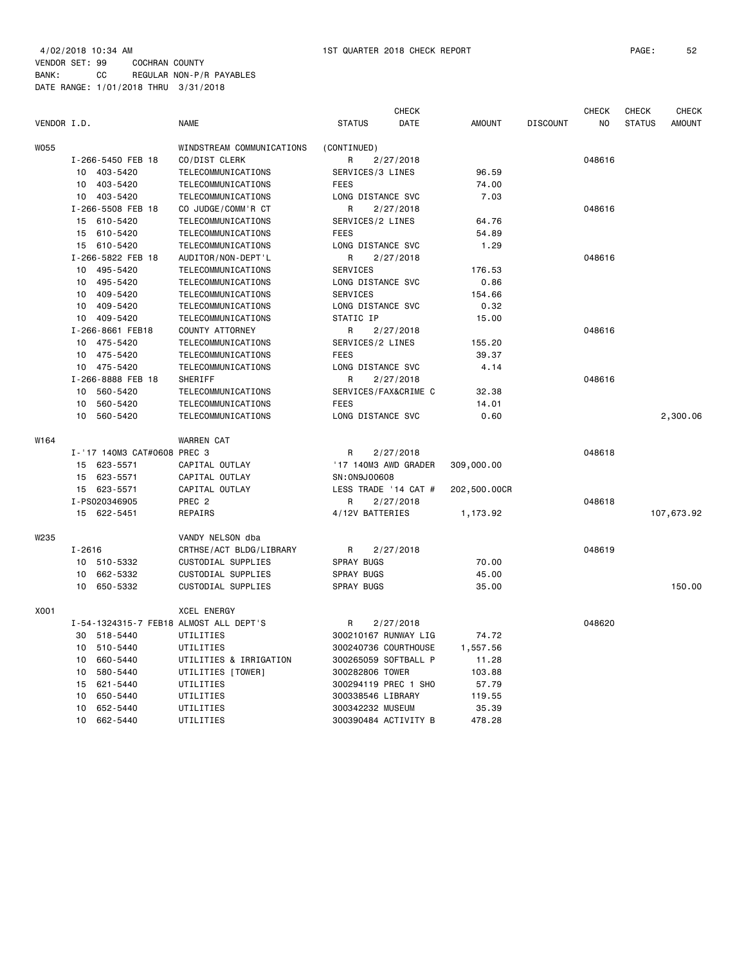4/02/2018 10:34 AM 1ST QUARTER 2018 CHECK REPORT PAGE: 52 VENDOR SET: 99 COCHRAN COUNTY BANK: CC REGULAR NON-P/R PAYABLES

DATE RANGE: 1/01/2018 THRU 3/31/2018

| VENDOR I.D. |                             | <b>NAME</b>                            | <b>STATUS</b>        | CHECK<br><b>DATE</b> | <b>AMOUNT</b> | <b>DISCOUNT</b> | <b>CHECK</b><br>NO | <b>CHECK</b><br><b>STATUS</b> | <b>CHECK</b><br><b>AMOUNT</b> |
|-------------|-----------------------------|----------------------------------------|----------------------|----------------------|---------------|-----------------|--------------------|-------------------------------|-------------------------------|
| <b>W055</b> |                             | WINDSTREAM COMMUNICATIONS              | (CONTINUED)          |                      |               |                 |                    |                               |                               |
|             | I-266-5450 FEB 18           | CO/DIST CLERK                          | R                    | 2/27/2018            |               |                 | 048616             |                               |                               |
|             | 10<br>403-5420              | TELECOMMUNICATIONS                     | SERVICES/3 LINES     |                      | 96.59         |                 |                    |                               |                               |
|             | 403-5420<br>10              | TELECOMMUNICATIONS                     | FEES                 |                      | 74.00         |                 |                    |                               |                               |
|             | 403-5420<br>10              | TELECOMMUNICATIONS                     | LONG DISTANCE SVC    |                      | 7.03          |                 |                    |                               |                               |
|             | I-266-5508 FEB 18           | CO JUDGE/COMM'R CT                     | R                    | 2/27/2018            |               |                 | 048616             |                               |                               |
|             | 15 610-5420                 | TELECOMMUNICATIONS                     | SERVICES/2 LINES     |                      | 64.76         |                 |                    |                               |                               |
|             | 15 610-5420                 | TELECOMMUNICATIONS                     | <b>FEES</b>          |                      | 54.89         |                 |                    |                               |                               |
|             | 15 610-5420                 | TELECOMMUNICATIONS                     | LONG DISTANCE SVC    |                      | 1.29          |                 |                    |                               |                               |
|             | I-266-5822 FEB 18           | AUDITOR/NON-DEPT'L                     | R                    | 2/27/2018            |               |                 | 048616             |                               |                               |
|             | 10 495-5420                 | TELECOMMUNICATIONS                     | SERVICES             |                      | 176.53        |                 |                    |                               |                               |
|             | 495-5420<br>10              | TELECOMMUNICATIONS                     | LONG DISTANCE SVC    |                      | 0.86          |                 |                    |                               |                               |
|             | 409-5420<br>10              | TELECOMMUNICATIONS                     | <b>SERVICES</b>      |                      | 154.66        |                 |                    |                               |                               |
|             | 409-5420<br>10              | TELECOMMUNICATIONS                     | LONG DISTANCE SVC    |                      | 0.32          |                 |                    |                               |                               |
|             | 409-5420<br>10              | TELECOMMUNICATIONS                     | STATIC IP            |                      | 15.00         |                 |                    |                               |                               |
|             | I-266-8661 FEB18            | COUNTY ATTORNEY                        | R                    | 2/27/2018            |               |                 | 048616             |                               |                               |
|             | 475-5420<br>10              | TELECOMMUNICATIONS                     | SERVICES/2 LINES     |                      | 155.20        |                 |                    |                               |                               |
|             | 10 475-5420                 | TELECOMMUNICATIONS                     | <b>FEES</b>          |                      | 39.37         |                 |                    |                               |                               |
|             | 10 475-5420                 | TELECOMMUNICATIONS                     | LONG DISTANCE SVC    |                      | 4.14          |                 |                    |                               |                               |
|             | I-266-8888 FEB 18           | SHERIFF                                | R                    | 2/27/2018            |               |                 | 048616             |                               |                               |
|             | 560-5420<br>10              | TELECOMMUNICATIONS                     |                      | SERVICES/FAX&CRIME C | 32.38         |                 |                    |                               |                               |
|             | 10<br>560-5420              | TELECOMMUNICATIONS                     | <b>FEES</b>          |                      | 14.01         |                 |                    |                               |                               |
|             | 560-5420<br>10              | TELECOMMUNICATIONS                     | LONG DISTANCE SVC    |                      | 0.60          |                 |                    |                               | 2,300.06                      |
| W164        |                             | <b>WARREN CAT</b>                      |                      |                      |               |                 |                    |                               |                               |
|             | I-'17 140M3 CAT#0608 PREC 3 |                                        | R                    | 2/27/2018            |               |                 | 048618             |                               |                               |
|             | 623-5571<br>15              | CAPITAL OUTLAY                         |                      | '17 140M3 AWD GRADER | 309,000.00    |                 |                    |                               |                               |
|             | 623-5571<br>15              | CAPITAL OUTLAY                         | SN: 0N9J00608        |                      |               |                 |                    |                               |                               |
|             | 15 623-5571                 | CAPITAL OUTLAY                         |                      | LESS TRADE '14 CAT # | 202,500.00CR  |                 |                    |                               |                               |
|             | I-PS020346905               | PREC <sub>2</sub>                      | R                    | 2/27/2018            |               |                 | 048618             |                               |                               |
|             | 15 622-5451                 | REPAIRS                                | 4/12V BATTERIES      |                      | 1,173.92      |                 |                    |                               | 107,673.92                    |
| W235        |                             | VANDY NELSON dba                       |                      |                      |               |                 |                    |                               |                               |
|             | $I - 2616$                  | CRTHSE/ACT BLDG/LIBRARY                | R                    | 2/27/2018            |               |                 | 048619             |                               |                               |
|             | 10 510-5332                 | CUSTODIAL SUPPLIES                     | <b>SPRAY BUGS</b>    |                      | 70.00         |                 |                    |                               |                               |
|             | 662-5332<br>10              | CUSTODIAL SUPPLIES                     | <b>SPRAY BUGS</b>    |                      | 45.00         |                 |                    |                               |                               |
|             | 10<br>650-5332              | CUSTODIAL SUPPLIES                     | <b>SPRAY BUGS</b>    |                      | 35.00         |                 |                    |                               | 150.00                        |
| X001        |                             | <b>XCEL ENERGY</b>                     |                      |                      |               |                 |                    |                               |                               |
|             |                             | I-54-1324315-7 FEB18 ALMOST ALL DEPT'S | R                    | 2/27/2018            |               |                 | 048620             |                               |                               |
|             | 30<br>518-5440              | UTILITIES                              |                      | 300210167 RUNWAY LIG | 74.72         |                 |                    |                               |                               |
|             | 510-5440<br>10              | UTILITIES                              |                      | 300240736 COURTHOUSE | 1,557.56      |                 |                    |                               |                               |
|             | 660-5440<br>10              | UTILITIES & IRRIGATION                 |                      | 300265059 SOFTBALL P | 11.28         |                 |                    |                               |                               |
|             | 580-5440<br>10              | UTILITIES [TOWER]                      | 300282806 TOWER      |                      | 103.88        |                 |                    |                               |                               |
|             | 15<br>621-5440              | UTILITIES                              |                      | 300294119 PREC 1 SHO | 57.79         |                 |                    |                               |                               |
|             | 10<br>650-5440              | UTILITIES                              | 300338546 LIBRARY    |                      | 119.55        |                 |                    |                               |                               |
|             | 652-5440<br>10              | UTILITIES                              | 300342232 MUSEUM     |                      | 35.39         |                 |                    |                               |                               |
|             | 662-5440<br>10              | UTILITIES                              | 300390484 ACTIVITY B |                      | 478.28        |                 |                    |                               |                               |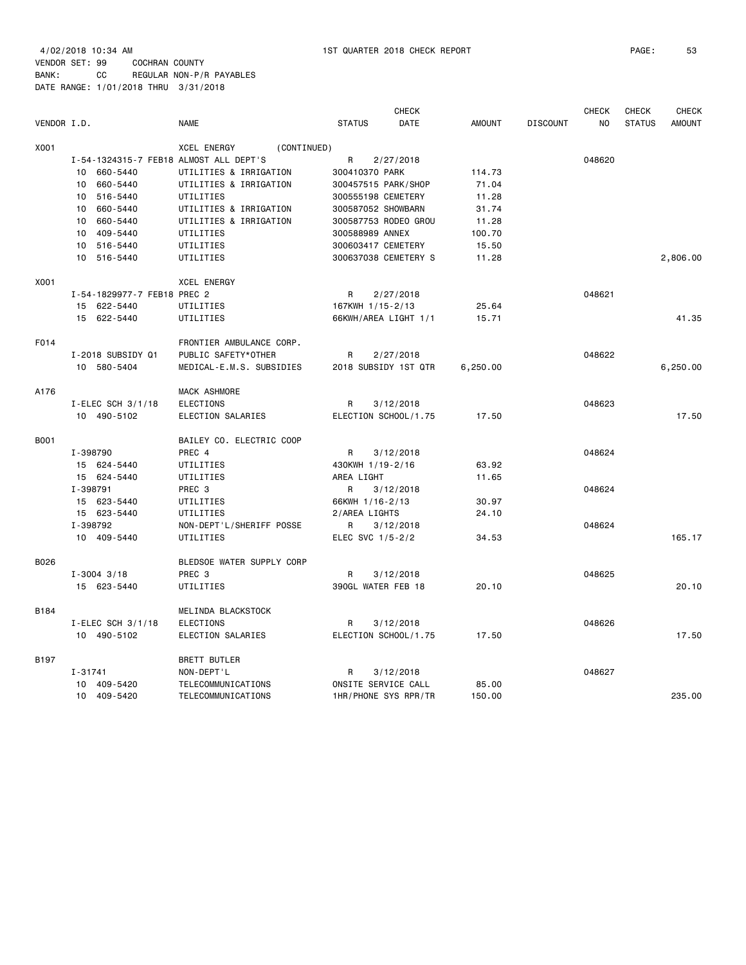4/02/2018 10:34 AM 1ST QUARTER 2018 CHECK REPORT PAGE: 53 VENDOR SET: 99 COCHRAN COUNTY BANK: CC REGULAR NON-P/R PAYABLES

DATE RANGE: 1/01/2018 THRU 3/31/2018 **CHECK CHECK CHECK CHECK CHECK CHECK CHECK** VENDOR I.D. NAME STATUS DATE AMOUNT DISCOUNT NO STATUS AMOUNT X001 XCEL ENERGY (CONTINUED) I-54-1324315-7 FEB18 ALMOST ALL DEPT'S R 2/27/2018 048620 10 660-5440 UTILITIES & IRRIGATION 300410370 PARK 114.73 10 660-5440 UTILITIES & IRRIGATION 300457515 PARK/SHOP 71.04 10 516-5440 UTILITIES 300555198 CEMETERY 11.28

|             | 10<br>660-5440              | UIILIIILES & IRRIGAIION   | 300410370 PARK       | 114.73   |        |          |
|-------------|-----------------------------|---------------------------|----------------------|----------|--------|----------|
|             | 10 660-5440                 | UTILITIES & IRRIGATION    | 300457515 PARK/SHOP  | 71.04    |        |          |
|             | 10 516-5440                 | UTILITIES                 | 300555198 CEMETERY   | 11.28    |        |          |
|             | 10 660-5440                 | UTILITIES & IRRIGATION    | 300587052 SHOWBARN   | 31.74    |        |          |
|             | 10 660-5440                 | UTILITIES & IRRIGATION    | 300587753 RODEO GROU | 11.28    |        |          |
|             | 10 409-5440                 | UTILITIES                 | 300588989 ANNEX      | 100.70   |        |          |
|             | 10 516-5440                 | UTILITIES                 | 300603417 CEMETERY   | 15.50    |        |          |
|             | 10 516-5440                 | UTILITIES                 | 300637038 CEMETERY S | 11.28    |        | 2,806.00 |
| X001        |                             | <b>XCEL ENERGY</b>        |                      |          |        |          |
|             | I-54-1829977-7 FEB18 PREC 2 |                           | 2/27/2018<br>R       |          | 048621 |          |
|             | 15 622-5440                 | UTILITIES                 | 167KWH 1/15-2/13     | 25.64    |        |          |
|             | 15 622-5440                 | UTILITIES                 | 66KWH/AREA LIGHT 1/1 | 15.71    |        | 41.35    |
| F014        |                             | FRONTIER AMBULANCE CORP.  |                      |          |        |          |
|             | I-2018 SUBSIDY Q1           | PUBLIC SAFETY*OTHER       | R<br>2/27/2018       |          | 048622 |          |
|             | 10 580-5404                 | MEDICAL-E.M.S. SUBSIDIES  | 2018 SUBSIDY 1ST QTR | 6,250.00 |        | 6,250.00 |
| A176        |                             | MACK ASHMORE              |                      |          |        |          |
|             | I-ELEC SCH $3/1/18$         | ELECTIONS                 | R<br>3/12/2018       |          | 048623 |          |
|             | 10 490-5102                 | ELECTION SALARIES         | ELECTION SCHOOL/1.75 | 17.50    |        | 17.50    |
| <b>B001</b> |                             | BAILEY CO. ELECTRIC COOP  |                      |          |        |          |
|             | I-398790                    | PREC 4                    | 3/12/2018<br>R       |          | 048624 |          |
|             | 15 624-5440                 | UTILITIES                 | 430KWH 1/19-2/16     | 63.92    |        |          |
|             | 15 624-5440                 | UTILITIES                 | AREA LIGHT           | 11.65    |        |          |
|             | I-398791                    | PREC <sub>3</sub>         | 3/12/2018<br>R       |          | 048624 |          |
|             | 15 623-5440                 | UTILITIES                 | 66KWH 1/16-2/13      | 30.97    |        |          |
|             | 15 623-5440                 | UTILITIES                 | 2/AREA LIGHTS        | 24.10    |        |          |
|             | I-398792                    | NON-DEPT'L/SHERIFF POSSE  | R<br>3/12/2018       |          | 048624 |          |
|             | 10 409-5440                 | UTILITIES                 | ELEC SVC 1/5-2/2     | 34.53    |        | 165.17   |
| B026        |                             | BLEDSOE WATER SUPPLY CORP |                      |          |        |          |
|             | $I - 3004$ 3/18             | PREC 3                    | 3/12/2018<br>R       |          | 048625 |          |
|             | 15 623-5440                 | UTILITIES                 | 390GL WATER FEB 18   | 20.10    |        | 20.10    |
| B184        |                             | MELINDA BLACKSTOCK        |                      |          |        |          |
|             | I-ELEC SCH $3/1/18$         | ELECTIONS                 | 3/12/2018<br>R       |          | 048626 |          |
|             | 10 490-5102                 | ELECTION SALARIES         | ELECTION SCHOOL/1.75 | 17.50    |        | 17.50    |
| B197        |                             | BRETT BUTLER              |                      |          |        |          |
|             | $I - 31741$                 | NON-DEPT'L                | R<br>3/12/2018       |          | 048627 |          |
|             | 10 409-5420                 | TELECOMMUNICATIONS        | ONSITE SERVICE CALL  | 85,00    |        |          |
|             | 10 409-5420                 | TELECOMMUNICATIONS        | 1HR/PHONE SYS RPR/TR | 150.00   |        | 235.00   |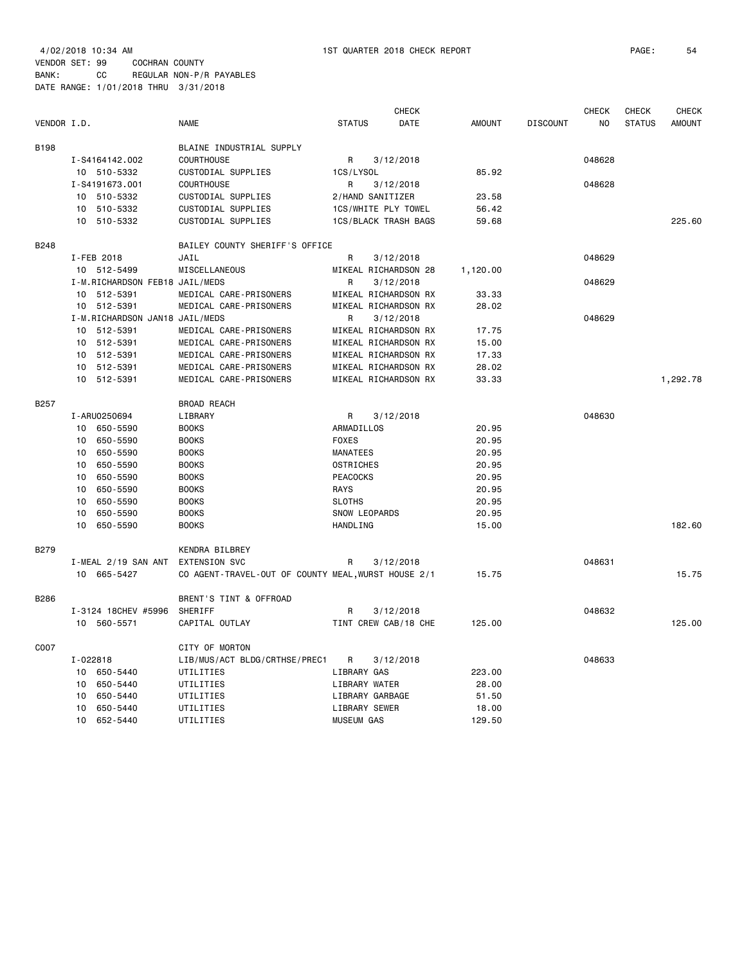| VENDOR I.D. |                 |                                | <b>NAME</b>                                         | <b>STATUS</b>        | <b>CHECK</b><br>DATE | <b>AMOUNT</b> | <b>DISCOUNT</b> | <b>CHECK</b><br>NO | <b>CHECK</b><br><b>STATUS</b> | <b>CHECK</b><br><b>AMOUNT</b> |
|-------------|-----------------|--------------------------------|-----------------------------------------------------|----------------------|----------------------|---------------|-----------------|--------------------|-------------------------------|-------------------------------|
|             |                 |                                |                                                     |                      |                      |               |                 |                    |                               |                               |
| B198        |                 |                                | BLAINE INDUSTRIAL SUPPLY                            |                      |                      |               |                 |                    |                               |                               |
|             |                 | I-S4164142.002                 | <b>COURTHOUSE</b>                                   | R                    | 3/12/2018            |               |                 | 048628             |                               |                               |
|             |                 | 10 510-5332                    | CUSTODIAL SUPPLIES                                  | 1CS/LYSOL            |                      | 85.92         |                 |                    |                               |                               |
|             |                 | I-S4191673.001                 | <b>COURTHOUSE</b>                                   | R                    | 3/12/2018            |               |                 | 048628             |                               |                               |
|             |                 | 10 510-5332                    | CUSTODIAL SUPPLIES                                  | 2/HAND SANITIZER     |                      | 23.58         |                 |                    |                               |                               |
|             | 10              | 510-5332                       | CUSTODIAL SUPPLIES                                  | 1CS/WHITE PLY TOWEL  |                      | 56.42         |                 |                    |                               |                               |
|             | 10              | 510-5332                       | CUSTODIAL SUPPLIES                                  |                      | 1CS/BLACK TRASH BAGS | 59.68         |                 |                    |                               | 225.60                        |
| B248        |                 |                                | BAILEY COUNTY SHERIFF'S OFFICE                      |                      |                      |               |                 |                    |                               |                               |
|             |                 | I-FEB 2018                     | JAIL                                                | R                    | 3/12/2018            |               |                 | 048629             |                               |                               |
|             |                 | 10 512-5499                    | MISCELLANEOUS                                       |                      | MIKEAL RICHARDSON 28 | 1,120.00      |                 |                    |                               |                               |
|             |                 | I-M.RICHARDSON FEB18 JAIL/MEDS |                                                     | R                    | 3/12/2018            |               |                 | 048629             |                               |                               |
|             | 10 <sup>1</sup> | 512-5391                       | MEDICAL CARE-PRISONERS                              |                      | MIKEAL RICHARDSON RX | 33.33         |                 |                    |                               |                               |
|             |                 | 10 512-5391                    | MEDICAL CARE-PRISONERS                              |                      | MIKEAL RICHARDSON RX | 28.02         |                 |                    |                               |                               |
|             |                 | I-M.RICHARDSON JAN18 JAIL/MEDS |                                                     | R                    | 3/12/2018            |               |                 | 048629             |                               |                               |
|             | 10              | 512-5391                       | MEDICAL CARE-PRISONERS                              |                      | MIKEAL RICHARDSON RX | 17.75         |                 |                    |                               |                               |
|             | 10              | 512-5391                       | MEDICAL CARE-PRISONERS                              |                      | MIKEAL RICHARDSON RX | 15.00         |                 |                    |                               |                               |
|             | 10              | 512-5391                       | MEDICAL CARE-PRISONERS                              |                      | MIKEAL RICHARDSON RX | 17.33         |                 |                    |                               |                               |
|             | 10              | 512-5391                       | MEDICAL CARE-PRISONERS                              |                      | MIKEAL RICHARDSON RX | 28.02         |                 |                    |                               |                               |
|             |                 | 10 512-5391                    | MEDICAL CARE-PRISONERS                              |                      | MIKEAL RICHARDSON RX | 33.33         |                 |                    |                               | 1,292.78                      |
| B257        |                 |                                | <b>BROAD REACH</b>                                  |                      |                      |               |                 |                    |                               |                               |
|             |                 | I-ARU0250694                   | LIBRARY                                             | R                    | 3/12/2018            |               |                 | 048630             |                               |                               |
|             | 10 <sup>1</sup> | 650-5590                       | <b>BOOKS</b>                                        | ARMADILLOS           |                      | 20.95         |                 |                    |                               |                               |
|             | 10              | 650-5590                       | <b>BOOKS</b>                                        | <b>FOXES</b>         |                      | 20.95         |                 |                    |                               |                               |
|             | 10              | 650-5590                       | <b>BOOKS</b>                                        | <b>MANATEES</b>      |                      | 20.95         |                 |                    |                               |                               |
|             | 10              | 650-5590                       | <b>BOOKS</b>                                        | <b>OSTRICHES</b>     |                      | 20.95         |                 |                    |                               |                               |
|             | 10              | 650-5590                       | <b>BOOKS</b>                                        | <b>PEACOCKS</b>      |                      | 20.95         |                 |                    |                               |                               |
|             | 10              | 650-5590                       | <b>BOOKS</b>                                        | <b>RAYS</b>          |                      | 20.95         |                 |                    |                               |                               |
|             | 10              | 650-5590                       | <b>BOOKS</b>                                        | <b>SLOTHS</b>        |                      | 20.95         |                 |                    |                               |                               |
|             | 10              | 650-5590                       | <b>BOOKS</b>                                        | SNOW LEOPARDS        |                      | 20.95         |                 |                    |                               |                               |
|             | 10              | 650-5590                       | <b>BOOKS</b>                                        | HANDLING             |                      | 15.00         |                 |                    |                               | 182.60                        |
|             |                 |                                |                                                     |                      |                      |               |                 |                    |                               |                               |
| <b>B279</b> |                 |                                | KENDRA BILBREY                                      |                      |                      |               |                 |                    |                               |                               |
|             |                 | I-MEAL 2/19 SAN ANT            | EXTENSION SVC                                       | R                    | 3/12/2018            |               |                 | 048631             |                               |                               |
|             |                 | 10 665-5427                    | CO AGENT-TRAVEL-OUT OF COUNTY MEAL, WURST HOUSE 2/1 |                      |                      | 15.75         |                 |                    |                               | 15.75                         |
| B286        |                 |                                | BRENT'S TINT & OFFROAD                              |                      |                      |               |                 |                    |                               |                               |
|             |                 | I-3124 18CHEV #5996            | SHERIFF                                             | R                    | 3/12/2018            |               |                 | 048632             |                               |                               |
|             |                 | 10 560-5571                    | CAPITAL OUTLAY                                      |                      | TINT CREW CAB/18 CHE | 125.00        |                 |                    |                               | 125.00                        |
| C007        |                 |                                | CITY OF MORTON                                      |                      |                      |               |                 |                    |                               |                               |
|             | $I - 022818$    |                                | LIB/MUS/ACT BLDG/CRTHSE/PREC1                       | R                    | 3/12/2018            |               |                 | 048633             |                               |                               |
|             | 10              | 650-5440                       | UTILITIES                                           | LIBRARY GAS          |                      | 223.00        |                 |                    |                               |                               |
|             | 10              | 650-5440                       | UTILITIES                                           | <b>LIBRARY WATER</b> |                      | 28.00         |                 |                    |                               |                               |
|             | 10              | 650-5440                       | UTILITIES                                           | LIBRARY GARBAGE      |                      | 51.50         |                 |                    |                               |                               |
|             | 10              | 650-5440                       | UTILITIES                                           | LIBRARY SEWER        |                      | 18.00         |                 |                    |                               |                               |
|             | 10              | 652-5440                       | UTILITIES                                           | <b>MUSEUM GAS</b>    |                      | 129.50        |                 |                    |                               |                               |
|             |                 |                                |                                                     |                      |                      |               |                 |                    |                               |                               |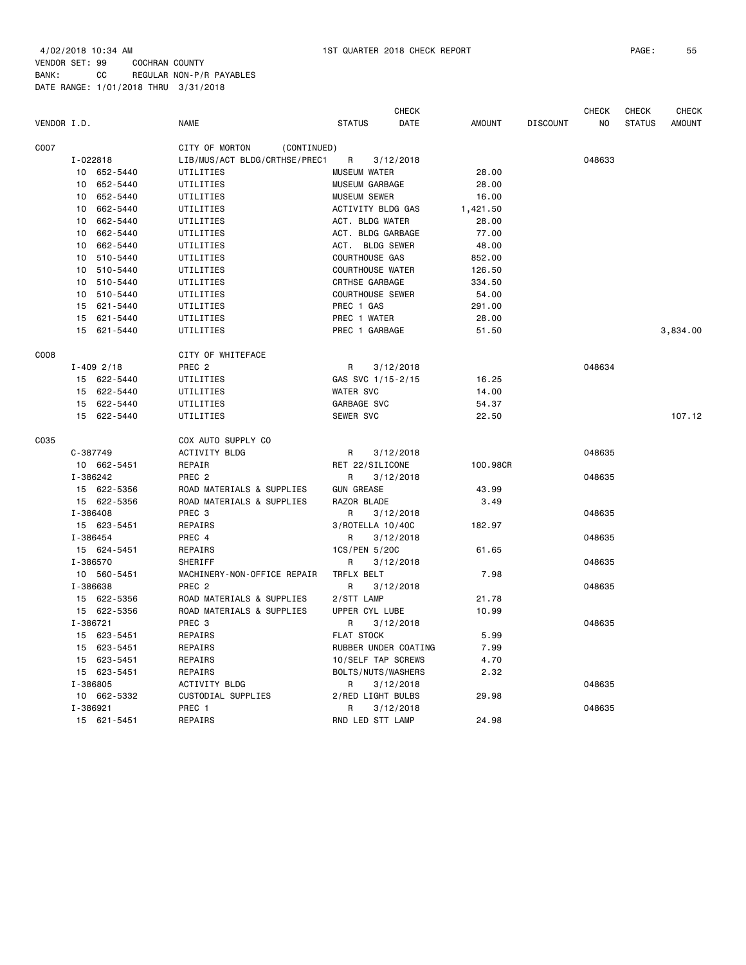| VENDOR I.D. |                | <b>NAME</b>                   | <b>STATUS</b>           | <b>CHECK</b><br>DATE | <b>AMOUNT</b> | <b>DISCOUNT</b> | <b>CHECK</b><br>NO | <b>CHECK</b><br><b>STATUS</b> | <b>CHECK</b><br><b>AMOUNT</b> |
|-------------|----------------|-------------------------------|-------------------------|----------------------|---------------|-----------------|--------------------|-------------------------------|-------------------------------|
| C007        |                | CITY OF MORTON<br>(CONTINUED) |                         |                      |               |                 |                    |                               |                               |
|             | I-022818       | LIB/MUS/ACT BLDG/CRTHSE/PREC1 | R                       | 3/12/2018            |               |                 | 048633             |                               |                               |
|             | 10 652-5440    | UTILITIES                     | <b>MUSEUM WATER</b>     |                      | 28.00         |                 |                    |                               |                               |
|             | 652-5440<br>10 | UTILITIES                     | MUSEUM GARBAGE          |                      | 28.00         |                 |                    |                               |                               |
|             | 10<br>652-5440 | UTILITIES                     | <b>MUSEUM SEWER</b>     |                      | 16.00         |                 |                    |                               |                               |
|             | 662-5440<br>10 | UTILITIES                     | ACTIVITY BLDG GAS       |                      | 1,421.50      |                 |                    |                               |                               |
|             | 662-5440<br>10 | UTILITIES                     | ACT. BLDG WATER         |                      | 28.00         |                 |                    |                               |                               |
|             | 10<br>662-5440 | UTILITIES                     | ACT. BLDG GARBAGE       |                      | 77.00         |                 |                    |                               |                               |
|             | 662-5440<br>10 | UTILITIES                     | ACT. BLDG SEWER         |                      | 48.00         |                 |                    |                               |                               |
|             | 10<br>510-5440 | UTILITIES                     | COURTHOUSE GAS          |                      | 852.00        |                 |                    |                               |                               |
|             | 510-5440<br>10 | UTILITIES                     | <b>COURTHOUSE WATER</b> |                      | 126.50        |                 |                    |                               |                               |
|             | 510-5440<br>10 | UTILITIES                     | CRTHSE GARBAGE          |                      | 334.50        |                 |                    |                               |                               |
|             | 10<br>510-5440 | UTILITIES                     | <b>COURTHOUSE SEWER</b> |                      | 54.00         |                 |                    |                               |                               |
|             | 15<br>621-5440 | UTILITIES                     | PREC 1 GAS              |                      | 291.00        |                 |                    |                               |                               |
|             | 621-5440<br>15 | UTILITIES                     | PREC 1 WATER            |                      | 28.00         |                 |                    |                               |                               |
|             | 15 621-5440    | UTILITIES                     | PREC 1 GARBAGE          |                      | 51.50         |                 |                    |                               | 3,834.00                      |
| C008        |                | CITY OF WHITEFACE             |                         |                      |               |                 |                    |                               |                               |
|             | $I - 409$ 2/18 | PREC 2                        | R                       | 3/12/2018            |               |                 | 048634             |                               |                               |
|             | 15 622-5440    | UTILITIES                     | GAS SVC 1/15-2/15       |                      | 16.25         |                 |                    |                               |                               |
|             | 15 622-5440    | UTILITIES                     | <b>WATER SVC</b>        |                      | 14.00         |                 |                    |                               |                               |
|             | 15<br>622-5440 | UTILITIES                     | GARBAGE SVC             |                      | 54.37         |                 |                    |                               |                               |
|             | 15 622-5440    | UTILITIES                     | <b>SEWER SVC</b>        |                      | 22.50         |                 |                    |                               | 107.12                        |
| C035        |                | COX AUTO SUPPLY CO            |                         |                      |               |                 |                    |                               |                               |
|             | C-387749       | <b>ACTIVITY BLDG</b>          | R                       | 3/12/2018            |               |                 | 048635             |                               |                               |
|             | 10 662-5451    | REPAIR                        | RET 22/SILICONE         |                      | 100,98CR      |                 |                    |                               |                               |
|             | I-386242       | PREC <sub>2</sub>             | R                       | 3/12/2018            |               |                 | 048635             |                               |                               |
|             | 15 622-5356    | ROAD MATERIALS & SUPPLIES     | <b>GUN GREASE</b>       |                      | 43.99         |                 |                    |                               |                               |
|             | 15 622-5356    | ROAD MATERIALS & SUPPLIES     | RAZOR BLADE             |                      | 3.49          |                 |                    |                               |                               |
|             | I-386408       | PREC 3                        | R                       | 3/12/2018            |               |                 | 048635             |                               |                               |
|             | 15 623-5451    | REPAIRS                       | 3/ROTELLA 10/40C        |                      | 182.97        |                 |                    |                               |                               |
|             | I-386454       | PREC 4                        | R                       | 3/12/2018            |               |                 | 048635             |                               |                               |
|             | 15 624-5451    | REPAIRS                       | 1CS/PEN 5/20C           |                      | 61.65         |                 |                    |                               |                               |
|             | I-386570       | SHERIFF                       | R                       | 3/12/2018            |               |                 | 048635             |                               |                               |
|             | 10 560-5451    | MACHINERY-NON-OFFICE REPAIR   | TRFLX BELT              |                      | 7.98          |                 |                    |                               |                               |
|             | I-386638       | PREC <sub>2</sub>             | R                       | 3/12/2018            |               |                 | 048635             |                               |                               |
|             | 15 622-5356    | ROAD MATERIALS & SUPPLIES     | 2/STT LAMP              |                      | 21.78         |                 |                    |                               |                               |
|             | 15 622-5356    | ROAD MATERIALS & SUPPLIES     | UPPER CYL LUBE          |                      | 10.99         |                 |                    |                               |                               |
|             | I-386721       | PREC 3                        | R                       | 3/12/2018            |               |                 | 048635             |                               |                               |
|             | 15 623-5451    | REPAIRS                       | <b>FLAT STOCK</b>       |                      | 5.99          |                 |                    |                               |                               |
|             | 623-5451<br>15 | REPAIRS                       | RUBBER UNDER COATING    |                      | 7.99          |                 |                    |                               |                               |
|             | 623-5451<br>15 | REPAIRS                       | 10/SELF TAP SCREWS      |                      | 4.70          |                 |                    |                               |                               |
|             | 15 623-5451    | REPAIRS                       | BOLTS/NUTS/WASHERS      |                      | 2.32          |                 |                    |                               |                               |
|             | I-386805       | <b>ACTIVITY BLDG</b>          | R                       | 3/12/2018            |               |                 | 048635             |                               |                               |
|             | 10 662-5332    | CUSTODIAL SUPPLIES            | 2/RED LIGHT BULBS       |                      | 29.98         |                 |                    |                               |                               |
|             | I-386921       | PREC 1                        | R                       | 3/12/2018            |               |                 | 048635             |                               |                               |
|             | 15 621-5451    | REPAIRS                       | RND LED STT LAMP        |                      | 24.98         |                 |                    |                               |                               |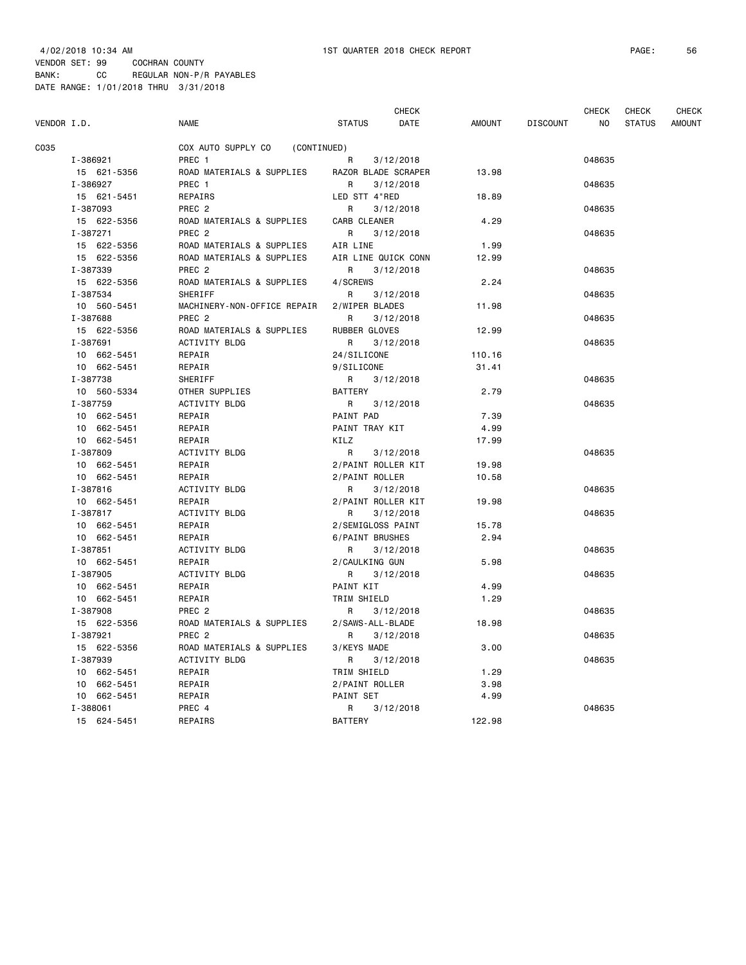|             |             |                                   | <b>CHECK</b>              |               |                 | CHECK  | CHECK         | CHECK         |
|-------------|-------------|-----------------------------------|---------------------------|---------------|-----------------|--------|---------------|---------------|
| VENDOR I.D. |             | <b>NAME</b>                       | <b>STATUS</b><br>DATE     | <b>AMOUNT</b> | <b>DISCOUNT</b> | NO.    | <b>STATUS</b> | <b>AMOUNT</b> |
| C035        |             | COX AUTO SUPPLY CO<br>(CONTINUED) |                           |               |                 |        |               |               |
|             | I-386921    | PREC 1                            | R<br>3/12/2018            |               |                 | 048635 |               |               |
|             | 15 621-5356 | ROAD MATERIALS & SUPPLIES         | RAZOR BLADE SCRAPER       | 13.98         |                 |        |               |               |
|             | I-386927    | PREC 1                            | R<br>3/12/2018            |               |                 | 048635 |               |               |
|             | 15 621-5451 | REPAIRS                           | LED STT 4"RED             | 18.89         |                 |        |               |               |
|             | I-387093    | PREC <sub>2</sub>                 | R.<br>3/12/2018           |               |                 | 048635 |               |               |
|             | 15 622-5356 | ROAD MATERIALS & SUPPLIES         | CARB CLEANER              | 4.29          |                 |        |               |               |
|             | I-387271    | PREC <sub>2</sub>                 | $\mathsf{R}$<br>3/12/2018 |               |                 | 048635 |               |               |
|             | 15 622-5356 | ROAD MATERIALS & SUPPLIES         | AIR LINE                  | 1.99          |                 |        |               |               |
|             | 15 622-5356 | ROAD MATERIALS & SUPPLIES         | AIR LINE QUICK CONN       | 12.99         |                 |        |               |               |
|             | I-387339    | PREC <sub>2</sub>                 | 3/12/2018<br>R            |               |                 | 048635 |               |               |
|             | 15 622-5356 | ROAD MATERIALS & SUPPLIES         | 4/SCREWS                  | 2.24          |                 |        |               |               |
|             | I-387534    | SHERIFF                           | R<br>3/12/2018            |               |                 | 048635 |               |               |
|             | 10 560-5451 | MACHINERY-NON-OFFICE REPAIR       | 2/WIPER BLADES            | 11.98         |                 |        |               |               |
|             | I-387688    | PREC <sub>2</sub>                 | R.<br>3/12/2018           |               |                 | 048635 |               |               |
|             | 15 622-5356 | ROAD MATERIALS & SUPPLIES         | RUBBER GLOVES             | 12.99         |                 |        |               |               |
|             | I-387691    | ACTIVITY BLDG                     | R<br>3/12/2018            |               |                 | 048635 |               |               |
|             | 10 662-5451 | REPAIR                            | 24/SILICONE               | 110.16        |                 |        |               |               |
|             | 10 662-5451 | REPAIR                            | 9/SILICONE                | 31.41         |                 |        |               |               |
|             | I-387738    | SHERIFF                           | R<br>3/12/2018            |               |                 | 048635 |               |               |
|             | 10 560-5334 | OTHER SUPPLIES                    | BATTERY                   | 2.79          |                 |        |               |               |
|             | I-387759    | ACTIVITY BLDG                     | R<br>3/12/2018            |               |                 | 048635 |               |               |
|             | 10 662-5451 | REPAIR                            | PAINT PAD                 | 7.39          |                 |        |               |               |
|             | 10 662-5451 | REPAIR                            | PAINT TRAY KIT            | 4.99          |                 |        |               |               |
|             | 10 662-5451 | REPAIR                            | KILZ                      | 17.99         |                 |        |               |               |
|             | I-387809    | ACTIVITY BLDG                     | R<br>3/12/2018            |               |                 | 048635 |               |               |
|             | 10 662-5451 | REPAIR                            | 2/PAINT ROLLER KIT        | 19.98         |                 |        |               |               |
|             | 10 662-5451 | REPAIR                            | 2/PAINT ROLLER            | 10.58         |                 |        |               |               |
|             | I-387816    | ACTIVITY BLDG                     | R<br>3/12/2018            |               |                 | 048635 |               |               |
|             | 10 662-5451 | REPAIR                            | 2/PAINT ROLLER KIT        | 19.98         |                 |        |               |               |
|             | I-387817    | ACTIVITY BLDG                     | R<br>3/12/2018            |               |                 | 048635 |               |               |
|             | 10 662-5451 | REPAIR                            | 2/SEMIGLOSS PAINT         | 15.78         |                 |        |               |               |
|             | 10 662-5451 | REPAIR                            | 6/PAINT BRUSHES           | 2.94          |                 |        |               |               |
|             | I-387851    | ACTIVITY BLDG                     | R<br>3/12/2018            |               |                 | 048635 |               |               |
|             | 10 662-5451 | REPAIR                            | 2/CAULKING GUN            | 5.98          |                 |        |               |               |
|             | I-387905    | ACTIVITY BLDG                     | 3/12/2018<br>R            |               |                 | 048635 |               |               |
|             | 10 662-5451 | REPAIR                            | PAINT KIT                 | 4.99          |                 |        |               |               |
|             | 10 662-5451 | REPAIR                            | TRIM SHIELD               | 1.29          |                 |        |               |               |
|             | I-387908    | PREC <sub>2</sub>                 | R<br>3/12/2018            |               |                 | 048635 |               |               |
|             | 15 622-5356 | ROAD MATERIALS & SUPPLIES         | 2/SAWS-ALL-BLADE          | 18.98         |                 |        |               |               |
|             | I-387921    | PREC <sub>2</sub>                 | R<br>3/12/2018            |               |                 | 048635 |               |               |
|             | 15 622-5356 | ROAD MATERIALS & SUPPLIES         | 3/KEYS MADE               | 3.00          |                 |        |               |               |
|             | I-387939    | ACTIVITY BLDG                     | 3/12/2018<br>R            |               |                 | 048635 |               |               |
|             | 10 662-5451 | REPAIR                            | TRIM SHIELD               | 1.29          |                 |        |               |               |
|             | 10 662-5451 | REPAIR                            | 2/PAINT ROLLER            | 3.98          |                 |        |               |               |
|             | 10 662-5451 | REPAIR                            | PAINT SET                 | 4.99          |                 |        |               |               |
|             | I-388061    | PREC 4                            | 3/12/2018                 |               |                 | 048635 |               |               |
|             | 15 624-5451 | REPAIRS                           | R<br><b>BATTERY</b>       | 122.98        |                 |        |               |               |
|             |             |                                   |                           |               |                 |        |               |               |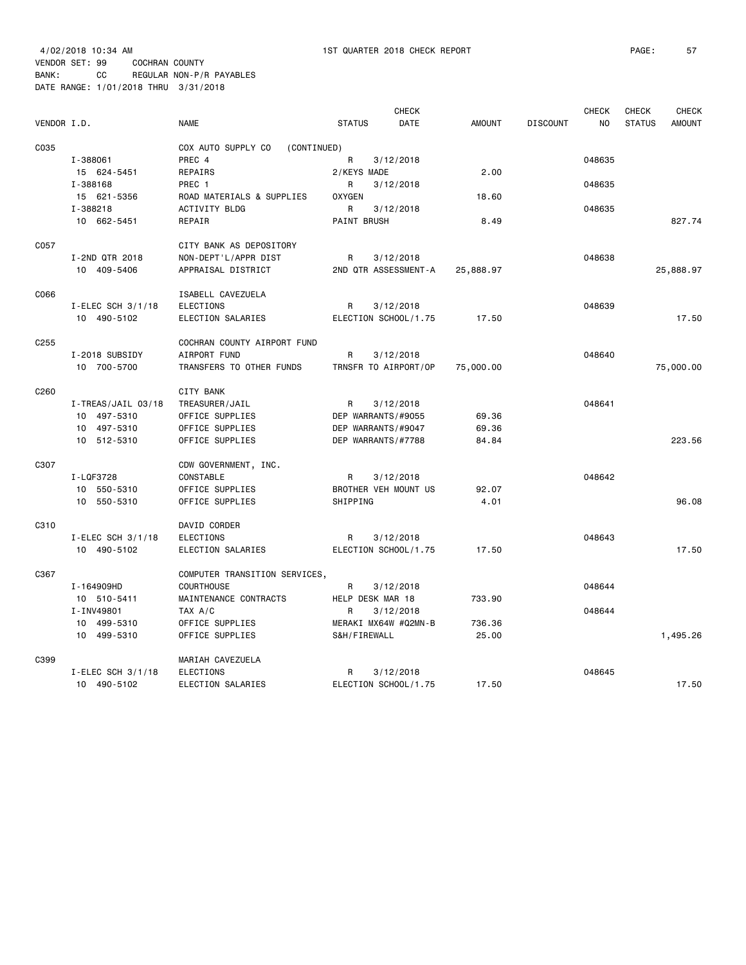| VENDOR I.D.      |                         | <b>NAME</b>                                       | <b>STATUS</b>      | <b>CHECK</b><br><b>DATE</b> | <b>AMOUNT</b> | <b>DISCOUNT</b> | <b>CHECK</b><br>N <sub>O</sub> | <b>CHECK</b><br><b>STATUS</b> | <b>CHECK</b><br><b>AMOUNT</b> |
|------------------|-------------------------|---------------------------------------------------|--------------------|-----------------------------|---------------|-----------------|--------------------------------|-------------------------------|-------------------------------|
| C035             |                         | COX AUTO SUPPLY CO<br>(CONTINUED)                 |                    |                             |               |                 |                                |                               |                               |
|                  | I-388061                | PREC 4                                            | R                  | 3/12/2018                   |               |                 | 048635                         |                               |                               |
|                  | 15 624-5451             | REPAIRS                                           | 2/KEYS MADE        |                             | 2.00          |                 |                                |                               |                               |
|                  | I-388168                | PREC <sub>1</sub>                                 | R                  | 3/12/2018                   |               |                 | 048635                         |                               |                               |
|                  | 15 621-5356<br>I-388218 | ROAD MATERIALS & SUPPLIES<br><b>ACTIVITY BLDG</b> | <b>OXYGEN</b><br>R | 3/12/2018                   | 18.60         |                 | 048635                         |                               |                               |
|                  | 10 662-5451             | REPAIR                                            | PAINT BRUSH        |                             | 8.49          |                 |                                |                               | 827.74                        |
|                  |                         |                                                   |                    |                             |               |                 |                                |                               |                               |
| C057             |                         | CITY BANK AS DEPOSITORY                           |                    |                             |               |                 |                                |                               |                               |
|                  | I-2ND QTR 2018          | NON-DEPT'L/APPR DIST                              | R                  | 3/12/2018                   |               |                 | 048638                         |                               |                               |
|                  | 10 409-5406             | APPRAISAL DISTRICT                                |                    | 2ND QTR ASSESSMENT-A        | 25,888.97     |                 |                                |                               | 25,888.97                     |
| C066             |                         | ISABELL CAVEZUELA                                 |                    |                             |               |                 |                                |                               |                               |
|                  | I-ELEC SCH $3/1/18$     | <b>ELECTIONS</b>                                  | R                  | 3/12/2018                   |               |                 | 048639                         |                               |                               |
|                  | 10 490-5102             | ELECTION SALARIES                                 |                    | ELECTION SCHOOL/1.75        | 17.50         |                 |                                |                               | 17.50                         |
|                  |                         |                                                   |                    |                             |               |                 |                                |                               |                               |
| C <sub>255</sub> |                         | COCHRAN COUNTY AIRPORT FUND                       |                    |                             |               |                 |                                |                               |                               |
|                  | I-2018 SUBSIDY          | AIRPORT FUND                                      | R                  | 3/12/2018                   |               |                 | 048640                         |                               |                               |
|                  | 10 700-5700             | TRANSFERS TO OTHER FUNDS                          |                    | TRNSFR TO AIRPORT/OP        | 75,000.00     |                 |                                |                               | 75,000.00                     |
| C260             |                         | <b>CITY BANK</b>                                  |                    |                             |               |                 |                                |                               |                               |
|                  | I-TREAS/JAIL 03/18      | TREASURER/JAIL                                    | R                  | 3/12/2018                   |               |                 | 048641                         |                               |                               |
|                  | 10 497-5310             | OFFICE SUPPLIES                                   |                    | DEP WARRANTS/#9055          | 69.36         |                 |                                |                               |                               |
|                  | 10 497-5310             | OFFICE SUPPLIES                                   |                    | DEP WARRANTS/#9047          | 69.36         |                 |                                |                               |                               |
|                  | 10 512-5310             | OFFICE SUPPLIES                                   |                    | DEP WARRANTS/#7788          | 84.84         |                 |                                |                               | 223.56                        |
|                  |                         |                                                   |                    |                             |               |                 |                                |                               |                               |
| C307             |                         | CDW GOVERNMENT, INC.                              |                    |                             |               |                 |                                |                               |                               |
|                  | I-LQF3728               | CONSTABLE                                         | R                  | 3/12/2018                   |               |                 | 048642                         |                               |                               |
|                  | 10 550-5310             | OFFICE SUPPLIES                                   |                    | BROTHER VEH MOUNT US        | 92.07         |                 |                                |                               | 96.08                         |
|                  | 10 550-5310             | OFFICE SUPPLIES                                   | SHIPPING           |                             | 4.01          |                 |                                |                               |                               |
| C310             |                         | DAVID CORDER                                      |                    |                             |               |                 |                                |                               |                               |
|                  | I-ELEC SCH $3/1/18$     | <b>ELECTIONS</b>                                  | R                  | 3/12/2018                   |               |                 | 048643                         |                               |                               |
|                  | 10 490-5102             | ELECTION SALARIES                                 |                    | ELECTION SCHOOL/1.75        | 17.50         |                 |                                |                               | 17.50                         |
| C367             |                         | COMPUTER TRANSITION SERVICES,                     |                    |                             |               |                 |                                |                               |                               |
|                  | I-164909HD              | <b>COURTHOUSE</b>                                 | R                  | 3/12/2018                   |               |                 | 048644                         |                               |                               |
|                  | 10 510-5411             | MAINTENANCE CONTRACTS                             | HELP DESK MAR 18   |                             | 733.90        |                 |                                |                               |                               |
|                  | I-INV49801              | TAX A/C                                           | R                  | 3/12/2018                   |               |                 | 048644                         |                               |                               |
|                  | 10 499-5310             | OFFICE SUPPLIES                                   |                    | MERAKI MX64W #Q2MN-B        | 736.36        |                 |                                |                               |                               |
|                  | 10 499-5310             | OFFICE SUPPLIES                                   | S&H/FIREWALL       |                             | 25.00         |                 |                                |                               | 1,495.26                      |
|                  |                         |                                                   |                    |                             |               |                 |                                |                               |                               |
| C399             | I-ELEC SCH $3/1/18$     | MARIAH CAVEZUELA<br><b>ELECTIONS</b>              | R                  | 3/12/2018                   |               |                 | 048645                         |                               |                               |
|                  |                         |                                                   |                    |                             |               |                 |                                |                               |                               |

10 490-5102 ELECTION SALARIES ELECTION SCHOOL/1.75 17.50 17.50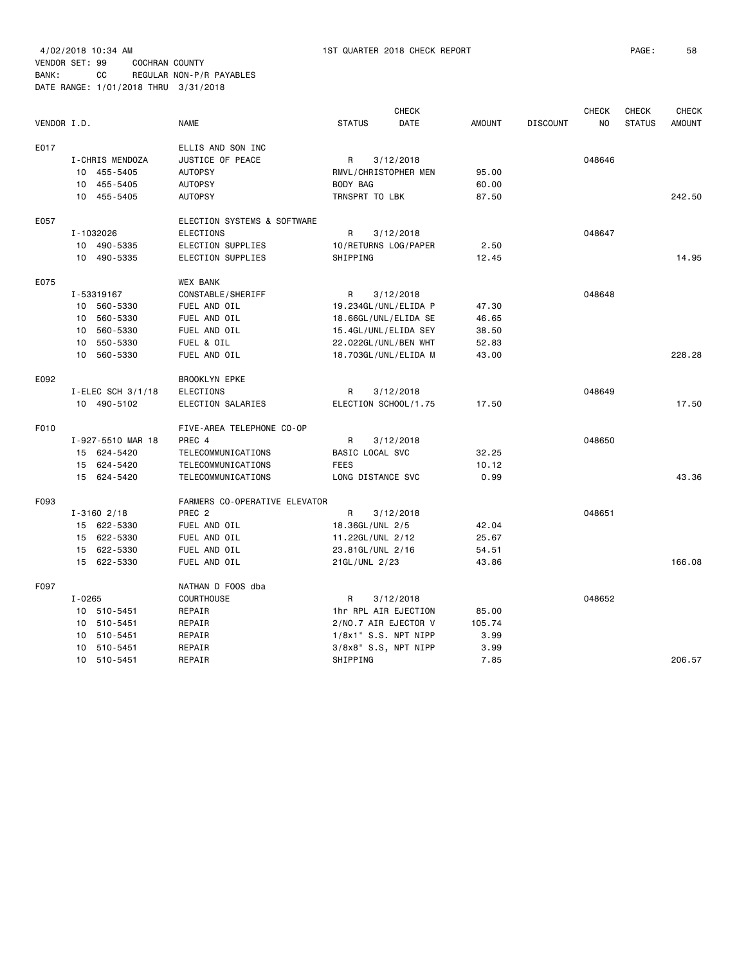VENDOR SET: 99 COCHRAN COUNTY BANK: CC REGULAR NON-P/R PAYABLES

| VENDOR I.D. |            |                     | <b>NAME</b>                   | <b>STATUS</b>           | <b>CHECK</b><br><b>DATE</b> | <b>AMOUNT</b> | <b>DISCOUNT</b> | <b>CHECK</b><br>NO | <b>CHECK</b><br><b>STATUS</b> | <b>CHECK</b><br><b>AMOUNT</b> |
|-------------|------------|---------------------|-------------------------------|-------------------------|-----------------------------|---------------|-----------------|--------------------|-------------------------------|-------------------------------|
| E017        |            |                     | ELLIS AND SON INC             |                         |                             |               |                 |                    |                               |                               |
|             |            | I-CHRIS MENDOZA     | JUSTICE OF PEACE              | R                       | 3/12/2018                   |               |                 | 048646             |                               |                               |
|             |            | 10 455-5405         | <b>AUTOPSY</b>                | RMVL/CHRISTOPHER MEN    |                             | 95.00         |                 |                    |                               |                               |
|             |            | 10 455-5405         | <b>AUTOPSY</b>                | BODY BAG                |                             | 60.00         |                 |                    |                               |                               |
|             |            | 10 455-5405         | <b>AUTOPSY</b>                | TRNSPRT TO LBK          |                             | 87.50         |                 |                    |                               | 242.50                        |
|             |            |                     |                               |                         |                             |               |                 |                    |                               |                               |
| E057        |            |                     | ELECTION SYSTEMS & SOFTWARE   |                         |                             |               |                 |                    |                               |                               |
|             |            | I-1032026           | ELECTIONS                     | R                       | 3/12/2018                   |               |                 | 048647             |                               |                               |
|             |            | 10 490-5335         | ELECTION SUPPLIES             | 10/RETURNS LOG/PAPER    |                             | 2.50          |                 |                    |                               |                               |
|             |            | 10 490-5335         | ELECTION SUPPLIES             | SHIPPING                |                             | 12.45         |                 |                    |                               | 14.95                         |
| E075        |            |                     | <b>WEX BANK</b>               |                         |                             |               |                 |                    |                               |                               |
|             |            | I-53319167          | CONSTABLE/SHERIFF             | R                       | 3/12/2018                   |               |                 | 048648             |                               |                               |
|             |            | 10 560-5330         | FUEL AND OIL                  | 19.234GL/UNL/ELIDA P    |                             | 47.30         |                 |                    |                               |                               |
|             |            | 10 560-5330         | FUEL AND OIL                  | 18.66GL/UNL/ELIDA SE    |                             | 46.65         |                 |                    |                               |                               |
|             |            | 10 560-5330         | FUEL AND OIL                  | 15.4GL/UNL/ELIDA SEY    |                             | 38.50         |                 |                    |                               |                               |
|             | 10         | 550-5330            | FUEL & OIL                    | 22.022GL/UNL/BEN WHT    |                             | 52.83         |                 |                    |                               |                               |
|             |            | 10 560-5330         | FUEL AND OIL                  | 18.703GL/UNL/ELIDA M    |                             | 43.00         |                 |                    |                               | 228.28                        |
| E092        |            |                     | <b>BROOKLYN EPKE</b>          |                         |                             |               |                 |                    |                               |                               |
|             |            | I-ELEC SCH $3/1/18$ | <b>ELECTIONS</b>              | R                       | 3/12/2018                   |               |                 | 048649             |                               |                               |
|             |            | 10 490-5102         | ELECTION SALARIES             | ELECTION SCHOOL/1.75    |                             | 17.50         |                 |                    |                               | 17.50                         |
| F010        |            |                     | FIVE-AREA TELEPHONE CO-OP     |                         |                             |               |                 |                    |                               |                               |
|             |            | I-927-5510 MAR 18   | PREC 4                        | R                       | 3/12/2018                   |               |                 | 048650             |                               |                               |
|             |            | 15 624-5420         | TELECOMMUNICATIONS            | BASIC LOCAL SVC         |                             | 32.25         |                 |                    |                               |                               |
|             |            | 15 624-5420         | TELECOMMUNICATIONS            | <b>FEES</b>             |                             | 10.12         |                 |                    |                               |                               |
|             |            | 15 624-5420         | TELECOMMUNICATIONS            | LONG DISTANCE SVC       |                             | 0.99          |                 |                    |                               | 43.36                         |
| F093        |            |                     | FARMERS CO-OPERATIVE ELEVATOR |                         |                             |               |                 |                    |                               |                               |
|             |            | $I - 3160$ 2/18     | PREC <sub>2</sub>             | R                       | 3/12/2018                   |               |                 | 048651             |                               |                               |
|             |            | 15 622-5330         | FUEL AND OIL                  | 18.36GL/UNL 2/5         |                             | 42.04         |                 |                    |                               |                               |
|             |            | 15 622-5330         | FUEL AND OIL                  | 11.22GL/UNL 2/12        |                             | 25.67         |                 |                    |                               |                               |
|             |            | 15 622-5330         | FUEL AND OIL                  | 23.81GL/UNL 2/16        |                             | 54.51         |                 |                    |                               |                               |
|             |            | 15 622-5330         | FUEL AND OIL                  | 21GL/UNL 2/23           |                             | 43.86         |                 |                    |                               | 166.08                        |
| F097        |            |                     | NATHAN D FOOS dba             |                         |                             |               |                 |                    |                               |                               |
|             | $I - 0265$ |                     | <b>COURTHOUSE</b>             | R                       | 3/12/2018                   |               |                 | 048652             |                               |                               |
|             |            | 10 510-5451         | REPAIR                        | 1hr RPL AIR EJECTION    |                             | 85.00         |                 |                    |                               |                               |
|             |            | 10 510-5451         | REPAIR                        | 2/NO.7 AIR EJECTOR V    |                             | 105.74        |                 |                    |                               |                               |
|             | 10         | 510-5451            | REPAIR                        | $1/8x1$ " S.S. NPT NIPP |                             | 3.99          |                 |                    |                               |                               |
|             |            | 10 510-5451         | REPAIR                        | 3/8x8" S.S, NPT NIPP    |                             | 3.99          |                 |                    |                               |                               |
|             |            | 10 510-5451         | REPAIR                        | SHIPPING                |                             | 7.85          |                 |                    |                               | 206.57                        |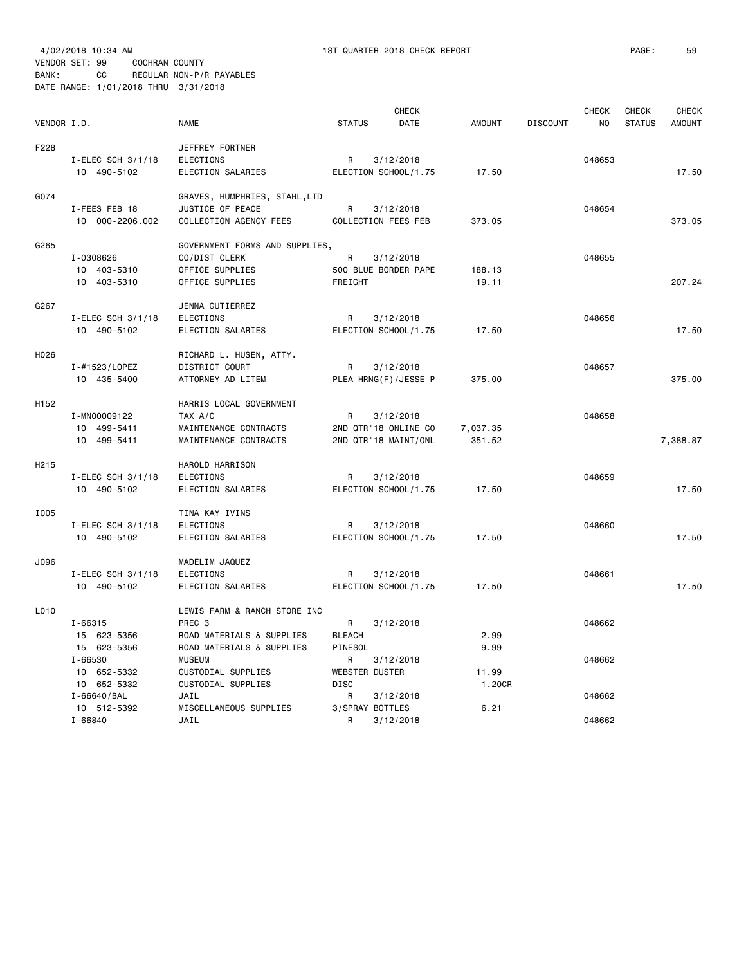|                   |                            |                                           |                       | <b>CHECK</b>               |               |                 | <b>CHECK</b> | CHECK         | <b>CHECK</b>  |
|-------------------|----------------------------|-------------------------------------------|-----------------------|----------------------------|---------------|-----------------|--------------|---------------|---------------|
| VENDOR I.D.       |                            | <b>NAME</b>                               | <b>STATUS</b>         | DATE                       | <b>AMOUNT</b> | <b>DISCOUNT</b> | NO           | <b>STATUS</b> | <b>AMOUNT</b> |
| F228              |                            | JEFFREY FORTNER                           |                       |                            |               |                 |              |               |               |
|                   | I-ELEC SCH $3/1/18$        | ELECTIONS                                 | R                     | 3/12/2018                  |               |                 | 048653       |               |               |
|                   | 10 490-5102                | ELECTION SALARIES                         |                       | ELECTION SCHOOL/1.75       | 17.50         |                 |              |               | 17.50         |
|                   |                            |                                           |                       |                            |               |                 |              |               |               |
| G074              |                            | GRAVES, HUMPHRIES, STAHL,LTD              |                       |                            |               |                 |              |               |               |
|                   | I-FEES FEB 18              | JUSTICE OF PEACE                          | R                     | 3/12/2018                  |               |                 | 048654       |               |               |
|                   | 10 000-2206.002            | COLLECTION AGENCY FEES                    |                       | <b>COLLECTION FEES FEB</b> | 373.05        |                 |              |               | 373.05        |
| G265              |                            | GOVERNMENT FORMS AND SUPPLIES,            |                       |                            |               |                 |              |               |               |
|                   | I-0308626                  | CO/DIST CLERK                             | R                     | 3/12/2018                  |               |                 | 048655       |               |               |
|                   | 10 403-5310                | OFFICE SUPPLIES                           |                       | 500 BLUE BORDER PAPE       | 188.13        |                 |              |               |               |
|                   | 10 403-5310                | OFFICE SUPPLIES                           | FREIGHT               |                            | 19.11         |                 |              |               | 207.24        |
|                   |                            |                                           |                       |                            |               |                 |              |               |               |
| G267              |                            | JENNA GUTIERREZ                           |                       |                            |               |                 |              |               |               |
|                   | $I$ -ELEC SCH 3/1/18       | <b>ELECTIONS</b>                          | R                     | 3/12/2018                  |               |                 | 048656       |               |               |
|                   | 10 490-5102                | ELECTION SALARIES                         |                       | ELECTION SCHOOL/1.75       | 17.50         |                 |              |               | 17.50         |
| H026              |                            |                                           |                       |                            |               |                 |              |               |               |
|                   | I-#1523/LOPEZ              | RICHARD L. HUSEN, ATTY.<br>DISTRICT COURT | R                     | 3/12/2018                  |               |                 | 048657       |               |               |
|                   | 10 435-5400                | ATTORNEY AD LITEM                         |                       | PLEA HRNG(F)/JESSE P       | 375.00        |                 |              |               | 375.00        |
|                   |                            |                                           |                       |                            |               |                 |              |               |               |
| H <sub>152</sub>  |                            | HARRIS LOCAL GOVERNMENT                   |                       |                            |               |                 |              |               |               |
|                   | I-MN00009122               | TAX A/C                                   | R                     | 3/12/2018                  |               |                 | 048658       |               |               |
|                   | 10 499-5411                | MAINTENANCE CONTRACTS                     |                       | 2ND QTR'18 ONLINE CO       | 7,037.35      |                 |              |               |               |
|                   | 10 499-5411                | MAINTENANCE CONTRACTS                     |                       | 2ND QTR'18 MAINT/ONL       | 351.52        |                 |              |               | 7,388.87      |
| H <sub>2</sub> 15 |                            | HAROLD HARRISON                           |                       |                            |               |                 |              |               |               |
|                   | $I$ -ELEC SCH 3/1/18       | <b>ELECTIONS</b>                          | R                     | 3/12/2018                  |               |                 | 048659       |               |               |
|                   | 10 490-5102                | ELECTION SALARIES                         |                       | ELECTION SCHOOL/1.75       | 17.50         |                 |              |               | 17.50         |
|                   |                            |                                           |                       |                            |               |                 |              |               |               |
| I005              |                            | TINA KAY IVINS                            |                       |                            |               |                 |              |               |               |
|                   | I-ELEC SCH 3/1/18          | <b>ELECTIONS</b>                          | R                     | 3/12/2018                  |               |                 | 048660       |               |               |
|                   | 10 490-5102                | ELECTION SALARIES                         |                       | ELECTION SCHOOL/1.75       | 17.50         |                 |              |               | 17.50         |
| J096              |                            | MADELIM JAQUEZ                            |                       |                            |               |                 |              |               |               |
|                   | I-ELEC SCH $3/1/18$        | <b>ELECTIONS</b>                          | R                     | 3/12/2018                  |               |                 | 048661       |               |               |
|                   | 10 490-5102                | ELECTION SALARIES                         |                       | ELECTION SCHOOL/1.75       | 17.50         |                 |              |               | 17.50         |
|                   |                            |                                           |                       |                            |               |                 |              |               |               |
| L010              |                            | LEWIS FARM & RANCH STORE INC              |                       |                            |               |                 |              |               |               |
|                   | $I - 66315$                | PREC 3                                    | R                     | 3/12/2018                  |               |                 | 048662       |               |               |
|                   | 15 623-5356                | ROAD MATERIALS & SUPPLIES                 | <b>BLEACH</b>         |                            | 2.99          |                 |              |               |               |
|                   | 15 623-5356                | ROAD MATERIALS & SUPPLIES                 | PINESOL               |                            | 9.99          |                 |              |               |               |
|                   | $I - 66530$                | <b>MUSEUM</b>                             | R                     | 3/12/2018                  |               |                 | 048662       |               |               |
|                   | 10 652-5332                | CUSTODIAL SUPPLIES                        | <b>WEBSTER DUSTER</b> |                            | 11.99         |                 |              |               |               |
|                   | 10 652-5332                | CUSTODIAL SUPPLIES                        | <b>DISC</b>           |                            | 1.20CR        |                 |              |               |               |
|                   | I-66640/BAL                | JAIL                                      | R                     | 3/12/2018                  |               |                 | 048662       |               |               |
|                   | 10 512-5392<br>$I - 66840$ | MISCELLANEOUS SUPPLIES<br>JAIL            | 3/SPRAY BOTTLES<br>R  | 3/12/2018                  | 6.21          |                 | 048662       |               |               |
|                   |                            |                                           |                       |                            |               |                 |              |               |               |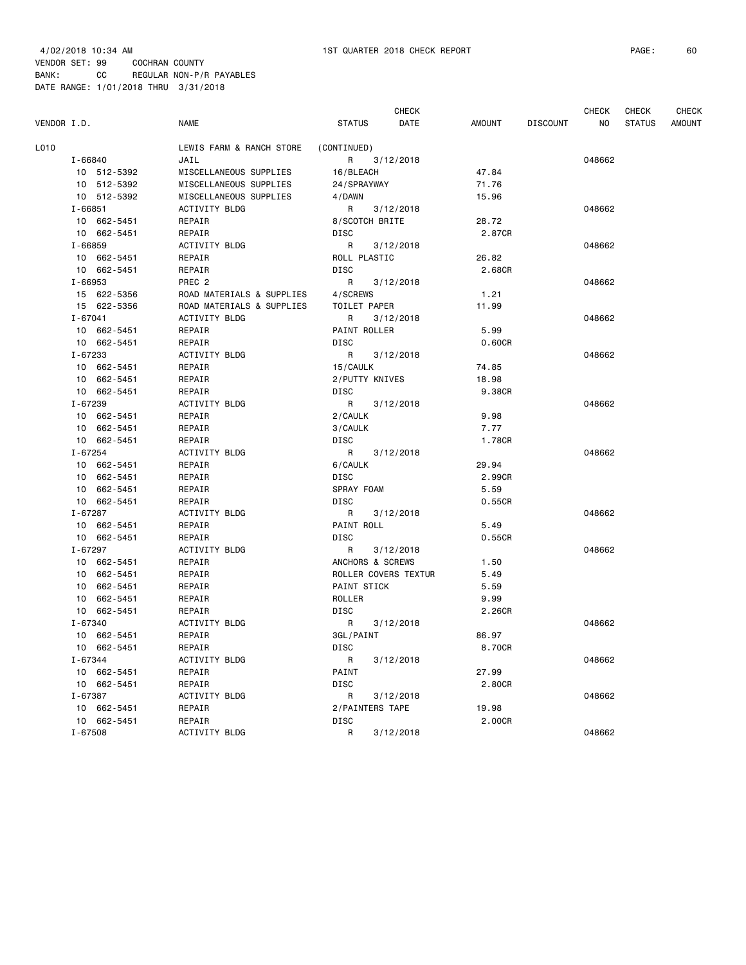| VENDOR I.D. |             | <b>NAME</b>               | <b>STATUS</b>        | <b>CHECK</b><br>DATE<br><b>AMOUNT</b> | <b>DISCOUNT</b> | <b>CHECK</b><br>NO. | <b>CHECK</b><br><b>STATUS</b> | <b>CHECK</b><br>AMOUNT |
|-------------|-------------|---------------------------|----------------------|---------------------------------------|-----------------|---------------------|-------------------------------|------------------------|
| L010        |             | LEWIS FARM & RANCH STORE  | (CONTINUED)          |                                       |                 |                     |                               |                        |
|             | I-66840     | JAIL                      | R<br>3/12/2018       |                                       |                 | 048662              |                               |                        |
|             | 10 512-5392 | MISCELLANEOUS SUPPLIES    | 16/BLEACH            | 47.84                                 |                 |                     |                               |                        |
|             | 10 512-5392 | MISCELLANEOUS SUPPLIES    | 24/SPRAYWAY          | 71.76                                 |                 |                     |                               |                        |
|             | 10 512-5392 | MISCELLANEOUS SUPPLIES    | 4/DAWN               | 15.96                                 |                 |                     |                               |                        |
|             | $I - 66851$ | ACTIVITY BLDG             | R<br>3/12/2018       |                                       |                 | 048662              |                               |                        |
|             | 10 662-5451 | REPAIR                    | 8/SCOTCH BRITE       | 28.72                                 |                 |                     |                               |                        |
|             | 10 662-5451 | REPAIR                    | DISC                 | 2.87CR                                |                 |                     |                               |                        |
|             | $I - 66859$ | <b>ACTIVITY BLDG</b>      | R<br>3/12/2018       |                                       |                 | 048662              |                               |                        |
|             | 10 662-5451 | REPAIR                    | ROLL PLASTIC         | 26.82                                 |                 |                     |                               |                        |
|             | 10 662-5451 | REPAIR                    | DISC                 | 2.68CR                                |                 |                     |                               |                        |
|             | $I - 66953$ | PREC <sub>2</sub>         | R<br>3/12/2018       |                                       |                 | 048662              |                               |                        |
|             | 15 622-5356 | ROAD MATERIALS & SUPPLIES | 4/SCREWS             | 1.21                                  |                 |                     |                               |                        |
|             | 15 622-5356 | ROAD MATERIALS & SUPPLIES | TOILET PAPER         | 11.99                                 |                 |                     |                               |                        |
|             | $I - 67041$ | ACTIVITY BLDG             | R<br>3/12/2018       |                                       |                 | 048662              |                               |                        |
|             | 10 662-5451 | REPAIR                    | PAINT ROLLER         | 5.99                                  |                 |                     |                               |                        |
|             | 10 662-5451 | REPAIR                    | DISC                 | 0.60CR                                |                 |                     |                               |                        |
|             | I-67233     | ACTIVITY BLDG             | R<br>3/12/2018       |                                       |                 | 048662              |                               |                        |
|             | 10 662-5451 | REPAIR                    | 15/CAULK             | 74.85                                 |                 |                     |                               |                        |
|             | 10 662-5451 | REPAIR                    | 2/PUTTY KNIVES       | 18.98                                 |                 |                     |                               |                        |
|             | 10 662-5451 | REPAIR                    | DISC                 | 9.38CR                                |                 |                     |                               |                        |
|             | I-67239     | ACTIVITY BLDG             | 3/12/2018<br>R       |                                       |                 | 048662              |                               |                        |
|             | 10 662-5451 | REPAIR                    | 2/CAULK              | 9.98                                  |                 |                     |                               |                        |
|             | 10 662-5451 | REPAIR                    | 3/CAULK              | 7.77                                  |                 |                     |                               |                        |
|             | 10 662-5451 | REPAIR                    | DISC                 | 1.78CR                                |                 |                     |                               |                        |
|             | $I - 67254$ | ACTIVITY BLDG             | R<br>3/12/2018       |                                       |                 | 048662              |                               |                        |
|             | 10 662-5451 | REPAIR                    | 6/CAULK              | 29.94                                 |                 |                     |                               |                        |
|             | 10 662-5451 | REPAIR                    | DISC                 | 2.99CR                                |                 |                     |                               |                        |
|             | 10 662-5451 | REPAIR                    | SPRAY FOAM           | 5.59                                  |                 |                     |                               |                        |
|             | 10 662-5451 | REPAIR                    | DISC                 | 0.55CR                                |                 |                     |                               |                        |
|             | I-67287     | ACTIVITY BLDG             | 3/12/2018<br>R       |                                       |                 | 048662              |                               |                        |
|             | 10 662-5451 | REPAIR                    | PAINT ROLL           | 5.49                                  |                 |                     |                               |                        |
|             | 10 662-5451 | REPAIR                    | DISC                 | 0.55CR                                |                 |                     |                               |                        |
|             | I-67297     | ACTIVITY BLDG             | R<br>3/12/2018       |                                       |                 | 048662              |                               |                        |
|             | 10 662-5451 | REPAIR                    | ANCHORS & SCREWS     | 1.50                                  |                 |                     |                               |                        |
|             | 10 662-5451 | REPAIR                    | ROLLER COVERS TEXTUR | 5.49                                  |                 |                     |                               |                        |
|             | 10 662-5451 | REPAIR                    | PAINT STICK          | 5.59                                  |                 |                     |                               |                        |
|             | 10 662-5451 | REPAIR                    | ROLLER               | 9.99                                  |                 |                     |                               |                        |
|             | 10 662-5451 | REPAIR                    | DISC                 | 2.26CR                                |                 |                     |                               |                        |
|             | I-67340     | ACTIVITY BLDG             | R.<br>3/12/2018      |                                       |                 | 048662              |                               |                        |
|             | 10 662-5451 | REPAIR                    | 3GL/PAINT            | 86.97                                 |                 |                     |                               |                        |
|             | 10 662-5451 | REPAIR                    | DISC                 | 8.70CR                                |                 |                     |                               |                        |
|             | I-67344     | ACTIVITY BLDG             | R<br>3/12/2018       |                                       |                 | 048662              |                               |                        |
|             | 10 662-5451 | REPAIR                    | PAINT                | 27.99                                 |                 |                     |                               |                        |
|             | 10 662-5451 | REPAIR                    | DISC                 | 2.80CR                                |                 |                     |                               |                        |
|             | I-67387     | ACTIVITY BLDG             | R<br>3/12/2018       |                                       |                 | 048662              |                               |                        |
|             | 10 662-5451 | REPAIR                    | 2/PAINTERS TAPE      | 19.98                                 |                 |                     |                               |                        |
|             | 10 662-5451 | REPAIR                    | DISC                 | 2.00CR                                |                 |                     |                               |                        |
|             | I-67508     | ACTIVITY BLDG             | R<br>3/12/2018       |                                       |                 | 048662              |                               |                        |
|             |             |                           |                      |                                       |                 |                     |                               |                        |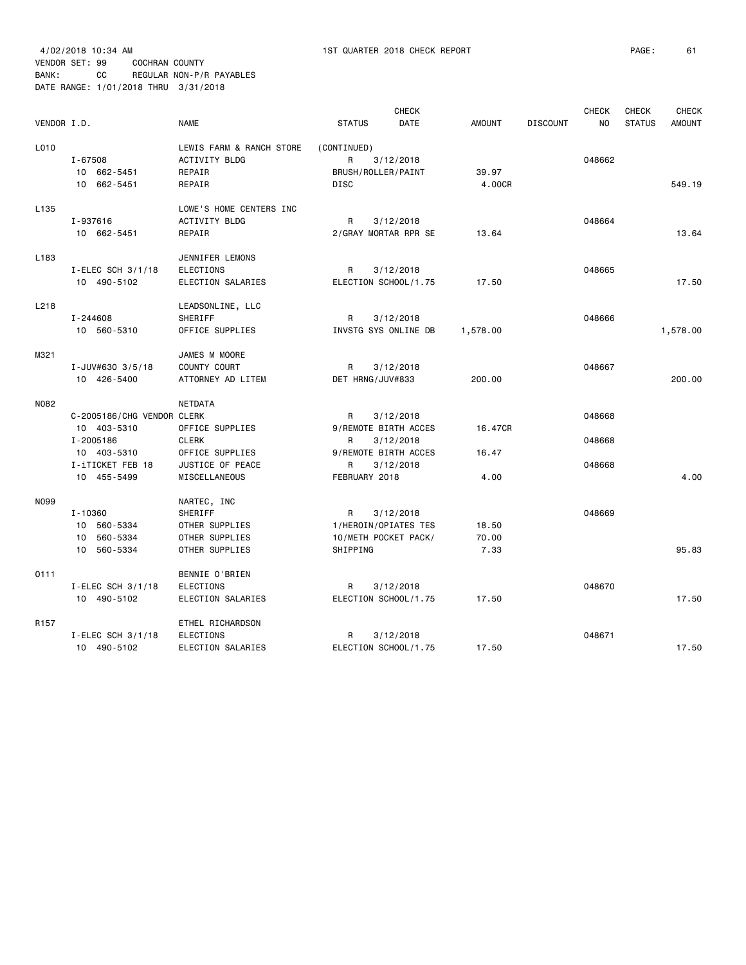4/02/2018 10:34 AM 1ST QUARTER 2018 CHECK REPORT PAGE: 61 VENDOR SET: 99 COCHRAN COUNTY BANK: CC REGULAR NON-P/R PAYABLES

DATE RANGE: 1/01/2018 THRU 3/31/2018

| VENDOR I.D.      |                                                                                                          | <b>NAME</b>                                                                                        | <b>STATUS</b>                                                                | <b>CHECK</b><br><b>DATE</b>         | <b>AMOUNT</b>            | <b>DISCOUNT</b> | <b>CHECK</b><br>N <sub>O</sub> | <b>CHECK</b><br><b>STATUS</b> | <b>CHECK</b><br><b>AMOUNT</b> |
|------------------|----------------------------------------------------------------------------------------------------------|----------------------------------------------------------------------------------------------------|------------------------------------------------------------------------------|-------------------------------------|--------------------------|-----------------|--------------------------------|-------------------------------|-------------------------------|
| L010             | I-67508<br>10 662-5451<br>10 662-5451                                                                    | LEWIS FARM & RANCH STORE<br>ACTIVITY BLDG<br>REPAIR<br>REPAIR                                      | (CONTINUED)<br>R<br>BRUSH/ROLLER/PAINT<br><b>DISC</b>                        | 3/12/2018                           | 39.97<br>4.00CR          |                 | 048662                         |                               | 549.19                        |
| L <sub>135</sub> | I-937616<br>10 662-5451                                                                                  | LOWE'S HOME CENTERS INC<br><b>ACTIVITY BLDG</b><br>REPAIR                                          | R<br>2/GRAY MORTAR RPR SE                                                    | 3/12/2018                           | 13.64                    |                 | 048664                         |                               | 13.64                         |
| L <sub>183</sub> | I-ELEC SCH $3/1/18$<br>10 490-5102                                                                       | JENNIFER LEMONS<br><b>ELECTIONS</b><br>ELECTION SALARIES                                           | R<br>ELECTION SCHOOL/1.75                                                    | 3/12/2018                           | 17.50                    |                 | 048665                         |                               | 17.50                         |
| L218             | I-244608<br>10 560-5310                                                                                  | LEADSONLINE, LLC<br>SHERIFF<br>OFFICE SUPPLIES                                                     | R<br>INVSTG SYS ONLINE DB                                                    | 3/12/2018                           | 1,578.00                 |                 | 048666                         |                               | 1,578.00                      |
| M321             | I-JUV#630 3/5/18<br>10 426-5400                                                                          | JAMES M MOORE<br>COUNTY COURT<br>ATTORNEY AD LITEM                                                 | R<br>DET HRNG/JUV#833                                                        | 3/12/2018                           | 200,00                   |                 | 048667                         |                               | 200.00                        |
| <b>N082</b>      | C-2005186/CHG VENDOR CLERK<br>10 403-5310<br>I-2005186<br>10 403-5310<br>I-iTICKET FEB 18<br>10 455-5499 | NETDATA<br>OFFICE SUPPLIES<br><b>CLERK</b><br>OFFICE SUPPLIES<br>JUSTICE OF PEACE<br>MISCELLANEOUS | R<br>9/REMOTE BIRTH ACCES<br>R<br>9/REMOTE BIRTH ACCES<br>R<br>FEBRUARY 2018 | 3/12/2018<br>3/12/2018<br>3/12/2018 | 16.47CR<br>16.47<br>4.00 |                 | 048668<br>048668<br>048668     |                               | 4.00                          |
| N099             | I-10360<br>10 560-5334<br>10 560-5334<br>10 560-5334                                                     | NARTEC, INC<br>SHERIFF<br>OTHER SUPPLIES<br>OTHER SUPPLIES<br>OTHER SUPPLIES                       | R<br>1/HEROIN/OPIATES TES<br>10/METH POCKET PACK/<br>SHIPPING                | 3/12/2018                           | 18.50<br>70.00<br>7.33   |                 | 048669                         |                               | 95.83                         |
| 0111             | I-ELEC SCH $3/1/18$<br>10 490-5102                                                                       | BENNIE O'BRIEN<br><b>ELECTIONS</b><br>ELECTION SALARIES                                            | R<br>ELECTION SCHOOL/1.75                                                    | 3/12/2018                           | 17.50                    |                 | 048670                         |                               | 17.50                         |
| R <sub>157</sub> | I-ELEC SCH $3/1/18$<br>10 490-5102                                                                       | ETHEL RICHARDSON<br>ELECTIONS<br>ELECTION SALARIES                                                 | R<br>ELECTION SCHOOL/1.75                                                    | 3/12/2018                           | 17.50                    |                 | 048671                         |                               | 17.50                         |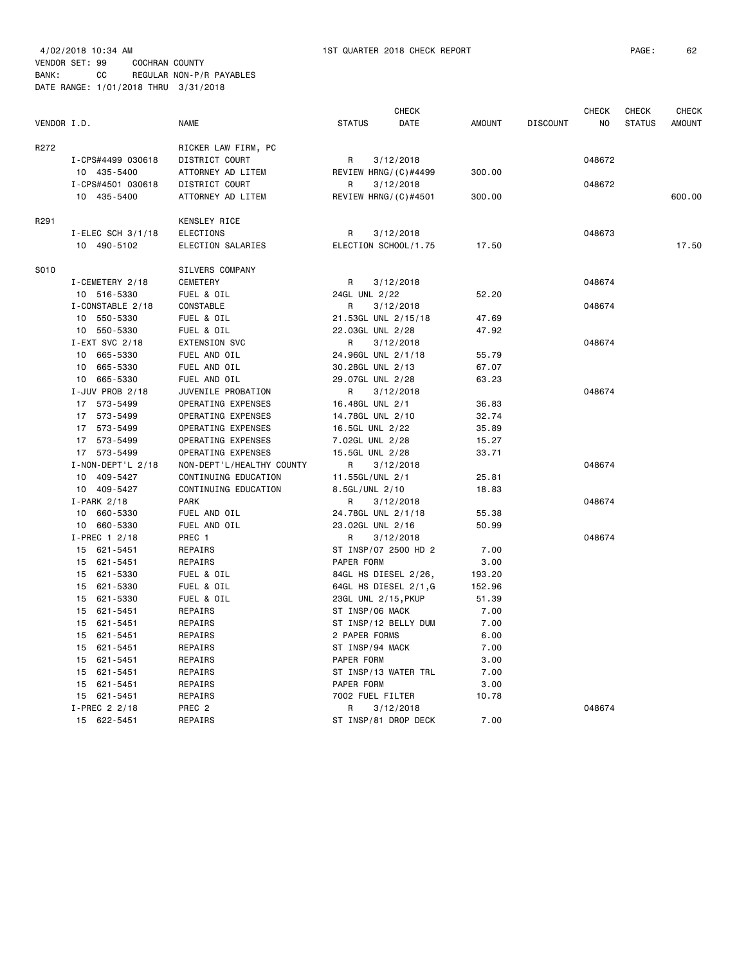4/02/2018 10:34 AM 1ST QUARTER 2018 CHECK REPORT PAGE: 62 VENDOR SET: 99 COCHRAN COUNTY BANK: CC REGULAR NON-P/R PAYABLES DATE RANGE: 1/01/2018 THRU 3/31/2018

|             |                          |                           |                      | <b>CHECK</b> |        |                 | <b>CHECK</b> | <b>CHECK</b>  | <b>CHECK</b>  |
|-------------|--------------------------|---------------------------|----------------------|--------------|--------|-----------------|--------------|---------------|---------------|
| VENDOR I.D. |                          | <b>NAME</b>               | <b>STATUS</b>        | DATE         | AMOUNT | <b>DISCOUNT</b> | NO.          | <b>STATUS</b> | <b>AMOUNT</b> |
| R272        |                          | RICKER LAW FIRM, PC       |                      |              |        |                 |              |               |               |
|             | I-CPS#4499 030618        | DISTRICT COURT            | R                    | 3/12/2018    |        |                 | 048672       |               |               |
|             | 10 435-5400              | ATTORNEY AD LITEM         | REVIEW HRNG/(C)#4499 |              | 300.00 |                 |              |               |               |
|             | I-CPS#4501 030618        | DISTRICT COURT            | R                    | 3/12/2018    |        |                 | 048672       |               |               |
|             | 10 435-5400              | ATTORNEY AD LITEM         | REVIEW HRNG/(C)#4501 |              | 300.00 |                 |              |               | 600,00        |
| R291        |                          | KENSLEY RICE              |                      |              |        |                 |              |               |               |
|             | $I$ -ELEC SCH 3/1/18     | ELECTIONS                 | R                    | 3/12/2018    |        |                 | 048673       |               |               |
|             | 10 490-5102              | ELECTION SALARIES         | ELECTION SCHOOL/1.75 |              | 17.50  |                 |              |               | 17.50         |
| S010        |                          | SILVERS COMPANY           |                      |              |        |                 |              |               |               |
|             | I-CEMETERY 2/18          | CEMETERY                  | R                    | 3/12/2018    |        |                 | 048674       |               |               |
|             | 10 516-5330              | FUEL & OIL                | 24GL UNL 2/22        |              | 52.20  |                 |              |               |               |
|             | I-CONSTABLE 2/18         | CONSTABLE                 | R                    | 3/12/2018    |        |                 | 048674       |               |               |
|             | 10 550-5330              | FUEL & OIL                | 21.53GL UNL 2/15/18  |              | 47.69  |                 |              |               |               |
|             | 10 550-5330              | FUEL & OIL                | 22.03GL UNL 2/28     |              | 47.92  |                 |              |               |               |
|             | I-EXT SVC 2/18           | EXTENSION SVC             | R                    | 3/12/2018    |        |                 | 048674       |               |               |
|             | 10 665-5330              | FUEL AND OIL              | 24.96GL UNL 2/1/18   |              | 55.79  |                 |              |               |               |
|             | 10 665-5330              | FUEL AND OIL              | 30.28GL UNL 2/13     |              | 67.07  |                 |              |               |               |
|             | 10 665-5330              | FUEL AND OIL              | 29.07GL UNL 2/28     |              | 63.23  |                 |              |               |               |
|             | I-JUV PROB 2/18          | JUVENILE PROBATION        | R                    | 3/12/2018    |        |                 | 048674       |               |               |
|             | 17 573-5499              | OPERATING EXPENSES        | 16.48GL UNL 2/1      |              | 36.83  |                 |              |               |               |
|             | 17 573-5499              | OPERATING EXPENSES        | 14.78GL UNL 2/10     |              | 32.74  |                 |              |               |               |
|             | 17 573-5499              | OPERATING EXPENSES        | 16.5GL UNL 2/22      |              | 35.89  |                 |              |               |               |
|             | 17 573-5499              | OPERATING EXPENSES        | 7.02GL UNL 2/28      |              | 15.27  |                 |              |               |               |
|             | 17 573-5499              | OPERATING EXPENSES        | 15.5GL UNL 2/28      |              | 33.71  |                 |              |               |               |
|             | $I - NON - DEPT' L 2/18$ | NON-DEPT'L/HEALTHY COUNTY | R                    | 3/12/2018    |        |                 | 048674       |               |               |
|             | 10 409-5427              | CONTINUING EDUCATION      | 11.55GL/UNL 2/1      |              | 25.81  |                 |              |               |               |
|             | 10 409-5427              | CONTINUING EDUCATION      | 8.5GL/UNL 2/10       |              | 18.83  |                 |              |               |               |
|             | $I-PARK$ 2/18            | <b>PARK</b>               | R                    | 3/12/2018    |        |                 | 048674       |               |               |
|             | 10 660-5330              | FUEL AND OIL              | 24.78GL UNL 2/1/18   |              | 55.38  |                 |              |               |               |
|             | 10 660-5330              | FUEL AND OIL              | 23.02GL UNL 2/16     |              | 50.99  |                 |              |               |               |
|             | I-PREC 1 2/18            | PREC 1                    | R                    | 3/12/2018    |        |                 | 048674       |               |               |
|             | 15 621-5451              | REPAIRS                   | ST INSP/07 2500 HD 2 |              | 7.00   |                 |              |               |               |
|             | 15 621-5451              | REPAIRS                   | PAPER FORM           |              | 3.00   |                 |              |               |               |
|             | 15 621-5330              | FUEL & OIL                | 84GL HS DIESEL 2/26, |              | 193.20 |                 |              |               |               |
|             | 15 621-5330              | FUEL & OIL                | 64GL HS DIESEL 2/1,G |              | 152.96 |                 |              |               |               |
|             | 15 621-5330              | FUEL & OIL                | 23GL UNL 2/15, PKUP  |              | 51.39  |                 |              |               |               |
|             | 15 621-5451              | REPAIRS                   | ST INSP/06 MACK      |              | 7.00   |                 |              |               |               |
|             | 15 621-5451              | REPAIRS                   | ST INSP/12 BELLY DUM |              | 7.00   |                 |              |               |               |
|             | 15 621-5451              | REPAIRS                   | 2 PAPER FORMS        |              | 6.00   |                 |              |               |               |
|             | 15 621-5451              | REPAIRS                   | ST INSP/94 MACK      |              | 7.00   |                 |              |               |               |
|             | 15 621-5451              | REPAIRS                   | PAPER FORM           |              | 3.00   |                 |              |               |               |
|             | 15 621-5451              | REPAIRS                   | ST INSP/13 WATER TRL |              | 7.00   |                 |              |               |               |
|             | 15 621-5451              | REPAIRS                   | PAPER FORM           |              | 3.00   |                 |              |               |               |
|             | 15 621-5451              | REPAIRS                   | 7002 FUEL FILTER     |              | 10.78  |                 |              |               |               |
|             | I-PREC 2 2/18            | PREC <sub>2</sub>         | R                    | 3/12/2018    |        |                 | 048674       |               |               |
|             | 15 622-5451              | REPAIRS                   | ST INSP/81 DROP DECK |              | 7.00   |                 |              |               |               |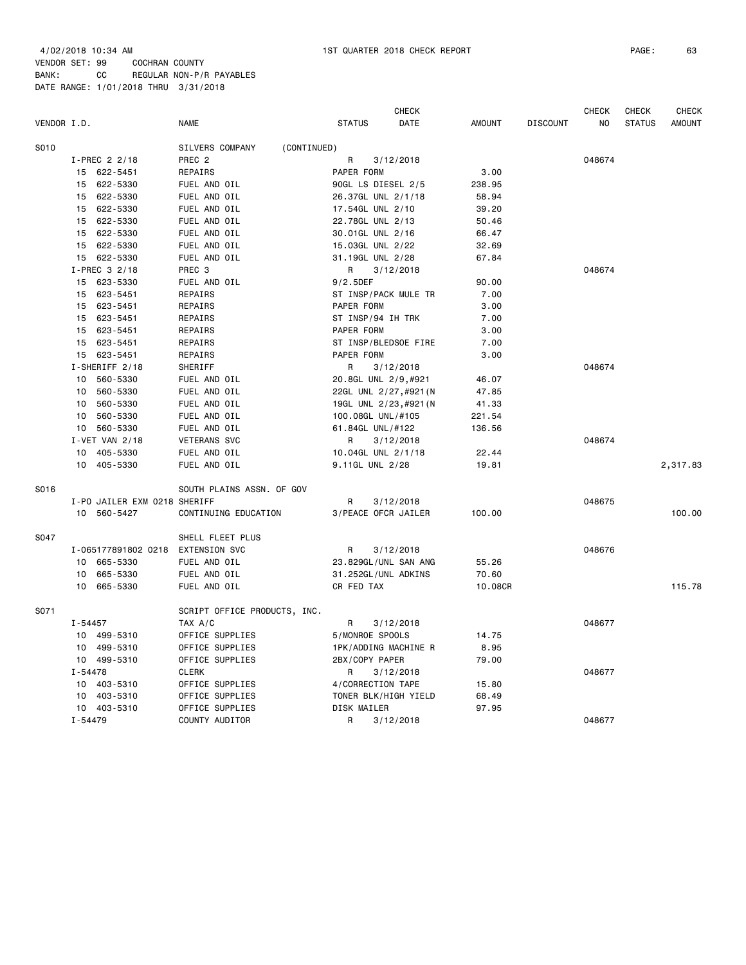|             |             |                                   |                                |                        | <b>CHECK</b> |               |                 | <b>CHECK</b> | <b>CHECK</b>  | <b>CHECK</b>  |
|-------------|-------------|-----------------------------------|--------------------------------|------------------------|--------------|---------------|-----------------|--------------|---------------|---------------|
| VENDOR I.D. |             |                                   | <b>NAME</b>                    | <b>STATUS</b>          | DATE         | <b>AMOUNT</b> | <b>DISCOUNT</b> | NO           | <b>STATUS</b> | <b>AMOUNT</b> |
| S010        |             |                                   | SILVERS COMPANY<br>(CONTINUED) |                        |              |               |                 |              |               |               |
|             |             | I-PREC 2 2/18                     | PREC <sub>2</sub>              | R                      | 3/12/2018    |               |                 | 048674       |               |               |
|             |             | 15 622-5451                       | REPAIRS                        | PAPER FORM             |              | 3.00          |                 |              |               |               |
|             |             | 15 622-5330                       | FUEL AND OIL                   | 90GL LS DIESEL 2/5     |              | 238.95        |                 |              |               |               |
|             |             | 15 622-5330                       | FUEL AND OIL                   | 26.37GL UNL 2/1/18     |              | 58.94         |                 |              |               |               |
|             |             | 15 622-5330                       | FUEL AND OIL                   | 17.54GL UNL 2/10       |              | 39.20         |                 |              |               |               |
|             | 15          | 622-5330                          | FUEL AND OIL                   | 22.78GL UNL 2/13       |              | 50.46         |                 |              |               |               |
|             |             | 15 622-5330                       | FUEL AND OIL                   | 30.01GL UNL 2/16       |              | 66.47         |                 |              |               |               |
|             |             | 15 622-5330                       | FUEL AND OIL                   | 15.03GL UNL 2/22       |              | 32.69         |                 |              |               |               |
|             |             | 15 622-5330                       | FUEL AND OIL                   | 31.19GL UNL 2/28       |              | 67.84         |                 |              |               |               |
|             |             | I-PREC 3 2/18                     | PREC 3                         | R                      | 3/12/2018    |               |                 | 048674       |               |               |
|             |             | 15 623-5330                       | FUEL AND OIL                   | $9/2.5$ DEF            |              | 90.00         |                 |              |               |               |
|             |             | 15 623-5451                       | REPAIRS                        | ST INSP/PACK MULE TR   |              | 7.00          |                 |              |               |               |
|             |             | 15 623-5451                       | REPAIRS                        | PAPER FORM             |              | 3.00          |                 |              |               |               |
|             |             | 15 623-5451                       | REPAIRS                        | ST INSP/94 IH TRK      |              | 7.00          |                 |              |               |               |
|             |             | 15 623-5451                       | REPAIRS                        | PAPER FORM             |              | 3.00          |                 |              |               |               |
|             |             | 15 623-5451                       | REPAIRS                        | ST INSP/BLEDSOE FIRE   |              | 7.00          |                 |              |               |               |
|             |             | 15 623-5451                       | REPAIRS                        | PAPER FORM             |              | 3.00          |                 |              |               |               |
|             |             | I-SHERIFF 2/18                    | SHERIFF                        | R                      | 3/12/2018    |               |                 | 048674       |               |               |
|             |             | 10 560-5330                       | FUEL AND OIL                   | 20.8GL UNL 2/9,#921    |              | 46.07         |                 |              |               |               |
|             |             | 10 560-5330                       | FUEL AND OIL                   | 22GL UNL 2/27, #921 (N |              | 47.85         |                 |              |               |               |
|             |             | 10 560-5330                       | FUEL AND OIL                   | 19GL UNL 2/23, #921 (N |              | 41.33         |                 |              |               |               |
|             |             | 10 560-5330                       | FUEL AND OIL                   | 100.08GL UNL/#105      |              | 221.54        |                 |              |               |               |
|             |             | 10 560-5330                       | FUEL AND OIL                   | 61.84GL UNL/#122       |              | 136.56        |                 |              |               |               |
|             |             | I-VET VAN 2/18                    | <b>VETERANS SVC</b>            | R                      | 3/12/2018    |               |                 | 048674       |               |               |
|             | 10          | 405-5330                          | FUEL AND OIL                   | 10.04GL UNL 2/1/18     |              | 22.44         |                 |              |               |               |
|             |             | 10 405-5330                       | FUEL AND OIL                   | 9.11GL UNL 2/28        |              | 19.81         |                 |              |               | 2,317.83      |
| S016        |             |                                   | SOUTH PLAINS ASSN. OF GOV      |                        |              |               |                 |              |               |               |
|             |             | I-PO JAILER EXM 0218 SHERIFF      |                                | R                      | 3/12/2018    |               |                 | 048675       |               |               |
|             |             | 10 560-5427                       | CONTINUING EDUCATION           | 3/PEACE OFCR JAILER    |              | 100.00        |                 |              |               | 100.00        |
| S047        |             |                                   | SHELL FLEET PLUS               |                        |              |               |                 |              |               |               |
|             |             | I-065177891802 0218 EXTENSION SVC |                                | R                      | 3/12/2018    |               |                 | 048676       |               |               |
|             |             | 10 665-5330                       | FUEL AND OIL                   | 23.829GL/UNL SAN ANG   |              | 55.26         |                 |              |               |               |
|             | 10          | 665-5330                          | FUEL AND OIL                   | 31.252GL/UNL ADKINS    |              | 70.60         |                 |              |               |               |
|             |             | 10 665-5330                       | FUEL AND OIL                   | CR FED TAX             |              | 10.08CR       |                 |              |               | 115.78        |
| S071        |             |                                   | SCRIPT OFFICE PRODUCTS, INC.   |                        |              |               |                 |              |               |               |
|             | $I - 54457$ |                                   | TAX A/C                        | R                      | 3/12/2018    |               |                 | 048677       |               |               |
|             |             | 10 499-5310                       | OFFICE SUPPLIES                | 5/MONROE SPOOLS        |              | 14.75         |                 |              |               |               |
|             |             | 10 499-5310                       | OFFICE SUPPLIES                | 1PK/ADDING MACHINE R   |              | 8.95          |                 |              |               |               |
|             |             | 10 499-5310                       | OFFICE SUPPLIES                | 2BX/COPY PAPER         |              | 79.00         |                 |              |               |               |
|             | I-54478     |                                   | <b>CLERK</b>                   | R                      | 3/12/2018    |               |                 | 048677       |               |               |
|             | 10          | 403-5310                          | OFFICE SUPPLIES                | 4/CORRECTION TAPE      |              | 15.80         |                 |              |               |               |
|             |             | 10 403-5310                       | OFFICE SUPPLIES                | TONER BLK/HIGH YIELD   |              | 68.49         |                 |              |               |               |
|             |             | 10 403-5310                       | OFFICE SUPPLIES                | DISK MAILER            |              | 97.95         |                 |              |               |               |
|             | $I - 54479$ |                                   | COUNTY AUDITOR                 | R                      | 3/12/2018    |               |                 | 048677       |               |               |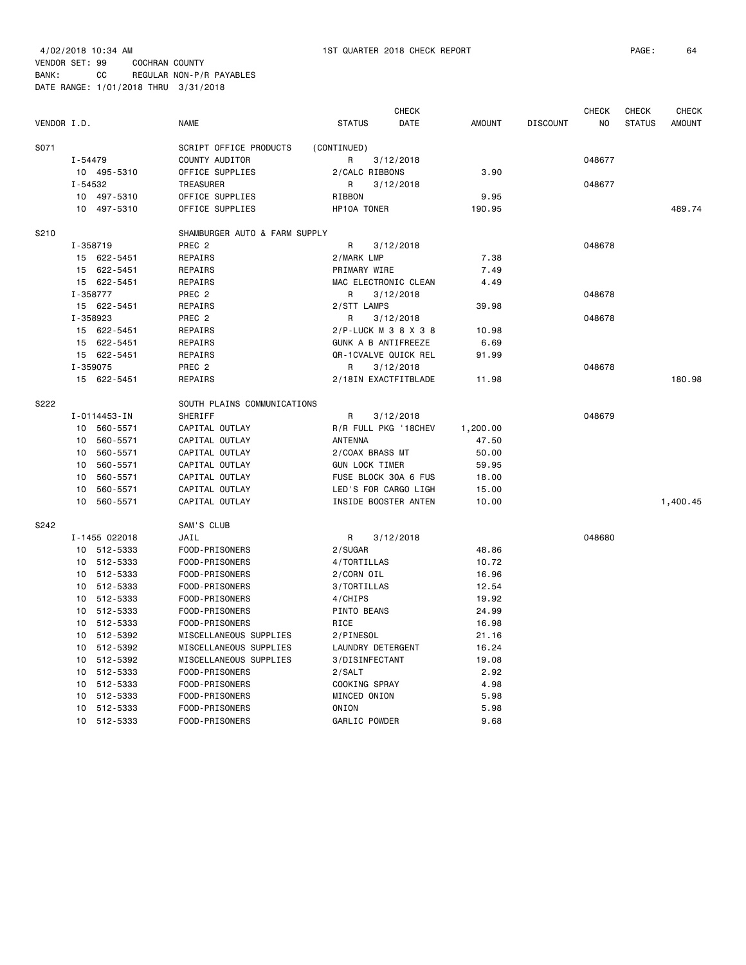| VENDOR I.D. |                | <b>NAME</b>                   | <b>STATUS</b>         | <b>CHECK</b><br>DATE | <b>AMOUNT</b> | <b>DISCOUNT</b> | <b>CHECK</b><br>NO | CHECK<br><b>STATUS</b> | <b>CHECK</b><br><b>AMOUNT</b> |
|-------------|----------------|-------------------------------|-----------------------|----------------------|---------------|-----------------|--------------------|------------------------|-------------------------------|
|             |                |                               |                       |                      |               |                 |                    |                        |                               |
| S071        |                | SCRIPT OFFICE PRODUCTS        | (CONTINUED)           |                      |               |                 |                    |                        |                               |
|             | $I - 54479$    | COUNTY AUDITOR                | R                     | 3/12/2018            |               |                 | 048677             |                        |                               |
|             | 10 495-5310    | OFFICE SUPPLIES               | 2/CALC RIBBONS        |                      | 3.90          |                 |                    |                        |                               |
|             | I-54532        | TREASURER                     | R                     | 3/12/2018            |               |                 | 048677             |                        |                               |
|             | 10<br>497-5310 | OFFICE SUPPLIES               | RIBBON                |                      | 9.95          |                 |                    |                        |                               |
|             | 10<br>497-5310 | OFFICE SUPPLIES               | HP10A TONER           |                      | 190.95        |                 |                    |                        | 489.74                        |
| S210        |                | SHAMBURGER AUTO & FARM SUPPLY |                       |                      |               |                 |                    |                        |                               |
|             | I-358719       | PREC <sub>2</sub>             | R                     | 3/12/2018            |               |                 | 048678             |                        |                               |
|             | 15 622-5451    | REPAIRS                       | 2/MARK LMP            |                      | 7.38          |                 |                    |                        |                               |
|             | 622-5451<br>15 | REPAIRS                       | PRIMARY WIRE          |                      | 7.49          |                 |                    |                        |                               |
|             | 15<br>622-5451 | REPAIRS                       |                       | MAC ELECTRONIC CLEAN | 4.49          |                 |                    |                        |                               |
|             | I-358777       | PREC <sub>2</sub>             | R                     | 3/12/2018            |               |                 | 048678             |                        |                               |
|             | 15 622-5451    | REPAIRS                       | 2/STT LAMPS           |                      | 39.98         |                 |                    |                        |                               |
|             | I-358923       | PREC <sub>2</sub>             | R                     | 3/12/2018            |               |                 | 048678             |                        |                               |
|             | 15 622-5451    | REPAIRS                       | 2/P-LUCK M 3 8 X 3 8  |                      | 10.98         |                 |                    |                        |                               |
|             | 622-5451<br>15 | REPAIRS                       | GUNK A B ANTIFREEZE   |                      | 6.69          |                 |                    |                        |                               |
|             | 622-5451<br>15 | REPAIRS                       | QR-1CVALVE QUICK REL  |                      | 91.99         |                 |                    |                        |                               |
|             | I-359075       | PREC <sub>2</sub>             | R                     | 3/12/2018            |               |                 | 048678             |                        |                               |
|             | 15 622-5451    | REPAIRS                       |                       | 2/18IN EXACTFITBLADE | 11.98         |                 |                    |                        | 180.98                        |
| S222        |                | SOUTH PLAINS COMMUNICATIONS   |                       |                      |               |                 |                    |                        |                               |
|             | I-0114453-IN   | SHERIFF                       | R                     | 3/12/2018            |               |                 | 048679             |                        |                               |
|             | 10<br>560-5571 | CAPITAL OUTLAY                | R/R FULL PKG '18CHEV  |                      | 1,200.00      |                 |                    |                        |                               |
|             | 10<br>560-5571 | CAPITAL OUTLAY                | ANTENNA               |                      | 47.50         |                 |                    |                        |                               |
|             | 10<br>560-5571 | CAPITAL OUTLAY                | 2/COAX BRASS MT       |                      | 50.00         |                 |                    |                        |                               |
|             | 10<br>560-5571 | CAPITAL OUTLAY                | <b>GUN LOCK TIMER</b> |                      | 59.95         |                 |                    |                        |                               |
|             | 10<br>560-5571 | CAPITAL OUTLAY                | FUSE BLOCK 30A 6 FUS  |                      | 18.00         |                 |                    |                        |                               |
|             | 10<br>560-5571 | CAPITAL OUTLAY                | LED'S FOR CARGO LIGH  |                      | 15.00         |                 |                    |                        |                               |
|             | 10<br>560-5571 | CAPITAL OUTLAY                |                       | INSIDE BOOSTER ANTEN | 10.00         |                 |                    |                        | 1,400.45                      |
|             |                |                               |                       |                      |               |                 |                    |                        |                               |
| S242        | I-1455 022018  | SAM'S CLUB<br>JAIL            | R                     | 3/12/2018            |               |                 | 048680             |                        |                               |
|             | 10 512-5333    | FOOD-PRISONERS                | 2/SUGAR               |                      | 48.86         |                 |                    |                        |                               |
|             | 10<br>512-5333 |                               |                       |                      | 10.72         |                 |                    |                        |                               |
|             | 10<br>512-5333 | FOOD-PRISONERS                | 4/TORTILLAS           |                      |               |                 |                    |                        |                               |
|             |                | FOOD-PRISONERS                | 2/CORN OIL            |                      | 16.96         |                 |                    |                        |                               |
|             | 512-5333<br>10 | FOOD-PRISONERS                | 3/TORTILLAS           |                      | 12.54         |                 |                    |                        |                               |
|             | 512-5333<br>10 | FOOD-PRISONERS                | 4/CHIPS               |                      | 19.92         |                 |                    |                        |                               |
|             | 512-5333<br>10 | FOOD-PRISONERS                | PINTO BEANS           |                      | 24.99         |                 |                    |                        |                               |
|             | 10<br>512-5333 | FOOD-PRISONERS                | RICE                  |                      | 16.98         |                 |                    |                        |                               |
|             | 512-5392<br>10 | MISCELLANEOUS SUPPLIES        | 2/PINESOL             |                      | 21.16         |                 |                    |                        |                               |
|             | 512-5392<br>10 | MISCELLANEOUS SUPPLIES        | LAUNDRY DETERGENT     |                      | 16.24         |                 |                    |                        |                               |
|             | 10<br>512-5392 | MISCELLANEOUS SUPPLIES        | 3/DISINFECTANT        |                      | 19.08         |                 |                    |                        |                               |
|             | 10<br>512-5333 | FOOD-PRISONERS                | 2/SALT                |                      | 2.92          |                 |                    |                        |                               |
|             | 10<br>512-5333 | FOOD-PRISONERS                | COOKING SPRAY         |                      | 4.98          |                 |                    |                        |                               |
|             | 10<br>512-5333 | FOOD-PRISONERS                | MINCED ONION          |                      | 5.98          |                 |                    |                        |                               |
|             | 10<br>512-5333 | FOOD-PRISONERS                | ONION                 |                      | 5.98          |                 |                    |                        |                               |

10 512-5333 FOOD-PRISONERS GARLIC POWDER 9.68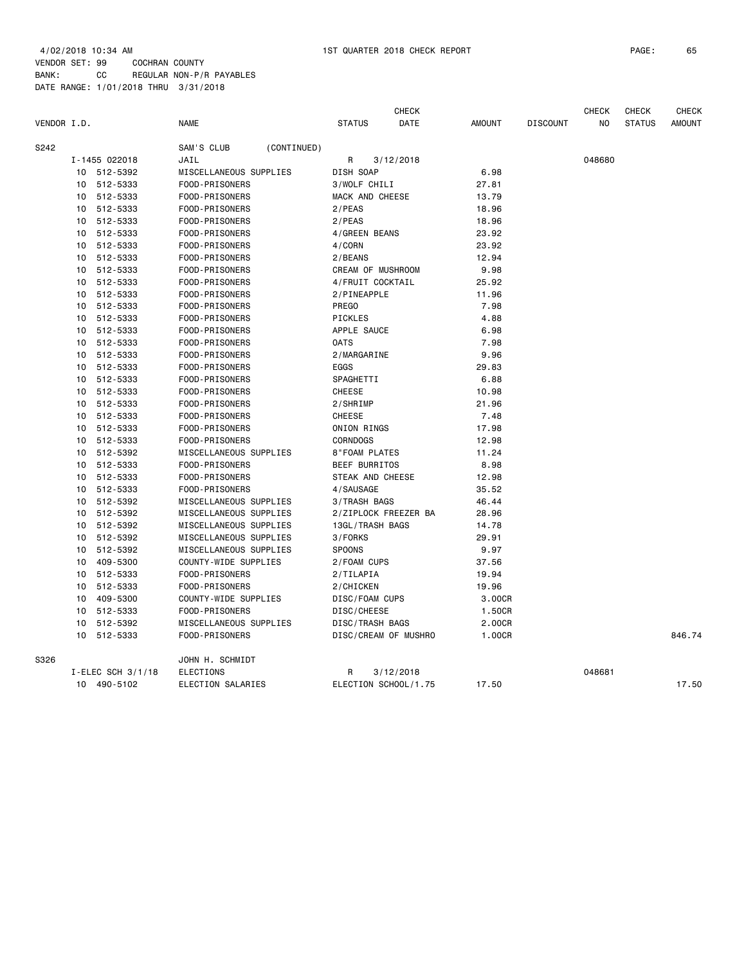| VENDOR I.D. |    |                   | <b>NAME</b>            |             | <b>STATUS</b>        | <b>CHECK</b><br>DATE | <b>AMOUNT</b> | <b>DISCOUNT</b> | CHECK<br>N <sub>O</sub> | CHECK<br><b>STATUS</b> | <b>CHECK</b><br><b>AMOUNT</b> |
|-------------|----|-------------------|------------------------|-------------|----------------------|----------------------|---------------|-----------------|-------------------------|------------------------|-------------------------------|
| S242        |    |                   | SAM'S CLUB             | (CONTINUED) |                      |                      |               |                 |                         |                        |                               |
|             |    | I-1455 022018     | JAIL                   |             | R                    | 3/12/2018            |               |                 | 048680                  |                        |                               |
|             |    | 10 512-5392       | MISCELLANEOUS SUPPLIES |             | DISH SOAP            |                      | 6.98          |                 |                         |                        |                               |
|             |    | 10 512-5333       | FOOD-PRISONERS         |             | 3/WOLF CHILI         |                      | 27.81         |                 |                         |                        |                               |
|             |    | 10 512-5333       | FOOD-PRISONERS         |             | MACK AND CHEESE      |                      | 13.79         |                 |                         |                        |                               |
|             | 10 | 512-5333          | FOOD-PRISONERS         |             | 2/PEAS               |                      | 18.96         |                 |                         |                        |                               |
|             | 10 | 512-5333          | FOOD-PRISONERS         |             | $2$ /PEAS            |                      | 18.96         |                 |                         |                        |                               |
|             | 10 | 512-5333          | FOOD-PRISONERS         |             | 4/GREEN BEANS        |                      | 23.92         |                 |                         |                        |                               |
|             |    | 10 512-5333       | FOOD-PRISONERS         |             | 4/CORN               |                      | 23.92         |                 |                         |                        |                               |
|             | 10 | 512-5333          | FOOD-PRISONERS         |             | 2/BEANS              |                      | 12.94         |                 |                         |                        |                               |
|             | 10 | 512-5333          | FOOD-PRISONERS         |             | CREAM OF MUSHROOM    |                      | 9.98          |                 |                         |                        |                               |
|             | 10 | 512-5333          | FOOD-PRISONERS         |             | 4/FRUIT COCKTAIL     |                      | 25.92         |                 |                         |                        |                               |
|             | 10 | 512-5333          | FOOD-PRISONERS         |             | 2/PINEAPPLE          |                      | 11.96         |                 |                         |                        |                               |
|             |    | 10 512-5333       | FOOD-PRISONERS         |             | <b>PREGO</b>         |                      | 7.98          |                 |                         |                        |                               |
|             |    | 10 512-5333       | FOOD-PRISONERS         |             | PICKLES              |                      | 4.88          |                 |                         |                        |                               |
|             |    | 10 512-5333       | FOOD-PRISONERS         |             | APPLE SAUCE          |                      | 6.98          |                 |                         |                        |                               |
|             | 10 | 512-5333          | FOOD-PRISONERS         |             | <b>OATS</b>          |                      | 7.98          |                 |                         |                        |                               |
|             | 10 | 512-5333          | FOOD-PRISONERS         |             | 2/MARGARINE          |                      | 9.96          |                 |                         |                        |                               |
|             | 10 | 512-5333          | FOOD-PRISONERS         |             | EGGS                 |                      | 29.83         |                 |                         |                        |                               |
|             | 10 | 512-5333          | FOOD-PRISONERS         |             | SPAGHETTI            |                      | 6.88          |                 |                         |                        |                               |
|             | 10 | 512-5333          | FOOD-PRISONERS         |             | <b>CHEESE</b>        |                      | 10.98         |                 |                         |                        |                               |
|             | 10 | 512-5333          | FOOD-PRISONERS         |             | 2/SHRIMP             |                      | 21.96         |                 |                         |                        |                               |
|             | 10 | 512-5333          | FOOD-PRISONERS         |             | CHEESE               |                      | 7.48          |                 |                         |                        |                               |
|             |    | 10 512-5333       | FOOD-PRISONERS         |             | ONION RINGS          |                      | 17.98         |                 |                         |                        |                               |
|             |    | 10 512-5333       | FOOD-PRISONERS         |             | <b>CORNDOGS</b>      |                      | 12.98         |                 |                         |                        |                               |
|             | 10 | 512-5392          | MISCELLANEOUS SUPPLIES |             | 8"FOAM PLATES        |                      | 11.24         |                 |                         |                        |                               |
|             | 10 | 512-5333          | FOOD-PRISONERS         |             | <b>BEEF BURRITOS</b> |                      | 8.98          |                 |                         |                        |                               |
|             | 10 | 512-5333          | FOOD-PRISONERS         |             | STEAK AND CHEESE     |                      | 12.98         |                 |                         |                        |                               |
|             |    | 10 512-5333       | FOOD-PRISONERS         |             | 4/SAUSAGE            |                      | 35.52         |                 |                         |                        |                               |
|             | 10 | 512-5392          | MISCELLANEOUS SUPPLIES |             | 3/TRASH BAGS         |                      | 46.44         |                 |                         |                        |                               |
|             | 10 | 512-5392          | MISCELLANEOUS SUPPLIES |             |                      | 2/ZIPLOCK FREEZER BA | 28.96         |                 |                         |                        |                               |
|             | 10 | 512-5392          | MISCELLANEOUS SUPPLIES |             | 13GL/TRASH BAGS      |                      | 14.78         |                 |                         |                        |                               |
|             | 10 | 512-5392          | MISCELLANEOUS SUPPLIES |             | 3/FORKS              |                      | 29.91         |                 |                         |                        |                               |
|             |    | 10 512-5392       | MISCELLANEOUS SUPPLIES |             | SPOONS               |                      | 9.97          |                 |                         |                        |                               |
|             | 10 | 409-5300          | COUNTY-WIDE SUPPLIES   |             | 2/FOAM CUPS          |                      | 37.56         |                 |                         |                        |                               |
|             | 10 | 512-5333          | FOOD-PRISONERS         |             | 2/TILAPIA            |                      | 19.94         |                 |                         |                        |                               |
|             | 10 | 512-5333          | FOOD-PRISONERS         |             | 2/CHICKEN            |                      | 19.96         |                 |                         |                        |                               |
|             | 10 | 409-5300          | COUNTY-WIDE SUPPLIES   |             | DISC/FOAM CUPS       |                      | 3.00CR        |                 |                         |                        |                               |
|             | 10 | 512-5333          | FOOD-PRISONERS         |             | DISC/CHEESE          |                      | 1.50CR        |                 |                         |                        |                               |
|             | 10 | 512-5392          | MISCELLANEOUS SUPPLIES |             | DISC/TRASH BAGS      |                      | 2.00CR        |                 |                         |                        |                               |
|             | 10 | 512-5333          | FOOD-PRISONERS         |             |                      | DISC/CREAM OF MUSHRO | 1.00CR        |                 |                         |                        | 846.74                        |
|             |    |                   |                        |             |                      |                      |               |                 |                         |                        |                               |
| S326        |    |                   | JOHN H. SCHMIDT        |             |                      |                      |               |                 |                         |                        |                               |
|             |    | I-ELEC SCH 3/1/18 | <b>ELECTIONS</b>       |             | R                    | 3/12/2018            |               |                 | 048681                  |                        |                               |
|             |    | 10 490-5102       | ELECTION SALARIES      |             |                      | ELECTION SCHOOL/1.75 | 17.50         |                 |                         |                        | 17.50                         |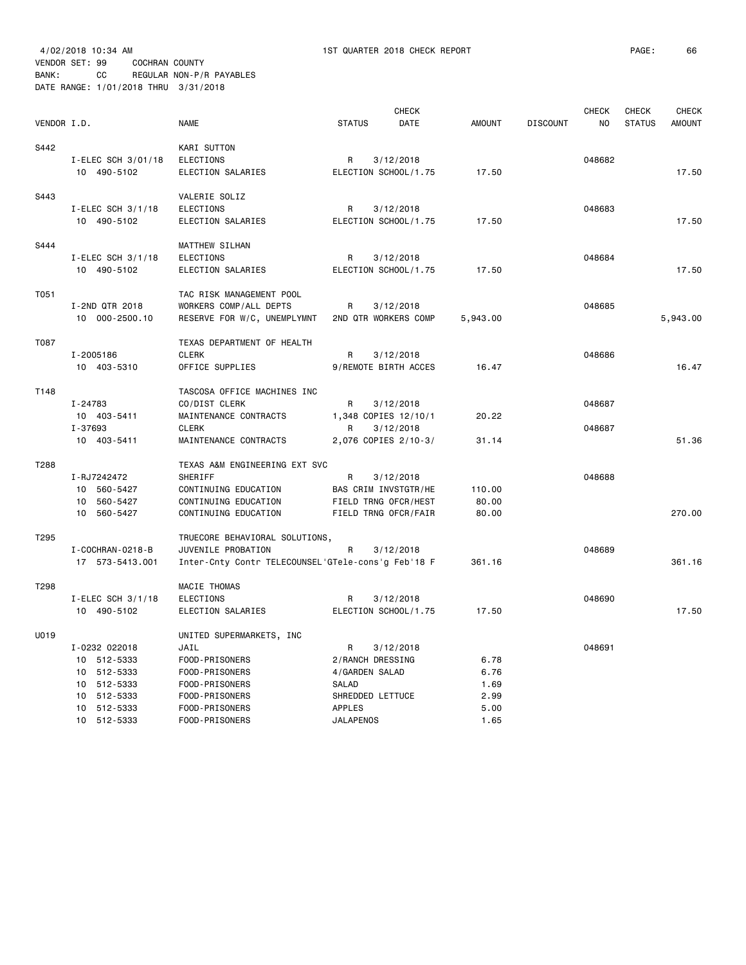VENDOR SET: 99 COCHRAN COUNTY

BANK: CC REGULAR NON-P/R PAYABLES DATE RANGE: 1/01/2018 THRU 3/31/2018

| VENDOR I.D. |                                                                                                         | <b>NAME</b>                                                                                                                                  | <b>CHECK</b><br><b>STATUS</b><br>DATE                                                                                  | <b>AMOUNT</b>                                | <b>CHECK</b><br><b>DISCOUNT</b><br>N <sub>O</sub> | <b>CHECK</b><br><b>CHECK</b><br><b>STATUS</b><br><b>AMOUNT</b> |
|-------------|---------------------------------------------------------------------------------------------------------|----------------------------------------------------------------------------------------------------------------------------------------------|------------------------------------------------------------------------------------------------------------------------|----------------------------------------------|---------------------------------------------------|----------------------------------------------------------------|
| S442        | I-ELEC SCH 3/01/18<br>10 490-5102                                                                       | KARI SUTTON<br><b>ELECTIONS</b><br>ELECTION SALARIES                                                                                         | 3/12/2018<br>R<br>ELECTION SCHOOL/1.75                                                                                 | 17.50                                        | 048682                                            | 17.50                                                          |
| S443        | I-ELEC SCH 3/1/18<br>10 490-5102                                                                        | VALERIE SOLIZ<br><b>ELECTIONS</b><br>ELECTION SALARIES                                                                                       | 3/12/2018<br>R<br>ELECTION SCHOOL/1.75                                                                                 | 17.50                                        | 048683                                            | 17.50                                                          |
| S444        | I-ELEC SCH $3/1/18$<br>10 490-5102                                                                      | <b>MATTHEW SILHAN</b><br><b>ELECTIONS</b><br>ELECTION SALARIES                                                                               | R<br>3/12/2018<br>ELECTION SCHOOL/1.75                                                                                 | 17.50                                        | 048684                                            | 17.50                                                          |
| T051        | I-2ND QTR 2018<br>10 000-2500.10                                                                        | TAC RISK MANAGEMENT POOL<br>WORKERS COMP/ALL DEPTS<br>RESERVE FOR W/C, UNEMPLYMNT                                                            | R<br>3/12/2018<br>2ND QTR WORKERS COMP                                                                                 | 5,943.00                                     | 048685                                            | 5,943.00                                                       |
| T087        | I-2005186<br>10 403-5310                                                                                | TEXAS DEPARTMENT OF HEALTH<br><b>CLERK</b><br>OFFICE SUPPLIES                                                                                | R<br>3/12/2018<br>9/REMOTE BIRTH ACCES                                                                                 | 16.47                                        | 048686                                            | 16.47                                                          |
| T148        | I-24783<br>10 403-5411<br>I-37693<br>10 403-5411                                                        | TASCOSA OFFICE MACHINES INC<br>CO/DIST CLERK<br>MAINTENANCE CONTRACTS<br><b>CLERK</b><br>MAINTENANCE CONTRACTS                               | R<br>3/12/2018<br>1,348 COPIES 12/10/1<br>3/12/2018<br>R<br>2,076 COPIES 2/10-3/                                       | 20.22<br>31.14                               | 048687<br>048687                                  | 51.36                                                          |
| T288        | I-RJ7242472<br>10 560-5427<br>10 560-5427                                                               | TEXAS A&M ENGINEERING EXT SVC<br>SHERIFF<br>CONTINUING EDUCATION<br>CONTINUING EDUCATION                                                     | R<br>3/12/2018<br>BAS CRIM INVSTGTR/HE<br>FIELD TRNG OFCR/HEST                                                         | 110.00<br>80.00                              | 048688                                            |                                                                |
| T295        | 10 560-5427<br>I - COCHRAN - 0218 - B<br>17 573-5413.001                                                | CONTINUING EDUCATION<br>TRUECORE BEHAVIORAL SOLUTIONS,<br>JUVENILE PROBATION<br>Inter-Cnty Contr TELECOUNSEL'GTele-cons'g Feb'18 F           | FIELD TRNG OFCR/FAIR<br>R<br>3/12/2018                                                                                 | 80.00<br>361.16                              | 048689                                            | 270.00<br>361.16                                               |
| T298        | $I$ -ELEC SCH 3/1/18<br>10 490-5102                                                                     | MACIE THOMAS<br>ELECTIONS<br>ELECTION SALARIES                                                                                               | R<br>3/12/2018<br>ELECTION SCHOOL/1.75                                                                                 | 17.50                                        | 048690                                            | 17.50                                                          |
| U019        | I-0232 022018<br>10 512-5333<br>10 512-5333<br>10 512-5333<br>10 512-5333<br>10 512-5333<br>10 512-5333 | UNITED SUPERMARKETS, INC<br>JAIL<br>FOOD-PRISONERS<br>FOOD-PRISONERS<br>FOOD-PRISONERS<br>FOOD-PRISONERS<br>FOOD-PRISONERS<br>FOOD-PRISONERS | 3/12/2018<br>R<br>2/RANCH DRESSING<br>4/GARDEN SALAD<br><b>SALAD</b><br>SHREDDED LETTUCE<br>APPLES<br><b>JALAPENOS</b> | 6.78<br>6.76<br>1.69<br>2.99<br>5.00<br>1.65 | 048691                                            |                                                                |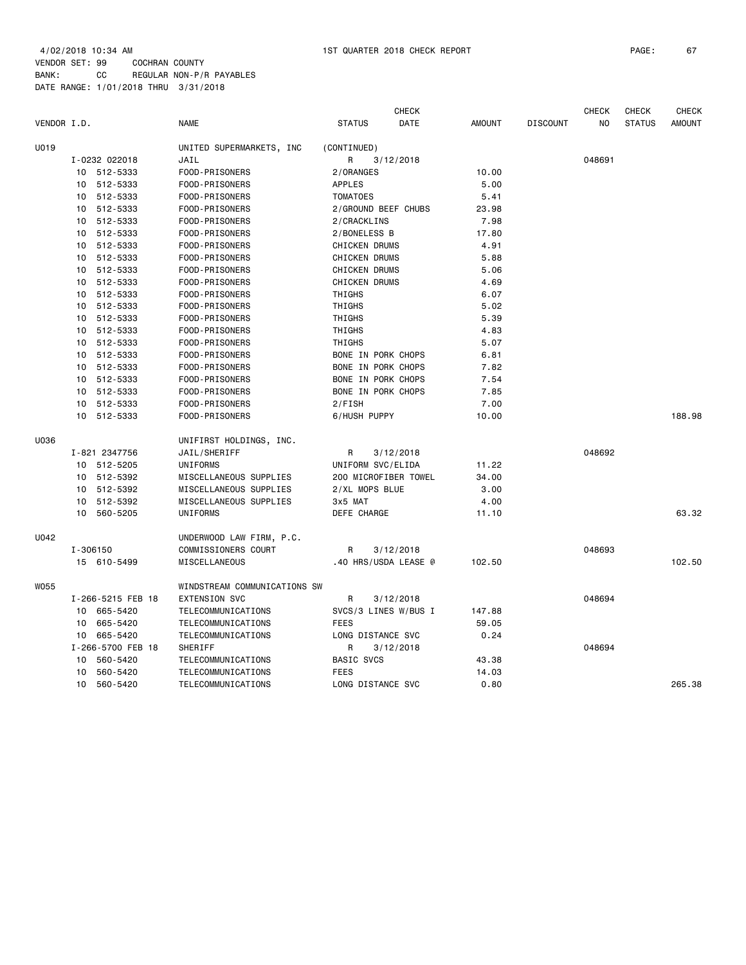| VENDOR I.D. |    |                   | <b>NAME</b>                  | <b>STATUS</b>             | <b>CHECK</b><br>DATE | <b>AMOUNT</b> | <b>DISCOUNT</b> | <b>CHECK</b><br>NO | <b>CHECK</b><br><b>STATUS</b> | <b>CHECK</b><br><b>AMOUNT</b> |
|-------------|----|-------------------|------------------------------|---------------------------|----------------------|---------------|-----------------|--------------------|-------------------------------|-------------------------------|
| U019        |    |                   | UNITED SUPERMARKETS, INC     | (CONTINUED)               |                      |               |                 |                    |                               |                               |
|             |    | I-0232 022018     | JAIL                         | R                         | 3/12/2018            |               |                 | 048691             |                               |                               |
|             |    | 10 512-5333       | FOOD-PRISONERS               | 2/ORANGES                 |                      | 10.00         |                 |                    |                               |                               |
|             | 10 | 512-5333          | FOOD-PRISONERS               | APPLES                    |                      | 5.00          |                 |                    |                               |                               |
|             | 10 | 512-5333          | FOOD-PRISONERS               | <b>TOMATOES</b>           |                      | 5.41          |                 |                    |                               |                               |
|             | 10 | 512-5333          | FOOD-PRISONERS               | 2/GROUND BEEF CHUBS       |                      | 23.98         |                 |                    |                               |                               |
|             | 10 | 512-5333          | FOOD-PRISONERS               | 2/CRACKLINS               |                      | 7.98          |                 |                    |                               |                               |
|             | 10 | 512-5333          | FOOD-PRISONERS               | 2/BONELESS B              |                      | 17.80         |                 |                    |                               |                               |
|             | 10 | 512-5333          | FOOD-PRISONERS               | <b>CHICKEN DRUMS</b>      |                      | 4.91          |                 |                    |                               |                               |
|             | 10 | 512-5333          | FOOD-PRISONERS               | <b>CHICKEN DRUMS</b>      |                      | 5.88          |                 |                    |                               |                               |
|             | 10 | 512-5333          | FOOD-PRISONERS               | <b>CHICKEN DRUMS</b>      |                      | 5.06          |                 |                    |                               |                               |
|             | 10 | 512-5333          | FOOD-PRISONERS               | CHICKEN DRUMS             |                      | 4.69          |                 |                    |                               |                               |
|             | 10 | 512-5333          | FOOD-PRISONERS               | THIGHS                    |                      | 6.07          |                 |                    |                               |                               |
|             | 10 | 512-5333          | FOOD-PRISONERS               | THIGHS                    |                      | 5.02          |                 |                    |                               |                               |
|             | 10 | 512-5333          | FOOD-PRISONERS               | THIGHS                    |                      | 5.39          |                 |                    |                               |                               |
|             | 10 | 512-5333          | FOOD-PRISONERS               | THIGHS                    |                      | 4.83          |                 |                    |                               |                               |
|             | 10 | 512-5333          | FOOD-PRISONERS               | THIGHS                    |                      | 5.07          |                 |                    |                               |                               |
|             | 10 | 512-5333          | FOOD-PRISONERS               | BONE IN PORK CHOPS        |                      | 6.81          |                 |                    |                               |                               |
|             | 10 | 512-5333          | FOOD-PRISONERS               | <b>BONE IN PORK CHOPS</b> |                      | 7.82          |                 |                    |                               |                               |
|             | 10 | 512-5333          | FOOD-PRISONERS               | <b>BONE IN PORK CHOPS</b> |                      | 7.54          |                 |                    |                               |                               |
|             |    |                   |                              | <b>BONE IN PORK CHOPS</b> |                      |               |                 |                    |                               |                               |
|             | 10 | 512-5333          | FOOD-PRISONERS               |                           |                      | 7.85          |                 |                    |                               |                               |
|             | 10 | 512-5333          | FOOD-PRISONERS               | 2/FISH                    |                      | 7.00          |                 |                    |                               |                               |
|             | 10 | 512-5333          | FOOD-PRISONERS               | 6/HUSH PUPPY              |                      | 10.00         |                 |                    |                               | 188.98                        |
| U036        |    |                   | UNIFIRST HOLDINGS, INC.      |                           |                      |               |                 |                    |                               |                               |
|             |    | I-821 2347756     | JAIL/SHERIFF                 | R                         | 3/12/2018            |               |                 | 048692             |                               |                               |
|             |    | 10 512-5205       | UNIFORMS                     | UNIFORM SVC/ELIDA         |                      | 11.22         |                 |                    |                               |                               |
|             | 10 | 512-5392          | MISCELLANEOUS SUPPLIES       |                           | 200 MICROFIBER TOWEL | 34.00         |                 |                    |                               |                               |
|             | 10 | 512-5392          | MISCELLANEOUS SUPPLIES       | 2/XL MOPS BLUE            |                      | 3.00          |                 |                    |                               |                               |
|             | 10 | 512-5392          | MISCELLANEOUS SUPPLIES       | 3x5 MAT                   |                      | 4.00          |                 |                    |                               |                               |
|             | 10 | 560-5205          | UNIFORMS                     | DEFE CHARGE               |                      | 11.10         |                 |                    |                               | 63.32                         |
| U042        |    |                   | UNDERWOOD LAW FIRM, P.C.     |                           |                      |               |                 |                    |                               |                               |
|             |    | I-306150          | COMMISSIONERS COURT          | R                         | 3/12/2018            |               |                 | 048693             |                               |                               |
|             |    | 15 610-5499       | <b>MISCELLANEOUS</b>         |                           | .40 HRS/USDA LEASE @ | 102.50        |                 |                    |                               | 102.50                        |
| <b>W055</b> |    |                   | WINDSTREAM COMMUNICATIONS SW |                           |                      |               |                 |                    |                               |                               |
|             |    | I-266-5215 FEB 18 | <b>EXTENSION SVC</b>         | R                         | 3/12/2018            |               |                 | 048694             |                               |                               |
|             | 10 | 665-5420          | TELECOMMUNICATIONS           |                           | SVCS/3 LINES W/BUS I | 147.88        |                 |                    |                               |                               |
|             | 10 | 665-5420          | TELECOMMUNICATIONS           | <b>FEES</b>               |                      | 59.05         |                 |                    |                               |                               |
|             |    | 10 665-5420       | TELECOMMUNICATIONS           | LONG DISTANCE SVC         |                      | 0.24          |                 |                    |                               |                               |
|             |    | I-266-5700 FEB 18 | SHERIFF                      | R                         | 3/12/2018            |               |                 | 048694             |                               |                               |
|             | 10 | 560-5420          | TELECOMMUNICATIONS           | <b>BASIC SVCS</b>         |                      | 43.38         |                 |                    |                               |                               |
|             | 10 | 560-5420          | TELECOMMUNICATIONS           | <b>FEES</b>               |                      | 14.03         |                 |                    |                               |                               |
|             | 10 | 560-5420          | TELECOMMUNICATIONS           | LONG DISTANCE SVC         |                      | 0.80          |                 |                    |                               | 265.38                        |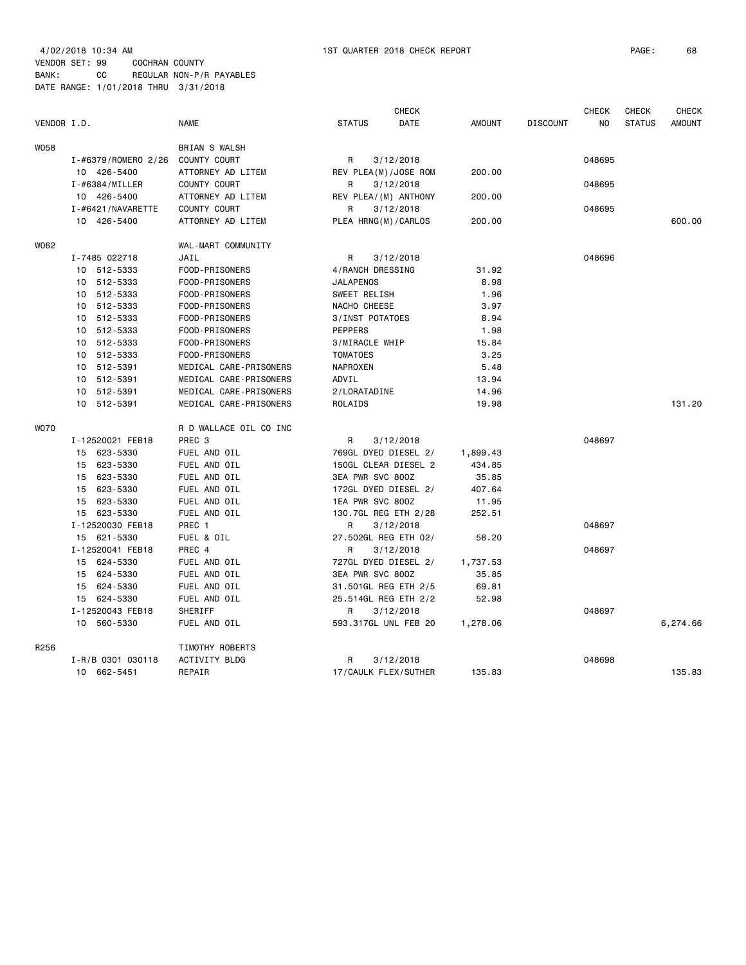4/02/2018 10:34 AM 1ST QUARTER 2018 CHECK REPORT PAGE: 68 VENDOR SET: 99 COCHRAN COUNTY BANK: CC REGULAR NON-P/R PAYABLES DATE RANGE: 1/01/2018 THRU 3/31/2018

|             |                     |                        |                      | <b>CHECK</b> |               |                 | <b>CHECK</b> | <b>CHECK</b>  | <b>CHECK</b>  |
|-------------|---------------------|------------------------|----------------------|--------------|---------------|-----------------|--------------|---------------|---------------|
| VENDOR I.D. |                     | <b>NAME</b>            | <b>STATUS</b>        | <b>DATE</b>  | <b>AMOUNT</b> | <b>DISCOUNT</b> | NO           | <b>STATUS</b> | <b>AMOUNT</b> |
| <b>W058</b> |                     | <b>BRIAN S WALSH</b>   |                      |              |               |                 |              |               |               |
|             | I-#6379/ROMERO 2/26 | COUNTY COURT           | R                    | 3/12/2018    |               |                 | 048695       |               |               |
|             | 10 426-5400         | ATTORNEY AD LITEM      | REV PLEA(M)/JOSE ROM |              | 200.00        |                 |              |               |               |
|             | I-#6384/MILLER      | COUNTY COURT           | R                    | 3/12/2018    |               |                 | 048695       |               |               |
|             | 10 426-5400         | ATTORNEY AD LITEM      | REV PLEA/(M) ANTHONY |              | 200.00        |                 |              |               |               |
|             | I-#6421/NAVARETTE   | COUNTY COURT           | R                    | 3/12/2018    |               |                 | 048695       |               |               |
|             | 10 426-5400         | ATTORNEY AD LITEM      | PLEA HRNG(M)/CARLOS  |              | 200.00        |                 |              |               | 600.00        |
| W062        |                     | WAL-MART COMMUNITY     |                      |              |               |                 |              |               |               |
|             | I-7485 022718       | JAIL                   | R                    | 3/12/2018    |               |                 | 048696       |               |               |
|             | 10 512-5333         | FOOD-PRISONERS         | 4/RANCH DRESSING     |              | 31.92         |                 |              |               |               |
|             | 10 512-5333         | FOOD-PRISONERS         | <b>JALAPENOS</b>     |              | 8.98          |                 |              |               |               |
|             | 512-5333<br>10      | FOOD-PRISONERS         | SWEET RELISH         |              | 1.96          |                 |              |               |               |
|             | 512-5333<br>10      | FOOD-PRISONERS         | NACHO CHEESE         |              | 3.97          |                 |              |               |               |
|             | 512-5333<br>10      | FOOD-PRISONERS         | 3/INST POTATOES      |              | 8.94          |                 |              |               |               |
|             | 10 512-5333         | FOOD-PRISONERS         | <b>PEPPERS</b>       |              | 1.98          |                 |              |               |               |
|             | 10 512-5333         | FOOD-PRISONERS         | 3/MIRACLE WHIP       |              | 15.84         |                 |              |               |               |
|             | 10 512-5333         | FOOD-PRISONERS         | <b>TOMATOES</b>      |              | 3.25          |                 |              |               |               |
|             | 10 512-5391         | MEDICAL CARE-PRISONERS | NAPROXEN             |              | 5.48          |                 |              |               |               |
|             | 10 512-5391         | MEDICAL CARE-PRISONERS | ADVIL                |              | 13.94         |                 |              |               |               |
|             | 512-5391<br>10      | MEDICAL CARE-PRISONERS | 2/LORATADINE         |              | 14.96         |                 |              |               |               |
|             | 10 512-5391         | MEDICAL CARE-PRISONERS | ROLAIDS              |              | 19.98         |                 |              |               | 131.20        |
| <b>WO70</b> |                     | R D WALLACE OIL CO INC |                      |              |               |                 |              |               |               |
|             | I-12520021 FEB18    | PREC <sub>3</sub>      | R                    | 3/12/2018    |               |                 | 048697       |               |               |
|             | 15 623-5330         | FUEL AND OIL           | 769GL DYED DIESEL 2/ |              | 1,899.43      |                 |              |               |               |
|             | 15 623-5330         | FUEL AND OIL           | 150GL CLEAR DIESEL 2 |              | 434.85        |                 |              |               |               |
|             | 15 623-5330         | FUEL AND OIL           | 3EA PWR SVC 800Z     |              | 35.85         |                 |              |               |               |
|             | 15 623-5330         | FUEL AND OIL           | 172GL DYED DIESEL 2/ |              | 407.64        |                 |              |               |               |
|             | 15 623-5330         | FUEL AND OIL           | 1EA PWR SVC 800Z     |              | 11.95         |                 |              |               |               |
|             | 15 623-5330         | FUEL AND OIL           | 130.7GL REG ETH 2/28 |              | 252.51        |                 |              |               |               |
|             | I-12520030 FEB18    | PREC 1                 | R                    | 3/12/2018    |               |                 | 048697       |               |               |
|             | 15 621-5330         | FUEL & OIL             | 27.502GL REG ETH 02/ |              | 58.20         |                 |              |               |               |
|             | I-12520041 FEB18    | PREC 4                 | R                    | 3/12/2018    |               |                 | 048697       |               |               |
|             | 15 624-5330         | FUEL AND OIL           | 727GL DYED DIESEL 2/ |              | 1,737.53      |                 |              |               |               |
|             | 15 624-5330         | FUEL AND OIL           | 3EA PWR SVC 800Z     |              | 35.85         |                 |              |               |               |
|             | 15 624-5330         | FUEL AND OIL           | 31.501GL REG ETH 2/5 |              | 69.81         |                 |              |               |               |
|             | 15 624-5330         | FUEL AND OIL           | 25.514GL REG ETH 2/2 |              | 52.98         |                 |              |               |               |
|             | I-12520043 FEB18    | SHERIFF                | R                    | 3/12/2018    |               |                 | 048697       |               |               |
|             | 10 560-5330         | FUEL AND OIL           | 593.317GL UNL FEB 20 |              | 1,278.06      |                 |              |               | 6,274.66      |
| R256        |                     | TIMOTHY ROBERTS        |                      |              |               |                 |              |               |               |
|             | I-R/B 0301 030118   | ACTIVITY BLDG          | R                    | 3/12/2018    |               |                 | 048698       |               |               |
|             | 10 662-5451         | REPAIR                 | 17/CAULK FLEX/SUTHER |              | 135.83        |                 |              |               | 135.83        |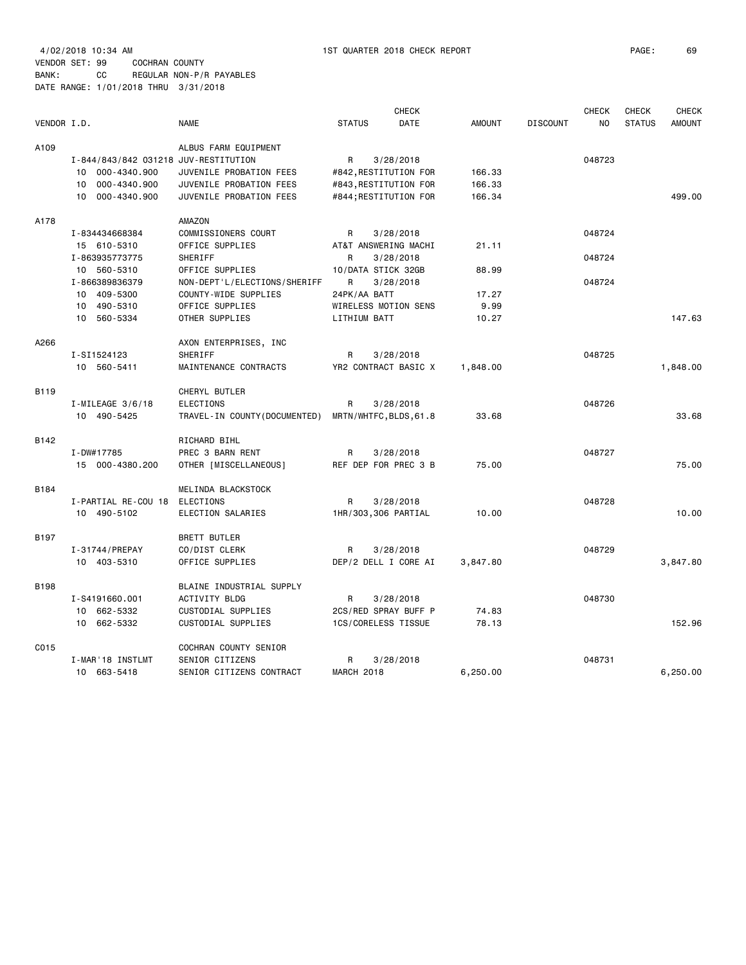4/02/2018 10:34 AM 1ST QUARTER 2018 CHECK REPORT PAGE: 69 VENDOR SET: 99 COCHRAN COUNTY BANK: CC REGULAR NON-P/R PAYABLES DATE RANGE: 1/01/2018 THRU 3/31/2018

C015 COCHRAN COUNTY SENIOR

| VENDOR I.D. |                                                                                               | <b>NAME</b>                                                                                           | <b>CHECK</b><br><b>DATE</b><br><b>STATUS</b>                                              | <b>AMOUNT</b>              | <b>CHECK</b><br><b>DISCOUNT</b> | <b>CHECK</b><br><b>STATUS</b><br>NO. | <b>CHECK</b><br><b>AMOUNT</b> |
|-------------|-----------------------------------------------------------------------------------------------|-------------------------------------------------------------------------------------------------------|-------------------------------------------------------------------------------------------|----------------------------|---------------------------------|--------------------------------------|-------------------------------|
| A109        | I-844/843/842 031218 JUV-RESTITUTION<br>10 000-4340.900<br>10 000-4340.900<br>10 000-4340.900 | ALBUS FARM EQUIPMENT<br>JUVENILE PROBATION FEES<br>JUVENILE PROBATION FEES<br>JUVENILE PROBATION FEES | 3/28/2018<br>R<br>#842, RESTITUTION FOR<br>#843, RESTITUTION FOR<br>#844; RESTITUTION FOR | 166.33<br>166.33<br>166.34 | 048723                          |                                      | 499,00                        |
| A178        | I-834434668384<br>15 610-5310<br>I-863935773775<br>10 560-5310                                | AMAZON<br>COMMISSIONERS COURT<br>OFFICE SUPPLIES<br>SHERIFF<br>OFFICE SUPPLIES                        | 3/28/2018<br>R<br>AT&T ANSWERING MACHI<br>3/28/2018<br>R<br>10/DATA STICK 32GB            | 21.11<br>88.99             | 048724<br>048724                |                                      |                               |
|             | I-866389836379<br>10 409-5300<br>10 490-5310<br>10 560-5334                                   | NON-DEPT'L/ELECTIONS/SHERIFF<br>COUNTY-WIDE SUPPLIES<br>OFFICE SUPPLIES<br>OTHER SUPPLIES             | 3/28/2018<br>R<br>24PK/AA BATT<br>WIRELESS MOTION SENS<br>LITHIUM BATT                    | 17.27<br>9.99<br>10.27     | 048724                          |                                      | 147.63                        |
| A266        | I-SI1524123<br>10 560-5411                                                                    | AXON ENTERPRISES, INC<br>SHERIFF<br>MAINTENANCE CONTRACTS                                             | 3/28/2018<br>R<br>YR2 CONTRACT BASIC X                                                    | 1,848.00                   | 048725                          |                                      | 1,848.00                      |
| B119        | $I-MILEAGE$ 3/6/18<br>10 490-5425                                                             | CHERYL BUTLER<br><b>ELECTIONS</b><br>TRAVEL-IN COUNTY (DOCUMENTED)                                    | 3/28/2018<br>R<br>MRTN/WHTFC, BLDS, 61.8                                                  | 33.68                      | 048726                          |                                      | 33.68                         |
| B142        | I-DW#17785<br>15 000-4380.200                                                                 | RICHARD BIHL<br>PREC 3 BARN RENT<br>OTHER [MISCELLANEOUS]                                             | 3/28/2018<br>R<br>REF DEP FOR PREC 3 B                                                    | 75.00                      | 048727                          |                                      | 75.00                         |
| B184        | I-PARTIAL RE-COU 18<br>10 490-5102                                                            | MELINDA BLACKSTOCK<br>ELECTIONS<br>ELECTION SALARIES                                                  | 3/28/2018<br>R<br>1HR/303,306 PARTIAL                                                     | 10.00                      | 048728                          |                                      | 10.00                         |
| B197        | I-31744/PREPAY<br>10 403-5310                                                                 | BRETT BUTLER<br>CO/DIST CLERK<br>OFFICE SUPPLIES                                                      | 3/28/2018<br>R<br>DEP/2 DELL I CORE AI                                                    | 3,847.80                   | 048729                          |                                      | 3,847.80                      |
| <b>B198</b> | I-S4191660.001<br>10 662-5332<br>10 662-5332                                                  | BLAINE INDUSTRIAL SUPPLY<br>ACTIVITY BLDG<br>CUSTODIAL SUPPLIES<br>CUSTODIAL SUPPLIES                 | 3/28/2018<br>R<br>2CS/RED SPRAY BUFF P<br>1CS/CORELESS TISSUE                             | 74.83<br>78.13             | 048730                          |                                      | 152.96                        |

I-MAR'18 INSTLMT SENIOR CITIZENS R 3/28/2018 048731

10 663-5418 SENIOR CITIZENS CONTRACT MARCH 2018 6,250.00 6,250.00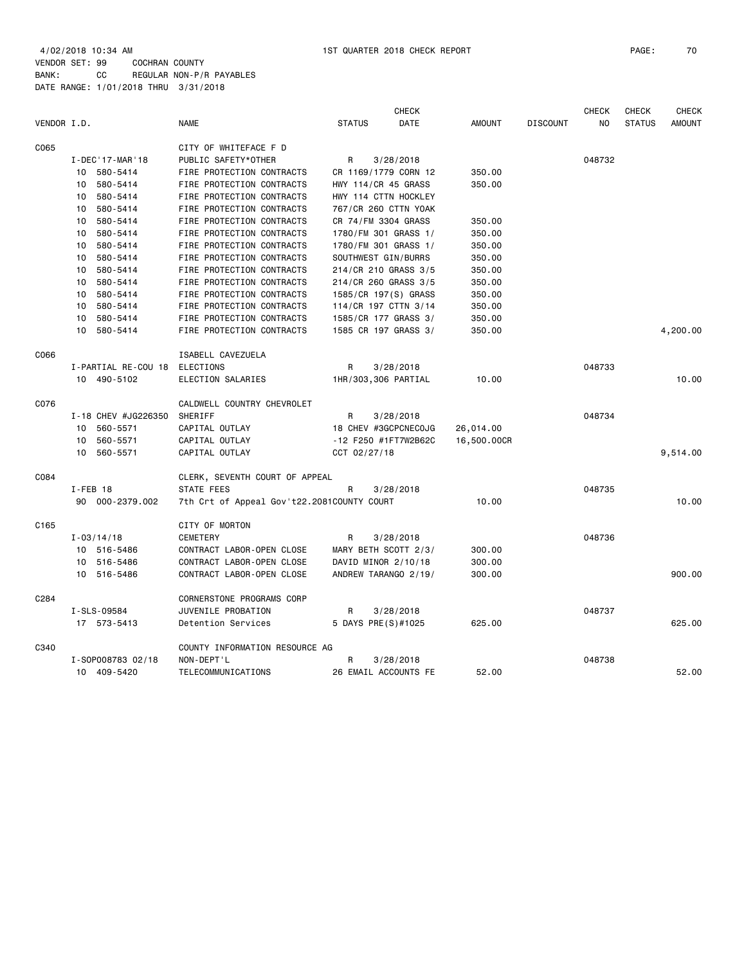4/02/2018 10:34 AM 1ST QUARTER 2018 CHECK REPORT PAGE: 70 VENDOR SET: 99 COCHRAN COUNTY BANK: CC REGULAR NON-P/R PAYABLES DATE RANGE: 1/01/2018 THRU 3/31/2018

|             |                     |                                            |                      | <b>CHECK</b> |               |                 | <b>CHECK</b> | <b>CHECK</b>  | CHECK         |
|-------------|---------------------|--------------------------------------------|----------------------|--------------|---------------|-----------------|--------------|---------------|---------------|
| VENDOR I.D. |                     | <b>NAME</b>                                | <b>STATUS</b>        | DATE         | <b>AMOUNT</b> | <b>DISCOUNT</b> | NO.          | <b>STATUS</b> | <b>AMOUNT</b> |
| C065        |                     | CITY OF WHITEFACE F D                      |                      |              |               |                 |              |               |               |
|             | I-DEC '17-MAR '18   | PUBLIC SAFETY*OTHER                        | R                    | 3/28/2018    |               |                 | 048732       |               |               |
|             | 10 580-5414         | FIRE PROTECTION CONTRACTS                  | CR 1169/1779 CORN 12 |              | 350.00        |                 |              |               |               |
|             | 10 580-5414         | FIRE PROTECTION CONTRACTS                  | HWY 114/CR 45 GRASS  |              | 350.00        |                 |              |               |               |
|             | 10 580-5414         | FIRE PROTECTION CONTRACTS                  | HWY 114 CTTN HOCKLEY |              |               |                 |              |               |               |
|             | 10 580-5414         | FIRE PROTECTION CONTRACTS                  | 767/CR 260 CTTN YOAK |              |               |                 |              |               |               |
|             | 10 580-5414         | FIRE PROTECTION CONTRACTS                  | CR 74/FM 3304 GRASS  |              | 350.00        |                 |              |               |               |
|             | 10 580-5414         | FIRE PROTECTION CONTRACTS                  | 1780/FM 301 GRASS 1/ |              | 350.00        |                 |              |               |               |
|             | 10 580-5414         | FIRE PROTECTION CONTRACTS                  | 1780/FM 301 GRASS 1/ |              | 350.00        |                 |              |               |               |
|             | 10 580-5414         | FIRE PROTECTION CONTRACTS                  | SOUTHWEST GIN/BURRS  |              | 350.00        |                 |              |               |               |
|             | 10 580-5414         | FIRE PROTECTION CONTRACTS                  | 214/CR 210 GRASS 3/5 |              | 350.00        |                 |              |               |               |
|             | 10 580-5414         | FIRE PROTECTION CONTRACTS                  | 214/CR 260 GRASS 3/5 |              | 350.00        |                 |              |               |               |
|             | 10 580-5414         | FIRE PROTECTION CONTRACTS                  | 1585/CR 197(S) GRASS |              | 350.00        |                 |              |               |               |
|             | 10 580-5414         | FIRE PROTECTION CONTRACTS                  | 114/CR 197 CTTN 3/14 |              | 350.00        |                 |              |               |               |
|             | 10 580-5414         | FIRE PROTECTION CONTRACTS                  | 1585/CR 177 GRASS 3/ |              | 350.00        |                 |              |               |               |
|             | 10 580-5414         | FIRE PROTECTION CONTRACTS                  | 1585 CR 197 GRASS 3/ |              | 350.00        |                 |              |               | 4,200.00      |
| C066        |                     | ISABELL CAVEZUELA                          |                      |              |               |                 |              |               |               |
|             | I-PARTIAL RE-COU 18 | ELECTIONS                                  | R                    | 3/28/2018    |               |                 | 048733       |               |               |
|             | 10 490-5102         | ELECTION SALARIES                          | 1HR/303,306 PARTIAL  |              | 10.00         |                 |              |               | 10.00         |
| C076        |                     | CALDWELL COUNTRY CHEVROLET                 |                      |              |               |                 |              |               |               |
|             | I-18 CHEV #JG226350 | SHERIFF                                    | R                    | 3/28/2018    |               |                 | 048734       |               |               |
|             | 10 560-5571         | CAPITAL OUTLAY                             | 18 CHEV #3GCPCNECOJG |              | 26,014.00     |                 |              |               |               |
|             | 10<br>560-5571      | CAPITAL OUTLAY                             | -12 F250 #1FT7W2B62C |              | 16,500.00CR   |                 |              |               |               |
|             | 10 560-5571         | CAPITAL OUTLAY                             | CCT 02/27/18         |              |               |                 |              |               | 9,514.00      |
| C084        |                     | CLERK, SEVENTH COURT OF APPEAL             |                      |              |               |                 |              |               |               |
|             | $I$ -FEB 18         | STATE FEES                                 | R                    | 3/28/2018    |               |                 | 048735       |               |               |
|             | 90 000-2379.002     | 7th Crt of Appeal Gov't22.2081COUNTY COURT |                      |              | 10.00         |                 |              |               | 10.00         |
| C165        |                     | CITY OF MORTON                             |                      |              |               |                 |              |               |               |
|             | $I - 03/14/18$      | <b>CEMETERY</b>                            | R                    | 3/28/2018    |               |                 | 048736       |               |               |
|             | 10 516-5486         | CONTRACT LABOR-OPEN CLOSE                  | MARY BETH SCOTT 2/3/ |              | 300.00        |                 |              |               |               |
|             | 10 516-5486         | CONTRACT LABOR-OPEN CLOSE                  | DAVID MINOR 2/10/18  |              | 300.00        |                 |              |               |               |
|             | 10 516-5486         | CONTRACT LABOR-OPEN CLOSE                  | ANDREW TARANGO 2/19/ |              | 300.00        |                 |              |               | 900.00        |
| C284        |                     | CORNERSTONE PROGRAMS CORP                  |                      |              |               |                 |              |               |               |
|             | I-SLS-09584         | JUVENILE PROBATION                         | R                    | 3/28/2018    |               |                 | 048737       |               |               |
|             | 17 573-5413         | Detention Services                         | 5 DAYS PRE(S)#1025   |              | 625.00        |                 |              |               | 625,00        |
| C340        |                     | COUNTY INFORMATION RESOURCE AG             |                      |              |               |                 |              |               |               |
|             | I-S0P008783 02/18   | NON-DEPT'L                                 | R                    | 3/28/2018    |               |                 | 048738       |               |               |
|             | 10 409-5420         | TELECOMMUNICATIONS                         | 26 EMAIL ACCOUNTS FE |              | 52.00         |                 |              |               | 52.00         |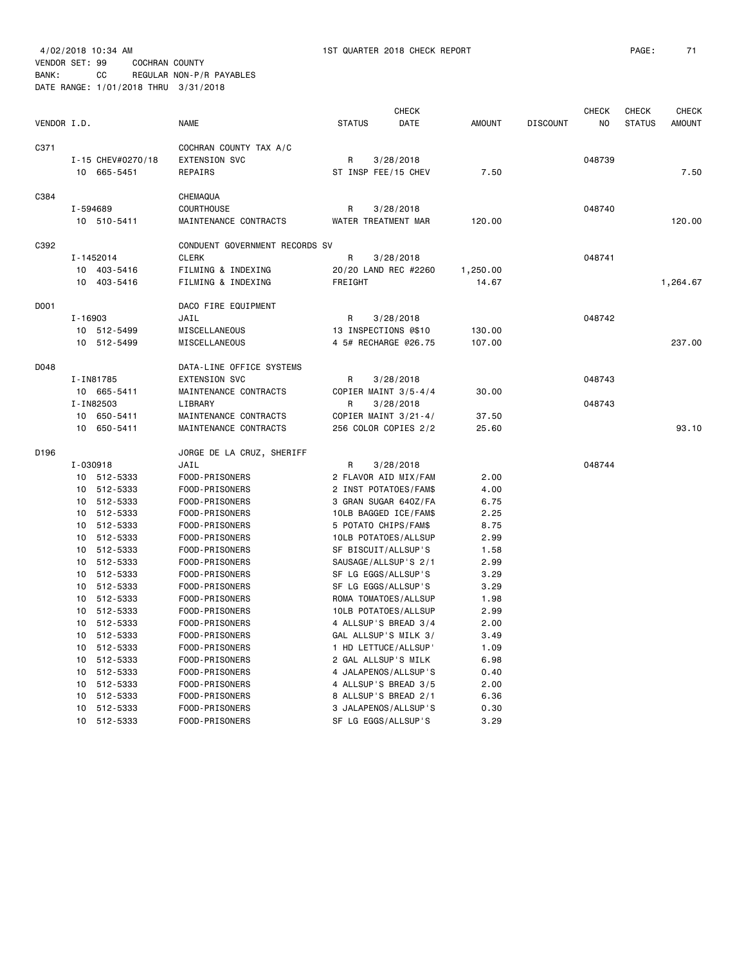BANK: CC REGULAR NON-P/R PAYABLES DATE RANGE: 1/01/2018 THRU 3/31/2018

| VENDOR I.D.<br><b>NAME</b><br><b>STATUS</b><br>DATE<br><b>AMOUNT</b><br><b>DISCOUNT</b><br>NO<br><b>STATUS</b><br><b>AMOUNT</b><br>C371<br>COCHRAN COUNTY TAX A/C<br><b>EXTENSION SVC</b><br>I-15 CHEV#0270/18<br>R<br>3/28/2018<br>048739<br>10 665-5451<br><b>REPAIRS</b><br>ST INSP FEE/15 CHEV<br>7.50<br>7.50<br>C384<br>CHEMAQUA<br><b>COURTHOUSE</b><br>I-594689<br>R<br>3/28/2018<br>048740<br>MAINTENANCE CONTRACTS<br>WATER TREATMENT MAR<br>120.00<br>120.00<br>10 510-5411<br>C392<br>CONDUENT GOVERNMENT RECORDS SV<br>I-1452014<br><b>CLERK</b><br>R<br>3/28/2018<br>048741<br>10 403-5416<br>FILMING & INDEXING<br>20/20 LAND REC #2260<br>1,250.00<br>10 403-5416<br>FILMING & INDEXING<br>FREIGHT<br>14.67<br>1,264.67<br>D001<br>DACO FIRE EQUIPMENT<br>$I - 16903$<br>3/28/2018<br>048742<br>JAIL<br>R<br>10 512-5499<br>MISCELLANEOUS<br>13 INSPECTIONS @\$10<br>130.00<br>4 5# RECHARGE @26.75<br>10 512-5499<br>MISCELLANEOUS<br>107.00<br>237,00<br>D048<br>DATA-LINE OFFICE SYSTEMS<br><b>EXTENSION SVC</b><br>I-IN81785<br>3/28/2018<br>048743<br>R<br>10 665-5411<br>MAINTENANCE CONTRACTS<br>COPIER MAINT 3/5-4/4<br>30.00<br>I-IN82503<br>LIBRARY<br>3/28/2018<br>048743<br>R<br>10<br>650-5411<br>MAINTENANCE CONTRACTS<br>COPIER MAINT 3/21-4/<br>37.50<br>256 COLOR COPIES 2/2<br>10<br>650-5411<br>MAINTENANCE CONTRACTS<br>25.60<br>93.10<br>D196<br>JORGE DE LA CRUZ, SHERIFF<br>I-030918<br>JAIL<br>3/28/2018<br>048744<br>R<br>10 512-5333<br>FOOD-PRISONERS<br>2 FLAVOR AID MIX/FAM<br>2.00<br>2 INST POTATOES/FAM\$<br>10<br>512-5333<br>FOOD-PRISONERS<br>4.00<br>512-5333<br>FOOD-PRISONERS<br>3 GRAN SUGAR 640Z/FA<br>6.75<br>10<br>512-5333<br>2.25<br>FOOD-PRISONERS<br>10LB BAGGED ICE/FAM\$<br>10<br>512-5333<br>FOOD-PRISONERS<br>5 POTATO CHIPS/FAM\$<br>8.75<br>10<br>512-5333<br>FOOD-PRISONERS<br>10LB POTATOES/ALLSUP<br>2.99<br>10<br>512-5333<br>FOOD-PRISONERS<br>SF BISCUIT/ALLSUP'S<br>1.58<br>10<br>10<br>512-5333<br>FOOD-PRISONERS<br>SAUSAGE/ALLSUP'S 2/1<br>2.99<br>512-5333<br>FOOD-PRISONERS<br>SF LG EGGS/ALLSUP'S<br>3.29<br>10<br>512-5333<br>FOOD-PRISONERS<br>SF LG EGGS/ALLSUP'S<br>3.29<br>10<br>10 512-5333<br>FOOD-PRISONERS<br>1.98<br>ROMA TOMATOES/ALLSUP<br>512-5333<br>FOOD-PRISONERS<br>10LB POTATOES/ALLSUP<br>2.99<br>10<br>512-5333<br>FOOD-PRISONERS<br>4 ALLSUP'S BREAD 3/4<br>2.00<br>10<br>GAL ALLSUP'S MILK 3/<br>512-5333<br>FOOD-PRISONERS<br>3.49<br>10<br>512-5333<br>FOOD-PRISONERS<br>1 HD LETTUCE/ALLSUP'<br>1.09<br>10<br>512-5333<br>FOOD-PRISONERS<br>2 GAL ALLSUP'S MILK<br>6.98<br>10<br>512-5333<br>FOOD-PRISONERS<br>4 JALAPENOS/ALLSUP'S<br>10<br>0.40<br>512-5333<br>FOOD-PRISONERS<br>4 ALLSUP'S BREAD 3/5<br>2.00<br>10<br>512-5333<br>FOOD-PRISONERS<br>8 ALLSUP'S BREAD 2/1<br>6.36<br>10<br>3 JALAPENOS/ALLSUP'S<br>10<br>512-5333<br>FOOD-PRISONERS<br>0.30<br>SF LG EGGS/ALLSUP'S<br>512-5333 |    |                | <b>CHECK</b> |  |      | <b>CHECK</b> | <b>CHECK</b> | <b>CHECK</b> |
|------------------------------------------------------------------------------------------------------------------------------------------------------------------------------------------------------------------------------------------------------------------------------------------------------------------------------------------------------------------------------------------------------------------------------------------------------------------------------------------------------------------------------------------------------------------------------------------------------------------------------------------------------------------------------------------------------------------------------------------------------------------------------------------------------------------------------------------------------------------------------------------------------------------------------------------------------------------------------------------------------------------------------------------------------------------------------------------------------------------------------------------------------------------------------------------------------------------------------------------------------------------------------------------------------------------------------------------------------------------------------------------------------------------------------------------------------------------------------------------------------------------------------------------------------------------------------------------------------------------------------------------------------------------------------------------------------------------------------------------------------------------------------------------------------------------------------------------------------------------------------------------------------------------------------------------------------------------------------------------------------------------------------------------------------------------------------------------------------------------------------------------------------------------------------------------------------------------------------------------------------------------------------------------------------------------------------------------------------------------------------------------------------------------------------------------------------------------------------------------------------------------------------------------------------------------------------------------------------------------------------------------------------------------------------------------------------------------------------------------------------------------------------------------------------------------------------------------------------------------------------------------------------------|----|----------------|--------------|--|------|--------------|--------------|--------------|
|                                                                                                                                                                                                                                                                                                                                                                                                                                                                                                                                                                                                                                                                                                                                                                                                                                                                                                                                                                                                                                                                                                                                                                                                                                                                                                                                                                                                                                                                                                                                                                                                                                                                                                                                                                                                                                                                                                                                                                                                                                                                                                                                                                                                                                                                                                                                                                                                                                                                                                                                                                                                                                                                                                                                                                                                                                                                                                            |    |                |              |  |      |              |              |              |
|                                                                                                                                                                                                                                                                                                                                                                                                                                                                                                                                                                                                                                                                                                                                                                                                                                                                                                                                                                                                                                                                                                                                                                                                                                                                                                                                                                                                                                                                                                                                                                                                                                                                                                                                                                                                                                                                                                                                                                                                                                                                                                                                                                                                                                                                                                                                                                                                                                                                                                                                                                                                                                                                                                                                                                                                                                                                                                            |    |                |              |  |      |              |              |              |
|                                                                                                                                                                                                                                                                                                                                                                                                                                                                                                                                                                                                                                                                                                                                                                                                                                                                                                                                                                                                                                                                                                                                                                                                                                                                                                                                                                                                                                                                                                                                                                                                                                                                                                                                                                                                                                                                                                                                                                                                                                                                                                                                                                                                                                                                                                                                                                                                                                                                                                                                                                                                                                                                                                                                                                                                                                                                                                            |    |                |              |  |      |              |              |              |
|                                                                                                                                                                                                                                                                                                                                                                                                                                                                                                                                                                                                                                                                                                                                                                                                                                                                                                                                                                                                                                                                                                                                                                                                                                                                                                                                                                                                                                                                                                                                                                                                                                                                                                                                                                                                                                                                                                                                                                                                                                                                                                                                                                                                                                                                                                                                                                                                                                                                                                                                                                                                                                                                                                                                                                                                                                                                                                            |    |                |              |  |      |              |              |              |
|                                                                                                                                                                                                                                                                                                                                                                                                                                                                                                                                                                                                                                                                                                                                                                                                                                                                                                                                                                                                                                                                                                                                                                                                                                                                                                                                                                                                                                                                                                                                                                                                                                                                                                                                                                                                                                                                                                                                                                                                                                                                                                                                                                                                                                                                                                                                                                                                                                                                                                                                                                                                                                                                                                                                                                                                                                                                                                            |    |                |              |  |      |              |              |              |
|                                                                                                                                                                                                                                                                                                                                                                                                                                                                                                                                                                                                                                                                                                                                                                                                                                                                                                                                                                                                                                                                                                                                                                                                                                                                                                                                                                                                                                                                                                                                                                                                                                                                                                                                                                                                                                                                                                                                                                                                                                                                                                                                                                                                                                                                                                                                                                                                                                                                                                                                                                                                                                                                                                                                                                                                                                                                                                            |    |                |              |  |      |              |              |              |
|                                                                                                                                                                                                                                                                                                                                                                                                                                                                                                                                                                                                                                                                                                                                                                                                                                                                                                                                                                                                                                                                                                                                                                                                                                                                                                                                                                                                                                                                                                                                                                                                                                                                                                                                                                                                                                                                                                                                                                                                                                                                                                                                                                                                                                                                                                                                                                                                                                                                                                                                                                                                                                                                                                                                                                                                                                                                                                            |    |                |              |  |      |              |              |              |
|                                                                                                                                                                                                                                                                                                                                                                                                                                                                                                                                                                                                                                                                                                                                                                                                                                                                                                                                                                                                                                                                                                                                                                                                                                                                                                                                                                                                                                                                                                                                                                                                                                                                                                                                                                                                                                                                                                                                                                                                                                                                                                                                                                                                                                                                                                                                                                                                                                                                                                                                                                                                                                                                                                                                                                                                                                                                                                            |    |                |              |  |      |              |              |              |
|                                                                                                                                                                                                                                                                                                                                                                                                                                                                                                                                                                                                                                                                                                                                                                                                                                                                                                                                                                                                                                                                                                                                                                                                                                                                                                                                                                                                                                                                                                                                                                                                                                                                                                                                                                                                                                                                                                                                                                                                                                                                                                                                                                                                                                                                                                                                                                                                                                                                                                                                                                                                                                                                                                                                                                                                                                                                                                            |    |                |              |  |      |              |              |              |
|                                                                                                                                                                                                                                                                                                                                                                                                                                                                                                                                                                                                                                                                                                                                                                                                                                                                                                                                                                                                                                                                                                                                                                                                                                                                                                                                                                                                                                                                                                                                                                                                                                                                                                                                                                                                                                                                                                                                                                                                                                                                                                                                                                                                                                                                                                                                                                                                                                                                                                                                                                                                                                                                                                                                                                                                                                                                                                            |    |                |              |  |      |              |              |              |
|                                                                                                                                                                                                                                                                                                                                                                                                                                                                                                                                                                                                                                                                                                                                                                                                                                                                                                                                                                                                                                                                                                                                                                                                                                                                                                                                                                                                                                                                                                                                                                                                                                                                                                                                                                                                                                                                                                                                                                                                                                                                                                                                                                                                                                                                                                                                                                                                                                                                                                                                                                                                                                                                                                                                                                                                                                                                                                            |    |                |              |  |      |              |              |              |
|                                                                                                                                                                                                                                                                                                                                                                                                                                                                                                                                                                                                                                                                                                                                                                                                                                                                                                                                                                                                                                                                                                                                                                                                                                                                                                                                                                                                                                                                                                                                                                                                                                                                                                                                                                                                                                                                                                                                                                                                                                                                                                                                                                                                                                                                                                                                                                                                                                                                                                                                                                                                                                                                                                                                                                                                                                                                                                            |    |                |              |  |      |              |              |              |
|                                                                                                                                                                                                                                                                                                                                                                                                                                                                                                                                                                                                                                                                                                                                                                                                                                                                                                                                                                                                                                                                                                                                                                                                                                                                                                                                                                                                                                                                                                                                                                                                                                                                                                                                                                                                                                                                                                                                                                                                                                                                                                                                                                                                                                                                                                                                                                                                                                                                                                                                                                                                                                                                                                                                                                                                                                                                                                            |    |                |              |  |      |              |              |              |
|                                                                                                                                                                                                                                                                                                                                                                                                                                                                                                                                                                                                                                                                                                                                                                                                                                                                                                                                                                                                                                                                                                                                                                                                                                                                                                                                                                                                                                                                                                                                                                                                                                                                                                                                                                                                                                                                                                                                                                                                                                                                                                                                                                                                                                                                                                                                                                                                                                                                                                                                                                                                                                                                                                                                                                                                                                                                                                            |    |                |              |  |      |              |              |              |
|                                                                                                                                                                                                                                                                                                                                                                                                                                                                                                                                                                                                                                                                                                                                                                                                                                                                                                                                                                                                                                                                                                                                                                                                                                                                                                                                                                                                                                                                                                                                                                                                                                                                                                                                                                                                                                                                                                                                                                                                                                                                                                                                                                                                                                                                                                                                                                                                                                                                                                                                                                                                                                                                                                                                                                                                                                                                                                            |    |                |              |  |      |              |              |              |
|                                                                                                                                                                                                                                                                                                                                                                                                                                                                                                                                                                                                                                                                                                                                                                                                                                                                                                                                                                                                                                                                                                                                                                                                                                                                                                                                                                                                                                                                                                                                                                                                                                                                                                                                                                                                                                                                                                                                                                                                                                                                                                                                                                                                                                                                                                                                                                                                                                                                                                                                                                                                                                                                                                                                                                                                                                                                                                            |    |                |              |  |      |              |              |              |
|                                                                                                                                                                                                                                                                                                                                                                                                                                                                                                                                                                                                                                                                                                                                                                                                                                                                                                                                                                                                                                                                                                                                                                                                                                                                                                                                                                                                                                                                                                                                                                                                                                                                                                                                                                                                                                                                                                                                                                                                                                                                                                                                                                                                                                                                                                                                                                                                                                                                                                                                                                                                                                                                                                                                                                                                                                                                                                            |    |                |              |  |      |              |              |              |
|                                                                                                                                                                                                                                                                                                                                                                                                                                                                                                                                                                                                                                                                                                                                                                                                                                                                                                                                                                                                                                                                                                                                                                                                                                                                                                                                                                                                                                                                                                                                                                                                                                                                                                                                                                                                                                                                                                                                                                                                                                                                                                                                                                                                                                                                                                                                                                                                                                                                                                                                                                                                                                                                                                                                                                                                                                                                                                            |    |                |              |  |      |              |              |              |
|                                                                                                                                                                                                                                                                                                                                                                                                                                                                                                                                                                                                                                                                                                                                                                                                                                                                                                                                                                                                                                                                                                                                                                                                                                                                                                                                                                                                                                                                                                                                                                                                                                                                                                                                                                                                                                                                                                                                                                                                                                                                                                                                                                                                                                                                                                                                                                                                                                                                                                                                                                                                                                                                                                                                                                                                                                                                                                            |    |                |              |  |      |              |              |              |
|                                                                                                                                                                                                                                                                                                                                                                                                                                                                                                                                                                                                                                                                                                                                                                                                                                                                                                                                                                                                                                                                                                                                                                                                                                                                                                                                                                                                                                                                                                                                                                                                                                                                                                                                                                                                                                                                                                                                                                                                                                                                                                                                                                                                                                                                                                                                                                                                                                                                                                                                                                                                                                                                                                                                                                                                                                                                                                            |    |                |              |  |      |              |              |              |
|                                                                                                                                                                                                                                                                                                                                                                                                                                                                                                                                                                                                                                                                                                                                                                                                                                                                                                                                                                                                                                                                                                                                                                                                                                                                                                                                                                                                                                                                                                                                                                                                                                                                                                                                                                                                                                                                                                                                                                                                                                                                                                                                                                                                                                                                                                                                                                                                                                                                                                                                                                                                                                                                                                                                                                                                                                                                                                            |    |                |              |  |      |              |              |              |
|                                                                                                                                                                                                                                                                                                                                                                                                                                                                                                                                                                                                                                                                                                                                                                                                                                                                                                                                                                                                                                                                                                                                                                                                                                                                                                                                                                                                                                                                                                                                                                                                                                                                                                                                                                                                                                                                                                                                                                                                                                                                                                                                                                                                                                                                                                                                                                                                                                                                                                                                                                                                                                                                                                                                                                                                                                                                                                            |    |                |              |  |      |              |              |              |
|                                                                                                                                                                                                                                                                                                                                                                                                                                                                                                                                                                                                                                                                                                                                                                                                                                                                                                                                                                                                                                                                                                                                                                                                                                                                                                                                                                                                                                                                                                                                                                                                                                                                                                                                                                                                                                                                                                                                                                                                                                                                                                                                                                                                                                                                                                                                                                                                                                                                                                                                                                                                                                                                                                                                                                                                                                                                                                            |    |                |              |  |      |              |              |              |
|                                                                                                                                                                                                                                                                                                                                                                                                                                                                                                                                                                                                                                                                                                                                                                                                                                                                                                                                                                                                                                                                                                                                                                                                                                                                                                                                                                                                                                                                                                                                                                                                                                                                                                                                                                                                                                                                                                                                                                                                                                                                                                                                                                                                                                                                                                                                                                                                                                                                                                                                                                                                                                                                                                                                                                                                                                                                                                            |    |                |              |  |      |              |              |              |
|                                                                                                                                                                                                                                                                                                                                                                                                                                                                                                                                                                                                                                                                                                                                                                                                                                                                                                                                                                                                                                                                                                                                                                                                                                                                                                                                                                                                                                                                                                                                                                                                                                                                                                                                                                                                                                                                                                                                                                                                                                                                                                                                                                                                                                                                                                                                                                                                                                                                                                                                                                                                                                                                                                                                                                                                                                                                                                            |    |                |              |  |      |              |              |              |
|                                                                                                                                                                                                                                                                                                                                                                                                                                                                                                                                                                                                                                                                                                                                                                                                                                                                                                                                                                                                                                                                                                                                                                                                                                                                                                                                                                                                                                                                                                                                                                                                                                                                                                                                                                                                                                                                                                                                                                                                                                                                                                                                                                                                                                                                                                                                                                                                                                                                                                                                                                                                                                                                                                                                                                                                                                                                                                            |    |                |              |  |      |              |              |              |
|                                                                                                                                                                                                                                                                                                                                                                                                                                                                                                                                                                                                                                                                                                                                                                                                                                                                                                                                                                                                                                                                                                                                                                                                                                                                                                                                                                                                                                                                                                                                                                                                                                                                                                                                                                                                                                                                                                                                                                                                                                                                                                                                                                                                                                                                                                                                                                                                                                                                                                                                                                                                                                                                                                                                                                                                                                                                                                            |    |                |              |  |      |              |              |              |
|                                                                                                                                                                                                                                                                                                                                                                                                                                                                                                                                                                                                                                                                                                                                                                                                                                                                                                                                                                                                                                                                                                                                                                                                                                                                                                                                                                                                                                                                                                                                                                                                                                                                                                                                                                                                                                                                                                                                                                                                                                                                                                                                                                                                                                                                                                                                                                                                                                                                                                                                                                                                                                                                                                                                                                                                                                                                                                            |    |                |              |  |      |              |              |              |
|                                                                                                                                                                                                                                                                                                                                                                                                                                                                                                                                                                                                                                                                                                                                                                                                                                                                                                                                                                                                                                                                                                                                                                                                                                                                                                                                                                                                                                                                                                                                                                                                                                                                                                                                                                                                                                                                                                                                                                                                                                                                                                                                                                                                                                                                                                                                                                                                                                                                                                                                                                                                                                                                                                                                                                                                                                                                                                            |    |                |              |  |      |              |              |              |
|                                                                                                                                                                                                                                                                                                                                                                                                                                                                                                                                                                                                                                                                                                                                                                                                                                                                                                                                                                                                                                                                                                                                                                                                                                                                                                                                                                                                                                                                                                                                                                                                                                                                                                                                                                                                                                                                                                                                                                                                                                                                                                                                                                                                                                                                                                                                                                                                                                                                                                                                                                                                                                                                                                                                                                                                                                                                                                            |    |                |              |  |      |              |              |              |
|                                                                                                                                                                                                                                                                                                                                                                                                                                                                                                                                                                                                                                                                                                                                                                                                                                                                                                                                                                                                                                                                                                                                                                                                                                                                                                                                                                                                                                                                                                                                                                                                                                                                                                                                                                                                                                                                                                                                                                                                                                                                                                                                                                                                                                                                                                                                                                                                                                                                                                                                                                                                                                                                                                                                                                                                                                                                                                            |    |                |              |  |      |              |              |              |
|                                                                                                                                                                                                                                                                                                                                                                                                                                                                                                                                                                                                                                                                                                                                                                                                                                                                                                                                                                                                                                                                                                                                                                                                                                                                                                                                                                                                                                                                                                                                                                                                                                                                                                                                                                                                                                                                                                                                                                                                                                                                                                                                                                                                                                                                                                                                                                                                                                                                                                                                                                                                                                                                                                                                                                                                                                                                                                            |    |                |              |  |      |              |              |              |
|                                                                                                                                                                                                                                                                                                                                                                                                                                                                                                                                                                                                                                                                                                                                                                                                                                                                                                                                                                                                                                                                                                                                                                                                                                                                                                                                                                                                                                                                                                                                                                                                                                                                                                                                                                                                                                                                                                                                                                                                                                                                                                                                                                                                                                                                                                                                                                                                                                                                                                                                                                                                                                                                                                                                                                                                                                                                                                            |    |                |              |  |      |              |              |              |
|                                                                                                                                                                                                                                                                                                                                                                                                                                                                                                                                                                                                                                                                                                                                                                                                                                                                                                                                                                                                                                                                                                                                                                                                                                                                                                                                                                                                                                                                                                                                                                                                                                                                                                                                                                                                                                                                                                                                                                                                                                                                                                                                                                                                                                                                                                                                                                                                                                                                                                                                                                                                                                                                                                                                                                                                                                                                                                            |    |                |              |  |      |              |              |              |
|                                                                                                                                                                                                                                                                                                                                                                                                                                                                                                                                                                                                                                                                                                                                                                                                                                                                                                                                                                                                                                                                                                                                                                                                                                                                                                                                                                                                                                                                                                                                                                                                                                                                                                                                                                                                                                                                                                                                                                                                                                                                                                                                                                                                                                                                                                                                                                                                                                                                                                                                                                                                                                                                                                                                                                                                                                                                                                            |    |                |              |  |      |              |              |              |
|                                                                                                                                                                                                                                                                                                                                                                                                                                                                                                                                                                                                                                                                                                                                                                                                                                                                                                                                                                                                                                                                                                                                                                                                                                                                                                                                                                                                                                                                                                                                                                                                                                                                                                                                                                                                                                                                                                                                                                                                                                                                                                                                                                                                                                                                                                                                                                                                                                                                                                                                                                                                                                                                                                                                                                                                                                                                                                            |    |                |              |  |      |              |              |              |
|                                                                                                                                                                                                                                                                                                                                                                                                                                                                                                                                                                                                                                                                                                                                                                                                                                                                                                                                                                                                                                                                                                                                                                                                                                                                                                                                                                                                                                                                                                                                                                                                                                                                                                                                                                                                                                                                                                                                                                                                                                                                                                                                                                                                                                                                                                                                                                                                                                                                                                                                                                                                                                                                                                                                                                                                                                                                                                            |    |                |              |  |      |              |              |              |
|                                                                                                                                                                                                                                                                                                                                                                                                                                                                                                                                                                                                                                                                                                                                                                                                                                                                                                                                                                                                                                                                                                                                                                                                                                                                                                                                                                                                                                                                                                                                                                                                                                                                                                                                                                                                                                                                                                                                                                                                                                                                                                                                                                                                                                                                                                                                                                                                                                                                                                                                                                                                                                                                                                                                                                                                                                                                                                            |    |                |              |  |      |              |              |              |
|                                                                                                                                                                                                                                                                                                                                                                                                                                                                                                                                                                                                                                                                                                                                                                                                                                                                                                                                                                                                                                                                                                                                                                                                                                                                                                                                                                                                                                                                                                                                                                                                                                                                                                                                                                                                                                                                                                                                                                                                                                                                                                                                                                                                                                                                                                                                                                                                                                                                                                                                                                                                                                                                                                                                                                                                                                                                                                            |    |                |              |  |      |              |              |              |
|                                                                                                                                                                                                                                                                                                                                                                                                                                                                                                                                                                                                                                                                                                                                                                                                                                                                                                                                                                                                                                                                                                                                                                                                                                                                                                                                                                                                                                                                                                                                                                                                                                                                                                                                                                                                                                                                                                                                                                                                                                                                                                                                                                                                                                                                                                                                                                                                                                                                                                                                                                                                                                                                                                                                                                                                                                                                                                            |    |                |              |  |      |              |              |              |
|                                                                                                                                                                                                                                                                                                                                                                                                                                                                                                                                                                                                                                                                                                                                                                                                                                                                                                                                                                                                                                                                                                                                                                                                                                                                                                                                                                                                                                                                                                                                                                                                                                                                                                                                                                                                                                                                                                                                                                                                                                                                                                                                                                                                                                                                                                                                                                                                                                                                                                                                                                                                                                                                                                                                                                                                                                                                                                            |    |                |              |  |      |              |              |              |
|                                                                                                                                                                                                                                                                                                                                                                                                                                                                                                                                                                                                                                                                                                                                                                                                                                                                                                                                                                                                                                                                                                                                                                                                                                                                                                                                                                                                                                                                                                                                                                                                                                                                                                                                                                                                                                                                                                                                                                                                                                                                                                                                                                                                                                                                                                                                                                                                                                                                                                                                                                                                                                                                                                                                                                                                                                                                                                            |    |                |              |  |      |              |              |              |
|                                                                                                                                                                                                                                                                                                                                                                                                                                                                                                                                                                                                                                                                                                                                                                                                                                                                                                                                                                                                                                                                                                                                                                                                                                                                                                                                                                                                                                                                                                                                                                                                                                                                                                                                                                                                                                                                                                                                                                                                                                                                                                                                                                                                                                                                                                                                                                                                                                                                                                                                                                                                                                                                                                                                                                                                                                                                                                            | 10 | FOOD-PRISONERS |              |  | 3.29 |              |              |              |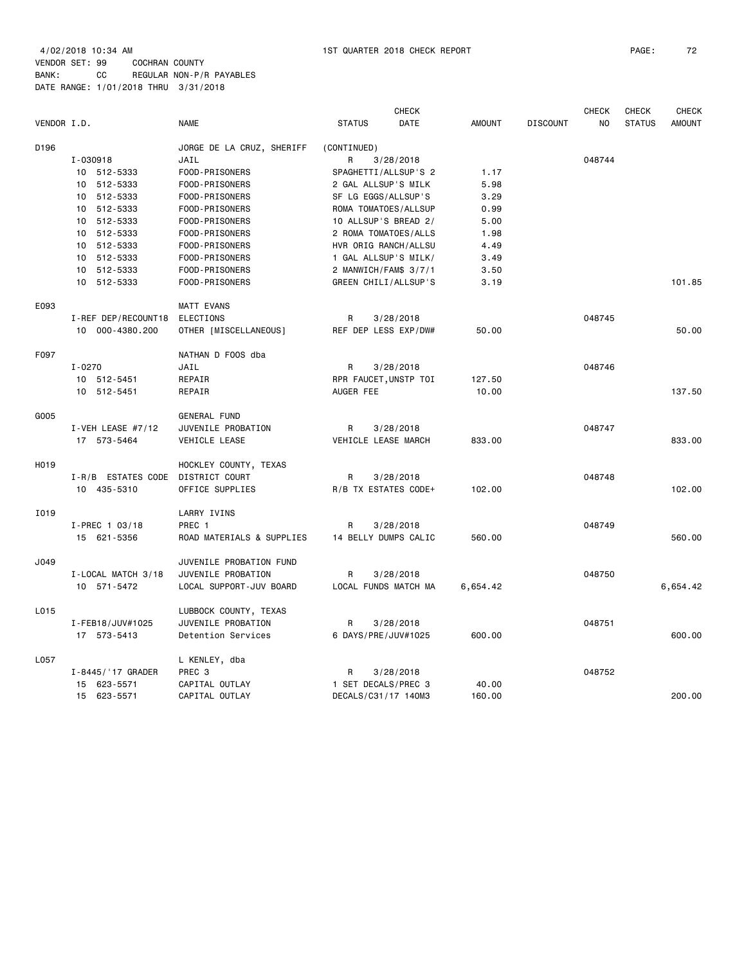4/02/2018 10:34 AM 1ST QUARTER 2018 CHECK REPORT PAGE: 72 VENDOR SET: 99 COCHRAN COUNTY

BANK: CC REGULAR NON-P/R PAYABLES DATE RANGE: 1/01/2018 THRU 3/31/2018

|             |                     |                           | <b>CHECK</b>          |                      |               |                 |        | <b>CHECK</b>  | <b>CHECK</b>  |
|-------------|---------------------|---------------------------|-----------------------|----------------------|---------------|-----------------|--------|---------------|---------------|
| VENDOR I.D. |                     | <b>NAME</b>               | <b>STATUS</b>         | DATE                 | <b>AMOUNT</b> | <b>DISCOUNT</b> | NO.    | <b>STATUS</b> | <b>AMOUNT</b> |
| D196        |                     | JORGE DE LA CRUZ, SHERIFF | (CONTINUED)           |                      |               |                 |        |               |               |
|             | I-030918            | JAIL                      | R                     | 3/28/2018            |               |                 | 048744 |               |               |
|             | 10 512-5333         | FOOD-PRISONERS            | SPAGHETTI/ALLSUP'S 2  |                      | 1.17          |                 |        |               |               |
|             | 10 512-5333         | FOOD-PRISONERS            | 2 GAL ALLSUP'S MILK   |                      | 5.98          |                 |        |               |               |
|             | 10 512-5333         | FOOD-PRISONERS            | SF LG EGGS/ALLSUP'S   |                      | 3.29          |                 |        |               |               |
|             | 10 512-5333         | FOOD-PRISONERS            | ROMA TOMATOES/ALLSUP  |                      | 0.99          |                 |        |               |               |
|             | 10 512-5333         | FOOD-PRISONERS            | 10 ALLSUP'S BREAD 2/  |                      | 5.00          |                 |        |               |               |
|             | 10 512-5333         | FOOD-PRISONERS            |                       | 2 ROMA TOMATOES/ALLS | 1.98          |                 |        |               |               |
|             | 10 512-5333         | FOOD-PRISONERS            |                       | HVR ORIG RANCH/ALLSU | 4.49          |                 |        |               |               |
|             | 10 512-5333         | FOOD-PRISONERS            | 1 GAL ALLSUP'S MILK/  |                      | 3.49          |                 |        |               |               |
|             | 10 512-5333         | FOOD-PRISONERS            | 2 MANWICH/FAM\$ 3/7/1 |                      | 3.50          |                 |        |               |               |
|             | 10 512-5333         | FOOD-PRISONERS            |                       | GREEN CHILI/ALLSUP'S | 3.19          |                 |        |               | 101.85        |
| E093        |                     | <b>MATT EVANS</b>         |                       |                      |               |                 |        |               |               |
|             | I-REF DEP/RECOUNT18 | <b>ELECTIONS</b>          | R                     | 3/28/2018            |               |                 | 048745 |               |               |
|             | 10 000-4380.200     | OTHER [MISCELLANEOUS]     | REF DEP LESS EXP/DW#  |                      | 50.00         |                 |        |               | 50.00         |
| F097        |                     | NATHAN D FOOS dba         |                       |                      |               |                 |        |               |               |
|             | $I - 0270$          | JAIL                      | R                     | 3/28/2018            |               |                 | 048746 |               |               |
|             | 10 512-5451         | REPAIR                    | RPR FAUCET, UNSTP TOI |                      | 127.50        |                 |        |               |               |
|             | 10 512-5451         | REPAIR                    | AUGER FEE             |                      | 10.00         |                 |        |               | 137.50        |
| G005        |                     | GENERAL FUND              |                       |                      |               |                 |        |               |               |
|             | I-VEH LEASE #7/12   | JUVENILE PROBATION        | R                     | 3/28/2018            |               |                 | 048747 |               |               |
|             | 17 573-5464         | VEHICLE LEASE             | VEHICLE LEASE MARCH   |                      | 833.00        |                 |        |               | 833.00        |
| H019        |                     | HOCKLEY COUNTY, TEXAS     |                       |                      |               |                 |        |               |               |
|             | I-R/B ESTATES CODE  | DISTRICT COURT            | R                     | 3/28/2018            |               |                 | 048748 |               |               |
|             | 10 435-5310         | OFFICE SUPPLIES           |                       | R/B TX ESTATES CODE+ | 102.00        |                 |        |               | 102.00        |
| I019        |                     | LARRY IVINS               |                       |                      |               |                 |        |               |               |
|             | $I-PREC$ 1 03/18    | PREC 1                    | R                     | 3/28/2018            |               |                 | 048749 |               |               |
|             | 15 621-5356         | ROAD MATERIALS & SUPPLIES |                       | 14 BELLY DUMPS CALIC | 560.00        |                 |        |               | 560.00        |
| J049        |                     | JUVENILE PROBATION FUND   |                       |                      |               |                 |        |               |               |
|             | I-LOCAL MATCH 3/18  | JUVENILE PROBATION        | R                     | 3/28/2018            |               |                 | 048750 |               |               |
|             | 10 571-5472         | LOCAL SUPPORT-JUV BOARD   |                       | LOCAL FUNDS MATCH MA | 6,654.42      |                 |        |               | 6,654.42      |
| L015        |                     | LUBBOCK COUNTY, TEXAS     |                       |                      |               |                 |        |               |               |
|             | I-FEB18/JUV#1025    | JUVENILE PROBATION        | R                     | 3/28/2018            |               |                 | 048751 |               |               |
|             | 17 573-5413         | Detention Services        | 6 DAYS/PRE/JUV#1025   |                      | 600.00        |                 |        |               | 600.00        |
| L057        |                     | L KENLEY, dba             |                       |                      |               |                 |        |               |               |
|             | I-8445/'17 GRADER   | PREC <sub>3</sub>         | R                     | 3/28/2018            |               |                 | 048752 |               |               |
|             | 15 623-5571         | CAPITAL OUTLAY            | 1 SET DECALS/PREC 3   |                      | 40.00         |                 |        |               |               |
|             | 15 623-5571         | CAPITAL OUTLAY            | DECALS/C31/17 140M3   |                      | 160.00        |                 |        |               | 200.00        |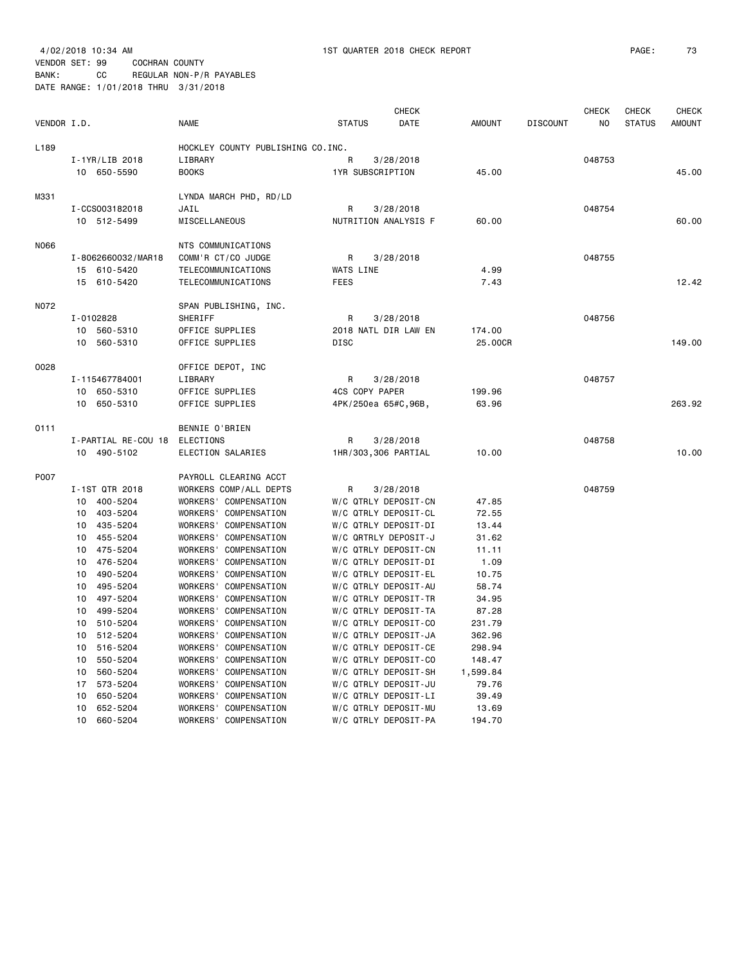#### VENDOR SET: 99 COCHRAN COUNTY BANK: CC REGULAR NON-P/R PAYABLES DATE RANGE: 1/01/2018 THRU 3/31/2018

| VENDOR I.D. |                                  | <b>NAME</b>                                    | <b>STATUS</b>                                | <b>CHECK</b><br>DATE | <b>AMOUNT</b>    | <b>DISCOUNT</b> | <b>CHECK</b><br>NO | <b>CHECK</b><br><b>STATUS</b> | <b>CHECK</b><br><b>AMOUNT</b> |
|-------------|----------------------------------|------------------------------------------------|----------------------------------------------|----------------------|------------------|-----------------|--------------------|-------------------------------|-------------------------------|
| L189        |                                  | HOCKLEY COUNTY PUBLISHING CO.INC.              |                                              |                      |                  |                 |                    |                               |                               |
|             | $I-1YR/LIB$ 2018                 | LIBRARY                                        | R                                            | 3/28/2018            |                  |                 | 048753             |                               |                               |
|             | 10 650-5590                      | <b>BOOKS</b>                                   | 1YR SUBSCRIPTION                             |                      | 45.00            |                 |                    |                               | 45.00                         |
|             |                                  |                                                |                                              |                      |                  |                 |                    |                               |                               |
| M331        |                                  | LYNDA MARCH PHD, RD/LD                         |                                              |                      |                  |                 |                    |                               |                               |
|             | I-CCS003182018                   | JAIL                                           | R                                            | 3/28/2018            |                  |                 | 048754             |                               |                               |
|             | 10 512-5499                      | MISCELLANEOUS                                  | NUTRITION ANALYSIS F                         |                      | 60.00            |                 |                    |                               | 60.00                         |
| N066        |                                  | NTS COMMUNICATIONS                             |                                              |                      |                  |                 |                    |                               |                               |
|             | I-8062660032/MAR18               | COMM'R CT/CO JUDGE                             | R                                            | 3/28/2018            |                  |                 | 048755             |                               |                               |
|             | 15 610-5420                      | TELECOMMUNICATIONS                             | WATS LINE                                    |                      | 4.99             |                 |                    |                               |                               |
|             | 15 610-5420                      | TELECOMMUNICATIONS                             | <b>FEES</b>                                  |                      | 7.43             |                 |                    |                               | 12.42                         |
|             |                                  |                                                |                                              |                      |                  |                 |                    |                               |                               |
| N072        |                                  | SPAN PUBLISHING, INC.                          |                                              |                      |                  |                 |                    |                               |                               |
|             | I-0102828                        | SHERIFF                                        | R                                            | 3/28/2018            |                  |                 | 048756             |                               |                               |
|             | 10 560-5310                      | OFFICE SUPPLIES                                | 2018 NATL DIR LAW EN                         |                      | 174.00           |                 |                    |                               |                               |
|             | 10<br>560-5310                   | OFFICE SUPPLIES                                | <b>DISC</b>                                  |                      | 25.00CR          |                 |                    |                               | 149.00                        |
| 0028        |                                  | OFFICE DEPOT, INC                              |                                              |                      |                  |                 |                    |                               |                               |
|             | I-115467784001                   | LIBRARY                                        | R                                            | 3/28/2018            |                  |                 | 048757             |                               |                               |
|             | 10 650-5310                      | OFFICE SUPPLIES                                | 4CS COPY PAPER                               |                      | 199.96           |                 |                    |                               |                               |
|             | 10 650-5310                      | OFFICE SUPPLIES                                | 4PK/250ea 65#C,96B,                          |                      | 63.96            |                 |                    |                               | 263.92                        |
|             |                                  |                                                |                                              |                      |                  |                 |                    |                               |                               |
| 0111        | I-PARTIAL RE-COU 18              | BENNIE O'BRIEN                                 | R                                            | 3/28/2018            |                  |                 | 048758             |                               |                               |
|             | 10 490-5102                      | ELECTIONS<br>ELECTION SALARIES                 | 1HR/303,306 PARTIAL                          |                      | 10.00            |                 |                    |                               | 10.00                         |
|             |                                  |                                                |                                              |                      |                  |                 |                    |                               |                               |
| P007        |                                  | PAYROLL CLEARING ACCT                          |                                              |                      |                  |                 |                    |                               |                               |
|             | I-1ST QTR 2018                   | WORKERS COMP/ALL DEPTS                         | R                                            | 3/28/2018            |                  |                 | 048759             |                               |                               |
|             | 10 400-5204                      | WORKERS' COMPENSATION                          | W/C QTRLY DEPOSIT-CN                         |                      | 47.85            |                 |                    |                               |                               |
|             | 403-5204<br>10                   | WORKERS' COMPENSATION                          | W/C QTRLY DEPOSIT-CL                         |                      | 72.55            |                 |                    |                               |                               |
|             | 10<br>435-5204                   | WORKERS' COMPENSATION                          | W/C QTRLY DEPOSIT-DI                         |                      | 13.44            |                 |                    |                               |                               |
|             | 455-5204<br>10                   | WORKERS' COMPENSATION                          | W/C QRTRLY DEPOSIT-J                         |                      | 31.62            |                 |                    |                               |                               |
|             | 10<br>475-5204                   | WORKERS' COMPENSATION                          | W/C QTRLY DEPOSIT-CN                         |                      | 11.11            |                 |                    |                               |                               |
|             | 476-5204<br>10                   | WORKERS' COMPENSATION                          | W/C QTRLY DEPOSIT-DI                         |                      | 1.09             |                 |                    |                               |                               |
|             | 490-5204<br>10                   | WORKERS' COMPENSATION                          | W/C QTRLY DEPOSIT-EL                         |                      | 10.75            |                 |                    |                               |                               |
|             | 495-5204<br>10                   | WORKERS' COMPENSATION                          | W/C QTRLY DEPOSIT-AU                         |                      | 58.74            |                 |                    |                               |                               |
|             | 497-5204<br>10                   | WORKERS' COMPENSATION                          | W/C QTRLY DEPOSIT-TR                         |                      | 34.95            |                 |                    |                               |                               |
|             | 10<br>499-5204                   | WORKERS' COMPENSATION                          | W/C QTRLY DEPOSIT-TA                         |                      | 87.28            |                 |                    |                               |                               |
|             | 510-5204<br>10                   | WORKERS' COMPENSATION                          | W/C QTRLY DEPOSIT-CO                         |                      | 231.79           |                 |                    |                               |                               |
|             | 10<br>512-5204<br>516-5204<br>10 | WORKERS' COMPENSATION<br>WORKERS' COMPENSATION | W/C QTRLY DEPOSIT-JA<br>W/C QTRLY DEPOSIT-CE |                      | 362.96<br>298.94 |                 |                    |                               |                               |
|             | 10<br>550-5204                   | WORKERS' COMPENSATION                          | W/C QTRLY DEPOSIT-CO                         |                      | 148.47           |                 |                    |                               |                               |
|             | 10<br>560-5204                   | WORKERS'<br>COMPENSATION                       | W/C QTRLY DEPOSIT-SH                         |                      | 1,599.84         |                 |                    |                               |                               |
|             | 17<br>573-5204                   | <b>WORKERS'</b><br>COMPENSATION                | W/C QTRLY DEPOSIT-JU                         |                      | 79.76            |                 |                    |                               |                               |
|             | 10<br>650-5204                   | <b>WORKERS'</b><br>COMPENSATION                | W/C QTRLY DEPOSIT-LI                         |                      | 39.49            |                 |                    |                               |                               |
|             | 652-5204<br>10                   | WORKERS' COMPENSATION                          | W/C QTRLY DEPOSIT-MU                         |                      | 13.69            |                 |                    |                               |                               |

10 660-5204 WORKERS' COMPENSATION W/C QTRLY DEPOSIT-PA 194.70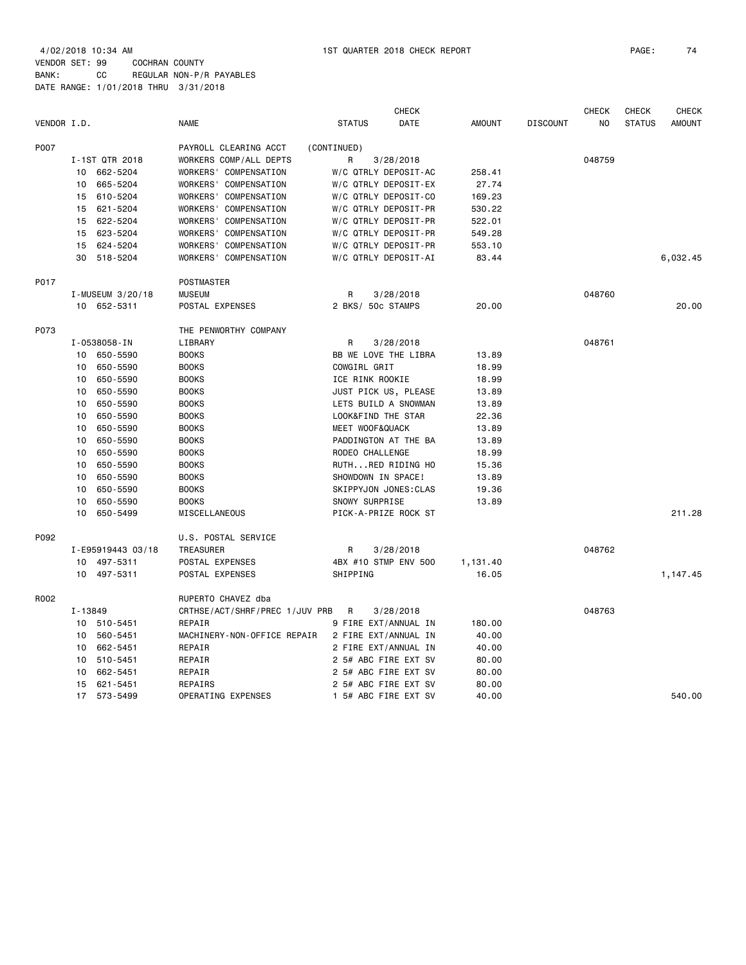4/02/2018 10:34 AM 1ST QUARTER 2018 CHECK REPORT PAGE: 74 VENDOR SET: 99 COCHRAN COUNTY BANK: CC REGULAR NON-P/R PAYABLES DATE RANGE: 1/01/2018 THRU 3/31/2018

| VENDOR I.D. |                   | <b>NAME</b>                    | CHECK<br>DATE<br><b>STATUS</b> | <b>AMOUNT</b> | <b>DISCOUNT</b> | <b>CHECK</b><br>N <sub>0</sub> | CHECK<br><b>STATUS</b> | CHECK<br><b>AMOUNT</b> |
|-------------|-------------------|--------------------------------|--------------------------------|---------------|-----------------|--------------------------------|------------------------|------------------------|
| P007        |                   | PAYROLL CLEARING ACCT          | (CONTINUED)                    |               |                 |                                |                        |                        |
|             | I-1ST QTR 2018    | WORKERS COMP/ALL DEPTS         | R<br>3/28/2018                 |               |                 | 048759                         |                        |                        |
|             | 10 662-5204       | WORKERS' COMPENSATION          | W/C QTRLY DEPOSIT-AC           | 258.41        |                 |                                |                        |                        |
|             | 665-5204<br>10    | WORKERS' COMPENSATION          | W/C QTRLY DEPOSIT-EX           | 27.74         |                 |                                |                        |                        |
|             | 610-5204<br>15    | WORKERS' COMPENSATION          | W/C QTRLY DEPOSIT-CO           | 169.23        |                 |                                |                        |                        |
|             | 621-5204<br>15    | WORKERS' COMPENSATION          | W/C QTRLY DEPOSIT-PR           | 530.22        |                 |                                |                        |                        |
|             | 622-5204<br>15    | WORKERS' COMPENSATION          | W/C QTRLY DEPOSIT-PR           | 522.01        |                 |                                |                        |                        |
|             | 15 623-5204       | WORKERS' COMPENSATION          | W/C QTRLY DEPOSIT-PR           | 549.28        |                 |                                |                        |                        |
|             | 15 624-5204       | WORKERS' COMPENSATION          | W/C QTRLY DEPOSIT-PR           | 553.10        |                 |                                |                        |                        |
|             | 30<br>518-5204    | WORKERS' COMPENSATION          | W/C QTRLY DEPOSIT-AI           | 83.44         |                 |                                |                        | 6,032.45               |
| P017        |                   | POSTMASTER                     |                                |               |                 |                                |                        |                        |
|             | I-MUSEUM 3/20/18  | <b>MUSEUM</b>                  | R<br>3/28/2018                 |               |                 | 048760                         |                        |                        |
|             | 10 652-5311       | POSTAL EXPENSES                | 2 BKS/ 50c STAMPS              | 20,00         |                 |                                |                        | 20.00                  |
| P073        |                   | THE PENWORTHY COMPANY          |                                |               |                 |                                |                        |                        |
|             | I-0538058-IN      | LIBRARY                        | R<br>3/28/2018                 |               |                 | 048761                         |                        |                        |
|             | 650-5590<br>10    | <b>BOOKS</b>                   | BB WE LOVE THE LIBRA           | 13.89         |                 |                                |                        |                        |
|             | 650-5590<br>10    | <b>BOOKS</b>                   | COWGIRL GRIT                   | 18.99         |                 |                                |                        |                        |
|             | 650-5590<br>10    | <b>BOOKS</b>                   | ICE RINK ROOKIE                | 18.99         |                 |                                |                        |                        |
|             | 650-5590<br>10    | <b>BOOKS</b>                   | JUST PICK US, PLEASE           | 13.89         |                 |                                |                        |                        |
|             | 10<br>650-5590    | <b>BOOKS</b>                   | LETS BUILD A SNOWMAN           | 13.89         |                 |                                |                        |                        |
|             | 650-5590<br>10    | <b>BOOKS</b>                   | LOOK&FIND THE STAR             | 22.36         |                 |                                |                        |                        |
|             | 650-5590<br>10    | <b>BOOKS</b>                   | MEET WOOF&QUACK                | 13.89         |                 |                                |                        |                        |
|             | 10<br>650-5590    | <b>BOOKS</b>                   | PADDINGTON AT THE BA           | 13.89         |                 |                                |                        |                        |
|             | 650-5590<br>10    | <b>BOOKS</b>                   | RODEO CHALLENGE                | 18.99         |                 |                                |                        |                        |
|             | 650-5590<br>10    | <b>BOOKS</b>                   | RUTHRED RIDING HO              | 15.36         |                 |                                |                        |                        |
|             | 650-5590<br>10    | <b>BOOKS</b>                   | SHOWDOWN IN SPACE!             | 13.89         |                 |                                |                        |                        |
|             | 10<br>650-5590    | <b>BOOKS</b>                   | SKIPPYJON JONES: CLAS          | 19.36         |                 |                                |                        |                        |
|             | 650-5590<br>10    | <b>BOOKS</b>                   | SNOWY SURPRISE                 | 13.89         |                 |                                |                        |                        |
|             | 10<br>650-5499    | MISCELLANEOUS                  | PICK-A-PRIZE ROCK ST           |               |                 |                                |                        | 211.28                 |
| P092        |                   | U.S. POSTAL SERVICE            |                                |               |                 |                                |                        |                        |
|             | I-E95919443 03/18 | <b>TREASURER</b>               | 3/28/2018<br>R                 |               |                 | 048762                         |                        |                        |
|             | 10 497-5311       | POSTAL EXPENSES                | 4BX #10 STMP ENV 500           | 1,131.40      |                 |                                |                        |                        |
|             | 10 497-5311       | POSTAL EXPENSES                | SHIPPING                       | 16.05         |                 |                                |                        | 1,147.45               |
| R002        |                   | RUPERTO CHAVEZ dba             |                                |               |                 |                                |                        |                        |
|             | I-13849           | CRTHSE/ACT/SHRF/PREC 1/JUV PRB | R<br>3/28/2018                 |               |                 | 048763                         |                        |                        |
|             | 10 510-5451       | REPAIR                         | 9 FIRE EXT/ANNUAL IN           | 180.00        |                 |                                |                        |                        |
|             | 560-5451<br>10    | MACHINERY-NON-OFFICE REPAIR    | 2 FIRE EXT/ANNUAL IN           | 40.00         |                 |                                |                        |                        |
|             | 662-5451<br>10    | REPAIR                         | 2 FIRE EXT/ANNUAL IN           | 40.00         |                 |                                |                        |                        |
|             | 510-5451<br>10    | REPAIR                         | 2 5# ABC FIRE EXT SV           | 80.00         |                 |                                |                        |                        |
|             | 10<br>662-5451    | REPAIR                         | 2 5# ABC FIRE EXT SV           | 80.00         |                 |                                |                        |                        |
|             | 15<br>621-5451    | REPAIRS                        | 2 5# ABC FIRE EXT SV           | 80.00         |                 |                                |                        |                        |
|             | 17 573-5499       | OPERATING EXPENSES             | 1 5# ABC FIRE EXT SV           | 40.00         |                 |                                |                        | 540.00                 |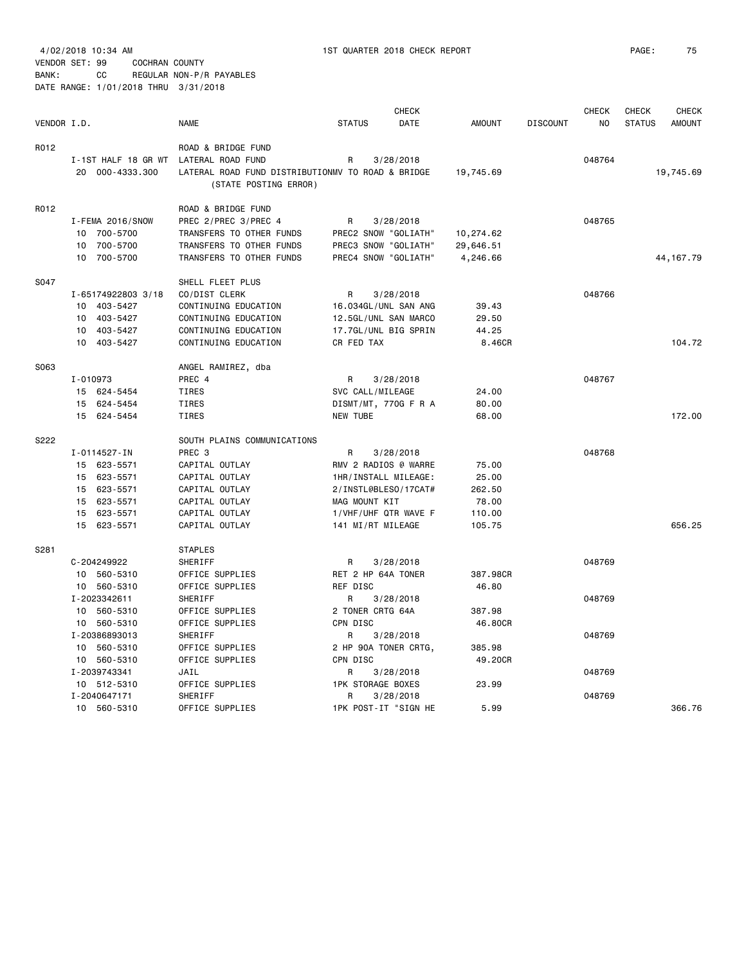VENDOR SET: 99 COCHRAN COUNTY BANK: CC REGULAR NON-P/R PAYABLES

|             |                     |                                                   |                          | <b>CHECK</b> |               |                 | <b>CHECK</b> | <b>CHECK</b>  | <b>CHECK</b>  |
|-------------|---------------------|---------------------------------------------------|--------------------------|--------------|---------------|-----------------|--------------|---------------|---------------|
| VENDOR I.D. |                     | <b>NAME</b>                                       | <b>STATUS</b>            | DATE         | <b>AMOUNT</b> | <b>DISCOUNT</b> | NO.          | <b>STATUS</b> | <b>AMOUNT</b> |
| R012        |                     | ROAD & BRIDGE FUND                                |                          |              |               |                 |              |               |               |
|             | I-1ST HALF 18 GR WT | LATERAL ROAD FUND                                 | R                        | 3/28/2018    |               |                 | 048764       |               |               |
|             | 20 000-4333.300     | LATERAL ROAD FUND DISTRIBUTIONMV TO ROAD & BRIDGE |                          |              | 19,745.69     |                 |              |               | 19,745.69     |
|             |                     | (STATE POSTING ERROR)                             |                          |              |               |                 |              |               |               |
| R012        |                     | ROAD & BRIDGE FUND                                |                          |              |               |                 |              |               |               |
|             | I-FEMA 2016/SNOW    | PREC 2/PREC 3/PREC 4                              | R                        | 3/28/2018    |               |                 | 048765       |               |               |
|             | 10 700-5700         | TRANSFERS TO OTHER FUNDS                          | PREC2 SNOW "GOLIATH"     |              | 10,274.62     |                 |              |               |               |
|             | 10 700-5700         | TRANSFERS TO OTHER FUNDS                          | PREC3 SNOW "GOLIATH"     |              | 29,646.51     |                 |              |               |               |
|             | 10 700-5700         | TRANSFERS TO OTHER FUNDS                          | PREC4 SNOW "GOLIATH"     |              | 4,246.66      |                 |              |               | 44, 167.79    |
| S047        |                     | SHELL FLEET PLUS                                  |                          |              |               |                 |              |               |               |
|             | I-65174922803 3/18  | CO/DIST CLERK                                     | R                        | 3/28/2018    |               |                 | 048766       |               |               |
|             | 10 403-5427         | CONTINUING EDUCATION                              | 16.034GL/UNL SAN ANG     |              | 39.43         |                 |              |               |               |
|             | 10 403-5427         | CONTINUING EDUCATION                              | 12.5GL/UNL SAN MARCO     |              | 29.50         |                 |              |               |               |
|             | 10 403-5427         | CONTINUING EDUCATION                              | 17.7GL/UNL BIG SPRIN     |              | 44.25         |                 |              |               |               |
|             | 10 403-5427         | CONTINUING EDUCATION                              | CR FED TAX               |              | 8.46CR        |                 |              |               | 104.72        |
| S063        |                     | ANGEL RAMIREZ, dba                                |                          |              |               |                 |              |               |               |
|             | $I - 010973$        | PREC 4                                            | R                        | 3/28/2018    |               |                 | 048767       |               |               |
|             | 15 624-5454         | TIRES                                             | SVC CALL/MILEAGE         |              | 24.00         |                 |              |               |               |
|             | 15 624-5454         | TIRES                                             | DISMT/MT, 770G F R A     |              | 80.00         |                 |              |               |               |
|             | 15 624-5454         | TIRES                                             | <b>NEW TUBE</b>          |              | 68.00         |                 |              |               | 172.00        |
| S222        |                     | SOUTH PLAINS COMMUNICATIONS                       |                          |              |               |                 |              |               |               |
|             | I-0114527-IN        | PREC <sub>3</sub>                                 | R                        | 3/28/2018    |               |                 | 048768       |               |               |
|             | 15 623-5571         | CAPITAL OUTLAY                                    | RMV 2 RADIOS @ WARRE     |              | 75.00         |                 |              |               |               |
|             | 15 623-5571         | CAPITAL OUTLAY                                    | 1HR/INSTALL MILEAGE:     |              | 25.00         |                 |              |               |               |
|             | 15 623-5571         | CAPITAL OUTLAY                                    | 2/INSTL@BLES0/17CAT#     |              | 262.50        |                 |              |               |               |
|             | 15 623-5571         | CAPITAL OUTLAY                                    | MAG MOUNT KIT            |              | 78.00         |                 |              |               |               |
|             | 15 623-5571         | CAPITAL OUTLAY                                    | 1/VHF/UHF QTR WAVE F     |              | 110.00        |                 |              |               |               |
|             | 15 623-5571         | CAPITAL OUTLAY                                    | 141 MI/RT MILEAGE        |              | 105.75        |                 |              |               | 656.25        |
| S281        |                     | <b>STAPLES</b>                                    |                          |              |               |                 |              |               |               |
|             | C-204249922         | SHERIFF                                           | R                        | 3/28/2018    |               |                 | 048769       |               |               |
|             | 10 560-5310         | OFFICE SUPPLIES                                   | RET 2 HP 64A TONER       |              | 387.98CR      |                 |              |               |               |
|             | 10 560-5310         | OFFICE SUPPLIES                                   | <b>REF DISC</b>          |              | 46.80         |                 |              |               |               |
|             | I-2023342611        | SHERIFF                                           | R                        | 3/28/2018    |               |                 | 048769       |               |               |
|             | 10 560-5310         | OFFICE SUPPLIES                                   | 2 TONER CRTG 64A         |              | 387.98        |                 |              |               |               |
|             | 10 560-5310         | OFFICE SUPPLIES                                   | CPN DISC                 |              | 46.80CR       |                 |              |               |               |
|             | I-20386893013       | SHERIFF                                           | R                        | 3/28/2018    |               |                 | 048769       |               |               |
|             | 10 560-5310         | OFFICE SUPPLIES                                   | 2 HP 90A TONER CRTG,     |              | 385.98        |                 |              |               |               |
|             | 10 560-5310         | OFFICE SUPPLIES                                   | CPN DISC                 |              | 49.20CR       |                 |              |               |               |
|             | I-2039743341        | JAIL                                              | R                        | 3/28/2018    |               |                 | 048769       |               |               |
|             | 10 512-5310         | OFFICE SUPPLIES                                   | <b>1PK STORAGE BOXES</b> |              | 23.99         |                 |              |               |               |
|             | I-2040647171        | SHERIFF                                           | R                        | 3/28/2018    |               |                 | 048769       |               |               |
|             | 10 560-5310         | OFFICE SUPPLIES                                   | 1PK POST-IT "SIGN HE     |              | 5.99          |                 |              |               | 366.76        |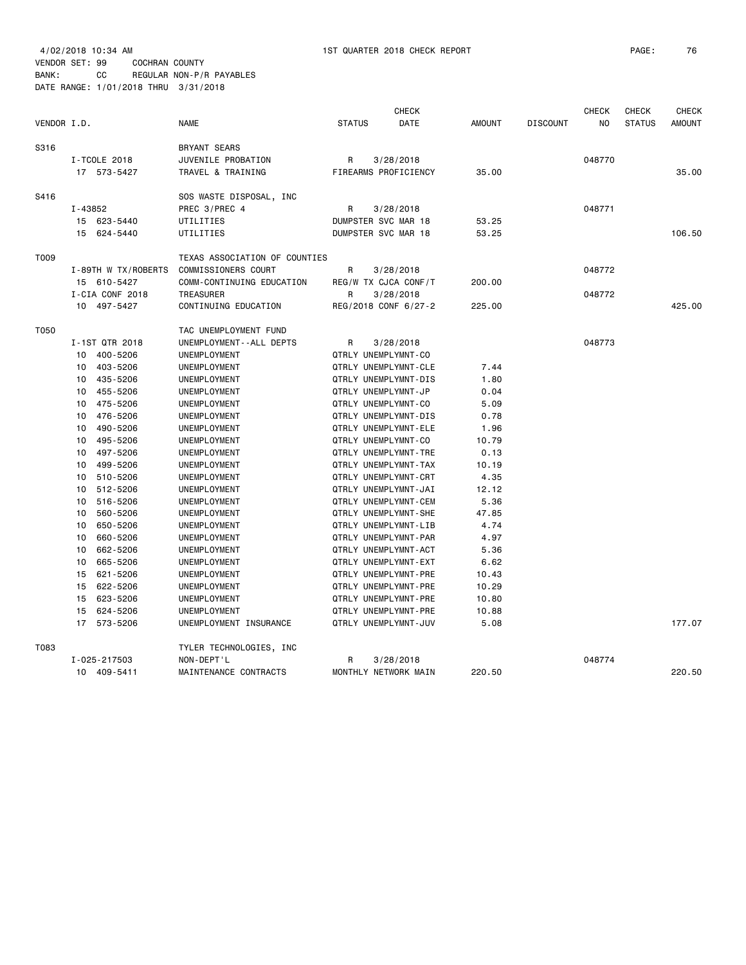| VENDOR I.D. |                            | <b>NAME</b>                   | <b>STATUS</b>       | <b>CHECK</b><br><b>DATE</b> | <b>AMOUNT</b> | <b>DISCOUNT</b> | <b>CHECK</b><br>NO | <b>CHECK</b><br><b>STATUS</b> | <b>CHECK</b><br><b>AMOUNT</b> |
|-------------|----------------------------|-------------------------------|---------------------|-----------------------------|---------------|-----------------|--------------------|-------------------------------|-------------------------------|
| S316        |                            | <b>BRYANT SEARS</b>           |                     |                             |               |                 |                    |                               |                               |
|             | I-TCOLE 2018               | JUVENILE PROBATION            | R                   | 3/28/2018                   |               |                 | 048770             |                               |                               |
|             | 17 573-5427                | TRAVEL & TRAINING             |                     | FIREARMS PROFICIENCY        | 35.00         |                 |                    |                               | 35.00                         |
| S416        |                            | SOS WASTE DISPOSAL, INC       |                     |                             |               |                 |                    |                               |                               |
|             | $I - 43852$                | PREC 3/PREC 4                 | R                   | 3/28/2018                   |               |                 | 048771             |                               |                               |
|             | 15 623-5440                | UTILITIES                     | DUMPSTER SVC MAR 18 |                             | 53.25         |                 |                    |                               |                               |
|             | 15 624-5440                | UTILITIES                     | DUMPSTER SVC MAR 18 |                             | 53.25         |                 |                    |                               | 106.50                        |
| T009        |                            | TEXAS ASSOCIATION OF COUNTIES |                     |                             |               |                 |                    |                               |                               |
|             | I-89TH W TX/ROBERTS        | COMMISSIONERS COURT           | R                   | 3/28/2018                   |               |                 | 048772             |                               |                               |
|             | 15 610-5427                | COMM-CONTINUING EDUCATION     |                     | REG/W TX CJCA CONF/T        | 200.00        |                 |                    |                               |                               |
|             | I-CIA CONF 2018            | TREASURER                     | R                   | 3/28/2018                   |               |                 | 048772             |                               |                               |
|             | 10 497-5427                | CONTINUING EDUCATION          |                     | REG/2018 CONF 6/27-2        | 225.00        |                 |                    |                               | 425.00                        |
| T050        |                            | TAC UNEMPLOYMENT FUND         |                     |                             |               |                 |                    |                               |                               |
|             | I-1ST QTR 2018             | UNEMPLOYMENT - - ALL DEPTS    | R                   | 3/28/2018                   |               |                 | 048773             |                               |                               |
|             | 400-5206<br>10             | UNEMPLOYMENT                  | QTRLY UNEMPLYMNT-CO |                             |               |                 |                    |                               |                               |
|             | 10 403-5206                | UNEMPLOYMENT                  |                     | QTRLY UNEMPLYMNT-CLE        | 7.44          |                 |                    |                               |                               |
|             | 10 435-5206                | UNEMPLOYMENT                  |                     | QTRLY UNEMPLYMNT-DIS        | 1.80          |                 |                    |                               |                               |
|             | 10 455-5206                | UNEMPLOYMENT                  | QTRLY UNEMPLYMNT-JP |                             | 0.04          |                 |                    |                               |                               |
|             | 10<br>475-5206             | UNEMPLOYMENT                  | QTRLY UNEMPLYMNT-CO |                             | 5.09          |                 |                    |                               |                               |
|             | 10 476-5206                | UNEMPLOYMENT                  |                     | QTRLY UNEMPLYMNT-DIS        | 0.78          |                 |                    |                               |                               |
|             | 10 490-5206                | UNEMPLOYMENT                  |                     | QTRLY UNEMPLYMNT-ELE        | 1.96          |                 |                    |                               |                               |
|             | 10 495-5206<br>10 497-5206 | UNEMPLOYMENT<br>UNEMPLOYMENT  | QTRLY UNEMPLYMNT-CO | QTRLY UNEMPLYMNT-TRE        | 10.79<br>0.13 |                 |                    |                               |                               |
|             | 499-5206<br>10             | UNEMPLOYMENT                  |                     | QTRLY UNEMPLYMNT-TAX        | 10.19         |                 |                    |                               |                               |
|             | 10 510-5206                | UNEMPLOYMENT                  |                     | QTRLY UNEMPLYMNT-CRT        | 4.35          |                 |                    |                               |                               |
|             | 512-5206<br>10             | UNEMPLOYMENT                  |                     | QTRLY UNEMPLYMNT-JAI        | 12.12         |                 |                    |                               |                               |
|             | 516-5206<br>10             | UNEMPLOYMENT                  |                     | QTRLY UNEMPLYMNT-CEM        | 5.36          |                 |                    |                               |                               |
|             | 560-5206<br>10             | UNEMPLOYMENT                  |                     | QTRLY UNEMPLYMNT-SHE        | 47.85         |                 |                    |                               |                               |
|             | 650-5206<br>10             | UNEMPLOYMENT                  |                     | QTRLY UNEMPLYMNT-LIB        | 4.74          |                 |                    |                               |                               |
|             | 10 660-5206                | UNEMPLOYMENT                  |                     | QTRLY UNEMPLYMNT-PAR        | 4.97          |                 |                    |                               |                               |
|             | 662-5206<br>10             | UNEMPLOYMENT                  |                     | QTRLY UNEMPLYMNT-ACT        | 5.36          |                 |                    |                               |                               |
|             | 665-5206<br>10             | UNEMPLOYMENT                  |                     | QTRLY UNEMPLYMNT-EXT        | 6.62          |                 |                    |                               |                               |
|             | 15 621-5206                | UNEMPLOYMENT                  |                     | QTRLY UNEMPLYMNT-PRE        | 10.43         |                 |                    |                               |                               |
|             | 15 622-5206                | UNEMPLOYMENT                  |                     | QTRLY UNEMPLYMNT-PRE        | 10.29         |                 |                    |                               |                               |
|             | 15 623-5206                | UNEMPLOYMENT                  |                     | QTRLY UNEMPLYMNT-PRE        | 10.80         |                 |                    |                               |                               |
|             | 15 624-5206                | UNEMPLOYMENT                  |                     | QTRLY UNEMPLYMNT-PRE        | 10.88         |                 |                    |                               |                               |
|             | 17 573-5206                | UNEMPLOYMENT INSURANCE        |                     | QTRLY UNEMPLYMNT-JUV        | 5.08          |                 |                    |                               | 177.07                        |
| T083        |                            | TYLER TECHNOLOGIES, INC       |                     |                             |               |                 |                    |                               |                               |
|             | I-025-217503               | NON-DEPT'L                    | R                   | 3/28/2018                   |               |                 | 048774             |                               |                               |
|             | 10 409-5411                | MAINTENANCE CONTRACTS         |                     | MONTHLY NETWORK MAIN        | 220.50        |                 |                    |                               | 220.50                        |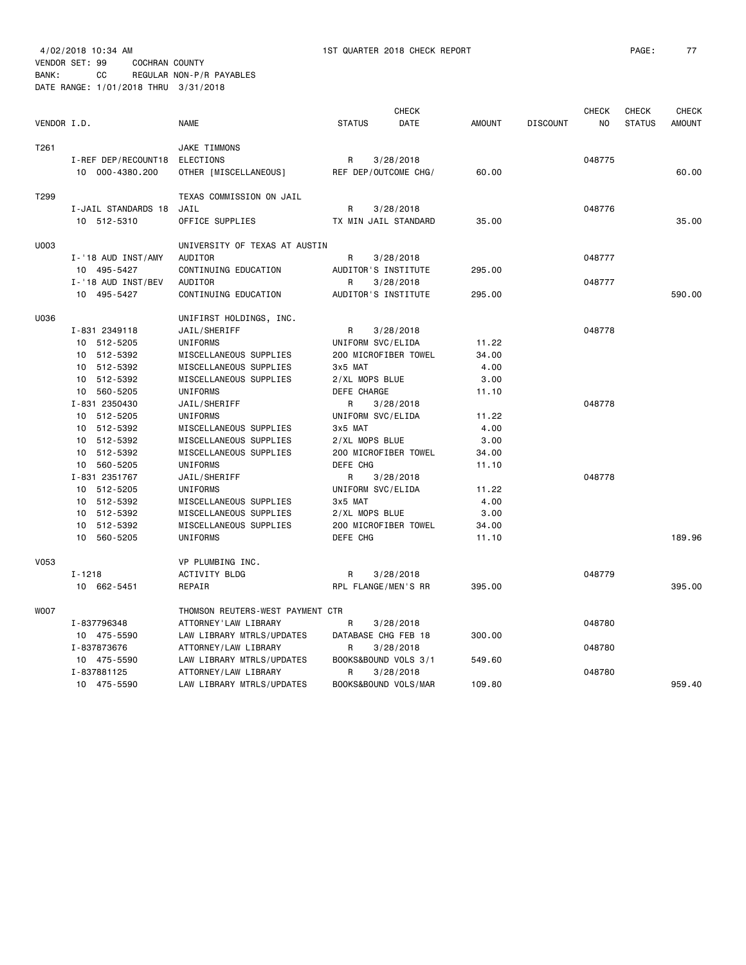VENDOR SET: 99 COCHRAN COUNTY

BANK: CC REGULAR NON-P/R PAYABLES DATE RANGE: 1/01/2018 THRU 3/31/2018

| VENDOR I.D. |                                                                                                            | <b>NAME</b>                                                                                                                              | <b>STATUS</b>                                                                  | <b>CHECK</b><br>DATE              | <b>AMOUNT</b>                                    | <b>DISCOUNT</b> | <b>CHECK</b><br>N <sub>O</sub> | <b>CHECK</b><br><b>STATUS</b> | <b>CHECK</b><br><b>AMOUNT</b> |
|-------------|------------------------------------------------------------------------------------------------------------|------------------------------------------------------------------------------------------------------------------------------------------|--------------------------------------------------------------------------------|-----------------------------------|--------------------------------------------------|-----------------|--------------------------------|-------------------------------|-------------------------------|
| T261        | I-REF DEP/RECOUNT18<br>10 000-4380.200                                                                     | JAKE TIMMONS<br><b>ELECTIONS</b><br>OTHER [MISCELLANEOUS]                                                                                | R                                                                              | 3/28/2018<br>REF DEP/OUTCOME CHG/ | 60.00                                            |                 | 048775                         |                               | 60.00                         |
| T299        | I-JAIL STANDARDS 18<br>10 512-5310                                                                         | TEXAS COMMISSION ON JAIL<br>JAIL<br>OFFICE SUPPLIES                                                                                      | R                                                                              | 3/28/2018<br>TX MIN JAIL STANDARD | 35.00                                            |                 | 048776                         |                               | 35.00                         |
| U003        | I-'18 AUD INST/AMY<br>10 495-5427<br>I-'18 AUD INST/BEV                                                    | UNIVERSITY OF TEXAS AT AUSTIN<br>AUDITOR<br>CONTINUING EDUCATION<br>AUDITOR                                                              | R<br>AUDITOR'S INSTITUTE<br>R                                                  | 3/28/2018<br>3/28/2018            | 295.00                                           |                 | 048777<br>048777               |                               |                               |
|             | 10 495-5427                                                                                                | CONTINUING EDUCATION                                                                                                                     | AUDITOR'S INSTITUTE                                                            |                                   | 295.00                                           |                 |                                |                               | 590.00                        |
| U036        | I-831 2349118<br>10 512-5205<br>10 512-5392<br>10 512-5392<br>10 512-5392                                  | UNIFIRST HOLDINGS, INC.<br>JAIL/SHERIFF<br><b>UNIFORMS</b><br>MISCELLANEOUS SUPPLIES<br>MISCELLANEOUS SUPPLIES<br>MISCELLANEOUS SUPPLIES | R<br>UNIFORM SVC/ELIDA<br>3x5 MAT<br>2/XL MOPS BLUE                            | 3/28/2018<br>200 MICROFIBER TOWEL | 11.22<br>34.00<br>4.00<br>3.00                   |                 | 048778                         |                               |                               |
|             | 10 560-5205<br>I-831 2350430<br>10 512-5205<br>10 512-5392<br>512-5392<br>10<br>10 512-5392<br>10 560-5205 | <b>UNIFORMS</b><br>JAIL/SHERIFF<br>UNIFORMS<br>MISCELLANEOUS SUPPLIES<br>MISCELLANEOUS SUPPLIES<br>MISCELLANEOUS SUPPLIES<br>UNIFORMS    | DEFE CHARGE<br>R<br>UNIFORM SVC/ELIDA<br>3x5 MAT<br>2/XL MOPS BLUE<br>DEFE CHG | 3/28/2018<br>200 MICROFIBER TOWEL | 11.10<br>11.22<br>4.00<br>3.00<br>34.00<br>11.10 |                 | 048778                         |                               |                               |
|             | I-831 2351767<br>10 512-5205<br>10 512-5392<br>10 512-5392<br>512-5392<br>10<br>10 560-5205                | JAIL/SHERIFF<br>UNIFORMS<br>MISCELLANEOUS SUPPLIES<br>MISCELLANEOUS SUPPLIES<br>MISCELLANEOUS SUPPLIES<br>UNIFORMS                       | R<br>UNIFORM SVC/ELIDA<br>3x5 MAT<br>2/XL MOPS BLUE<br>DEFE CHG                | 3/28/2018<br>200 MICROFIBER TOWEL | 11.22<br>4.00<br>3.00<br>34.00<br>11.10          |                 | 048778                         |                               | 189.96                        |
| V053        | $I - 1218$<br>10 662-5451                                                                                  | VP PLUMBING INC.<br>ACTIVITY BLDG<br>REPAIR                                                                                              | R<br>RPL FLANGE/MEN'S RR                                                       | 3/28/2018                         | 395.00                                           |                 | 048779                         |                               | 395.00                        |
| <b>WOO7</b> | I-837796348<br>10 475-5590                                                                                 | THOMSON REUTERS-WEST PAYMENT CTR<br>ATTORNEY'LAW LIBRARY<br>LAW LIBRARY MTRLS/UPDATES                                                    | R<br>DATABASE CHG FEB 18                                                       | 3/28/2018                         | 300.00                                           |                 | 048780                         |                               |                               |
|             | I-837873676<br>10 475-5590                                                                                 | ATTORNEY/LAW LIBRARY<br>LAW LIBRARY MTRLS/UPDATES                                                                                        | R                                                                              | 3/28/2018<br>BOOKS&BOUND VOLS 3/1 | 549.60                                           |                 | 048780<br>048780               |                               |                               |
|             | I-837881125<br>10 475-5590                                                                                 | ATTORNEY/LAW LIBRARY<br>LAW LIBRARY MTRLS/UPDATES                                                                                        | R                                                                              | 3/28/2018<br>BOOKS&BOUND VOLS/MAR | 109.80                                           |                 |                                |                               | 959.40                        |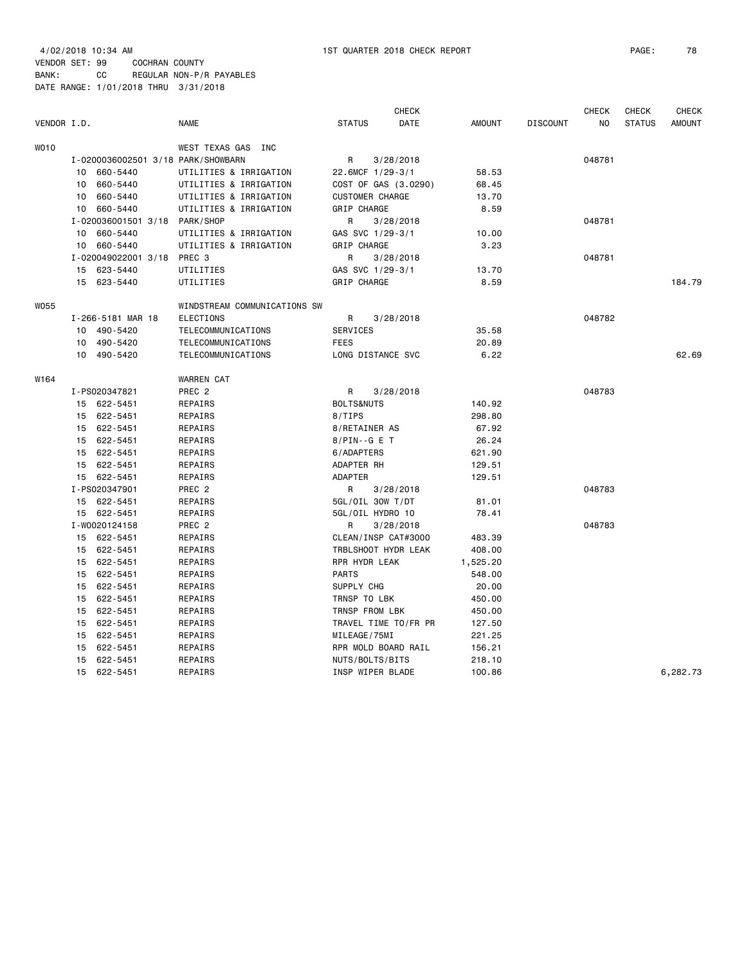4/02/2018 10:34 AM 1ST QUARTER 2018 CHECK REPORT PAGE: 78 VENDOR SET: 99 COCHRAN COUNTY BANK: CC REGULAR NON-P/R PAYABLES

|             |                     |                                    |                        | <b>CHECK</b> |               |                 | <b>CHECK</b> | <b>CHECK</b>  | <b>CHECK</b>  |
|-------------|---------------------|------------------------------------|------------------------|--------------|---------------|-----------------|--------------|---------------|---------------|
| VENDOR I.D. |                     | <b>NAME</b>                        | <b>STATUS</b>          | DATE         | <b>AMOUNT</b> | <b>DISCOUNT</b> | NO           | <b>STATUS</b> | <b>AMOUNT</b> |
| WO10        |                     | WEST TEXAS GAS<br>INC              |                        |              |               |                 |              |               |               |
|             |                     | I-0200036002501 3/18 PARK/SHOWBARN | R                      | 3/28/2018    |               |                 | 048781       |               |               |
|             | 660-5440<br>10      | UTILITIES & IRRIGATION             | 22.6MCF 1/29-3/1       |              | 58.53         |                 |              |               |               |
|             | 660-5440<br>10      | UTILITIES & IRRIGATION             | COST OF GAS (3.0290)   |              | 68.45         |                 |              |               |               |
|             | 660-5440<br>10      | UTILITIES & IRRIGATION             | <b>CUSTOMER CHARGE</b> |              | 13.70         |                 |              |               |               |
|             | 10 660-5440         | UTILITIES & IRRIGATION             | GRIP CHARGE            |              | 8.59          |                 |              |               |               |
|             | I-020036001501 3/18 | PARK/SHOP                          | R                      | 3/28/2018    |               |                 | 048781       |               |               |
|             | 660-5440<br>10      | UTILITIES & IRRIGATION             | GAS SVC 1/29-3/1       |              | 10.00         |                 |              |               |               |
|             | 10 660-5440         | UTILITIES & IRRIGATION             | GRIP CHARGE            |              | 3.23          |                 |              |               |               |
|             | I-020049022001 3/18 | PREC 3                             | R                      | 3/28/2018    |               |                 | 048781       |               |               |
|             | 15 623-5440         | UTILITIES                          | GAS SVC 1/29-3/1       |              | 13.70         |                 |              |               |               |
|             | 15 623-5440         | UTILITIES                          | GRIP CHARGE            |              | 8.59          |                 |              |               | 184.79        |
| W055        |                     | WINDSTREAM COMMUNICATIONS SW       |                        |              |               |                 |              |               |               |
|             | I-266-5181 MAR 18   | ELECTIONS                          | R                      | 3/28/2018    |               |                 | 048782       |               |               |
|             | 10 490-5420         | TELECOMMUNICATIONS                 | SERVICES               |              | 35.58         |                 |              |               |               |
|             | 10 490-5420         | TELECOMMUNICATIONS                 | <b>FEES</b>            |              | 20.89         |                 |              |               |               |
|             | 10 490-5420         | TELECOMMUNICATIONS                 | LONG DISTANCE SVC      |              | 6.22          |                 |              |               | 62.69         |
| W164        |                     | WARREN CAT                         |                        |              |               |                 |              |               |               |
|             | I-PS020347821       | PREC <sub>2</sub>                  | R                      | 3/28/2018    |               |                 | 048783       |               |               |
|             | 15 622-5451         | REPAIRS                            | <b>BOLTS&amp;NUTS</b>  |              | 140.92        |                 |              |               |               |
|             | 15 622-5451         | REPAIRS                            | 8/TIPS                 |              | 298.80        |                 |              |               |               |
|             | 15 622-5451         | REPAIRS                            | 8/RETAINER AS          |              | 67.92         |                 |              |               |               |
|             | 15 622-5451         | REPAIRS                            | $8/PIN-G E T$          |              | 26.24         |                 |              |               |               |
|             | 15 622-5451         | REPAIRS                            | 6/ADAPTERS             |              | 621.90        |                 |              |               |               |
|             | 15 622-5451         | REPAIRS                            | ADAPTER RH             |              | 129.51        |                 |              |               |               |
|             | 15 622-5451         | REPAIRS                            | ADAPTER                |              | 129.51        |                 |              |               |               |
|             | I-PS020347901       | PREC 2                             | R                      | 3/28/2018    |               |                 | 048783       |               |               |
|             | 15 622-5451         | REPAIRS                            | 5GL/OIL 30W T/DT       |              | 81.01         |                 |              |               |               |
|             | 15 622-5451         | REPAIRS                            | 5GL/OIL HYDRO 10       |              | 78.41         |                 |              |               |               |
|             | I-W0020124158       | PREC <sub>2</sub>                  | R                      | 3/28/2018    |               |                 | 048783       |               |               |
|             | 15 622-5451         | REPAIRS                            | CLEAN/INSP CAT#3000    |              | 483.39        |                 |              |               |               |
|             | 15 622-5451         | REPAIRS                            | TRBLSHOOT HYDR LEAK    |              | 408.00        |                 |              |               |               |
|             | 622-5451<br>15      | REPAIRS                            | RPR HYDR LEAK          |              | 1,525.20      |                 |              |               |               |
|             | 15 622-5451         | REPAIRS                            | <b>PARTS</b>           |              | 548.00        |                 |              |               |               |
|             | 15 622-5451         | REPAIRS                            | SUPPLY CHG             |              | 20.00         |                 |              |               |               |
|             | 15 622-5451         | REPAIRS                            | TRNSP TO LBK           |              | 450.00        |                 |              |               |               |
|             | 622-5451<br>15      | REPAIRS                            | TRNSP FROM LBK         |              | 450.00        |                 |              |               |               |
|             | 15 622-5451         | REPAIRS                            | TRAVEL TIME TO/FR PR   |              | 127.50        |                 |              |               |               |
|             | 622-5451<br>15      | REPAIRS                            | MILEAGE/75MI           |              | 221.25        |                 |              |               |               |
|             | 622-5451<br>15      | REPAIRS                            | RPR MOLD BOARD RAIL    |              | 156.21        |                 |              |               |               |
|             | 15 622-5451         | REPAIRS                            | NUTS/BOLTS/BITS        |              | 218.10        |                 |              |               |               |
|             | 15 622-5451         | REPAIRS                            | INSP WIPER BLADE       |              | 100.86        |                 |              |               | 6,282.73      |
|             |                     |                                    |                        |              |               |                 |              |               |               |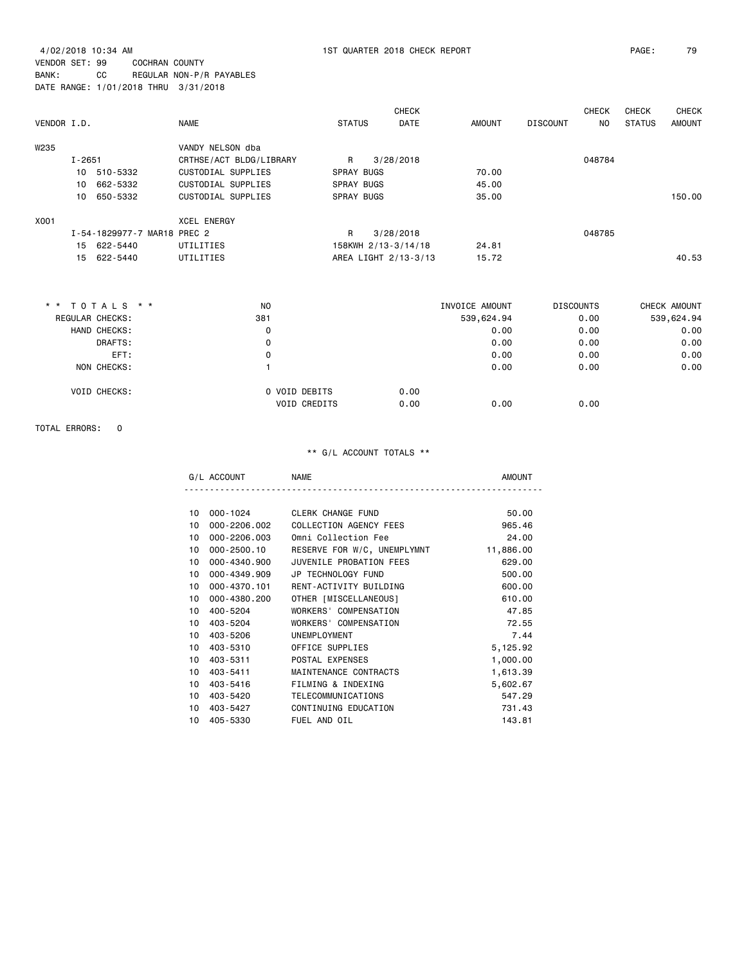4/02/2018 10:34 AM 1ST QUARTER 2018 CHECK REPORT PAGE: 79 VENDOR SET: 99 COCHRAN COUNTY BANK: CC REGULAR NON-P/R PAYABLES DATE RANGE: 1/01/2018 THRU 3/31/2018

| VENDOR I.D. |            |                             | <b>NAME</b>             | <b>STATUS</b>     | <b>CHECK</b><br>DATE | <b>AMOUNT</b> | <b>DISCOUNT</b> | <b>CHECK</b><br>NO. | <b>CHECK</b><br><b>STATUS</b> | <b>CHECK</b><br><b>AMOUNT</b> |
|-------------|------------|-----------------------------|-------------------------|-------------------|----------------------|---------------|-----------------|---------------------|-------------------------------|-------------------------------|
| W235        |            |                             | VANDY NELSON dba        |                   |                      |               |                 |                     |                               |                               |
|             | $I - 2651$ |                             | CRTHSE/ACT BLDG/LIBRARY | R.                | 3/28/2018            |               |                 | 048784              |                               |                               |
|             | 10         | 510-5332                    | CUSTODIAL SUPPLIES      | <b>SPRAY BUGS</b> |                      | 70.00         |                 |                     |                               |                               |
|             | 10         | 662-5332                    | CUSTODIAL SUPPLIES      | <b>SPRAY BUGS</b> |                      | 45.00         |                 |                     |                               |                               |
|             |            | 10 650-5332                 | CUSTODIAL SUPPLIES      | <b>SPRAY BUGS</b> |                      | 35.00         |                 |                     |                               | 150.00                        |
| X001        |            |                             | <b>XCEL ENERGY</b>      |                   |                      |               |                 |                     |                               |                               |
|             |            | I-54-1829977-7 MAR18 PREC 2 |                         | R                 | 3/28/2018            |               |                 | 048785              |                               |                               |
|             |            | 15 622-5440                 | UTILITIES               |                   | 158KWH 2/13-3/14/18  | 24.81         |                 |                     |                               |                               |
|             |            | 15 622-5440                 | UTILITIES               |                   | AREA LIGHT 2/13-3/13 | 15.72         |                 |                     |                               | 40.53                         |
|             |            |                             |                         |                   |                      |               |                 |                     |                               |                               |
|             |            |                             |                         |                   |                      |               |                 |                     |                               |                               |

| * * TOTALS * *  |                     | N <sub>O</sub> |                               | INVOICE AMOUNT |      | <b>DISCOUNTS</b> | CHECK AMOUNT |
|-----------------|---------------------|----------------|-------------------------------|----------------|------|------------------|--------------|
| REGULAR CHECKS: |                     | 381            |                               | 539,624.94     |      | 0.00             | 539,624.94   |
|                 | HAND CHECKS:        |                | 0                             |                | 0.00 | 0.00             | 0.00         |
|                 | DRAFTS:             |                | 0                             |                | 0.00 | 0.00             | 0.00         |
|                 | EFT:                |                | 0                             |                | 0.00 | 0.00             | 0.00         |
|                 | NON CHECKS:         |                |                               |                | 0.00 | 0.00             | 0.00         |
|                 | <b>VOID CHECKS:</b> |                | O VOID DEBITS<br>VOID CREDITS | 0.00<br>0.00   | 0.00 | 0.00             |              |
|                 |                     |                |                               |                |      |                  |              |

#### TOTAL ERRORS: 0

| ACCOUN <sup>®</sup><br>G/L            | <b>NAME</b>       | וחנונו                |
|---------------------------------------|-------------------|-----------------------|
|                                       |                   |                       |
| $\overline{10}$ 000 $\overline{1001}$ | ALCOV AUANAE FUND | $F^{\wedge}$ $\wedge$ |

| 10 | $000 - 1024$    | <b>CLERK CHANGE FUND</b>    | 50.00     |
|----|-----------------|-----------------------------|-----------|
| 10 | 000-2206.002    | COLLECTION AGENCY FEES      | 965.46    |
| 10 | 000-2206.003    | Omni Collection Fee         | 24,00     |
| 10 | $000 - 2500.10$ | RESERVE FOR W/C, UNEMPLYMNT | 11,886.00 |
| 10 | 000-4340.900    | JUVENILE PROBATION FEES     | 629.00    |
| 10 | 000-4349.909    | JP TECHNOLOGY FUND          | 500.00    |
| 10 | 000-4370.101    | RENT-ACTIVITY BUILDING      | 600.00    |
| 10 | 000-4380.200    | OTHER [MISCELLANEOUS]       | 610.00    |
| 10 | 400-5204        | WORKERS' COMPENSATION       | 47.85     |
| 10 | 403-5204        | WORKERS' COMPENSATION       | 72.55     |
| 10 | 403-5206        | UNEMPLOYMENT                | 7.44      |
| 10 | 403-5310        | OFFICE SUPPLIES             | 5,125.92  |
| 10 | 403-5311        | POSTAL EXPENSES             | 1,000.00  |
| 10 | 403-5411        | MAINTENANCE CONTRACTS       | 1,613.39  |
| 10 | 403-5416        | FILMING & INDEXING          | 5,602.67  |
| 10 | 403-5420        | TELECOMMUNICATIONS          | 547.29    |
| 10 | 403-5427        | CONTINUING EDUCATION        | 731.43    |
| 10 | 405-5330        | FUEL AND OIL                | 143.81    |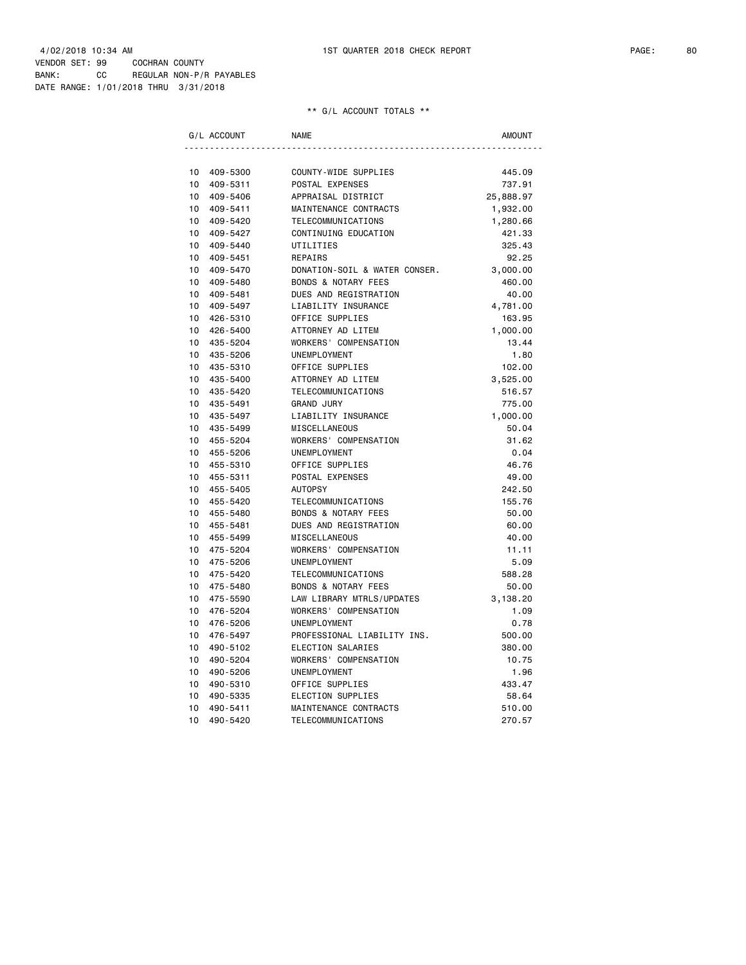|    | G/L ACCOUNT | <b>NAME</b>                    | <b>AMOUNT</b> |
|----|-------------|--------------------------------|---------------|
|    |             |                                |               |
| 10 | 409-5300    | COUNTY-WIDE SUPPLIES           | 445.09        |
| 10 | 409-5311    | POSTAL EXPENSES                | 737.91        |
| 10 | 409-5406    | APPRAISAL DISTRICT             | 25,888.97     |
| 10 | 409-5411    | MAINTENANCE CONTRACTS          | 1,932.00      |
| 10 | 409-5420    | TELECOMMUNICATIONS             | 1,280.66      |
| 10 | 409-5427    | CONTINUING EDUCATION           | 421.33        |
| 10 | 409-5440    | UTILITIES                      | 325.43        |
| 10 | 409-5451    | REPAIRS                        | 92.25         |
| 10 | 409-5470    | DONATION-SOIL & WATER CONSER.  | 3,000.00      |
| 10 | 409-5480    | <b>BONDS &amp; NOTARY FEES</b> | 460.00        |
| 10 | 409-5481    | DUES AND REGISTRATION          | 40.00         |
| 10 | 409-5497    | LIABILITY INSURANCE            | 4,781.00      |
| 10 | 426-5310    | OFFICE SUPPLIES                | 163.95        |
| 10 | 426-5400    | ATTORNEY AD LITEM              | 1,000.00      |
| 10 | 435-5204    | WORKERS' COMPENSATION          | 13.44         |
| 10 | 435-5206    | <b>UNEMPLOYMENT</b>            | 1.80          |
| 10 | 435-5310    | OFFICE SUPPLIES                | 102.00        |
| 10 | 435-5400    | ATTORNEY AD LITEM              | 3,525.00      |
| 10 | 435-5420    | TELECOMMUNICATIONS             | 516.57        |
| 10 | 435-5491    | <b>GRAND JURY</b>              | 775.00        |
| 10 | 435-5497    | LIABILITY INSURANCE            | 1,000.00      |
| 10 | 435-5499    | <b>MISCELLANEOUS</b>           | 50.04         |
| 10 | 455-5204    | WORKERS' COMPENSATION          | 31.62         |
| 10 | 455-5206    | UNEMPLOYMENT                   | 0.04          |
| 10 | 455-5310    | OFFICE SUPPLIES                | 46.76         |
| 10 | 455-5311    | POSTAL EXPENSES                | 49.00         |
| 10 | 455-5405    | <b>AUTOPSY</b>                 | 242.50        |
| 10 | 455-5420    | TELECOMMUNICATIONS             | 155.76        |
| 10 | 455-5480    | <b>BONDS &amp; NOTARY FEES</b> | 50.00         |
| 10 | 455-5481    | DUES AND REGISTRATION          | 60.00         |
| 10 | 455-5499    | MISCELLANEOUS                  | 40.00         |
| 10 | 475-5204    | WORKERS' COMPENSATION          | 11.11         |
| 10 | 475-5206    | UNEMPLOYMENT                   | 5.09          |
| 10 | 475-5420    | TELECOMMUNICATIONS             | 588.28        |
| 10 | 475-5480    | <b>BONDS &amp; NOTARY FEES</b> | 50.00         |
| 10 | 475-5590    | LAW LIBRARY MTRLS/UPDATES      | 3,138.20      |
| 10 | 476-5204    | WORKERS' COMPENSATION          | 1.09          |
| 10 | 476-5206    | UNEMPLOYMENT                   | 0.78          |
| 10 | 476-5497    | PROFESSIONAL LIABILITY INS.    | 500.00        |
| 10 | 490-5102    | ELECTION SALARIES              | 380.00        |
| 10 | 490-5204    | WORKERS' COMPENSATION          | 10.75         |
| 10 | 490-5206    | UNEMPLOYMENT                   | 1.96          |
| 10 | 490-5310    | OFFICE SUPPLIES                | 433.47        |
| 10 | 490-5335    | ELECTION SUPPLIES              | 58.64         |
| 10 | 490-5411    | MAINTENANCE CONTRACTS          | 510.00        |
| 10 | 490-5420    | TELECOMMUNICATIONS             | 270.57        |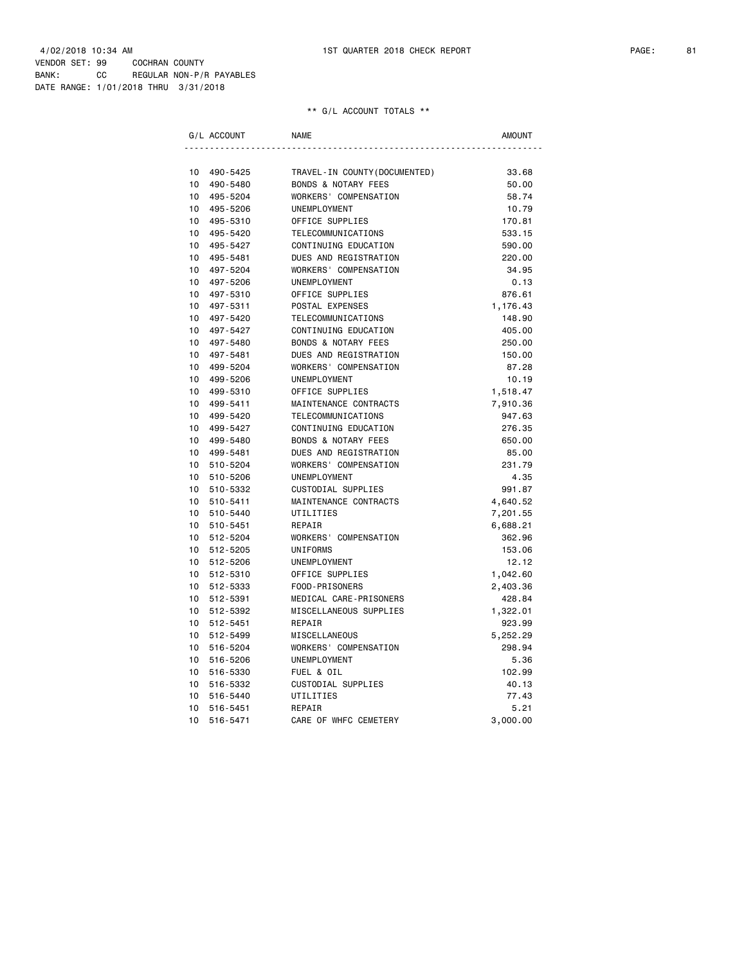| G/L ACCOUNT    | <b>NAME</b>                    | <b>AMOUNT</b> |
|----------------|--------------------------------|---------------|
|                |                                |               |
| 10<br>490-5425 | TRAVEL-IN COUNTY (DOCUMENTED)  | 33.68         |
| 10<br>490-5480 | <b>BONDS &amp; NOTARY FEES</b> | 50.00         |
| 10<br>495-5204 | WORKERS' COMPENSATION          | 58.74         |
| 10<br>495-5206 | UNEMPLOYMENT                   | 10.79         |
| 10<br>495-5310 | OFFICE SUPPLIES                | 170.81        |
| 10<br>495-5420 | TELECOMMUNICATIONS             | 533.15        |
| 10<br>495-5427 | CONTINUING EDUCATION           | 590.00        |
| 10<br>495-5481 | DUES AND REGISTRATION          | 220.00        |
| 10<br>497-5204 | WORKERS' COMPENSATION          | 34.95         |
| 10<br>497-5206 | UNEMPLOYMENT                   | 0.13          |
| 10<br>497-5310 | OFFICE SUPPLIES                | 876.61        |
| 10<br>497-5311 | POSTAL EXPENSES                | 1,176.43      |
| 10<br>497-5420 | TELECOMMUNICATIONS             | 148.90        |
| 10<br>497-5427 | CONTINUING EDUCATION           | 405.00        |
| 10<br>497-5480 | <b>BONDS &amp; NOTARY FEES</b> | 250.00        |
| 10<br>497-5481 | DUES AND REGISTRATION          | 150.00        |
| 10<br>499-5204 | WORKERS' COMPENSATION          | 87.28         |
| 10<br>499-5206 | UNEMPLOYMENT                   | 10.19         |
| 10<br>499-5310 | OFFICE SUPPLIES                | 1,518.47      |
| 10<br>499-5411 | MAINTENANCE CONTRACTS          | 7,910.36      |
| 10<br>499-5420 | TELECOMMUNICATIONS             | 947.63        |
| 10<br>499-5427 | CONTINUING EDUCATION           | 276.35        |
| 10<br>499-5480 | <b>BONDS &amp; NOTARY FEES</b> | 650.00        |
| 10<br>499-5481 | DUES AND REGISTRATION          | 85.00         |
| 10<br>510-5204 | WORKERS' COMPENSATION          | 231.79        |
| 10<br>510-5206 | UNEMPLOYMENT                   | 4.35          |
| 10<br>510-5332 | CUSTODIAL SUPPLIES             | 991.87        |
| 10<br>510-5411 | MAINTENANCE CONTRACTS          | 4,640.52      |
| 10<br>510-5440 | UTILITIES                      | 7,201.55      |
| 10<br>510-5451 | REPAIR                         | 6,688.21      |
| 10<br>512-5204 | WORKERS' COMPENSATION          | 362.96        |
| 10<br>512-5205 | <b>UNIFORMS</b>                | 153.06        |
| 10<br>512-5206 | UNEMPLOYMENT                   | 12.12         |
| 10<br>512-5310 | OFFICE SUPPLIES                | 1,042.60      |
| 10<br>512-5333 | FOOD-PRISONERS                 | 2,403.36      |
| 10<br>512-5391 | MEDICAL CARE-PRISONERS         | 428.84        |
| 10<br>512-5392 | MISCELLANEOUS SUPPLIES         | 1,322.01      |
| 10<br>512-5451 | REPAIR                         | 923.99        |
| 10<br>512-5499 | MISCELLANEOUS                  | 5,252.29      |
| 10<br>516-5204 | WORKERS' COMPENSATION          | 298.94        |
| 10<br>516-5206 | UNEMPLOYMENT                   | 5.36          |
| 10<br>516-5330 | FUEL & OIL                     | 102.99        |
| 10<br>516-5332 | CUSTODIAL SUPPLIES             | 40.13         |
| 10<br>516-5440 | UTILITIES                      | 77.43         |
| 10<br>516-5451 | REPAIR                         | 5.21          |
| 10<br>516-5471 | CARE OF WHFC CEMETERY          | 3,000.00      |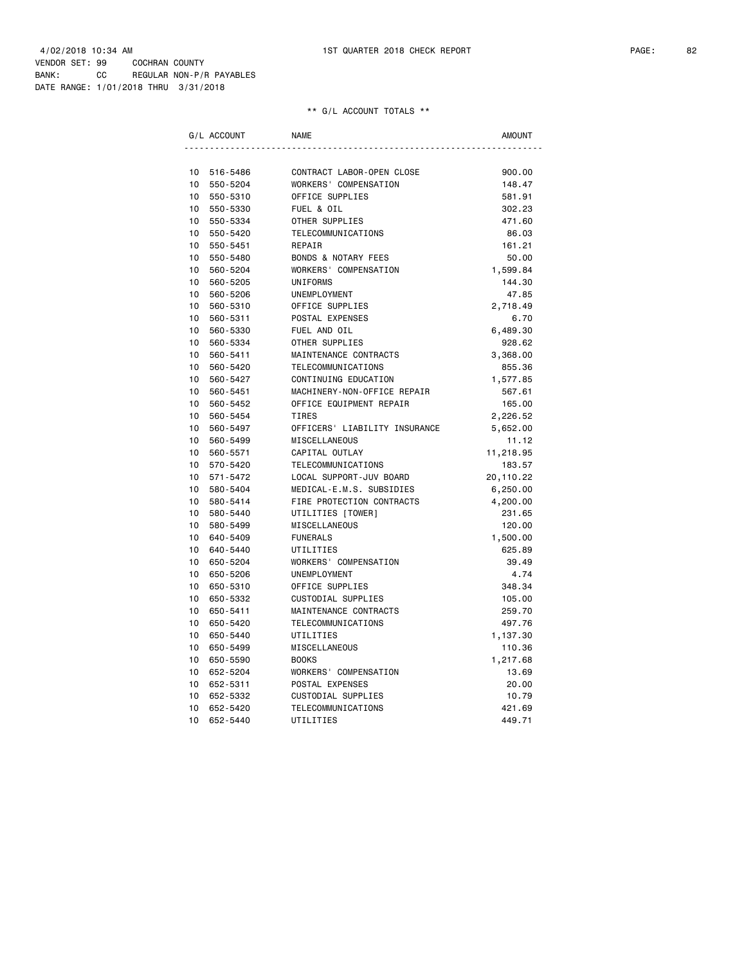|    | G/L ACCOUNT | <b>NAME</b>                    | AMOUNT    |
|----|-------------|--------------------------------|-----------|
|    |             |                                |           |
| 10 | 516-5486    | CONTRACT LABOR-OPEN CLOSE      | 900.00    |
| 10 | 550-5204    | WORKERS' COMPENSATION          | 148.47    |
| 10 | 550-5310    | OFFICE SUPPLIES                | 581.91    |
| 10 | 550-5330    | FUEL & OIL                     | 302.23    |
| 10 | 550-5334    | OTHER SUPPLIES                 | 471.60    |
| 10 | 550-5420    | TELECOMMUNICATIONS             | 86.03     |
| 10 | 550-5451    | REPAIR                         | 161.21    |
| 10 | 550-5480    | <b>BONDS &amp; NOTARY FEES</b> | 50.00     |
| 10 | 560-5204    | WORKERS' COMPENSATION          | 1,599.84  |
| 10 | 560-5205    | <b>UNIFORMS</b>                | 144.30    |
| 10 | 560-5206    | UNEMPLOYMENT                   | 47.85     |
| 10 | 560-5310    | OFFICE SUPPLIES                | 2,718.49  |
| 10 | 560-5311    | POSTAL EXPENSES                | 6.70      |
| 10 | 560-5330    | FUEL AND OIL                   | 6,489.30  |
| 10 | 560-5334    | OTHER SUPPLIES                 | 928.62    |
| 10 | 560-5411    | MAINTENANCE CONTRACTS          | 3,368.00  |
| 10 | 560-5420    | TELECOMMUNICATIONS             | 855.36    |
| 10 | 560-5427    | CONTINUING EDUCATION           | 1,577.85  |
| 10 | 560-5451    | MACHINERY-NON-OFFICE REPAIR    | 567.61    |
| 10 | 560-5452    | OFFICE EQUIPMENT REPAIR        | 165.00    |
| 10 | 560-5454    | TIRES                          | 2,226.52  |
| 10 | 560-5497    | OFFICERS' LIABILITY INSURANCE  | 5,652.00  |
| 10 | 560-5499    | MISCELLANEOUS                  | 11.12     |
| 10 | 560-5571    | CAPITAL OUTLAY                 | 11,218.95 |
| 10 | 570-5420    | TELECOMMUNICATIONS             | 183.57    |
| 10 | 571-5472    | LOCAL SUPPORT-JUV BOARD        | 20,110.22 |
| 10 | 580-5404    | MEDICAL-E.M.S. SUBSIDIES       | 6,250.00  |
| 10 | 580-5414    | FIRE PROTECTION CONTRACTS      | 4,200.00  |
| 10 | 580-5440    | UTILITIES [TOWER]              | 231.65    |
| 10 | 580-5499    | MISCELLANEOUS                  | 120.00    |
| 10 | 640-5409    | <b>FUNERALS</b>                | 1,500.00  |
| 10 | 640-5440    | UTILITIES                      | 625.89    |
| 10 | 650-5204    | WORKERS' COMPENSATION          | 39.49     |
| 10 | 650-5206    | UNEMPLOYMENT                   | 4.74      |
| 10 | 650-5310    | OFFICE SUPPLIES                | 348.34    |
| 10 | 650-5332    | <b>CUSTODIAL SUPPLIES</b>      | 105.00    |
| 10 | 650-5411    | MAINTENANCE CONTRACTS          | 259.70    |
| 10 | 650-5420    | TELECOMMUNICATIONS             | 497.76    |
| 10 | 650-5440    | UTILITIES                      | 1,137.30  |
| 10 | 650-5499    | MISCELLANEOUS                  | 110.36    |
| 10 | 650-5590    | <b>BOOKS</b>                   | 1,217.68  |
| 10 | 652-5204    | WORKERS' COMPENSATION          | 13.69     |
| 10 | 652-5311    | POSTAL EXPENSES                | 20.00     |
| 10 | 652-5332    | CUSTODIAL SUPPLIES             | 10.79     |
| 10 | 652-5420    | TELECOMMUNICATIONS             | 421.69    |
| 10 | 652-5440    | UTILITIES                      | 449.71    |
|    |             |                                |           |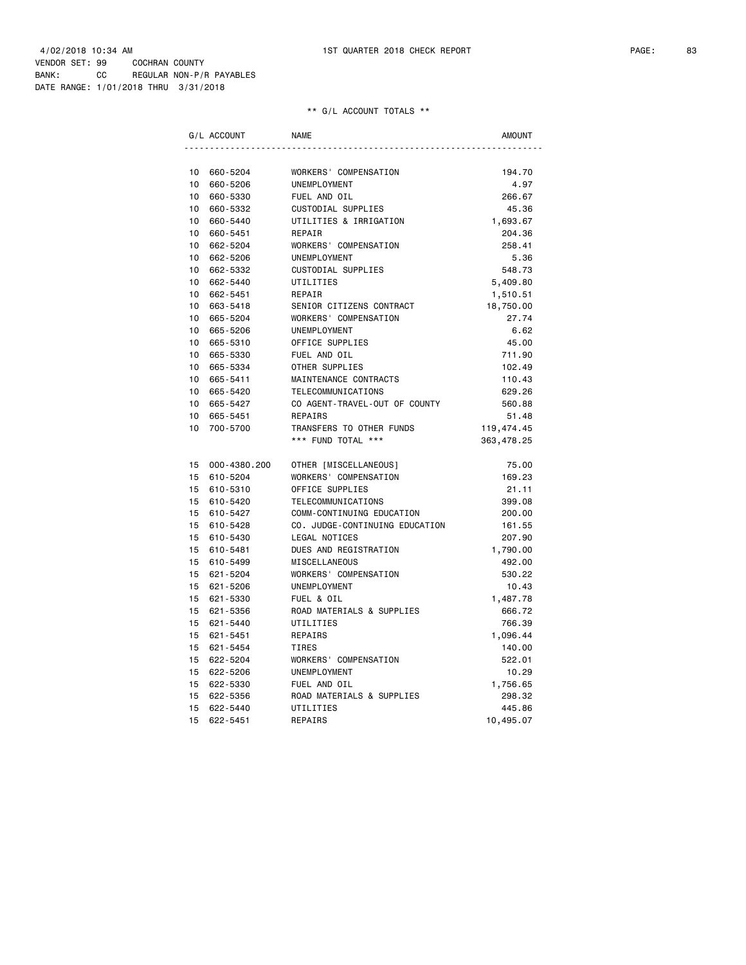| G/L ACCOUNT                                                | <b>NAME</b>                                         | <b>AMOUNT</b>            |
|------------------------------------------------------------|-----------------------------------------------------|--------------------------|
|                                                            |                                                     |                          |
| 10<br>660-5204                                             | WORKERS' COMPENSATION                               | 194.70                   |
| 10<br>660-5206                                             | <b>UNEMPLOYMENT</b>                                 | 4.97                     |
| 10<br>660-5330                                             | FUEL AND OIL                                        | 266.67                   |
| 10<br>660-5332                                             | CUSTODIAL SUPPLIES                                  | 45.36                    |
| 10 <sup>1</sup><br>660-5440                                | UTILITIES & IRRIGATION                              | 1,693.67                 |
| 10 <sup>1</sup><br>660-5451                                | REPAIR                                              | 204.36                   |
| 10<br>662-5204                                             | WORKERS' COMPENSATION                               | 258.41                   |
| 10 <sup>1</sup><br>662-5206                                | UNEMPLOYMENT                                        | 5.36                     |
| 10 <sup>1</sup><br>662-5332                                | CUSTODIAL SUPPLIES                                  | 548.73                   |
| 10 <sup>1</sup><br>662-5440                                | UTILITIES                                           | 5,409.80                 |
| 10 <sup>1</sup><br>662-5451                                | REPAIR                                              | 1,510.51                 |
| 10<br>663-5418                                             | SENIOR CITIZENS CONTRACT                            | 18,750.00                |
| 10 <sup>1</sup><br>665-5204                                | WORKERS' COMPENSATION                               | 27.74                    |
| 10 <sup>1</sup><br>665-5206                                | UNEMPLOYMENT                                        | 6.62                     |
| 10<br>665-5310                                             | OFFICE SUPPLIES                                     | 45.00                    |
| 10 <sup>1</sup><br>665-5330<br>10 <sup>1</sup>             | FUEL AND OIL                                        | 711.90                   |
| 665-5334<br>10 <sup>1</sup>                                | OTHER SUPPLIES                                      | 102.49                   |
| 665-5411                                                   | MAINTENANCE CONTRACTS                               | 110.43                   |
| 10 <sup>1</sup><br>665-5420<br>10 <sup>1</sup><br>665-5427 | TELECOMMUNICATIONS<br>CO AGENT-TRAVEL-OUT OF COUNTY | 629.26                   |
| 10<br>665-5451                                             | REPAIRS                                             | 560.88                   |
| 10<br>700-5700                                             | TRANSFERS TO OTHER FUNDS                            | 51.48                    |
|                                                            | *** FUND TOTAL ***                                  | 119,474.45<br>363,478.25 |
|                                                            |                                                     |                          |
| 15                                                         | 000-4380.200<br>OTHER [MISCELLANEOUS]               | 75.00                    |
| 15<br>610-5204                                             | WORKERS' COMPENSATION                               | 169.23                   |
| 15<br>610-5310                                             | OFFICE SUPPLIES                                     | 21.11                    |
| 15 610-5420                                                | TELECOMMUNICATIONS                                  | 399.08                   |
| 15<br>610-5427                                             | COMM-CONTINUING EDUCATION                           | 200.00                   |
| 15<br>610-5428                                             | CO. JUDGE-CONTINUING EDUCATION                      | 161.55                   |
| 15<br>610-5430                                             | <b>LEGAL NOTICES</b>                                | 207.90                   |
| 15<br>610-5481                                             | DUES AND REGISTRATION                               | 1,790.00                 |
| 15<br>610-5499                                             | MISCELLANEOUS                                       | 492.00                   |
| 15<br>621-5204                                             | WORKERS' COMPENSATION                               | 530.22                   |
| 15<br>621-5206                                             | UNEMPLOYMENT                                        | 10.43                    |
| 15<br>621-5330                                             | FUEL & OIL                                          | 1,487.78                 |
| 15<br>621-5356                                             | ROAD MATERIALS & SUPPLIES                           | 666.72                   |
| 15<br>621-5440                                             | UTILITIES                                           | 766.39                   |
| 15<br>621-5451                                             | REPAIRS                                             | 1,096.44                 |
| 15<br>621-5454                                             | <b>TIRES</b>                                        | 140.00                   |
| 15<br>622-5204                                             | WORKERS' COMPENSATION                               | 522.01                   |
| 15<br>622-5206                                             | <b>UNEMPLOYMENT</b>                                 | 10.29                    |
| 15<br>622-5330                                             | FUEL AND OIL                                        | 1,756.65                 |
| 15<br>622-5356                                             | ROAD MATERIALS & SUPPLIES                           | 298.32                   |
| 15<br>622-5440                                             | UTILITIES                                           | 445.86                   |
| 15<br>622-5451                                             | REPAIRS                                             | 10,495.07                |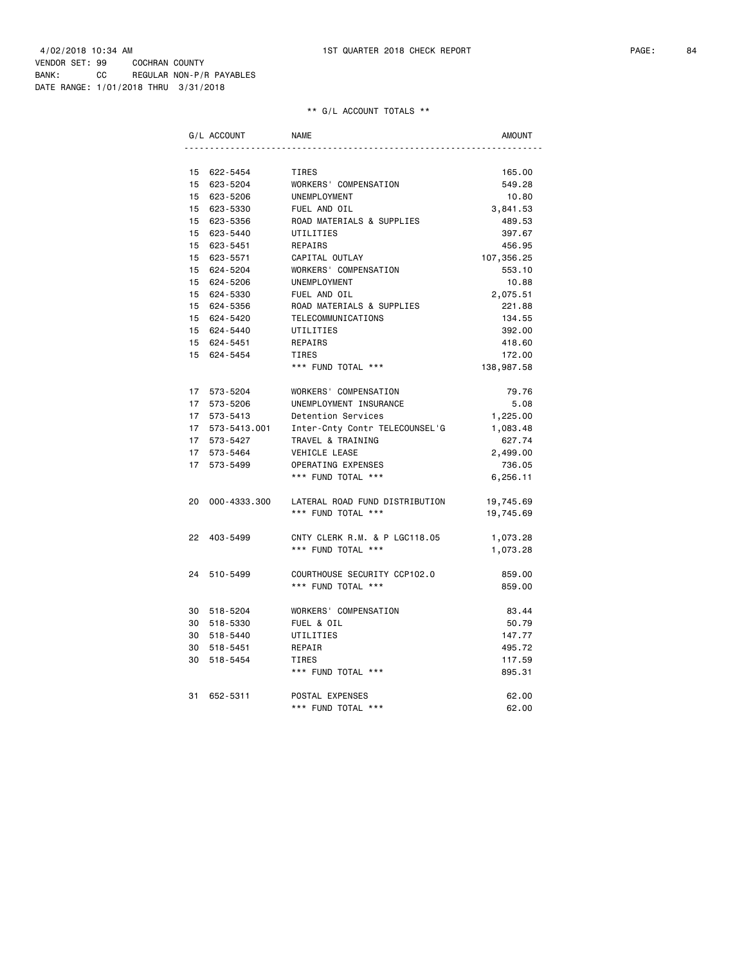|    | G/L ACCOUNT     | <b>NAME</b>                    | AMOUNT     |
|----|-----------------|--------------------------------|------------|
|    |                 |                                |            |
|    | 15 622-5454     | TIRES                          | 165.00     |
|    | 15 623-5204     | WORKERS' COMPENSATION          | 549.28     |
|    | 15 623-5206     | UNEMPLOYMENT                   | 10.80      |
|    | 15 623-5330     | FUEL AND OIL                   | 3,841.53   |
|    | 15 623-5356     | ROAD MATERIALS & SUPPLIES      | 489.53     |
|    | 15 623-5440     | UTILITIES                      | 397.67     |
|    | 15 623-5451     | REPAIRS                        | 456.95     |
|    | 15 623-5571     | CAPITAL OUTLAY                 | 107,356.25 |
|    | 15 624-5204     | WORKERS' COMPENSATION          | 553.10     |
|    | 15 624-5206     | UNEMPLOYMENT                   | 10.88      |
|    | 15 624-5330     | FUEL AND OIL                   | 2,075.51   |
|    | 15 624-5356     | ROAD MATERIALS & SUPPLIES      | 221.88     |
|    | 15 624-5420     | TELECOMMUNICATIONS             | 134.55     |
|    | 15 624-5440     | UTILITIES                      | 392.00     |
|    | 15 624-5451     | REPAIRS                        | 418.60     |
|    | 15 624-5454     | TIRES                          | 172.00     |
|    |                 | *** FUND TOTAL ***             | 138,987.58 |
|    |                 |                                |            |
|    | 17 573-5204     | WORKERS' COMPENSATION          | 79.76      |
|    | 17 573-5206     | UNEMPLOYMENT INSURANCE         | 5.08       |
|    | 17 573-5413     | Detention Services             | 1,225.00   |
|    | 17 573-5413.001 | Inter-Cnty Contr TELECOUNSEL'G | 1,083.48   |
|    | 17 573-5427     | TRAVEL & TRAINING              | 627.74     |
|    | 17 573-5464     | VEHICLE LEASE                  | 2,499.00   |
|    | 17 573-5499     | OPERATING EXPENSES             | 736.05     |
|    |                 | *** FUND TOTAL ***             | 6,256.11   |
|    |                 |                                |            |
|    | 20 000-4333.300 | LATERAL ROAD FUND DISTRIBUTION | 19,745.69  |
|    |                 | *** FUND TOTAL ***             | 19,745.69  |
|    |                 |                                |            |
|    | 22 403-5499     | CNTY CLERK R.M. & P LGC118.05  | 1,073.28   |
|    |                 | *** FUND TOTAL ***             | 1,073.28   |
|    |                 |                                |            |
|    | 24 510-5499     | COURTHOUSE SECURITY CCP102.0   | 859.00     |
|    |                 | *** FUND TOTAL ***             | 859.00     |
|    |                 |                                |            |
|    | 30 518-5204     | WORKERS' COMPENSATION          | 83.44      |
|    | 30 518-5330     | FUEL & OIL                     | 50.79      |
|    | 30 518-5440     | UTILITIES                      | 147.77     |
| 30 | 518-5451        | REPAIR                         | 495.72     |
| 30 | 518-5454        | TIRES                          | 117.59     |
|    |                 | *** FUND TOTAL ***             | 895.31     |
|    |                 |                                |            |
| 31 | 652-5311        | POSTAL EXPENSES                | 62.00      |
|    |                 | *** FUND TOTAL ***             | 62.00      |
|    |                 |                                |            |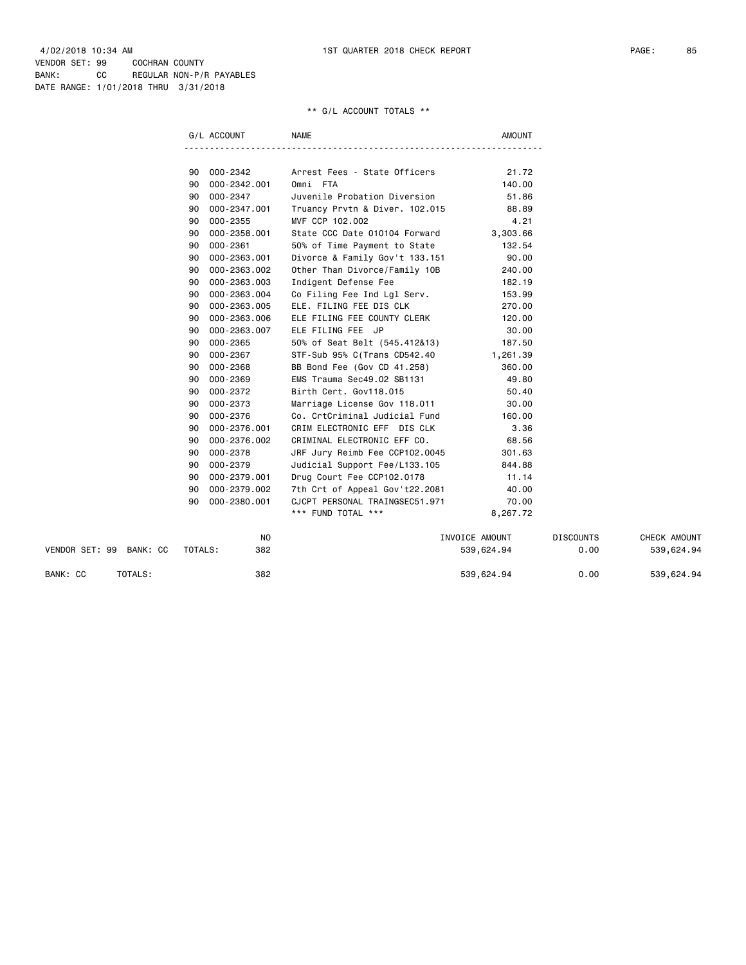|                         | G/L ACCOUNT        | NAME                                 | AMOUNT         |                  |              |
|-------------------------|--------------------|--------------------------------------|----------------|------------------|--------------|
|                         |                    |                                      |                |                  |              |
|                         | 000 - 2342<br>90   | Arrest Fees - State Officers         | 21.72          |                  |              |
|                         | 000-2342.001<br>90 | Omni FTA                             | 140.00         |                  |              |
|                         | 000-2347<br>90     | Juvenile Probation Diversion         | 51.86          |                  |              |
|                         | 000-2347.001<br>90 | Truancy Prvtn & Diver. 102.015 88.89 |                |                  |              |
|                         | $000 - 2355$<br>90 | MVF CCP 102.002                      | 4.21           |                  |              |
|                         | 000-2358.001<br>90 | State CCC Date 010104 Forward        | 3,303.66       |                  |              |
|                         | 000-2361<br>90     | 50% of Time Payment to State         | 132.54         |                  |              |
|                         | 000-2363.001<br>90 | Divorce & Family Gov't 133.151       | 90.00          |                  |              |
|                         | 000-2363.002<br>90 | Other Than Divorce/Family 10B        | 240.00         |                  |              |
|                         | 000-2363.003<br>90 | Indigent Defense Fee                 | 182.19         |                  |              |
|                         | 000-2363.004<br>90 | Co Filing Fee Ind Lgl Serv.          | 153.99         |                  |              |
|                         | 000-2363.005<br>90 | ELE. FILING FEE DIS CLK              | 270.00         |                  |              |
|                         | 000-2363.006<br>90 | ELE FILING FEE COUNTY CLERK          | 120.00         |                  |              |
|                         | 000-2363.007<br>90 | ELE FILING FEE JP                    | 30.00          |                  |              |
|                         | 000-2365<br>90     | 50% of Seat Belt (545.412&13) 187.50 |                |                  |              |
|                         | 000-2367<br>90     | STF-Sub 95% C(Trans CD542.40         | 1,261.39       |                  |              |
|                         | 000-2368<br>90     | BB Bond Fee (Gov CD 41.258)          | 360.00         |                  |              |
|                         | 000-2369<br>90     | EMS Trauma Sec49.02 SB1131           | 49.80          |                  |              |
|                         | 000-2372<br>90     | Birth Cert. Gov118.015               | 50.40          |                  |              |
|                         | 000-2373<br>90     | Marriage License Gov 118.011 30.00   |                |                  |              |
|                         | 000-2376<br>90     | Co. CrtCriminal Judicial Fund        | 160.00         |                  |              |
|                         | 000-2376.001<br>90 | CRIM ELECTRONIC EFF DIS CLK          | 3.36           |                  |              |
|                         | 000-2376.002<br>90 | CRIMINAL ELECTRONIC EFF CO.          | 68.56          |                  |              |
|                         | 000-2378<br>90     | JRF Jury Reimb Fee CCP102.0045       | 301.63         |                  |              |
|                         | 000-2379<br>90     | Judicial Support Fee/L133.105        | 844.88         |                  |              |
|                         | 000-2379.001<br>90 | Drug Court Fee CCP102.0178           | 11.14          |                  |              |
|                         | 000-2379.002<br>90 | 7th Crt of Appeal Gov't22.2081       | 40.00          |                  |              |
|                         | 000-2380.001<br>90 | CJCPT PERSONAL TRAINGSEC51.971       | 70.00          |                  |              |
|                         |                    | *** FUND TOTAL ***                   | 8,267.72       |                  |              |
|                         | NO                 |                                      | INVOICE AMOUNT | <b>DISCOUNTS</b> | CHECK AMOUNT |
| VENDOR SET: 99 BANK: CC | 382<br>TOTALS:     |                                      | 539,624.94     | 0.00             | 539,624.94   |

BANK: CC TOTALS: 382 382 539,624.94 0.00 539,624.94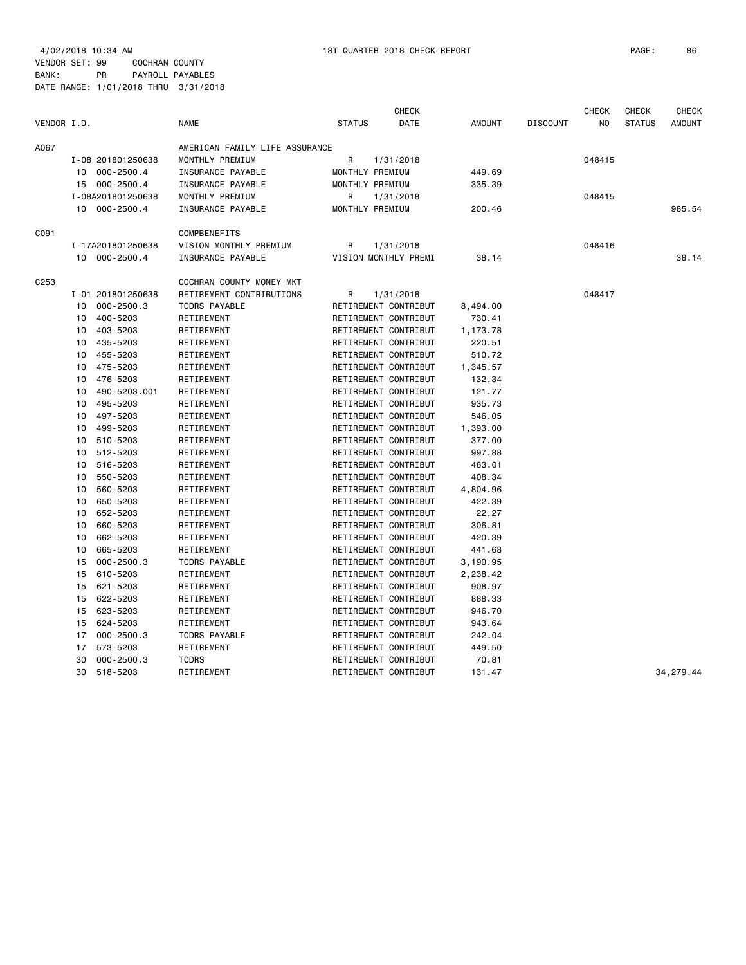4/02/2018 10:34 AM 1ST QUARTER 2018 CHECK REPORT PAGE: 86 VENDOR SET: 99 COCHRAN COUNTY BANK: PR PAYROLL PAYABLES

|             |    |                   |                                |               | <b>CHECK</b>         |               |                 | <b>CHECK</b> | <b>CHECK</b>  | <b>CHECK</b>  |
|-------------|----|-------------------|--------------------------------|---------------|----------------------|---------------|-----------------|--------------|---------------|---------------|
| VENDOR I.D. |    |                   | <b>NAME</b>                    | <b>STATUS</b> | DATE                 | <b>AMOUNT</b> | <b>DISCOUNT</b> | NO           | <b>STATUS</b> | <b>AMOUNT</b> |
| A067        |    |                   | AMERICAN FAMILY LIFE ASSURANCE |               |                      |               |                 |              |               |               |
|             |    | I-08 201801250638 | MONTHLY PREMIUM                | R             | 1/31/2018            |               |                 | 048415       |               |               |
|             | 10 | 000-2500.4        | INSURANCE PAYABLE              |               | MONTHLY PREMIUM      | 449.69        |                 |              |               |               |
|             |    | 15 000-2500.4     | INSURANCE PAYABLE              |               | MONTHLY PREMIUM      | 335.39        |                 |              |               |               |
|             |    | I-08A201801250638 | MONTHLY PREMIUM                | R             | 1/31/2018            |               |                 | 048415       |               |               |
|             |    | 10 000-2500.4     | INSURANCE PAYABLE              |               | MONTHLY PREMIUM      | 200.46        |                 |              |               | 985.54        |
| C091        |    |                   | COMPBENEFITS                   |               |                      |               |                 |              |               |               |
|             |    | I-17A201801250638 | VISION MONTHLY PREMIUM         | R             | 1/31/2018            |               |                 | 048416       |               |               |
|             |    | 10 000-2500.4     | INSURANCE PAYABLE              |               | VISION MONTHLY PREMI | 38.14         |                 |              |               | 38.14         |
| C253        |    |                   | COCHRAN COUNTY MONEY MKT       |               |                      |               |                 |              |               |               |
|             |    | I-01 201801250638 | RETIREMENT CONTRIBUTIONS       | R             | 1/31/2018            |               |                 | 048417       |               |               |
|             | 10 | $000 - 2500.3$    | <b>TCDRS PAYABLE</b>           |               | RETIREMENT CONTRIBUT | 8,494.00      |                 |              |               |               |
|             | 10 | 400-5203          | RETIREMENT                     |               | RETIREMENT CONTRIBUT | 730.41        |                 |              |               |               |
|             | 10 | 403-5203          | RETIREMENT                     |               | RETIREMENT CONTRIBUT | 1,173.78      |                 |              |               |               |
|             | 10 | 435-5203          | RETIREMENT                     |               | RETIREMENT CONTRIBUT | 220.51        |                 |              |               |               |
|             | 10 | 455-5203          | RETIREMENT                     |               | RETIREMENT CONTRIBUT | 510.72        |                 |              |               |               |
|             | 10 | 475-5203          | RETIREMENT                     |               | RETIREMENT CONTRIBUT | 1,345.57      |                 |              |               |               |
|             | 10 | 476-5203          | RETIREMENT                     |               | RETIREMENT CONTRIBUT | 132.34        |                 |              |               |               |
|             | 10 | 490-5203.001      | RETIREMENT                     |               | RETIREMENT CONTRIBUT | 121.77        |                 |              |               |               |
|             | 10 | 495-5203          | RETIREMENT                     |               | RETIREMENT CONTRIBUT | 935.73        |                 |              |               |               |
|             | 10 | 497-5203          | RETIREMENT                     |               | RETIREMENT CONTRIBUT | 546.05        |                 |              |               |               |
|             | 10 | 499-5203          | RETIREMENT                     |               | RETIREMENT CONTRIBUT | 1,393.00      |                 |              |               |               |
|             | 10 | 510-5203          | RETIREMENT                     |               | RETIREMENT CONTRIBUT | 377.00        |                 |              |               |               |
|             | 10 | 512-5203          | RETIREMENT                     |               | RETIREMENT CONTRIBUT | 997.88        |                 |              |               |               |
|             | 10 | 516-5203          | RETIREMENT                     |               | RETIREMENT CONTRIBUT | 463.01        |                 |              |               |               |
|             | 10 | 550-5203          | RETIREMENT                     |               | RETIREMENT CONTRIBUT | 408.34        |                 |              |               |               |
|             | 10 | 560-5203          | RETIREMENT                     |               | RETIREMENT CONTRIBUT | 4,804.96      |                 |              |               |               |
|             | 10 | 650-5203          | RETIREMENT                     |               | RETIREMENT CONTRIBUT | 422.39        |                 |              |               |               |
|             | 10 | 652-5203          | RETIREMENT                     |               | RETIREMENT CONTRIBUT | 22.27         |                 |              |               |               |
|             | 10 | 660-5203          | RETIREMENT                     |               | RETIREMENT CONTRIBUT | 306.81        |                 |              |               |               |
|             | 10 | 662-5203          | RETIREMENT                     |               | RETIREMENT CONTRIBUT | 420.39        |                 |              |               |               |
|             | 10 | 665-5203          | RETIREMENT                     |               | RETIREMENT CONTRIBUT | 441.68        |                 |              |               |               |
|             | 15 | $000 - 2500.3$    | <b>TCDRS PAYABLE</b>           |               | RETIREMENT CONTRIBUT | 3,190.95      |                 |              |               |               |
|             | 15 | 610-5203          | RETIREMENT                     |               | RETIREMENT CONTRIBUT | 2,238.42      |                 |              |               |               |
|             | 15 | 621-5203          | RETIREMENT                     |               | RETIREMENT CONTRIBUT | 908.97        |                 |              |               |               |
|             | 15 | 622-5203          | RETIREMENT                     |               | RETIREMENT CONTRIBUT | 888.33        |                 |              |               |               |
|             | 15 | 623-5203          | RETIREMENT                     |               | RETIREMENT CONTRIBUT | 946.70        |                 |              |               |               |
|             | 15 | 624-5203          | RETIREMENT                     |               | RETIREMENT CONTRIBUT | 943.64        |                 |              |               |               |
|             | 17 | $000 - 2500.3$    | <b>TCDRS PAYABLE</b>           |               | RETIREMENT CONTRIBUT | 242.04        |                 |              |               |               |
|             | 17 | 573-5203          | RETIREMENT                     |               | RETIREMENT CONTRIBUT | 449.50        |                 |              |               |               |
|             | 30 | $000 - 2500.3$    | <b>TCDRS</b>                   |               | RETIREMENT CONTRIBUT | 70.81         |                 |              |               |               |
|             | 30 | 518-5203          | RETIREMENT                     |               | RETIREMENT CONTRIBUT | 131.47        |                 |              |               | 34,279.44     |
|             |    |                   |                                |               |                      |               |                 |              |               |               |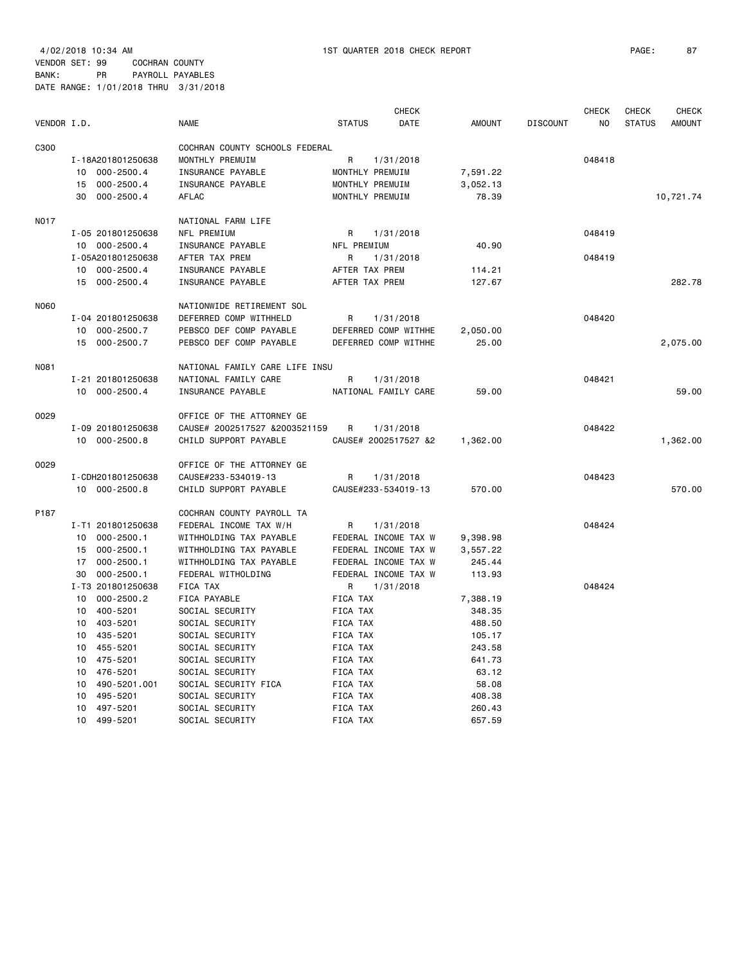4/02/2018 10:34 AM 1ST QUARTER 2018 CHECK REPORT PAGE: 87

VENDOR SET: 99 COCHRAN COUNTY BANK: PR PAYROLL PAYABLES

| VENDOR I.D. |                      | <b>NAME</b>                    | <b>STATUS</b>       | <b>CHECK</b><br>DATE | <b>AMOUNT</b> | <b>DISCOUNT</b> | <b>CHECK</b><br>NO | <b>CHECK</b><br><b>STATUS</b> | <b>CHECK</b><br><b>AMOUNT</b> |
|-------------|----------------------|--------------------------------|---------------------|----------------------|---------------|-----------------|--------------------|-------------------------------|-------------------------------|
| C300        |                      | COCHRAN COUNTY SCHOOLS FEDERAL |                     |                      |               |                 |                    |                               |                               |
|             | I-18A201801250638    | MONTHLY PREMUIM                | R                   | 1/31/2018            |               |                 | 048418             |                               |                               |
|             | 10<br>$000 - 2500.4$ | INSURANCE PAYABLE              | MONTHLY PREMUIM     |                      | 7,591.22      |                 |                    |                               |                               |
|             | $000 - 2500.4$<br>15 | INSURANCE PAYABLE              | MONTHLY PREMUIM     |                      | 3,052.13      |                 |                    |                               |                               |
|             | $000 - 2500.4$<br>30 | <b>AFLAC</b>                   | MONTHLY PREMUIM     |                      | 78.39         |                 |                    |                               | 10,721.74                     |
|             |                      |                                |                     |                      |               |                 |                    |                               |                               |
| <b>NO17</b> |                      | NATIONAL FARM LIFE             |                     |                      |               |                 |                    |                               |                               |
|             | I-05 201801250638    | NFL PREMIUM                    | R                   | 1/31/2018            |               |                 | 048419             |                               |                               |
|             | 000-2500.4<br>10     | INSURANCE PAYABLE              | NFL PREMIUM         |                      | 40.90         |                 |                    |                               |                               |
|             | I-05A201801250638    | AFTER TAX PREM                 | R                   | 1/31/2018            |               |                 | 048419             |                               |                               |
|             | $000 - 2500.4$<br>10 | INSURANCE PAYABLE              | AFTER TAX PREM      |                      | 114.21        |                 |                    |                               |                               |
|             | 000-2500.4<br>15     | INSURANCE PAYABLE              | AFTER TAX PREM      |                      | 127.67        |                 |                    |                               | 282.78                        |
| <b>N060</b> |                      | NATIONWIDE RETIREMENT SOL      |                     |                      |               |                 |                    |                               |                               |
|             | I-04 201801250638    | DEFERRED COMP WITHHELD         | R                   | 1/31/2018            |               |                 | 048420             |                               |                               |
|             | 000-2500.7<br>10     | PEBSCO DEF COMP PAYABLE        |                     | DEFERRED COMP WITHHE | 2,050.00      |                 |                    |                               |                               |
|             | 000-2500.7<br>15     | PEBSCO DEF COMP PAYABLE        |                     | DEFERRED COMP WITHHE | 25.00         |                 |                    |                               | 2,075.00                      |
|             |                      |                                |                     |                      |               |                 |                    |                               |                               |
| <b>N081</b> |                      | NATIONAL FAMILY CARE LIFE INSU |                     |                      |               |                 |                    |                               |                               |
|             | I-21 201801250638    | NATIONAL FAMILY CARE           | R                   | 1/31/2018            |               |                 | 048421             |                               |                               |
|             | $000 - 2500.4$<br>10 | INSURANCE PAYABLE              |                     | NATIONAL FAMILY CARE | 59.00         |                 |                    |                               | 59.00                         |
| 0029        |                      | OFFICE OF THE ATTORNEY GE      |                     |                      |               |                 |                    |                               |                               |
|             | I-09 201801250638    | CAUSE# 2002517527 &2003521159  | R                   | 1/31/2018            |               |                 | 048422             |                               |                               |
|             | 10<br>000-2500.8     | CHILD SUPPORT PAYABLE          |                     | CAUSE# 2002517527 &2 | 1,362.00      |                 |                    |                               | 1,362.00                      |
|             |                      |                                |                     |                      |               |                 |                    |                               |                               |
| 0029        |                      | OFFICE OF THE ATTORNEY GE      |                     |                      |               |                 |                    |                               |                               |
|             | I-CDH201801250638    | CAUSE#233-534019-13            | R                   | 1/31/2018            |               |                 | 048423             |                               |                               |
|             | 10 000-2500.8        | CHILD SUPPORT PAYABLE          | CAUSE#233-534019-13 |                      | 570.00        |                 |                    |                               | 570.00                        |
| P187        |                      | COCHRAN COUNTY PAYROLL TA      |                     |                      |               |                 |                    |                               |                               |
|             | I-T1 201801250638    | FEDERAL INCOME TAX W/H         | R                   | 1/31/2018            |               |                 | 048424             |                               |                               |
|             | 10<br>$000 - 2500.1$ | WITHHOLDING TAX PAYABLE        |                     | FEDERAL INCOME TAX W | 9,398.98      |                 |                    |                               |                               |
|             | $000 - 2500.1$<br>15 | WITHHOLDING TAX PAYABLE        |                     | FEDERAL INCOME TAX W | 3,557.22      |                 |                    |                               |                               |
|             | $000 - 2500.1$<br>17 | WITHHOLDING TAX PAYABLE        |                     | FEDERAL INCOME TAX W | 245.44        |                 |                    |                               |                               |
|             | $000 - 2500.1$<br>30 | FEDERAL WITHOLDING             |                     | FEDERAL INCOME TAX W | 113.93        |                 |                    |                               |                               |
|             | I-T3 201801250638    | FICA TAX                       | R                   | 1/31/2018            |               |                 | 048424             |                               |                               |
|             | $000 - 2500.2$<br>10 | FICA PAYABLE                   | FICA TAX            |                      | 7,388.19      |                 |                    |                               |                               |
|             | 400-5201<br>10       | SOCIAL SECURITY                | FICA TAX            |                      | 348.35        |                 |                    |                               |                               |
|             | 403-5201<br>10       | SOCIAL SECURITY                | FICA TAX            |                      | 488.50        |                 |                    |                               |                               |
|             | 10<br>435-5201       | SOCIAL SECURITY                | FICA TAX            |                      | 105.17        |                 |                    |                               |                               |
|             | 455-5201<br>10       | SOCIAL SECURITY                | FICA TAX            |                      | 243.58        |                 |                    |                               |                               |
|             | 475-5201<br>10       | SOCIAL SECURITY                | FICA TAX            |                      | 641.73        |                 |                    |                               |                               |
|             | 10<br>476-5201       | SOCIAL SECURITY                | FICA TAX            |                      | 63.12         |                 |                    |                               |                               |
|             | 490-5201.001<br>10   | SOCIAL SECURITY FICA           | FICA TAX            |                      | 58.08         |                 |                    |                               |                               |
|             | 10<br>495-5201       | SOCIAL SECURITY                | FICA TAX            |                      | 408.38        |                 |                    |                               |                               |
|             | 497-5201<br>10       | SOCIAL SECURITY                | <b>FICA TAX</b>     |                      | 260.43        |                 |                    |                               |                               |
|             | 10<br>499-5201       | SOCIAL SECURITY                | FICA TAX            |                      | 657.59        |                 |                    |                               |                               |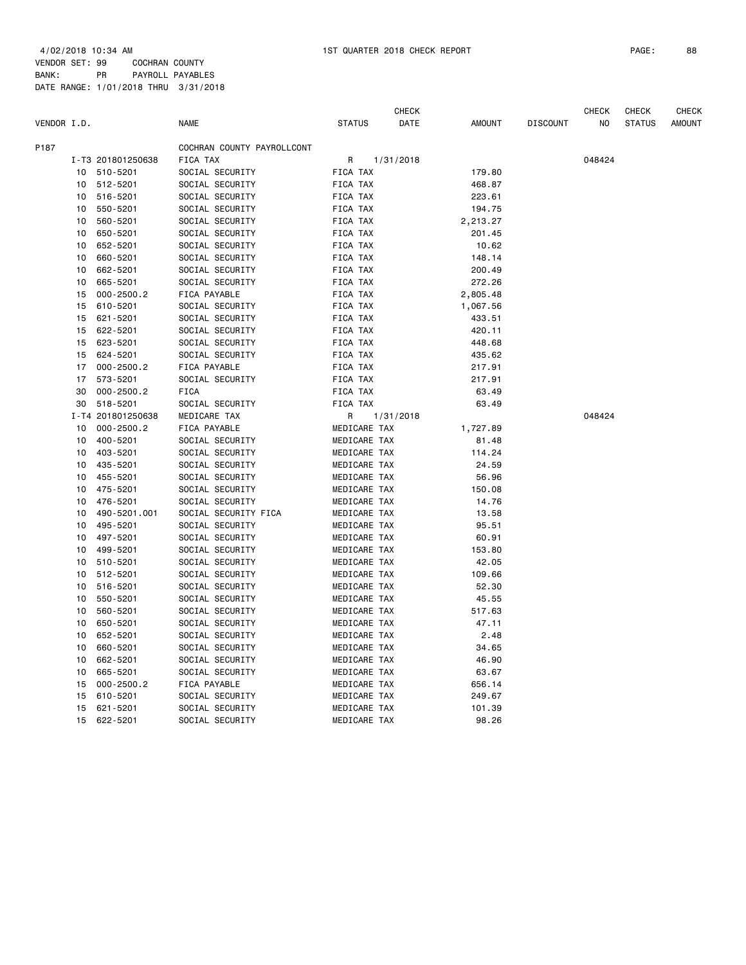4/02/2018 10:34 AM 1ST QUARTER 2018 CHECK REPORT PAGE: 88 VENDOR SET: 99 COCHRAN COUNTY

BANK: PR PAYROLL PAYABLES DATE RANGE: 1/01/2018 THRU 3/31/2018

|             |    |                   |                            |                 |              | <b>CHECK</b> |               |                 | <b>CHECK</b> | <b>CHECK</b>  | <b>CHECK</b>  |
|-------------|----|-------------------|----------------------------|-----------------|--------------|--------------|---------------|-----------------|--------------|---------------|---------------|
| VENDOR I.D. |    |                   | <b>NAME</b>                | <b>STATUS</b>   |              | DATE         | <b>AMOUNT</b> | <b>DISCOUNT</b> | NO           | <b>STATUS</b> | <b>AMOUNT</b> |
| P187        |    |                   | COCHRAN COUNTY PAYROLLCONT |                 |              |              |               |                 |              |               |               |
|             |    | I-T3 201801250638 | FICA TAX                   | R               |              | 1/31/2018    |               |                 | 048424       |               |               |
|             | 10 | 510-5201          | SOCIAL SECURITY            | <b>FICA TAX</b> |              |              | 179.80        |                 |              |               |               |
|             | 10 | 512-5201          | SOCIAL SECURITY            | <b>FICA TAX</b> |              |              | 468.87        |                 |              |               |               |
|             | 10 | 516-5201          | SOCIAL SECURITY            | <b>FICA TAX</b> |              |              | 223.61        |                 |              |               |               |
|             | 10 | 550-5201          | SOCIAL SECURITY            | FICA TAX        |              |              | 194.75        |                 |              |               |               |
|             | 10 | 560-5201          | SOCIAL SECURITY            | <b>FICA TAX</b> |              |              | 2,213.27      |                 |              |               |               |
|             | 10 | 650-5201          | SOCIAL SECURITY            | <b>FICA TAX</b> |              |              | 201.45        |                 |              |               |               |
|             | 10 | 652-5201          | SOCIAL SECURITY            | FICA TAX        |              |              | 10.62         |                 |              |               |               |
|             | 10 | 660-5201          | SOCIAL SECURITY            | FICA TAX        |              |              | 148.14        |                 |              |               |               |
|             | 10 | 662-5201          | SOCIAL SECURITY            | FICA TAX        |              |              | 200.49        |                 |              |               |               |
|             | 10 | 665-5201          | SOCIAL SECURITY            | FICA TAX        |              |              | 272.26        |                 |              |               |               |
|             | 15 | $000 - 2500.2$    | FICA PAYABLE               | FICA TAX        |              |              | 2,805.48      |                 |              |               |               |
|             | 15 | 610-5201          | SOCIAL SECURITY            | FICA TAX        |              |              | 1,067.56      |                 |              |               |               |
|             | 15 | 621-5201          | SOCIAL SECURITY            | FICA TAX        |              |              | 433.51        |                 |              |               |               |
|             | 15 | 622-5201          | SOCIAL SECURITY            | FICA TAX        |              |              | 420.11        |                 |              |               |               |
|             | 15 | 623-5201          | SOCIAL SECURITY            | FICA TAX        |              |              | 448.68        |                 |              |               |               |
|             | 15 | 624-5201          | SOCIAL SECURITY            | FICA TAX        |              |              | 435.62        |                 |              |               |               |
|             | 17 | $000 - 2500.2$    | FICA PAYABLE               | <b>FICA TAX</b> |              |              | 217.91        |                 |              |               |               |
|             | 17 | 573-5201          | SOCIAL SECURITY            | FICA TAX        |              |              | 217.91        |                 |              |               |               |
|             | 30 | $000 - 2500.2$    | <b>FICA</b>                | FICA TAX        |              |              | 63.49         |                 |              |               |               |
|             | 30 | 518-5201          | SOCIAL SECURITY            | FICA TAX        |              |              | 63.49         |                 |              |               |               |
|             |    | I-T4 201801250638 | MEDICARE TAX               | R               |              | 1/31/2018    |               |                 | 048424       |               |               |
|             | 10 | $000 - 2500.2$    | FICA PAYABLE               |                 | MEDICARE TAX |              | 1,727.89      |                 |              |               |               |
|             | 10 | 400-5201          | SOCIAL SECURITY            |                 | MEDICARE TAX |              | 81.48         |                 |              |               |               |
|             | 10 | 403-5201          | SOCIAL SECURITY            |                 | MEDICARE TAX |              | 114.24        |                 |              |               |               |
|             | 10 | 435-5201          | SOCIAL SECURITY            |                 | MEDICARE TAX |              | 24.59         |                 |              |               |               |
|             | 10 | 455-5201          | SOCIAL SECURITY            |                 | MEDICARE TAX |              | 56.96         |                 |              |               |               |
|             | 10 | 475-5201          | SOCIAL SECURITY            |                 | MEDICARE TAX |              | 150.08        |                 |              |               |               |
|             | 10 | 476-5201          | SOCIAL SECURITY            |                 | MEDICARE TAX |              | 14.76         |                 |              |               |               |
|             | 10 | 490-5201.001      | SOCIAL SECURITY FICA       |                 | MEDICARE TAX |              | 13.58         |                 |              |               |               |
|             | 10 | 495-5201          | SOCIAL SECURITY            |                 | MEDICARE TAX |              | 95.51         |                 |              |               |               |
|             | 10 | 497-5201          | SOCIAL SECURITY            |                 | MEDICARE TAX |              | 60.91         |                 |              |               |               |
|             | 10 | 499-5201          | SOCIAL SECURITY            |                 | MEDICARE TAX |              | 153.80        |                 |              |               |               |
|             | 10 | 510-5201          | SOCIAL SECURITY            |                 | MEDICARE TAX |              | 42.05         |                 |              |               |               |
|             | 10 | 512-5201          | SOCIAL SECURITY            |                 | MEDICARE TAX |              | 109.66        |                 |              |               |               |
|             | 10 | 516-5201          | SOCIAL SECURITY            |                 | MEDICARE TAX |              | 52.30         |                 |              |               |               |
|             | 10 | 550-5201          | SOCIAL SECURITY            |                 | MEDICARE TAX |              | 45.55         |                 |              |               |               |
|             | 10 | 560-5201          | SOCIAL SECURITY            |                 | MEDICARE TAX |              | 517.63        |                 |              |               |               |
|             | 10 | 650-5201          | SOCIAL SECURITY            |                 | MEDICARE TAX |              | 47.11         |                 |              |               |               |
|             | 10 | 652-5201          | SOCIAL SECURITY            |                 | MEDICARE TAX |              | 2.48          |                 |              |               |               |
|             | 10 | 660-5201          | SOCIAL SECURITY            |                 | MEDICARE TAX |              | 34.65         |                 |              |               |               |
|             | 10 | 662-5201          | SOCIAL SECURITY            |                 | MEDICARE TAX |              | 46.90         |                 |              |               |               |
|             | 10 | 665-5201          | SOCIAL SECURITY            |                 | MEDICARE TAX |              | 63.67         |                 |              |               |               |
|             | 15 | $000 - 2500.2$    | FICA PAYABLE               |                 | MEDICARE TAX |              | 656.14        |                 |              |               |               |
|             | 15 | 610-5201          | SOCIAL SECURITY            |                 | MEDICARE TAX |              | 249.67        |                 |              |               |               |
|             | 15 | 621-5201          | SOCIAL SECURITY            |                 | MEDICARE TAX |              | 101.39        |                 |              |               |               |
|             | 15 | 622-5201          | SOCIAL SECURITY            |                 | MEDICARE TAX |              | 98.26         |                 |              |               |               |
|             |    |                   |                            |                 |              |              |               |                 |              |               |               |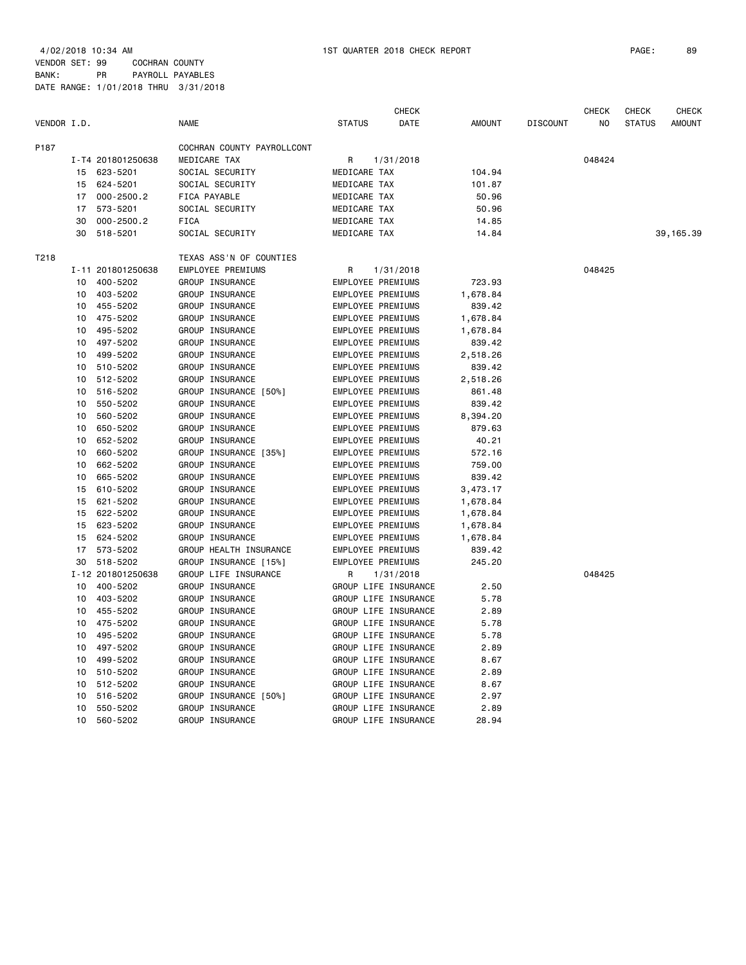VENDOR SET: 99 COCHRAN COUNTY BANK: PR PAYROLL PAYABLES DATE RANGE: 1/01/2018 THRU 3/31/2018

|             |    |                   |                            |                          | <b>CHECK</b>         |               |                 | CHECK  | <b>CHECK</b>  | <b>CHECK</b>  |
|-------------|----|-------------------|----------------------------|--------------------------|----------------------|---------------|-----------------|--------|---------------|---------------|
| VENDOR I.D. |    |                   | <b>NAME</b>                | <b>STATUS</b>            | DATE                 | <b>AMOUNT</b> | <b>DISCOUNT</b> | NO     | <b>STATUS</b> | <b>AMOUNT</b> |
| P187        |    |                   | COCHRAN COUNTY PAYROLLCONT |                          |                      |               |                 |        |               |               |
|             |    | I-T4 201801250638 | MEDICARE TAX               | R                        | 1/31/2018            |               |                 | 048424 |               |               |
|             | 15 | 623-5201          | SOCIAL SECURITY            | MEDICARE TAX             |                      | 104.94        |                 |        |               |               |
|             | 15 | 624-5201          | SOCIAL SECURITY            | MEDICARE TAX             |                      | 101.87        |                 |        |               |               |
|             | 17 | $000 - 2500.2$    | FICA PAYABLE               | MEDICARE TAX             |                      | 50.96         |                 |        |               |               |
|             | 17 | 573-5201          | SOCIAL SECURITY            | MEDICARE TAX             |                      | 50.96         |                 |        |               |               |
|             | 30 | $000 - 2500.2$    | <b>FICA</b>                | MEDICARE TAX             |                      | 14.85         |                 |        |               |               |
|             | 30 | 518-5201          | SOCIAL SECURITY            | MEDICARE TAX             |                      | 14.84         |                 |        |               | 39, 165.39    |
| T218        |    |                   | TEXAS ASS'N OF COUNTIES    |                          |                      |               |                 |        |               |               |
|             |    | I-11 201801250638 | <b>EMPLOYEE PREMIUMS</b>   | R                        | 1/31/2018            |               |                 | 048425 |               |               |
|             | 10 | 400-5202          | GROUP INSURANCE            | EMPLOYEE PREMIUMS        |                      | 723.93        |                 |        |               |               |
|             | 10 | 403-5202          | GROUP INSURANCE            | EMPLOYEE PREMIUMS        |                      | 1,678.84      |                 |        |               |               |
|             | 10 | 455-5202          | GROUP INSURANCE            | <b>EMPLOYEE PREMIUMS</b> |                      | 839.42        |                 |        |               |               |
|             | 10 | 475-5202          | GROUP INSURANCE            | EMPLOYEE PREMIUMS        |                      | 1,678.84      |                 |        |               |               |
|             | 10 | 495-5202          | GROUP INSURANCE            | EMPLOYEE PREMIUMS        |                      | 1,678.84      |                 |        |               |               |
|             | 10 | 497-5202          | GROUP INSURANCE            | EMPLOYEE PREMIUMS        |                      | 839.42        |                 |        |               |               |
|             | 10 | 499-5202          | GROUP INSURANCE            | EMPLOYEE PREMIUMS        |                      | 2,518.26      |                 |        |               |               |
|             | 10 | 510-5202          | GROUP INSURANCE            | EMPLOYEE PREMIUMS        |                      | 839.42        |                 |        |               |               |
|             | 10 | 512-5202          | GROUP INSURANCE            | EMPLOYEE PREMIUMS        |                      | 2,518.26      |                 |        |               |               |
|             | 10 | 516-5202          | GROUP INSURANCE [50%]      | EMPLOYEE PREMIUMS        |                      | 861.48        |                 |        |               |               |
|             | 10 | 550-5202          | GROUP INSURANCE            | EMPLOYEE PREMIUMS        |                      | 839.42        |                 |        |               |               |
|             | 10 | 560-5202          | GROUP INSURANCE            | EMPLOYEE PREMIUMS        |                      | 8,394.20      |                 |        |               |               |
|             | 10 | 650-5202          | GROUP INSURANCE            | EMPLOYEE PREMIUMS        |                      | 879.63        |                 |        |               |               |
|             | 10 | 652-5202          | GROUP INSURANCE            | EMPLOYEE PREMIUMS        |                      | 40.21         |                 |        |               |               |
|             | 10 | 660-5202          | GROUP INSURANCE [35%]      | EMPLOYEE PREMIUMS        |                      | 572.16        |                 |        |               |               |
|             | 10 | 662-5202          | GROUP INSURANCE            | <b>EMPLOYEE PREMIUMS</b> |                      | 759.00        |                 |        |               |               |
|             | 10 | 665-5202          | GROUP INSURANCE            | EMPLOYEE PREMIUMS        |                      | 839.42        |                 |        |               |               |
|             | 15 | 610-5202          | GROUP INSURANCE            | EMPLOYEE PREMIUMS        |                      | 3,473.17      |                 |        |               |               |
|             | 15 | 621-5202          | GROUP INSURANCE            | EMPLOYEE PREMIUMS        |                      | 1,678.84      |                 |        |               |               |
|             | 15 | 622-5202          | GROUP INSURANCE            | EMPLOYEE PREMIUMS        |                      | 1,678.84      |                 |        |               |               |
|             | 15 | 623-5202          | GROUP INSURANCE            | EMPLOYEE PREMIUMS        |                      | 1,678.84      |                 |        |               |               |
|             | 15 | 624-5202          | GROUP INSURANCE            | EMPLOYEE PREMIUMS        |                      | 1,678.84      |                 |        |               |               |
|             | 17 | 573-5202          | GROUP HEALTH INSURANCE     | EMPLOYEE PREMIUMS        |                      | 839.42        |                 |        |               |               |
|             | 30 | 518-5202          | GROUP INSURANCE [15%]      | <b>EMPLOYEE PREMIUMS</b> |                      | 245.20        |                 |        |               |               |
|             |    | I-12 201801250638 | GROUP LIFE INSURANCE       | R                        | 1/31/2018            |               |                 | 048425 |               |               |
|             | 10 | 400-5202          | GROUP INSURANCE            |                          | GROUP LIFE INSURANCE | 2.50          |                 |        |               |               |
|             | 10 | 403-5202          | GROUP INSURANCE            |                          | GROUP LIFE INSURANCE | 5.78          |                 |        |               |               |
|             | 10 | 455-5202          | GROUP INSURANCE            |                          | GROUP LIFE INSURANCE | 2.89          |                 |        |               |               |
|             | 10 | 475-5202          | GROUP INSURANCE            |                          | GROUP LIFE INSURANCE | 5.78          |                 |        |               |               |
|             | 10 | 495-5202          | GROUP INSURANCE            |                          | GROUP LIFE INSURANCE | 5.78          |                 |        |               |               |
|             | 10 | 497-5202          | GROUP INSURANCE            |                          | GROUP LIFE INSURANCE | 2.89          |                 |        |               |               |
|             | 10 | 499-5202          | GROUP INSURANCE            |                          | GROUP LIFE INSURANCE | 8.67          |                 |        |               |               |
|             | 10 | 510-5202          | GROUP INSURANCE            |                          | GROUP LIFE INSURANCE | 2.89          |                 |        |               |               |
|             | 10 | 512-5202          | GROUP INSURANCE            |                          | GROUP LIFE INSURANCE | 8.67          |                 |        |               |               |
|             | 10 | 516-5202          | GROUP INSURANCE [50%]      |                          | GROUP LIFE INSURANCE | 2.97          |                 |        |               |               |
|             | 10 | 550-5202          | GROUP INSURANCE            |                          | GROUP LIFE INSURANCE | 2.89          |                 |        |               |               |
|             | 10 | 560-5202          | GROUP INSURANCE            |                          | GROUP LIFE INSURANCE | 28.94         |                 |        |               |               |
|             |    |                   |                            |                          |                      |               |                 |        |               |               |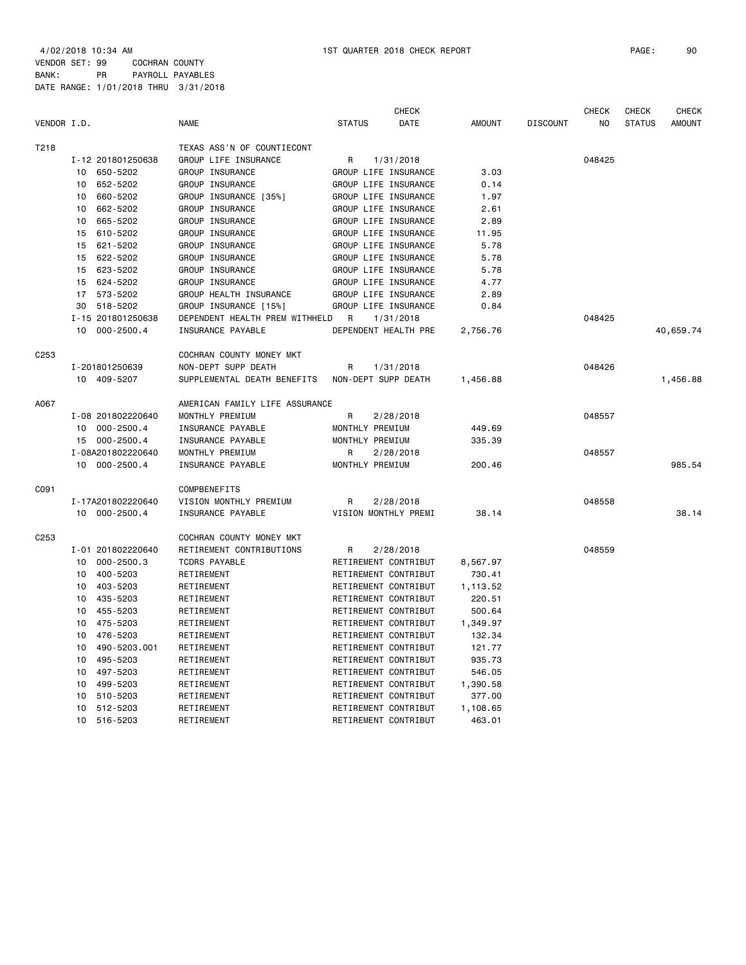4/02/2018 10:34 AM 1ST QUARTER 2018 CHECK REPORT PAGE: 90 VENDOR SET: 99 COCHRAN COUNTY BANK: PR PAYROLL PAYABLES

|                  |                      |                                |                      | <b>CHECK</b> |               |                 | <b>CHECK</b> | <b>CHECK</b>  | <b>CHECK</b>  |
|------------------|----------------------|--------------------------------|----------------------|--------------|---------------|-----------------|--------------|---------------|---------------|
| VENDOR I.D.      |                      | <b>NAME</b>                    | <b>STATUS</b>        | DATE         | <b>AMOUNT</b> | <b>DISCOUNT</b> | NO.          | <b>STATUS</b> | <b>AMOUNT</b> |
| T218             |                      | TEXAS ASS'N OF COUNTIECONT     |                      |              |               |                 |              |               |               |
|                  | I-12 201801250638    | GROUP LIFE INSURANCE           | R                    | 1/31/2018    |               |                 | 048425       |               |               |
|                  | 650-5202<br>10       | GROUP INSURANCE                | GROUP LIFE INSURANCE |              | 3.03          |                 |              |               |               |
|                  | 652-5202<br>10       | GROUP INSURANCE                | GROUP LIFE INSURANCE |              | 0.14          |                 |              |               |               |
|                  | 10<br>660-5202       | GROUP INSURANCE [35%]          | GROUP LIFE INSURANCE |              | 1.97          |                 |              |               |               |
|                  | 662-5202<br>10       | GROUP INSURANCE                | GROUP LIFE INSURANCE |              | 2.61          |                 |              |               |               |
|                  | 665-5202<br>10       | GROUP INSURANCE                | GROUP LIFE INSURANCE |              | 2.89          |                 |              |               |               |
|                  | 610-5202<br>15       | GROUP INSURANCE                | GROUP LIFE INSURANCE |              | 11.95         |                 |              |               |               |
|                  | 621-5202<br>15       | GROUP INSURANCE                | GROUP LIFE INSURANCE |              | 5.78          |                 |              |               |               |
|                  | 15<br>622-5202       | GROUP INSURANCE                | GROUP LIFE INSURANCE |              | 5.78          |                 |              |               |               |
|                  | 623-5202<br>15       | GROUP INSURANCE                | GROUP LIFE INSURANCE |              | 5.78          |                 |              |               |               |
|                  | 15<br>624-5202       | GROUP INSURANCE                | GROUP LIFE INSURANCE |              | 4.77          |                 |              |               |               |
|                  | 573-5202<br>17       | GROUP HEALTH INSURANCE         | GROUP LIFE INSURANCE |              | 2.89          |                 |              |               |               |
|                  | 518-5202<br>30       | GROUP INSURANCE [15%]          | GROUP LIFE INSURANCE |              | 0.84          |                 |              |               |               |
|                  | I-15 201801250638    | DEPENDENT HEALTH PREM WITHHELD | R                    | 1/31/2018    |               |                 | 048425       |               |               |
|                  | 10<br>$000 - 2500.4$ | INSURANCE PAYABLE              | DEPENDENT HEALTH PRE |              | 2,756.76      |                 |              |               | 40,659.74     |
| C <sub>253</sub> |                      | COCHRAN COUNTY MONEY MKT       |                      |              |               |                 |              |               |               |
|                  | I-201801250639       | NON-DEPT SUPP DEATH            | R                    | 1/31/2018    |               |                 | 048426       |               |               |
|                  | 10 409-5207          | SUPPLEMENTAL DEATH BENEFITS    | NON-DEPT SUPP DEATH  |              | 1,456.88      |                 |              |               | 1,456.88      |
| A067             |                      | AMERICAN FAMILY LIFE ASSURANCE |                      |              |               |                 |              |               |               |
|                  | I-08 201802220640    | MONTHLY PREMIUM                | R                    | 2/28/2018    |               |                 | 048557       |               |               |
|                  | $000 - 2500.4$<br>10 | INSURANCE PAYABLE              | MONTHLY PREMIUM      |              | 449.69        |                 |              |               |               |
|                  | $000 - 2500.4$<br>15 | INSURANCE PAYABLE              | MONTHLY PREMIUM      |              | 335.39        |                 |              |               |               |
|                  | I-08A201802220640    | MONTHLY PREMIUM                | R                    | 2/28/2018    |               |                 | 048557       |               |               |
|                  | 10 000-2500.4        | INSURANCE PAYABLE              | MONTHLY PREMIUM      |              | 200.46        |                 |              |               | 985.54        |
| C091             |                      | COMPBENEFITS                   |                      |              |               |                 |              |               |               |
|                  | I-17A201802220640    | VISION MONTHLY PREMIUM         | R                    | 2/28/2018    |               |                 | 048558       |               |               |
|                  | 10 000-2500.4        | INSURANCE PAYABLE              | VISION MONTHLY PREMI |              | 38.14         |                 |              |               | 38.14         |
| C <sub>253</sub> |                      | COCHRAN COUNTY MONEY MKT       |                      |              |               |                 |              |               |               |
|                  | I-01 201802220640    | RETIREMENT CONTRIBUTIONS       | R                    | 2/28/2018    |               |                 | 048559       |               |               |
|                  | $000 - 2500.3$<br>10 | <b>TCDRS PAYABLE</b>           | RETIREMENT CONTRIBUT |              | 8,567.97      |                 |              |               |               |
|                  | 400-5203<br>10       | RETIREMENT                     | RETIREMENT CONTRIBUT |              | 730.41        |                 |              |               |               |
|                  | 403-5203<br>10       | RETIREMENT                     | RETIREMENT CONTRIBUT |              | 1,113.52      |                 |              |               |               |
|                  | 435-5203<br>10       | RETIREMENT                     | RETIREMENT CONTRIBUT |              | 220.51        |                 |              |               |               |
|                  | 455-5203<br>10       | RETIREMENT                     | RETIREMENT CONTRIBUT |              | 500.64        |                 |              |               |               |
|                  | 475-5203<br>10       | RETIREMENT                     | RETIREMENT CONTRIBUT |              | 1,349.97      |                 |              |               |               |
|                  | 476-5203<br>10       | RETIREMENT                     | RETIREMENT CONTRIBUT |              | 132.34        |                 |              |               |               |
|                  | 10<br>490-5203.001   | RETIREMENT                     | RETIREMENT CONTRIBUT |              | 121.77        |                 |              |               |               |
|                  | 495-5203<br>10       | RETIREMENT                     | RETIREMENT CONTRIBUT |              | 935.73        |                 |              |               |               |
|                  | 497-5203<br>10       | RETIREMENT                     | RETIREMENT CONTRIBUT |              | 546.05        |                 |              |               |               |
|                  | 10<br>499-5203       | RETIREMENT                     | RETIREMENT CONTRIBUT |              | 1,390.58      |                 |              |               |               |
|                  | 510-5203<br>10       | RETIREMENT                     | RETIREMENT CONTRIBUT |              | 377.00        |                 |              |               |               |
|                  | 512-5203<br>10       | RETIREMENT                     | RETIREMENT CONTRIBUT |              | 1,108.65      |                 |              |               |               |
|                  | 516-5203<br>10       | RETIREMENT                     | RETIREMENT CONTRIBUT |              | 463.01        |                 |              |               |               |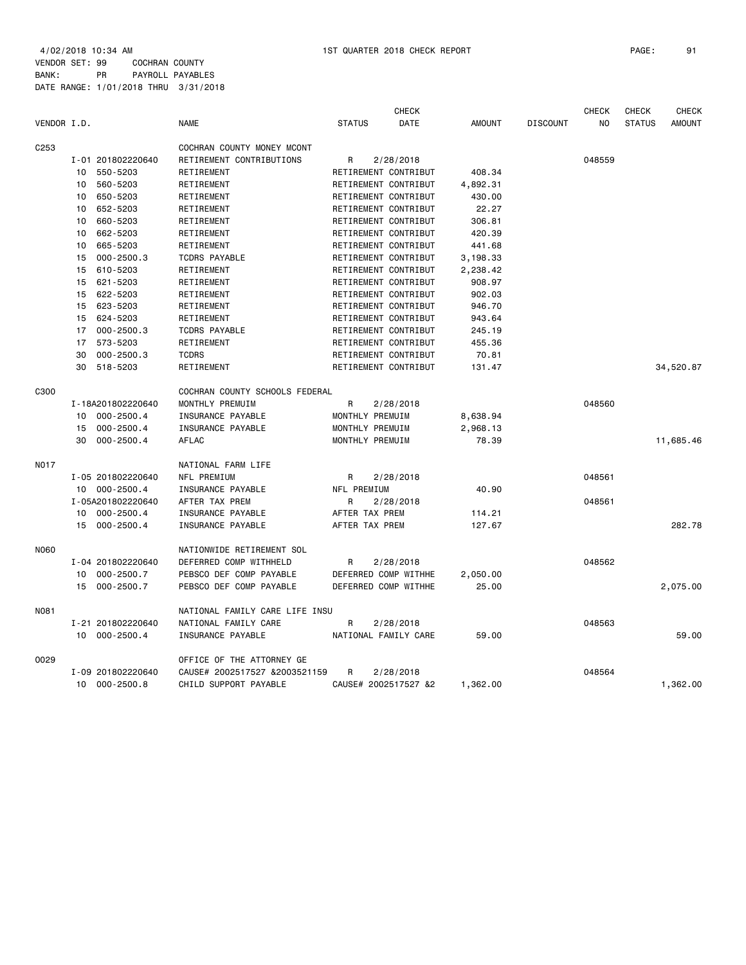4/02/2018 10:34 AM 1ST QUARTER 2018 CHECK REPORT PAGE: 91 VENDOR SET: 99 COCHRAN COUNTY BANK: PR PAYROLL PAYABLES

|                  | DATE RANGE: 1/01/2018 THRU 3/31/2018 |                            |                      |                      |          |                 |                                |               |                               |
|------------------|--------------------------------------|----------------------------|----------------------|----------------------|----------|-----------------|--------------------------------|---------------|-------------------------------|
| VENDOR I.D.      |                                      | <b>NAME</b>                | <b>STATUS</b>        | <b>CHECK</b><br>DATE |          | <b>DISCOUNT</b> | <b>CHECK</b><br>N <sub>0</sub> | <b>CHECK</b>  | <b>CHECK</b><br><b>AMOUNT</b> |
|                  |                                      |                            |                      |                      | AMOUNT   |                 |                                | <b>STATUS</b> |                               |
| C <sub>253</sub> |                                      | COCHRAN COUNTY MONEY MCONT |                      |                      |          |                 |                                |               |                               |
|                  | I-01 201802220640                    | RETIREMENT CONTRIBUTIONS   | R                    | 2/28/2018            |          |                 | 048559                         |               |                               |
| 10 <sup>1</sup>  | 550-5203                             | RETIREMENT                 | RETIREMENT CONTRIBUT |                      | 408.34   |                 |                                |               |                               |
| 10               | 560-5203                             | RETIREMENT                 | RETIREMENT CONTRIBUT |                      | 4,892.31 |                 |                                |               |                               |
| 10               | 650-5203                             | RETIREMENT                 | RETIREMENT CONTRIBUT |                      | 430.00   |                 |                                |               |                               |
| 10               | 652-5203                             | RETIREMENT                 | RETIREMENT CONTRIBUT |                      | 22.27    |                 |                                |               |                               |
| 10               | 660-5203                             | RETIREMENT                 | RETIREMENT CONTRIBUT |                      | 306.81   |                 |                                |               |                               |
| 10               | 662-5203                             | RETIREMENT                 | RETIREMENT CONTRIBUT |                      | 420.39   |                 |                                |               |                               |
| 10               | 665-5203                             | RETIREMENT                 | RETIREMENT CONTRIBUT |                      | 441.68   |                 |                                |               |                               |
| 15               | $000 - 2500.3$                       | <b>TCDRS PAYABLE</b>       | RETIREMENT CONTRIBUT |                      | 3,198.33 |                 |                                |               |                               |
| 15               | 610-5203                             | RETIREMENT                 | RETIREMENT CONTRIBUT |                      | 2,238.42 |                 |                                |               |                               |
| 15               | 621-5203                             | RETIREMENT                 | RETIREMENT CONTRIBUT |                      | 908.97   |                 |                                |               |                               |
| 15               | 622-5203                             | RETIREMENT                 | RETIREMENT CONTRIBUT |                      | 902.03   |                 |                                |               |                               |
| 15               | 623-5203                             | RETIREMENT                 | RETIREMENT CONTRIBUT |                      | 946.70   |                 |                                |               |                               |
| 15               | 624-5203                             | RETIREMENT                 | RETIREMENT CONTRIBUT |                      | 943.64   |                 |                                |               |                               |
| 17               | $000 - 2500.3$                       | <b>TCDRS PAYABLE</b>       | RETIREMENT CONTRIBUT |                      | 245.19   |                 |                                |               |                               |
| 17               | 573-5203                             | RETIREMENT                 | RETIREMENT CONTRIBUT |                      | 455.36   |                 |                                |               |                               |
| 30               | $000 - 2500.3$                       | <b>TCDRS</b>               | RETIREMENT CONTRIBUT |                      | 70.81    |                 |                                |               |                               |
| 30               | 518-5203                             | RETIREMENT                 | RETIREMENT CONTRIBUT |                      | 131.47   |                 |                                |               | 34,520.87                     |

| C300        |                      | COCHRAN COUNTY SCHOOLS FEDERAL |                      |          |        |           |
|-------------|----------------------|--------------------------------|----------------------|----------|--------|-----------|
|             | I-18A201802220640    | MONTHLY PREMUIM                | R<br>2/28/2018       |          | 048560 |           |
|             | 000-2500.4<br>10     | INSURANCE PAYABLE              | MONTHLY PREMUIM      | 8,638.94 |        |           |
|             | $000 - 2500.4$<br>15 | INSURANCE PAYABLE              | MONTHLY PREMUIM      | 2.968.13 |        |           |
|             | 30<br>$000 - 2500.4$ | <b>AFLAC</b>                   | MONTHLY PREMUIM      | 78.39    |        | 11,685.46 |
| <b>N017</b> |                      | NATIONAL FARM LIFE             |                      |          |        |           |
|             | I-05 201802220640    | <b>NFL PREMIUM</b>             | 2/28/2018<br>R       |          | 048561 |           |
|             | 10 000-2500.4        | INSURANCE PAYABLE              | NFL PREMIUM          | 40.90    |        |           |
|             | I-05A201802220640    | AFTER TAX PREM                 | R<br>2/28/2018       |          | 048561 |           |
|             | 000-2500.4<br>10     | INSURANCE PAYABLE              | AFTER TAX PREM       | 114.21   |        |           |
|             | $000 - 2500.4$<br>15 | INSURANCE PAYABLE              | AFTER TAX PREM       | 127.67   |        | 282.78    |
| N060        |                      | NATIONWIDE RETIREMENT SOL      |                      |          |        |           |
|             | I-04 201802220640    | DEFERRED COMP WITHHELD         | 2/28/2018<br>R       |          | 048562 |           |
|             | $000 - 2500.7$<br>10 | PEBSCO DEF COMP PAYABLE        | DEFERRED COMP WITHHE | 2,050.00 |        |           |
|             | 000-2500.7<br>15     | PEBSCO DEF COMP PAYABLE        | DEFERRED COMP WITHHE | 25,00    |        | 2,075.00  |
| N081        |                      | NATIONAL FAMILY CARE LIFE INSU |                      |          |        |           |
|             | I-21 201802220640    | NATIONAL FAMILY CARE           | 2/28/2018<br>R       |          | 048563 |           |
|             | 000-2500.4<br>10     | INSURANCE PAYABLE              | NATIONAL FAMILY CARE | 59.00    |        | 59.00     |
| 0029        |                      | OFFICE OF THE ATTORNEY GE      |                      |          |        |           |
|             | I-09 201802220640    | CAUSE# 2002517527 &2003521159  | 2/28/2018<br>R       |          | 048564 |           |
|             | 10 000-2500.8        | CHILD SUPPORT PAYABLE          | CAUSE# 2002517527 &2 | 1,362.00 |        | 1,362.00  |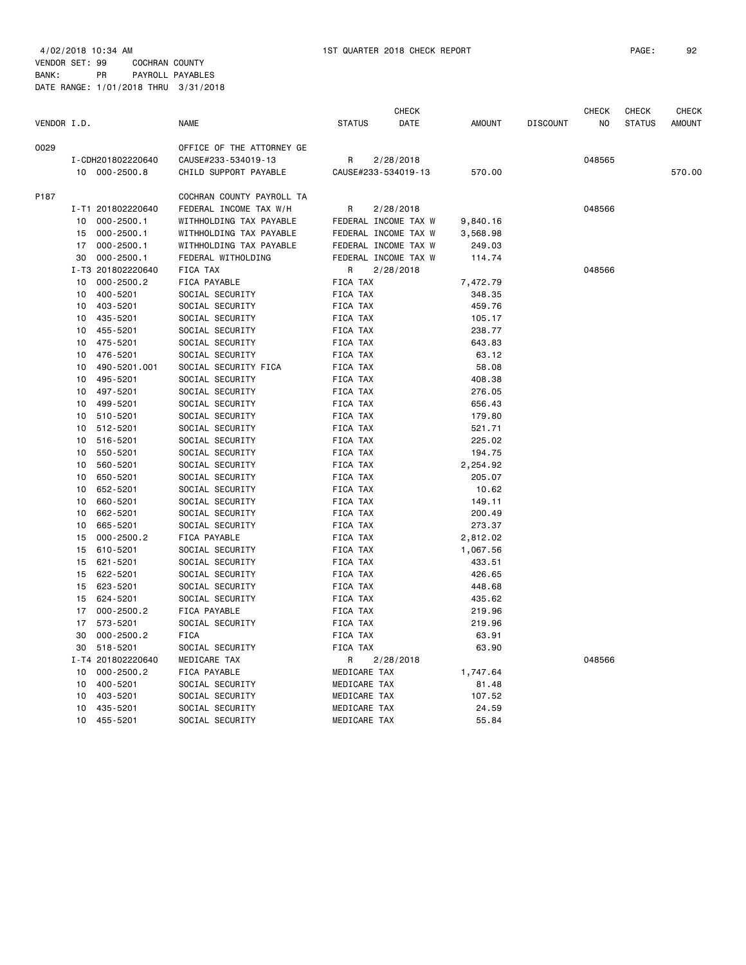4/02/2018 10:34 AM 1ST QUARTER 2018 CHECK REPORT PAGE: 92 VENDOR SET: 99 COCHRAN COUNTY BANK: PR PAYROLL PAYABLES

|             |    |                   |                           |                     | <b>CHECK</b>         |          |                 | <b>CHECK</b> | CHECK         | CHECK         |
|-------------|----|-------------------|---------------------------|---------------------|----------------------|----------|-----------------|--------------|---------------|---------------|
| VENDOR I.D. |    |                   | <b>NAME</b>               | <b>STATUS</b>       | DATE                 | AMOUNT   | <b>DISCOUNT</b> | NO           | <b>STATUS</b> | <b>AMOUNT</b> |
| 0029        |    |                   | OFFICE OF THE ATTORNEY GE |                     |                      |          |                 |              |               |               |
|             |    | I-CDH201802220640 | CAUSE#233-534019-13       | R                   | 2/28/2018            |          |                 | 048565       |               |               |
|             |    | 10 000-2500.8     | CHILD SUPPORT PAYABLE     | CAUSE#233-534019-13 |                      | 570.00   |                 |              |               | 570.00        |
| P187        |    |                   | COCHRAN COUNTY PAYROLL TA |                     |                      |          |                 |              |               |               |
|             |    | I-T1 201802220640 | FEDERAL INCOME TAX W/H    | R                   | 2/28/2018            |          |                 | 048566       |               |               |
|             | 10 | $000 - 2500.1$    | WITHHOLDING TAX PAYABLE   |                     | FEDERAL INCOME TAX W | 9,840.16 |                 |              |               |               |
|             | 15 | $000 - 2500.1$    | WITHHOLDING TAX PAYABLE   |                     | FEDERAL INCOME TAX W | 3,568.98 |                 |              |               |               |
|             |    | 17 000-2500.1     | WITHHOLDING TAX PAYABLE   |                     | FEDERAL INCOME TAX W | 249.03   |                 |              |               |               |
|             | 30 | $000 - 2500.1$    | FEDERAL WITHOLDING        |                     | FEDERAL INCOME TAX W | 114.74   |                 |              |               |               |
|             |    | I-T3 201802220640 | FICA TAX                  | R                   | 2/28/2018            |          |                 | 048566       |               |               |
|             | 10 | 000-2500.2        | FICA PAYABLE              | <b>FICA TAX</b>     |                      | 7,472.79 |                 |              |               |               |
|             | 10 | 400-5201          | SOCIAL SECURITY           | FICA TAX            |                      | 348.35   |                 |              |               |               |
|             | 10 | 403-5201          | SOCIAL SECURITY           | FICA TAX            |                      | 459.76   |                 |              |               |               |
|             | 10 | 435-5201          | SOCIAL SECURITY           | FICA TAX            |                      | 105.17   |                 |              |               |               |
|             | 10 | 455-5201          | SOCIAL SECURITY           | FICA TAX            |                      | 238.77   |                 |              |               |               |
|             | 10 | 475-5201          | SOCIAL SECURITY           | FICA TAX            |                      | 643.83   |                 |              |               |               |
|             | 10 | 476-5201          | SOCIAL SECURITY           | FICA TAX            |                      | 63.12    |                 |              |               |               |
|             | 10 | 490-5201.001      | SOCIAL SECURITY FICA      | FICA TAX            |                      | 58.08    |                 |              |               |               |
|             | 10 | 495-5201          | SOCIAL SECURITY           | FICA TAX            |                      | 408.38   |                 |              |               |               |
|             | 10 | 497-5201          | SOCIAL SECURITY           | FICA TAX            |                      | 276.05   |                 |              |               |               |
|             | 10 | 499-5201          | SOCIAL SECURITY           | FICA TAX            |                      | 656.43   |                 |              |               |               |
|             | 10 | 510-5201          | SOCIAL SECURITY           | FICA TAX            |                      | 179.80   |                 |              |               |               |
|             | 10 | 512-5201          | SOCIAL SECURITY           | FICA TAX            |                      | 521.71   |                 |              |               |               |
|             | 10 | 516-5201          | SOCIAL SECURITY           | <b>FICA TAX</b>     |                      | 225.02   |                 |              |               |               |
|             | 10 | 550-5201          | SOCIAL SECURITY           | FICA TAX            |                      | 194.75   |                 |              |               |               |
|             | 10 | 560-5201          | SOCIAL SECURITY           | <b>FICA TAX</b>     |                      | 2,254.92 |                 |              |               |               |
|             | 10 | 650-5201          | SOCIAL SECURITY           | FICA TAX            |                      | 205.07   |                 |              |               |               |
|             | 10 | 652-5201          | SOCIAL SECURITY           | FICA TAX            |                      | 10.62    |                 |              |               |               |
|             | 10 | 660-5201          | SOCIAL SECURITY           | FICA TAX            |                      | 149.11   |                 |              |               |               |
|             | 10 | 662-5201          | SOCIAL SECURITY           | FICA TAX            |                      | 200.49   |                 |              |               |               |
|             | 10 | 665-5201          | SOCIAL SECURITY           | FICA TAX            |                      | 273.37   |                 |              |               |               |
|             | 15 | $000 - 2500.2$    | FICA PAYABLE              | FICA TAX            |                      | 2,812.02 |                 |              |               |               |
|             | 15 | 610-5201          | SOCIAL SECURITY           | FICA TAX            |                      | 1,067.56 |                 |              |               |               |
|             | 15 | 621-5201          | SOCIAL SECURITY           | FICA TAX            |                      | 433.51   |                 |              |               |               |
|             | 15 | 622-5201          | SOCIAL SECURITY           | FICA TAX            |                      | 426.65   |                 |              |               |               |
|             | 15 | 623-5201          | SOCIAL SECURITY           | FICA TAX            |                      | 448.68   |                 |              |               |               |
|             | 15 | 624-5201          | SOCIAL SECURITY           | FICA TAX            |                      | 435.62   |                 |              |               |               |
|             | 17 | $000 - 2500.2$    | FICA PAYABLE              | FICA TAX            |                      | 219.96   |                 |              |               |               |
|             | 17 | 573-5201          | SOCIAL SECURITY           | FICA TAX            |                      | 219.96   |                 |              |               |               |
|             | 30 | $000 - 2500.2$    | <b>FICA</b>               | FICA TAX            |                      | 63.91    |                 |              |               |               |
|             | 30 | 518-5201          | SOCIAL SECURITY           | <b>FICA TAX</b>     |                      | 63.90    |                 |              |               |               |
|             |    | I-T4 201802220640 | MEDICARE TAX              |                     |                      |          |                 | 048566       |               |               |
|             | 10 | $000 - 2500.2$    | FICA PAYABLE              | R<br>MEDICARE TAX   | 2/28/2018            | 1,747.64 |                 |              |               |               |
|             | 10 | 400-5201          | SOCIAL SECURITY           | MEDICARE TAX        |                      | 81.48    |                 |              |               |               |
|             | 10 | 403-5201          | SOCIAL SECURITY           | MEDICARE TAX        |                      | 107.52   |                 |              |               |               |
|             |    |                   |                           |                     |                      |          |                 |              |               |               |
|             | 10 | 435-5201          | SOCIAL SECURITY           | MEDICARE TAX        |                      | 24.59    |                 |              |               |               |
|             | 10 | 455-5201          | SOCIAL SECURITY           | MEDICARE TAX        |                      | 55.84    |                 |              |               |               |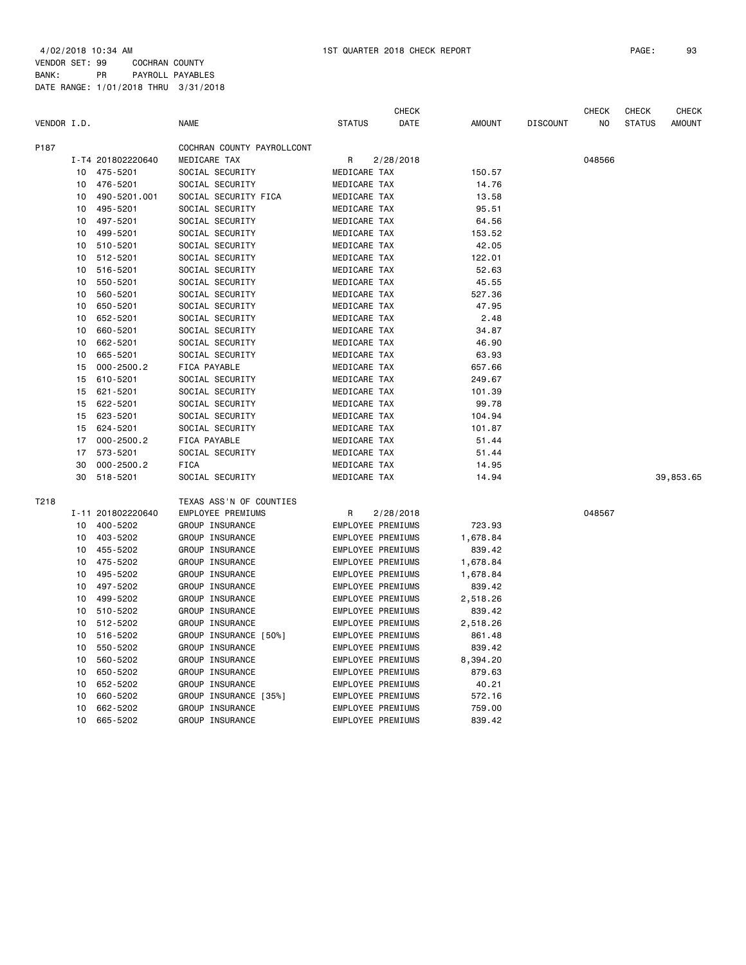4/02/2018 10:34 AM 1ST QUARTER 2018 CHECK REPORT PAGE: 93 VENDOR SET: 99 COCHRAN COUNTY

BANK: PR PAYROLL PAYABLES DATE RANGE: 1/01/2018 THRU 3/31/2018

|             |    |                   |                            |                          | <b>CHECK</b> |               |                 | <b>CHECK</b> | <b>CHECK</b>  | <b>CHECK</b>  |
|-------------|----|-------------------|----------------------------|--------------------------|--------------|---------------|-----------------|--------------|---------------|---------------|
| VENDOR I.D. |    |                   | <b>NAME</b>                | <b>STATUS</b>            | DATE         | <b>AMOUNT</b> | <b>DISCOUNT</b> | NO           | <b>STATUS</b> | <b>AMOUNT</b> |
| P187        |    |                   | COCHRAN COUNTY PAYROLLCONT |                          |              |               |                 |              |               |               |
|             |    | I-T4 201802220640 | MEDICARE TAX               | R                        | 2/28/2018    |               |                 | 048566       |               |               |
|             | 10 | 475-5201          | SOCIAL SECURITY            | MEDICARE TAX             |              | 150.57        |                 |              |               |               |
|             | 10 | 476-5201          | SOCIAL SECURITY            | MEDICARE TAX             |              | 14.76         |                 |              |               |               |
|             | 10 | 490-5201.001      | SOCIAL SECURITY FICA       | MEDICARE TAX             |              | 13.58         |                 |              |               |               |
|             | 10 | 495-5201          | SOCIAL SECURITY            | MEDICARE TAX             |              | 95.51         |                 |              |               |               |
|             | 10 | 497-5201          | SOCIAL SECURITY            | MEDICARE TAX             |              | 64.56         |                 |              |               |               |
|             | 10 | 499-5201          | SOCIAL SECURITY            | MEDICARE TAX             |              | 153.52        |                 |              |               |               |
|             | 10 | 510-5201          | SOCIAL SECURITY            | MEDICARE TAX             |              | 42.05         |                 |              |               |               |
|             | 10 | 512-5201          | SOCIAL SECURITY            | MEDICARE TAX             |              | 122.01        |                 |              |               |               |
|             | 10 | 516-5201          | SOCIAL SECURITY            | MEDICARE TAX             |              | 52.63         |                 |              |               |               |
|             | 10 | 550-5201          | SOCIAL SECURITY            | MEDICARE TAX             |              | 45.55         |                 |              |               |               |
|             | 10 | 560-5201          | SOCIAL SECURITY            | MEDICARE TAX             |              | 527.36        |                 |              |               |               |
|             | 10 | 650-5201          | SOCIAL SECURITY            | MEDICARE TAX             |              | 47.95         |                 |              |               |               |
|             | 10 | 652-5201          | SOCIAL SECURITY            | MEDICARE TAX             |              | 2.48          |                 |              |               |               |
|             | 10 | 660-5201          | SOCIAL SECURITY            | MEDICARE TAX             |              | 34.87         |                 |              |               |               |
|             | 10 | 662-5201          | SOCIAL SECURITY            | MEDICARE TAX             |              | 46.90         |                 |              |               |               |
|             | 10 | 665-5201          | SOCIAL SECURITY            | MEDICARE TAX             |              | 63.93         |                 |              |               |               |
|             | 15 | $000 - 2500.2$    | FICA PAYABLE               | MEDICARE TAX             |              | 657.66        |                 |              |               |               |
|             | 15 | 610-5201          | SOCIAL SECURITY            | MEDICARE TAX             |              | 249.67        |                 |              |               |               |
|             | 15 | 621-5201          | SOCIAL SECURITY            | MEDICARE TAX             |              | 101.39        |                 |              |               |               |
|             | 15 | 622-5201          | SOCIAL SECURITY            | MEDICARE TAX             |              | 99.78         |                 |              |               |               |
|             | 15 | 623-5201          | SOCIAL SECURITY            | MEDICARE TAX             |              | 104.94        |                 |              |               |               |
|             | 15 | 624-5201          | SOCIAL SECURITY            | MEDICARE TAX             |              | 101.87        |                 |              |               |               |
|             | 17 | $000 - 2500.2$    | FICA PAYABLE               | MEDICARE TAX             |              | 51.44         |                 |              |               |               |
|             | 17 | 573-5201          | SOCIAL SECURITY            | MEDICARE TAX             |              | 51.44         |                 |              |               |               |
|             | 30 | $000 - 2500.2$    | <b>FICA</b>                | MEDICARE TAX             |              | 14.95         |                 |              |               |               |
|             | 30 | 518-5201          | SOCIAL SECURITY            | MEDICARE TAX             |              | 14.94         |                 |              |               | 39,853.65     |
| T218        |    |                   | TEXAS ASS'N OF COUNTIES    |                          |              |               |                 |              |               |               |
|             |    | I-11 201802220640 | EMPLOYEE PREMIUMS          | R                        | 2/28/2018    |               |                 | 048567       |               |               |
|             | 10 | 400-5202          | GROUP INSURANCE            | EMPLOYEE PREMIUMS        |              | 723.93        |                 |              |               |               |
|             | 10 | 403-5202          | GROUP INSURANCE            | <b>EMPLOYEE PREMIUMS</b> |              | 1,678.84      |                 |              |               |               |
|             | 10 | 455-5202          | GROUP INSURANCE            | EMPLOYEE PREMIUMS        |              | 839.42        |                 |              |               |               |
|             | 10 | 475-5202          | GROUP INSURANCE            | <b>EMPLOYEE PREMIUMS</b> |              | 1,678.84      |                 |              |               |               |
|             | 10 | 495-5202          | GROUP INSURANCE            | EMPLOYEE PREMIUMS        |              | 1,678.84      |                 |              |               |               |
|             | 10 | 497-5202          | GROUP INSURANCE            | EMPLOYEE PREMIUMS        |              | 839.42        |                 |              |               |               |
|             | 10 | 499-5202          | GROUP INSURANCE            | EMPLOYEE PREMIUMS        |              | 2,518.26      |                 |              |               |               |
|             | 10 | 510-5202          | GROUP INSURANCE            | <b>EMPLOYEE PREMIUMS</b> |              | 839.42        |                 |              |               |               |
|             | 10 | 512-5202          | GROUP INSURANCE            | EMPLOYEE PREMIUMS        |              | 2,518.26      |                 |              |               |               |
|             | 10 | 516-5202          | GROUP INSURANCE [50%]      | EMPLOYEE PREMIUMS        |              | 861.48        |                 |              |               |               |
|             | 10 | 550-5202          | GROUP INSURANCE            | EMPLOYEE PREMIUMS        |              | 839.42        |                 |              |               |               |
|             | 10 | 560-5202          | GROUP INSURANCE            | EMPLOYEE PREMIUMS        |              | 8,394.20      |                 |              |               |               |
|             | 10 | 650-5202          | GROUP INSURANCE            | EMPLOYEE PREMIUMS        |              | 879.63        |                 |              |               |               |
|             | 10 | 652-5202          | GROUP INSURANCE            | EMPLOYEE PREMIUMS        |              | 40.21         |                 |              |               |               |
|             | 10 | 660-5202          | GROUP INSURANCE [35%]      | EMPLOYEE PREMIUMS        |              | 572.16        |                 |              |               |               |
|             | 10 | 662-5202          | GROUP INSURANCE            | EMPLOYEE PREMIUMS        |              | 759.00        |                 |              |               |               |
|             | 10 | 665-5202          | GROUP INSURANCE            | <b>EMPLOYEE PREMIUMS</b> |              | 839.42        |                 |              |               |               |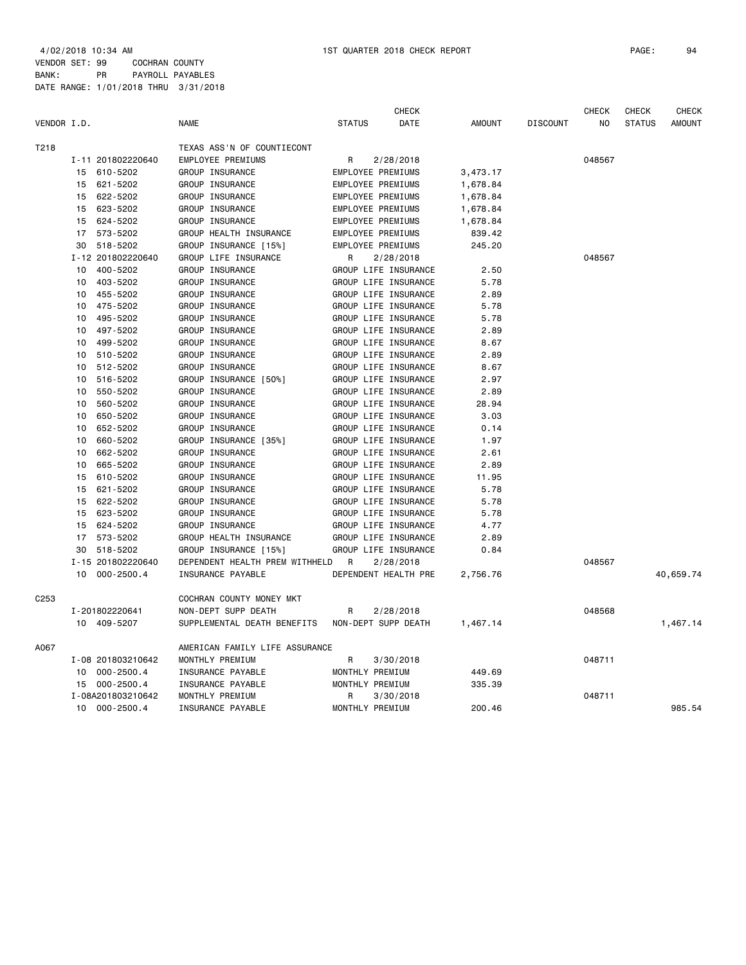BANK: PR PAYROLL PAYABLES DATE RANGE: 1/01/2018 THRU 3/31/2018

|                  |                      |                                | <b>CHECK</b>          |               |                 | <b>CHECK</b> | <b>CHECK</b>  | <b>CHECK</b>  |
|------------------|----------------------|--------------------------------|-----------------------|---------------|-----------------|--------------|---------------|---------------|
| VENDOR I.D.      |                      | <b>NAME</b>                    | <b>STATUS</b><br>DATE | <b>AMOUNT</b> | <b>DISCOUNT</b> | <b>NO</b>    | <b>STATUS</b> | <b>AMOUNT</b> |
| T218             |                      | TEXAS ASS'N OF COUNTIECONT     |                       |               |                 |              |               |               |
|                  | I-11 201802220640    | EMPLOYEE PREMIUMS              | R<br>2/28/2018        |               |                 | 048567       |               |               |
|                  | 610-5202<br>15       | GROUP INSURANCE                | EMPLOYEE PREMIUMS     | 3,473.17      |                 |              |               |               |
|                  | 621-5202<br>15       | GROUP INSURANCE                | EMPLOYEE PREMIUMS     | 1,678.84      |                 |              |               |               |
|                  | 622-5202<br>15       | GROUP INSURANCE                | EMPLOYEE PREMIUMS     | 1,678.84      |                 |              |               |               |
|                  | 623-5202<br>15       | GROUP INSURANCE                | EMPLOYEE PREMIUMS     | 1,678.84      |                 |              |               |               |
|                  | 624-5202<br>15       | GROUP INSURANCE                | EMPLOYEE PREMIUMS     | 1,678.84      |                 |              |               |               |
|                  | 573-5202<br>17       | GROUP HEALTH INSURANCE         | EMPLOYEE PREMIUMS     | 839.42        |                 |              |               |               |
|                  | 518-5202<br>30       | GROUP INSURANCE [15%]          | EMPLOYEE PREMIUMS     | 245.20        |                 |              |               |               |
|                  | I-12 201802220640    | GROUP LIFE INSURANCE           | R<br>2/28/2018        |               |                 | 048567       |               |               |
|                  | 10<br>400-5202       | GROUP INSURANCE                | GROUP LIFE INSURANCE  | 2.50          |                 |              |               |               |
|                  | 403-5202<br>10       | GROUP INSURANCE                | GROUP LIFE INSURANCE  | 5.78          |                 |              |               |               |
|                  | 455-5202<br>10       | GROUP INSURANCE                | GROUP LIFE INSURANCE  | 2.89          |                 |              |               |               |
|                  | 475-5202<br>10       | GROUP INSURANCE                | GROUP LIFE INSURANCE  | 5.78          |                 |              |               |               |
|                  | 495-5202<br>10       | GROUP INSURANCE                | GROUP LIFE INSURANCE  | 5.78          |                 |              |               |               |
|                  | 10<br>497-5202       | GROUP INSURANCE                | GROUP LIFE INSURANCE  | 2.89          |                 |              |               |               |
|                  | 499-5202<br>10       | GROUP INSURANCE                | GROUP LIFE INSURANCE  | 8.67          |                 |              |               |               |
|                  | 10<br>510-5202       | GROUP INSURANCE                | GROUP LIFE INSURANCE  | 2.89          |                 |              |               |               |
|                  | 512-5202<br>10       | GROUP INSURANCE                | GROUP LIFE INSURANCE  | 8.67          |                 |              |               |               |
|                  | 516-5202<br>10       | GROUP INSURANCE [50%]          | GROUP LIFE INSURANCE  | 2.97          |                 |              |               |               |
|                  | 550-5202<br>10       | GROUP INSURANCE                | GROUP LIFE INSURANCE  | 2.89          |                 |              |               |               |
|                  | 10<br>560-5202       | GROUP INSURANCE                | GROUP LIFE INSURANCE  | 28.94         |                 |              |               |               |
|                  | 650-5202<br>10       | GROUP INSURANCE                | GROUP LIFE INSURANCE  | 3.03          |                 |              |               |               |
|                  | 652-5202<br>10       | GROUP INSURANCE                | GROUP LIFE INSURANCE  | 0.14          |                 |              |               |               |
|                  | 660-5202<br>10       | GROUP INSURANCE [35%]          | GROUP LIFE INSURANCE  | 1.97          |                 |              |               |               |
|                  | 662-5202<br>10       | GROUP INSURANCE                | GROUP LIFE INSURANCE  | 2.61          |                 |              |               |               |
|                  | 665-5202<br>10       | GROUP INSURANCE                | GROUP LIFE INSURANCE  | 2.89          |                 |              |               |               |
|                  | 610-5202<br>15       | GROUP INSURANCE                | GROUP LIFE INSURANCE  | 11.95         |                 |              |               |               |
|                  | 621-5202<br>15       | GROUP INSURANCE                | GROUP LIFE INSURANCE  | 5.78          |                 |              |               |               |
|                  | 622-5202<br>15       | GROUP INSURANCE                | GROUP LIFE INSURANCE  | 5.78          |                 |              |               |               |
|                  | 623-5202<br>15       | GROUP INSURANCE                | GROUP LIFE INSURANCE  | 5.78          |                 |              |               |               |
|                  | 624-5202<br>15       | GROUP INSURANCE                | GROUP LIFE INSURANCE  | 4.77          |                 |              |               |               |
|                  | 573-5202<br>17       | GROUP HEALTH INSURANCE         | GROUP LIFE INSURANCE  | 2.89          |                 |              |               |               |
|                  | 518-5202<br>30       | GROUP INSURANCE [15%]          | GROUP LIFE INSURANCE  | 0.84          |                 |              |               |               |
|                  | I-15 201802220640    | DEPENDENT HEALTH PREM WITHHELD | R<br>2/28/2018        |               |                 | 048567       |               |               |
|                  | $000 - 2500.4$<br>10 | INSURANCE PAYABLE              | DEPENDENT HEALTH PRE  | 2,756.76      |                 |              |               | 40,659.74     |
|                  |                      |                                |                       |               |                 |              |               |               |
| C <sub>253</sub> |                      | COCHRAN COUNTY MONEY MKT       |                       |               |                 |              |               |               |
|                  | I-201802220641       | NON-DEPT SUPP DEATH            | 2/28/2018<br>R        |               |                 | 048568       |               |               |
|                  | 10<br>409-5207       | SUPPLEMENTAL DEATH BENEFITS    | NON-DEPT SUPP DEATH   | 1,467.14      |                 |              |               | 1,467.14      |
| A067             |                      | AMERICAN FAMILY LIFE ASSURANCE |                       |               |                 |              |               |               |
|                  | I-08 201803210642    | MONTHLY PREMIUM                | R<br>3/30/2018        |               |                 | 048711       |               |               |
|                  | $000 - 2500.4$<br>10 | INSURANCE PAYABLE              | MONTHLY PREMIUM       | 449.69        |                 |              |               |               |
|                  | $000 - 2500.4$<br>15 | INSURANCE PAYABLE              | MONTHLY PREMIUM       | 335.39        |                 |              |               |               |
|                  | I-08A201803210642    | MONTHLY PREMIUM                | R<br>3/30/2018        |               |                 | 048711       |               |               |
|                  | $000 - 2500.4$<br>10 | INSURANCE PAYABLE              | MONTHLY PREMIUM       | 200.46        |                 |              |               | 985.54        |
|                  |                      |                                |                       |               |                 |              |               |               |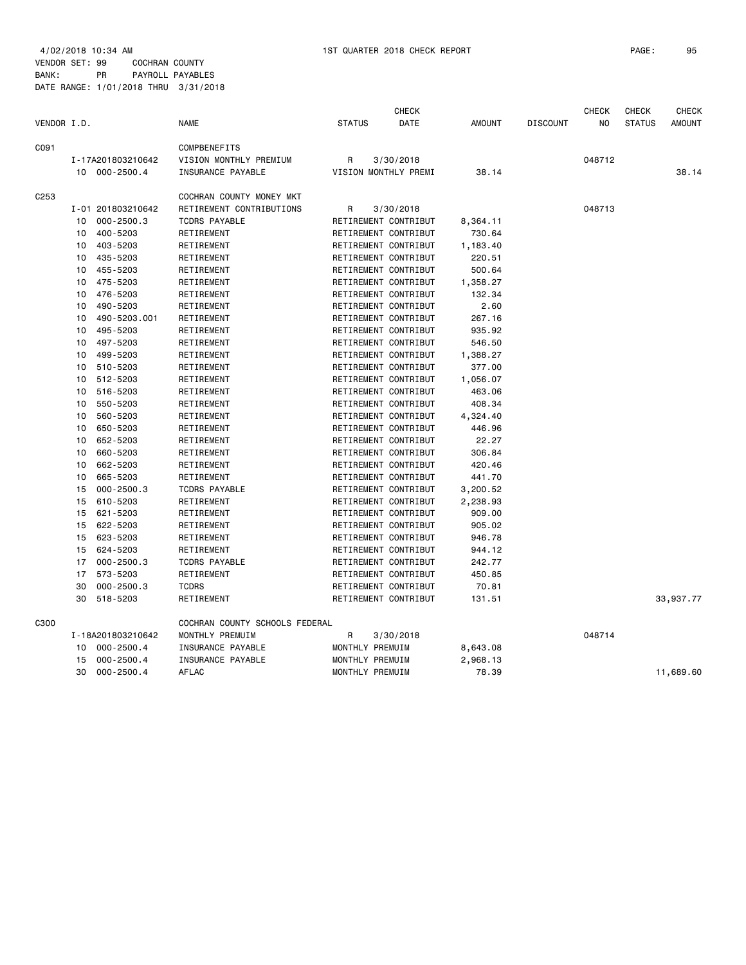4/02/2018 10:34 AM 1ST QUARTER 2018 CHECK REPORT PAGE: 95 VENDOR SET: 99 COCHRAN COUNTY BANK: PR PAYROLL PAYABLES DATE RANGE: 1/01/2018 THRU 3/31/2018

|                  |                      |                                |                      | <b>CHECK</b> |               |                 | <b>CHECK</b> | <b>CHECK</b>  | <b>CHECK</b>  |
|------------------|----------------------|--------------------------------|----------------------|--------------|---------------|-----------------|--------------|---------------|---------------|
| VENDOR I.D.      |                      | <b>NAME</b>                    | <b>STATUS</b>        | DATE         | <b>AMOUNT</b> | <b>DISCOUNT</b> | NO           | <b>STATUS</b> | <b>AMOUNT</b> |
| C091             |                      | COMPBENEFITS                   |                      |              |               |                 |              |               |               |
|                  | I-17A201803210642    | VISION MONTHLY PREMIUM         | R                    | 3/30/2018    |               |                 | 048712       |               |               |
|                  | 10 000-2500.4        | INSURANCE PAYABLE              | VISION MONTHLY PREMI |              | 38.14         |                 |              |               | 38.14         |
| C <sub>253</sub> |                      | COCHRAN COUNTY MONEY MKT       |                      |              |               |                 |              |               |               |
|                  | I-01 201803210642    | RETIREMENT CONTRIBUTIONS       | R                    | 3/30/2018    |               |                 | 048713       |               |               |
|                  | $000 - 2500.3$<br>10 | <b>TCDRS PAYABLE</b>           | RETIREMENT CONTRIBUT |              | 8,364.11      |                 |              |               |               |
|                  | 400-5203<br>10       | RETIREMENT                     | RETIREMENT CONTRIBUT |              | 730.64        |                 |              |               |               |
|                  | 10<br>403-5203       | RETIREMENT                     | RETIREMENT CONTRIBUT |              | 1,183.40      |                 |              |               |               |
|                  | 435-5203<br>10       | RETIREMENT                     | RETIREMENT CONTRIBUT |              | 220.51        |                 |              |               |               |
|                  | 455-5203<br>10       | RETIREMENT                     | RETIREMENT CONTRIBUT |              | 500.64        |                 |              |               |               |
|                  | 475-5203<br>10       | RETIREMENT                     | RETIREMENT CONTRIBUT |              | 1,358.27      |                 |              |               |               |
|                  | 476-5203<br>10       | RETIREMENT                     | RETIREMENT CONTRIBUT |              | 132.34        |                 |              |               |               |
|                  | 490-5203<br>10       | RETIREMENT                     | RETIREMENT CONTRIBUT |              | 2.60          |                 |              |               |               |
|                  | 490-5203.001<br>10   | RETIREMENT                     | RETIREMENT CONTRIBUT |              | 267.16        |                 |              |               |               |
|                  | 495-5203<br>10       | RETIREMENT                     | RETIREMENT CONTRIBUT |              | 935.92        |                 |              |               |               |
|                  | 497-5203<br>10       | RETIREMENT                     | RETIREMENT CONTRIBUT |              | 546.50        |                 |              |               |               |
|                  | 499-5203<br>10       | RETIREMENT                     | RETIREMENT CONTRIBUT |              | 1,388.27      |                 |              |               |               |
|                  | 510-5203<br>10       | RETIREMENT                     | RETIREMENT CONTRIBUT |              | 377.00        |                 |              |               |               |
|                  | 10<br>512-5203       | RETIREMENT                     | RETIREMENT CONTRIBUT |              | 1,056.07      |                 |              |               |               |
|                  | 516-5203<br>10       | RETIREMENT                     | RETIREMENT CONTRIBUT |              | 463.06        |                 |              |               |               |
|                  | 550-5203<br>10       | RETIREMENT                     | RETIREMENT CONTRIBUT |              | 408.34        |                 |              |               |               |
|                  | 560-5203<br>10       | RETIREMENT                     | RETIREMENT CONTRIBUT |              | 4,324.40      |                 |              |               |               |
|                  | 650-5203<br>10       | RETIREMENT                     | RETIREMENT CONTRIBUT |              | 446.96        |                 |              |               |               |
|                  | 652-5203<br>10       | RETIREMENT                     | RETIREMENT CONTRIBUT |              | 22.27         |                 |              |               |               |
|                  | 660-5203<br>10       | RETIREMENT                     | RETIREMENT CONTRIBUT |              | 306.84        |                 |              |               |               |
|                  | 662-5203<br>10       | RETIREMENT                     | RETIREMENT CONTRIBUT |              | 420.46        |                 |              |               |               |
|                  | 665-5203<br>10       | RETIREMENT                     | RETIREMENT CONTRIBUT |              | 441.70        |                 |              |               |               |
|                  | $000 - 2500.3$<br>15 | <b>TCDRS PAYABLE</b>           | RETIREMENT CONTRIBUT |              | 3,200.52      |                 |              |               |               |
|                  | 610-5203<br>15       | RETIREMENT                     | RETIREMENT CONTRIBUT |              | 2,238.93      |                 |              |               |               |
|                  | 621-5203<br>15       | RETIREMENT                     | RETIREMENT CONTRIBUT |              | 909.00        |                 |              |               |               |
|                  | 622-5203<br>15       | RETIREMENT                     | RETIREMENT CONTRIBUT |              | 905.02        |                 |              |               |               |
|                  | 623-5203<br>15       | RETIREMENT                     | RETIREMENT CONTRIBUT |              | 946.78        |                 |              |               |               |
|                  | 624-5203<br>15       | RETIREMENT                     | RETIREMENT CONTRIBUT |              | 944.12        |                 |              |               |               |
|                  | $000 - 2500.3$<br>17 | <b>TCDRS PAYABLE</b>           | RETIREMENT CONTRIBUT |              | 242.77        |                 |              |               |               |
|                  | 17<br>573-5203       | RETIREMENT                     | RETIREMENT CONTRIBUT |              | 450.85        |                 |              |               |               |
|                  | 30<br>$000 - 2500.3$ | <b>TCDRS</b>                   | RETIREMENT CONTRIBUT |              | 70.81         |                 |              |               |               |
|                  | 30<br>518-5203       | RETIREMENT                     | RETIREMENT CONTRIBUT |              | 131.51        |                 |              |               | 33,937.77     |
| C300             |                      | COCHRAN COUNTY SCHOOLS FEDERAL |                      |              |               |                 |              |               |               |
|                  | I-18A201803210642    | MONTHLY PREMUIM                | R                    | 3/30/2018    |               |                 | 048714       |               |               |
|                  | $000 - 2500.4$<br>10 | INSURANCE PAYABLE              | MONTHLY PREMUIM      |              | 8,643.08      |                 |              |               |               |
|                  | $000 - 2500.4$<br>15 | INSURANCE PAYABLE              | MONTHLY PREMUIM      |              | 2,968.13      |                 |              |               |               |
|                  | $000 - 2500.4$<br>30 | <b>AFLAC</b>                   | MONTHLY PREMUIM      |              | 78.39         |                 |              |               | 11,689.60     |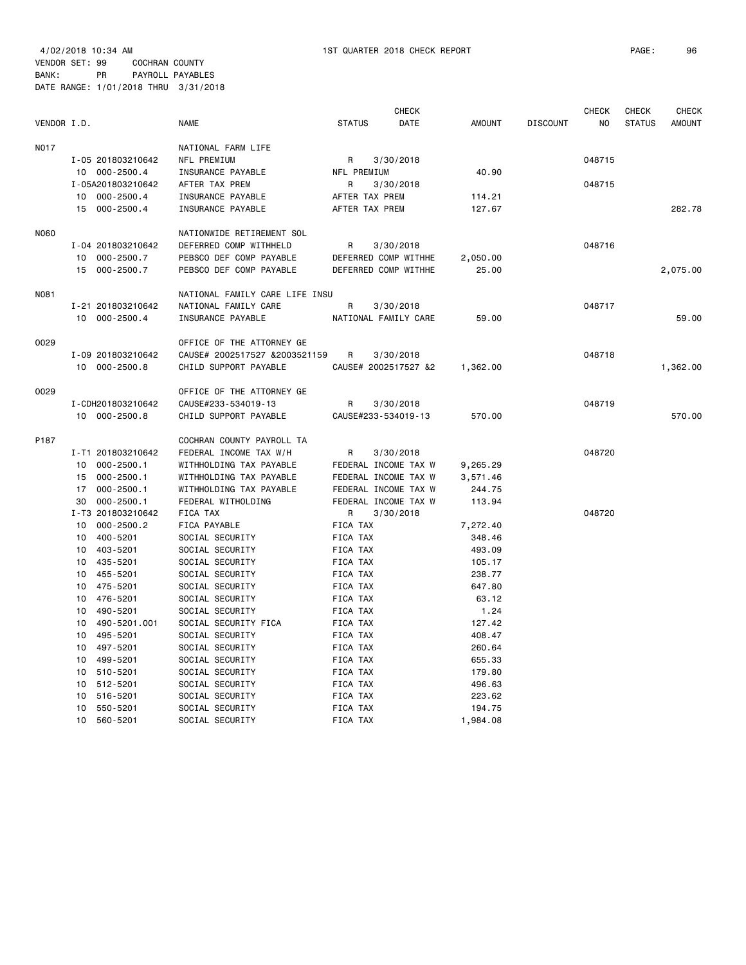4/02/2018 10:34 AM 1ST QUARTER 2018 CHECK REPORT PAGE: 96 VENDOR SET: 99 COCHRAN COUNTY

BANK: PR PAYROLL PAYABLES DATE RANGE: 1/01/2018 THRU 3/31/2018

|             |                      |                                |                     | <b>CHECK</b>         |               |                 | <b>CHECK</b>   | <b>CHECK</b>  | <b>CHECK</b>  |
|-------------|----------------------|--------------------------------|---------------------|----------------------|---------------|-----------------|----------------|---------------|---------------|
| VENDOR I.D. |                      | <b>NAME</b>                    | <b>STATUS</b>       | DATE                 | <b>AMOUNT</b> | <b>DISCOUNT</b> | N <sub>O</sub> | <b>STATUS</b> | <b>AMOUNT</b> |
| <b>N017</b> |                      | NATIONAL FARM LIFE             |                     |                      |               |                 |                |               |               |
|             | I-05 201803210642    | NFL PREMIUM                    | R                   | 3/30/2018            |               |                 | 048715         |               |               |
|             | 10 000-2500.4        | INSURANCE PAYABLE              | NFL PREMIUM         |                      | 40.90         |                 |                |               |               |
|             | I-05A201803210642    | AFTER TAX PREM                 | $\mathsf{R}$        | 3/30/2018            |               |                 | 048715         |               |               |
|             | 000-2500.4<br>10     | INSURANCE PAYABLE              | AFTER TAX PREM      |                      | 114.21        |                 |                |               |               |
|             | 15 000-2500.4        | INSURANCE PAYABLE              | AFTER TAX PREM      |                      | 127.67        |                 |                |               | 282.78        |
| N060        |                      | NATIONWIDE RETIREMENT SOL      |                     |                      |               |                 |                |               |               |
|             | I-04 201803210642    | DEFERRED COMP WITHHELD         | R                   | 3/30/2018            |               |                 | 048716         |               |               |
|             | 10 000-2500.7        | PEBSCO DEF COMP PAYABLE        |                     | DEFERRED COMP WITHHE | 2,050.00      |                 |                |               |               |
|             | 15<br>000-2500.7     | PEBSCO DEF COMP PAYABLE        |                     | DEFERRED COMP WITHHE | 25.00         |                 |                |               | 2,075.00      |
| N081        |                      | NATIONAL FAMILY CARE LIFE INSU |                     |                      |               |                 |                |               |               |
|             | I-21 201803210642    | NATIONAL FAMILY CARE           | R                   | 3/30/2018            |               |                 | 048717         |               |               |
|             | 10 000-2500.4        | INSURANCE PAYABLE              |                     | NATIONAL FAMILY CARE | 59.00         |                 |                |               | 59.00         |
| 0029        |                      | OFFICE OF THE ATTORNEY GE      |                     |                      |               |                 |                |               |               |
|             | I-09 201803210642    | CAUSE# 2002517527 &2003521159  | R                   | 3/30/2018            |               |                 | 048718         |               |               |
|             | 10 000-2500.8        | CHILD SUPPORT PAYABLE          |                     | CAUSE# 2002517527 &2 | 1,362.00      |                 |                |               | 1,362.00      |
| 0029        |                      | OFFICE OF THE ATTORNEY GE      |                     |                      |               |                 |                |               |               |
|             | I-CDH201803210642    | CAUSE#233-534019-13            | R                   | 3/30/2018            |               |                 | 048719         |               |               |
|             | 10 000-2500.8        | CHILD SUPPORT PAYABLE          | CAUSE#233-534019-13 |                      | 570.00        |                 |                |               | 570.00        |
| P187        |                      | COCHRAN COUNTY PAYROLL TA      |                     |                      |               |                 |                |               |               |
|             | I-T1 201803210642    | FEDERAL INCOME TAX W/H         | R                   | 3/30/2018            |               |                 | 048720         |               |               |
|             | 10<br>000-2500.1     | WITHHOLDING TAX PAYABLE        |                     | FEDERAL INCOME TAX W | 9,265.29      |                 |                |               |               |
|             | $000 - 2500.1$<br>15 | WITHHOLDING TAX PAYABLE        |                     | FEDERAL INCOME TAX W | 3,571.46      |                 |                |               |               |
|             | $000 - 2500.1$<br>17 | WITHHOLDING TAX PAYABLE        |                     | FEDERAL INCOME TAX W | 244.75        |                 |                |               |               |
|             | $000 - 2500.1$<br>30 | FEDERAL WITHOLDING             |                     | FEDERAL INCOME TAX W | 113.94        |                 |                |               |               |
|             | I-T3 201803210642    | FICA TAX                       | R                   | 3/30/2018            |               |                 | 048720         |               |               |
|             | $000 - 2500.2$<br>10 | FICA PAYABLE                   | FICA TAX            |                      | 7,272.40      |                 |                |               |               |
|             | 400-5201<br>10       | SOCIAL SECURITY                | FICA TAX            |                      | 348.46        |                 |                |               |               |
|             | 10<br>403-5201       | SOCIAL SECURITY                | FICA TAX            |                      | 493.09        |                 |                |               |               |
|             | 10<br>435-5201       | SOCIAL SECURITY                | FICA TAX            |                      | 105.17        |                 |                |               |               |
|             | 10<br>455-5201       | SOCIAL SECURITY                | FICA TAX            |                      | 238.77        |                 |                |               |               |
|             | 10<br>475-5201       | SOCIAL SECURITY                | FICA TAX            |                      | 647.80        |                 |                |               |               |
|             | 10<br>476-5201       | SOCIAL SECURITY                | FICA TAX            |                      | 63.12         |                 |                |               |               |
|             | 10<br>490-5201       | SOCIAL SECURITY                | FICA TAX            |                      | 1.24          |                 |                |               |               |
|             | 490-5201.001<br>10   | SOCIAL SECURITY FICA           | FICA TAX            |                      | 127.42        |                 |                |               |               |
|             | 10<br>495-5201       | SOCIAL SECURITY                | FICA TAX            |                      | 408.47        |                 |                |               |               |
|             | 497-5201<br>10       | SOCIAL SECURITY                | FICA TAX            |                      | 260.64        |                 |                |               |               |
|             | 10<br>499-5201       | SOCIAL SECURITY                | FICA TAX            |                      | 655.33        |                 |                |               |               |
|             | 510-5201<br>10       | SOCIAL SECURITY                | FICA TAX            |                      | 179.80        |                 |                |               |               |
|             | 10<br>512-5201       | SOCIAL SECURITY                | FICA TAX            |                      | 496.63        |                 |                |               |               |
|             | 516-5201<br>10       | SOCIAL SECURITY                | FICA TAX            |                      | 223.62        |                 |                |               |               |
|             | 550-5201<br>10       | SOCIAL SECURITY                | FICA TAX            |                      | 194.75        |                 |                |               |               |
|             | 10<br>560-5201       | SOCIAL SECURITY                | FICA TAX            |                      | 1,984.08      |                 |                |               |               |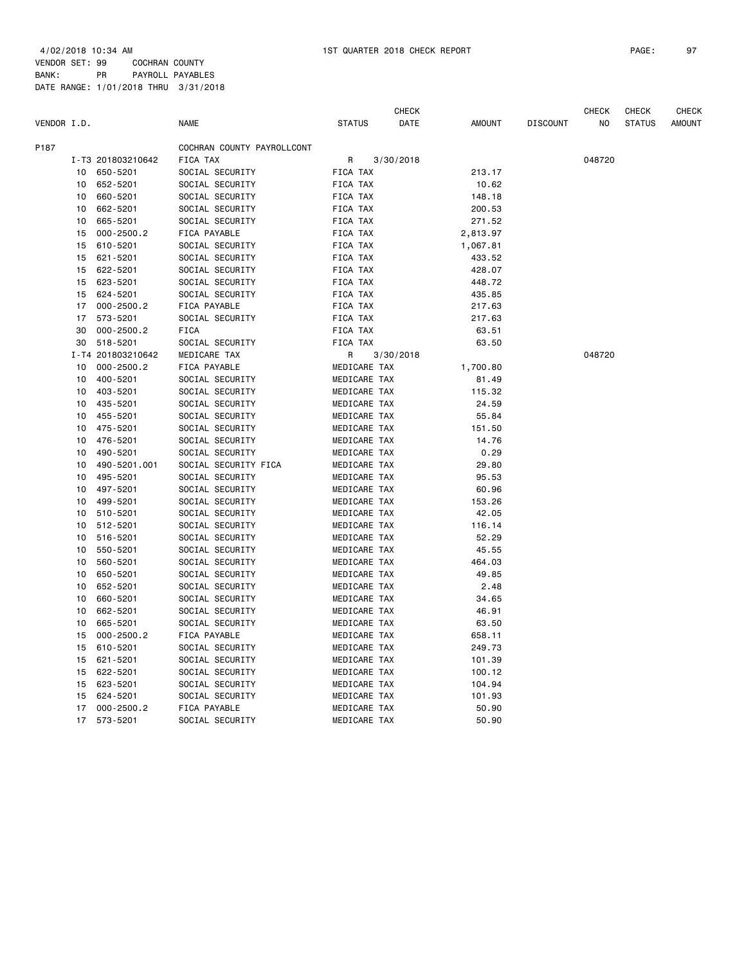4/02/2018 10:34 AM 1ST QUARTER 2018 CHECK REPORT PAGE: 97 VENDOR SET: 99 COCHRAN COUNTY

BANK: PR PAYROLL PAYABLES DATE RANGE: 1/01/2018 THRU 3/31/2018

|             |    |                   |                            |                 | <b>CHECK</b> |               |                 | <b>CHECK</b> | <b>CHECK</b>  | <b>CHECK</b>  |
|-------------|----|-------------------|----------------------------|-----------------|--------------|---------------|-----------------|--------------|---------------|---------------|
| VENDOR I.D. |    |                   | <b>NAME</b>                | <b>STATUS</b>   | <b>DATE</b>  | <b>AMOUNT</b> | <b>DISCOUNT</b> | NO.          | <b>STATUS</b> | <b>AMOUNT</b> |
| P187        |    |                   | COCHRAN COUNTY PAYROLLCONT |                 |              |               |                 |              |               |               |
|             |    | I-T3 201803210642 | FICA TAX                   | R               | 3/30/2018    |               |                 | 048720       |               |               |
|             | 10 | 650-5201          | SOCIAL SECURITY            | <b>FICA TAX</b> |              | 213.17        |                 |              |               |               |
|             | 10 | 652-5201          | SOCIAL SECURITY            | FICA TAX        |              | 10.62         |                 |              |               |               |
|             | 10 | 660-5201          | SOCIAL SECURITY            | FICA TAX        |              | 148.18        |                 |              |               |               |
|             | 10 | 662-5201          | SOCIAL SECURITY            | FICA TAX        |              | 200.53        |                 |              |               |               |
|             | 10 | 665-5201          | SOCIAL SECURITY            | <b>FICA TAX</b> |              | 271.52        |                 |              |               |               |
|             | 15 | $000 - 2500.2$    | FICA PAYABLE               | FICA TAX        |              | 2,813.97      |                 |              |               |               |
|             | 15 | 610-5201          | SOCIAL SECURITY            | <b>FICA TAX</b> |              | 1,067.81      |                 |              |               |               |
|             | 15 | 621-5201          | SOCIAL SECURITY            | FICA TAX        |              | 433.52        |                 |              |               |               |
|             | 15 | 622-5201          | SOCIAL SECURITY            | FICA TAX        |              | 428.07        |                 |              |               |               |
|             | 15 | 623-5201          | SOCIAL SECURITY            | FICA TAX        |              | 448.72        |                 |              |               |               |
|             | 15 | 624-5201          | SOCIAL SECURITY            | FICA TAX        |              | 435.85        |                 |              |               |               |
|             | 17 | $000 - 2500.2$    | FICA PAYABLE               | FICA TAX        |              | 217.63        |                 |              |               |               |
|             | 17 | 573-5201          | SOCIAL SECURITY            | FICA TAX        |              | 217.63        |                 |              |               |               |
|             | 30 | $000 - 2500.2$    | <b>FICA</b>                | <b>FICA TAX</b> |              | 63.51         |                 |              |               |               |
|             | 30 | 518-5201          | SOCIAL SECURITY            | <b>FICA TAX</b> |              | 63.50         |                 |              |               |               |
|             |    | I-T4 201803210642 | MEDICARE TAX               | R               | 3/30/2018    |               |                 | 048720       |               |               |
|             | 10 | $000 - 2500.2$    | FICA PAYABLE               | MEDICARE TAX    |              | 1,700.80      |                 |              |               |               |
|             | 10 | 400-5201          | SOCIAL SECURITY            | MEDICARE TAX    |              | 81.49         |                 |              |               |               |
|             | 10 | 403-5201          | SOCIAL SECURITY            | MEDICARE TAX    |              | 115.32        |                 |              |               |               |
|             | 10 | 435-5201          | SOCIAL SECURITY            | MEDICARE TAX    |              | 24.59         |                 |              |               |               |
|             | 10 | 455-5201          | SOCIAL SECURITY            | MEDICARE TAX    |              | 55.84         |                 |              |               |               |
|             | 10 | 475-5201          | SOCIAL SECURITY            | MEDICARE TAX    |              | 151.50        |                 |              |               |               |
|             | 10 | 476-5201          | SOCIAL SECURITY            | MEDICARE TAX    |              | 14.76         |                 |              |               |               |
|             | 10 | 490-5201          | SOCIAL SECURITY            | MEDICARE TAX    |              | 0.29          |                 |              |               |               |
|             | 10 | 490-5201.001      | SOCIAL SECURITY FICA       | MEDICARE TAX    |              | 29.80         |                 |              |               |               |
|             | 10 | 495-5201          | SOCIAL SECURITY            | MEDICARE TAX    |              | 95.53         |                 |              |               |               |
|             | 10 | 497-5201          | SOCIAL SECURITY            | MEDICARE TAX    |              | 60.96         |                 |              |               |               |
|             | 10 | 499-5201          | SOCIAL SECURITY            | MEDICARE TAX    |              | 153.26        |                 |              |               |               |
|             | 10 | 510-5201          | SOCIAL SECURITY            | MEDICARE TAX    |              | 42.05         |                 |              |               |               |
|             | 10 | 512-5201          | SOCIAL SECURITY            | MEDICARE TAX    |              | 116.14        |                 |              |               |               |
|             | 10 | 516-5201          | SOCIAL SECURITY            | MEDICARE TAX    |              | 52.29         |                 |              |               |               |
|             | 10 | 550-5201          | SOCIAL SECURITY            | MEDICARE TAX    |              | 45.55         |                 |              |               |               |
|             | 10 | 560-5201          | SOCIAL SECURITY            | MEDICARE TAX    |              | 464.03        |                 |              |               |               |
|             | 10 | 650-5201          | SOCIAL SECURITY            | MEDICARE TAX    |              | 49.85         |                 |              |               |               |
|             | 10 | 652-5201          | SOCIAL SECURITY            | MEDICARE TAX    |              | 2.48          |                 |              |               |               |
|             | 10 | 660-5201          | SOCIAL SECURITY            | MEDICARE TAX    |              | 34.65         |                 |              |               |               |
|             | 10 | 662-5201          | SOCIAL SECURITY            | MEDICARE TAX    |              | 46.91         |                 |              |               |               |
|             | 10 | 665-5201          | SOCIAL SECURITY            | MEDICARE TAX    |              | 63.50         |                 |              |               |               |
|             | 15 | $000 - 2500.2$    | FICA PAYABLE               | MEDICARE TAX    |              | 658.11        |                 |              |               |               |
|             | 15 | 610-5201          | SOCIAL SECURITY            | MEDICARE TAX    |              | 249.73        |                 |              |               |               |
|             | 15 | 621-5201          | SOCIAL SECURITY            | MEDICARE TAX    |              | 101.39        |                 |              |               |               |
|             | 15 | 622-5201          | SOCIAL SECURITY            | MEDICARE TAX    |              | 100.12        |                 |              |               |               |
|             | 15 | 623-5201          | SOCIAL SECURITY            | MEDICARE TAX    |              | 104.94        |                 |              |               |               |
|             | 15 | 624-5201          | SOCIAL SECURITY            | MEDICARE TAX    |              | 101.93        |                 |              |               |               |
|             | 17 | $000 - 2500.2$    | FICA PAYABLE               | MEDICARE TAX    |              | 50.90         |                 |              |               |               |
|             | 17 | 573-5201          | SOCIAL SECURITY            | MEDICARE TAX    |              | 50.90         |                 |              |               |               |
|             |    |                   |                            |                 |              |               |                 |              |               |               |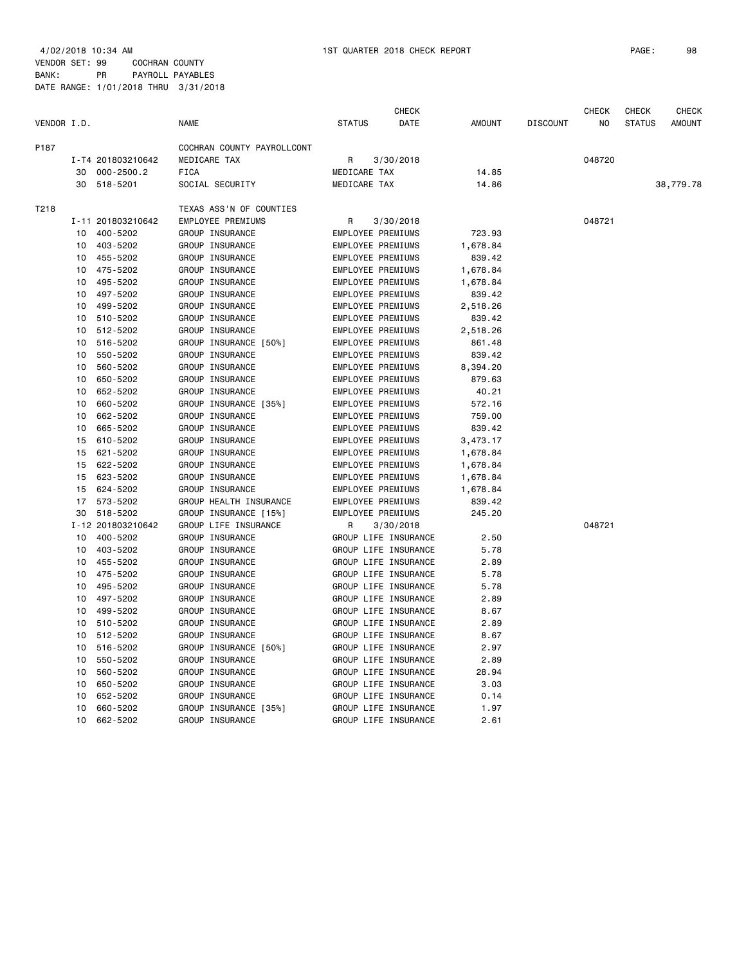#### VENDOR SET: 99 COCHRAN COUNTY BANK: PR PAYROLL PAYABLES DATE RANGE: 1/01/2018 THRU 3/31/2018

|             |    |                   |                            |                          | <b>CHECK</b>         |               |                 | CHECK  | CHECK         | CHECK         |
|-------------|----|-------------------|----------------------------|--------------------------|----------------------|---------------|-----------------|--------|---------------|---------------|
| VENDOR I.D. |    |                   | <b>NAME</b>                | <b>STATUS</b>            | DATE                 | <b>AMOUNT</b> | <b>DISCOUNT</b> | NO     | <b>STATUS</b> | <b>AMOUNT</b> |
| P187        |    |                   | COCHRAN COUNTY PAYROLLCONT |                          |                      |               |                 |        |               |               |
|             |    | I-T4 201803210642 | MEDICARE TAX               | R                        | 3/30/2018            |               |                 | 048720 |               |               |
|             | 30 | $000 - 2500.2$    | <b>FICA</b>                | MEDICARE TAX             |                      | 14.85         |                 |        |               |               |
|             | 30 | 518-5201          | SOCIAL SECURITY            | MEDICARE TAX             |                      | 14.86         |                 |        |               | 38,779.78     |
| T218        |    |                   | TEXAS ASS'N OF COUNTIES    |                          |                      |               |                 |        |               |               |
|             |    | I-11 201803210642 | EMPLOYEE PREMIUMS          | R                        | 3/30/2018            |               |                 | 048721 |               |               |
|             | 10 | 400-5202          | GROUP INSURANCE            | EMPLOYEE PREMIUMS        |                      | 723.93        |                 |        |               |               |
|             | 10 | 403-5202          | GROUP INSURANCE            | EMPLOYEE PREMIUMS        |                      | 1,678.84      |                 |        |               |               |
|             | 10 | 455-5202          | GROUP INSURANCE            | EMPLOYEE PREMIUMS        |                      | 839.42        |                 |        |               |               |
|             | 10 | 475-5202          | GROUP INSURANCE            | EMPLOYEE PREMIUMS        |                      | 1,678.84      |                 |        |               |               |
|             | 10 | 495-5202          | GROUP INSURANCE            | EMPLOYEE PREMIUMS        |                      | 1,678.84      |                 |        |               |               |
|             | 10 | 497-5202          | GROUP INSURANCE            | EMPLOYEE PREMIUMS        |                      | 839.42        |                 |        |               |               |
|             | 10 | 499-5202          | GROUP INSURANCE            | EMPLOYEE PREMIUMS        |                      | 2,518.26      |                 |        |               |               |
|             | 10 | 510-5202          | GROUP INSURANCE            | EMPLOYEE PREMIUMS        |                      | 839.42        |                 |        |               |               |
|             | 10 | 512-5202          | GROUP INSURANCE            | EMPLOYEE PREMIUMS        |                      | 2,518.26      |                 |        |               |               |
|             | 10 | 516-5202          | GROUP INSURANCE [50%]      | EMPLOYEE PREMIUMS        |                      | 861.48        |                 |        |               |               |
|             | 10 | 550-5202          | GROUP INSURANCE            | EMPLOYEE PREMIUMS        |                      | 839.42        |                 |        |               |               |
|             | 10 | 560-5202          | GROUP INSURANCE            | EMPLOYEE PREMIUMS        |                      | 8,394.20      |                 |        |               |               |
|             | 10 | 650-5202          | GROUP INSURANCE            | EMPLOYEE PREMIUMS        |                      | 879.63        |                 |        |               |               |
|             | 10 | 652-5202          | GROUP INSURANCE            | EMPLOYEE PREMIUMS        |                      | 40.21         |                 |        |               |               |
|             | 10 | 660-5202          | GROUP INSURANCE [35%]      | EMPLOYEE PREMIUMS        |                      | 572.16        |                 |        |               |               |
|             | 10 | 662-5202          | GROUP INSURANCE            | EMPLOYEE PREMIUMS        |                      | 759.00        |                 |        |               |               |
|             | 10 | 665-5202          | GROUP INSURANCE            | EMPLOYEE PREMIUMS        |                      | 839.42        |                 |        |               |               |
|             | 15 | 610-5202          | GROUP INSURANCE            | EMPLOYEE PREMIUMS        |                      | 3,473.17      |                 |        |               |               |
|             | 15 | 621-5202          | GROUP INSURANCE            | EMPLOYEE PREMIUMS        |                      | 1,678.84      |                 |        |               |               |
|             | 15 | 622-5202          | GROUP INSURANCE            | EMPLOYEE PREMIUMS        |                      | 1,678.84      |                 |        |               |               |
|             | 15 | 623-5202          | GROUP INSURANCE            | EMPLOYEE PREMIUMS        |                      | 1,678.84      |                 |        |               |               |
|             | 15 | 624-5202          | GROUP INSURANCE            | EMPLOYEE PREMIUMS        |                      | 1,678.84      |                 |        |               |               |
|             | 17 | 573-5202          | GROUP HEALTH INSURANCE     | <b>EMPLOYEE PREMIUMS</b> |                      | 839.42        |                 |        |               |               |
|             |    | 30 518-5202       | GROUP INSURANCE [15%]      | EMPLOYEE PREMIUMS        |                      | 245.20        |                 |        |               |               |
|             |    | I-12 201803210642 | GROUP LIFE INSURANCE       | R.                       | 3/30/2018            |               |                 | 048721 |               |               |
|             | 10 | 400-5202          | GROUP INSURANCE            |                          | GROUP LIFE INSURANCE | 2.50          |                 |        |               |               |
|             | 10 | 403-5202          | GROUP INSURANCE            |                          | GROUP LIFE INSURANCE | 5.78          |                 |        |               |               |
|             | 10 | 455-5202          | GROUP INSURANCE            |                          | GROUP LIFE INSURANCE | 2.89          |                 |        |               |               |
|             | 10 | 475-5202          | GROUP INSURANCE            |                          | GROUP LIFE INSURANCE | 5.78          |                 |        |               |               |
|             | 10 | 495-5202          | GROUP INSURANCE            |                          | GROUP LIFE INSURANCE | 5.78          |                 |        |               |               |
|             | 10 | 497-5202          | GROUP INSURANCE            |                          | GROUP LIFE INSURANCE | 2.89          |                 |        |               |               |
|             | 10 | 499-5202          | GROUP INSURANCE            |                          | GROUP LIFE INSURANCE | 8.67          |                 |        |               |               |
|             | 10 | 510-5202          | GROUP INSURANCE            |                          | GROUP LIFE INSURANCE | 2.89          |                 |        |               |               |
|             | 10 | 512-5202          | GROUP INSURANCE            |                          | GROUP LIFE INSURANCE | 8.67          |                 |        |               |               |
|             | 10 | 516-5202          | GROUP INSURANCE [50%]      |                          | GROUP LIFE INSURANCE | 2.97          |                 |        |               |               |
|             | 10 | 550-5202          | GROUP INSURANCE            |                          | GROUP LIFE INSURANCE | 2.89          |                 |        |               |               |
|             | 10 | 560-5202          | GROUP INSURANCE            |                          | GROUP LIFE INSURANCE | 28.94         |                 |        |               |               |
|             | 10 | 650-5202          | GROUP INSURANCE            |                          | GROUP LIFE INSURANCE | 3.03          |                 |        |               |               |
|             | 10 | 652-5202          | GROUP INSURANCE            |                          | GROUP LIFE INSURANCE | 0.14          |                 |        |               |               |
|             | 10 | 660-5202          | GROUP INSURANCE [35%]      |                          | GROUP LIFE INSURANCE | 1.97          |                 |        |               |               |
|             | 10 | 662-5202          | GROUP INSURANCE            |                          | GROUP LIFE INSURANCE | 2.61          |                 |        |               |               |
|             |    |                   |                            |                          |                      |               |                 |        |               |               |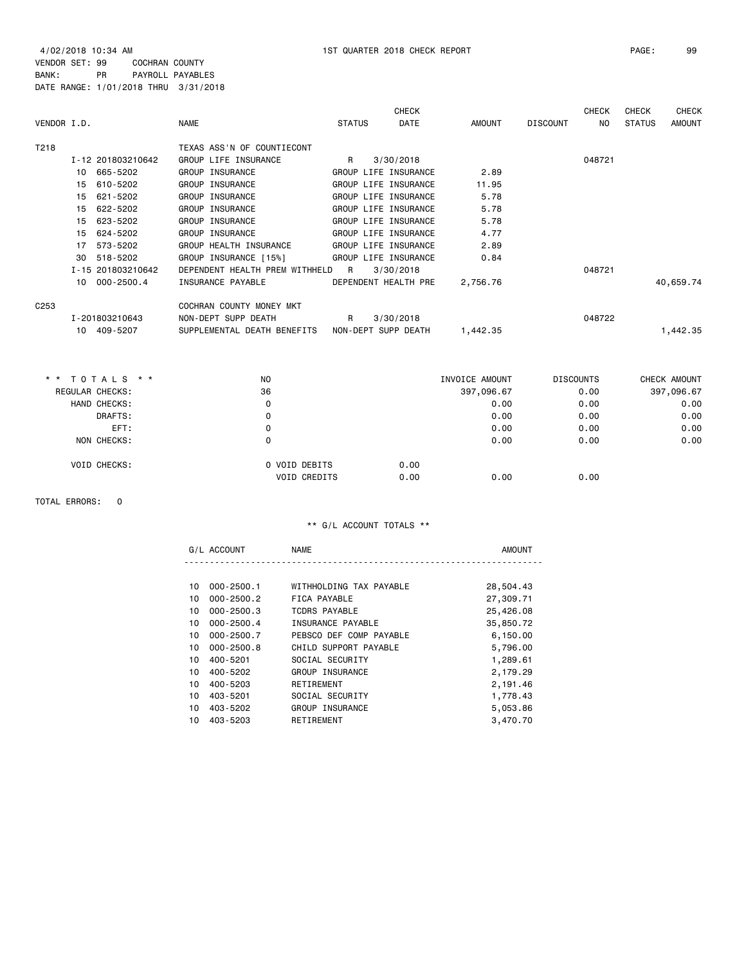4/02/2018 10:34 AM 1ST QUARTER 2018 CHECK REPORT PAGE: 99 VENDOR SET: 99 COCHRAN COUNTY

BANK: PR PAYROLL PAYABLES DATE RANGE: 1/01/2018 THRU 3/31/2018

|                  |                   |                                |                     | <b>CHECK</b>         |                |                 | <b>CHECK</b>     | <b>CHECK</b>  | <b>CHECK</b>  |
|------------------|-------------------|--------------------------------|---------------------|----------------------|----------------|-----------------|------------------|---------------|---------------|
| VENDOR I.D.      |                   | <b>NAME</b>                    | <b>STATUS</b>       | <b>DATE</b>          | <b>AMOUNT</b>  | <b>DISCOUNT</b> | NO.              | <b>STATUS</b> | <b>AMOUNT</b> |
| T218             |                   | TEXAS ASS'N OF COUNTIECONT     |                     |                      |                |                 |                  |               |               |
|                  | I-12 201803210642 | GROUP LIFE INSURANCE           | R                   | 3/30/2018            |                |                 | 048721           |               |               |
|                  | 10 665-5202       | GROUP INSURANCE                |                     | GROUP LIFE INSURANCE | 2.89           |                 |                  |               |               |
|                  | 610-5202<br>15    | GROUP INSURANCE                |                     | GROUP LIFE INSURANCE | 11.95          |                 |                  |               |               |
|                  | 621-5202<br>15    | GROUP INSURANCE                |                     | GROUP LIFE INSURANCE | 5.78           |                 |                  |               |               |
|                  | 622-5202<br>15    | GROUP INSURANCE                |                     | GROUP LIFE INSURANCE | 5.78           |                 |                  |               |               |
|                  | 623-5202<br>15    | GROUP INSURANCE                |                     | GROUP LIFE INSURANCE | 5.78           |                 |                  |               |               |
|                  | 624-5202<br>15    | GROUP INSURANCE                |                     | GROUP LIFE INSURANCE | 4.77           |                 |                  |               |               |
|                  | 17<br>573-5202    | GROUP HEALTH INSURANCE         |                     | GROUP LIFE INSURANCE | 2.89           |                 |                  |               |               |
|                  | 518-5202<br>30    | GROUP INSURANCE [15%]          |                     | GROUP LIFE INSURANCE | 0.84           |                 |                  |               |               |
|                  | I-15 201803210642 | DEPENDENT HEALTH PREM WITHHELD | R                   | 3/30/2018            |                |                 | 048721           |               |               |
|                  | 10 000-2500.4     | INSURANCE PAYABLE              |                     | DEPENDENT HEALTH PRE | 2,756.76       |                 |                  |               | 40,659.74     |
| C <sub>253</sub> |                   | COCHRAN COUNTY MONEY MKT       |                     |                      |                |                 |                  |               |               |
|                  | I-201803210643    | NON-DEPT SUPP DEATH            | R                   | 3/30/2018            |                |                 | 048722           |               |               |
|                  | 10 409-5207       | SUPPLEMENTAL DEATH BENEFITS    | NON-DEPT SUPP DEATH |                      | 1,442.35       |                 |                  |               | 1,442.35      |
|                  |                   |                                |                     |                      |                |                 |                  |               |               |
|                  | * * TOTALS * *    | NO.                            |                     |                      | INVOICE AMOUNT |                 | <b>DISCOUNTS</b> |               | CHECK AMOUNT  |
|                  | REGULAR CHECKS:   | 36                             |                     |                      | 397,096.67     |                 | 0.00             |               | 397,096.67    |

| REGULAR UNEURS:     | ుం            | 397,090.07 |      | v.vv | ,090.07 ו-39 |
|---------------------|---------------|------------|------|------|--------------|
| HAND CHECKS:        | 0             |            | 0.00 | 0.00 | 0.00         |
| DRAFTS:             | 0             |            | 0.00 | 0.00 | 0.00         |
| EFT:                | 0             |            | 0.00 | 0.00 | 0.00         |
| NON CHECKS:         |               |            | 0.00 | 0.00 | 0.00         |
| <b>VOID CHECKS:</b> | O VOID DEBITS | 0.00       |      |      |              |
|                     | VOID CREDITS  | 0.00       | 0.00 | 0.00 |              |
|                     |               |            |      |      |              |

TOTAL ERRORS: 0

|    | G/L ACCOUNT    | <b>NAME</b>             | <b>AMOUNT</b> |
|----|----------------|-------------------------|---------------|
|    |                |                         |               |
| 10 | $000 - 2500.1$ | WITHHOLDING TAX PAYABLE | 28,504.43     |
| 10 | $000 - 2500.2$ | FICA PAYABLE            | 27,309.71     |
| 10 | $000 - 2500.3$ | TCDRS PAYABLE           | 25,426.08     |
| 10 | $000 - 2500.4$ | INSURANCE PAYABLE       | 35,850.72     |
| 10 | $000 - 2500.7$ | PEBSCO DEF COMP PAYABLE | 6,150.00      |
| 10 | $000 - 2500.8$ | CHILD SUPPORT PAYABLE   | 5,796.00      |
| 10 | 400-5201       | SOCIAL SECURITY         | 1,289.61      |
| 10 | 400-5202       | GROUP INSURANCE         | 2,179.29      |
| 10 | 400-5203       | RETIREMENT              | 2,191.46      |
| 10 | 403-5201       | SOCIAL SECURITY         | 1,778.43      |
| 10 | 403-5202       | GROUP INSURANCE         | 5,053.86      |
| 10 | 403-5203       | RETIREMENT              | 3,470.70      |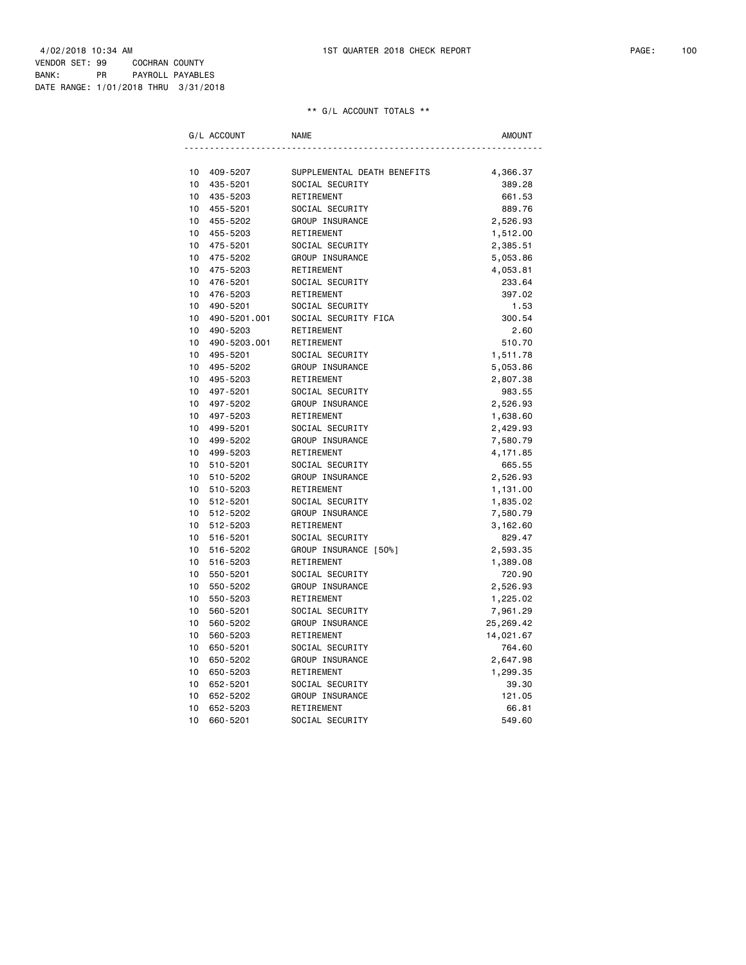|    | G/L ACCOUNT  | <b>NAME</b>                 | AMOUNT    |
|----|--------------|-----------------------------|-----------|
|    |              |                             |           |
| 10 | 409-5207     | SUPPLEMENTAL DEATH BENEFITS | 4,366.37  |
| 10 | 435-5201     | SOCIAL SECURITY             | 389.28    |
| 10 | 435-5203     | RETIREMENT                  | 661.53    |
| 10 | 455-5201     | SOCIAL SECURITY             | 889.76    |
| 10 | 455-5202     | GROUP INSURANCE             | 2,526.93  |
| 10 | 455-5203     | RETIREMENT                  | 1,512.00  |
| 10 | 475-5201     | SOCIAL SECURITY             | 2,385.51  |
| 10 | 475-5202     | GROUP INSURANCE             | 5,053.86  |
| 10 | 475-5203     | RETIREMENT                  | 4,053.81  |
| 10 | 476-5201     | SOCIAL SECURITY             | 233.64    |
| 10 | 476-5203     | RETIREMENT                  | 397.02    |
| 10 | 490-5201     | SOCIAL SECURITY             | 1.53      |
| 10 | 490-5201.001 | SOCIAL SECURITY FICA        | 300.54    |
| 10 | 490-5203     | RETIREMENT                  | 2.60      |
| 10 | 490-5203.001 | RETIREMENT                  | 510.70    |
| 10 | 495-5201     | SOCIAL SECURITY             | 1,511.78  |
| 10 | 495-5202     | GROUP INSURANCE             | 5,053.86  |
| 10 | 495-5203     | RETIREMENT                  | 2,807.38  |
| 10 | 497-5201     | SOCIAL SECURITY             | 983.55    |
| 10 | 497-5202     | GROUP INSURANCE             | 2,526.93  |
| 10 | 497-5203     | RETIREMENT                  | 1,638.60  |
| 10 | 499-5201     | SOCIAL SECURITY             | 2,429.93  |
| 10 | 499-5202     | GROUP INSURANCE             | 7,580.79  |
| 10 | 499-5203     | RETIREMENT                  | 4, 171.85 |
| 10 | 510-5201     | SOCIAL SECURITY             | 665.55    |
| 10 | 510-5202     | GROUP INSURANCE             | 2,526.93  |
| 10 | 510-5203     | RETIREMENT                  | 1,131.00  |
| 10 | 512-5201     | SOCIAL SECURITY             | 1,835.02  |
| 10 | 512-5202     | GROUP INSURANCE             | 7,580.79  |
| 10 | 512-5203     | RETIREMENT                  | 3,162.60  |
| 10 | 516-5201     | SOCIAL SECURITY             | 829.47    |
| 10 | 516-5202     | GROUP INSURANCE [50%]       | 2,593.35  |
| 10 | 516-5203     | RETIREMENT                  | 1,389.08  |
| 10 | 550-5201     | SOCIAL SECURITY             | 720.90    |
| 10 | 550-5202     | GROUP INSURANCE             | 2,526.93  |
| 10 | 550-5203     | RETIREMENT                  | 1,225.02  |
| 10 | 560-5201     | SOCIAL SECURITY             | 7,961.29  |
| 10 | 560-5202     | GROUP INSURANCE             | 25,269.42 |
| 10 | 560-5203     | RETIREMENT                  | 14,021.67 |
| 10 | 650-5201     | SOCIAL SECURITY             | 764.60    |
| 10 | 650-5202     | GROUP INSURANCE             | 2,647.98  |
| 10 | 650-5203     | RETIREMENT                  | 1,299.35  |
| 10 | 652-5201     | SOCIAL SECURITY             | 39.30     |
| 10 | 652-5202     | GROUP INSURANCE             | 121.05    |
| 10 | 652-5203     | RETIREMENT                  | 66.81     |
| 10 | 660-5201     | SOCIAL SECURITY             | 549.60    |